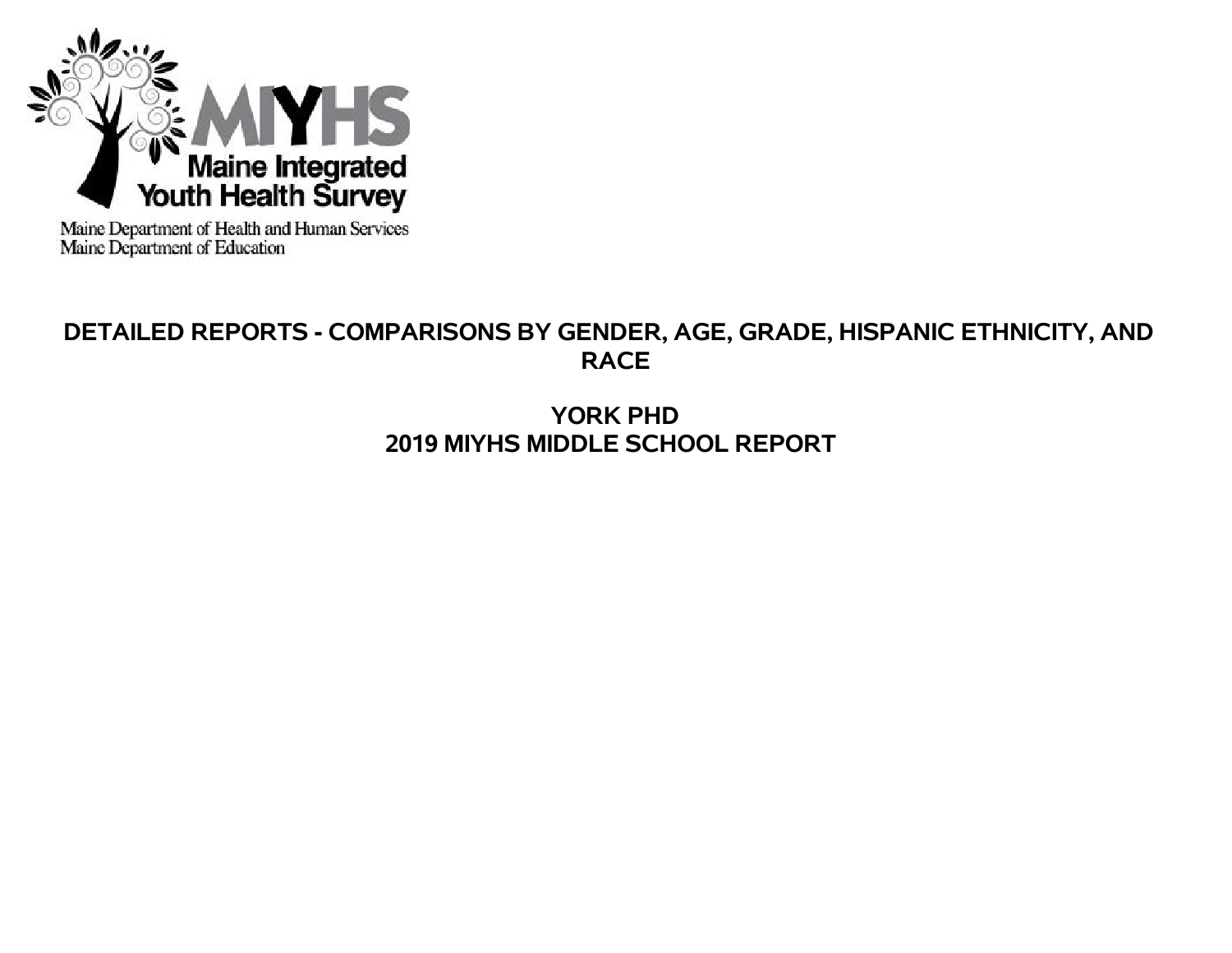

Maine Department of Health and Human Services<br>Maine Department of Education

# **DETAILED REPORTS - COMPARISONS BY GENDER, AGE, GRADE, HISPANIC ETHNICITY, AND RACE**

**YORK PHD 2019 MIYHS MIDDLE SCHOOL REPORT**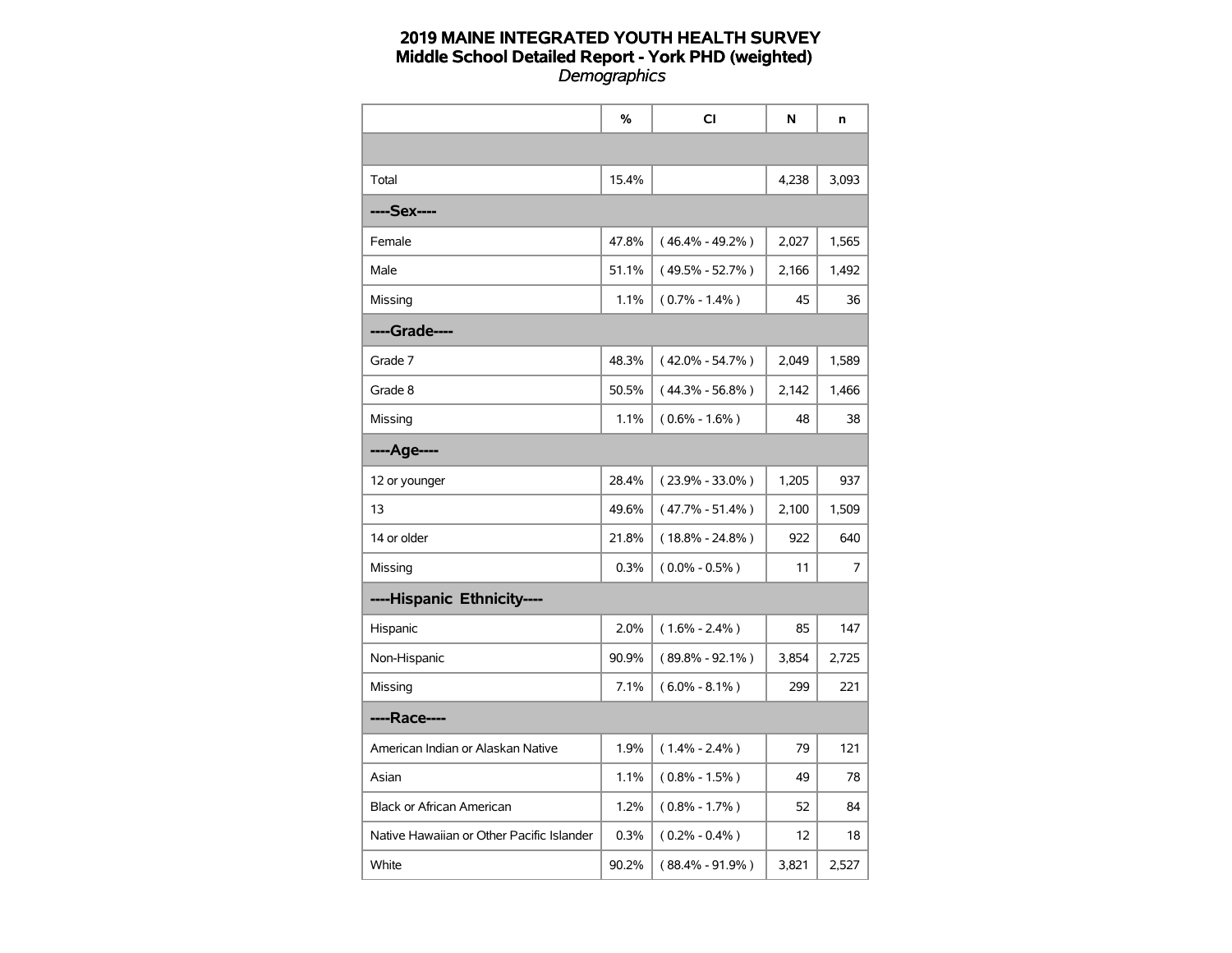|                                           | %     | <b>CI</b>           | N     | n     |
|-------------------------------------------|-------|---------------------|-------|-------|
|                                           |       |                     |       |       |
| Total                                     | 15.4% |                     | 4,238 | 3,093 |
| ----Sex----                               |       |                     |       |       |
| Female                                    | 47.8% | $(46.4\% - 49.2\%)$ | 2,027 | 1,565 |
| Male                                      | 51.1% | $(49.5\% - 52.7\%)$ | 2,166 | 1,492 |
| Missing                                   | 1.1%  | $(0.7\% - 1.4\%)$   | 45    | 36    |
| ----Grade----                             |       |                     |       |       |
| Grade 7                                   | 48.3% | $(42.0\% - 54.7\%)$ | 2,049 | 1,589 |
| Grade 8                                   | 50.5% | $(44.3\% - 56.8\%)$ | 2,142 | 1,466 |
| Missing                                   | 1.1%  | $(0.6\% - 1.6\%)$   | 48    | 38    |
| ----Age----                               |       |                     |       |       |
| 12 or younger                             | 28.4% | $(23.9\% - 33.0\%)$ | 1,205 | 937   |
| 13                                        | 49.6% | $(47.7\% - 51.4\%)$ | 2,100 | 1,509 |
| 14 or older                               | 21.8% | $(18.8\% - 24.8\%)$ | 922   | 640   |
| Missing                                   | 0.3%  | $(0.0\% - 0.5\%)$   | 11    | 7     |
| ----Hispanic Ethnicity----                |       |                     |       |       |
| Hispanic                                  | 2.0%  | $(1.6\% - 2.4\%)$   | 85    | 147   |
| Non-Hispanic                              | 90.9% | $(89.8\% - 92.1\%)$ | 3,854 | 2,725 |
| Missing                                   | 7.1%  | $(6.0\% - 8.1\%)$   | 299   | 221   |
| ----Race----                              |       |                     |       |       |
| American Indian or Alaskan Native         | 1.9%  | $(1.4\% - 2.4\%)$   | 79    | 121   |
| Asian                                     | 1.1%  | $(0.8\% - 1.5\%)$   | 49    | 78    |
| <b>Black or African American</b>          | 1.2%  | $(0.8\% - 1.7\%)$   | 52    | 84    |
| Native Hawaiian or Other Pacific Islander | 0.3%  | $(0.2\% - 0.4\%)$   | 12    | 18    |
| White                                     | 90.2% | $(88.4\% - 91.9\%)$ | 3,821 | 2,527 |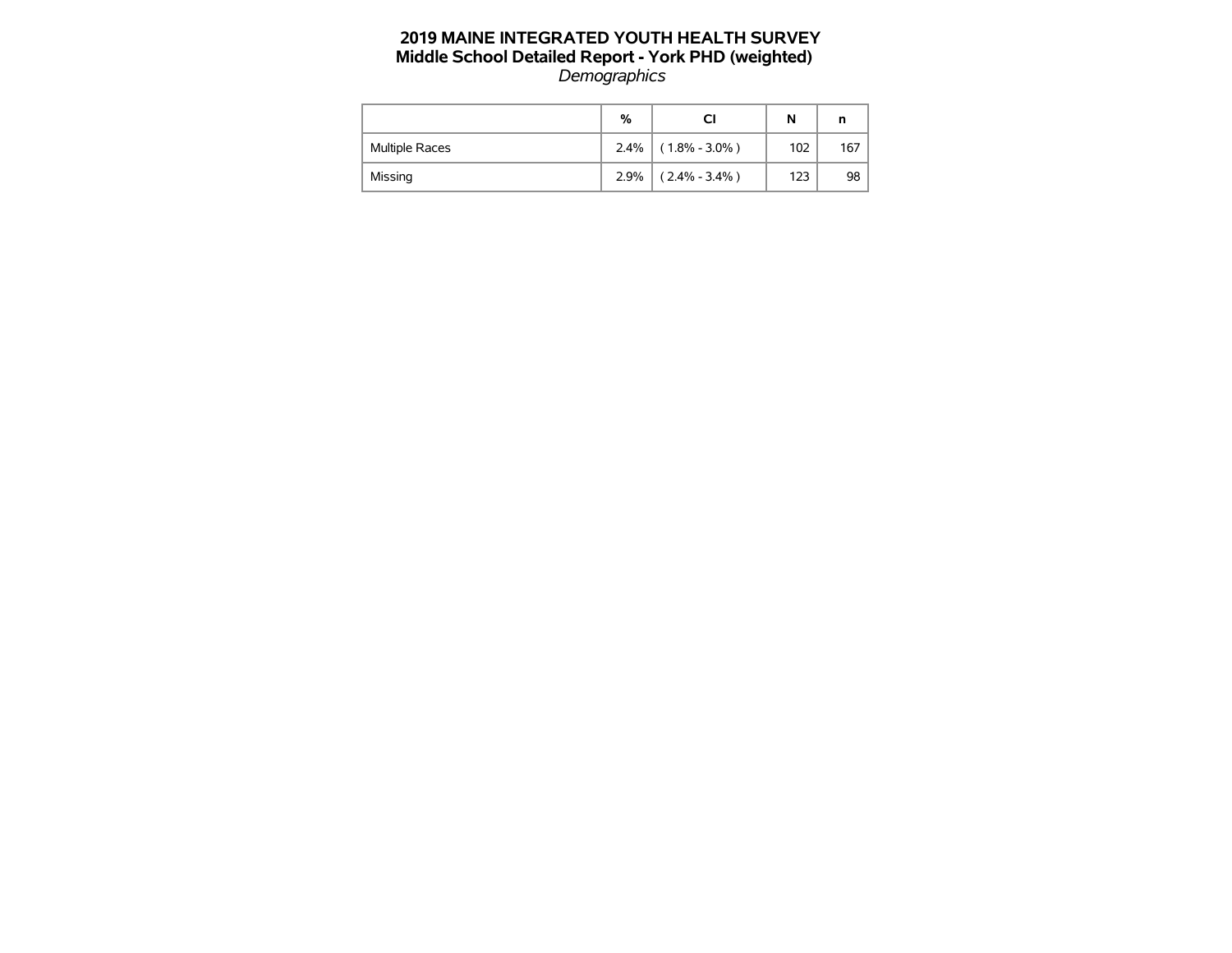|                       | %    | СI                | N   |     |
|-----------------------|------|-------------------|-----|-----|
| <b>Multiple Races</b> | 2.4% | $(1.8\% - 3.0\%)$ | 102 | 167 |
| Missing               | 2.9% | $(2.4\% - 3.4\%)$ | 123 | 98  |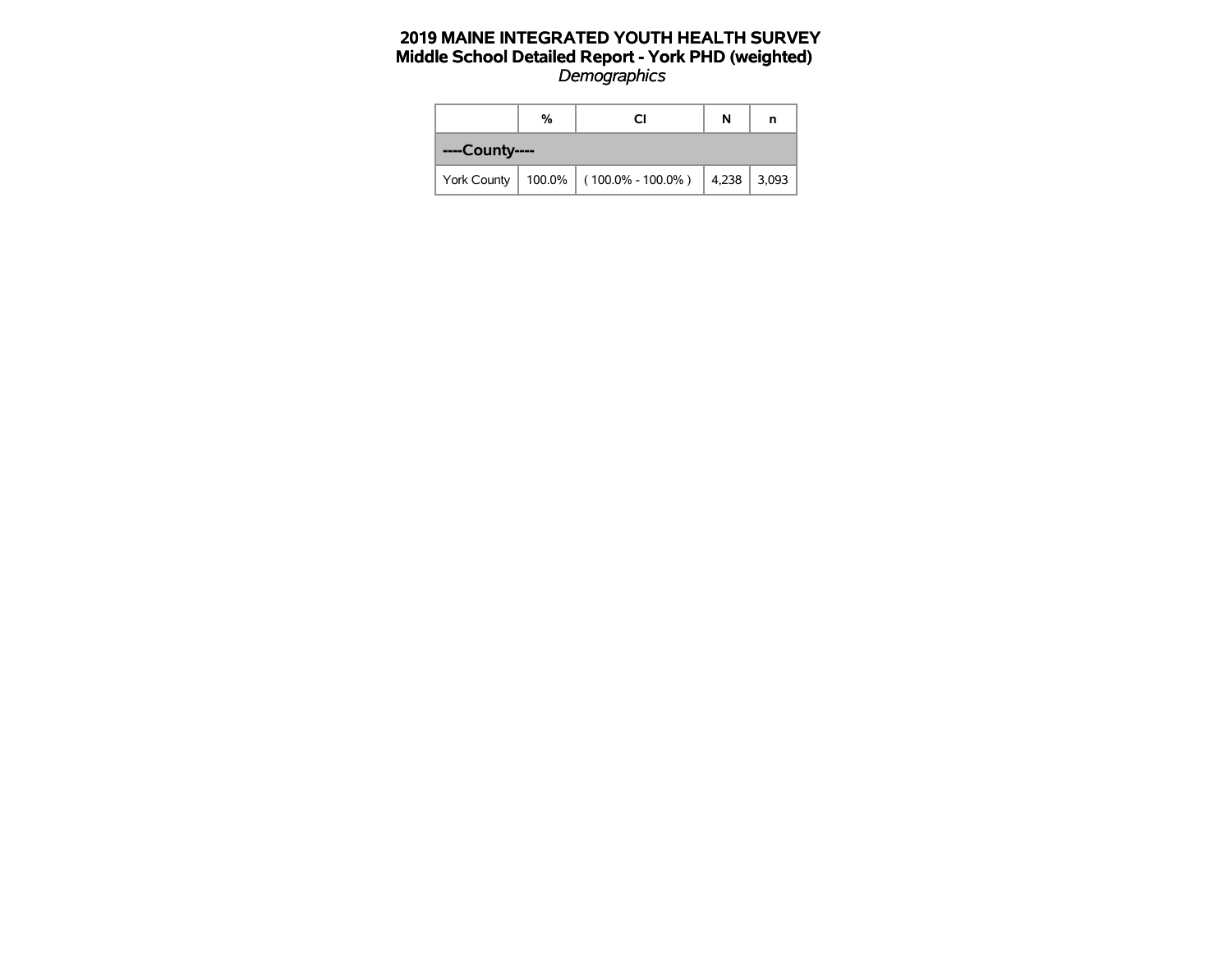|                | % | N                                                        | n |  |
|----------------|---|----------------------------------------------------------|---|--|
| ----County---- |   |                                                          |   |  |
|                |   | York County   100.0%   (100.0% - 100.0%)   4,238   3,093 |   |  |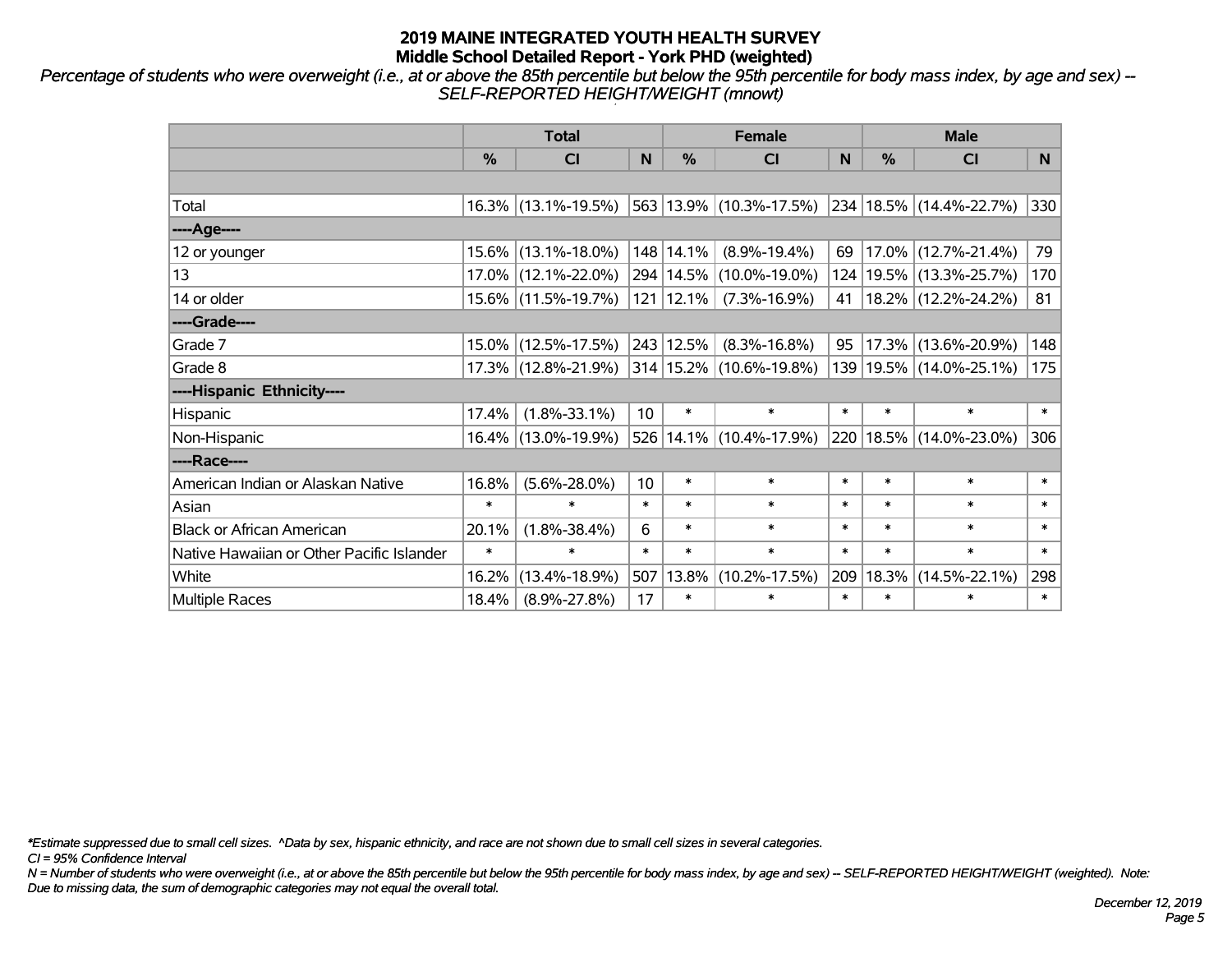*Percentage of students who were overweight (i.e., at or above the 85th percentile but below the 95th percentile for body mass index, by age and sex) -- SELF-REPORTED HEIGHT/WEIGHT (mnowt)*

|                                           |               | <b>Total</b>           |        |               | <b>Female</b>               |        | <b>Male</b> |                             |        |  |
|-------------------------------------------|---------------|------------------------|--------|---------------|-----------------------------|--------|-------------|-----------------------------|--------|--|
|                                           | $\frac{0}{0}$ | <b>CI</b>              | N      | %             | <b>CI</b>                   | N      | %           | <b>CI</b>                   | N.     |  |
|                                           |               |                        |        |               |                             |        |             |                             |        |  |
| Total                                     |               | $16.3\%$ (13.1%-19.5%) |        |               | 563 13.9% (10.3%-17.5%)     |        |             | 234 18.5% (14.4%-22.7%)     | 330    |  |
| ----Age----                               |               |                        |        |               |                             |        |             |                             |        |  |
| 12 or younger                             |               | 15.6% (13.1%-18.0%)    |        | 148 14.1%     | $(8.9\% - 19.4\%)$          | 69     |             | 17.0% (12.7%-21.4%)         | 79     |  |
| 13                                        |               | 17.0% (12.1%-22.0%)    |        |               | 294   14.5%   (10.0%-19.0%) |        |             | 124   19.5%   (13.3%-25.7%) | 170    |  |
| 14 or older                               |               | 15.6% (11.5%-19.7%)    |        | $121$   12.1% | $(7.3\% - 16.9\%)$          | 41     |             | $ 18.2\% $ (12.2%-24.2%)    | 81     |  |
| ----Grade----                             |               |                        |        |               |                             |        |             |                             |        |  |
| Grade 7                                   |               | 15.0% (12.5%-17.5%)    |        | 243 12.5%     | $(8.3\% - 16.8\%)$          | 95     |             | 17.3% (13.6%-20.9%)         | 148    |  |
| Grade 8                                   |               | 17.3% (12.8%-21.9%)    |        |               | 314 15.2% (10.6%-19.8%)     |        |             | 139 19.5% (14.0%-25.1%)     | 175    |  |
| ----Hispanic Ethnicity----                |               |                        |        |               |                             |        |             |                             |        |  |
| Hispanic                                  | 17.4%         | $(1.8\% - 33.1\%)$     | 10     | $\ast$        | $\ast$                      | $\ast$ | $\ast$      | $\ast$                      | $\ast$ |  |
| Non-Hispanic                              |               | 16.4% (13.0%-19.9%)    |        |               | 526 14.1% (10.4%-17.9%)     |        |             | 220 18.5% (14.0%-23.0%)     | 306    |  |
| ----Race----                              |               |                        |        |               |                             |        |             |                             |        |  |
| American Indian or Alaskan Native         | 16.8%         | $(5.6\% - 28.0\%)$     | 10     | $\ast$        | $\ast$                      | $\ast$ | $\ast$      | $\ast$                      | $\ast$ |  |
| Asian                                     | $\ast$        | $\ast$                 | $\ast$ | $\ast$        | $\ast$                      | $\ast$ | $\ast$      | $\ast$                      | $\ast$ |  |
| <b>Black or African American</b>          | 20.1%         | $(1.8\% - 38.4\%)$     | 6      | $\ast$        | $\ast$                      | $\ast$ | $\ast$      | $\ast$                      | $\ast$ |  |
| Native Hawaiian or Other Pacific Islander | $\ast$        | $\ast$                 | $\ast$ | $\ast$        | $\ast$                      | $\ast$ | $\ast$      | $\ast$                      | $\ast$ |  |
| White                                     | 16.2%         | $(13.4\% - 18.9\%)$    | 507    | 13.8%         | $(10.2\% - 17.5\%)$         | 209    | 18.3%       | $(14.5\% - 22.1\%)$         | 298    |  |
| <b>Multiple Races</b>                     | 18.4%         | $(8.9\% - 27.8\%)$     | 17     | $\ast$        | $\ast$                      | $\ast$ | $\ast$      | $\ast$                      | $\ast$ |  |

*\*Estimate suppressed due to small cell sizes. ^Data by sex, hispanic ethnicity, and race are not shown due to small cell sizes in several categories.*

*CI = 95% Confidence Interval*

*N = Number of students who were overweight (i.e., at or above the 85th percentile but below the 95th percentile for body mass index, by age and sex) -- SELF-REPORTED HEIGHT/WEIGHT (weighted). Note: Due to missing data, the sum of demographic categories may not equal the overall total.*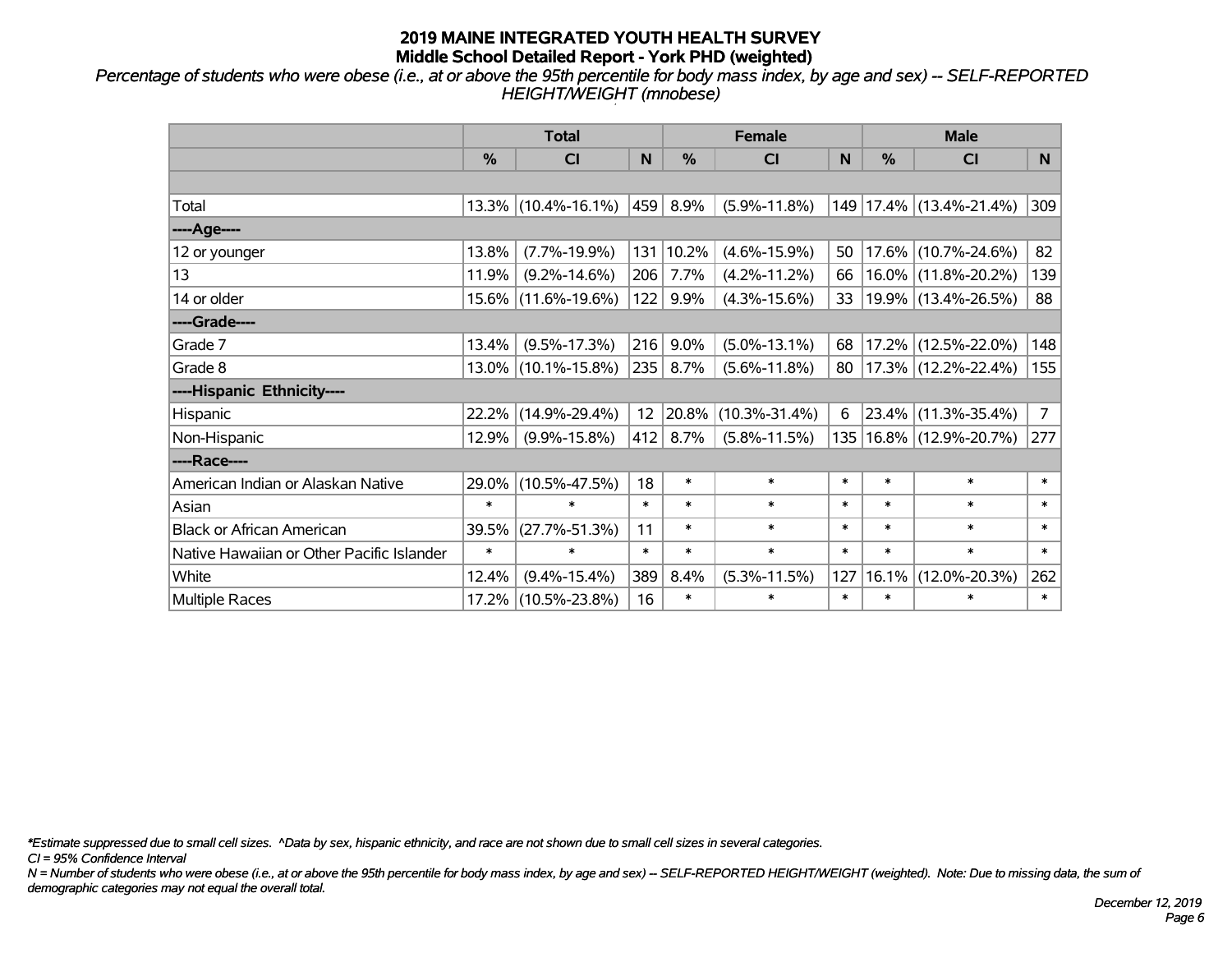*Percentage of students who were obese (i.e., at or above the 95th percentile for body mass index, by age and sex) -- SELF-REPORTED HEIGHT/WEIGHT (mnobese)*

|                                           |               | <b>Total</b>           |        |        | <b>Female</b>       |        | <b>Male</b> |                        |                |  |
|-------------------------------------------|---------------|------------------------|--------|--------|---------------------|--------|-------------|------------------------|----------------|--|
|                                           | $\frac{0}{0}$ | CI                     | N      | $\%$   | <b>CI</b>           | N      | %           | <b>CI</b>              | N <sub>1</sub> |  |
|                                           |               |                        |        |        |                     |        |             |                        |                |  |
| Total                                     |               | $13.3\%$ (10.4%-16.1%) | 459    | 8.9%   | $(5.9\% - 11.8\%)$  | 149    |             | $17.4\%$ (13.4%-21.4%) | 309            |  |
| ----Age----                               |               |                        |        |        |                     |        |             |                        |                |  |
| 12 or younger                             | 13.8%         | $(7.7\% - 19.9\%)$     | 131    | 10.2%  | $(4.6\% - 15.9\%)$  | 50     | 17.6%       | $(10.7\% - 24.6\%)$    | 82             |  |
| 13                                        | 11.9%         | $(9.2\% - 14.6\%)$     | 206    | 7.7%   | $(4.2\% - 11.2\%)$  | 66     | 16.0%       | $(11.8\% - 20.2\%)$    | 139            |  |
| 14 or older                               |               | 15.6% (11.6%-19.6%)    | 122    | 9.9%   | $(4.3\% - 15.6\%)$  | 33     |             | 19.9% (13.4%-26.5%)    | 88             |  |
| ----Grade----                             |               |                        |        |        |                     |        |             |                        |                |  |
| Grade 7                                   | 13.4%         | $(9.5\% - 17.3\%)$     | 216    | 9.0%   | $(5.0\% - 13.1\%)$  | 68     | 17.2%       | $(12.5\% - 22.0\%)$    | 148            |  |
| Grade 8                                   |               | $13.0\%$ (10.1%-15.8%) | 235    | 8.7%   | $(5.6\% - 11.8\%)$  | 80     |             | $17.3\%$ (12.2%-22.4%) | 155            |  |
| ----Hispanic Ethnicity----                |               |                        |        |        |                     |        |             |                        |                |  |
| Hispanic                                  | 22.2%         | $(14.9\% - 29.4\%)$    | 12     | 20.8%  | $(10.3\% - 31.4\%)$ | 6      | 23.4%       | $(11.3\% - 35.4\%)$    | $7^{\circ}$    |  |
| Non-Hispanic                              | 12.9%         | $(9.9\% - 15.8\%)$     | 412    | 8.7%   | $(5.8\% - 11.5\%)$  | 135    |             | 16.8% (12.9%-20.7%)    | 277            |  |
| ----Race----                              |               |                        |        |        |                     |        |             |                        |                |  |
| American Indian or Alaskan Native         | 29.0%         | $(10.5\% - 47.5\%)$    | 18     | $\ast$ | $\ast$              | $\ast$ | $\ast$      | $\ast$                 | $\ast$         |  |
| Asian                                     | $\ast$        | $\ast$                 | $\ast$ | $\ast$ | $\ast$              | $\ast$ | $\ast$      | $\ast$                 | $\ast$         |  |
| <b>Black or African American</b>          | 39.5%         | $(27.7\% - 51.3\%)$    | 11     | $\ast$ | $\ast$              | $\ast$ | $\ast$      | $\ast$                 | $\ast$         |  |
| Native Hawaiian or Other Pacific Islander | $\ast$        | $\ast$                 | $\ast$ | $\ast$ | $\ast$              | $\ast$ | $\ast$      | $\ast$                 | $\ast$         |  |
| White                                     | 12.4%         | $(9.4\% - 15.4\%)$     | 389    | 8.4%   | $(5.3\% - 11.5\%)$  | 127    | 16.1%       | $(12.0\% - 20.3\%)$    | 262            |  |
| Multiple Races                            |               | 17.2% (10.5%-23.8%)    | 16     | $\ast$ | $\ast$              | $\ast$ | $\ast$      | *                      | $\ast$         |  |

*\*Estimate suppressed due to small cell sizes. ^Data by sex, hispanic ethnicity, and race are not shown due to small cell sizes in several categories.*

*CI = 95% Confidence Interval*

*N = Number of students who were obese (i.e., at or above the 95th percentile for body mass index, by age and sex) -- SELF-REPORTED HEIGHT/WEIGHT (weighted). Note: Due to missing data, the sum of demographic categories may not equal the overall total.*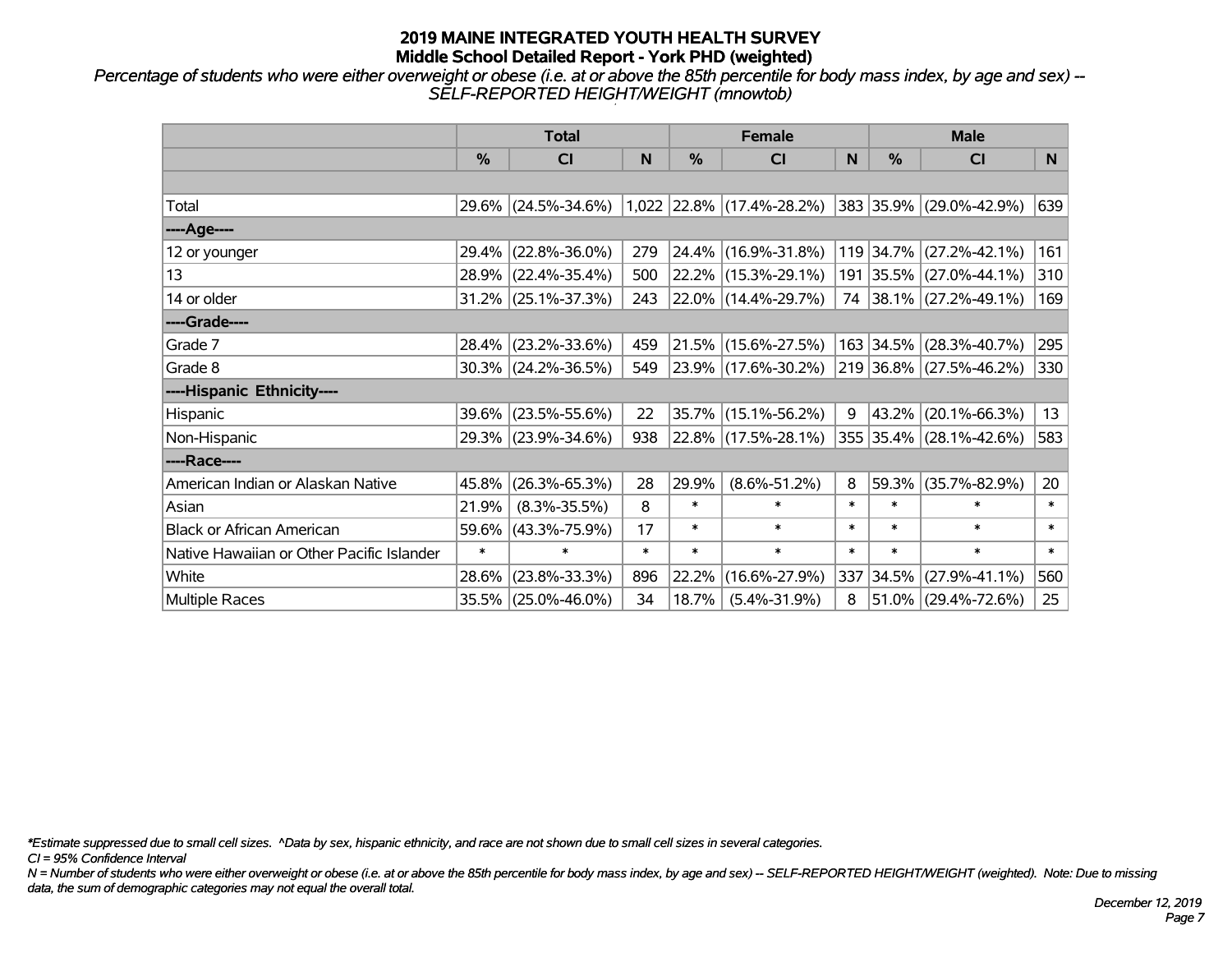*Percentage of students who were either overweight or obese (i.e. at or above the 85th percentile for body mass index, by age and sex) -- SELF-REPORTED HEIGHT/WEIGHT (mnowtob)*

|                                           |               | <b>Total</b>           |        |        | <b>Female</b>               |        | <b>Male</b>   |                         |        |  |
|-------------------------------------------|---------------|------------------------|--------|--------|-----------------------------|--------|---------------|-------------------------|--------|--|
|                                           | $\frac{0}{0}$ | <b>CI</b>              | N      | %      | <b>CI</b>                   | N      | $\frac{0}{0}$ | <b>CI</b>               | N.     |  |
|                                           |               |                        |        |        |                             |        |               |                         |        |  |
| Total                                     |               | 29.6% (24.5%-34.6%)    |        |        | $1,022$ 22.8% (17.4%-28.2%) |        |               | 383 35.9% (29.0%-42.9%) | 639    |  |
| ----Age----                               |               |                        |        |        |                             |        |               |                         |        |  |
| 12 or younger                             | 29.4%         | $(22.8\% - 36.0\%)$    | 279    |        | 24.4% (16.9%-31.8%)         |        |               | 119 34.7% (27.2%-42.1%) | 161    |  |
| 13                                        |               | 28.9% (22.4%-35.4%)    | 500    |        | $22.2\%$ (15.3%-29.1%)      |        |               | 191 35.5% (27.0%-44.1%) | 310    |  |
| 14 or older                               |               | $31.2\%$ (25.1%-37.3%) | 243    |        | $ 22.0\% $ (14.4%-29.7%)    |        |               | 74 38.1% (27.2%-49.1%)  | 169    |  |
| ----Grade----                             |               |                        |        |        |                             |        |               |                         |        |  |
| Grade 7                                   |               | 28.4% (23.2%-33.6%)    | 459    |        | 21.5% (15.6%-27.5%)         |        | 163 34.5%     | $(28.3\% - 40.7\%)$     | 295    |  |
| Grade 8                                   |               | $30.3\%$ (24.2%-36.5%) | 549    |        | $ 23.9\% $ (17.6%-30.2%)    |        |               | 219 36.8% (27.5%-46.2%) | 330    |  |
| ----Hispanic Ethnicity----                |               |                        |        |        |                             |        |               |                         |        |  |
| Hispanic                                  | 39.6%         | $(23.5\% - 55.6\%)$    | 22     | 35.7%  | $(15.1\% - 56.2\%)$         | 9      | 43.2%         | $(20.1\% - 66.3\%)$     | 13     |  |
| Non-Hispanic                              |               | 29.3% (23.9%-34.6%)    | 938    |        | 22.8% (17.5%-28.1%)         |        |               | 355 35.4% (28.1%-42.6%) | 583    |  |
| ----Race----                              |               |                        |        |        |                             |        |               |                         |        |  |
| American Indian or Alaskan Native         | 45.8%         | $(26.3\% - 65.3\%)$    | 28     | 29.9%  | $(8.6\% - 51.2\%)$          | 8      | 59.3%         | $(35.7\% - 82.9\%)$     | 20     |  |
| Asian                                     | 21.9%         | $(8.3\% - 35.5\%)$     | 8      | $\ast$ | $\ast$                      | $\ast$ | $\ast$        | $\ast$                  | $\ast$ |  |
| <b>Black or African American</b>          | 59.6%         | $(43.3\% - 75.9\%)$    | 17     | $\ast$ | $\ast$                      | $\ast$ | $\ast$        | $\ast$                  | $\ast$ |  |
| Native Hawaiian or Other Pacific Islander | $\ast$        | $\ast$                 | $\ast$ | $\ast$ | $\ast$                      | $\ast$ | $\ast$        | $\ast$                  | $\ast$ |  |
| White                                     | 28.6%         | $(23.8\% - 33.3\%)$    | 896    | 22.2%  | $(16.6\% - 27.9\%)$         |        | 337 34.5%     | $(27.9\% - 41.1\%)$     | 560    |  |
| Multiple Races                            |               | 35.5% (25.0%-46.0%)    | 34     | 18.7%  | $(5.4\% - 31.9\%)$          | 8      |               | $51.0\%$ (29.4%-72.6%)  | 25     |  |

*\*Estimate suppressed due to small cell sizes. ^Data by sex, hispanic ethnicity, and race are not shown due to small cell sizes in several categories.*

*CI = 95% Confidence Interval*

*N = Number of students who were either overweight or obese (i.e. at or above the 85th percentile for body mass index, by age and sex) -- SELF-REPORTED HEIGHT/WEIGHT (weighted). Note: Due to missing data, the sum of demographic categories may not equal the overall total.*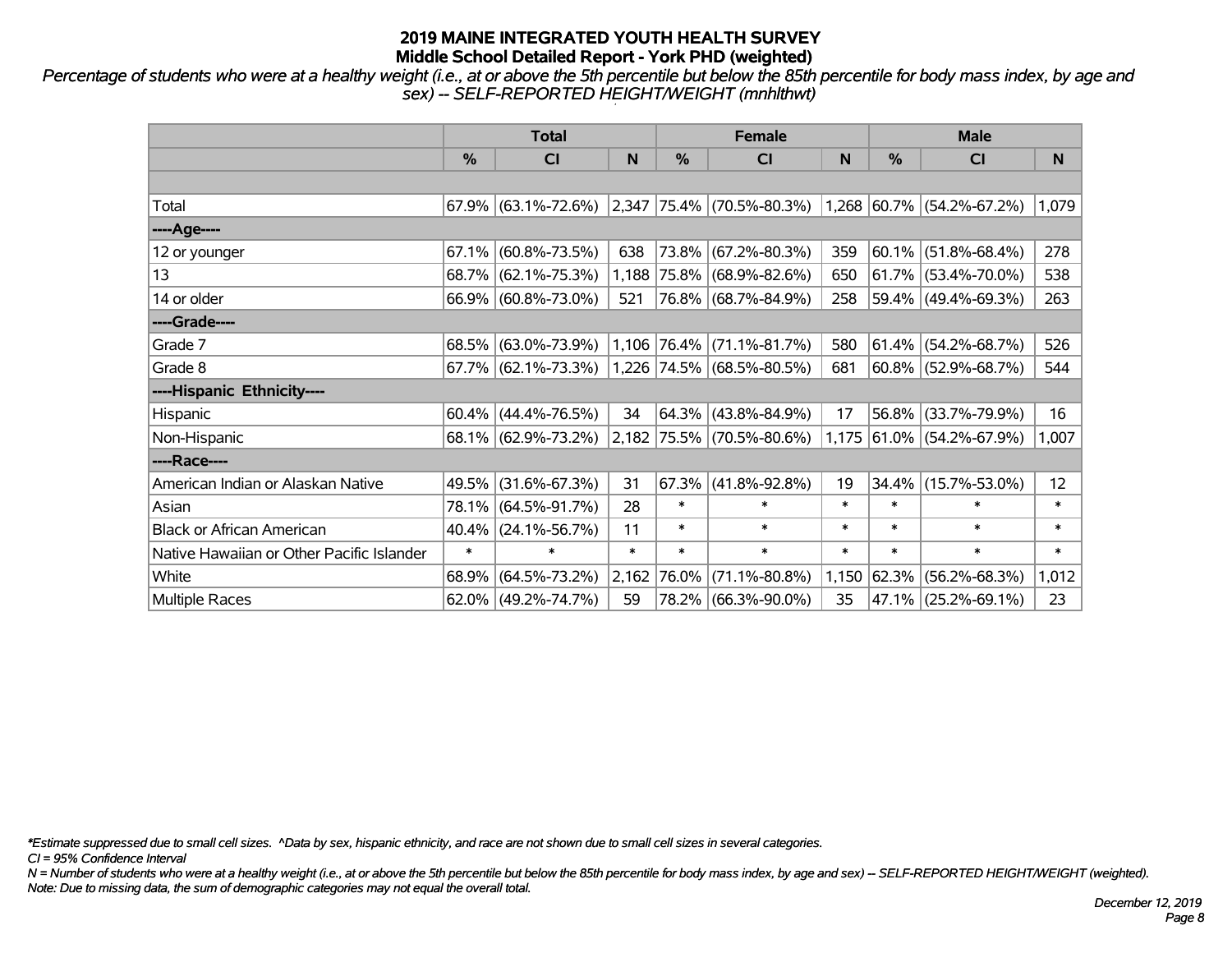*Percentage of students who were at a healthy weight (i.e., at or above the 5th percentile but below the 85th percentile for body mass index, by age and sex) -- SELF-REPORTED HEIGHT/WEIGHT (mnhlthwt)*

|                                           |        | <b>Total</b>           |        |            | <b>Female</b>                                            |        | <b>Male</b> |                           |        |  |
|-------------------------------------------|--------|------------------------|--------|------------|----------------------------------------------------------|--------|-------------|---------------------------|--------|--|
|                                           | %      | <b>CI</b>              | N      | %          | <b>CI</b>                                                | N      | %           | <b>CI</b>                 | N      |  |
|                                           |        |                        |        |            |                                                          |        |             |                           |        |  |
| Total                                     |        | $67.9\%$ (63.1%-72.6%) |        |            | $ 2,347 75.4\% $ (70.5%-80.3%) 1,268 60.7% (54.2%-67.2%) |        |             |                           | 1,079  |  |
| ----Age----                               |        |                        |        |            |                                                          |        |             |                           |        |  |
| 12 or younger                             | 67.1%  | $(60.8\% - 73.5\%)$    | 638    |            | 73.8% (67.2%-80.3%)                                      | 359    | $ 60.1\% $  | $(51.8\% - 68.4\%)$       | 278    |  |
| 13                                        |        | 68.7% (62.1%-75.3%)    |        |            | 1,188 75.8% (68.9%-82.6%)                                | 650    |             | 61.7% (53.4%-70.0%)       | 538    |  |
| 14 or older                               |        | 66.9% (60.8%-73.0%)    | 521    |            | 76.8% (68.7%-84.9%)                                      | 258    |             | 59.4% (49.4%-69.3%)       | 263    |  |
| ----Grade----                             |        |                        |        |            |                                                          |        |             |                           |        |  |
| Grade 7                                   |        | 68.5% (63.0%-73.9%)    |        |            | $1,106$ 76.4% (71.1%-81.7%)                              | 580    |             | $61.4\%$ (54.2%-68.7%)    | 526    |  |
| Grade 8                                   |        | $67.7\%$ (62.1%-73.3%) |        |            | $ 1,226 74.5\%  (68.5\% - 80.5\%)$                       | 681    |             | 60.8% (52.9%-68.7%)       | 544    |  |
| ----Hispanic Ethnicity----                |        |                        |        |            |                                                          |        |             |                           |        |  |
| Hispanic                                  |        | $60.4\%$ (44.4%-76.5%) | 34     | $ 64.3\% $ | $(43.8\% - 84.9\%)$                                      | 17     | 56.8%       | $(33.7\% - 79.9\%)$       | 16     |  |
| Non-Hispanic                              |        | 68.1% (62.9%-73.2%)    |        |            | 2,182 75.5% (70.5%-80.6%)                                |        |             | 1,175 61.0% (54.2%-67.9%) | 1,007  |  |
| ----Race----                              |        |                        |        |            |                                                          |        |             |                           |        |  |
| American Indian or Alaskan Native         | 49.5%  | $(31.6\% - 67.3\%)$    | 31     | 67.3%      | $(41.8\% - 92.8\%)$                                      | 19     | 34.4%       | $(15.7\% - 53.0\%)$       | 12     |  |
| Asian                                     | 78.1%  | $(64.5\% - 91.7\%)$    | 28     | $\ast$     | $\ast$                                                   | $\ast$ | $\ast$      | $\ast$                    | $\ast$ |  |
| <b>Black or African American</b>          | 40.4%  | $(24.1\% - 56.7\%)$    | 11     | $\ast$     | $\ast$                                                   | $\ast$ | $\ast$      | $\ast$                    | $\ast$ |  |
| Native Hawaiian or Other Pacific Islander | $\ast$ | $\ast$                 | $\ast$ | $\ast$     | $\ast$                                                   | $\ast$ | $\ast$      | $\ast$                    | $\ast$ |  |
| White                                     | 68.9%  | $(64.5\% - 73.2\%)$    | 2,162  | 76.0%      | $(71.1\% - 80.8\%)$                                      | 1,150  | $ 62.3\% $  | $(56.2\% - 68.3\%)$       | 1,012  |  |
| Multiple Races                            |        | $62.0\%$ (49.2%-74.7%) | 59     |            | 78.2% (66.3%-90.0%)                                      | 35     |             | 47.1% (25.2%-69.1%)       | 23     |  |

*\*Estimate suppressed due to small cell sizes. ^Data by sex, hispanic ethnicity, and race are not shown due to small cell sizes in several categories.*

*CI = 95% Confidence Interval*

*N = Number of students who were at a healthy weight (i.e., at or above the 5th percentile but below the 85th percentile for body mass index, by age and sex) -- SELF-REPORTED HEIGHT/WEIGHT (weighted). Note: Due to missing data, the sum of demographic categories may not equal the overall total.*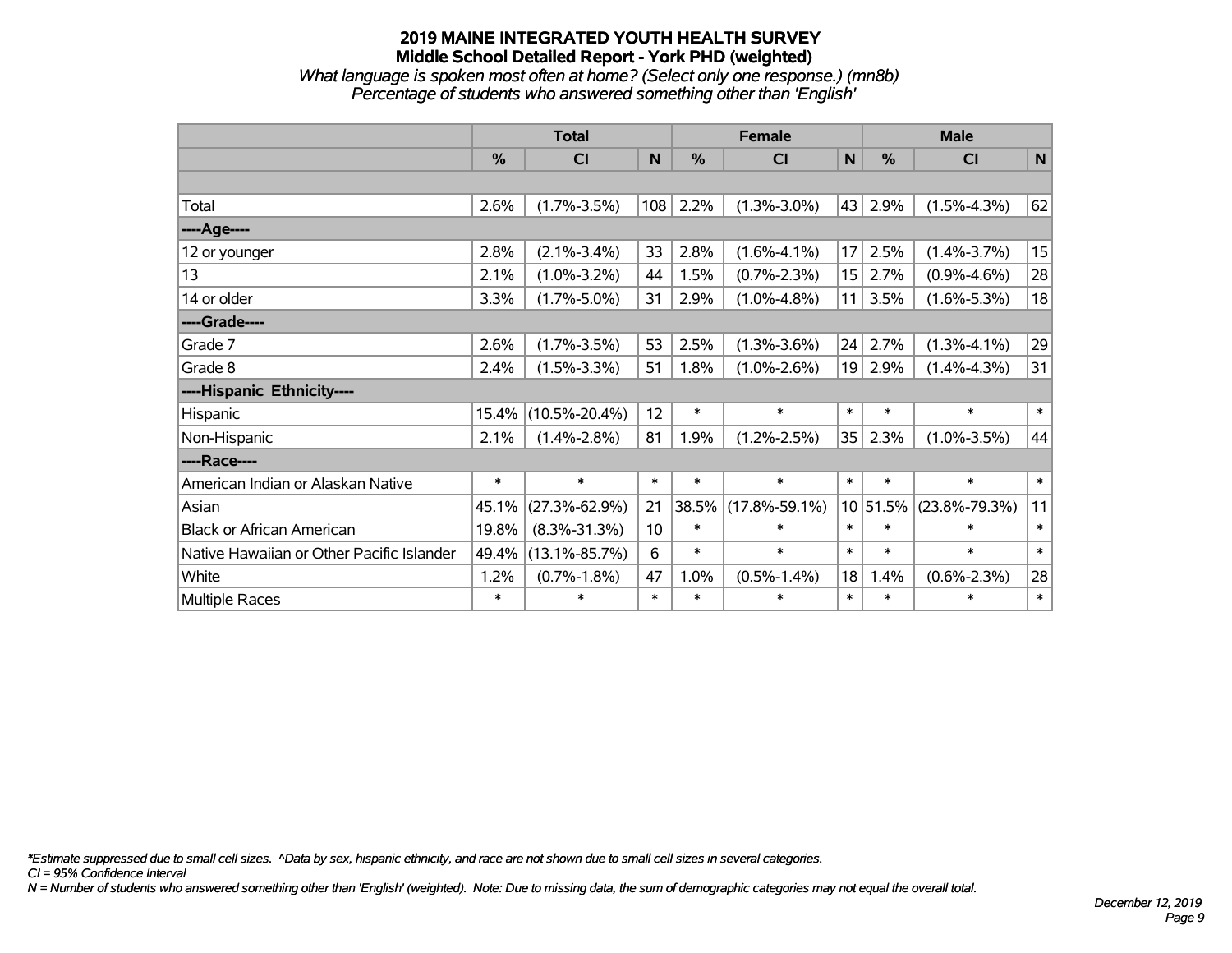*What language is spoken most often at home? (Select only one response.) (mn8b) Percentage of students who answered something other than 'English'*

|                                           |               | <b>Total</b>        |        |               | <b>Female</b>       |              | <b>Male</b>   |                     |             |  |
|-------------------------------------------|---------------|---------------------|--------|---------------|---------------------|--------------|---------------|---------------------|-------------|--|
|                                           | $\frac{0}{0}$ | CI                  | N      | $\frac{0}{0}$ | C <sub>1</sub>      | $\mathsf{N}$ | $\frac{0}{0}$ | <b>CI</b>           | $\mathbf N$ |  |
|                                           |               |                     |        |               |                     |              |               |                     |             |  |
| Total                                     | 2.6%          | $(1.7\% - 3.5\%)$   | 108    | 2.2%          | $(1.3\% - 3.0\%)$   | 43           | 2.9%          | $(1.5\% - 4.3\%)$   | 62          |  |
| ----Age----                               |               |                     |        |               |                     |              |               |                     |             |  |
| 12 or younger                             | 2.8%          | $(2.1\% - 3.4\%)$   | 33     | 2.8%          | $(1.6\% - 4.1\%)$   | 17           | 2.5%          | $(1.4\% - 3.7\%)$   | 15          |  |
| 13                                        | 2.1%          | $(1.0\% - 3.2\%)$   | 44     | 1.5%          | $(0.7\% - 2.3\%)$   | 15           | 2.7%          | $(0.9\% - 4.6\%)$   | 28          |  |
| 14 or older                               | 3.3%          | $(1.7\% - 5.0\%)$   | 31     | 2.9%          | $(1.0\% - 4.8\%)$   | 11           | 3.5%          | $(1.6\% - 5.3\%)$   | 18          |  |
| ----Grade----                             |               |                     |        |               |                     |              |               |                     |             |  |
| Grade 7                                   | 2.6%          | $(1.7\% - 3.5\%)$   | 53     | 2.5%          | $(1.3\% - 3.6\%)$   | 24           | 2.7%          | $(1.3\% - 4.1\%)$   | 29          |  |
| Grade 8                                   | 2.4%          | $(1.5\% - 3.3\%)$   | 51     | 1.8%          | $(1.0\% - 2.6\%)$   | 19           | 2.9%          | $(1.4\% - 4.3\%)$   | 31          |  |
| ----Hispanic Ethnicity----                |               |                     |        |               |                     |              |               |                     |             |  |
| Hispanic                                  | 15.4%         | $(10.5\% - 20.4\%)$ | 12     | $\ast$        | $\ast$              | $\ast$       | $\ast$        | $\ast$              | $\ast$      |  |
| Non-Hispanic                              | 2.1%          | $(1.4\% - 2.8\%)$   | 81     | 1.9%          | $(1.2\% - 2.5\%)$   | 35           | 2.3%          | $(1.0\% - 3.5\%)$   | 44          |  |
| ----Race----                              |               |                     |        |               |                     |              |               |                     |             |  |
| American Indian or Alaskan Native         | $\ast$        | $\ast$              | $\ast$ | $\ast$        | $\ast$              | $\ast$       | $\ast$        | $\ast$              | $\ast$      |  |
| Asian                                     | 45.1%         | $(27.3\% - 62.9\%)$ | 21     | 38.5%         | $(17.8\% - 59.1\%)$ |              | 10 51.5%      | $(23.8\% - 79.3\%)$ | 11          |  |
| <b>Black or African American</b>          | 19.8%         | $(8.3\% - 31.3\%)$  | 10     | $\ast$        | $\ast$              | $\ast$       | $\ast$        | $\ast$              | $\ast$      |  |
| Native Hawaiian or Other Pacific Islander | 49.4%         | $(13.1\% - 85.7\%)$ | 6      | $\ast$        | $\ast$              | $\ast$       | $\ast$        | $\ast$              | $\ast$      |  |
| White                                     | 1.2%          | $(0.7\% - 1.8\%)$   | 47     | 1.0%          | $(0.5\% - 1.4\%)$   | 18           | 1.4%          | $(0.6\% - 2.3\%)$   | 28          |  |
| Multiple Races                            | $\ast$        | $\ast$              | $\ast$ | $\ast$        | $\ast$              | $\ast$       | $\ast$        | $\ast$              | $\ast$      |  |

*\*Estimate suppressed due to small cell sizes. ^Data by sex, hispanic ethnicity, and race are not shown due to small cell sizes in several categories.*

*CI = 95% Confidence Interval*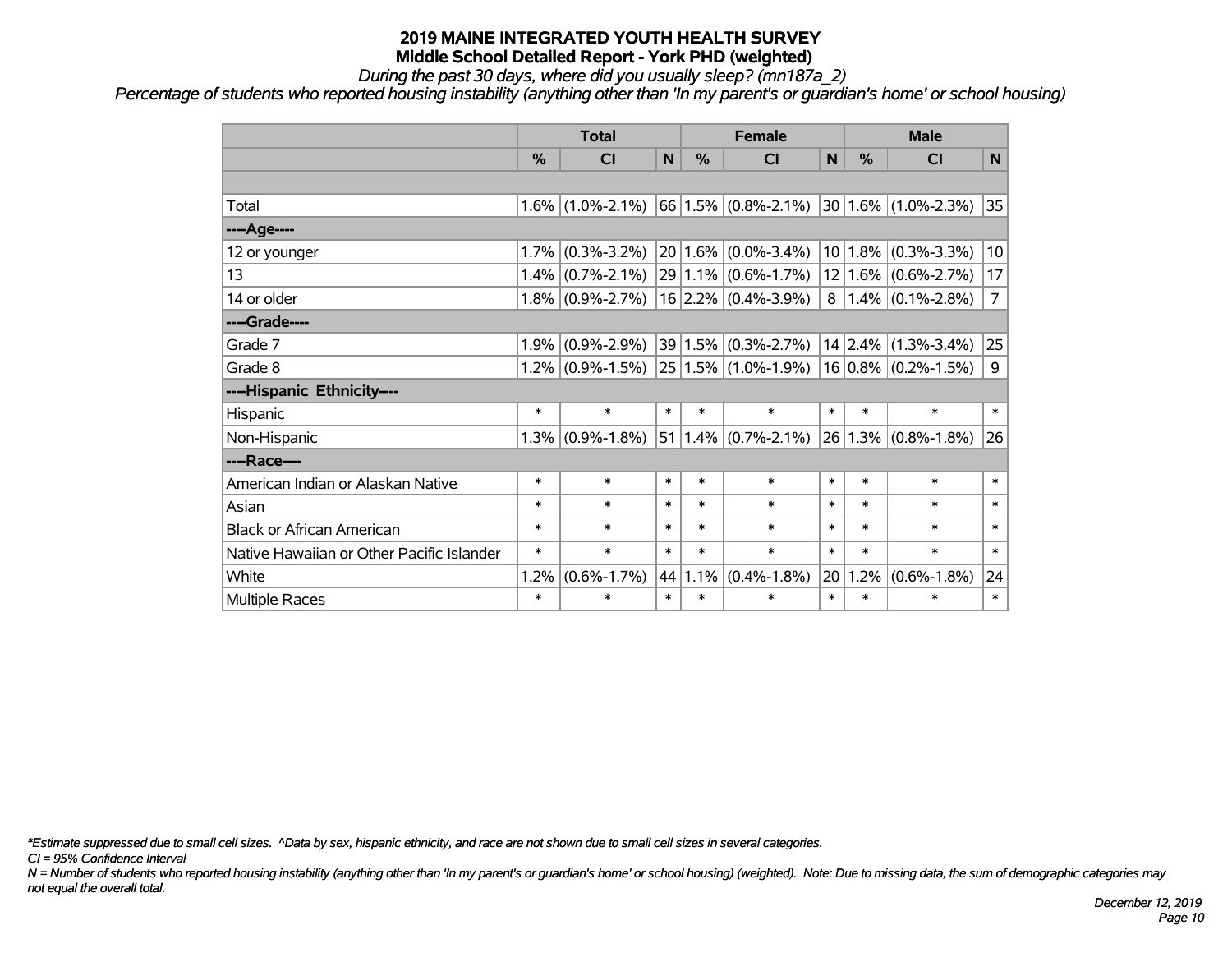*During the past 30 days, where did you usually sleep? (mn187a\_2)*

*Percentage of students who reported housing instability (anything other than 'In my parent's or guardian's home' or school housing)*

|                                           |         | <b>Total</b>        |        | <b>Female</b> |                         | <b>Male</b>    |               |                         |                |
|-------------------------------------------|---------|---------------------|--------|---------------|-------------------------|----------------|---------------|-------------------------|----------------|
|                                           | %       | <b>CI</b>           | N      | %             | <b>CI</b>               | N              | $\frac{9}{6}$ | <b>CI</b>               | N              |
|                                           |         |                     |        |               |                         |                |               |                         |                |
| Total                                     | $1.6\%$ | $(1.0\% - 2.1\%)$   |        |               | $66 1.5\% $ (0.8%-2.1%) |                |               | $30 1.6\% $ (1.0%-2.3%) | 35             |
| ----Age----                               |         |                     |        |               |                         |                |               |                         |                |
| 12 or younger                             | 1.7%    | $(0.3\% - 3.2\%)$   |        |               | $20 1.6\% $ (0.0%-3.4%) |                | 10 1.8%       | $(0.3\% - 3.3\%)$       | 10             |
| 13                                        | 1.4%    | $(0.7\% - 2.1\%)$   |        |               | $29 1.1\% $ (0.6%-1.7%) |                | 12 1.6%       | $(0.6\% - 2.7\%)$       | 17             |
| 14 or older                               | $1.8\%$ | $(0.9\% - 2.7\%)$   |        |               | $16$ 2.2% (0.4%-3.9%)   | 8 <sup>1</sup> |               | $1.4\%$ (0.1%-2.8%)     | $\overline{7}$ |
| ----Grade----                             |         |                     |        |               |                         |                |               |                         |                |
| Grade 7                                   | 1.9%    | $(0.9\% - 2.9\%)$   |        |               | $39 1.5\% $ (0.3%-2.7%) |                | 14 2.4%       | $(1.3\% - 3.4\%)$       | 25             |
| Grade 8                                   |         | $1.2\%$ (0.9%-1.5%) |        |               | $25 1.5\% $ (1.0%-1.9%) |                |               | $16 0.8\% $ (0.2%-1.5%) | 9              |
| ----Hispanic Ethnicity----                |         |                     |        |               |                         |                |               |                         |                |
| Hispanic                                  | $\ast$  | $\ast$              | $\ast$ | $\ast$        | $\ast$                  | $\ast$         | $\ast$        | $\ast$                  | $\ast$         |
| Non-Hispanic                              | 1.3%    | $(0.9\% - 1.8\%)$   |        |               | $51 1.4\% $ (0.7%-2.1%) |                | 26 1.3%       | $(0.8\% - 1.8\%)$       | 26             |
| ----Race----                              |         |                     |        |               |                         |                |               |                         |                |
| American Indian or Alaskan Native         | $\ast$  | $\ast$              | $\ast$ | $\ast$        | $\ast$                  | $\ast$         | $\ast$        | $\ast$                  | $\ast$         |
| Asian                                     | $\ast$  | $\ast$              | $\ast$ | $\ast$        | $\ast$                  | $\ast$         | $\ast$        | $\ast$                  | $\ast$         |
| <b>Black or African American</b>          | $\ast$  | $\ast$              | $\ast$ | $\ast$        | $\ast$                  | $\ast$         | $\ast$        | $\ast$                  | $\ast$         |
| Native Hawaiian or Other Pacific Islander | $\ast$  | $\ast$              | $\ast$ | $\ast$        | $\ast$                  | $\ast$         | $\ast$        | $\ast$                  | $\ast$         |
| White                                     | 1.2%    | $(0.6\% - 1.7\%)$   | 44     | 1.1%          | $(0.4\% - 1.8\%)$       | 20             | 1.2%          | $(0.6\% - 1.8\%)$       | 24             |
| <b>Multiple Races</b>                     | $\ast$  | $\ast$              | $\ast$ | $\ast$        | $\ast$                  | $\ast$         | $\ast$        | $\ast$                  | $\ast$         |

*\*Estimate suppressed due to small cell sizes. ^Data by sex, hispanic ethnicity, and race are not shown due to small cell sizes in several categories.*

*CI = 95% Confidence Interval*

*N = Number of students who reported housing instability (anything other than 'In my parent's or guardian's home' or school housing) (weighted). Note: Due to missing data, the sum of demographic categories may not equal the overall total.*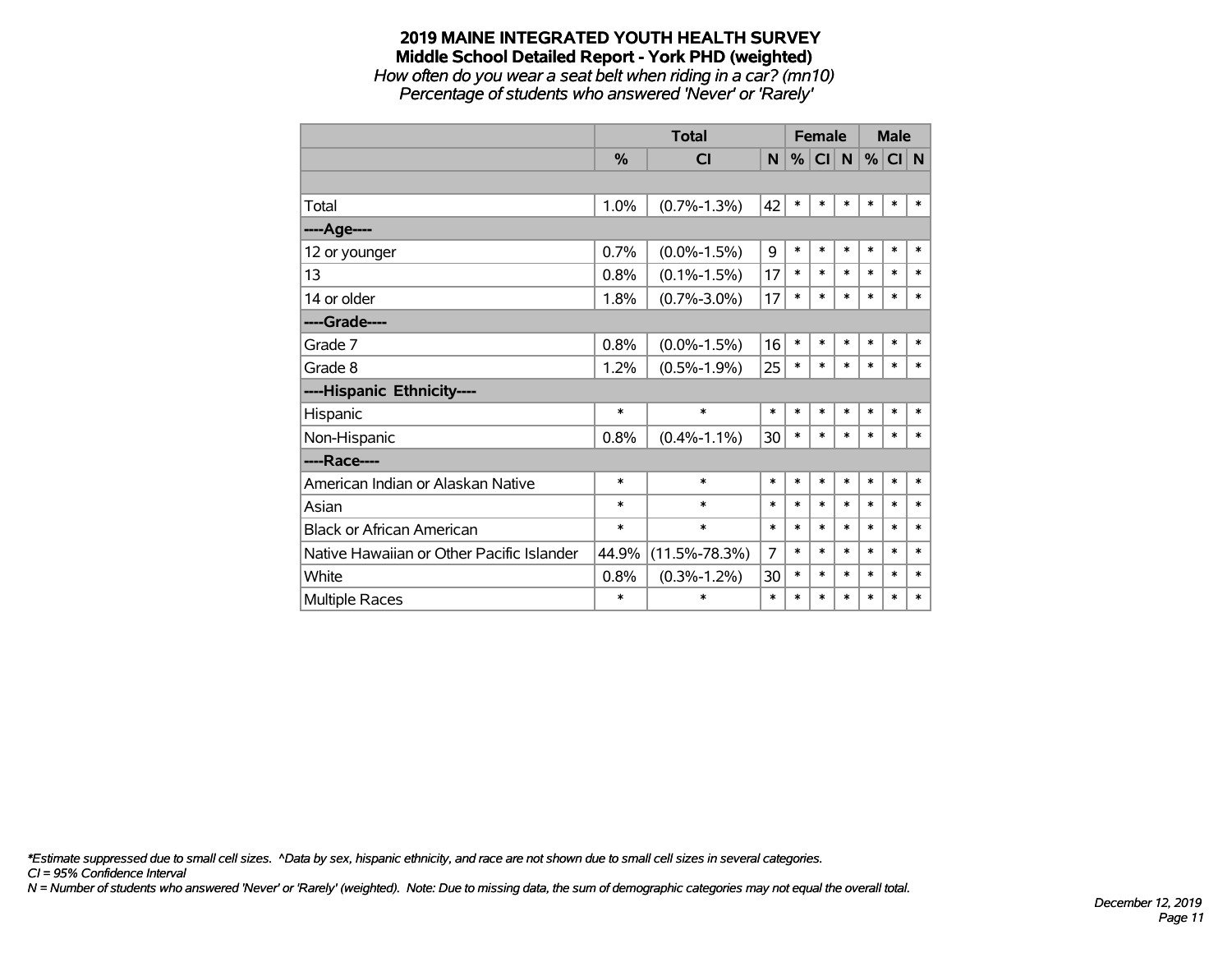*How often do you wear a seat belt when riding in a car? (mn10) Percentage of students who answered 'Never' or 'Rarely'*

|                                           |        | <b>Total</b>        | <b>Female</b>  |        |        | <b>Male</b>  |        |          |        |
|-------------------------------------------|--------|---------------------|----------------|--------|--------|--------------|--------|----------|--------|
|                                           | $\%$   | <b>CI</b>           | N              | %      | CI     | $\mathsf{N}$ |        | $%$ CI N |        |
|                                           |        |                     |                |        |        |              |        |          |        |
| Total                                     | 1.0%   | $(0.7\% - 1.3\%)$   | 42             | $\ast$ | *      | $\ast$       | $\ast$ | $\ast$   | $\ast$ |
| ----Age----                               |        |                     |                |        |        |              |        |          |        |
| 12 or younger                             | 0.7%   | $(0.0\% - 1.5\%)$   | 9              | *      | $\ast$ | $\ast$       | $\ast$ | $\ast$   | $\ast$ |
| 13                                        | 0.8%   | $(0.1\% - 1.5\%)$   | 17             | *      | $\ast$ | $\ast$       | $\ast$ | $\ast$   | $\ast$ |
| 14 or older                               | 1.8%   | $(0.7\% - 3.0\%)$   | 17             | $\ast$ | $\ast$ | $\ast$       | $\ast$ | $\ast$   | $\ast$ |
| ----Grade----                             |        |                     |                |        |        |              |        |          |        |
| Grade 7                                   | 0.8%   | $(0.0\% - 1.5\%)$   | 16             | *      | $\ast$ | $\ast$       | $\ast$ | $\ast$   | $\ast$ |
| Grade 8                                   | 1.2%   | $(0.5\% - 1.9\%)$   | 25             | *      | $\ast$ | $\ast$       | $\ast$ | $\ast$   | $\ast$ |
| ----Hispanic Ethnicity----                |        |                     |                |        |        |              |        |          |        |
| Hispanic                                  | $\ast$ | $\ast$              | $\ast$         | $\ast$ | $\ast$ | $\ast$       | $\ast$ | $\ast$   | $\ast$ |
| Non-Hispanic                              | 0.8%   | $(0.4\% - 1.1\%)$   | 30             | $\ast$ | *      | $\ast$       | $\ast$ | $\ast$   | $\ast$ |
| ----Race----                              |        |                     |                |        |        |              |        |          |        |
| American Indian or Alaskan Native         | $\ast$ | $\ast$              | $\ast$         | $\ast$ | $\ast$ | $\ast$       | $\ast$ | $\ast$   | $\ast$ |
| Asian                                     | $\ast$ | $\ast$              | $\ast$         | $\ast$ | $\ast$ | $\ast$       | $\ast$ | $\ast$   | $\ast$ |
| <b>Black or African American</b>          | $\ast$ | $\ast$              | $\ast$         | $\ast$ | $\ast$ | $\ast$       | $\ast$ | $\ast$   | $\ast$ |
| Native Hawaiian or Other Pacific Islander | 44.9%  | $(11.5\% - 78.3\%)$ | $\overline{7}$ | $\ast$ | $\ast$ | $\ast$       | $\ast$ | $\ast$   | $\ast$ |
| White                                     | 0.8%   | $(0.3\% - 1.2\%)$   | 30             | $\ast$ | $\ast$ | $\ast$       | $\ast$ | $\ast$   | $\ast$ |
| <b>Multiple Races</b>                     | $\ast$ | $\ast$              | $\ast$         | $\ast$ | $\ast$ | $\ast$       | $\ast$ | $\ast$   | $\ast$ |

*\*Estimate suppressed due to small cell sizes. ^Data by sex, hispanic ethnicity, and race are not shown due to small cell sizes in several categories.*

*CI = 95% Confidence Interval*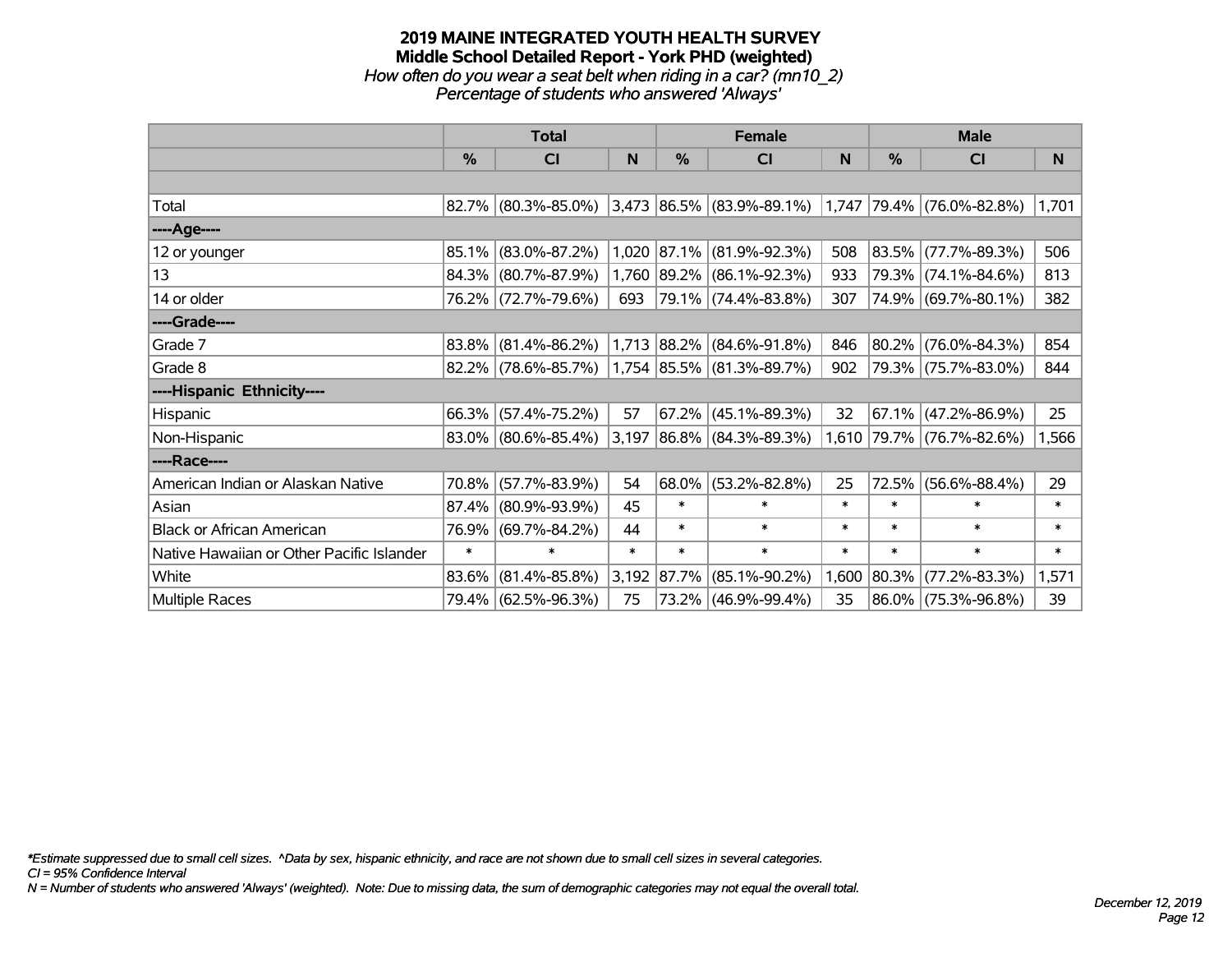#### **2019 MAINE INTEGRATED YOUTH HEALTH SURVEY Middle School Detailed Report - York PHD (weighted)** *How often do you wear a seat belt when riding in a car? (mn10\_2) Percentage of students who answered 'Always'*

|                                           |               | <b>Total</b>           |        |             | <b>Female</b>               |        | <b>Male</b> |                           |        |  |
|-------------------------------------------|---------------|------------------------|--------|-------------|-----------------------------|--------|-------------|---------------------------|--------|--|
|                                           | $\frac{0}{0}$ | <b>CI</b>              | N      | %           | <b>CI</b>                   | N      | %           | <b>CI</b>                 | N      |  |
|                                           |               |                        |        |             |                             |        |             |                           |        |  |
| Total                                     |               | $82.7\%$ (80.3%-85.0%) |        |             | $3,473$ 86.5% (83.9%-89.1%) | 1,747  |             | 79.4% (76.0%-82.8%)       | 1,701  |  |
| ----Age----                               |               |                        |        |             |                             |        |             |                           |        |  |
| 12 or younger                             | 85.1%         | $(83.0\% - 87.2\%)$    |        | 1,020 87.1% | $(81.9\% - 92.3\%)$         | 508    | 83.5%       | $(77.7\% - 89.3\%)$       | 506    |  |
| 13                                        |               | 84.3% (80.7%-87.9%)    |        |             | 1,760 89.2% (86.1%-92.3%)   | 933    |             | 79.3% (74.1%-84.6%)       | 813    |  |
| 14 or older                               |               | 76.2% (72.7%-79.6%)    | 693    |             | 79.1% (74.4%-83.8%)         | 307    |             | 74.9% (69.7%-80.1%)       | 382    |  |
| ----Grade----                             |               |                        |        |             |                             |        |             |                           |        |  |
| Grade 7                                   | 83.8%         | $(81.4\% - 86.2\%)$    |        |             | $1,713$ 88.2% (84.6%-91.8%) | 846    | 80.2%       | $(76.0\% - 84.3\%)$       | 854    |  |
| Grade 8                                   |               | 82.2% (78.6%-85.7%)    |        |             | 1,754 85.5% (81.3%-89.7%)   | 902    |             | 79.3% (75.7%-83.0%)       | 844    |  |
| ----Hispanic Ethnicity----                |               |                        |        |             |                             |        |             |                           |        |  |
| Hispanic                                  | 66.3%         | $(57.4\% - 75.2\%)$    | 57     | 67.2%       | $(45.1\% - 89.3\%)$         | 32     | 67.1%       | $(47.2\% - 86.9\%)$       | 25     |  |
| Non-Hispanic                              |               | $83.0\%$ (80.6%-85.4%) |        |             | $3,197$ 86.8% (84.3%-89.3%) |        |             | 1,610 79.7% (76.7%-82.6%) | 1,566  |  |
| ----Race----                              |               |                        |        |             |                             |        |             |                           |        |  |
| American Indian or Alaskan Native         | 70.8%         | $(57.7\% - 83.9\%)$    | 54     | $68.0\%$    | $(53.2\% - 82.8\%)$         | 25     | 72.5%       | $(56.6\% - 88.4\%)$       | 29     |  |
| Asian                                     | 87.4%         | $(80.9\% - 93.9\%)$    | 45     | $\ast$      | $\ast$                      | $\ast$ | $\ast$      | $\ast$                    | $\ast$ |  |
| <b>Black or African American</b>          | 76.9%         | $(69.7\% - 84.2\%)$    | 44     | $\ast$      | $\ast$                      | $\ast$ | $\ast$      | $\ast$                    | $\ast$ |  |
| Native Hawaiian or Other Pacific Islander | $\ast$        | $\ast$                 | $\ast$ | $\ast$      | $\ast$                      | $\ast$ | $\ast$      | $\ast$                    | $\ast$ |  |
| White                                     | 83.6%         | $(81.4\% - 85.8\%)$    |        | 3,192 87.7% | $(85.1\% - 90.2\%)$         | 1,600  | 80.3%       | $(77.2\% - 83.3\%)$       | 1,571  |  |
| Multiple Races                            |               | 79.4% (62.5%-96.3%)    | 75     |             | 73.2% (46.9%-99.4%)         | 35     | 86.0%       | $(75.3\% - 96.8\%)$       | 39     |  |

*\*Estimate suppressed due to small cell sizes. ^Data by sex, hispanic ethnicity, and race are not shown due to small cell sizes in several categories.*

*CI = 95% Confidence Interval*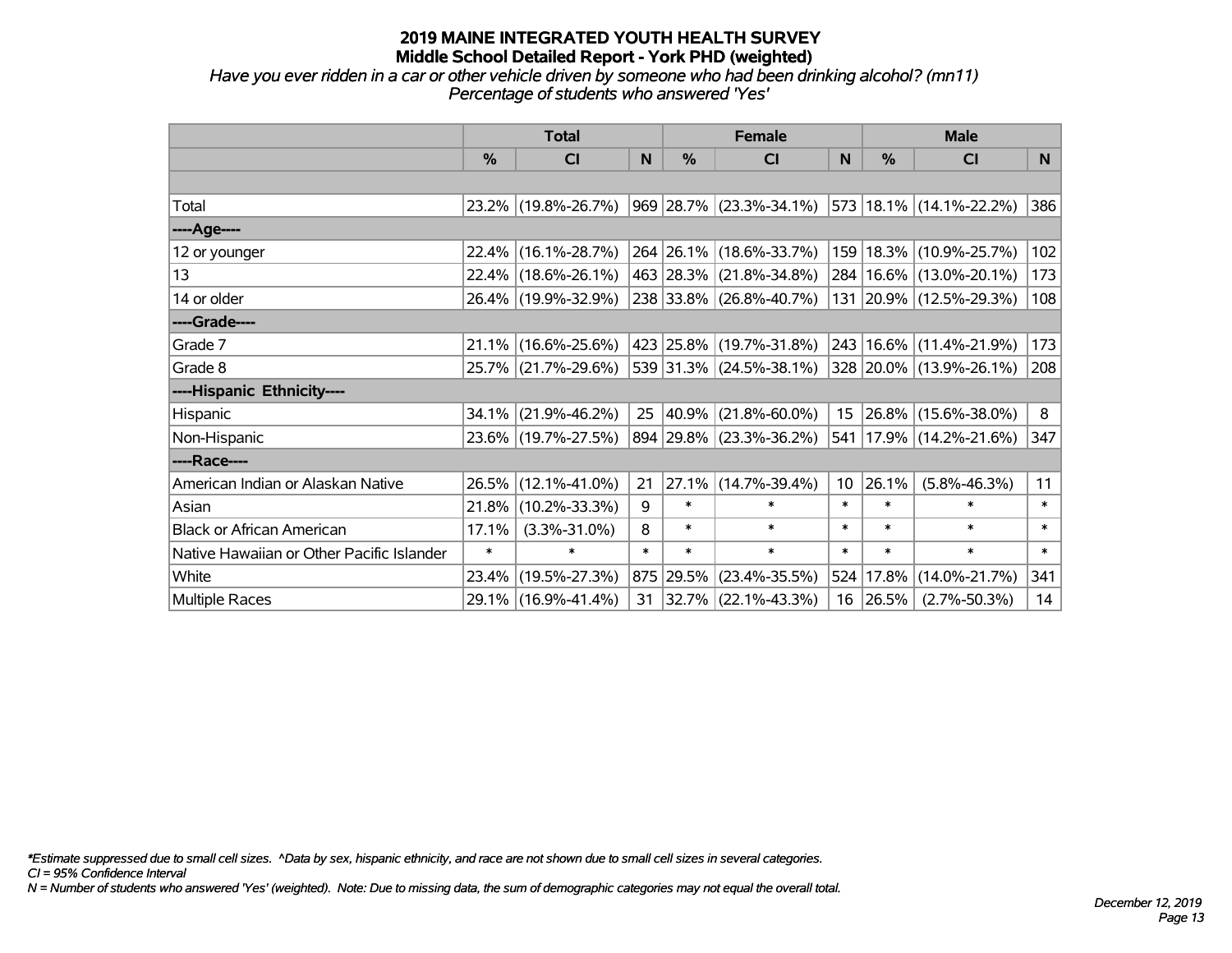## *Have you ever ridden in a car or other vehicle driven by someone who had been drinking alcohol? (mn11) Percentage of students who answered 'Yes'*

|                                           |               | <b>Total</b>           |        |               | <b>Female</b>             |                 | <b>Male</b> |                             |        |  |
|-------------------------------------------|---------------|------------------------|--------|---------------|---------------------------|-----------------|-------------|-----------------------------|--------|--|
|                                           | $\frac{0}{0}$ | C <sub>l</sub>         | N      | $\frac{9}{6}$ | <b>CI</b>                 | N               | %           | <b>CI</b>                   | N.     |  |
|                                           |               |                        |        |               |                           |                 |             |                             |        |  |
| Total                                     |               | 23.2% (19.8%-26.7%)    |        |               | $969$ 28.7% (23.3%-34.1%) |                 |             | 573 18.1% (14.1%-22.2%)     | 386    |  |
| ----Age----                               |               |                        |        |               |                           |                 |             |                             |        |  |
| 12 or younger                             |               | 22.4% (16.1%-28.7%)    |        |               | 264 26.1% (18.6%-33.7%)   | 159             |             | 18.3% (10.9%-25.7%)         | 102    |  |
| 13                                        |               | 22.4% (18.6%-26.1%)    |        |               | 463 28.3% (21.8%-34.8%)   |                 |             | 284   16.6%   (13.0%-20.1%) | 173    |  |
| 14 or older                               |               | 26.4% (19.9%-32.9%)    |        |               | 238 33.8% (26.8%-40.7%)   |                 |             | 131 20.9% (12.5%-29.3%)     | 108    |  |
| ----Grade----                             |               |                        |        |               |                           |                 |             |                             |        |  |
| Grade 7                                   |               | $21.1\%$ (16.6%-25.6%) |        |               | 423 25.8% (19.7%-31.8%)   | 243             |             | 16.6% (11.4%-21.9%)         | 173    |  |
| Grade 8                                   |               | 25.7% (21.7%-29.6%)    |        |               | 539 31.3% (24.5%-38.1%)   |                 |             | 328 20.0% (13.9%-26.1%)     | 208    |  |
| ----Hispanic Ethnicity----                |               |                        |        |               |                           |                 |             |                             |        |  |
| Hispanic                                  |               | $34.1\%$ (21.9%-46.2%) | 25     | 40.9%         | $(21.8\% - 60.0\%)$       |                 |             | 15 26.8% (15.6%-38.0%)      | 8      |  |
| Non-Hispanic                              |               | 23.6% (19.7%-27.5%)    |        |               | 894 29.8% (23.3%-36.2%)   | 541             |             | 17.9% (14.2%-21.6%)         | 347    |  |
| ----Race----                              |               |                        |        |               |                           |                 |             |                             |        |  |
| American Indian or Alaskan Native         |               | 26.5% (12.1%-41.0%)    | 21     | 27.1%         | $(14.7\% - 39.4\%)$       | 10 <sup>1</sup> | 26.1%       | $(5.8\% - 46.3\%)$          | 11     |  |
| Asian                                     | 21.8%         | $(10.2\% - 33.3\%)$    | 9      | $\ast$        | $\ast$                    | $\ast$          | $\ast$      | $\ast$                      | $\ast$ |  |
| <b>Black or African American</b>          | 17.1%         | $(3.3\% - 31.0\%)$     | 8      | $\ast$        | $\ast$                    | $\ast$          | $\ast$      | $\ast$                      | $\ast$ |  |
| Native Hawaiian or Other Pacific Islander | $\ast$        | $\ast$                 | $\ast$ | $\ast$        | $\ast$                    | $\ast$          | $\ast$      | $\ast$                      | $\ast$ |  |
| White                                     |               | 23.4% (19.5%-27.3%)    | 875    | 29.5%         | $(23.4\% - 35.5\%)$       | 524             | 17.8%       | $(14.0\% - 21.7\%)$         | 341    |  |
| <b>Multiple Races</b>                     |               | 29.1% (16.9%-41.4%)    | 31     |               | $ 32.7\% $ (22.1%-43.3%)  |                 | 16 26.5%    | $(2.7\% - 50.3\%)$          | 14     |  |

*\*Estimate suppressed due to small cell sizes. ^Data by sex, hispanic ethnicity, and race are not shown due to small cell sizes in several categories.*

*CI = 95% Confidence Interval*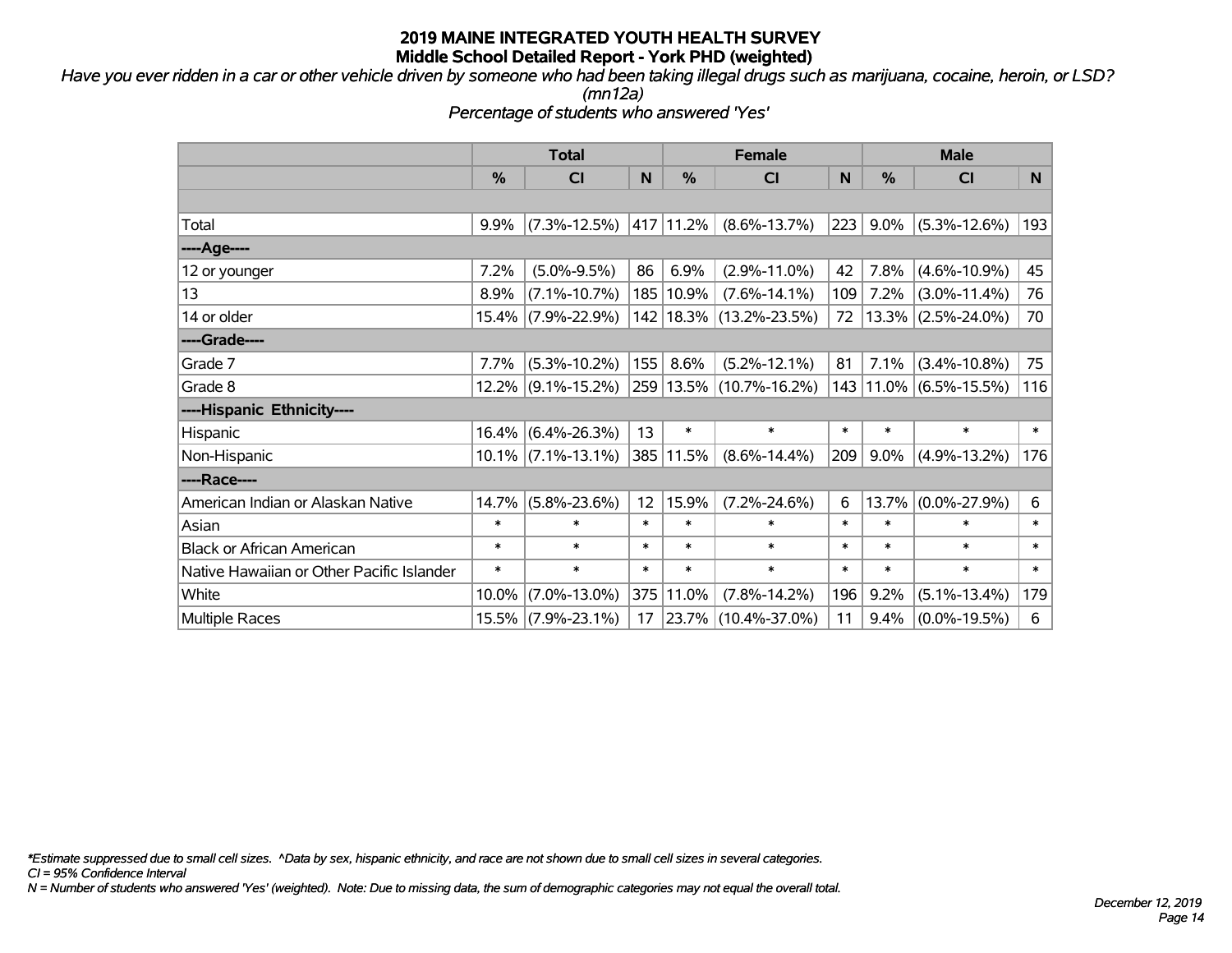*Have you ever ridden in a car or other vehicle driven by someone who had been taking illegal drugs such as marijuana, cocaine, heroin, or LSD?*

*(mn12a)*

*Percentage of students who answered 'Yes'*

|                                           | <b>Total</b> |                       |        |               | <b>Female</b>               | <b>Male</b> |        |                         |        |
|-------------------------------------------|--------------|-----------------------|--------|---------------|-----------------------------|-------------|--------|-------------------------|--------|
|                                           | %            | <b>CI</b>             | N      | $\frac{0}{0}$ | <b>CI</b>                   | N           | %      | <b>CI</b>               | N      |
|                                           |              |                       |        |               |                             |             |        |                         |        |
| Total                                     | 9.9%         | $(7.3\% - 12.5\%)$    |        | 417 11.2%     | $(8.6\% - 13.7\%)$          | 223         | 9.0%   | $(5.3\% - 12.6\%)$      | 193    |
| ---- Age----                              |              |                       |        |               |                             |             |        |                         |        |
| 12 or younger                             | 7.2%         | $(5.0\% - 9.5\%)$     | 86     | 6.9%          | $(2.9\% - 11.0\%)$          | 42          | 7.8%   | $(4.6\% - 10.9\%)$      | 45     |
| 13                                        | 8.9%         | $(7.1\% - 10.7\%)$    |        | 185   10.9%   | $(7.6\% - 14.1\%)$          | 109         | 7.2%   | $(3.0\% - 11.4\%)$      | 76     |
| 14 or older                               |              | 15.4% (7.9%-22.9%)    |        |               | 142   18.3%   (13.2%-23.5%) | 72          |        | $ 13.3\% $ (2.5%-24.0%) | 70     |
| ----Grade----                             |              |                       |        |               |                             |             |        |                         |        |
| Grade 7                                   | 7.7%         | $(5.3\% - 10.2\%)$    | 155    | 8.6%          | $(5.2\% - 12.1\%)$          | 81          | 7.1%   | $(3.4\% - 10.8\%)$      | 75     |
| Grade 8                                   |              | $12.2\%$ (9.1%-15.2%) |        |               | 259 13.5% (10.7%-16.2%)     |             |        | 143 11.0% (6.5%-15.5%)  | 116    |
| ----Hispanic Ethnicity----                |              |                       |        |               |                             |             |        |                         |        |
| Hispanic                                  | 16.4%        | $(6.4\% - 26.3\%)$    | 13     | $\ast$        | $\ast$                      | $\ast$      | $\ast$ | $\ast$                  | $\ast$ |
| Non-Hispanic                              |              | $10.1\%$ (7.1%-13.1%) |        | 385 11.5%     | $(8.6\% - 14.4\%)$          | 209         | 9.0%   | $(4.9\% - 13.2\%)$      | 176    |
| ----Race----                              |              |                       |        |               |                             |             |        |                         |        |
| American Indian or Alaskan Native         | 14.7%        | $(5.8\% - 23.6\%)$    | 12     | 15.9%         | $(7.2\% - 24.6\%)$          | 6           | 13.7%  | $(0.0\% - 27.9\%)$      | 6      |
| Asian                                     | $\ast$       | $\ast$                | $\ast$ | $\ast$        | $\ast$                      | $\ast$      | $\ast$ | $\ast$                  | $\ast$ |
| <b>Black or African American</b>          | $\ast$       | $\ast$                | $\ast$ | $\ast$        | $\ast$                      | $\ast$      | $\ast$ | $\ast$                  | $\ast$ |
| Native Hawaiian or Other Pacific Islander | $\ast$       | $\ast$                | $\ast$ | $\ast$        | $\ast$                      | $\ast$      | $\ast$ | $\ast$                  | $\ast$ |
| White                                     | 10.0%        | $(7.0\% - 13.0\%)$    | 375    | 11.0%         | $(7.8\% - 14.2\%)$          | 196         | 9.2%   | $(5.1\% - 13.4\%)$      | 179    |
| Multiple Races                            |              | 15.5% (7.9%-23.1%)    | 17     |               | $ 23.7\% $ (10.4%-37.0%)    | 11          | 9.4%   | $(0.0\% - 19.5\%)$      | 6      |

*\*Estimate suppressed due to small cell sizes. ^Data by sex, hispanic ethnicity, and race are not shown due to small cell sizes in several categories.*

*CI = 95% Confidence Interval*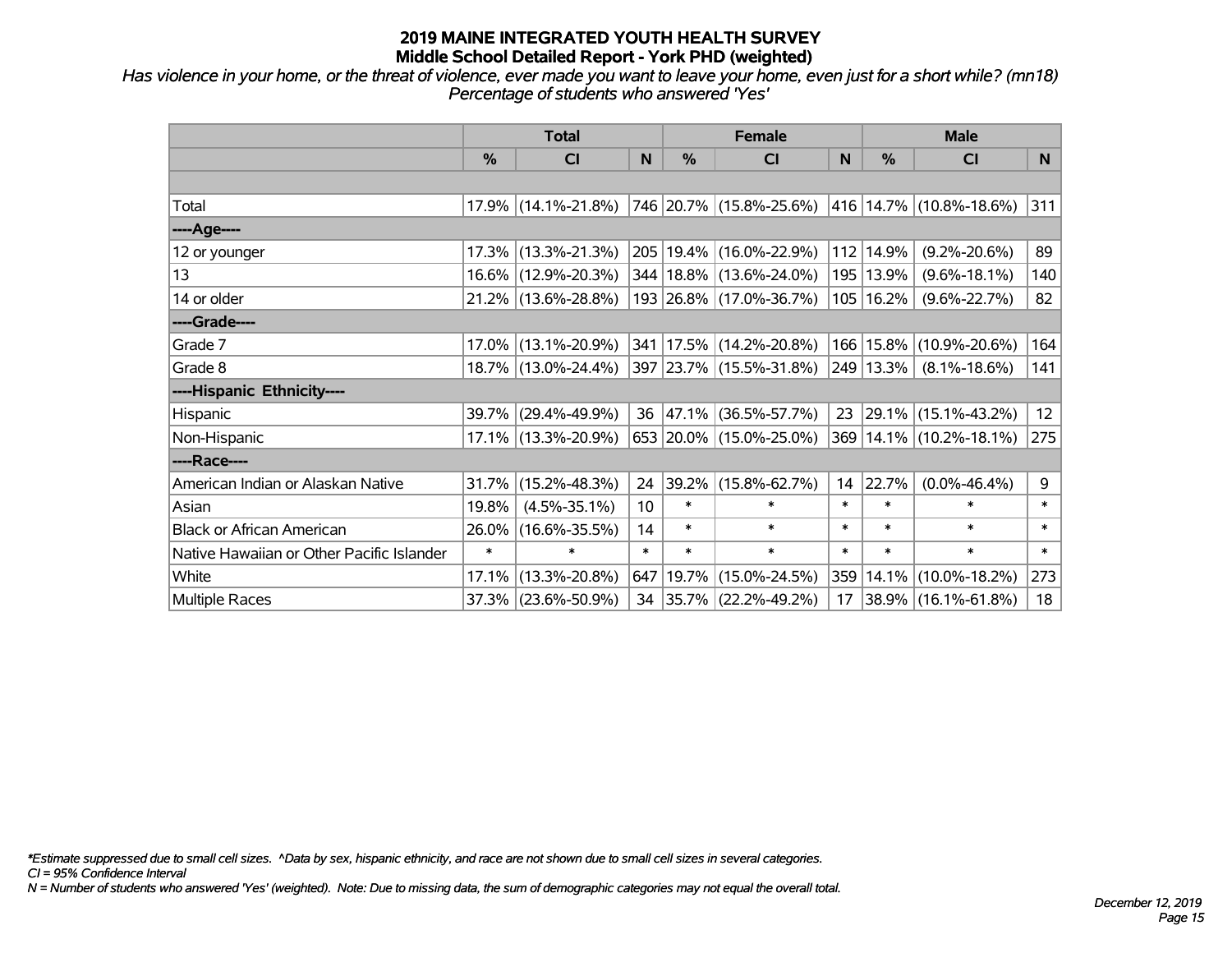*Has violence in your home, or the threat of violence, ever made you want to leave your home, even just for a short while? (mn18) Percentage of students who answered 'Yes'*

|                                           | <b>Total</b> |                     |        | <b>Female</b> | <b>Male</b>                 |              |           |                         |                 |
|-------------------------------------------|--------------|---------------------|--------|---------------|-----------------------------|--------------|-----------|-------------------------|-----------------|
|                                           | %            | CI                  | N      | %             | <b>CI</b>                   | <sub>N</sub> | %         | <b>CI</b>               | N <sub>1</sub>  |
|                                           |              |                     |        |               |                             |              |           |                         |                 |
| Total                                     |              | 17.9% (14.1%-21.8%) |        |               | 746 20.7% (15.8%-25.6%)     |              |           | 416 14.7% (10.8%-18.6%) | 311             |
| ----Age----                               |              |                     |        |               |                             |              |           |                         |                 |
| 12 or younger                             |              | 17.3% (13.3%-21.3%) |        |               | 205 19.4% (16.0%-22.9%)     | 112          | 14.9%     | $(9.2\% - 20.6\%)$      | 89              |
| 13                                        |              | 16.6% (12.9%-20.3%) |        |               | 344   18.8%   (13.6%-24.0%) |              | 195 13.9% | $(9.6\% - 18.1\%)$      | 140             |
| 14 or older                               |              | 21.2% (13.6%-28.8%) |        |               | 193 26.8% (17.0%-36.7%)     |              | 105 16.2% | $(9.6\% - 22.7\%)$      | 82              |
| ----Grade----                             |              |                     |        |               |                             |              |           |                         |                 |
| Grade 7                                   |              | 17.0% (13.1%-20.9%) |        |               | 341   17.5%   (14.2%-20.8%) | 166          | 15.8%     | $(10.9\% - 20.6\%)$     | 164             |
| Grade 8                                   |              | 18.7% (13.0%-24.4%) |        |               | 397 23.7% (15.5%-31.8%)     |              | 249 13.3% | $(8.1\% - 18.6\%)$      | 141             |
| ----Hispanic Ethnicity----                |              |                     |        |               |                             |              |           |                         |                 |
| Hispanic                                  | 39.7%        | $(29.4\% - 49.9\%)$ | 36     |               | $ 47.1\% $ (36.5%-57.7%)    |              | 23 29.1%  | $(15.1\% - 43.2\%)$     | 12 <sub>2</sub> |
| Non-Hispanic                              |              | 17.1% (13.3%-20.9%) |        |               | 653 20.0% (15.0%-25.0%)     |              |           | 369 14.1% (10.2%-18.1%) | 275             |
| ----Race----                              |              |                     |        |               |                             |              |           |                         |                 |
| American Indian or Alaskan Native         | 31.7%        | $(15.2\% - 48.3\%)$ | 24     | 39.2%         | $(15.8\% - 62.7\%)$         | 14           | 22.7%     | $(0.0\% - 46.4\%)$      | 9               |
| Asian                                     | 19.8%        | $(4.5\% - 35.1\%)$  | 10     | $\ast$        | $\ast$                      | $\ast$       | $\ast$    | $\ast$                  | $\ast$          |
| <b>Black or African American</b>          | 26.0%        | $(16.6\% - 35.5\%)$ | 14     | $\ast$        | $\ast$                      | $\ast$       | $\ast$    | $\ast$                  | $\ast$          |
| Native Hawaiian or Other Pacific Islander | $\ast$       | $\ast$              | $\ast$ | $\ast$        | $\ast$                      | $\ast$       | $\ast$    | $\ast$                  | $\ast$          |
| White                                     | 17.1%        | $(13.3\% - 20.8\%)$ |        | 647 19.7%     | $(15.0\% - 24.5\%)$         | 359          | 14.1%     | $(10.0\% - 18.2\%)$     | 273             |
| Multiple Races                            |              | 37.3% (23.6%-50.9%) |        |               | 34 35.7% (22.2%-49.2%)      | 17           |           | 38.9% (16.1%-61.8%)     | 18              |

*\*Estimate suppressed due to small cell sizes. ^Data by sex, hispanic ethnicity, and race are not shown due to small cell sizes in several categories.*

*CI = 95% Confidence Interval*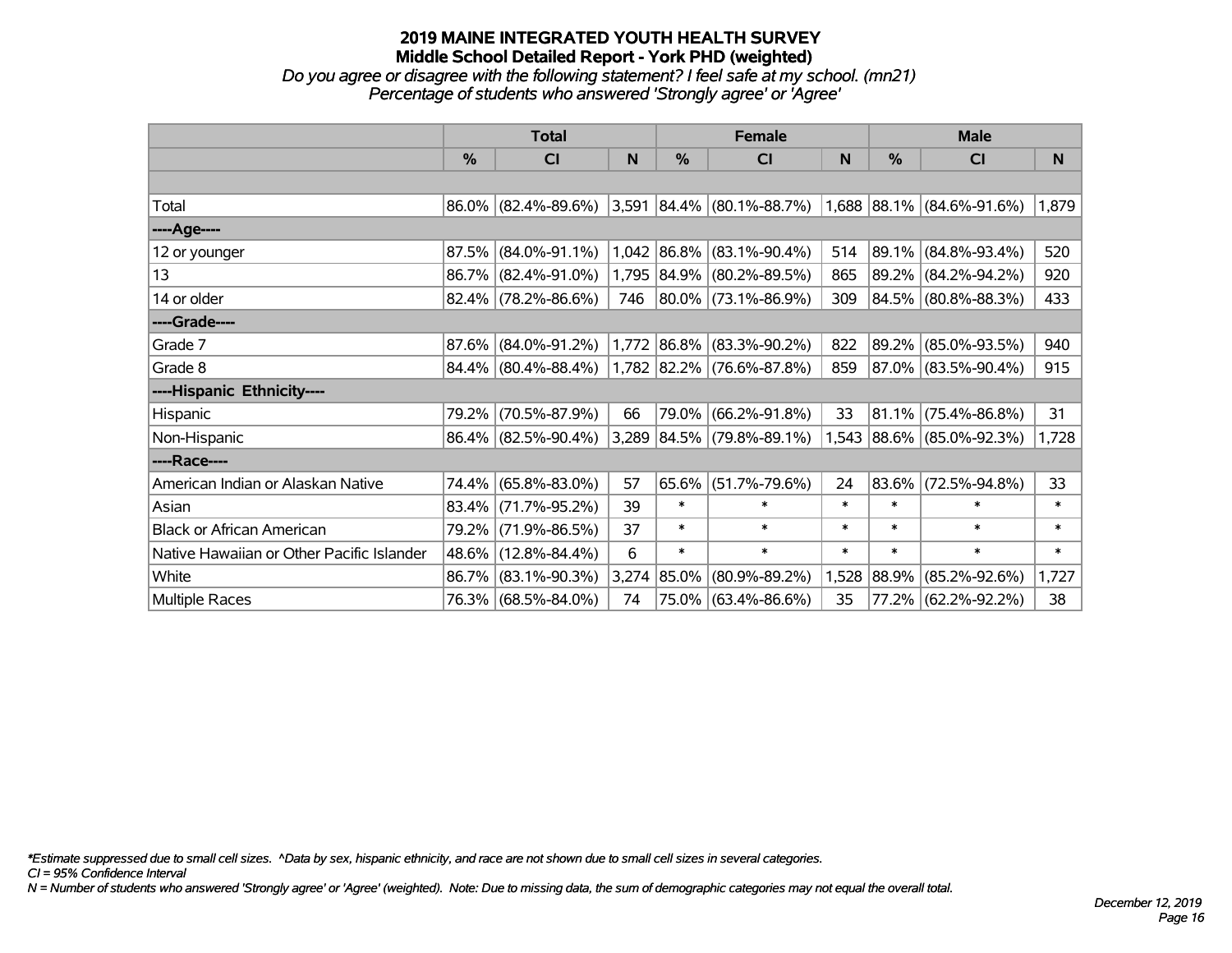*Do you agree or disagree with the following statement? I feel safe at my school. (mn21) Percentage of students who answered 'Strongly agree' or 'Agree'*

|                                           | <b>Total</b> |                        |       |               | <b>Female</b>                                         |        | <b>Male</b> |                           |        |  |
|-------------------------------------------|--------------|------------------------|-------|---------------|-------------------------------------------------------|--------|-------------|---------------------------|--------|--|
|                                           | $\%$         | <b>CI</b>              | N     | $\frac{0}{0}$ | <b>CI</b>                                             | N      | %           | <b>CI</b>                 | N.     |  |
|                                           |              |                        |       |               |                                                       |        |             |                           |        |  |
| Total                                     |              | 86.0% (82.4%-89.6%)    |       |               | $3,591$ 84.4% (80.1%-88.7%) 1,688 88.1% (84.6%-91.6%) |        |             |                           | 1,879  |  |
| ----Age----                               |              |                        |       |               |                                                       |        |             |                           |        |  |
| 12 or younger                             | 87.5%        | $(84.0\% - 91.1\%)$    |       |               | 1,042 86.8% (83.1%-90.4%)                             | 514    | 89.1%       | $(84.8\% - 93.4\%)$       | 520    |  |
| 13                                        |              | 86.7% (82.4%-91.0%)    |       |               | 1,795 84.9% (80.2%-89.5%)                             | 865    |             | 89.2% (84.2%-94.2%)       | 920    |  |
| 14 or older                               |              | $82.4\%$ (78.2%-86.6%) | 746   |               | 80.0% (73.1%-86.9%)                                   | 309    |             | 84.5% (80.8%-88.3%)       | 433    |  |
| ----Grade----                             |              |                        |       |               |                                                       |        |             |                           |        |  |
| Grade 7                                   | 87.6%        | $(84.0\% - 91.2\%)$    |       |               | 1,772 86.8% (83.3%-90.2%)                             | 822    | 89.2%       | $(85.0\% - 93.5\%)$       | 940    |  |
| Grade 8                                   |              | 84.4% (80.4%-88.4%)    |       |               | 1,782 82.2% (76.6%-87.8%)                             | 859    |             | 87.0% (83.5%-90.4%)       | 915    |  |
| ----Hispanic Ethnicity----                |              |                        |       |               |                                                       |        |             |                           |        |  |
| Hispanic                                  | 79.2%        | $(70.5\% - 87.9\%)$    | 66    | 79.0%         | $(66.2\% - 91.8\%)$                                   | 33     | 81.1%       | $(75.4\% - 86.8\%)$       | 31     |  |
| Non-Hispanic                              |              | 86.4% (82.5%-90.4%)    |       |               | 3,289 84.5% (79.8%-89.1%)                             |        |             | 1,543 88.6% (85.0%-92.3%) | 1,728  |  |
| ----Race----                              |              |                        |       |               |                                                       |        |             |                           |        |  |
| American Indian or Alaskan Native         |              | 74.4% (65.8%-83.0%)    | 57    | 65.6%         | $(51.7\% - 79.6\%)$                                   | 24     | 83.6%       | $(72.5\% - 94.8\%)$       | 33     |  |
| Asian                                     | 83.4%        | $(71.7\% - 95.2\%)$    | 39    | $\ast$        | $\ast$                                                | $\ast$ | $\ast$      | $\ast$                    | $\ast$ |  |
| <b>Black or African American</b>          | 79.2%        | $(71.9\% - 86.5\%)$    | 37    | $\ast$        | $\ast$                                                | $\ast$ | $\ast$      | $\ast$                    | $\ast$ |  |
| Native Hawaiian or Other Pacific Islander | 48.6%        | $(12.8\% - 84.4\%)$    | 6     | $\ast$        | $\ast$                                                | $\ast$ | $\ast$      | $\ast$                    | $\ast$ |  |
| White                                     | 86.7%        | $(83.1\% - 90.3\%)$    | 3,274 | 85.0%         | $(80.9\% - 89.2\%)$                                   | 1,528  | $ 88.9\% $  | $(85.2\% - 92.6\%)$       | 1,727  |  |
| <b>Multiple Races</b>                     |              | 76.3% (68.5%-84.0%)    | 74    |               | 75.0% (63.4%-86.6%)                                   | 35     |             | 77.2% (62.2%-92.2%)       | 38     |  |

*\*Estimate suppressed due to small cell sizes. ^Data by sex, hispanic ethnicity, and race are not shown due to small cell sizes in several categories.*

*CI = 95% Confidence Interval*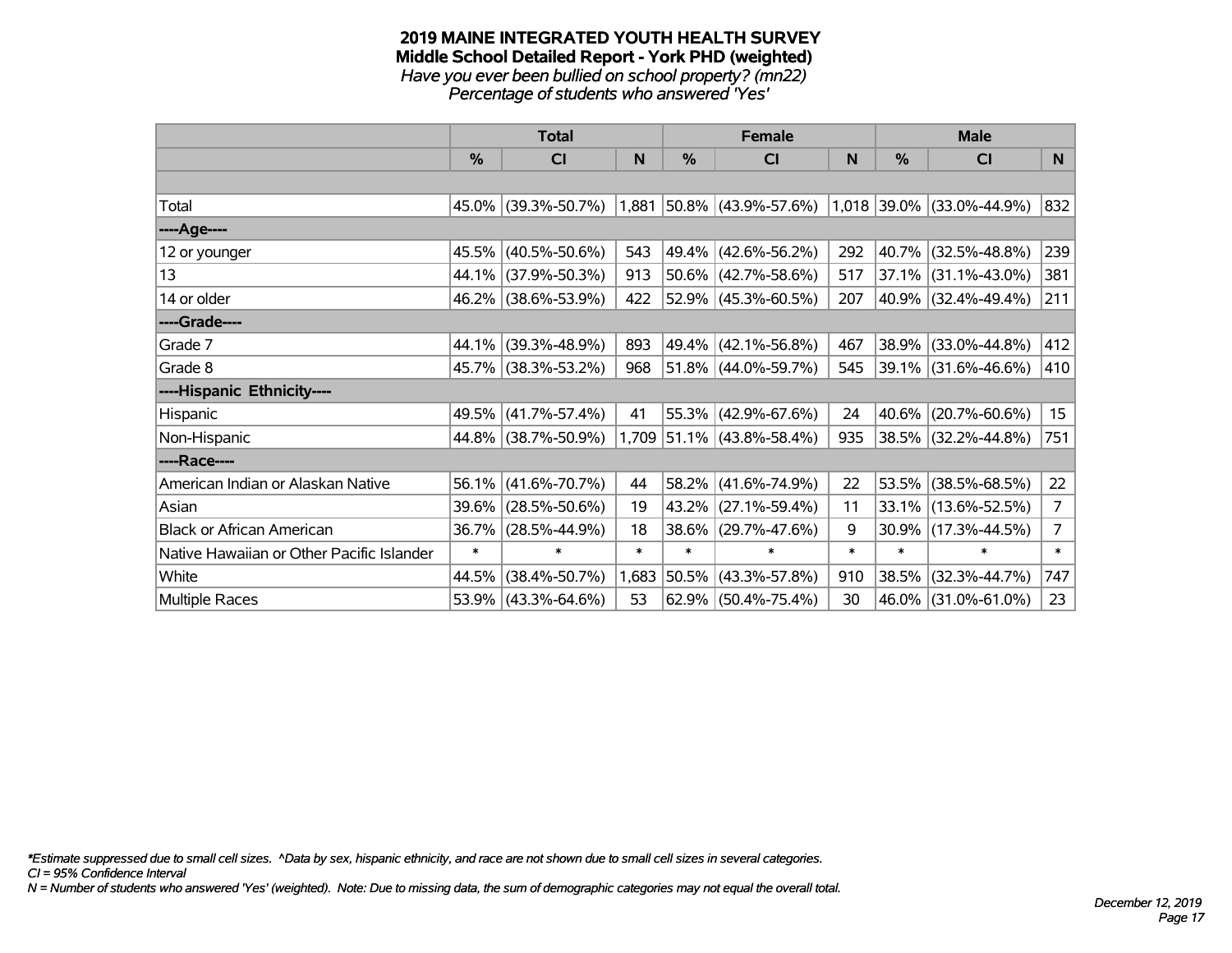#### **2019 MAINE INTEGRATED YOUTH HEALTH SURVEY Middle School Detailed Report - York PHD (weighted)** *Have you ever been bullied on school property? (mn22) Percentage of students who answered 'Yes'*

|                                           |        | <b>Total</b>           |        | <b>Female</b> |                             |        |               | <b>Male</b>                         |                |
|-------------------------------------------|--------|------------------------|--------|---------------|-----------------------------|--------|---------------|-------------------------------------|----------------|
|                                           | %      | CI                     | N      | $\frac{0}{0}$ | <b>CI</b>                   | N      | $\frac{0}{0}$ | <b>CI</b>                           | N <sub>1</sub> |
|                                           |        |                        |        |               |                             |        |               |                                     |                |
| Total                                     |        | 45.0% (39.3%-50.7%)    |        |               | $1,881$ 50.8% (43.9%-57.6%) |        |               | $(1,018)$ 39.0% $(33.0\% - 44.9\%)$ | 832            |
| ----Age----                               |        |                        |        |               |                             |        |               |                                     |                |
| 12 or younger                             | 45.5%  | $(40.5\% - 50.6\%)$    | 543    |               | 49.4% (42.6%-56.2%)         | 292    |               | 40.7% (32.5%-48.8%)                 | 239            |
| 13                                        | 44.1%  | $(37.9\% - 50.3\%)$    | 913    |               | $50.6\%$ (42.7%-58.6%)      | 517    |               | $37.1\%$ (31.1%-43.0%)              | 381            |
| 14 or older                               |        | 46.2% (38.6%-53.9%)    | 422    |               | $52.9\%$ (45.3%-60.5%)      | 207    |               | 40.9% (32.4%-49.4%)                 | 211            |
| ----Grade----                             |        |                        |        |               |                             |        |               |                                     |                |
| Grade 7                                   | 44.1%  | $(39.3\% - 48.9\%)$    | 893    |               | 49.4% (42.1%-56.8%)         | 467    |               | 38.9% (33.0%-44.8%)                 | 412            |
| Grade 8                                   |        | 45.7% (38.3%-53.2%)    | 968    |               | 51.8% (44.0%-59.7%)         | 545    |               | 39.1% (31.6%-46.6%)                 | 410            |
| ----Hispanic Ethnicity----                |        |                        |        |               |                             |        |               |                                     |                |
| Hispanic                                  | 49.5%  | $(41.7\% - 57.4\%)$    | 41     |               | 55.3% (42.9%-67.6%)         | 24     |               | 40.6% (20.7%-60.6%)                 | 15             |
| Non-Hispanic                              |        | 44.8% (38.7%-50.9%)    |        |               | 1,709 51.1% (43.8%-58.4%)   | 935    |               | 38.5% (32.2%-44.8%)                 | 751            |
| ----Race----                              |        |                        |        |               |                             |        |               |                                     |                |
| American Indian or Alaskan Native         | 56.1%  | $(41.6\% - 70.7\%)$    | 44     |               | 58.2% (41.6%-74.9%)         | 22     |               | 53.5% (38.5%-68.5%)                 | 22             |
| Asian                                     | 39.6%  | $(28.5\% - 50.6\%)$    | 19     |               | 43.2% (27.1%-59.4%)         | 11     |               | 33.1% (13.6%-52.5%)                 | 7 <sup>7</sup> |
| <b>Black or African American</b>          | 36.7%  | $(28.5\% - 44.9\%)$    | 18     |               | 38.6% (29.7%-47.6%)         | 9      |               | $30.9\%$ (17.3%-44.5%)              | 7 <sup>1</sup> |
| Native Hawaiian or Other Pacific Islander | $\ast$ | $\ast$                 | $\ast$ | $\ast$        | $\ast$                      | $\ast$ | $\ast$        | $\ast$                              | $\ast$         |
| White                                     | 44.5%  | $(38.4\% - 50.7\%)$    | 1,683  |               | $50.5\%$ (43.3%-57.8%)      | 910    |               | 38.5% (32.3%-44.7%)                 | 747            |
| Multiple Races                            |        | $53.9\%$ (43.3%-64.6%) | 53     |               | $62.9\%$ (50.4%-75.4%)      | 30     |               | 46.0% (31.0%-61.0%)                 | 23             |

*\*Estimate suppressed due to small cell sizes. ^Data by sex, hispanic ethnicity, and race are not shown due to small cell sizes in several categories.*

*CI = 95% Confidence Interval*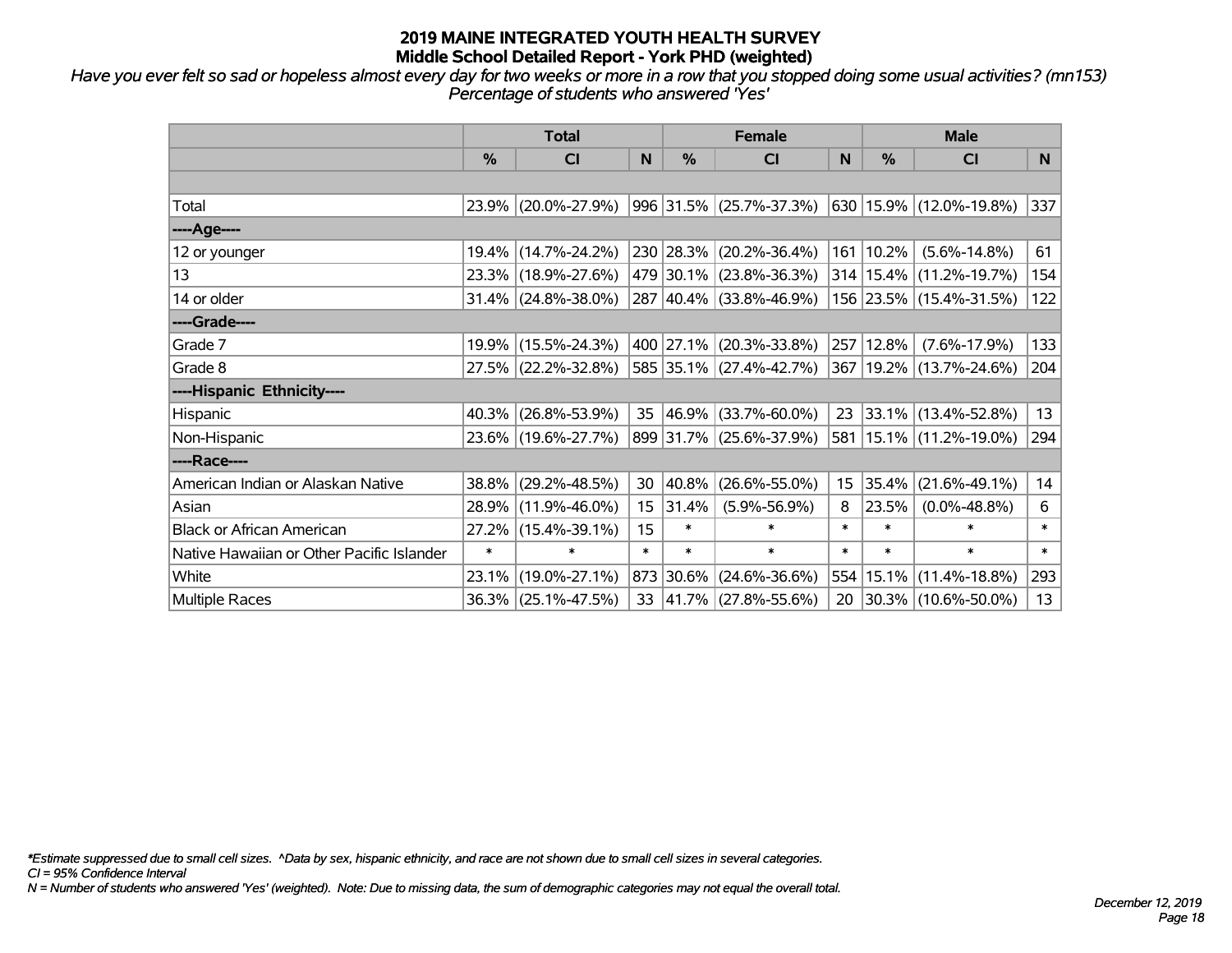*Have you ever felt so sad or hopeless almost every day for two weeks or more in a row that you stopped doing some usual activities? (mn153) Percentage of students who answered 'Yes'*

|                                           | <b>Total</b>  |                        |                  |               | <b>Female</b>            | <b>Male</b> |        |                             |                |
|-------------------------------------------|---------------|------------------------|------------------|---------------|--------------------------|-------------|--------|-----------------------------|----------------|
|                                           | $\frac{0}{0}$ | C <sub>l</sub>         | N                | $\frac{0}{0}$ | <b>CI</b>                | N           | %      | <b>CI</b>                   | N <sub>1</sub> |
|                                           |               |                        |                  |               |                          |             |        |                             |                |
| Total                                     |               | 23.9% (20.0%-27.9%)    |                  |               | 996 31.5% (25.7%-37.3%)  |             |        | 630 15.9% (12.0%-19.8%)     | 337            |
| ----Age----                               |               |                        |                  |               |                          |             |        |                             |                |
| 12 or younger                             |               | 19.4% (14.7%-24.2%)    |                  |               | 230 28.3% (20.2%-36.4%)  | 161         | 10.2%  | $(5.6\% - 14.8\%)$          | 61             |
| 13                                        |               | 23.3% (18.9%-27.6%)    |                  |               | 479 30.1% (23.8%-36.3%)  |             |        | 314   15.4%   (11.2%-19.7%) | 154            |
| 14 or older                               |               | $31.4\%$ (24.8%-38.0%) |                  |               | 287 40.4% (33.8%-46.9%)  |             |        | 156 23.5% (15.4%-31.5%)     | 122            |
| ----Grade----                             |               |                        |                  |               |                          |             |        |                             |                |
| Grade 7                                   |               | 19.9% (15.5%-24.3%)    |                  |               | 400 27.1% (20.3%-33.8%)  | 257         | 12.8%  | $(7.6\% - 17.9\%)$          | 133            |
| Grade 8                                   |               | 27.5% (22.2%-32.8%)    |                  |               | 585 35.1% (27.4%-42.7%)  |             |        | 367   19.2%   (13.7%-24.6%) | 204            |
| ----Hispanic Ethnicity----                |               |                        |                  |               |                          |             |        |                             |                |
| Hispanic                                  |               | $40.3\%$ (26.8%-53.9%) | 35               |               | 46.9% (33.7%-60.0%)      | 23          |        | $33.1\%$ (13.4%-52.8%)      | 13             |
| Non-Hispanic                              |               | 23.6% (19.6%-27.7%)    |                  |               | 899 31.7% (25.6%-37.9%)  | 581         |        | 15.1% (11.2%-19.0%)         | 294            |
| ----Race----                              |               |                        |                  |               |                          |             |        |                             |                |
| American Indian or Alaskan Native         |               | 38.8% (29.2%-48.5%)    | 30               | 40.8%         | $(26.6\% - 55.0\%)$      | 15          | 35.4%  | $(21.6\% - 49.1\%)$         | 14             |
| Asian                                     | 28.9%         | $(11.9\% - 46.0\%)$    | 15 <sub>15</sub> | 31.4%         | $(5.9\% - 56.9\%)$       | 8           | 23.5%  | $(0.0\% - 48.8\%)$          | 6              |
| <b>Black or African American</b>          |               | 27.2% (15.4%-39.1%)    | 15               | $\ast$        | $\ast$                   | $\ast$      | $\ast$ | $\ast$                      | $\pmb{\ast}$   |
| Native Hawaiian or Other Pacific Islander | $\ast$        | $\ast$                 | $\ast$           | $\ast$        | $\ast$                   | $\ast$      | $\ast$ | $\ast$                      | $\ast$         |
| White                                     |               | 23.1% (19.0%-27.1%)    |                  | 873 30.6%     | $(24.6\% - 36.6\%)$      | 554         | 15.1%  | $(11.4\% - 18.8\%)$         | 293            |
| <b>Multiple Races</b>                     |               | 36.3% (25.1%-47.5%)    | 33               |               | $ 41.7\% $ (27.8%-55.6%) | 20          |        | 30.3% (10.6%-50.0%)         | 13             |

*\*Estimate suppressed due to small cell sizes. ^Data by sex, hispanic ethnicity, and race are not shown due to small cell sizes in several categories.*

*CI = 95% Confidence Interval*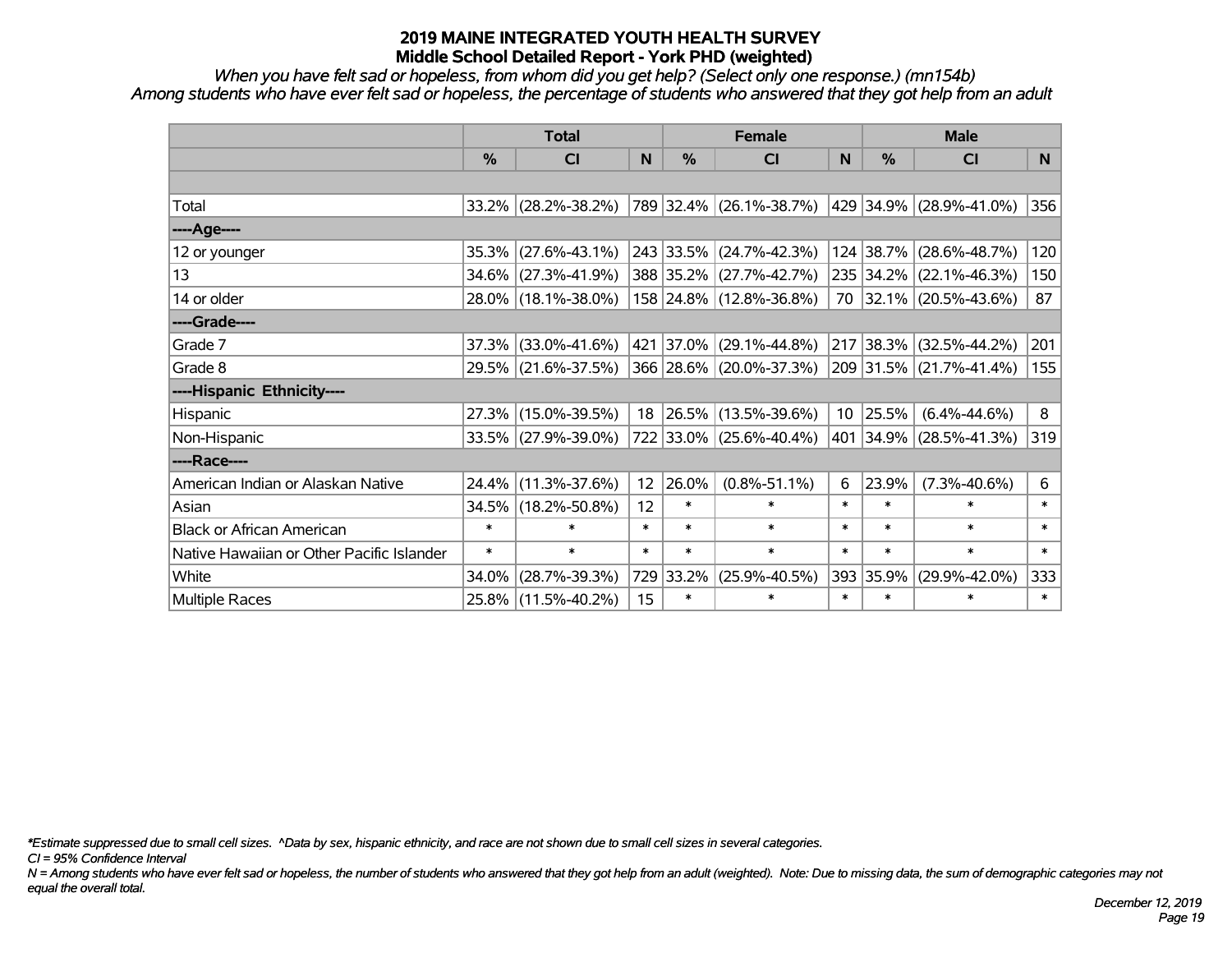*When you have felt sad or hopeless, from whom did you get help? (Select only one response.) (mn154b) Among students who have ever felt sad or hopeless, the percentage of students who answered that they got help from an adult*

|                                           | <b>Total</b>  |                        |        | <b>Female</b> | <b>Male</b>             |              |           |                         |                |
|-------------------------------------------|---------------|------------------------|--------|---------------|-------------------------|--------------|-----------|-------------------------|----------------|
|                                           | $\frac{0}{0}$ | <b>CI</b>              | N      | $\frac{0}{0}$ | <b>CI</b>               | <sub>N</sub> | %         | <b>CI</b>               | N <sub>1</sub> |
|                                           |               |                        |        |               |                         |              |           |                         |                |
| Total                                     |               | $33.2\%$ (28.2%-38.2%) |        |               | 789 32.4% (26.1%-38.7%) |              |           | 429 34.9% (28.9%-41.0%) | 356            |
| ----Age----                               |               |                        |        |               |                         |              |           |                         |                |
| 12 or younger                             | 35.3%         | $(27.6\% - 43.1\%)$    |        |               | 243 33.5% (24.7%-42.3%) |              | 124 38.7% | $(28.6\% - 48.7\%)$     | 120            |
| 13                                        | 34.6%         | $(27.3\% - 41.9\%)$    |        |               | 388 35.2% (27.7%-42.7%) |              |           | 235 34.2% (22.1%-46.3%) | 150            |
| 14 or older                               |               | 28.0% (18.1%-38.0%)    |        |               | 158 24.8% (12.8%-36.8%) |              |           | 70 32.1% (20.5%-43.6%)  | 87             |
| ----Grade----                             |               |                        |        |               |                         |              |           |                         |                |
| Grade 7                                   | 37.3%         | $(33.0\% - 41.6\%)$    |        | 421 37.0%     | $(29.1\% - 44.8\%)$     |              | 217 38.3% | $(32.5\% - 44.2\%)$     | 201            |
| Grade 8                                   |               | 29.5% (21.6%-37.5%)    |        |               | 366 28.6% (20.0%-37.3%) |              |           | 209 31.5% (21.7%-41.4%) | 155            |
| ----Hispanic Ethnicity----                |               |                        |        |               |                         |              |           |                         |                |
| Hispanic                                  | 27.3%         | $(15.0\% - 39.5\%)$    | 18     | $ 26.5\% $    | $(13.5\% - 39.6\%)$     | 10           | 25.5%     | $(6.4\% - 44.6\%)$      | 8              |
| Non-Hispanic                              |               | 33.5% (27.9%-39.0%)    |        |               | 722 33.0% (25.6%-40.4%) |              |           | 401 34.9% (28.5%-41.3%) | 319            |
| ----Race----                              |               |                        |        |               |                         |              |           |                         |                |
| American Indian or Alaskan Native         | 24.4%         | $(11.3\% - 37.6\%)$    | 12     | 26.0%         | $(0.8\% - 51.1\%)$      | 6            | 23.9%     | $(7.3\% - 40.6\%)$      | 6              |
| Asian                                     | 34.5%         | $(18.2\% - 50.8\%)$    | 12     | $\ast$        | $\ast$                  | $\ast$       | $\ast$    | $\ast$                  | $\ast$         |
| <b>Black or African American</b>          | $\ast$        | $\ast$                 | $\ast$ | $\ast$        | $\ast$                  | $\ast$       | $\ast$    | $\ast$                  | $\ast$         |
| Native Hawaiian or Other Pacific Islander | $\ast$        | $\ast$                 | $\ast$ | $\ast$        | $\ast$                  | $\ast$       | $\ast$    | $\ast$                  | $\ast$         |
| White                                     | 34.0%         | $(28.7\% - 39.3\%)$    | 729    | $33.2\%$      | $(25.9\% - 40.5\%)$     | 393          | 35.9%     | $(29.9\% - 42.0\%)$     | 333            |
| <b>Multiple Races</b>                     |               | 25.8% (11.5%-40.2%)    | 15     | $\ast$        | $\ast$                  | $\ast$       | $\ast$    | $\ast$                  | $\ast$         |

*\*Estimate suppressed due to small cell sizes. ^Data by sex, hispanic ethnicity, and race are not shown due to small cell sizes in several categories.*

*CI = 95% Confidence Interval*

*N = Among students who have ever felt sad or hopeless, the number of students who answered that they got help from an adult (weighted). Note: Due to missing data, the sum of demographic categories may not equal the overall total.*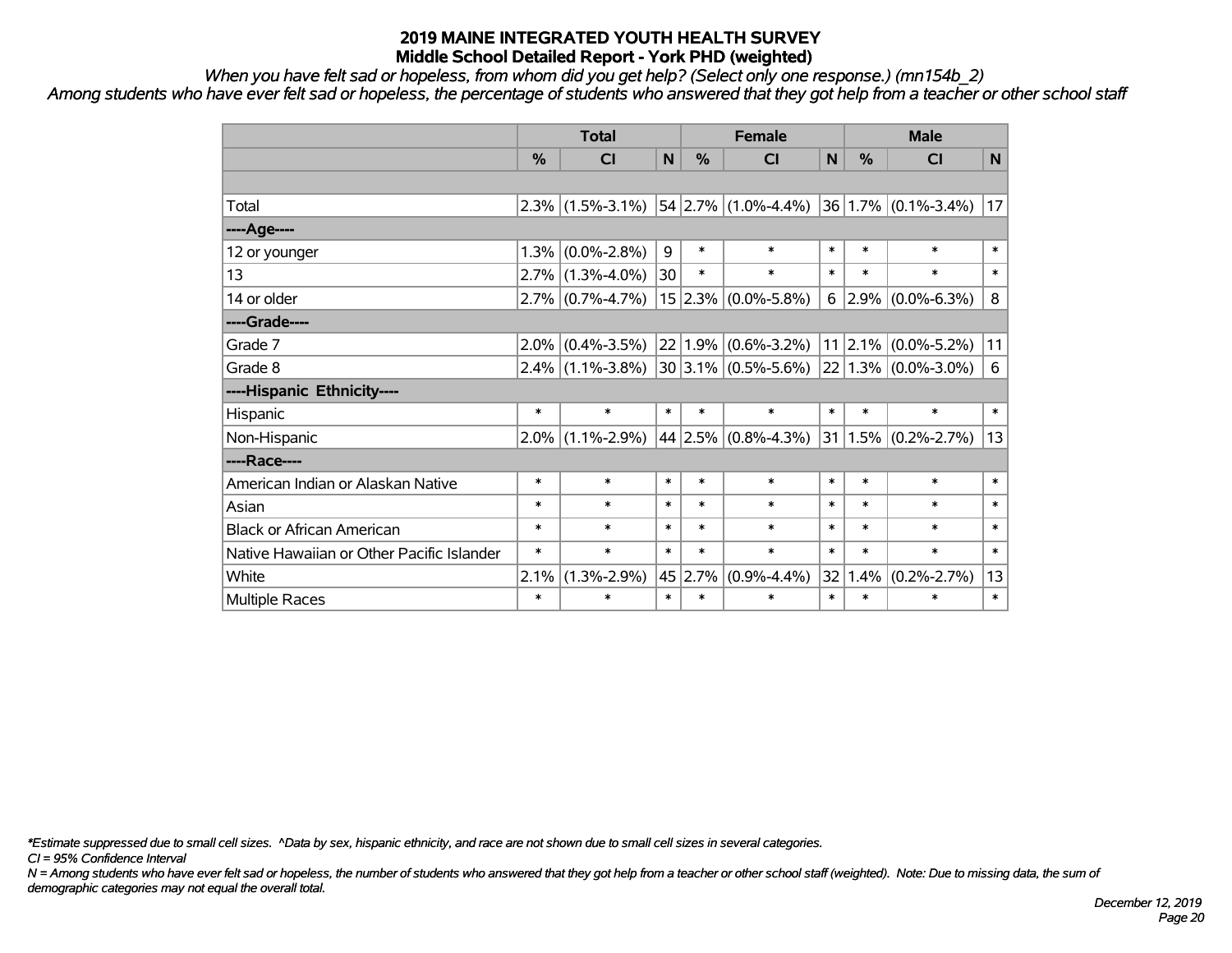*When you have felt sad or hopeless, from whom did you get help? (Select only one response.) (mn154b\_2)*

*Among students who have ever felt sad or hopeless, the percentage of students who answered that they got help from a teacher or other school staff*

|                                           | <b>Total</b> |                     |        | <b>Female</b> |                           |        | <b>Male</b>     |                              |        |
|-------------------------------------------|--------------|---------------------|--------|---------------|---------------------------|--------|-----------------|------------------------------|--------|
|                                           | %            | <b>CI</b>           | N      | %             | <b>CI</b>                 | N      | $\%$            | <b>CI</b>                    | N      |
|                                           |              |                     |        |               |                           |        |                 |                              |        |
| Total                                     | 2.3%         | $(1.5\% - 3.1\%)$   |        |               | $ 54 2.7\% $ (1.0%-4.4%)  |        |                 | $ 36 1.7\%  (0.1\% - 3.4\%)$ | 17     |
| ----Age----                               |              |                     |        |               |                           |        |                 |                              |        |
| 12 or younger                             | 1.3%         | $(0.0\% - 2.8\%)$   | 9      | $\ast$        | $\ast$                    | $\ast$ | $\ast$          | $\ast$                       | $\ast$ |
| 13                                        | 2.7%         | $(1.3\% - 4.0\%)$   | 30     | $\ast$        | $\ast$                    | $\ast$ | $\ast$          | $\ast$                       | $\ast$ |
| 14 or older                               |              | $2.7\%$ (0.7%-4.7%) |        |               | $15 2.3\% $ (0.0%-5.8%)   | 6      | 2.9%            | $(0.0\% - 6.3\%)$            | 8      |
| ----Grade----                             |              |                     |        |               |                           |        |                 |                              |        |
| Grade 7                                   | 2.0%         | $(0.4\% - 3.5\%)$   |        |               | $22 1.9\% $ (0.6%-3.2%)   |        | $11 \,   2.1\%$ | $(0.0\% - 5.2\%)$            | 11     |
| Grade 8                                   | $2.4\%$      | $(1.1\% - 3.8\%)$   |        |               | $30 3.1\% $ (0.5%-5.6%)   |        |                 | $ 22 1.3\% $ (0.0%-3.0%)     | 6      |
| ----Hispanic Ethnicity----                |              |                     |        |               |                           |        |                 |                              |        |
| Hispanic                                  | $\ast$       | $\ast$              | $\ast$ | $\ast$        | $\ast$                    | $\ast$ | $\ast$          | $\ast$                       | $\ast$ |
| Non-Hispanic                              | 2.0%         | $(1.1\% - 2.9\%)$   |        |               | 44 2.5% $(0.8\% - 4.3\%)$ |        | $31 \mid 1.5\%$ | $(0.2\% - 2.7\%)$            | 13     |
| ----Race----                              |              |                     |        |               |                           |        |                 |                              |        |
| American Indian or Alaskan Native         | $\ast$       | $\ast$              | $\ast$ | $\ast$        | $\ast$                    | $\ast$ | $\ast$          | $\ast$                       | $\ast$ |
| Asian                                     | $\ast$       | $\ast$              | $\ast$ | $\ast$        | $\ast$                    | $\ast$ | $\ast$          | $\ast$                       | $\ast$ |
| <b>Black or African American</b>          | $\ast$       | $\ast$              | $\ast$ | $\ast$        | $\ast$                    | $\ast$ | $\ast$          | $\ast$                       | $\ast$ |
| Native Hawaiian or Other Pacific Islander | $\ast$       | $\ast$              | $\ast$ | $\ast$        | $\ast$                    | $\ast$ | $\ast$          | $\ast$                       | $\ast$ |
| White                                     | 2.1%         | $(1.3\% - 2.9\%)$   | 45     | 2.7%          | $(0.9\% - 4.4\%)$         | 32     | 1.4%            | $(0.2\% - 2.7\%)$            | 13     |
| <b>Multiple Races</b>                     | $\ast$       | $\ast$              | $\ast$ | $\ast$        | $\ast$                    | $\ast$ | $\ast$          | $\ast$                       | $\ast$ |

*\*Estimate suppressed due to small cell sizes. ^Data by sex, hispanic ethnicity, and race are not shown due to small cell sizes in several categories.*

*CI = 95% Confidence Interval*

*N = Among students who have ever felt sad or hopeless, the number of students who answered that they got help from a teacher or other school staff (weighted). Note: Due to missing data, the sum of demographic categories may not equal the overall total.*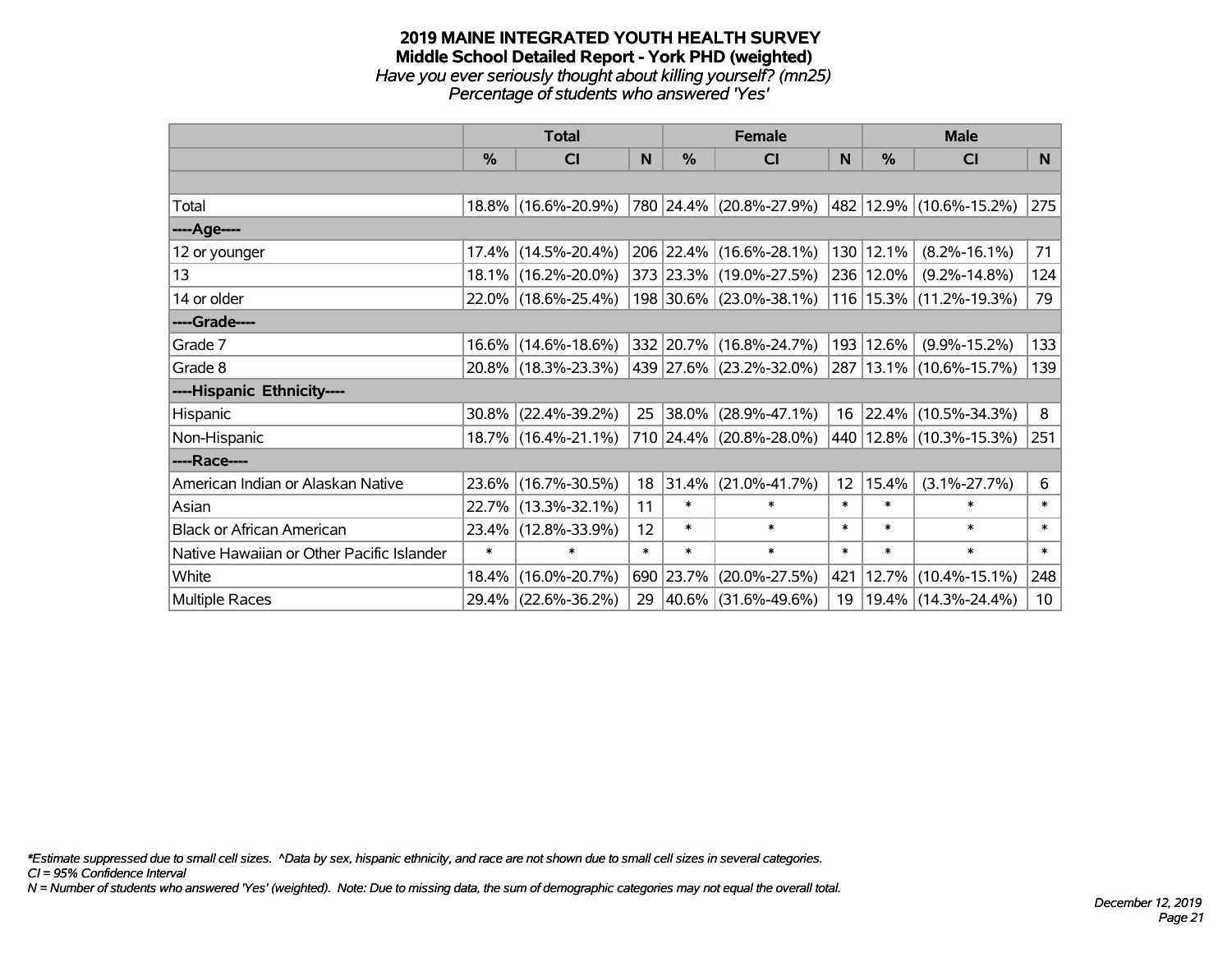#### **2019 MAINE INTEGRATED YOUTH HEALTH SURVEY Middle School Detailed Report - York PHD (weighted)** *Have you ever seriously thought about killing yourself? (mn25) Percentage of students who answered 'Yes'*

|                                           | <b>Total</b>  |                     |        |           | <b>Female</b>            |                 | <b>Male</b> |                             |                |
|-------------------------------------------|---------------|---------------------|--------|-----------|--------------------------|-----------------|-------------|-----------------------------|----------------|
|                                           | $\frac{0}{0}$ | CI                  | N.     | $\%$      | <b>CI</b>                | <b>N</b>        | $\%$        | <b>CI</b>                   | N <sub>1</sub> |
|                                           |               |                     |        |           |                          |                 |             |                             |                |
| Total                                     |               | 18.8% (16.6%-20.9%) |        |           | 780 24.4% (20.8%-27.9%)  |                 |             | 482 12.9% (10.6%-15.2%)     | 275            |
| ----Age----                               |               |                     |        |           |                          |                 |             |                             |                |
| 12 or younger                             |               | 17.4% (14.5%-20.4%) |        |           | 206 22.4% (16.6%-28.1%)  | 130             | 12.1%       | $(8.2\% - 16.1\%)$          | 71             |
| 13                                        |               | 18.1% (16.2%-20.0%) |        |           | 373 23.3% (19.0%-27.5%)  |                 | 236 12.0%   | $(9.2\% - 14.8\%)$          | 124            |
| 14 or older                               |               | 22.0% (18.6%-25.4%) |        |           | 198 30.6% (23.0%-38.1%)  |                 |             | 116 15.3% (11.2%-19.3%)     | 79             |
| ----Grade----                             |               |                     |        |           |                          |                 |             |                             |                |
| Grade 7                                   |               | 16.6% (14.6%-18.6%) |        |           | 332 20.7% (16.8%-24.7%)  | 193             | 12.6%       | $(9.9\% - 15.2\%)$          | 133            |
| Grade 8                                   |               | 20.8% (18.3%-23.3%) |        |           | 439 27.6% (23.2%-32.0%)  |                 |             | 287   13.1%   (10.6%-15.7%) | 139            |
| ----Hispanic Ethnicity----                |               |                     |        |           |                          |                 |             |                             |                |
| Hispanic                                  | $30.8\%$      | $(22.4\% - 39.2\%)$ | 25     | 38.0%     | $(28.9\% - 47.1\%)$      | 16              | 22.4%       | $(10.5\% - 34.3\%)$         | 8              |
| Non-Hispanic                              |               | 18.7% (16.4%-21.1%) |        |           | 710 24.4% (20.8%-28.0%)  |                 |             | 440   12.8%   (10.3%-15.3%) | 251            |
| ----Race----                              |               |                     |        |           |                          |                 |             |                             |                |
| American Indian or Alaskan Native         |               | 23.6% (16.7%-30.5%) | 18     | 31.4%     | $(21.0\% - 41.7\%)$      | 12 <sup>2</sup> | 15.4%       | $(3.1\% - 27.7\%)$          | 6              |
| Asian                                     |               | 22.7% (13.3%-32.1%) | 11     | $\ast$    | $\ast$                   | $\ast$          | $\ast$      | $\ast$                      | $\ast$         |
| <b>Black or African American</b>          |               | 23.4% (12.8%-33.9%) | 12     | $\ast$    | $\ast$                   | $\ast$          | $\ast$      | $\ast$                      | $\ast$         |
| Native Hawaiian or Other Pacific Islander | $\ast$        | $\ast$              | $\ast$ | $\ast$    | $\ast$                   | $\ast$          | $\ast$      | $\ast$                      | $\ast$         |
| White                                     | $18.4\%$      | $(16.0\% - 20.7\%)$ |        | 690 23.7% | $(20.0\% - 27.5\%)$      | 421             | 12.7%       | $(10.4\% - 15.1\%)$         | 248            |
| <b>Multiple Races</b>                     |               | 29.4% (22.6%-36.2%) | 29     |           | $ 40.6\% $ (31.6%-49.6%) | 19              |             | 19.4% (14.3%-24.4%)         | 10             |

*\*Estimate suppressed due to small cell sizes. ^Data by sex, hispanic ethnicity, and race are not shown due to small cell sizes in several categories.*

*CI = 95% Confidence Interval*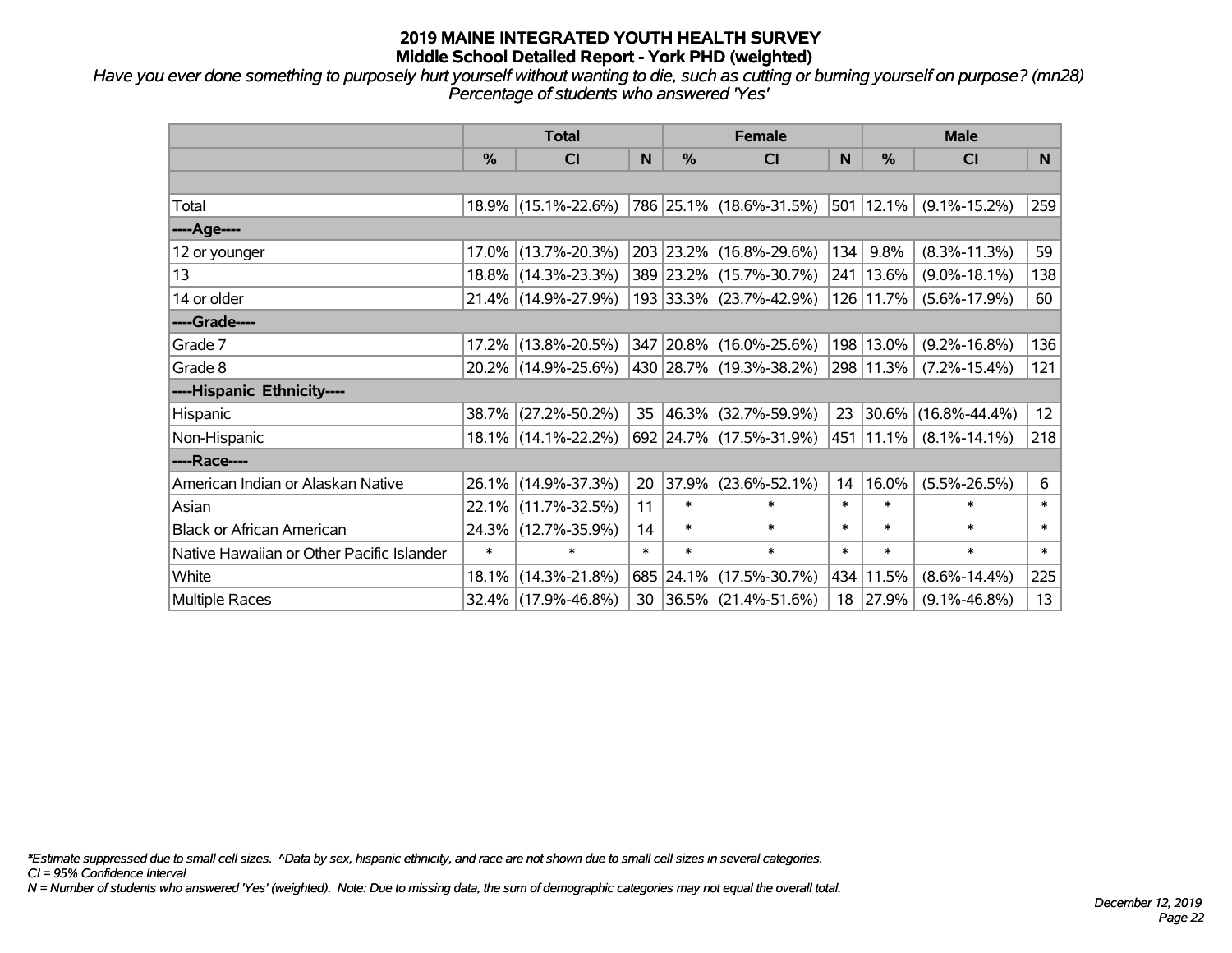*Have you ever done something to purposely hurt yourself without wanting to die, such as cutting or burning yourself on purpose? (mn28) Percentage of students who answered 'Yes'*

|                                           | <b>Total</b> |                     |        | <b>Female</b> | <b>Male</b>              |        |                |                     |                |
|-------------------------------------------|--------------|---------------------|--------|---------------|--------------------------|--------|----------------|---------------------|----------------|
|                                           | $\%$         | CI                  | N      | $\%$          | <b>CI</b>                | N      | $\frac{0}{0}$  | <b>CI</b>           | N <sub>1</sub> |
|                                           |              |                     |        |               |                          |        |                |                     |                |
| Total                                     |              | 18.9% (15.1%-22.6%) |        |               | 786 25.1% (18.6%-31.5%)  |        | $ 501 12.1\% $ | $(9.1\% - 15.2\%)$  | 259            |
| ----Age----                               |              |                     |        |               |                          |        |                |                     |                |
| 12 or younger                             | 17.0%        | $(13.7\% - 20.3\%)$ |        |               | 203 23.2% (16.8%-29.6%)  | 134    | 9.8%           | $(8.3\% - 11.3\%)$  | 59             |
| 13                                        |              | 18.8% (14.3%-23.3%) |        |               | 389 23.2% (15.7%-30.7%)  | 241    | 13.6%          | $(9.0\% - 18.1\%)$  | 138            |
| 14 or older                               |              | 21.4% (14.9%-27.9%) |        |               | 193 33.3% (23.7%-42.9%)  |        | 126 11.7%      | $(5.6\% - 17.9\%)$  | 60             |
| ----Grade----                             |              |                     |        |               |                          |        |                |                     |                |
| Grade 7                                   | 17.2%        | $(13.8\% - 20.5\%)$ |        |               | 347 20.8% (16.0%-25.6%)  | 198    | 13.0%          | $(9.2\% - 16.8\%)$  | 136            |
| Grade 8                                   |              | 20.2% (14.9%-25.6%) |        |               | 430 28.7% (19.3%-38.2%)  |        | 298 11.3%      | $(7.2\% - 15.4\%)$  | 121            |
| ----Hispanic Ethnicity----                |              |                     |        |               |                          |        |                |                     |                |
| <b>Hispanic</b>                           | 38.7%        | $(27.2\% - 50.2\%)$ | 35     | 46.3%         | $(32.7\% - 59.9\%)$      | 23     | 30.6%          | $(16.8\% - 44.4\%)$ | 12             |
| Non-Hispanic                              |              | 18.1% (14.1%-22.2%) |        |               | 692 24.7% (17.5%-31.9%)  |        | 451   11.1%    | $(8.1\% - 14.1\%)$  | 218            |
| ----Race----                              |              |                     |        |               |                          |        |                |                     |                |
| American Indian or Alaskan Native         |              | 26.1% (14.9%-37.3%) | 20     | 37.9%         | $(23.6\% - 52.1\%)$      | 14     | 16.0%          | $(5.5\% - 26.5\%)$  | 6              |
| Asian                                     | 22.1%        | $(11.7\% - 32.5\%)$ | 11     | $\ast$        | $\ast$                   | $\ast$ | $\ast$         | $\ast$              | $\ast$         |
| <b>Black or African American</b>          |              | 24.3% (12.7%-35.9%) | 14     | $\ast$        | $\ast$                   | $\ast$ | $\ast$         | $\ast$              | $\ast$         |
| Native Hawaiian or Other Pacific Islander | $\ast$       | $\ast$              | $\ast$ | $\ast$        | $\ast$                   | $\ast$ | $\ast$         | $\ast$              | $\ast$         |
| White                                     | 18.1%        | $(14.3\% - 21.8\%)$ |        | 685 24.1%     | $(17.5\% - 30.7\%)$      | 434    | 11.5%          | $(8.6\% - 14.4\%)$  | 225            |
| Multiple Races                            |              | 32.4% (17.9%-46.8%) | 30     |               | $ 36.5\% $ (21.4%-51.6%) |        | 18 27.9%       | $(9.1\% - 46.8\%)$  | 13             |

*\*Estimate suppressed due to small cell sizes. ^Data by sex, hispanic ethnicity, and race are not shown due to small cell sizes in several categories.*

*CI = 95% Confidence Interval*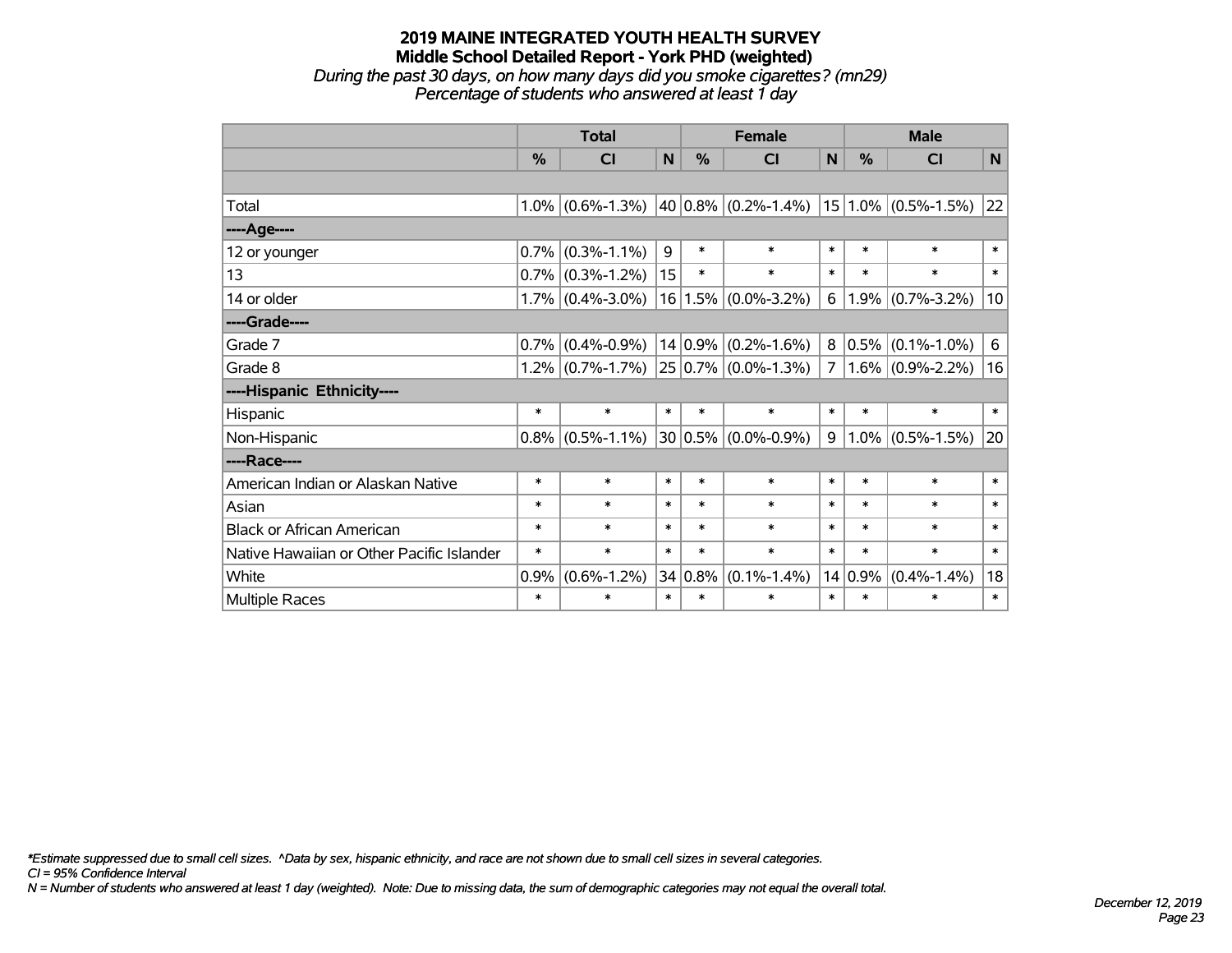*During the past 30 days, on how many days did you smoke cigarettes? (mn29) Percentage of students who answered at least 1 day*

|                                           | <b>Total</b> |                     |        | <b>Female</b> |                                             |                | <b>Male</b> |                     |        |
|-------------------------------------------|--------------|---------------------|--------|---------------|---------------------------------------------|----------------|-------------|---------------------|--------|
|                                           | %            | <b>CI</b>           | N      | %             | <b>CI</b>                                   | N              | $\%$        | <b>CI</b>           | N      |
|                                           |              |                     |        |               |                                             |                |             |                     |        |
| Total                                     | 1.0%         | $(0.6\% - 1.3\%)$   |        |               | 40 0.8% (0.2%-1.4%)   15   1.0% (0.5%-1.5%) |                |             |                     | 22     |
| ----Age----                               |              |                     |        |               |                                             |                |             |                     |        |
| 12 or younger                             | 0.7%         | $(0.3\% - 1.1\%)$   | 9      | $\ast$        | $\ast$                                      | $\ast$         | $\ast$      | $\ast$              | $\ast$ |
| 13                                        |              | $0.7\%$ (0.3%-1.2%) | 15     | $\ast$        | $\ast$                                      | $\ast$         | $\ast$      | $\ast$              | $\ast$ |
| 14 or older                               |              | $1.7\%$ (0.4%-3.0%) |        |               | $16 1.5\% $ (0.0%-3.2%)                     | 6              |             | $1.9\%$ (0.7%-3.2%) | 10     |
| ----Grade----                             |              |                     |        |               |                                             |                |             |                     |        |
| Grade 7                                   | 0.7%         | $(0.4\% - 0.9\%)$   |        |               | $14 0.9\% $ (0.2%-1.6%)                     |                | $8 0.5\% $  | $(0.1\% - 1.0\%)$   | 6      |
| Grade 8                                   | 1.2%         | $(0.7\% - 1.7\%)$   |        |               | $25 0.7\% $ (0.0%-1.3%)                     | 7 <sup>1</sup> |             | $1.6\%$ (0.9%-2.2%) | 16     |
| ----Hispanic Ethnicity----                |              |                     |        |               |                                             |                |             |                     |        |
| Hispanic                                  | $\ast$       | $\ast$              | $\ast$ | $\ast$        | $\ast$                                      | $\ast$         | $\ast$      | $\ast$              | $\ast$ |
| Non-Hispanic                              | 0.8%         | $(0.5\% - 1.1\%)$   |        |               | $30 0.5\% $ (0.0%-0.9%)                     | 9              |             | $1.0\%$ (0.5%-1.5%) | 20     |
| ----Race----                              |              |                     |        |               |                                             |                |             |                     |        |
| American Indian or Alaskan Native         | $\ast$       | $\ast$              | $\ast$ | $\ast$        | $\ast$                                      | $\ast$         | $\ast$      | $\ast$              | $\ast$ |
| Asian                                     | $\ast$       | $\ast$              | $\ast$ | $\ast$        | $\ast$                                      | $\ast$         | $\ast$      | $\ast$              | $\ast$ |
| <b>Black or African American</b>          | *            | $\ast$              | $\ast$ | $\ast$        | $\ast$                                      | $\ast$         | $\ast$      | $\ast$              | $\ast$ |
| Native Hawaiian or Other Pacific Islander | $\ast$       | $\ast$              | $\ast$ | $\ast$        | $\ast$                                      | $\ast$         | $\ast$      | $\ast$              | $\ast$ |
| White                                     | 0.9%         | $(0.6\% - 1.2\%)$   |        | $34 0.8\%$    | $(0.1\% - 1.4\%)$                           |                | $14 0.9\%$  | $(0.4\% - 1.4\%)$   | 18     |
| Multiple Races                            | $\ast$       | $\ast$              | $\ast$ | $\ast$        | $\ast$                                      | $\ast$         | $\ast$      | $\ast$              | $\ast$ |

*\*Estimate suppressed due to small cell sizes. ^Data by sex, hispanic ethnicity, and race are not shown due to small cell sizes in several categories.*

*CI = 95% Confidence Interval*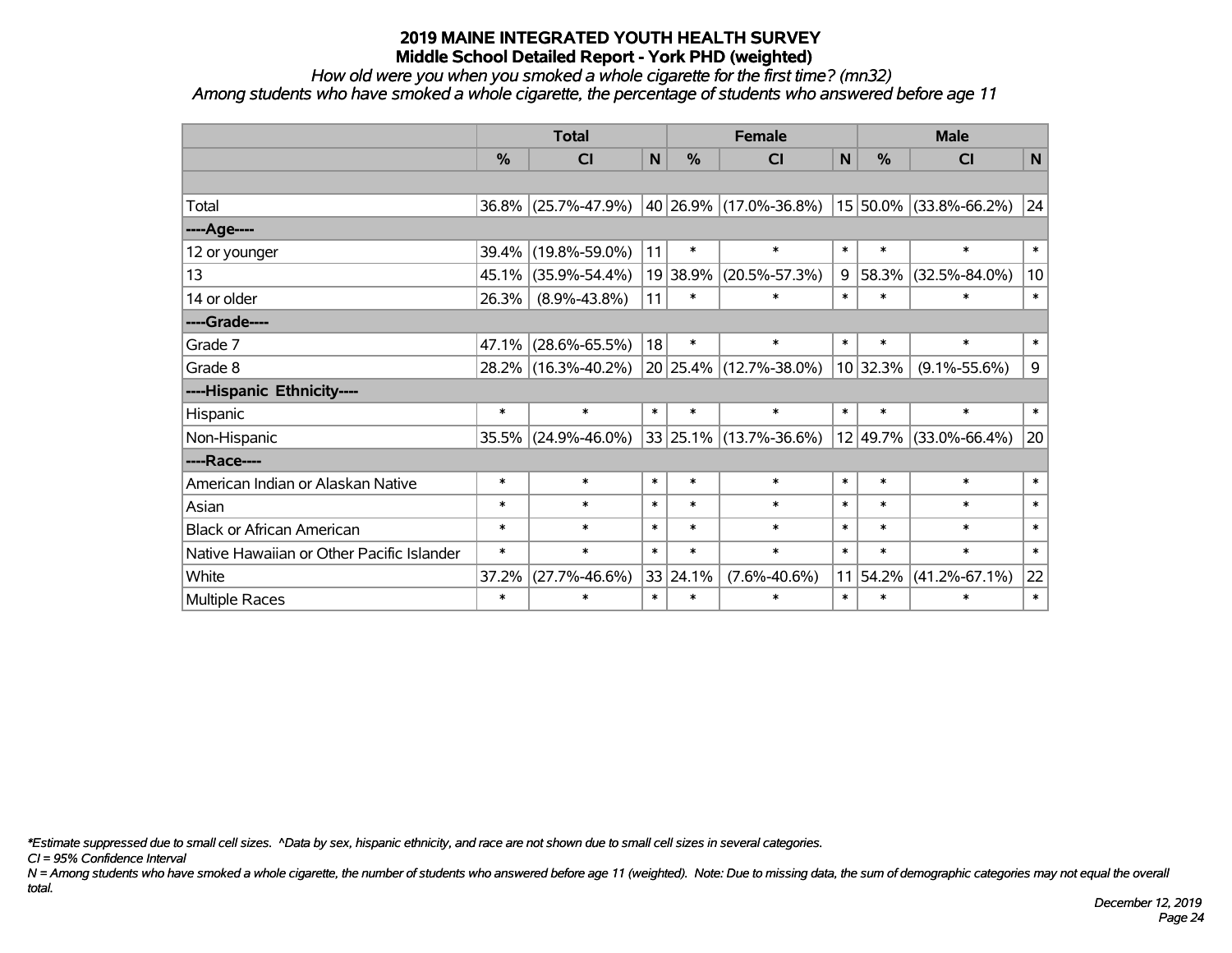*How old were you when you smoked a whole cigarette for the first time? (mn32)*

*Among students who have smoked a whole cigarette, the percentage of students who answered before age 11*

|                                           | <b>Total</b>  |                     |             | <b>Female</b> | <b>Male</b>            |              |               |                            |              |
|-------------------------------------------|---------------|---------------------|-------------|---------------|------------------------|--------------|---------------|----------------------------|--------------|
|                                           | $\frac{0}{0}$ | <b>CI</b>           | $\mathbf N$ | %             | <b>CI</b>              | $\mathsf{N}$ | $\frac{0}{0}$ | <b>CI</b>                  | $\mathsf{N}$ |
|                                           |               |                     |             |               |                        |              |               |                            |              |
| Total                                     |               | 36.8% (25.7%-47.9%) |             |               | 40 26.9% (17.0%-36.8%) |              |               | $15 50.0\% $ (33.8%-66.2%) | 24           |
| ----Age----                               |               |                     |             |               |                        |              |               |                            |              |
| 12 or younger                             | 39.4%         | $(19.8\% - 59.0\%)$ | 11          | $\ast$        | $\ast$                 | $\ast$       | $\ast$        | $\ast$                     | $\ast$       |
| 13                                        | 45.1%         | $(35.9\% - 54.4\%)$ |             | 19 38.9%      | $(20.5\% - 57.3\%)$    | 9            | 58.3%         | $(32.5\% - 84.0\%)$        | 10           |
| 14 or older                               | 26.3%         | $(8.9\% - 43.8\%)$  | 11          | $\ast$        | $\ast$                 | $\ast$       | $\ast$        | $\ast$                     | $\ast$       |
| ----Grade----                             |               |                     |             |               |                        |              |               |                            |              |
| Grade 7                                   | 47.1%         | $(28.6\% - 65.5\%)$ | 18          | $\ast$        | $\ast$                 | $\ast$       | $\ast$        | $\ast$                     | $\ast$       |
| Grade 8                                   |               | 28.2% (16.3%-40.2%) |             |               | 20 25.4% (12.7%-38.0%) |              | 10 32.3%      | $(9.1\% - 55.6\%)$         | 9            |
| ----Hispanic Ethnicity----                |               |                     |             |               |                        |              |               |                            |              |
| Hispanic                                  | $\ast$        | $\ast$              | $\ast$      | $\ast$        | $\ast$                 | $\ast$       | $\ast$        | $\ast$                     | $\ast$       |
| Non-Hispanic                              |               | 35.5% (24.9%-46.0%) |             |               | 33 25.1% (13.7%-36.6%) |              | 12 49.7%      | $(33.0\% - 66.4\%)$        | 20           |
| ----Race----                              |               |                     |             |               |                        |              |               |                            |              |
| American Indian or Alaskan Native         | $\ast$        | $\ast$              | $\ast$      | $\ast$        | $\ast$                 | $\ast$       | $\ast$        | $\ast$                     | $\ast$       |
| Asian                                     | $\ast$        | $\ast$              | $\ast$      | $\ast$        | $\ast$                 | $\ast$       | $\ast$        | $\ast$                     | $\ast$       |
| <b>Black or African American</b>          | $\ast$        | $\ast$              | $\ast$      | $\ast$        | $\ast$                 | $\ast$       | $\ast$        | $\ast$                     | $\ast$       |
| Native Hawaiian or Other Pacific Islander | $\ast$        | $\ast$              | $\ast$      | $\ast$        | $\ast$                 | $\ast$       | $\ast$        | $\ast$                     | $\ast$       |
| White                                     | 37.2%         | $(27.7\% - 46.6\%)$ |             | 33 24.1%      | $(7.6\% - 40.6\%)$     | 11           | 54.2%         | $(41.2\% - 67.1\%)$        | 22           |
| Multiple Races                            | $\ast$        | $\ast$              | $\ast$      | $\ast$        | $\ast$                 | $\ast$       | $\ast$        | $\ast$                     | $\ast$       |

*\*Estimate suppressed due to small cell sizes. ^Data by sex, hispanic ethnicity, and race are not shown due to small cell sizes in several categories.*

*CI = 95% Confidence Interval*

*N = Among students who have smoked a whole cigarette, the number of students who answered before age 11 (weighted). Note: Due to missing data, the sum of demographic categories may not equal the overall total.*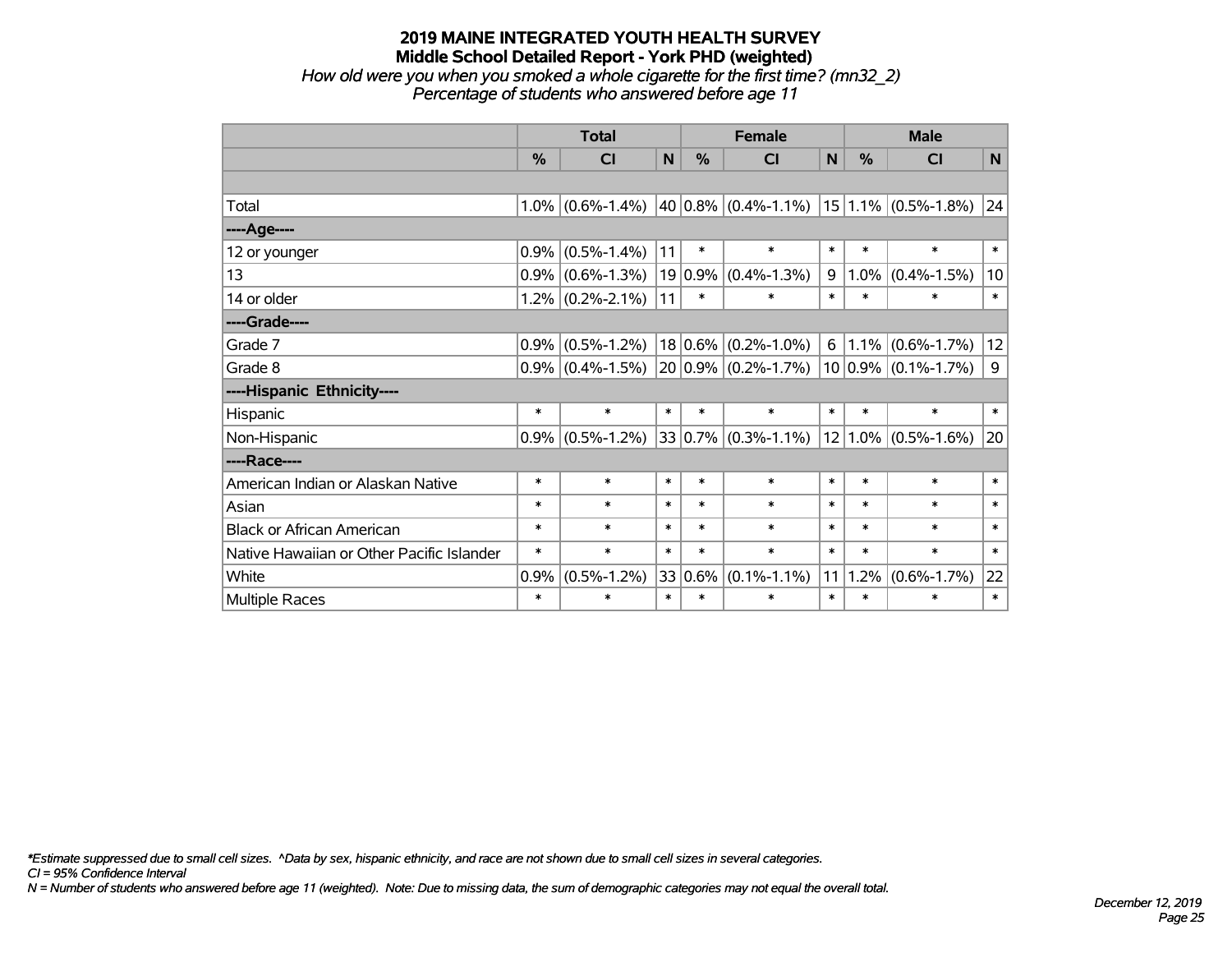*How old were you when you smoked a whole cigarette for the first time? (mn32\_2) Percentage of students who answered before age 11*

|                                           | <b>Total</b> |                         |        |             | <b>Female</b>                 |        | <b>Male</b> |                         |              |  |
|-------------------------------------------|--------------|-------------------------|--------|-------------|-------------------------------|--------|-------------|-------------------------|--------------|--|
|                                           | %            | $\overline{\mathsf{C}}$ | N      | %           | <b>CI</b>                     | N      | %           | CI                      | $\mathsf{N}$ |  |
|                                           |              |                         |        |             |                               |        |             |                         |              |  |
| Total                                     | 1.0%         | $(0.6\% - 1.4\%)$       |        |             | 40 0.8% $(0.4\text{%-1.1\%)}$ |        |             | $15 1.1\% $ (0.5%-1.8%) | 24           |  |
| ----Age----                               |              |                         |        |             |                               |        |             |                         |              |  |
| 12 or younger                             | 0.9%         | $(0.5\% - 1.4\%)$       | 11     | $\ast$      | $\ast$                        | $\ast$ | $\ast$      | $\ast$                  | $\ast$       |  |
| 13                                        | 0.9%         | $(0.6\% - 1.3\%)$       |        | $19 0.9\% $ | $(0.4\% - 1.3\%)$             | 9      | $1.0\%$     | $(0.4\% - 1.5\%)$       | 10           |  |
| 14 or older                               |              | $1.2\%$ (0.2%-2.1%)     | 11     | $\ast$      | $\ast$                        | $\ast$ | $\ast$      | $\ast$                  | $\ast$       |  |
| ----Grade----                             |              |                         |        |             |                               |        |             |                         |              |  |
| Grade 7                                   | 0.9%         | $(0.5\% - 1.2\%)$       |        |             | $18 0.6\% $ (0.2%-1.0%)       | 6      | $1.1\%$     | $(0.6\% - 1.7\%)$       | 12           |  |
| Grade 8                                   |              | $0.9\%$ (0.4%-1.5%)     |        |             | $20 0.9\% $ (0.2%-1.7%)       |        |             | $10 0.9\% $ (0.1%-1.7%) | 9            |  |
| ----Hispanic Ethnicity----                |              |                         |        |             |                               |        |             |                         |              |  |
| Hispanic                                  | $\ast$       | $\ast$                  | $\ast$ | $\ast$      | $\ast$                        | $\ast$ | $\ast$      | $\ast$                  | $\ast$       |  |
| Non-Hispanic                              | 0.9%         | $(0.5\% - 1.2\%)$       |        |             | $33 0.7\% $ (0.3%-1.1%)       |        | $12 1.0\% $ | $(0.5\% - 1.6\%)$       | 20           |  |
| ----Race----                              |              |                         |        |             |                               |        |             |                         |              |  |
| American Indian or Alaskan Native         | $\ast$       | $\ast$                  | $\ast$ | $\ast$      | $\ast$                        | $\ast$ | $\ast$      | $\ast$                  | $\ast$       |  |
| Asian                                     | $\ast$       | $\ast$                  | $\ast$ | $\ast$      | $\ast$                        | $\ast$ | $\ast$      | $\ast$                  | $\ast$       |  |
| <b>Black or African American</b>          | $\ast$       | $\ast$                  | $\ast$ | $\ast$      | $\ast$                        | $\ast$ | $\ast$      | $\ast$                  | $\ast$       |  |
| Native Hawaiian or Other Pacific Islander | $\ast$       | $\ast$                  | $\ast$ | $\ast$      | $\ast$                        | $\ast$ | $\ast$      | $\ast$                  | $\ast$       |  |
| White                                     | 0.9%         | $(0.5\% - 1.2\%)$       |        | 33 0.6%     | $(0.1\% - 1.1\%)$             | 11     | 1.2%        | $(0.6\% - 1.7\%)$       | 22           |  |
| Multiple Races                            | $\ast$       | $\ast$                  | $\ast$ | $\ast$      | $\ast$                        | $\ast$ | $\ast$      | $\ast$                  | $\ast$       |  |

*\*Estimate suppressed due to small cell sizes. ^Data by sex, hispanic ethnicity, and race are not shown due to small cell sizes in several categories.*

*CI = 95% Confidence Interval*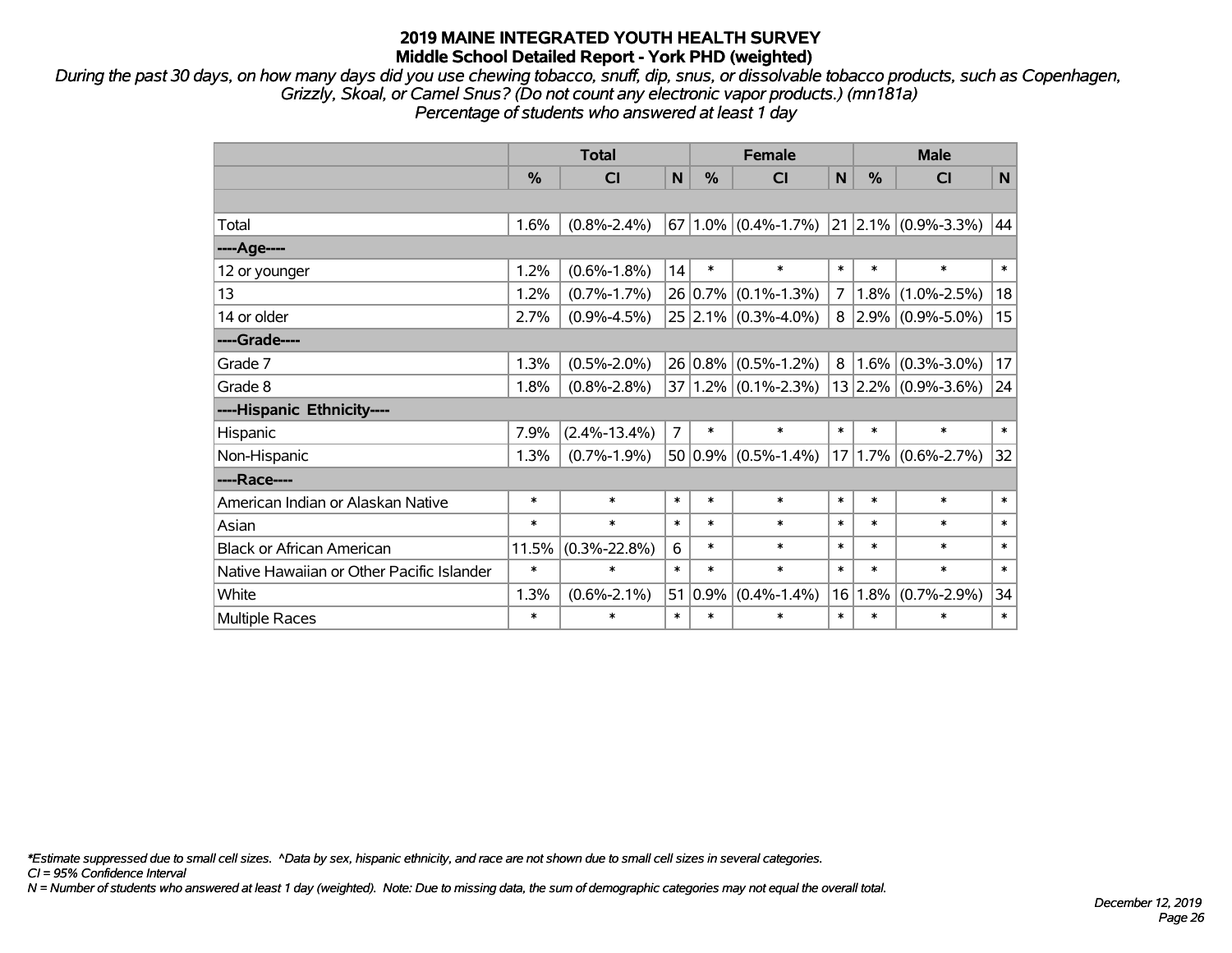*During the past 30 days, on how many days did you use chewing tobacco, snuff, dip, snus, or dissolvable tobacco products, such as Copenhagen, Grizzly, Skoal, or Camel Snus? (Do not count any electronic vapor products.) (mn181a) Percentage of students who answered at least 1 day*

|                                           |        | <b>Total</b>       |                |             | <b>Female</b>                               |        |        | <b>Male</b>              |        |
|-------------------------------------------|--------|--------------------|----------------|-------------|---------------------------------------------|--------|--------|--------------------------|--------|
|                                           | %      | <b>CI</b>          | N              | %           | CI                                          | N      | %      | CI                       | N      |
|                                           |        |                    |                |             |                                             |        |        |                          |        |
| Total                                     | 1.6%   | $(0.8\% - 2.4\%)$  |                |             | $67 1.0\% $ (0.4%-1.7%) 21 2.1% (0.9%-3.3%) |        |        |                          | 44     |
| ----Age----                               |        |                    |                |             |                                             |        |        |                          |        |
| 12 or younger                             | 1.2%   | $(0.6\% - 1.8\%)$  | 14             | $\ast$      | $\ast$                                      | $\ast$ | $\ast$ | $\ast$                   | $\ast$ |
| 13                                        | 1.2%   | $(0.7\% - 1.7\%)$  |                | 26 0.7%     | $(0.1\% - 1.3\%)$                           | 7      | 1.8%   | $(1.0\% - 2.5\%)$        | 18     |
| 14 or older                               | 2.7%   | $(0.9\% - 4.5\%)$  |                |             | $25 2.1\% $ (0.3%-4.0%)                     |        |        | $8$   2.9%   (0.9%-5.0%) | 15     |
| ----Grade----                             |        |                    |                |             |                                             |        |        |                          |        |
| Grade 7                                   | 1.3%   | $(0.5\% - 2.0\%)$  |                | $26 0.8\% $ | $(0.5\% - 1.2\%)$                           | 8      | 1.6%   | $(0.3\% - 3.0\%)$        | 17     |
| Grade 8                                   | 1.8%   | $(0.8\% - 2.8\%)$  |                |             | $37 1.2\% $ (0.1%-2.3%)                     |        |        | $13 2.2\% $ (0.9%-3.6%)  | 24     |
| ----Hispanic Ethnicity----                |        |                    |                |             |                                             |        |        |                          |        |
| Hispanic                                  | 7.9%   | $(2.4\% - 13.4\%)$ | $\overline{7}$ | $\ast$      | $\ast$                                      | $\ast$ | $\ast$ | $\ast$                   | $\ast$ |
| Non-Hispanic                              | 1.3%   | $(0.7\% - 1.9\%)$  |                | $50 0.9\% $ | $(0.5\% - 1.4\%)$                           | 17     |        | $1.7\%$ (0.6%-2.7%)      | 32     |
| ----Race----                              |        |                    |                |             |                                             |        |        |                          |        |
| American Indian or Alaskan Native         | $\ast$ | $\ast$             | $\ast$         | $\ast$      | $\ast$                                      | $\ast$ | $\ast$ | $\ast$                   | $\ast$ |
| Asian                                     | $\ast$ | $\ast$             | $\ast$         | $\ast$      | $\ast$                                      | $\ast$ | $\ast$ | $\ast$                   | $\ast$ |
| <b>Black or African American</b>          | 11.5%  | $(0.3\% - 22.8\%)$ | 6              | $\ast$      | $\ast$                                      | $\ast$ | $\ast$ | $\ast$                   | $\ast$ |
| Native Hawaiian or Other Pacific Islander | $\ast$ | $\ast$             | $\ast$         | $\ast$      | $\ast$                                      | $\ast$ | $\ast$ | $\ast$                   | $\ast$ |
| White                                     | 1.3%   | $(0.6\% - 2.1\%)$  | 51             | 0.9%        | $(0.4\% - 1.4\%)$                           | 16     | 1.8%   | $(0.7\% - 2.9\%)$        | 34     |
| <b>Multiple Races</b>                     | $\ast$ | $\ast$             | $\ast$         | $\ast$      | $\ast$                                      | $\ast$ | $\ast$ | *                        | $\ast$ |

*\*Estimate suppressed due to small cell sizes. ^Data by sex, hispanic ethnicity, and race are not shown due to small cell sizes in several categories.*

*CI = 95% Confidence Interval*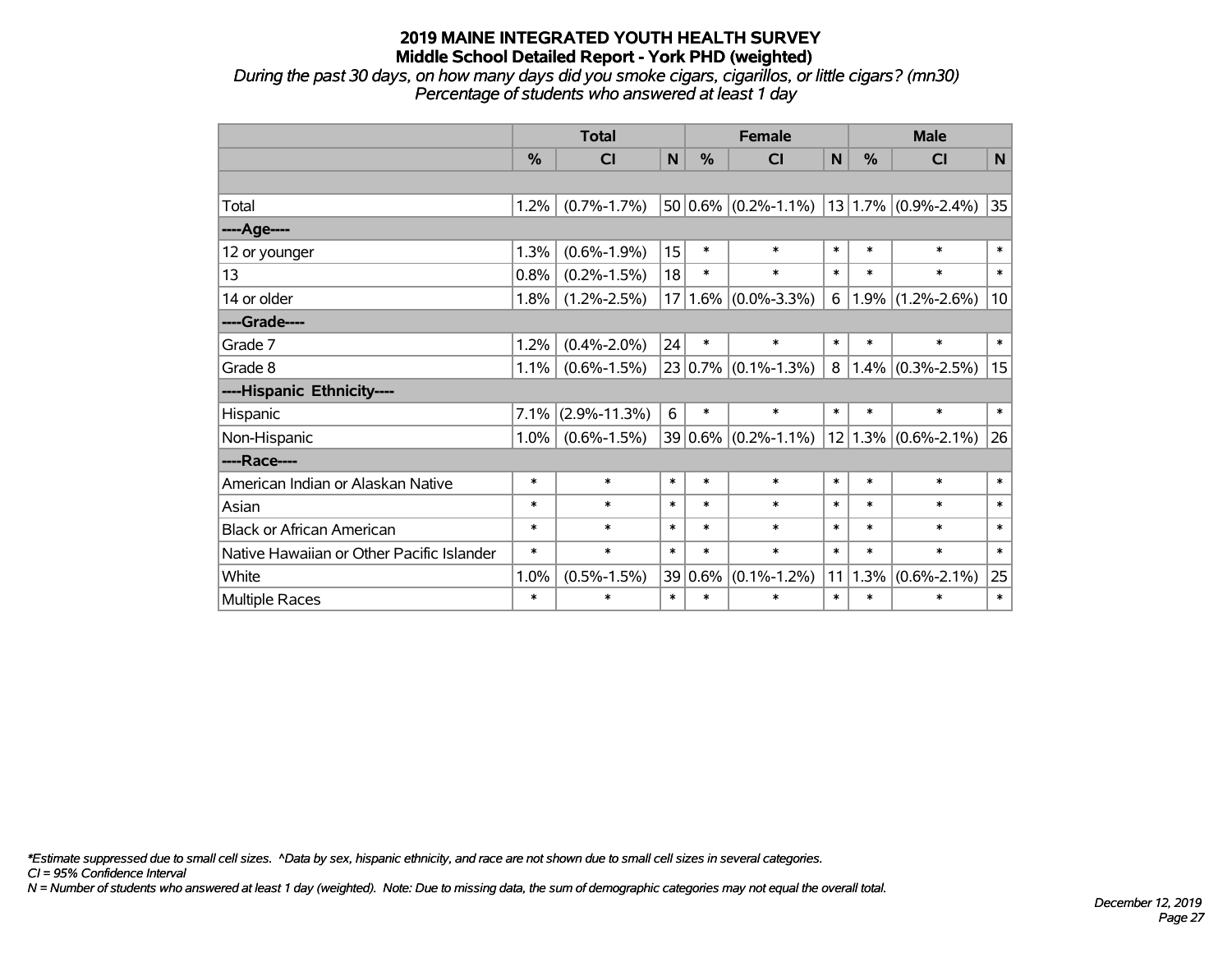*During the past 30 days, on how many days did you smoke cigars, cigarillos, or little cigars? (mn30) Percentage of students who answered at least 1 day*

|                                           |               | <b>Total</b>            |        | <b>Female</b> |                                                   |        | <b>Male</b> |                         |        |  |
|-------------------------------------------|---------------|-------------------------|--------|---------------|---------------------------------------------------|--------|-------------|-------------------------|--------|--|
|                                           | $\frac{0}{0}$ | $\overline{\mathsf{C}}$ | N      | $\frac{0}{0}$ | <b>CI</b>                                         | N      | $\%$        | <b>CI</b>               | N      |  |
|                                           |               |                         |        |               |                                                   |        |             |                         |        |  |
| Total                                     | 1.2%          | $(0.7\% - 1.7\%)$       |        |               | $50 0.6\% $ (0.2%-1.1%)   13   1.7%   (0.9%-2.4%) |        |             |                         | 35     |  |
| ---- Age----                              |               |                         |        |               |                                                   |        |             |                         |        |  |
| 12 or younger                             | 1.3%          | $(0.6\% - 1.9\%)$       | 15     | $\ast$        | $\ast$                                            | $\ast$ | $\ast$      | $\ast$                  | $\ast$ |  |
| 13                                        | 0.8%          | $(0.2\% - 1.5\%)$       | 18     | $\ast$        | $\ast$                                            | $\ast$ | $\ast$      | $\ast$                  | $\ast$ |  |
| 14 or older                               | 1.8%          | $(1.2\% - 2.5\%)$       |        | $17 1.6\% $   | $(0.0\% - 3.3\%)$                                 | 6      |             | $1.9\%$ (1.2%-2.6%)     | 10     |  |
| ----Grade----                             |               |                         |        |               |                                                   |        |             |                         |        |  |
| Grade 7                                   | 1.2%          | $(0.4\% - 2.0\%)$       | 24     | $\ast$        | $\ast$                                            | $\ast$ | $\ast$      | $\ast$                  | $\ast$ |  |
| Grade 8                                   | 1.1%          | $(0.6\% - 1.5\%)$       |        |               | $23 0.7\% $ (0.1%-1.3%)                           | 8      | 1.4%        | $(0.3\% - 2.5\%)$       | 15     |  |
| ----Hispanic Ethnicity----                |               |                         |        |               |                                                   |        |             |                         |        |  |
| Hispanic                                  | 7.1%          | $(2.9\% - 11.3\%)$      | 6      | $\ast$        | $\ast$                                            | $\ast$ | $\ast$      | $\ast$                  | $\ast$ |  |
| Non-Hispanic                              | $1.0\%$       | $(0.6\% - 1.5\%)$       |        |               | $39 0.6\% $ (0.2%-1.1%)                           |        |             | $12 1.3\% $ (0.6%-2.1%) | 26     |  |
| ----Race----                              |               |                         |        |               |                                                   |        |             |                         |        |  |
| American Indian or Alaskan Native         | $\ast$        | $\ast$                  | $\ast$ | $\ast$        | $\ast$                                            | $\ast$ | $\ast$      | $\ast$                  | $\ast$ |  |
| Asian                                     | $\ast$        | $\ast$                  | $\ast$ | $\ast$        | $\ast$                                            | $\ast$ | $\ast$      | $\ast$                  | $\ast$ |  |
| <b>Black or African American</b>          | $\ast$        | $\ast$                  | $\ast$ | $\ast$        | $\ast$                                            | $\ast$ | $\ast$      | $\ast$                  | $\ast$ |  |
| Native Hawaiian or Other Pacific Islander | $\ast$        | $\ast$                  | $\ast$ | $\ast$        | $\ast$                                            | $\ast$ | $\ast$      | $\ast$                  | $\ast$ |  |
| White                                     | 1.0%          | $(0.5\% - 1.5\%)$       |        | 39 0.6%       | $(0.1\% - 1.2\%)$                                 | 11     | 1.3%        | $(0.6\% - 2.1\%)$       | 25     |  |
| Multiple Races                            | $\ast$        | $\ast$                  | $\ast$ | $\ast$        | $\ast$                                            | $\ast$ | $\ast$      | $\ast$                  | $\ast$ |  |

*\*Estimate suppressed due to small cell sizes. ^Data by sex, hispanic ethnicity, and race are not shown due to small cell sizes in several categories.*

*CI = 95% Confidence Interval*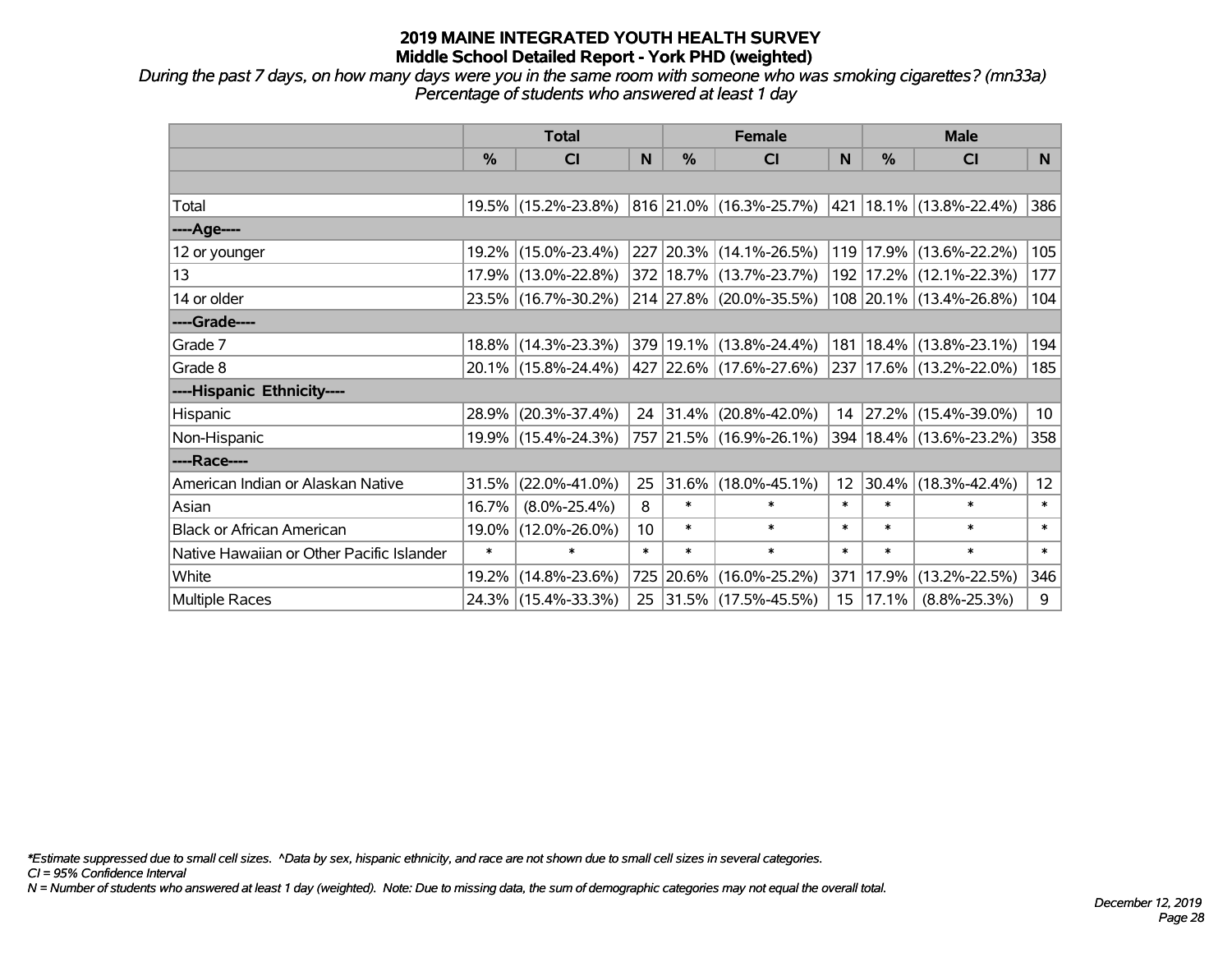*During the past 7 days, on how many days were you in the same room with someone who was smoking cigarettes? (mn33a) Percentage of students who answered at least 1 day*

|                                           | <b>Total</b> |                     |                 |          | <b>Female</b>                                        |                  | <b>Male</b> |                             |        |  |
|-------------------------------------------|--------------|---------------------|-----------------|----------|------------------------------------------------------|------------------|-------------|-----------------------------|--------|--|
|                                           | $\%$         | <b>CI</b>           | N               | $\%$     | <b>CI</b>                                            | N                | $\%$        | <b>CI</b>                   | N      |  |
|                                           |              |                     |                 |          |                                                      |                  |             |                             |        |  |
| Total                                     |              | 19.5% (15.2%-23.8%) |                 |          | $ 816 21.0\% $ (16.3%-25.7%) 421 18.1% (13.8%-22.4%) |                  |             |                             | 386    |  |
| ----Age----                               |              |                     |                 |          |                                                      |                  |             |                             |        |  |
| 12 or younger                             | 19.2%        | $(15.0\% - 23.4\%)$ |                 |          | 227 20.3% (14.1%-26.5%)                              |                  |             | 119 17.9% (13.6%-22.2%)     | 105    |  |
| 13                                        |              | 17.9% (13.0%-22.8%) |                 |          | 372 18.7% (13.7%-23.7%)                              |                  |             | 192 17.2% (12.1%-22.3%)     | 177    |  |
| 14 or older                               |              | 23.5% (16.7%-30.2%) |                 |          | 214 27.8% (20.0%-35.5%)                              |                  |             | 108 20.1% (13.4%-26.8%)     | 104    |  |
| ----Grade----                             |              |                     |                 |          |                                                      |                  |             |                             |        |  |
| Grade 7                                   | $18.8\%$     | $(14.3\% - 23.3\%)$ |                 |          | 379 19.1% (13.8%-24.4%)                              | 181              |             | $18.4\%$ (13.8%-23.1%)      | 194    |  |
| Grade 8                                   |              | 20.1% (15.8%-24.4%) |                 |          | 427   22.6%   (17.6%-27.6%)                          |                  |             | 237 17.6% (13.2%-22.0%)     | 185    |  |
| ----Hispanic Ethnicity----                |              |                     |                 |          |                                                      |                  |             |                             |        |  |
| Hispanic                                  | 28.9%        | $(20.3\% - 37.4\%)$ |                 | 24 31.4% | $(20.8\% - 42.0\%)$                                  | 14               |             | 27.2% (15.4%-39.0%)         | 10     |  |
| Non-Hispanic                              |              | 19.9% (15.4%-24.3%) |                 |          | 757 21.5% (16.9%-26.1%)                              |                  |             | 394   18.4%   (13.6%-23.2%) | 358    |  |
| ----Race----                              |              |                     |                 |          |                                                      |                  |             |                             |        |  |
| American Indian or Alaskan Native         | 31.5%        | $(22.0\% - 41.0\%)$ | 25              | 31.6%    | $(18.0\% - 45.1\%)$                                  | 12               | 30.4%       | $(18.3\% - 42.4\%)$         | 12     |  |
| Asian                                     | 16.7%        | $(8.0\% - 25.4\%)$  | 8               | $\ast$   | $\ast$                                               | $\ast$           | $\ast$      | $\ast$                      | $\ast$ |  |
| <b>Black or African American</b>          | 19.0%        | $(12.0\% - 26.0\%)$ | 10 <sup>1</sup> | $\ast$   | $\ast$                                               | $\ast$           | $\ast$      | $\ast$                      | $\ast$ |  |
| Native Hawaiian or Other Pacific Islander | $\ast$       | $\ast$              | $\ast$          | $\ast$   | $\ast$                                               | $\ast$           | $\ast$      | $\ast$                      | $\ast$ |  |
| White                                     | 19.2%        | $(14.8\% - 23.6\%)$ | 725             | $20.6\%$ | $(16.0\% - 25.2\%)$                                  | 371              | 17.9%       | $(13.2\% - 22.5\%)$         | 346    |  |
| <b>Multiple Races</b>                     |              | 24.3% (15.4%-33.3%) |                 |          | 25 31.5% (17.5%-45.5%)                               | 15 <sub>15</sub> | 17.1%       | $(8.8\% - 25.3\%)$          | 9      |  |

*\*Estimate suppressed due to small cell sizes. ^Data by sex, hispanic ethnicity, and race are not shown due to small cell sizes in several categories.*

*CI = 95% Confidence Interval*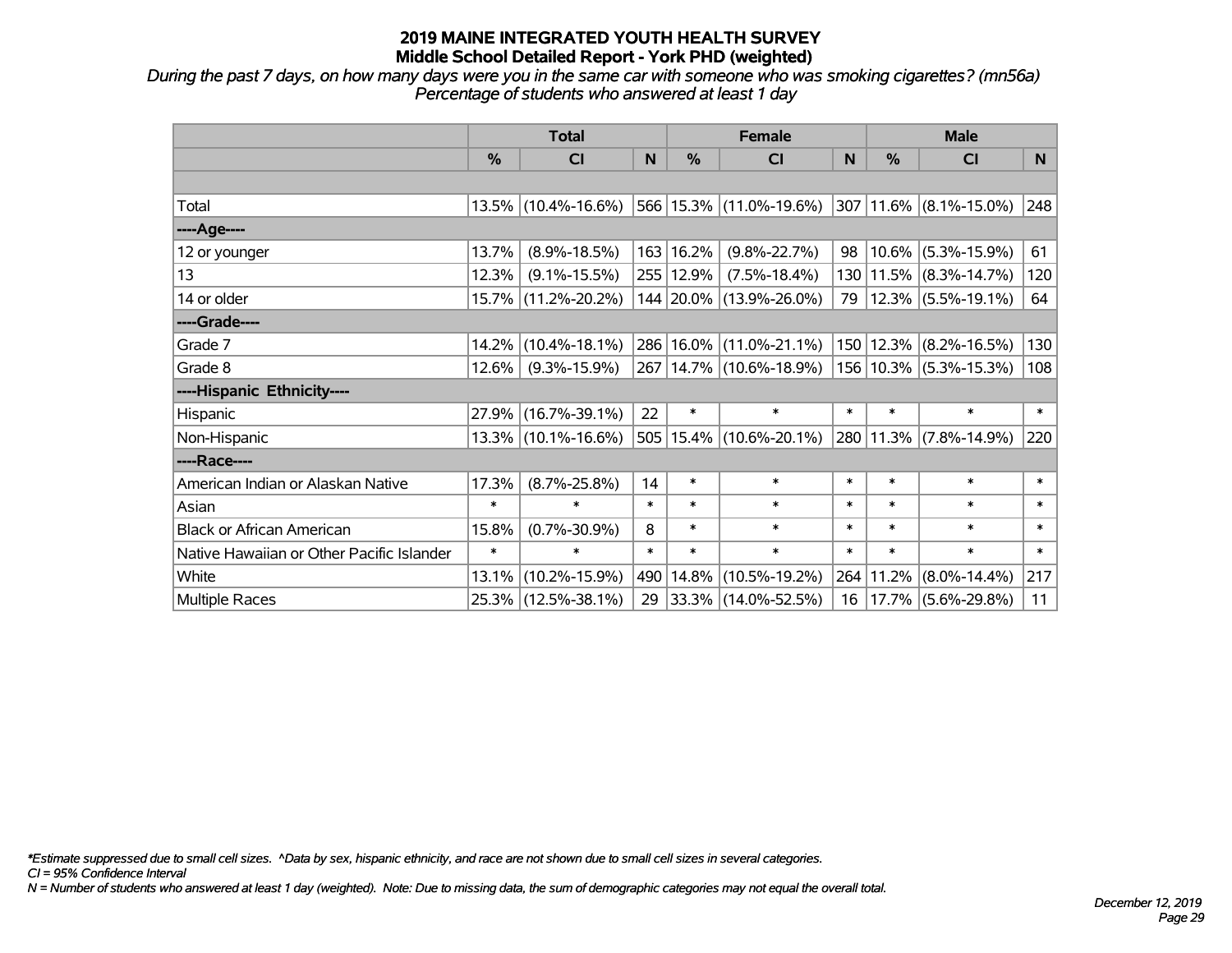*During the past 7 days, on how many days were you in the same car with someone who was smoking cigarettes? (mn56a) Percentage of students who answered at least 1 day*

|                                           | <b>Total</b> |                        |        |           | <b>Female</b>                                            | <b>Male</b> |           |                             |        |
|-------------------------------------------|--------------|------------------------|--------|-----------|----------------------------------------------------------|-------------|-----------|-----------------------------|--------|
|                                           | $\%$         | <b>CI</b>              | N      | %         | <b>CI</b>                                                | N           | $\%$      | <b>CI</b>                   | N      |
|                                           |              |                        |        |           |                                                          |             |           |                             |        |
| Total                                     |              | $13.5\%$ (10.4%-16.6%) |        |           | $ 566 15.3\% $ (11.0%-19.6%) 307 11.6% (8.1%-15.0%)      |             |           |                             | 248    |
| ----Age----                               |              |                        |        |           |                                                          |             |           |                             |        |
| 12 or younger                             | 13.7%        | $(8.9\% - 18.5\%)$     |        | 163 16.2% | $(9.8\% - 22.7\%)$                                       | 98          |           | $10.6\%$ (5.3%-15.9%)       | 61     |
| 13                                        | 12.3%        | $(9.1\% - 15.5\%)$     |        | 255 12.9% | $(7.5\% - 18.4\%)$                                       |             |           | 130 11.5% (8.3%-14.7%)      | 120    |
| 14 or older                               |              | 15.7% (11.2%-20.2%)    |        |           | 144 20.0% (13.9%-26.0%)                                  | 79          |           | $12.3\%$ (5.5%-19.1%)       | 64     |
| ----Grade----                             |              |                        |        |           |                                                          |             |           |                             |        |
| Grade 7                                   | 14.2%        | $(10.4\% - 18.1\%)$    |        |           | 286 16.0% (11.0%-21.1%)                                  |             |           | $ 150 12.3\% $ (8.2%-16.5%) | 130    |
| Grade 8                                   | 12.6%        | $(9.3\% - 15.9\%)$     |        |           | 267   14.7%   (10.6%-18.9%)   156   10.3%   (5.3%-15.3%) |             |           |                             | 108    |
| ----Hispanic Ethnicity----                |              |                        |        |           |                                                          |             |           |                             |        |
| Hispanic                                  | 27.9%        | $(16.7\% - 39.1\%)$    | 22     | $\ast$    | $\ast$                                                   | $\ast$      | $\ast$    | $\ast$                      | $\ast$ |
| Non-Hispanic                              |              | 13.3% (10.1%-16.6%)    |        |           | 505 15.4% (10.6%-20.1%)                                  |             | 280 11.3% | $(7.8\% - 14.9\%)$          | 220    |
| ----Race----                              |              |                        |        |           |                                                          |             |           |                             |        |
| American Indian or Alaskan Native         | 17.3%        | $(8.7\% - 25.8\%)$     | 14     | $\ast$    | $\ast$                                                   | $\ast$      | $\ast$    | $\ast$                      | $\ast$ |
| Asian                                     | $\ast$       | $\ast$                 | $\ast$ | $\ast$    | $\ast$                                                   | $\ast$      | $\ast$    | $\ast$                      | $\ast$ |
| <b>Black or African American</b>          | 15.8%        | $(0.7\% - 30.9\%)$     | 8      | $\ast$    | $\ast$                                                   | $\ast$      | $\ast$    | $\ast$                      | $\ast$ |
| Native Hawaiian or Other Pacific Islander | $\ast$       | $\ast$                 | $\ast$ | $\ast$    | $\ast$                                                   | $\ast$      | $\ast$    | $\ast$                      | $\ast$ |
| White                                     | 13.1%        | $(10.2\% - 15.9\%)$    | 490    | 14.8%     | $(10.5\% - 19.2\%)$                                      |             | 264 11.2% | $(8.0\% - 14.4\%)$          | 217    |
| <b>Multiple Races</b>                     |              | 25.3% (12.5%-38.1%)    | 29     |           | $ 33.3\% $ (14.0%-52.5%)                                 | 16          |           | $ 17.7\% $ (5.6%-29.8%)     | 11     |

*\*Estimate suppressed due to small cell sizes. ^Data by sex, hispanic ethnicity, and race are not shown due to small cell sizes in several categories.*

*CI = 95% Confidence Interval*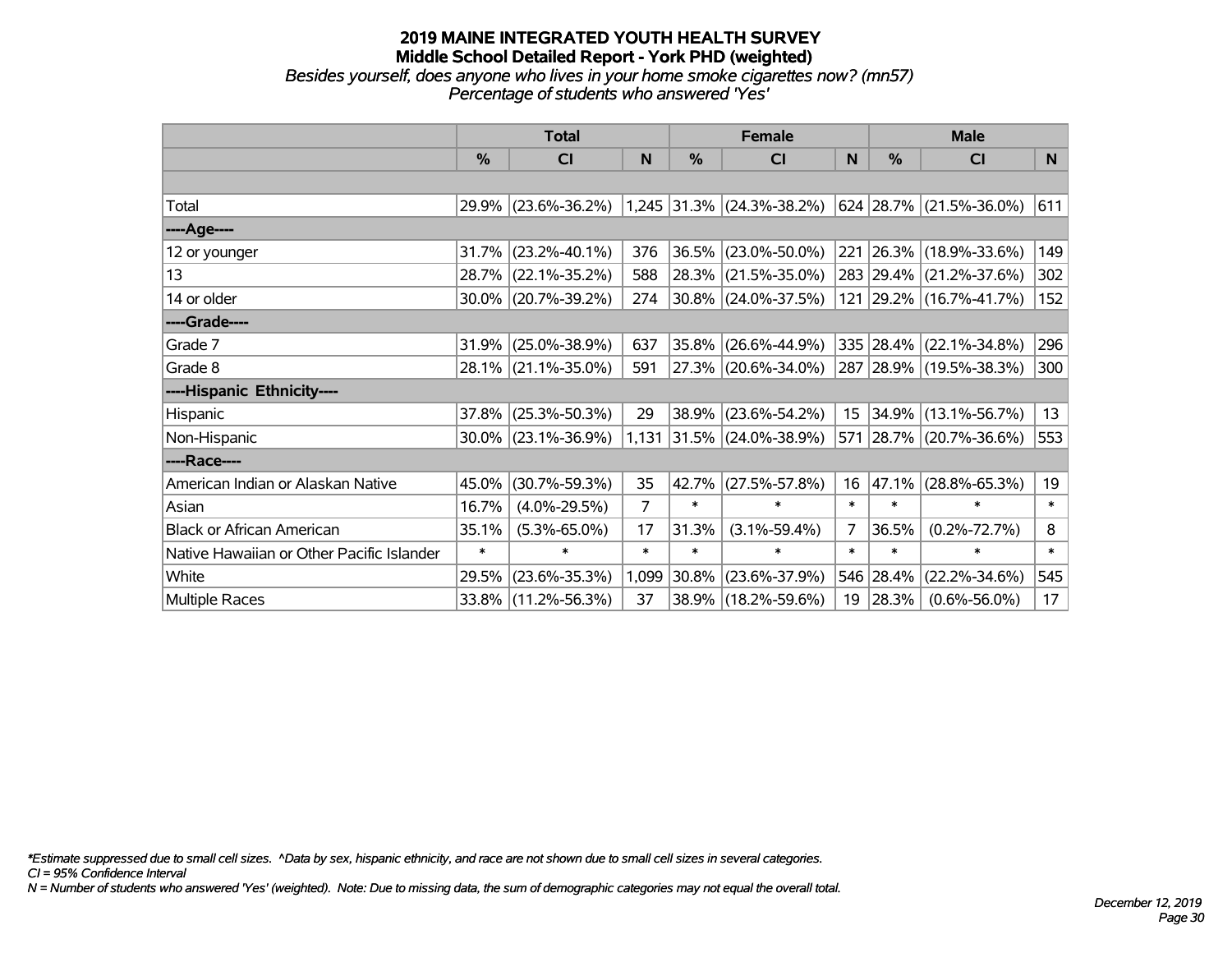#### **2019 MAINE INTEGRATED YOUTH HEALTH SURVEY Middle School Detailed Report - York PHD (weighted)** *Besides yourself, does anyone who lives in your home smoke cigarettes now? (mn57) Percentage of students who answered 'Yes'*

|                                           | <b>Total</b>  |                     |                |        | <b>Female</b>               |                 | <b>Male</b>   |                         |        |  |
|-------------------------------------------|---------------|---------------------|----------------|--------|-----------------------------|-----------------|---------------|-------------------------|--------|--|
|                                           | $\frac{0}{0}$ | CI                  | N              | %      | CI                          | N               | $\frac{0}{0}$ | <b>CI</b>               | N.     |  |
|                                           |               |                     |                |        |                             |                 |               |                         |        |  |
| Total                                     |               | 29.9% (23.6%-36.2%) |                |        | $1,245$ 31.3% (24.3%-38.2%) |                 |               | 624 28.7% (21.5%-36.0%) | 611    |  |
| ----Age----                               |               |                     |                |        |                             |                 |               |                         |        |  |
| 12 or younger                             | 31.7%         | $(23.2\% - 40.1\%)$ | 376            | 36.5%  | $(23.0\% - 50.0\%)$         |                 |               | 221 26.3% (18.9%-33.6%) | 149    |  |
| 13                                        |               | 28.7% (22.1%-35.2%) | 588            | 28.3%  | $(21.5\% - 35.0\%)$         |                 |               | 283 29.4% (21.2%-37.6%) | 302    |  |
| 14 or older                               |               | 30.0% (20.7%-39.2%) | 274            |        | $ 30.8\% $ (24.0%-37.5%)    |                 |               | 121 29.2% (16.7%-41.7%) | 152    |  |
| ----Grade----                             |               |                     |                |        |                             |                 |               |                         |        |  |
| Grade 7                                   | 31.9%         | $(25.0\% - 38.9\%)$ | 637            | 35.8%  | $(26.6\% - 44.9\%)$         |                 |               | 335 28.4% (22.1%-34.8%) | 296    |  |
| Grade 8                                   |               | 28.1% (21.1%-35.0%) | 591            |        | 27.3% (20.6%-34.0%)         |                 |               | 287 28.9% (19.5%-38.3%) | 300    |  |
| ----Hispanic Ethnicity----                |               |                     |                |        |                             |                 |               |                         |        |  |
| Hispanic                                  | 37.8%         | $(25.3\% - 50.3\%)$ | 29             | 38.9%  | $(23.6\% - 54.2\%)$         | 15 <sub>1</sub> |               | $34.9\%$ (13.1%-56.7%)  | 13     |  |
| Non-Hispanic                              |               | 30.0% (23.1%-36.9%) |                |        | 1,131 31.5% (24.0%-38.9%)   |                 |               | 571 28.7% (20.7%-36.6%) | 553    |  |
| ----Race----                              |               |                     |                |        |                             |                 |               |                         |        |  |
| American Indian or Alaskan Native         | 45.0%         | $(30.7\% - 59.3\%)$ | 35             | 42.7%  | $(27.5\% - 57.8\%)$         | 16              | 47.1%         | $(28.8\% - 65.3\%)$     | 19     |  |
| Asian                                     | 16.7%         | $(4.0\% - 29.5\%)$  | $\overline{7}$ | $\ast$ | $\ast$                      | $\ast$          | $\ast$        | $\ast$                  | $\ast$ |  |
| <b>Black or African American</b>          | 35.1%         | $(5.3\% - 65.0\%)$  | 17             | 31.3%  | $(3.1\% - 59.4\%)$          | 7               | 36.5%         | $(0.2\% - 72.7\%)$      | 8      |  |
| Native Hawaiian or Other Pacific Islander | $\ast$        | $\ast$              | $\ast$         | $\ast$ | $\ast$                      | $\ast$          | $\ast$        | $\ast$                  | $\ast$ |  |
| White                                     | 29.5%         | $(23.6\% - 35.3\%)$ | 1,099          | 30.8%  | $(23.6\% - 37.9\%)$         |                 | 546 28.4%     | $(22.2\% - 34.6\%)$     | 545    |  |
| <b>Multiple Races</b>                     |               | 33.8% (11.2%-56.3%) | 37             | 38.9%  | $(18.2\% - 59.6\%)$         | 19              | 28.3%         | $(0.6\% - 56.0\%)$      | 17     |  |

*\*Estimate suppressed due to small cell sizes. ^Data by sex, hispanic ethnicity, and race are not shown due to small cell sizes in several categories.*

*CI = 95% Confidence Interval*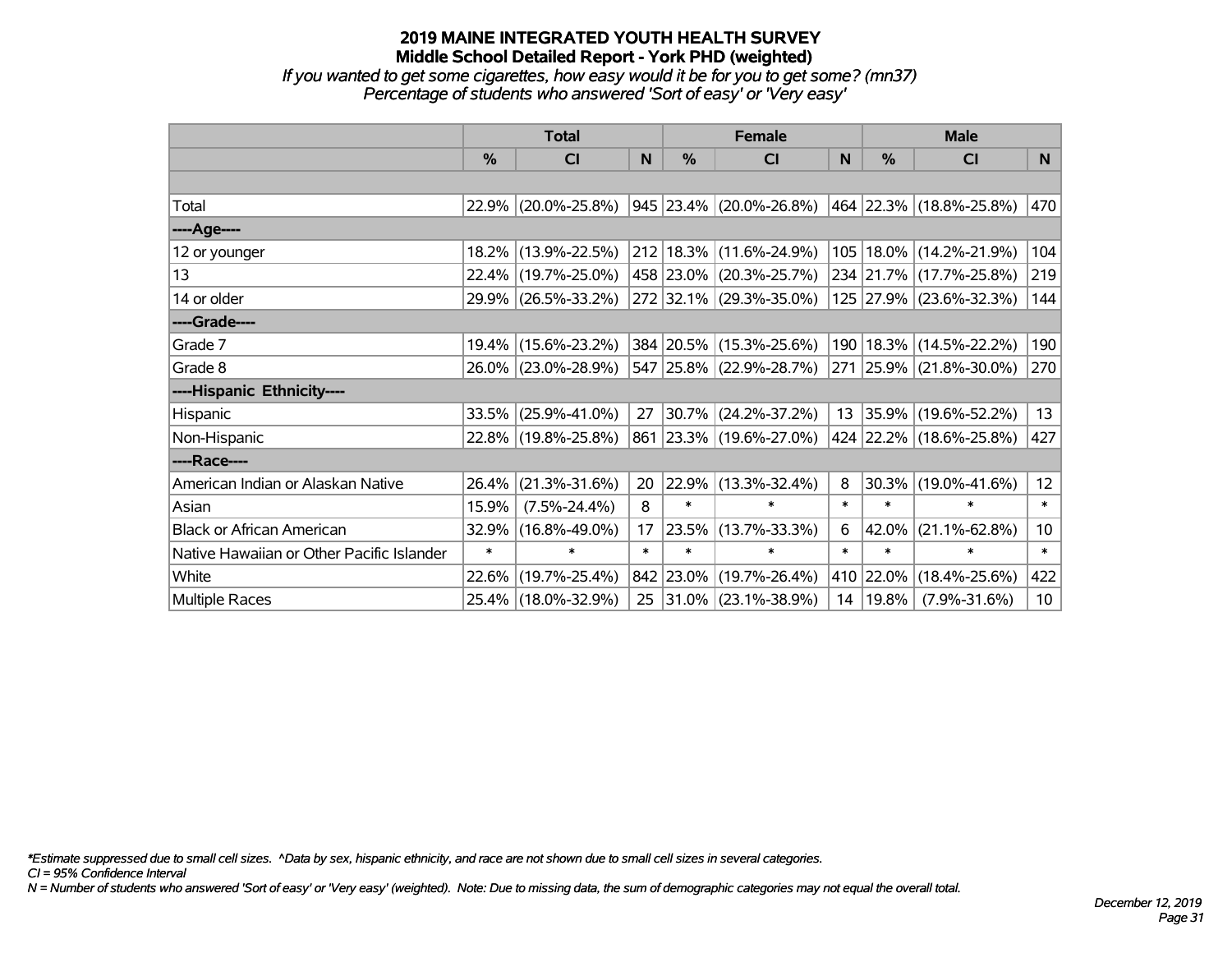*If you wanted to get some cigarettes, how easy would it be for you to get some? (mn37) Percentage of students who answered 'Sort of easy' or 'Very easy'*

|                                           | <b>Total</b>  |                     |        |               | <b>Female</b>                    |              | <b>Male</b> |                             |                 |  |
|-------------------------------------------|---------------|---------------------|--------|---------------|----------------------------------|--------------|-------------|-----------------------------|-----------------|--|
|                                           | $\frac{0}{0}$ | <b>CI</b>           | N      | $\frac{9}{6}$ | <b>CI</b>                        | <sub>N</sub> | %           | <b>CI</b>                   | N.              |  |
|                                           |               |                     |        |               |                                  |              |             |                             |                 |  |
| Total                                     |               | 22.9% (20.0%-25.8%) |        |               | $ 945 23.4\%  (20.0\% - 26.8\%)$ |              |             | 464   22.3%   (18.8%-25.8%) | 470             |  |
| ----Age----                               |               |                     |        |               |                                  |              |             |                             |                 |  |
| 12 or younger                             |               | 18.2% (13.9%-22.5%) |        |               | 212 18.3% (11.6%-24.9%)          | 105          |             | 18.0% (14.2%-21.9%)         | 104             |  |
| 13                                        |               | 22.4% (19.7%-25.0%) |        |               | 458 23.0% (20.3%-25.7%)          |              |             | 234 21.7% (17.7%-25.8%)     | 219             |  |
| 14 or older                               |               | 29.9% (26.5%-33.2%) |        |               | 272 32.1% (29.3%-35.0%)          |              |             | 125 27.9% (23.6%-32.3%)     | 144             |  |
| ----Grade----                             |               |                     |        |               |                                  |              |             |                             |                 |  |
| Grade 7                                   | $19.4\%$      | $(15.6\% - 23.2\%)$ |        |               | 384 20.5% (15.3%-25.6%)          | 190          | 18.3%       | $(14.5\% - 22.2\%)$         | 190             |  |
| Grade 8                                   |               | 26.0% (23.0%-28.9%) |        |               | 547 25.8% (22.9%-28.7%)          |              |             | 271 25.9% (21.8%-30.0%)     | 270             |  |
| ----Hispanic Ethnicity----                |               |                     |        |               |                                  |              |             |                             |                 |  |
| Hispanic                                  | 33.5%         | $(25.9\% - 41.0\%)$ | 27     |               | 30.7% (24.2%-37.2%)              |              | 13 35.9%    | $(19.6\% - 52.2\%)$         | 13              |  |
| Non-Hispanic                              |               | 22.8% (19.8%-25.8%) |        |               | 861 23.3% (19.6%-27.0%)          |              |             | 424 22.2% (18.6%-25.8%)     | 427             |  |
| ----Race----                              |               |                     |        |               |                                  |              |             |                             |                 |  |
| American Indian or Alaskan Native         | 26.4%         | $(21.3\% - 31.6\%)$ | 20     |               | 22.9% (13.3%-32.4%)              | 8            | 30.3%       | $(19.0\% - 41.6\%)$         | 12 <sub>2</sub> |  |
| Asian                                     | 15.9%         | $(7.5\% - 24.4\%)$  | 8      | $\ast$        | $\ast$                           | $\ast$       | $\ast$      | $\ast$                      | $\ast$          |  |
| <b>Black or African American</b>          | 32.9%         | $(16.8\% - 49.0\%)$ | 17     | 23.5%         | $(13.7\% - 33.3\%)$              | 6            | 42.0%       | $(21.1\% - 62.8\%)$         | 10 <sub>1</sub> |  |
| Native Hawaiian or Other Pacific Islander | $\ast$        | $\ast$              | $\ast$ | *             | $\ast$                           | $\ast$       | $\ast$      | $\ast$                      | $\ast$          |  |
| White                                     | 22.6%         | $(19.7\% - 25.4\%)$ |        |               | 842 23.0% (19.7%-26.4%)          |              | 410 22.0%   | $(18.4\% - 25.6\%)$         | 422             |  |
| Multiple Races                            |               | 25.4% (18.0%-32.9%) | 25     |               | $ 31.0\% $ (23.1%-38.9%)         | 14           | 19.8%       | $(7.9\% - 31.6\%)$          | 10 <sub>1</sub> |  |

*\*Estimate suppressed due to small cell sizes. ^Data by sex, hispanic ethnicity, and race are not shown due to small cell sizes in several categories.*

*CI = 95% Confidence Interval*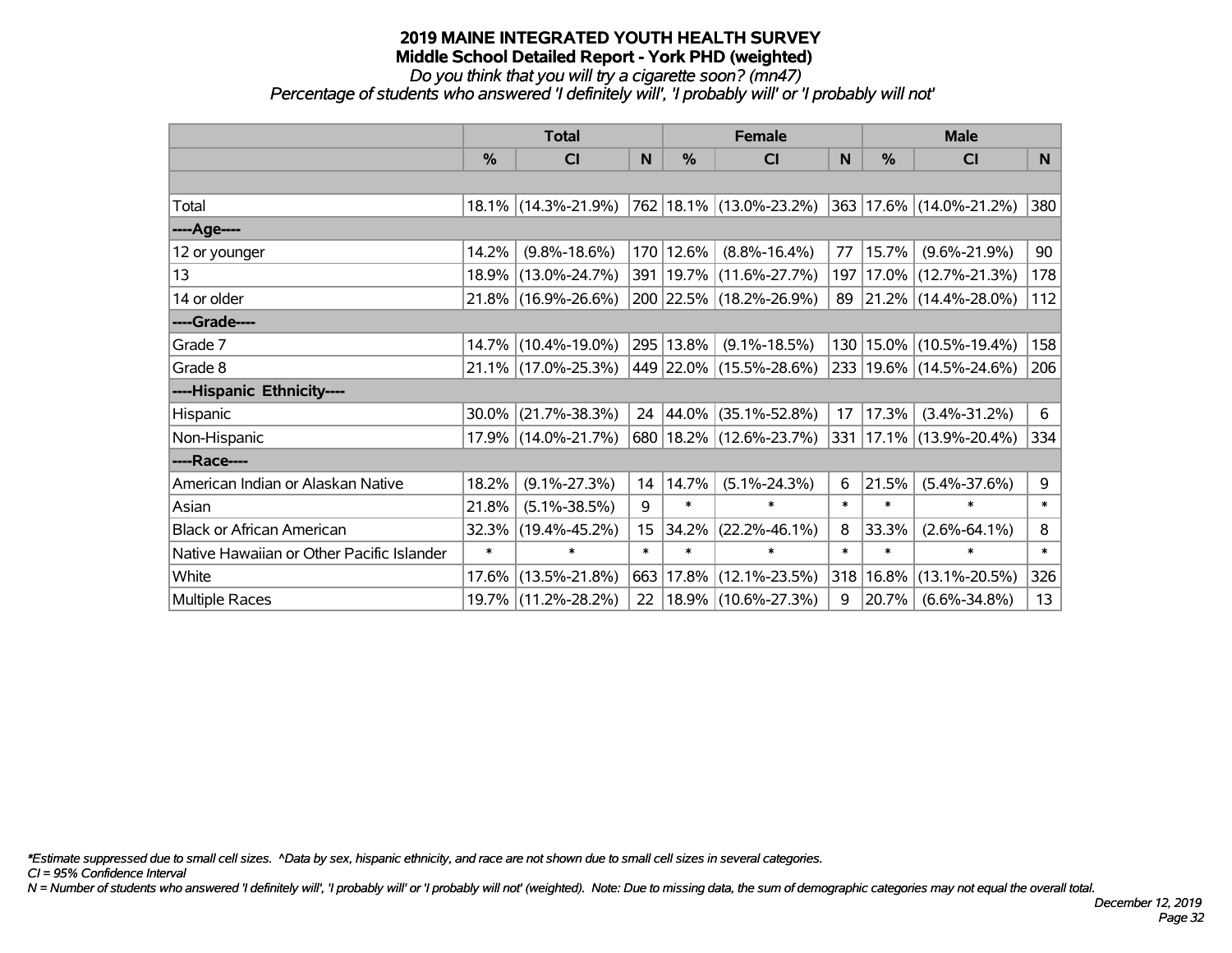## *Do you think that you will try a cigarette soon? (mn47)*

*Percentage of students who answered 'I definitely will', 'I probably will' or 'I probably will not'*

|                                           | <b>Total</b> |                                             |        |           | <b>Female</b>               |        | <b>Male</b> |                         |              |  |
|-------------------------------------------|--------------|---------------------------------------------|--------|-----------|-----------------------------|--------|-------------|-------------------------|--------------|--|
|                                           | $\%$         | <b>CI</b>                                   | N      | %         | <b>CI</b>                   | N      | $\%$        | <b>CI</b>               | N            |  |
|                                           |              |                                             |        |           |                             |        |             |                         |              |  |
| Total                                     |              | 18.1% (14.3%-21.9%) 762 18.1% (13.0%-23.2%) |        |           |                             |        |             | 363 17.6% (14.0%-21.2%) | 380          |  |
| ----Age----                               |              |                                             |        |           |                             |        |             |                         |              |  |
| 12 or younger                             | 14.2%        | $(9.8\% - 18.6\%)$                          |        | 170 12.6% | $(8.8\% - 16.4\%)$          | 77     | 15.7%       | $(9.6\% - 21.9\%)$      | 90           |  |
| 13                                        |              | 18.9% (13.0%-24.7%)                         |        |           | 391   19.7%   (11.6%-27.7%) | 197    |             | 17.0% (12.7%-21.3%)     | 178          |  |
| 14 or older                               |              | 21.8% (16.9%-26.6%)                         |        |           | 200 22.5% (18.2%-26.9%)     |        |             | 89 21.2% (14.4%-28.0%)  | 112          |  |
| ----Grade----                             |              |                                             |        |           |                             |        |             |                         |              |  |
| Grade 7                                   |              | 14.7% (10.4%-19.0%)                         |        | 295 13.8% | $(9.1\% - 18.5\%)$          | 130    | $15.0\%$    | $(10.5\% - 19.4\%)$     | 158          |  |
| Grade 8                                   |              | $21.1\%$ (17.0%-25.3%)                      |        |           | 449   22.0%   (15.5%-28.6%) |        |             | 233 19.6% (14.5%-24.6%) | 206          |  |
| ----Hispanic Ethnicity----                |              |                                             |        |           |                             |        |             |                         |              |  |
| Hispanic                                  | 30.0%        | $(21.7\% - 38.3\%)$                         | 24     | $ 44.0\%$ | $(35.1\% - 52.8\%)$         | 17     | 17.3%       | $(3.4\% - 31.2\%)$      | 6            |  |
| Non-Hispanic                              |              | 17.9% (14.0%-21.7%)                         |        |           | 680   18.2%   (12.6%-23.7%) | 331    |             | 17.1% (13.9%-20.4%)     | 334          |  |
| ----Race----                              |              |                                             |        |           |                             |        |             |                         |              |  |
| American Indian or Alaskan Native         | 18.2%        | $(9.1\% - 27.3\%)$                          | 14     | 14.7%     | $(5.1\% - 24.3\%)$          | 6      | 21.5%       | $(5.4\% - 37.6\%)$      | 9            |  |
| Asian                                     | 21.8%        | $(5.1\% - 38.5\%)$                          | 9      | $\ast$    | $\ast$                      | $\ast$ | $\ast$      | $\ast$                  | $\ast$       |  |
| <b>Black or African American</b>          | 32.3%        | $(19.4\% - 45.2\%)$                         | 15     | 34.2%     | $(22.2\% - 46.1\%)$         | 8      | 33.3%       | $(2.6\% - 64.1\%)$      | 8            |  |
| Native Hawaiian or Other Pacific Islander | $\ast$       | $\ast$                                      | $\ast$ | $\ast$    | $\ast$                      | $\ast$ | $\ast$      | $\ast$                  | $\pmb{\ast}$ |  |
| White                                     | 17.6%        | $(13.5\% - 21.8\%)$                         | 663    | 17.8%     | $(12.1\% - 23.5\%)$         | 318    | 16.8%       | $(13.1\% - 20.5\%)$     | 326          |  |
| <b>Multiple Races</b>                     |              | 19.7% (11.2%-28.2%)                         | 22     |           | $ 18.9\% $ (10.6%-27.3%)    | 9      | 20.7%       | $(6.6\% - 34.8\%)$      | 13           |  |

*\*Estimate suppressed due to small cell sizes. ^Data by sex, hispanic ethnicity, and race are not shown due to small cell sizes in several categories.*

*CI = 95% Confidence Interval*

*N = Number of students who answered 'I definitely will', 'I probably will' or 'I probably will not' (weighted). Note: Due to missing data, the sum of demographic categories may not equal the overall total.*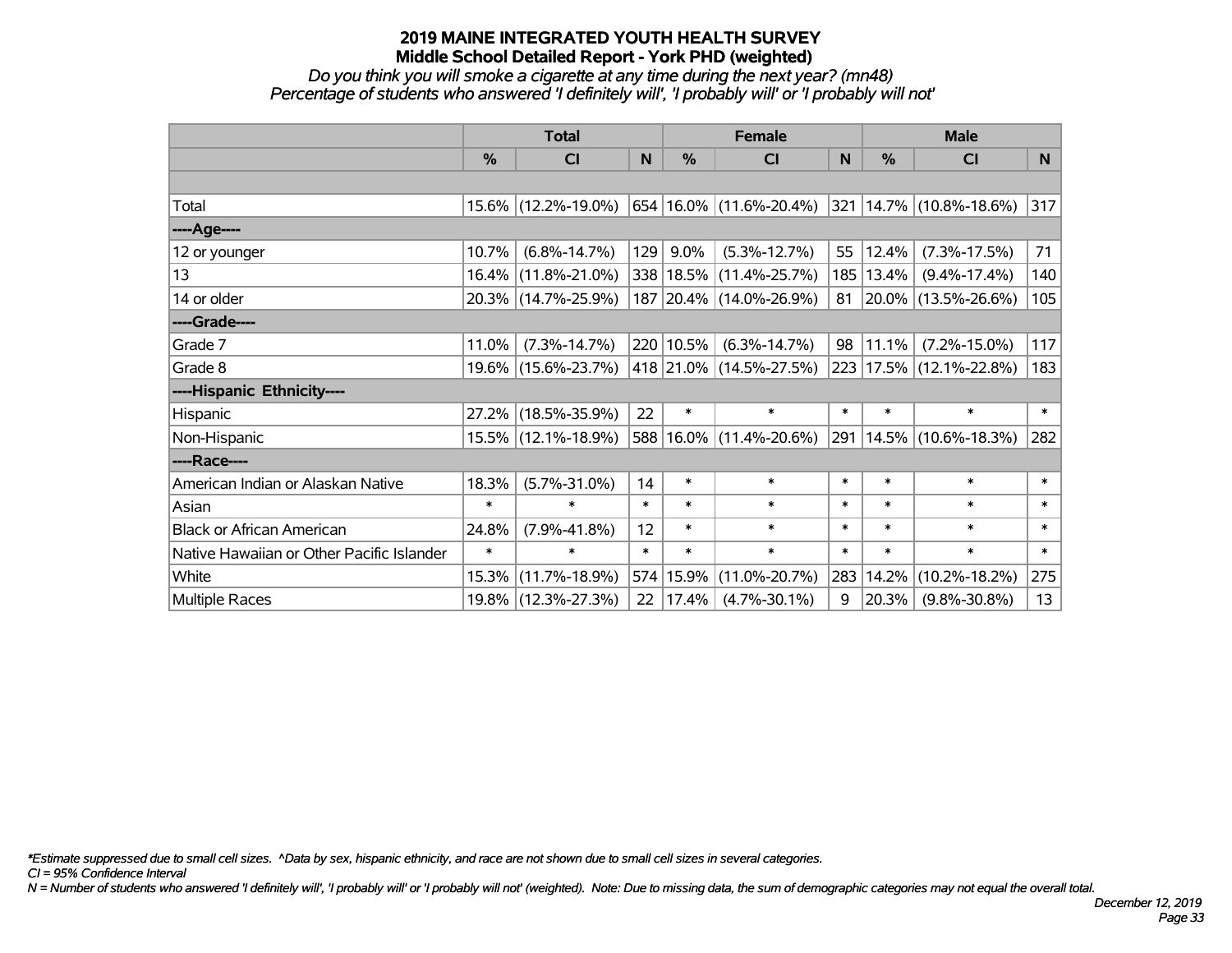#### *Do you think you will smoke a cigarette at any time during the next year? (mn48) Percentage of students who answered 'I definitely will', 'I probably will' or 'I probably will not'*

|                                           | <b>Total</b> |                     |        |           | <b>Female</b>               |        | <b>Male</b>   |                              |        |  |
|-------------------------------------------|--------------|---------------------|--------|-----------|-----------------------------|--------|---------------|------------------------------|--------|--|
|                                           | %            | <b>CI</b>           | N      | %         | <b>CI</b>                   | N      | $\frac{0}{0}$ | <b>CI</b>                    | N.     |  |
|                                           |              |                     |        |           |                             |        |               |                              |        |  |
| Total                                     |              | 15.6% (12.2%-19.0%) |        |           | 654 16.0% (11.6%-20.4%)     |        |               | $ 321 14.7\% $ (10.8%-18.6%) | 317    |  |
| ----Age----                               |              |                     |        |           |                             |        |               |                              |        |  |
| 12 or younger                             | 10.7%        | $(6.8\% - 14.7\%)$  | 129    | 9.0%      | $(5.3\% - 12.7\%)$          | 55     | 12.4%         | $(7.3\% - 17.5\%)$           | 71     |  |
| 13                                        |              | 16.4% (11.8%-21.0%) |        |           | 338   18.5%   (11.4%-25.7%) | 185    | $13.4\%$      | $(9.4\% - 17.4\%)$           | 140    |  |
| 14 or older                               |              | 20.3% (14.7%-25.9%) |        |           | 187 20.4% (14.0%-26.9%)     |        |               | 81 20.0% (13.5%-26.6%)       | 105    |  |
| ----Grade----                             |              |                     |        |           |                             |        |               |                              |        |  |
| Grade 7                                   | 11.0%        | $(7.3\% - 14.7\%)$  |        | 220 10.5% | $(6.3\% - 14.7\%)$          | 98     | 11.1%         | $(7.2\% - 15.0\%)$           | 117    |  |
| Grade 8                                   |              | 19.6% (15.6%-23.7%) |        |           | 418 21.0% (14.5%-27.5%)     |        |               | 223 17.5% (12.1%-22.8%)      | 183    |  |
| ----Hispanic Ethnicity----                |              |                     |        |           |                             |        |               |                              |        |  |
| Hispanic                                  |              | 27.2% (18.5%-35.9%) | 22     | $\ast$    | $\ast$                      | $\ast$ | $\ast$        | $\ast$                       | $\ast$ |  |
| Non-Hispanic                              |              | 15.5% (12.1%-18.9%) |        |           | 588 16.0% (11.4%-20.6%)     | 291    |               | 14.5% (10.6%-18.3%)          | 282    |  |
| ----Race----                              |              |                     |        |           |                             |        |               |                              |        |  |
| American Indian or Alaskan Native         | 18.3%        | $(5.7\% - 31.0\%)$  | 14     | $\ast$    | $\ast$                      | $\ast$ | $\ast$        | $\ast$                       | $\ast$ |  |
| Asian                                     | $\ast$       | $\ast$              | $\ast$ | $\ast$    | $\ast$                      | $\ast$ | $\ast$        | $\ast$                       | $\ast$ |  |
| <b>Black or African American</b>          | 24.8%        | $(7.9\% - 41.8\%)$  | 12     | $\ast$    | $\ast$                      | $\ast$ | $\ast$        | $\ast$                       | $\ast$ |  |
| Native Hawaiian or Other Pacific Islander | $\ast$       | $\ast$              | $\ast$ | $\ast$    | $\ast$                      | $\ast$ | $\ast$        | $\ast$                       | $\ast$ |  |
| White                                     |              | 15.3% (11.7%-18.9%) |        | 574 15.9% | $(11.0\% - 20.7\%)$         | 283    | 14.2%         | $(10.2\% - 18.2\%)$          | 275    |  |
| <b>Multiple Races</b>                     |              | 19.8% (12.3%-27.3%) | 22     | 17.4%     | $(4.7\% - 30.1\%)$          | 9      | 20.3%         | $(9.8\% - 30.8\%)$           | 13     |  |

*\*Estimate suppressed due to small cell sizes. ^Data by sex, hispanic ethnicity, and race are not shown due to small cell sizes in several categories.*

*CI = 95% Confidence Interval*

*N = Number of students who answered 'I definitely will', 'I probably will' or 'I probably will not' (weighted). Note: Due to missing data, the sum of demographic categories may not equal the overall total.*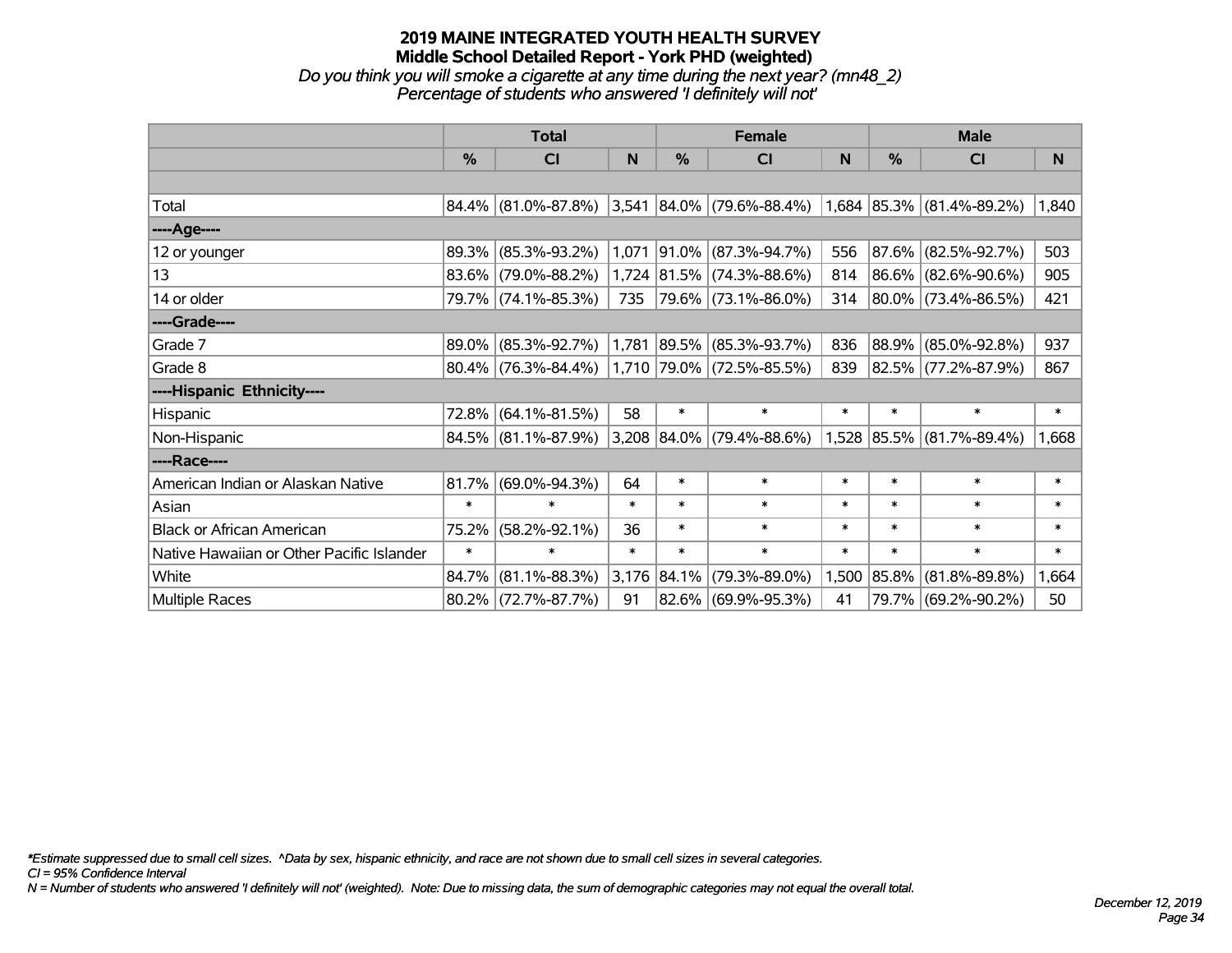#### **2019 MAINE INTEGRATED YOUTH HEALTH SURVEY Middle School Detailed Report - York PHD (weighted)** *Do you think you will smoke a cigarette at any time during the next year? (mn48\_2)*

*Percentage of students who answered 'I definitely will not'*

|                                           | <b>Total</b> |                        |        |               | <b>Female</b>               |        | <b>Male</b> |                           |        |  |
|-------------------------------------------|--------------|------------------------|--------|---------------|-----------------------------|--------|-------------|---------------------------|--------|--|
|                                           | $\%$         | <b>CI</b>              | N      | $\frac{0}{0}$ | <b>CI</b>                   | N      | %           | <b>CI</b>                 | N      |  |
|                                           |              |                        |        |               |                             |        |             |                           |        |  |
| Total                                     |              | $84.4\%$ (81.0%-87.8%) |        |               | $3,541$ 84.0% (79.6%-88.4%) |        |             | 1,684 85.3% (81.4%-89.2%) | 1,840  |  |
| ----Age----                               |              |                        |        |               |                             |        |             |                           |        |  |
| 12 or younger                             | 89.3%        | $(85.3\% - 93.2\%)$    | 1,071  |               | 91.0% (87.3%-94.7%)         | 556    |             | 87.6% (82.5%-92.7%)       | 503    |  |
| 13                                        |              | 83.6% (79.0%-88.2%)    |        |               | 1,724 81.5% (74.3%-88.6%)   | 814    |             | 86.6% (82.6%-90.6%)       | 905    |  |
| 14 or older                               |              | 79.7% (74.1%-85.3%)    | 735    |               | 79.6% (73.1%-86.0%)         | 314    |             | $ 80.0\% $ (73.4%-86.5%)  | 421    |  |
| ----Grade----                             |              |                        |        |               |                             |        |             |                           |        |  |
| Grade 7                                   | 89.0%        | $(85.3\% - 92.7\%)$    | 1,781  |               | $ 89.5\% $ (85.3%-93.7%)    | 836    |             | 88.9% (85.0%-92.8%)       | 937    |  |
| Grade 8                                   |              | $80.4\%$ (76.3%-84.4%) |        |               | 1,710 79.0% (72.5%-85.5%)   | 839    |             | 82.5% (77.2%-87.9%)       | 867    |  |
| ----Hispanic Ethnicity----                |              |                        |        |               |                             |        |             |                           |        |  |
| Hispanic                                  | 72.8%        | $(64.1\% - 81.5\%)$    | 58     | $\ast$        | $\ast$                      | $\ast$ | $\ast$      | $\ast$                    | $\ast$ |  |
| Non-Hispanic                              |              | 84.5% (81.1%-87.9%)    |        |               | 3,208 84.0% (79.4%-88.6%)   |        |             | 1,528 85.5% (81.7%-89.4%) | 1,668  |  |
| ----Race----                              |              |                        |        |               |                             |        |             |                           |        |  |
| American Indian or Alaskan Native         | 81.7%        | $(69.0\% - 94.3\%)$    | 64     | $\ast$        | $\ast$                      | $\ast$ | $\ast$      | $\ast$                    | $\ast$ |  |
| Asian                                     | $\ast$       | $\ast$                 | $\ast$ | $\ast$        | $\ast$                      | $\ast$ | $\ast$      | $\ast$                    | $\ast$ |  |
| <b>Black or African American</b>          | 75.2%        | $(58.2\% - 92.1\%)$    | 36     | $\ast$        | $\ast$                      | $\ast$ | $\ast$      | $\ast$                    | $\ast$ |  |
| Native Hawaiian or Other Pacific Islander | $\ast$       | $\ast$                 | $\ast$ | $\ast$        | $\ast$                      | $\ast$ | $\ast$      | $\ast$                    | $\ast$ |  |
| White                                     | 84.7%        | $(81.1\% - 88.3\%)$    |        | 3,176 84.1%   | $(79.3\% - 89.0\%)$         | 1,500  | 85.8%       | $(81.8\% - 89.8\%)$       | 1,664  |  |
| Multiple Races                            |              | $80.2\%$ (72.7%-87.7%) | 91     |               | 82.6% (69.9%-95.3%)         | 41     |             | 79.7% (69.2%-90.2%)       | 50     |  |

*\*Estimate suppressed due to small cell sizes. ^Data by sex, hispanic ethnicity, and race are not shown due to small cell sizes in several categories.*

*CI = 95% Confidence Interval*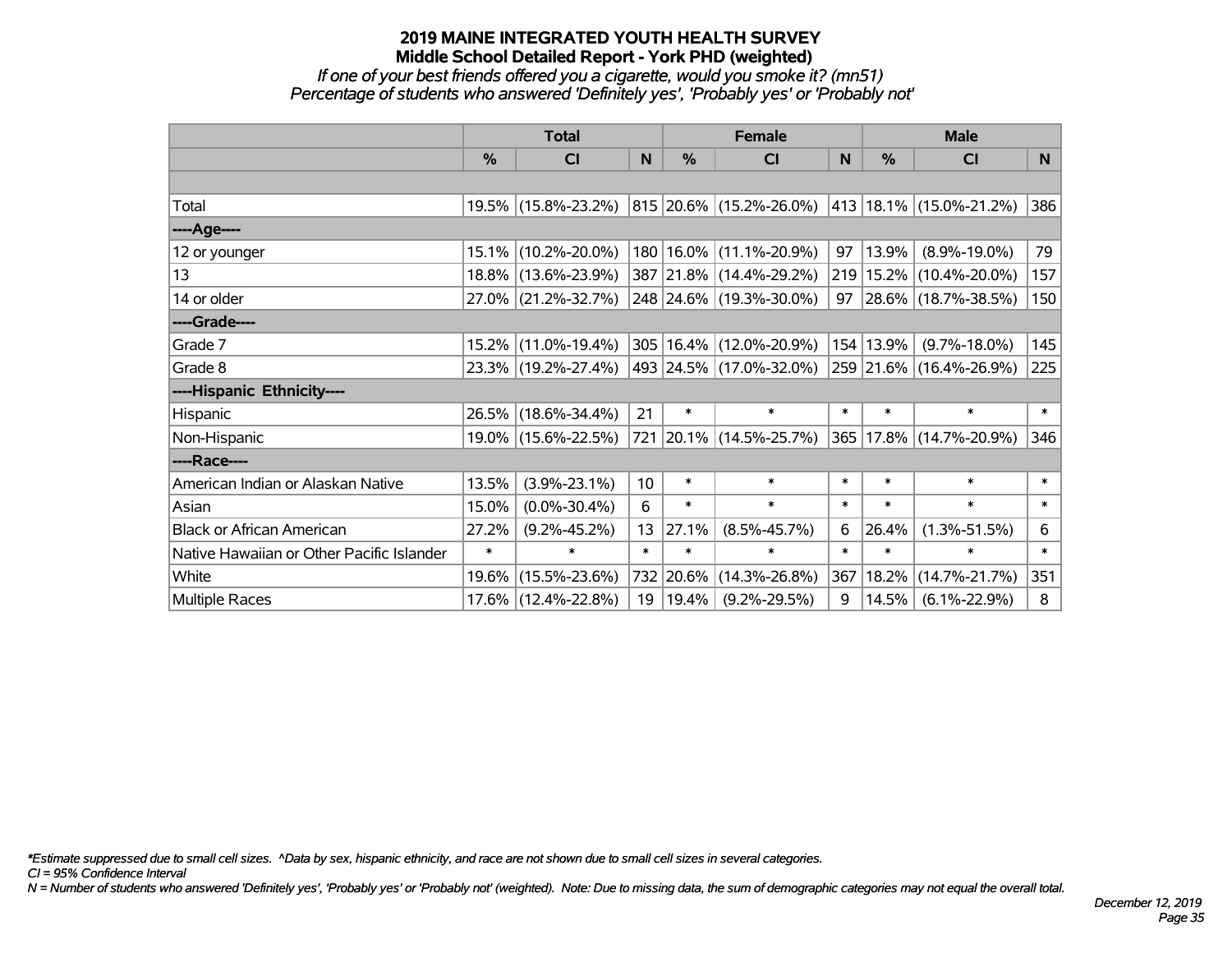#### *If one of your best friends offered you a cigarette, would you smoke it? (mn51) Percentage of students who answered 'Definitely yes', 'Probably yes' or 'Probably not'*

|                                           | <b>Total</b> |                     |                 |        | <b>Female</b>               |        | <b>Male</b>   |                             |        |  |
|-------------------------------------------|--------------|---------------------|-----------------|--------|-----------------------------|--------|---------------|-----------------------------|--------|--|
|                                           | %            | <b>CI</b>           | N               | $\%$   | <b>CI</b>                   | N      | $\frac{0}{0}$ | <b>CI</b>                   | N.     |  |
|                                           |              |                     |                 |        |                             |        |               |                             |        |  |
| Total                                     |              | 19.5% (15.8%-23.2%) |                 |        | 815 20.6% (15.2%-26.0%)     |        |               | 413   18.1%   (15.0%-21.2%) | 386    |  |
| ----Age----                               |              |                     |                 |        |                             |        |               |                             |        |  |
| 12 or younger                             |              | 15.1% (10.2%-20.0%) |                 |        | 180   16.0%   (11.1%-20.9%) | 97     | 13.9%         | $(8.9\% - 19.0\%)$          | 79     |  |
| 13                                        |              | 18.8% (13.6%-23.9%) |                 |        | 387 21.8% (14.4%-29.2%)     |        |               | 219   15.2%   (10.4%-20.0%) | 157    |  |
| 14 or older                               |              | 27.0% (21.2%-32.7%) |                 |        | 248 24.6% (19.3%-30.0%)     |        |               | 97 28.6% (18.7%-38.5%)      | 150    |  |
| ----Grade----                             |              |                     |                 |        |                             |        |               |                             |        |  |
| Grade 7                                   |              | 15.2% (11.0%-19.4%) |                 |        | 305   16.4%   (12.0%-20.9%) |        | 154 13.9%     | $(9.7\% - 18.0\%)$          | 145    |  |
| Grade 8                                   |              | 23.3% (19.2%-27.4%) |                 |        | 493  24.5%  (17.0%-32.0%)   |        |               | 259 21.6% (16.4%-26.9%)     | 225    |  |
| ----Hispanic Ethnicity----                |              |                     |                 |        |                             |        |               |                             |        |  |
| Hispanic                                  |              | 26.5% (18.6%-34.4%) | 21              | $\ast$ | $\ast$                      | $\ast$ | $\ast$        | $\ast$                      | $\ast$ |  |
| Non-Hispanic                              |              | 19.0% (15.6%-22.5%) |                 |        | 721 20.1% (14.5%-25.7%)     | 365    |               | 17.8% (14.7%-20.9%)         | 346    |  |
| ----Race----                              |              |                     |                 |        |                             |        |               |                             |        |  |
| American Indian or Alaskan Native         | 13.5%        | $(3.9\% - 23.1\%)$  | 10 <sup>1</sup> | $\ast$ | $\ast$                      | $\ast$ | $\ast$        | $\ast$                      | $\ast$ |  |
| Asian                                     | 15.0%        | $(0.0\% - 30.4\%)$  | 6               | $\ast$ | $\ast$                      | $\ast$ | $\ast$        | $\ast$                      | $\ast$ |  |
| <b>Black or African American</b>          | 27.2%        | $(9.2\% - 45.2\%)$  | 13              | 27.1%  | $(8.5\% - 45.7\%)$          | 6      | 26.4%         | $(1.3\% - 51.5\%)$          | 6      |  |
| Native Hawaiian or Other Pacific Islander | $\ast$       | $\ast$              | $\ast$          | $\ast$ | $\ast$                      | $\ast$ | $\ast$        | $\ast$                      | $\ast$ |  |
| White                                     |              | 19.6% (15.5%-23.6%) | 732             | 20.6%  | $(14.3\% - 26.8\%)$         | 367    | 18.2%         | $(14.7\% - 21.7\%)$         | 351    |  |
| <b>Multiple Races</b>                     |              | 17.6% (12.4%-22.8%) | 19              | 19.4%  | $(9.2\% - 29.5\%)$          | 9      | 14.5%         | $(6.1\% - 22.9\%)$          | 8      |  |

*\*Estimate suppressed due to small cell sizes. ^Data by sex, hispanic ethnicity, and race are not shown due to small cell sizes in several categories.*

*CI = 95% Confidence Interval*

*N = Number of students who answered 'Definitely yes', 'Probably yes' or 'Probably not' (weighted). Note: Due to missing data, the sum of demographic categories may not equal the overall total.*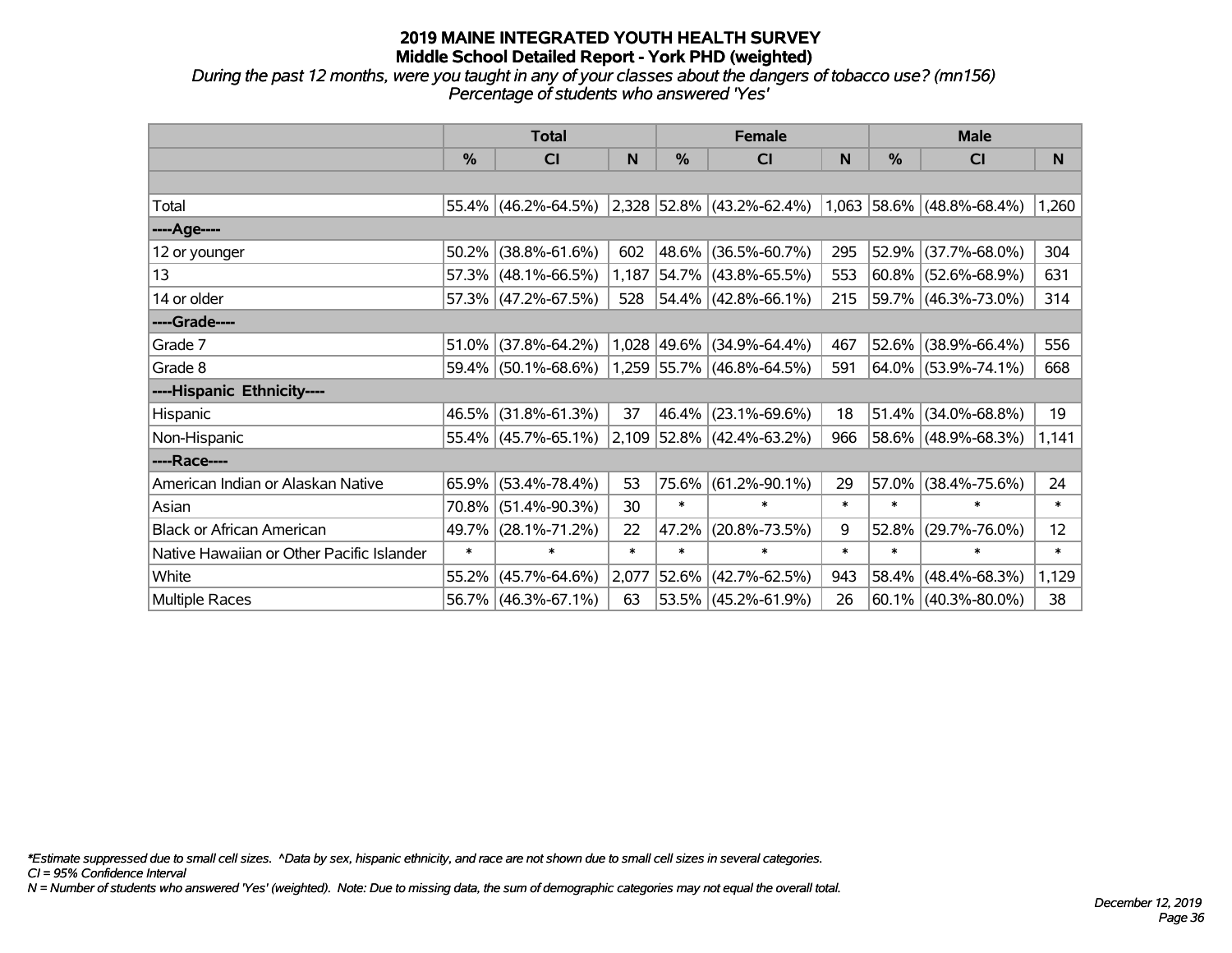*During the past 12 months, were you taught in any of your classes about the dangers of tobacco use? (mn156) Percentage of students who answered 'Yes'*

|                                           | <b>Total</b> |                        |        |             | <b>Female</b>                     |        | <b>Male</b>   |                           |          |  |
|-------------------------------------------|--------------|------------------------|--------|-------------|-----------------------------------|--------|---------------|---------------------------|----------|--|
|                                           | $\%$         | CI                     | N      | $\%$        | <b>CI</b>                         | N      | $\frac{0}{0}$ | <b>CI</b>                 | <b>N</b> |  |
|                                           |              |                        |        |             |                                   |        |               |                           |          |  |
| Total                                     |              | $55.4\%$ (46.2%-64.5%) |        |             | $\vert$ 2,328 52.8% (43.2%-62.4%) |        |               | 1,063 58.6% (48.8%-68.4%) | 1,260    |  |
| ----Age----                               |              |                        |        |             |                                   |        |               |                           |          |  |
| 12 or younger                             | 50.2%        | $(38.8\% - 61.6\%)$    | 602    | 48.6%       | $(36.5\% - 60.7\%)$               | 295    | 52.9%         | $(37.7\% - 68.0\%)$       | 304      |  |
| 13                                        |              | $57.3\%$ (48.1%-66.5%) | 1,187  |             | $54.7\%$ (43.8%-65.5%)            | 553    |               | $60.8\%$ (52.6%-68.9%)    | 631      |  |
| 14 or older                               |              | 57.3% (47.2%-67.5%)    | 528    |             | $54.4\%$ (42.8%-66.1%)            | 215    |               | 59.7% (46.3%-73.0%)       | 314      |  |
| ----Grade----                             |              |                        |        |             |                                   |        |               |                           |          |  |
| Grade 7                                   | 51.0%        | $(37.8\% - 64.2\%)$    |        | 1,028 49.6% | $(34.9\% - 64.4\%)$               | 467    | $52.6\%$      | $(38.9\% - 66.4\%)$       | 556      |  |
| Grade 8                                   |              | $59.4\%$ (50.1%-68.6%) |        |             | $1,259$ 55.7% (46.8%-64.5%)       | 591    |               | $ 64.0\% $ (53.9%-74.1%)  | 668      |  |
| ----Hispanic Ethnicity----                |              |                        |        |             |                                   |        |               |                           |          |  |
| Hispanic                                  |              | 46.5% (31.8%-61.3%)    | 37     | 46.4%       | $(23.1\% - 69.6\%)$               | 18     | 51.4%         | $(34.0\% - 68.8\%)$       | 19       |  |
| Non-Hispanic                              |              | $55.4\%$ (45.7%-65.1%) |        |             | 2,109 52.8% (42.4%-63.2%)         | 966    |               | 58.6% (48.9%-68.3%)       | 1,141    |  |
| ----Race----                              |              |                        |        |             |                                   |        |               |                           |          |  |
| American Indian or Alaskan Native         | 65.9%        | $(53.4\% - 78.4\%)$    | 53     |             | 75.6% (61.2%-90.1%)               | 29     | 57.0%         | $(38.4\% - 75.6\%)$       | 24       |  |
| Asian                                     | 70.8%        | $(51.4\% - 90.3\%)$    | 30     | $\ast$      | $\ast$                            | $\ast$ | $\ast$        | $\ast$                    | $\ast$   |  |
| <b>Black or African American</b>          | 49.7%        | $(28.1\% - 71.2\%)$    | 22     | 47.2%       | $(20.8\% - 73.5\%)$               | 9      | 52.8%         | $(29.7\% - 76.0\%)$       | 12       |  |
| Native Hawaiian or Other Pacific Islander | $\ast$       | $\ast$                 | $\ast$ | $\ast$      | $\ast$                            | $\ast$ | $\ast$        | $\ast$                    | $\ast$   |  |
| White                                     | 55.2%        | $(45.7\% - 64.6\%)$    | 2,077  | 52.6%       | $(42.7\% - 62.5\%)$               | 943    | 58.4%         | $(48.4\% - 68.3\%)$       | 1,129    |  |
| Multiple Races                            |              | 56.7% (46.3%-67.1%)    | 63     |             | $53.5\%$ (45.2%-61.9%)            | 26     |               | $60.1\%$ (40.3%-80.0%)    | 38       |  |

*\*Estimate suppressed due to small cell sizes. ^Data by sex, hispanic ethnicity, and race are not shown due to small cell sizes in several categories.*

*CI = 95% Confidence Interval*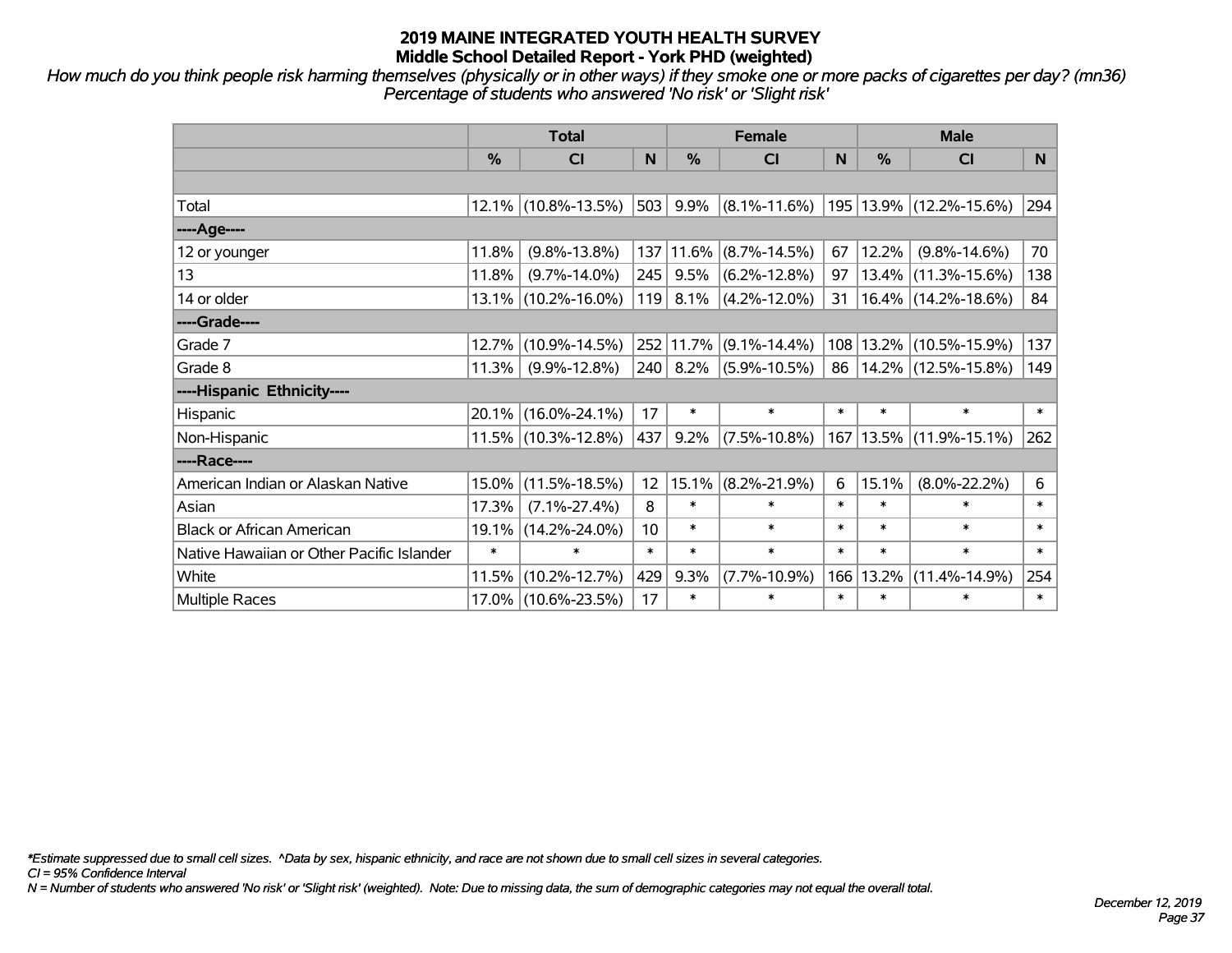*How much do you think people risk harming themselves (physically or in other ways) if they smoke one or more packs of cigarettes per day? (mn36) Percentage of students who answered 'No risk' or 'Slight risk'*

|                                           | <b>Total</b> |                     |                 |           | <b>Female</b>      |        | <b>Male</b> |                                                  |        |  |
|-------------------------------------------|--------------|---------------------|-----------------|-----------|--------------------|--------|-------------|--------------------------------------------------|--------|--|
|                                           | %            | <b>CI</b>           | N               | %         | <b>CI</b>          | N      | %           | <b>CI</b>                                        | N.     |  |
|                                           |              |                     |                 |           |                    |        |             |                                                  |        |  |
| Total                                     |              | 12.1% (10.8%-13.5%) | 503             | 9.9%      |                    |        |             | $(8.1\% - 11.6\%)$   195   13.9%   (12.2%-15.6%) | 294    |  |
| ----Age----                               |              |                     |                 |           |                    |        |             |                                                  |        |  |
| 12 or younger                             | 11.8%        | $(9.8\% - 13.8\%)$  | 137             | 11.6%     | $(8.7\% - 14.5\%)$ | 67     | 12.2%       | $(9.8\% - 14.6\%)$                               | 70     |  |
| 13                                        | 11.8%        | $(9.7\% - 14.0\%)$  | 245             | 9.5%      | $(6.2\% - 12.8\%)$ | 97     |             | 13.4% (11.3%-15.6%)                              | 138    |  |
| 14 or older                               |              | 13.1% (10.2%-16.0%) | 119             | 8.1%      | $(4.2\% - 12.0\%)$ | 31     |             | $16.4\%$ (14.2%-18.6%)                           | 84     |  |
| ----Grade----                             |              |                     |                 |           |                    |        |             |                                                  |        |  |
| Grade 7                                   | 12.7%        | $(10.9\% - 14.5\%)$ |                 | 252 11.7% | $(9.1\% - 14.4\%)$ |        |             | 108   13.2%   (10.5%-15.9%)                      | 137    |  |
| Grade 8                                   | 11.3%        | $(9.9\% - 12.8\%)$  | 240             | 8.2%      | $(5.9\% - 10.5\%)$ | 86     |             | 14.2% (12.5%-15.8%)                              | 149    |  |
| ----Hispanic Ethnicity----                |              |                     |                 |           |                    |        |             |                                                  |        |  |
| Hispanic                                  | 20.1%        | $(16.0\% - 24.1\%)$ | 17              | $\ast$    | $\ast$             | $\ast$ | $\ast$      | $\ast$                                           | $\ast$ |  |
| Non-Hispanic                              |              | 11.5% (10.3%-12.8%) | 437             | 9.2%      | $(7.5\% - 10.8\%)$ |        |             | 167   13.5%   (11.9%-15.1%)                      | 262    |  |
| ----Race----                              |              |                     |                 |           |                    |        |             |                                                  |        |  |
| American Indian or Alaskan Native         | 15.0%        | $(11.5\% - 18.5\%)$ | 12              | 15.1%     | $(8.2\% - 21.9\%)$ | 6      | 15.1%       | $(8.0\% - 22.2\%)$                               | 6      |  |
| Asian                                     | 17.3%        | $(7.1\% - 27.4\%)$  | 8               | $\ast$    | $\ast$             | $\ast$ | $\ast$      | $\ast$                                           | $\ast$ |  |
| <b>Black or African American</b>          | 19.1%        | $(14.2\% - 24.0\%)$ | 10 <sup>°</sup> | $\ast$    | $\ast$             | $\ast$ | $\ast$      | $\ast$                                           | $\ast$ |  |
| Native Hawaiian or Other Pacific Islander | $\ast$       | $\ast$              | $\ast$          | $\ast$    | $\ast$             | $\ast$ | $\ast$      | $\ast$                                           | $\ast$ |  |
| White                                     | 11.5%        | $(10.2\% - 12.7\%)$ | 429             | 9.3%      | $(7.7\% - 10.9\%)$ | 166    | 13.2%       | $(11.4\% - 14.9\%)$                              | 254    |  |
| <b>Multiple Races</b>                     |              | 17.0% (10.6%-23.5%) | 17              | $\ast$    | $\ast$             | $\ast$ | $\ast$      | $\ast$                                           | $\ast$ |  |

*\*Estimate suppressed due to small cell sizes. ^Data by sex, hispanic ethnicity, and race are not shown due to small cell sizes in several categories.*

*CI = 95% Confidence Interval*

*N = Number of students who answered 'No risk' or 'Slight risk' (weighted). Note: Due to missing data, the sum of demographic categories may not equal the overall total.*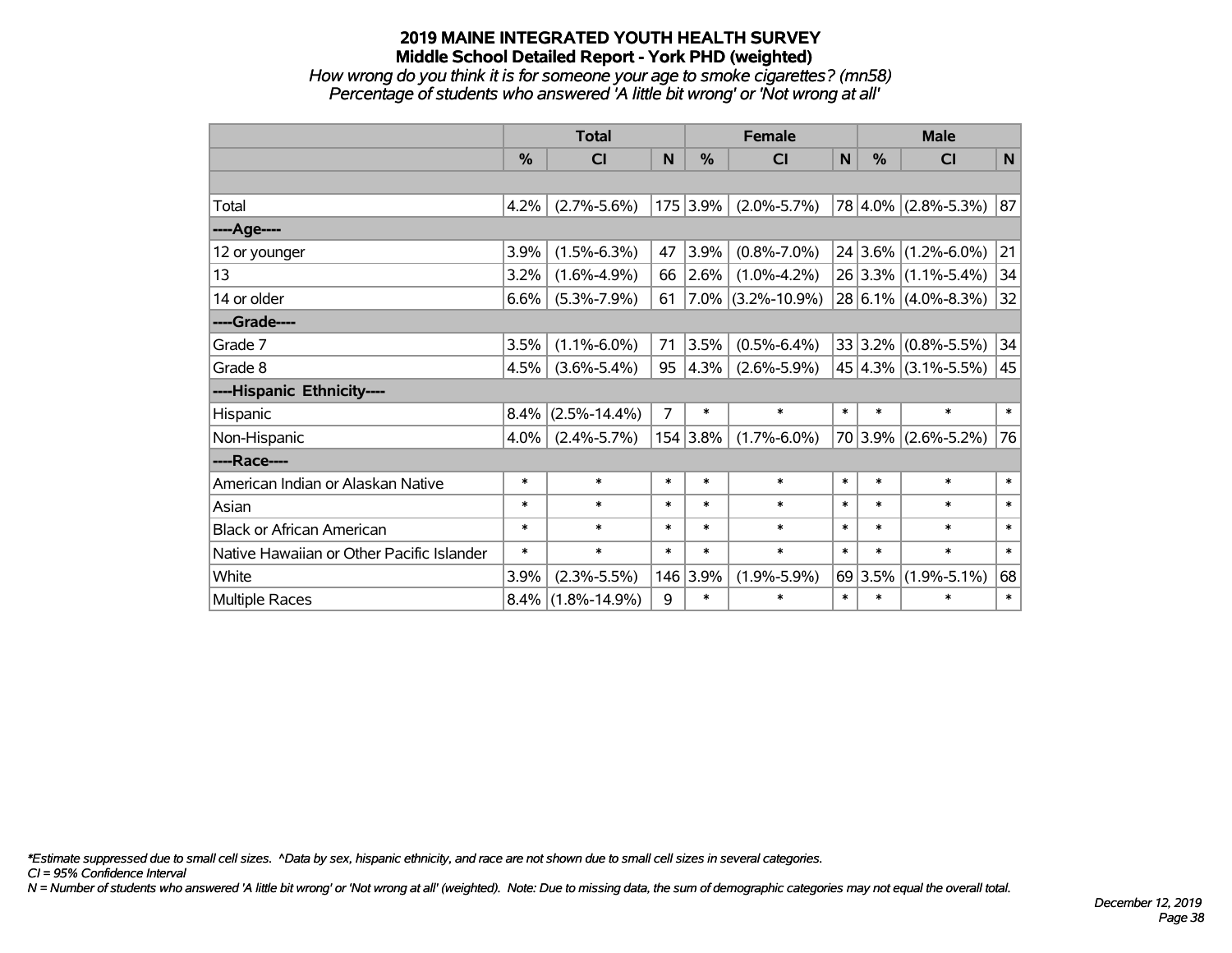*How wrong do you think it is for someone your age to smoke cigarettes? (mn58) Percentage of students who answered 'A little bit wrong' or 'Not wrong at all'*

|                                           | <b>Total</b> |                    |                |               | <b>Female</b>        |              | <b>Male</b>   |                          |        |  |
|-------------------------------------------|--------------|--------------------|----------------|---------------|----------------------|--------------|---------------|--------------------------|--------|--|
|                                           | %            | <b>CI</b>          | N              | $\frac{0}{0}$ | <b>CI</b>            | $\mathsf{N}$ | $\frac{0}{0}$ | <b>CI</b>                | N      |  |
|                                           |              |                    |                |               |                      |              |               |                          |        |  |
| Total                                     | 4.2%         | $(2.7\% - 5.6\%)$  |                | 175 3.9%      | $(2.0\% - 5.7\%)$    |              |               | 78 4.0% (2.8%-5.3%)      | 87     |  |
| ---- Age----                              |              |                    |                |               |                      |              |               |                          |        |  |
| 12 or younger                             | 3.9%         | $(1.5\% - 6.3\%)$  | 47             | 3.9%          | $(0.8\% - 7.0\%)$    |              |               | $24 3.6\% $ (1.2%-6.0%)  | 21     |  |
| 13                                        | 3.2%         | $(1.6\% - 4.9\%)$  | 66             | 2.6%          | $(1.0\% - 4.2\%)$    |              |               | 26 3.3% (1.1%-5.4%)      | 34     |  |
| 14 or older                               | 6.6%         | $(5.3\% - 7.9\%)$  | 61             |               | $7.0\%$ (3.2%-10.9%) |              |               | $28 6.1\% $ (4.0%-8.3%)  | 32     |  |
| ----Grade----                             |              |                    |                |               |                      |              |               |                          |        |  |
| Grade 7                                   | 3.5%         | $(1.1\% - 6.0\%)$  | 71             | 3.5%          | $(0.5\% - 6.4\%)$    |              |               | $33 3.2\% $ (0.8%-5.5%)  | 34     |  |
| Grade 8                                   | 4.5%         | $(3.6\% - 5.4\%)$  | 95             | 4.3%          | $(2.6\% - 5.9\%)$    |              |               | 45 $ 4.3\% $ (3.1%-5.5%) | 45     |  |
| ----Hispanic Ethnicity----                |              |                    |                |               |                      |              |               |                          |        |  |
| Hispanic                                  | 8.4%         | $(2.5\% - 14.4\%)$ | $\overline{7}$ | ∗             | $\ast$               | $\ast$       | $\ast$        | $\ast$                   | $\ast$ |  |
| Non-Hispanic                              | 4.0%         | $(2.4\% - 5.7\%)$  |                | 154 3.8%      | $(1.7\% - 6.0\%)$    |              |               | 70 3.9% (2.6%-5.2%)      | 76     |  |
| ----Race----                              |              |                    |                |               |                      |              |               |                          |        |  |
| American Indian or Alaskan Native         | $\ast$       | $\ast$             | $\ast$         | $\ast$        | $\ast$               | $\ast$       | $\ast$        | $\ast$                   | $\ast$ |  |
| Asian                                     | $\ast$       | $\ast$             | $\ast$         | $\ast$        | $\ast$               | $\ast$       | $\ast$        | $\ast$                   | $\ast$ |  |
| <b>Black or African American</b>          | $\ast$       | $\ast$             | $\ast$         | $\ast$        | $\ast$               | $\ast$       | $\ast$        | $\ast$                   | $\ast$ |  |
| Native Hawaiian or Other Pacific Islander | *            | $\ast$             | $\ast$         | $\ast$        | $\ast$               | $\ast$       | $\ast$        | $\ast$                   | $\ast$ |  |
| White                                     | 3.9%         | $(2.3\% - 5.5\%)$  |                | 146 3.9%      | $(1.9\% - 5.9\%)$    |              | 69 3.5%       | $(1.9\% - 5.1\%)$        | 68     |  |
| Multiple Races                            | $8.4\%$      | $(1.8\% - 14.9\%)$ | 9              | $\ast$        | $\ast$               | $\ast$       | $\ast$        | *                        | $\ast$ |  |

*\*Estimate suppressed due to small cell sizes. ^Data by sex, hispanic ethnicity, and race are not shown due to small cell sizes in several categories.*

*CI = 95% Confidence Interval*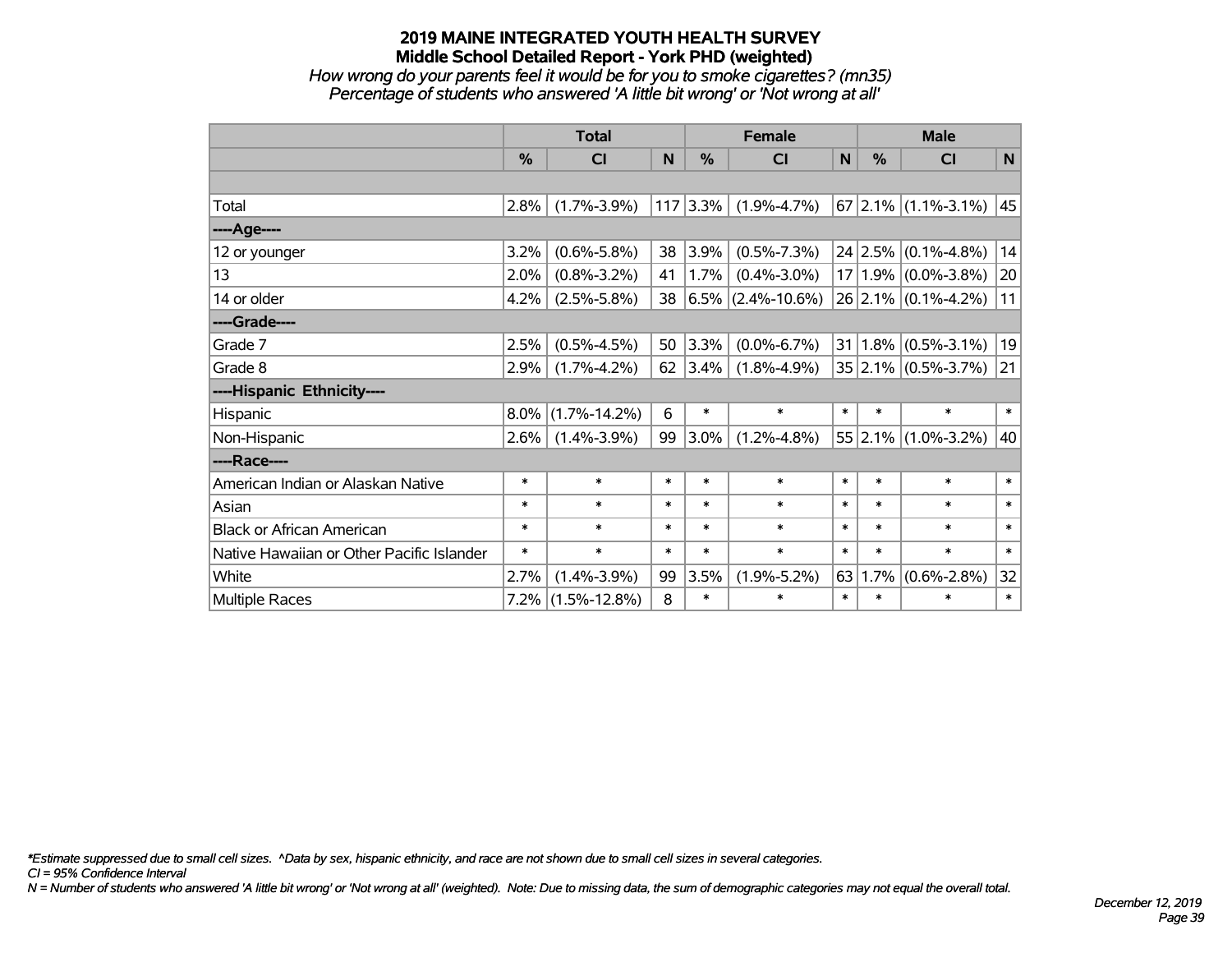*How wrong do your parents feel it would be for you to smoke cigarettes? (mn35) Percentage of students who answered 'A little bit wrong' or 'Not wrong at all'*

|                                           | <b>Total</b> |                    |        |               | <b>Female</b>        |              | <b>Male</b>   |                         |        |  |
|-------------------------------------------|--------------|--------------------|--------|---------------|----------------------|--------------|---------------|-------------------------|--------|--|
|                                           | %            | <b>CI</b>          | N      | $\frac{0}{0}$ | <b>CI</b>            | $\mathsf{N}$ | $\frac{0}{0}$ | <b>CI</b>               | N      |  |
|                                           |              |                    |        |               |                      |              |               |                         |        |  |
| Total                                     | 2.8%         | $(1.7\% - 3.9\%)$  |        | $117$ 3.3%    | $(1.9\% - 4.7\%)$    |              |               | $67$ 2.1% (1.1%-3.1%)   | 45     |  |
| ---- Age----                              |              |                    |        |               |                      |              |               |                         |        |  |
| 12 or younger                             | 3.2%         | $(0.6\% - 5.8\%)$  | 38     | 3.9%          | $(0.5\% - 7.3\%)$    |              |               | $24$ 2.5% (0.1%-4.8%)   | 14     |  |
| 13                                        | 2.0%         | $(0.8\% - 3.2\%)$  | 41     | 1.7%          | $(0.4\% - 3.0\%)$    |              |               | $17 1.9\% $ (0.0%-3.8%) | 20     |  |
| 14 or older                               | 4.2%         | $(2.5\% - 5.8\%)$  | 38     |               | $6.5\%$ (2.4%-10.6%) |              |               | $26$ 2.1% (0.1%-4.2%)   | 11     |  |
| ----Grade----                             |              |                    |        |               |                      |              |               |                         |        |  |
| Grade 7                                   | 2.5%         | $(0.5\% - 4.5\%)$  | 50     | $3.3\%$       | $(0.0\% - 6.7\%)$    | 31           |               | $1.8\%$ (0.5%-3.1%)     | 19     |  |
| Grade 8                                   | 2.9%         | $(1.7\% - 4.2\%)$  | 62     | 3.4%          | $(1.8\% - 4.9\%)$    |              |               | 35 2.1% (0.5%-3.7%)     | 21     |  |
| ----Hispanic Ethnicity----                |              |                    |        |               |                      |              |               |                         |        |  |
| Hispanic                                  | 8.0%         | $(1.7\% - 14.2\%)$ | 6      | ∗             | $\ast$               | $\ast$       | $\ast$        | $\ast$                  | $\ast$ |  |
| Non-Hispanic                              | 2.6%         | $(1.4\% - 3.9\%)$  | 99     | 3.0%          | $(1.2\% - 4.8\%)$    |              |               | $55$ 2.1% (1.0%-3.2%)   | 40     |  |
| ----Race----                              |              |                    |        |               |                      |              |               |                         |        |  |
| American Indian or Alaskan Native         | $\ast$       | $\ast$             | $\ast$ | $\ast$        | $\ast$               | $\ast$       | $\ast$        | $\ast$                  | $\ast$ |  |
| Asian                                     | $\ast$       | $\ast$             | $\ast$ | $\ast$        | $\ast$               | $\ast$       | $\ast$        | $\ast$                  | $\ast$ |  |
| <b>Black or African American</b>          | $\ast$       | $\ast$             | $\ast$ | $\ast$        | $\ast$               | $\ast$       | $\ast$        | $\ast$                  | $\ast$ |  |
| Native Hawaiian or Other Pacific Islander | *            | $\ast$             | $\ast$ | $\ast$        | $\ast$               | $\ast$       | $\ast$        | $\ast$                  | $\ast$ |  |
| White                                     | 2.7%         | $(1.4\% - 3.9\%)$  | 99     | 3.5%          | $(1.9\% - 5.2\%)$    | 63           | 1.7%          | $(0.6\% - 2.8\%)$       | 32     |  |
| Multiple Races                            | 7.2%         | $(1.5\% - 12.8\%)$ | 8      | $\ast$        | $\ast$               | $\ast$       | $\ast$        | *                       | $\ast$ |  |

*\*Estimate suppressed due to small cell sizes. ^Data by sex, hispanic ethnicity, and race are not shown due to small cell sizes in several categories.*

*CI = 95% Confidence Interval*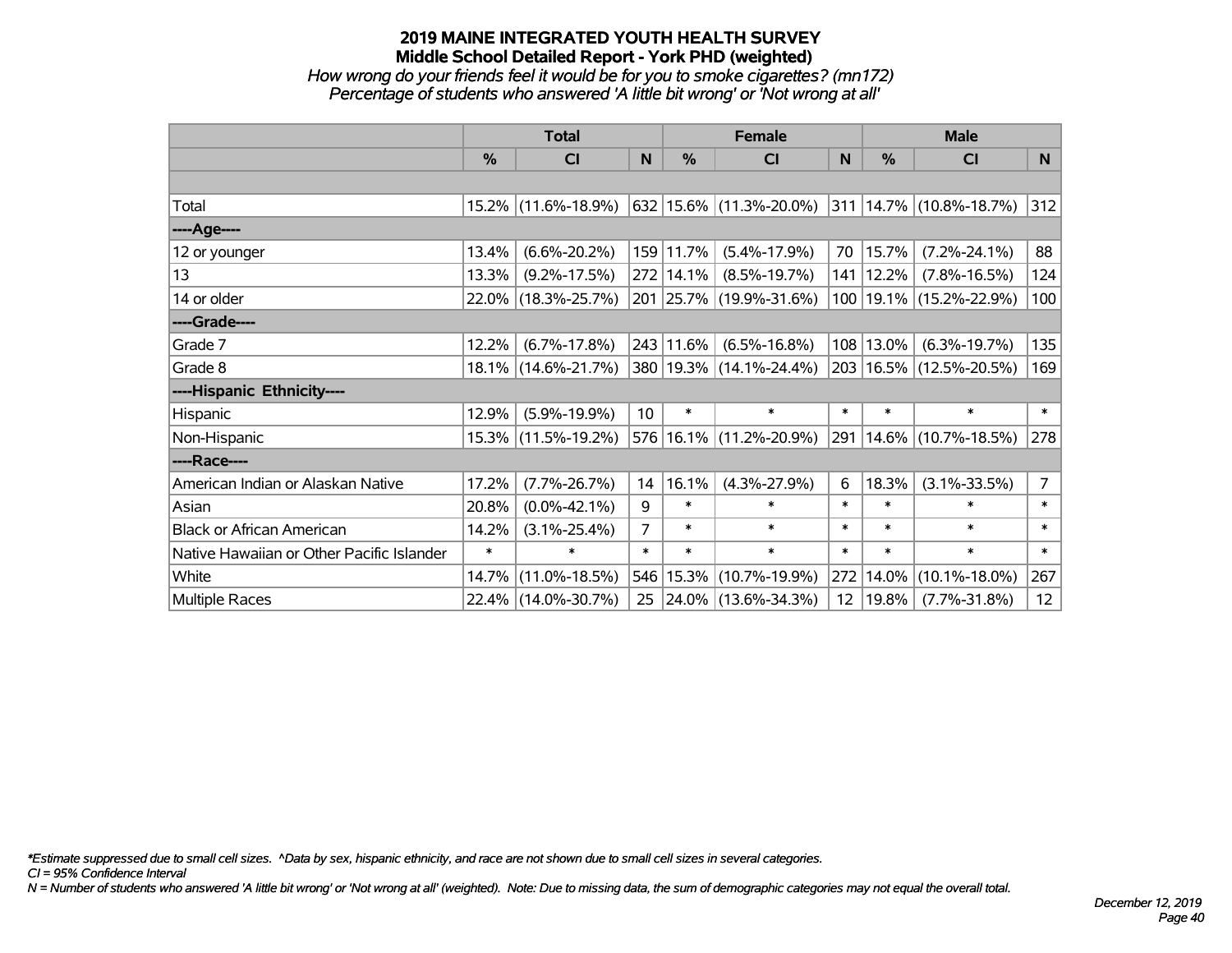*How wrong do your friends feel it would be for you to smoke cigarettes? (mn172) Percentage of students who answered 'A little bit wrong' or 'Not wrong at all'*

|                                           | <b>Total</b>  |                     |                | <b>Female</b> | <b>Male</b>              |                 |        |                                  |                |
|-------------------------------------------|---------------|---------------------|----------------|---------------|--------------------------|-----------------|--------|----------------------------------|----------------|
|                                           | $\frac{0}{0}$ | <b>CI</b>           | N              | $\frac{0}{0}$ | <b>CI</b>                | <b>N</b>        | %      | <b>CI</b>                        | N              |
|                                           |               |                     |                |               |                          |                 |        |                                  |                |
| Total                                     |               | 15.2% (11.6%-18.9%) |                |               | 632 15.6% (11.3%-20.0%)  |                 |        | $ 311 14.7\%  (10.8\% - 18.7\%)$ | 312            |
| ----Age----                               |               |                     |                |               |                          |                 |        |                                  |                |
| 12 or younger                             | 13.4%         | $(6.6\% - 20.2\%)$  |                | 159 11.7%     | $(5.4\% - 17.9\%)$       | 70              | 15.7%  | $(7.2\% - 24.1\%)$               | 88             |
| 13                                        | 13.3%         | $(9.2\% - 17.5\%)$  |                | 272 14.1%     | $(8.5\% - 19.7\%)$       | 141             | 12.2%  | $(7.8\% - 16.5\%)$               | 124            |
| 14 or older                               |               | 22.0% (18.3%-25.7%) |                |               | 201 25.7% (19.9%-31.6%)  |                 |        | 100   19.1%   (15.2%-22.9%)      | 100            |
| ----Grade----                             |               |                     |                |               |                          |                 |        |                                  |                |
| Grade 7                                   | 12.2%         | $(6.7\% - 17.8\%)$  |                | 243 11.6%     | $(6.5\% - 16.8\%)$       | 108             | 13.0%  | $(6.3\% - 19.7\%)$               | 135            |
| Grade 8                                   |               | 18.1% (14.6%-21.7%) |                |               | 380 19.3% (14.1%-24.4%)  |                 |        | 203 16.5% (12.5%-20.5%)          | 169            |
| ----Hispanic Ethnicity----                |               |                     |                |               |                          |                 |        |                                  |                |
| Hispanic                                  | 12.9%         | $(5.9\% - 19.9\%)$  | 10             | $\ast$        | $\ast$                   | $\ast$          | $\ast$ | $\ast$                           | $\ast$         |
| Non-Hispanic                              |               | 15.3% (11.5%-19.2%) |                |               | 576 16.1% (11.2%-20.9%)  | 291             |        | 14.6% (10.7%-18.5%)              | 278            |
| ----Race----                              |               |                     |                |               |                          |                 |        |                                  |                |
| American Indian or Alaskan Native         | 17.2%         | $(7.7\% - 26.7\%)$  | 14             | 16.1%         | $(4.3\% - 27.9\%)$       | 6               | 18.3%  | $(3.1\% - 33.5\%)$               | $\overline{7}$ |
| Asian                                     | 20.8%         | $(0.0\% - 42.1\%)$  | 9              | $\ast$        | $\ast$                   | $\ast$          | $\ast$ | $\ast$                           | $\ast$         |
| <b>Black or African American</b>          | 14.2%         | $(3.1\% - 25.4\%)$  | $\overline{7}$ | $\ast$        | $\ast$                   | $\ast$          | $\ast$ | $\ast$                           | $\ast$         |
| Native Hawaiian or Other Pacific Islander | $\ast$        | $\ast$              | $\ast$         | $\ast$        | $\ast$                   | $\ast$          | $\ast$ | $\ast$                           | $\ast$         |
| White                                     | 14.7%         | $(11.0\% - 18.5\%)$ |                |               | 546 15.3% (10.7%-19.9%)  | 272             | 14.0%  | $(10.1\% - 18.0\%)$              | 267            |
| Multiple Races                            |               | 22.4% (14.0%-30.7%) | 25             |               | $ 24.0\% $ (13.6%-34.3%) | 12 <sup>2</sup> | 19.8%  | $(7.7\% - 31.8\%)$               | 12             |

*\*Estimate suppressed due to small cell sizes. ^Data by sex, hispanic ethnicity, and race are not shown due to small cell sizes in several categories.*

*CI = 95% Confidence Interval*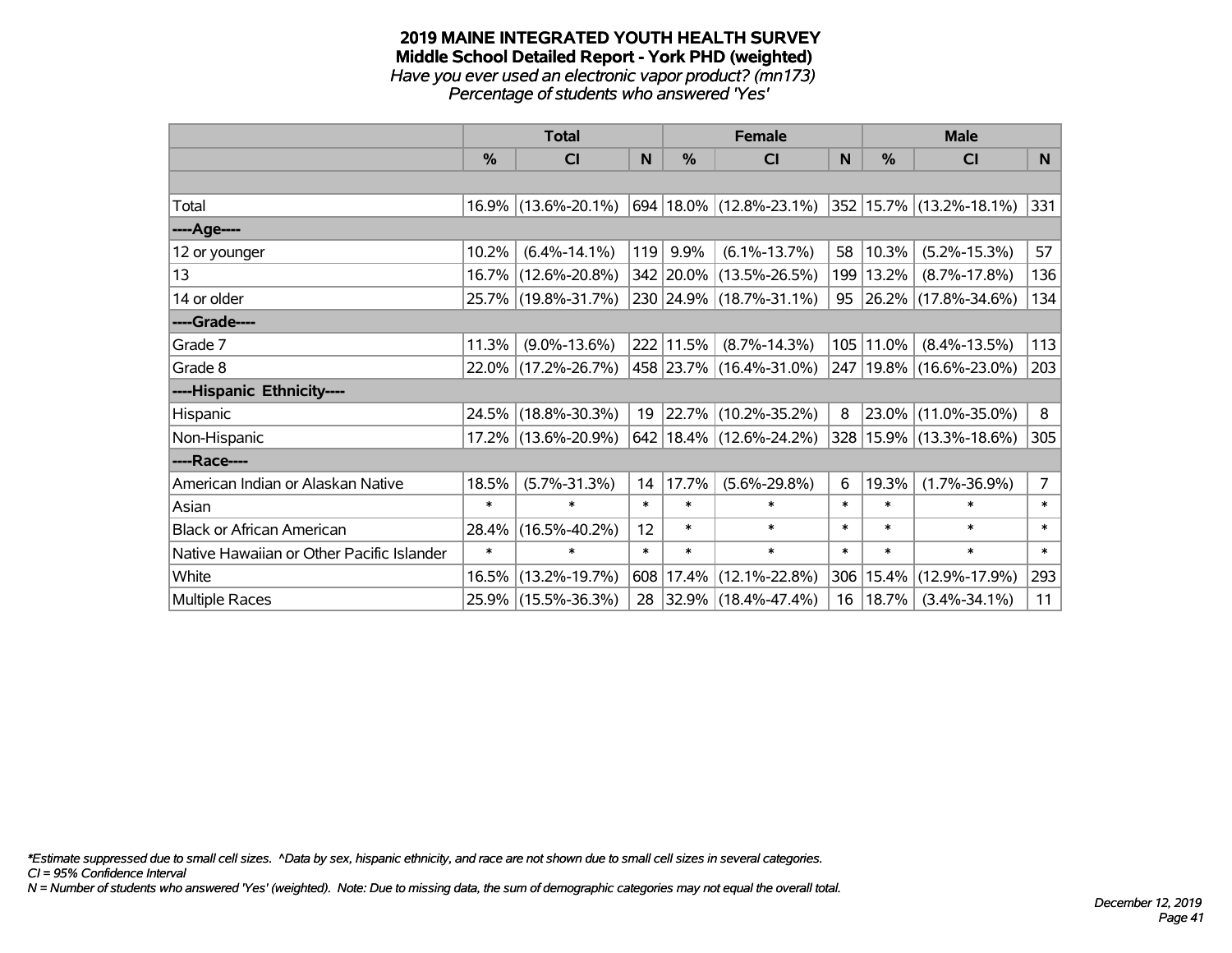#### **2019 MAINE INTEGRATED YOUTH HEALTH SURVEY Middle School Detailed Report - York PHD (weighted)** *Have you ever used an electronic vapor product? (mn173) Percentage of students who answered 'Yes'*

|                                           | <b>Total</b>  |                     |        |               | <b>Female</b>                            |          | <b>Male</b> |                                  |                |
|-------------------------------------------|---------------|---------------------|--------|---------------|------------------------------------------|----------|-------------|----------------------------------|----------------|
|                                           | $\frac{0}{0}$ | <b>CI</b>           | N      | $\frac{0}{0}$ | <b>CI</b>                                | <b>N</b> | %           | <b>CI</b>                        | N <sub>1</sub> |
|                                           |               |                     |        |               |                                          |          |             |                                  |                |
| Total                                     |               | 16.9% (13.6%-20.1%) |        |               | 694   18.0%   (12.8%-23.1%)              |          |             | $ 352 15.7\%  (13.2\% - 18.1\%)$ | 331            |
| ----Age----                               |               |                     |        |               |                                          |          |             |                                  |                |
| 12 or younger                             | 10.2%         | $(6.4\% - 14.1\%)$  | 119    | 9.9%          | $(6.1\% - 13.7\%)$                       | 58       | 10.3%       | $(5.2\% - 15.3\%)$               | 57             |
| 13                                        |               | 16.7% (12.6%-20.8%) |        |               | 342 20.0% (13.5%-26.5%)                  |          | 199   13.2% | $(8.7\% - 17.8\%)$               | 136            |
| 14 or older                               |               | 25.7% (19.8%-31.7%) |        |               | 230 24.9% (18.7%-31.1%)                  | 95       |             | 26.2% (17.8%-34.6%)              | 134            |
| ----Grade----                             |               |                     |        |               |                                          |          |             |                                  |                |
| Grade 7                                   | 11.3%         | $(9.0\% - 13.6\%)$  |        | 222 11.5%     | $(8.7\% - 14.3\%)$                       | 105      | 11.0%       | $(8.4\% - 13.5\%)$               | 113            |
| Grade 8                                   |               | 22.0% (17.2%-26.7%) |        |               | 458 23.7% (16.4%-31.0%)                  |          |             | 247   19.8%   (16.6%-23.0%)      | 203            |
| ----Hispanic Ethnicity----                |               |                     |        |               |                                          |          |             |                                  |                |
| Hispanic                                  | 24.5%         | $(18.8\% - 30.3\%)$ | 19     | $ 22.7\% $    | $(10.2\% - 35.2\%)$                      | 8        |             | 23.0% (11.0%-35.0%)              | 8              |
| Non-Hispanic                              |               | 17.2% (13.6%-20.9%) |        |               | $642 \mid 18.4\% \mid (12.6\% - 24.2\%)$ |          |             | 328 15.9% (13.3%-18.6%)          | 305            |
| ----Race----                              |               |                     |        |               |                                          |          |             |                                  |                |
| American Indian or Alaskan Native         | 18.5%         | $(5.7\% - 31.3\%)$  | 14     | 17.7%         | $(5.6\% - 29.8\%)$                       | 6        | 19.3%       | $(1.7\% - 36.9\%)$               | $\overline{7}$ |
| Asian                                     | $\ast$        | $\ast$              | $\ast$ | $\ast$        | $\ast$                                   | $\ast$   | $\ast$      | $\ast$                           | $\ast$         |
| <b>Black or African American</b>          | 28.4%         | $(16.5\% - 40.2\%)$ | 12     | $\ast$        | $\ast$                                   | $\ast$   | $\ast$      | $\ast$                           | $\ast$         |
| Native Hawaiian or Other Pacific Islander | $\ast$        | $\ast$              | $\ast$ | $\ast$        | $\ast$                                   | $\ast$   | $\ast$      | $\ast$                           | $\ast$         |
| White                                     | 16.5%         | $(13.2\% - 19.7\%)$ | 608    | 17.4%         | $(12.1\% - 22.8\%)$                      |          | 306 15.4%   | $(12.9\% - 17.9\%)$              | 293            |
| Multiple Races                            |               | 25.9% (15.5%-36.3%) |        |               | 28 32.9% (18.4%-47.4%)                   | 16       | 18.7%       | $(3.4\% - 34.1\%)$               | 11             |

*\*Estimate suppressed due to small cell sizes. ^Data by sex, hispanic ethnicity, and race are not shown due to small cell sizes in several categories.*

*CI = 95% Confidence Interval*

*N = Number of students who answered 'Yes' (weighted). Note: Due to missing data, the sum of demographic categories may not equal the overall total.*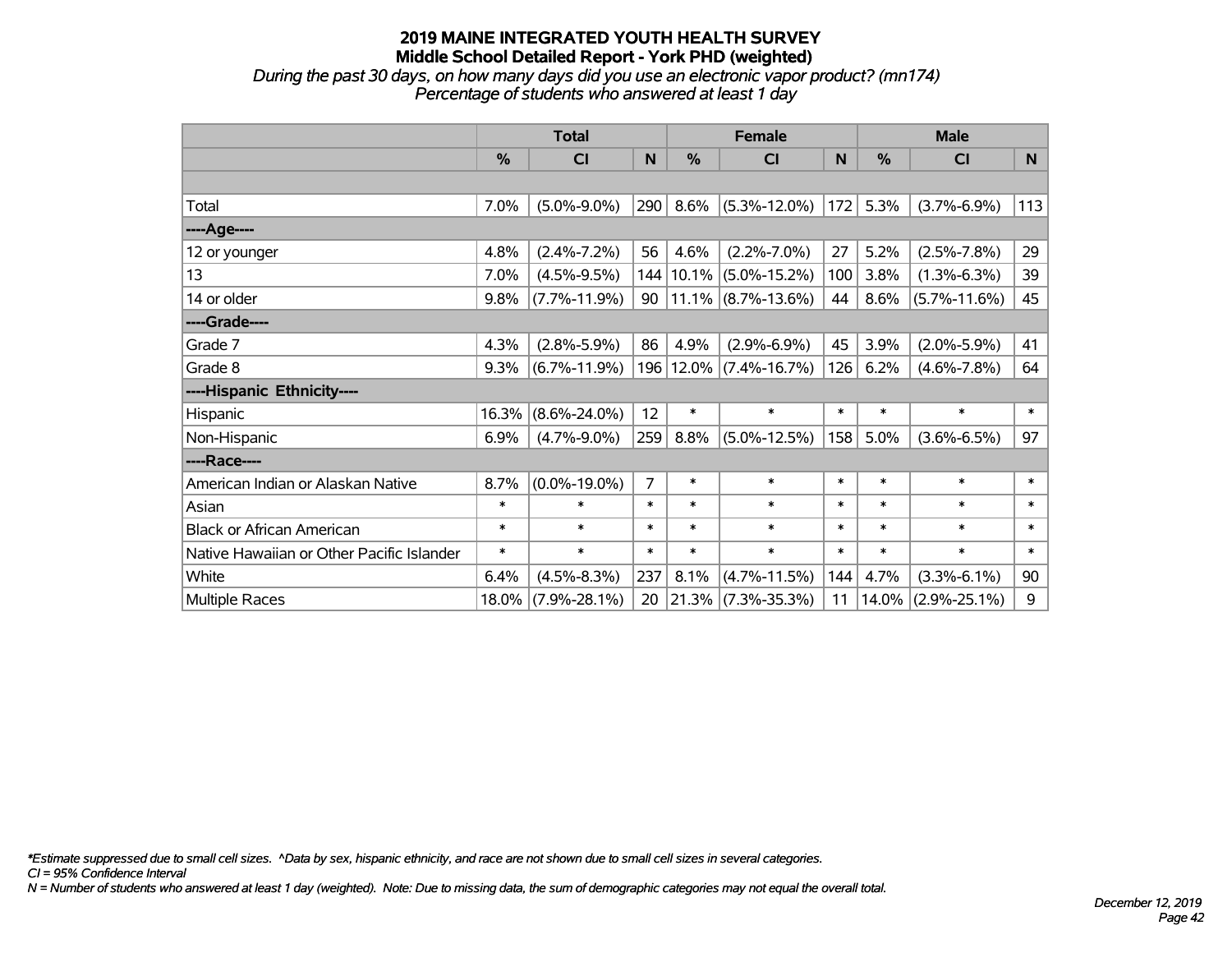*During the past 30 days, on how many days did you use an electronic vapor product? (mn174) Percentage of students who answered at least 1 day*

|                                           | <b>Total</b> |                    |                |               | <b>Female</b>         |        | <b>Male</b>   |                    |        |  |
|-------------------------------------------|--------------|--------------------|----------------|---------------|-----------------------|--------|---------------|--------------------|--------|--|
|                                           | $\%$         | <b>CI</b>          | N              | $\frac{0}{0}$ | <b>CI</b>             | N      | $\frac{0}{0}$ | <b>CI</b>          | N      |  |
|                                           |              |                    |                |               |                       |        |               |                    |        |  |
| Total                                     | 7.0%         | $(5.0\% - 9.0\%)$  | 290            | 8.6%          | $(5.3\% - 12.0\%)$    | 172    | 5.3%          | $(3.7\% - 6.9\%)$  | 113    |  |
| ----Age----                               |              |                    |                |               |                       |        |               |                    |        |  |
| 12 or younger                             | 4.8%         | $(2.4\% - 7.2\%)$  | 56             | 4.6%          | $(2.2\% - 7.0\%)$     | 27     | 5.2%          | $(2.5\% - 7.8\%)$  | 29     |  |
| 13                                        | 7.0%         | $(4.5\% - 9.5\%)$  | 144            | 10.1%         | $(5.0\% - 15.2\%)$    | 100    | 3.8%          | $(1.3\% - 6.3\%)$  | 39     |  |
| 14 or older                               | 9.8%         | $(7.7\% - 11.9\%)$ | 90             |               | $11.1\%$ (8.7%-13.6%) | 44     | 8.6%          | $(5.7\% - 11.6\%)$ | 45     |  |
| ----Grade----                             |              |                    |                |               |                       |        |               |                    |        |  |
| Grade 7                                   | 4.3%         | $(2.8\% - 5.9\%)$  | 86             | 4.9%          | $(2.9\% - 6.9\%)$     | 45     | 3.9%          | $(2.0\% - 5.9\%)$  | 41     |  |
| Grade 8                                   | 9.3%         | $(6.7\% - 11.9\%)$ | 196            |               | $12.0\%$ (7.4%-16.7%) | 126    | 6.2%          | $(4.6\% - 7.8\%)$  | 64     |  |
| ----Hispanic Ethnicity----                |              |                    |                |               |                       |        |               |                    |        |  |
| Hispanic                                  | 16.3%        | $(8.6\% - 24.0\%)$ | 12             | $\ast$        | $\ast$                | $\ast$ | $\ast$        | $\ast$             | $\ast$ |  |
| Non-Hispanic                              | 6.9%         | $(4.7\% - 9.0\%)$  | 259            | 8.8%          | $(5.0\% - 12.5\%)$    | 158    | 5.0%          | $(3.6\% - 6.5\%)$  | 97     |  |
| ----Race----                              |              |                    |                |               |                       |        |               |                    |        |  |
| American Indian or Alaskan Native         | 8.7%         | $(0.0\% - 19.0\%)$ | $\overline{7}$ | $\ast$        | $\ast$                | $\ast$ | $\ast$        | $\ast$             | $\ast$ |  |
| Asian                                     | $\ast$       | $\ast$             | $\ast$         | $\ast$        | $\ast$                | $\ast$ | $\ast$        | $\ast$             | $\ast$ |  |
| <b>Black or African American</b>          | $\ast$       | $\ast$             | $\ast$         | $\ast$        | $\ast$                | $\ast$ | $\ast$        | $\ast$             | $\ast$ |  |
| Native Hawaiian or Other Pacific Islander | $\ast$       | $\ast$             | $\ast$         | $\ast$        | $\ast$                | $\ast$ | $\ast$        | $\ast$             | $\ast$ |  |
| White                                     | 6.4%         | $(4.5\% - 8.3\%)$  | 237            | 8.1%          | $(4.7\% - 11.5\%)$    | 144    | 4.7%          | $(3.3\% - 6.1\%)$  | 90     |  |
| <b>Multiple Races</b>                     | 18.0%        | $(7.9\% - 28.1\%)$ | 20             | 21.3%         | $(7.3\% - 35.3\%)$    | 11     | 14.0%         | $(2.9\% - 25.1\%)$ | 9      |  |

*\*Estimate suppressed due to small cell sizes. ^Data by sex, hispanic ethnicity, and race are not shown due to small cell sizes in several categories.*

*CI = 95% Confidence Interval*

*N = Number of students who answered at least 1 day (weighted). Note: Due to missing data, the sum of demographic categories may not equal the overall total.*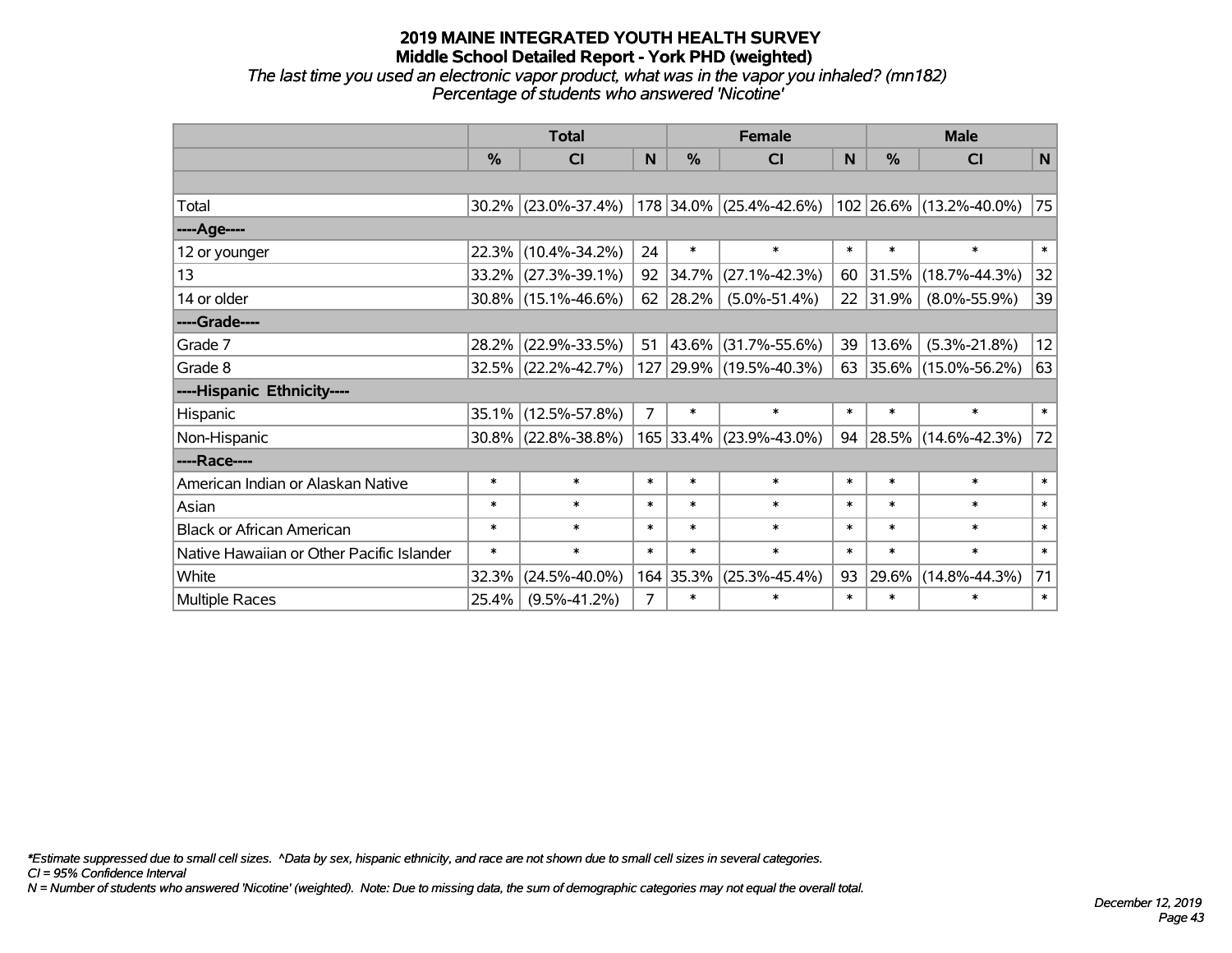*The last time you used an electronic vapor product, what was in the vapor you inhaled? (mn182) Percentage of students who answered 'Nicotine'*

|                                           | <b>Total</b> |                        |                |           | <b>Female</b>           | <b>Male</b> |               |                         |             |
|-------------------------------------------|--------------|------------------------|----------------|-----------|-------------------------|-------------|---------------|-------------------------|-------------|
|                                           | %            | CI                     | N              | %         | <b>CI</b>               | N           | $\frac{0}{0}$ | <b>CI</b>               | $\mathbf N$ |
|                                           |              |                        |                |           |                         |             |               |                         |             |
| Total                                     |              | 30.2% (23.0%-37.4%)    |                |           | 178 34.0% (25.4%-42.6%) |             |               | 102 26.6% (13.2%-40.0%) | 75          |
| ----Age----                               |              |                        |                |           |                         |             |               |                         |             |
| 12 or younger                             | 22.3%        | $(10.4\% - 34.2\%)$    | 24             | $\ast$    | $\ast$                  | $\ast$      | $\ast$        | $\ast$                  | $\ast$      |
| 13                                        | 33.2%        | $(27.3\% - 39.1\%)$    | 92             | 34.7%     | $(27.1\% - 42.3\%)$     | 60          | 31.5%         | $(18.7\% - 44.3\%)$     | 32          |
| 14 or older                               |              | $30.8\%$ (15.1%-46.6%) | 62             | 28.2%     | $(5.0\% - 51.4\%)$      | 22          | 31.9%         | $(8.0\% - 55.9\%)$      | 39          |
| ----Grade----                             |              |                        |                |           |                         |             |               |                         |             |
| Grade 7                                   | 28.2%        | $(22.9\% - 33.5\%)$    | 51             | 43.6%     | $(31.7\% - 55.6\%)$     | 39          | 13.6%         | $(5.3\% - 21.8\%)$      | 12          |
| Grade 8                                   |              | 32.5% (22.2%-42.7%)    |                |           | 127 29.9% (19.5%-40.3%) | 63          |               | 35.6% (15.0%-56.2%)     | 63          |
| ----Hispanic Ethnicity----                |              |                        |                |           |                         |             |               |                         |             |
| Hispanic                                  | 35.1%        | $(12.5\% - 57.8\%)$    | 7              | $\ast$    | $\ast$                  | $\ast$      | $\ast$        | $\ast$                  | $\ast$      |
| Non-Hispanic                              |              | $30.8\%$ (22.8%-38.8%) |                | 165 33.4% | $(23.9\% - 43.0\%)$     | 94          |               | 28.5% (14.6%-42.3%)     | 72          |
| ----Race----                              |              |                        |                |           |                         |             |               |                         |             |
| American Indian or Alaskan Native         | $\ast$       | $\ast$                 | $\ast$         | $\ast$    | $\ast$                  | $\ast$      | $\ast$        | $\ast$                  | $\ast$      |
| Asian                                     | $\ast$       | $\ast$                 | $\ast$         | $\ast$    | $\ast$                  | $\ast$      | $\ast$        | $\ast$                  | $\ast$      |
| <b>Black or African American</b>          | $\ast$       | $\ast$                 | $\ast$         | $\ast$    | $\ast$                  | $\ast$      | $\ast$        | $\ast$                  | $\ast$      |
| Native Hawaiian or Other Pacific Islander | $\ast$       | $\ast$                 | $\ast$         | $\ast$    | $\ast$                  | $\ast$      | $\ast$        | $\ast$                  | $\ast$      |
| White                                     | 32.3%        | $(24.5\% - 40.0\%)$    |                | 164 35.3% | $(25.3\% - 45.4\%)$     | 93          | $29.6\%$      | $(14.8\% - 44.3\%)$     | 71          |
| <b>Multiple Races</b>                     | 25.4%        | $(9.5\% - 41.2\%)$     | $\overline{7}$ | $\ast$    | $\ast$                  | $\ast$      | $\ast$        | $\ast$                  | $\ast$      |

*\*Estimate suppressed due to small cell sizes. ^Data by sex, hispanic ethnicity, and race are not shown due to small cell sizes in several categories.*

*CI = 95% Confidence Interval*

*N = Number of students who answered 'Nicotine' (weighted). Note: Due to missing data, the sum of demographic categories may not equal the overall total.*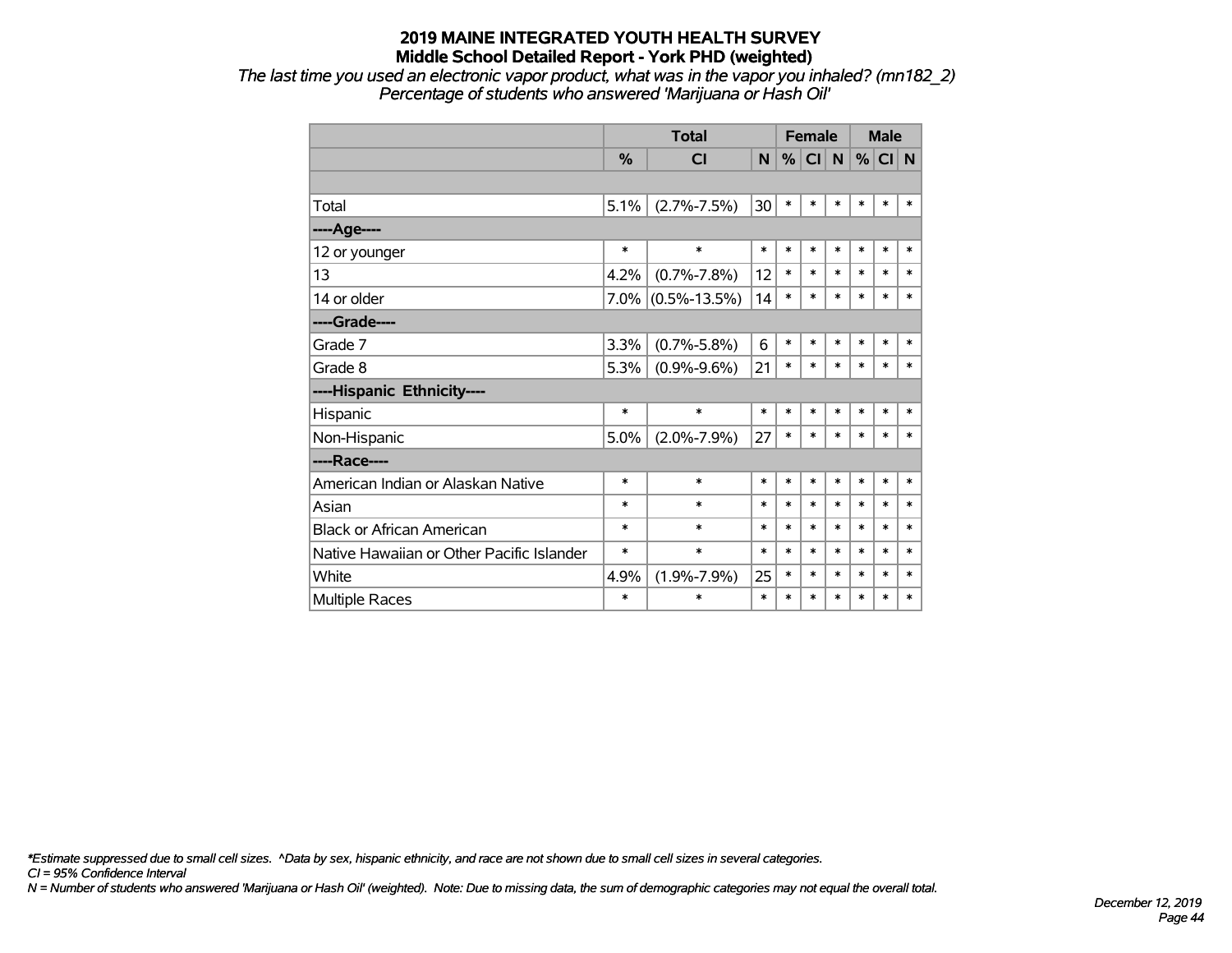*The last time you used an electronic vapor product, what was in the vapor you inhaled? (mn182\_2) Percentage of students who answered 'Marijuana or Hash Oil'*

|                                           |         | <b>Total</b>       |        |        | <b>Female</b> |        |        | <b>Male</b> |        |  |
|-------------------------------------------|---------|--------------------|--------|--------|---------------|--------|--------|-------------|--------|--|
|                                           | %       | <b>CI</b>          | N      | %      | CI            | N      | %      | CI N        |        |  |
|                                           |         |                    |        |        |               |        |        |             |        |  |
| Total                                     | 5.1%    | $(2.7\% - 7.5\%)$  | 30     | $\ast$ | $\ast$        | $\ast$ | *      | $\ast$      | *      |  |
| ----Age----                               |         |                    |        |        |               |        |        |             |        |  |
| 12 or younger                             | $\ast$  | $\ast$             | $\ast$ | $\ast$ | $\ast$        | $\ast$ | $\ast$ | $\ast$      | *      |  |
| 13                                        | 4.2%    | $(0.7\% - 7.8\%)$  | 12     | $\ast$ | $\ast$        | $\ast$ | $\ast$ | $\ast$      | $\ast$ |  |
| 14 or older                               | $7.0\%$ | $(0.5\% - 13.5\%)$ | 14     | $\ast$ | $\ast$        | $\ast$ | $\ast$ | $\ast$      | $\ast$ |  |
| ----Grade----                             |         |                    |        |        |               |        |        |             |        |  |
| Grade 7                                   | 3.3%    | $(0.7\% - 5.8\%)$  | 6      | $\ast$ | $\ast$        | $\ast$ | $\ast$ | $\ast$      | *      |  |
| Grade 8                                   | 5.3%    | $(0.9\% - 9.6\%)$  | 21     | $\ast$ | $\ast$        | $\ast$ | $\ast$ | $\ast$      | $\ast$ |  |
| ----Hispanic Ethnicity----                |         |                    |        |        |               |        |        |             |        |  |
| Hispanic                                  | $\ast$  | $\ast$             | $\ast$ | $\ast$ | $\ast$        | $\ast$ | $\ast$ | $\ast$      | *      |  |
| Non-Hispanic                              | 5.0%    | $(2.0\% - 7.9\%)$  | 27     | $\ast$ | $\ast$        | $\ast$ | $\ast$ | $\ast$      | $\ast$ |  |
| ----Race----                              |         |                    |        |        |               |        |        |             |        |  |
| American Indian or Alaskan Native         | $\ast$  | $\ast$             | $\ast$ | $\ast$ | $\ast$        | $\ast$ | $\ast$ | $\ast$      | $\ast$ |  |
| Asian                                     | $\ast$  | $\ast$             | $\ast$ | $\ast$ | $\ast$        | $\ast$ | $\ast$ | $\ast$      | $\ast$ |  |
| <b>Black or African American</b>          | $\ast$  | $\ast$             | $\ast$ | $\ast$ | $\ast$        | $\ast$ | $\ast$ | $\ast$      | $\ast$ |  |
| Native Hawaiian or Other Pacific Islander | $\ast$  | $\ast$             | $\ast$ | $\ast$ | $\ast$        | $\ast$ | $\ast$ | $\ast$      | *      |  |
| White                                     | 4.9%    | $(1.9\% - 7.9\%)$  | 25     | $\ast$ | $\ast$        | $\ast$ | $\ast$ | $\ast$      | $\ast$ |  |
| <b>Multiple Races</b>                     | $\ast$  | $\ast$             | $\ast$ | $\ast$ | $\ast$        | $\ast$ | $\ast$ | $\ast$      | $\ast$ |  |

*\*Estimate suppressed due to small cell sizes. ^Data by sex, hispanic ethnicity, and race are not shown due to small cell sizes in several categories.*

*CI = 95% Confidence Interval*

*N = Number of students who answered 'Marijuana or Hash Oil' (weighted). Note: Due to missing data, the sum of demographic categories may not equal the overall total.*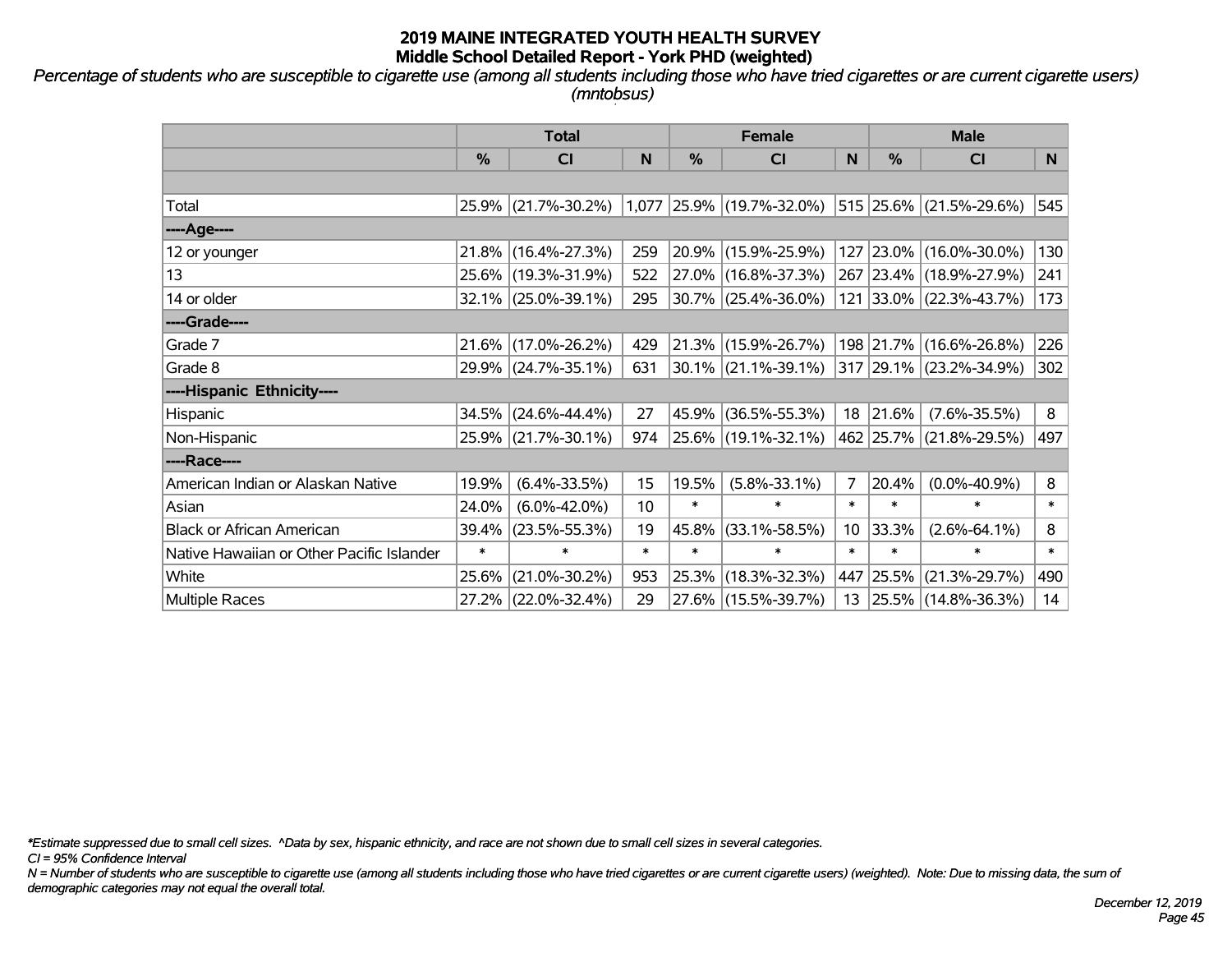*Percentage of students who are susceptible to cigarette use (among all students including those who have tried cigarettes or are current cigarette users) (mntobsus)*

|                                           | <b>Total</b> |                     |        | <b>Female</b> |                           | <b>Male</b>     |               |                         |        |
|-------------------------------------------|--------------|---------------------|--------|---------------|---------------------------|-----------------|---------------|-------------------------|--------|
|                                           | %            | CI                  | N      | %             | CI                        | N               | $\frac{0}{0}$ | <b>CI</b>               | N      |
|                                           |              |                     |        |               |                           |                 |               |                         |        |
| Total                                     | 25.9%        | $(21.7\% - 30.2\%)$ |        |               | 1,077 25.9% (19.7%-32.0%) |                 |               | 515 25.6% (21.5%-29.6%) | 545    |
| ----Age----                               |              |                     |        |               |                           |                 |               |                         |        |
| 12 or younger                             | 21.8%        | $(16.4\% - 27.3\%)$ | 259    |               | 20.9% (15.9%-25.9%)       | 127             | 23.0%         | $(16.0\% - 30.0\%)$     | 130    |
| 13                                        |              | 25.6% (19.3%-31.9%) | 522    |               | 27.0% (16.8%-37.3%)       |                 |               | 267 23.4% (18.9%-27.9%) | 241    |
| 14 or older                               |              | 32.1% (25.0%-39.1%) | 295    |               | 30.7% (25.4%-36.0%)       |                 |               | 121 33.0% (22.3%-43.7%) | 173    |
| ----Grade----                             |              |                     |        |               |                           |                 |               |                         |        |
| Grade 7                                   | 21.6%        | $(17.0\% - 26.2\%)$ | 429    |               | $21.3\%$ (15.9%-26.7%)    |                 |               | 198 21.7% (16.6%-26.8%) | 226    |
| Grade 8                                   |              | 29.9% (24.7%-35.1%) | 631    |               | $30.1\%$ (21.1%-39.1%)    |                 |               | 317 29.1% (23.2%-34.9%) | 302    |
| ----Hispanic Ethnicity----                |              |                     |        |               |                           |                 |               |                         |        |
| Hispanic                                  | 34.5%        | $(24.6\% - 44.4\%)$ | 27     |               | 45.9% (36.5%-55.3%)       | 18              | 21.6%         | $(7.6\% - 35.5\%)$      | 8      |
| Non-Hispanic                              |              | 25.9% (21.7%-30.1%) | 974    |               | 25.6% (19.1%-32.1%)       |                 |               | 462 25.7% (21.8%-29.5%) | 497    |
| ----Race----                              |              |                     |        |               |                           |                 |               |                         |        |
| American Indian or Alaskan Native         | 19.9%        | $(6.4\% - 33.5\%)$  | 15     | 19.5%         | $(5.8\% - 33.1\%)$        | $\overline{7}$  | 20.4%         | $(0.0\% - 40.9\%)$      | 8      |
| Asian                                     | 24.0%        | $(6.0\% - 42.0\%)$  | 10     | $\ast$        | $\ast$                    | $\ast$          | $\ast$        | $\ast$                  | $\ast$ |
| <b>Black or African American</b>          | 39.4%        | $(23.5\% - 55.3\%)$ | 19     | 45.8%         | $(33.1\% - 58.5\%)$       | 10 <sup>°</sup> | 33.3%         | $(2.6\% - 64.1\%)$      | 8      |
| Native Hawaiian or Other Pacific Islander | $\ast$       | $\ast$              | $\ast$ | $\ast$        | $\ast$                    | $\ast$          | $\ast$        | $\ast$                  | $\ast$ |
| White                                     | 25.6%        | $(21.0\% - 30.2\%)$ | 953    | 25.3%         | $(18.3\% - 32.3\%)$       | 447             | 25.5%         | $(21.3\% - 29.7\%)$     | 490    |
| Multiple Races                            |              | 27.2% (22.0%-32.4%) | 29     |               | 27.6% (15.5%-39.7%)       | 13              |               | 25.5% (14.8%-36.3%)     | 14     |

*\*Estimate suppressed due to small cell sizes. ^Data by sex, hispanic ethnicity, and race are not shown due to small cell sizes in several categories.*

*CI = 95% Confidence Interval*

*N = Number of students who are susceptible to cigarette use (among all students including those who have tried cigarettes or are current cigarette users) (weighted). Note: Due to missing data, the sum of demographic categories may not equal the overall total.*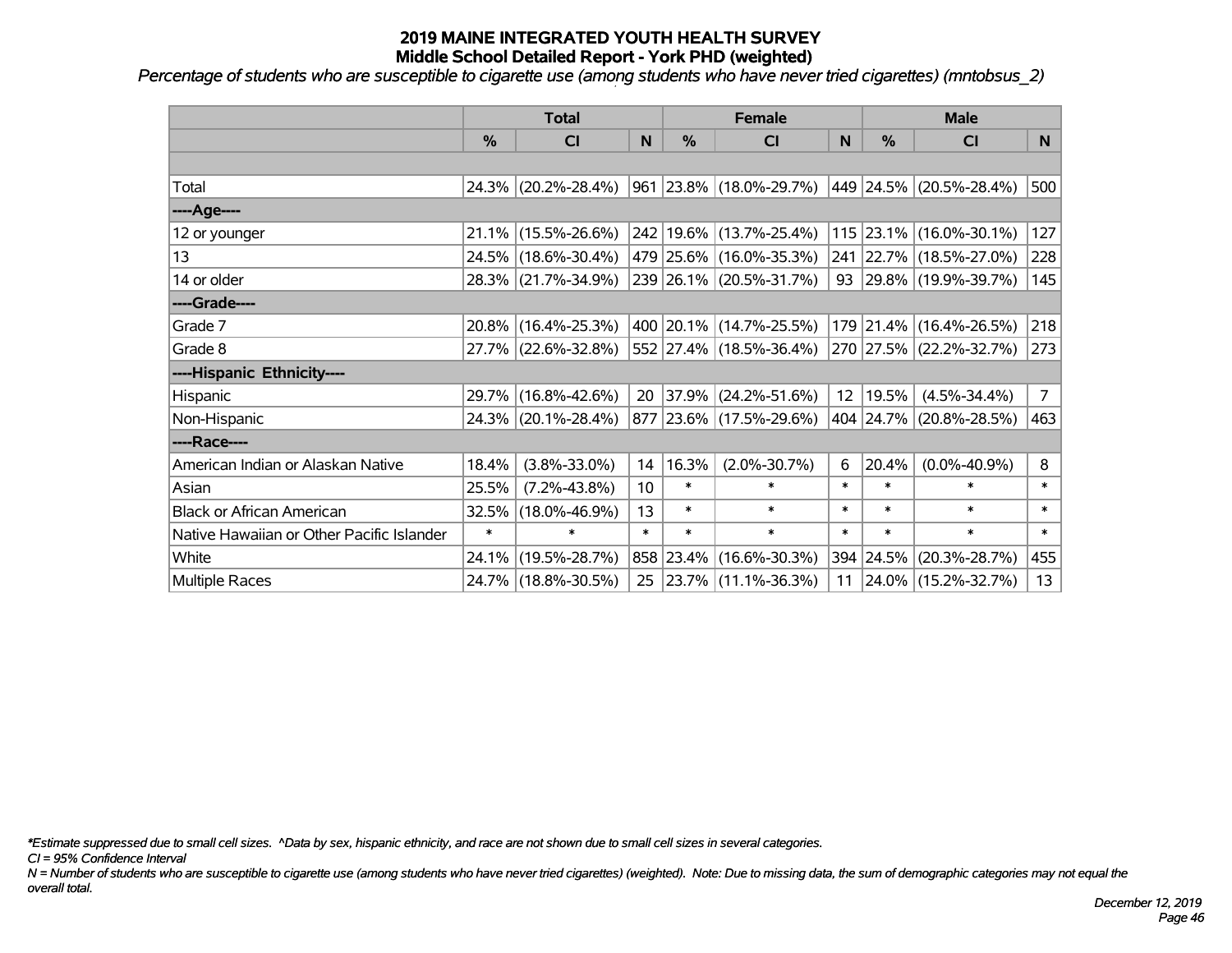*Percentage of students who are susceptible to cigarette use (among students who have never tried cigarettes) (mntobsus\_2)*

|                                           |        | <b>Total</b>           |        |            | <b>Female</b>               | <b>Male</b> |        |                         |                |
|-------------------------------------------|--------|------------------------|--------|------------|-----------------------------|-------------|--------|-------------------------|----------------|
|                                           | %      | <b>CI</b>              | N      | %          | <b>CI</b>                   | N           | %      | <b>CI</b>               | N              |
|                                           |        |                        |        |            |                             |             |        |                         |                |
| Total                                     |        | 24.3% (20.2%-28.4%)    |        |            | 961 23.8% (18.0%-29.7%)     |             |        | 449 24.5% (20.5%-28.4%) | 500            |
| ----Age----                               |        |                        |        |            |                             |             |        |                         |                |
| 12 or younger                             |        | $21.1\%$ (15.5%-26.6%) |        |            | 242 19.6% (13.7%-25.4%)     |             |        | 115 23.1% (16.0%-30.1%) | 127            |
| 13                                        |        | 24.5% (18.6%-30.4%)    |        |            | 479 25.6% (16.0%-35.3%)     |             |        | 241 22.7% (18.5%-27.0%) | 228            |
| 14 or older                               |        | 28.3% (21.7%-34.9%)    |        |            | 239 26.1% (20.5%-31.7%)     |             |        | 93 29.8% (19.9%-39.7%)  | 145            |
| ----Grade----                             |        |                        |        |            |                             |             |        |                         |                |
| Grade 7                                   |        | $20.8\%$ (16.4%-25.3%) |        |            | 400 20.1% (14.7%-25.5%)     |             |        | 179 21.4% (16.4%-26.5%) | 218            |
| Grade 8                                   |        | 27.7% (22.6%-32.8%)    |        |            | 552   27.4%   (18.5%-36.4%) |             |        | 270 27.5% (22.2%-32.7%) | 273            |
| ----Hispanic Ethnicity----                |        |                        |        |            |                             |             |        |                         |                |
| Hispanic                                  |        | 29.7% (16.8%-42.6%)    | 20     | $ 37.9\% $ | $(24.2\% - 51.6\%)$         | 12          | 19.5%  | $(4.5\% - 34.4\%)$      | 7 <sup>1</sup> |
| Non-Hispanic                              |        | 24.3% (20.1%-28.4%)    |        |            | 877 23.6% (17.5%-29.6%)     |             |        | 404 24.7% (20.8%-28.5%) | 463            |
| ----Race----                              |        |                        |        |            |                             |             |        |                         |                |
| American Indian or Alaskan Native         | 18.4%  | $(3.8\% - 33.0\%)$     | 14     | 16.3%      | $(2.0\% - 30.7\%)$          | 6           | 20.4%  | $(0.0\% - 40.9\%)$      | 8              |
| Asian                                     | 25.5%  | $(7.2\% - 43.8\%)$     | 10     | $\ast$     | $\ast$                      | $\ast$      | $\ast$ | $\ast$                  | $\ast$         |
| <b>Black or African American</b>          | 32.5%  | $(18.0\% - 46.9\%)$    | 13     | $\ast$     | $\ast$                      | $\ast$      | $\ast$ | $\ast$                  | $\ast$         |
| Native Hawaiian or Other Pacific Islander | $\ast$ | $\ast$                 | $\ast$ | $\ast$     | $\ast$                      | $\ast$      | $\ast$ | $\ast$                  | $\ast$         |
| White                                     | 24.1%  | $(19.5\% - 28.7\%)$    |        | 858 23.4%  | $(16.6\% - 30.3\%)$         | 394         | 24.5%  | $(20.3\% - 28.7\%)$     | 455            |
| Multiple Races                            |        | 24.7% (18.8%-30.5%)    |        |            | 25 23.7% (11.1%-36.3%)      | 11          |        | 24.0% (15.2%-32.7%)     | 13             |

*\*Estimate suppressed due to small cell sizes. ^Data by sex, hispanic ethnicity, and race are not shown due to small cell sizes in several categories.*

*CI = 95% Confidence Interval*

*N = Number of students who are susceptible to cigarette use (among students who have never tried cigarettes) (weighted). Note: Due to missing data, the sum of demographic categories may not equal the overall total.*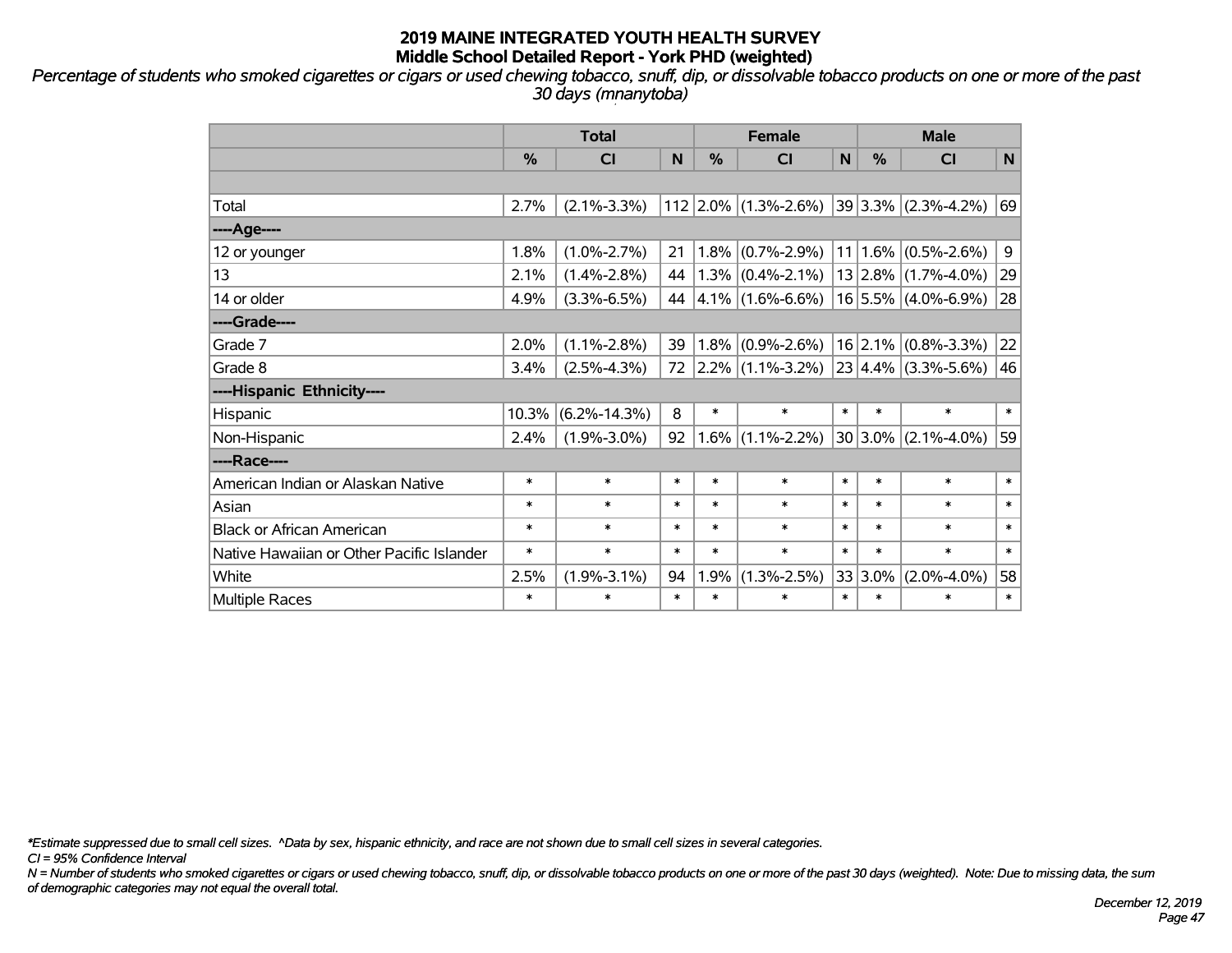*Percentage of students who smoked cigarettes or cigars or used chewing tobacco, snuff, dip, or dissolvable tobacco products on one or more of the past 30 days (mnanytoba)*

|                                           | <b>Total</b> |                         |        |        | <b>Female</b>          |        | <b>Male</b>   |                         |        |  |
|-------------------------------------------|--------------|-------------------------|--------|--------|------------------------|--------|---------------|-------------------------|--------|--|
|                                           | %            | $\overline{\mathsf{C}}$ | N      | %      | <b>CI</b>              | N      | $\frac{0}{0}$ | CI                      | N      |  |
|                                           |              |                         |        |        |                        |        |               |                         |        |  |
| Total                                     | 2.7%         | $(2.1\% - 3.3\%)$       |        |        | $112$ 2.0% (1.3%-2.6%) |        |               | $39 3.3\% $ (2.3%-4.2%) | 69     |  |
| ----Age----                               |              |                         |        |        |                        |        |               |                         |        |  |
| 12 or younger                             | 1.8%         | $(1.0\% - 2.7\%)$       | 21     |        | $1.8\%$ (0.7%-2.9%)    | 11     | 1.6%          | $(0.5\% - 2.6\%)$       | 9      |  |
| 13                                        | 2.1%         | $(1.4\% - 2.8\%)$       | 44     |        | $1.3\%$ (0.4%-2.1%)    |        |               | $13 2.8\% $ (1.7%-4.0%) | 29     |  |
| 14 or older                               | 4.9%         | $(3.3\% - 6.5\%)$       | 44     |        | $ 4.1\% $ (1.6%-6.6%)  |        |               | $16$ 5.5% (4.0%-6.9%)   | 28     |  |
| ----Grade----                             |              |                         |        |        |                        |        |               |                         |        |  |
| Grade 7                                   | 2.0%         | $(1.1\% - 2.8\%)$       | 39     |        | $1.8\%$ (0.9%-2.6%)    |        |               | $16$ 2.1% (0.8%-3.3%)   | 22     |  |
| Grade 8                                   | 3.4%         | $(2.5\% - 4.3\%)$       | 72     |        | $ 2.2\% $ (1.1%-3.2%)  |        |               | $23 4.4\% $ (3.3%-5.6%) | 46     |  |
| ----Hispanic Ethnicity----                |              |                         |        |        |                        |        |               |                         |        |  |
| Hispanic                                  | 10.3%        | $(6.2\% - 14.3\%)$      | 8      | $\ast$ | $\ast$                 | $\ast$ | $\ast$        | $\ast$                  | $\ast$ |  |
| Non-Hispanic                              | 2.4%         | $(1.9\% - 3.0\%)$       | 92     |        | $1.6\%$ (1.1%-2.2%)    |        | 30 3.0%       | $(2.1\% - 4.0\%)$       | 59     |  |
| ----Race----                              |              |                         |        |        |                        |        |               |                         |        |  |
| American Indian or Alaskan Native         | $\ast$       | $\ast$                  | $\ast$ | $\ast$ | $\ast$                 | $\ast$ | $\ast$        | $\ast$                  | $\ast$ |  |
| Asian                                     | $\ast$       | $\ast$                  | $\ast$ | $\ast$ | $\ast$                 | $\ast$ | $\ast$        | $\ast$                  | $\ast$ |  |
| <b>Black or African American</b>          | $\ast$       | $\ast$                  | $\ast$ | $\ast$ | $\ast$                 | $\ast$ | $\ast$        | $\ast$                  | $\ast$ |  |
| Native Hawaiian or Other Pacific Islander | $\ast$       | $\ast$                  | $\ast$ | $\ast$ | $\ast$                 | $\ast$ | $\ast$        | $\ast$                  | $\ast$ |  |
| White                                     | 2.5%         | $(1.9\% - 3.1\%)$       | 94     | 1.9%   | $(1.3\% - 2.5\%)$      |        | 33 3.0%       | $(2.0\% - 4.0\%)$       | 58     |  |
| Multiple Races                            | $\ast$       | $\ast$                  | $\ast$ | $\ast$ | $\ast$                 | $\ast$ | $\ast$        | $\ast$                  | $\ast$ |  |

*\*Estimate suppressed due to small cell sizes. ^Data by sex, hispanic ethnicity, and race are not shown due to small cell sizes in several categories.*

*CI = 95% Confidence Interval*

*N = Number of students who smoked cigarettes or cigars or used chewing tobacco, snuff, dip, or dissolvable tobacco products on one or more of the past 30 days (weighted). Note: Due to missing data, the sum of demographic categories may not equal the overall total.*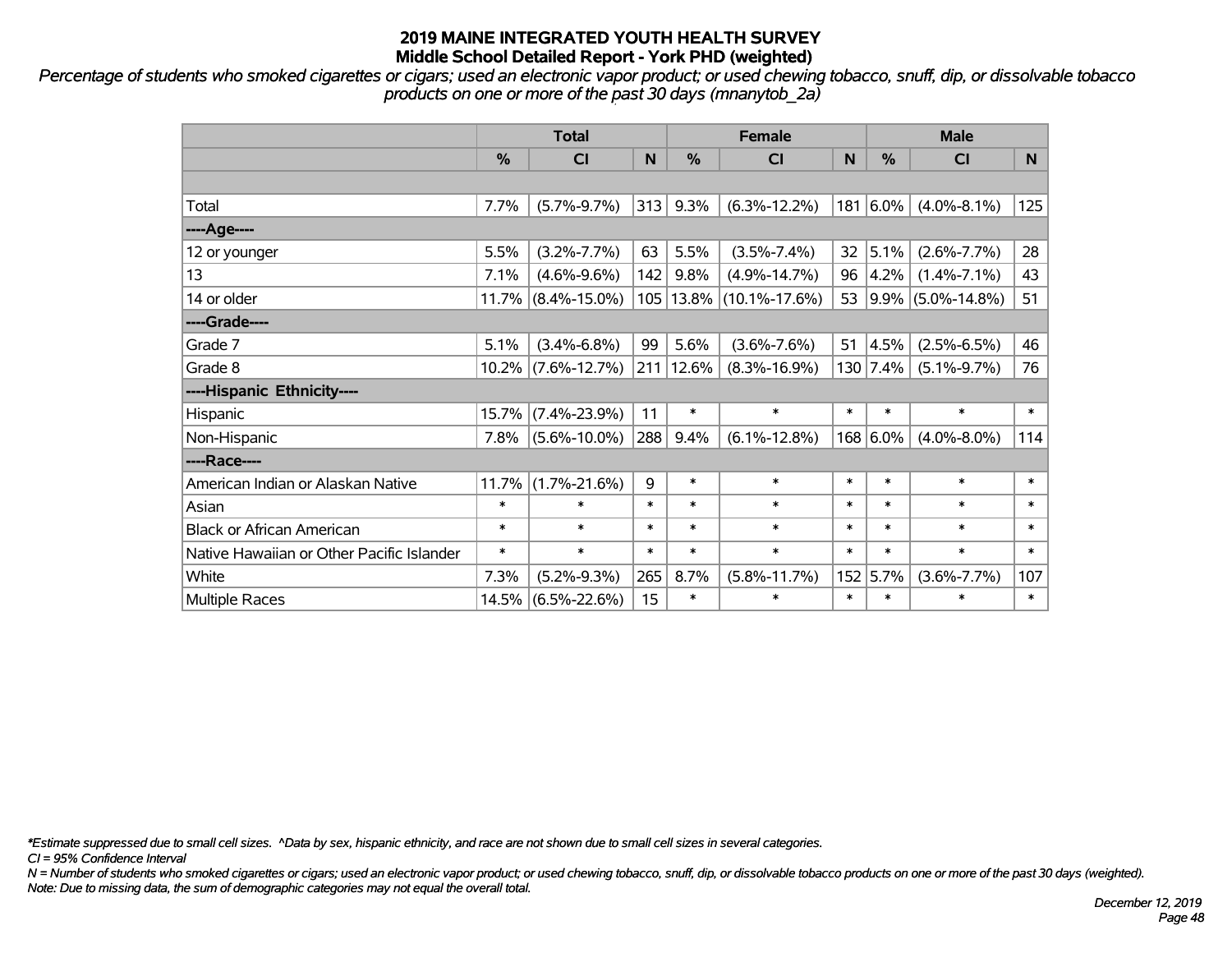*Percentage of students who smoked cigarettes or cigars; used an electronic vapor product; or used chewing tobacco, snuff, dip, or dissolvable tobacco products on one or more of the past 30 days (mnanytob\_2a)*

|                                           | <b>Total</b> |                       |        |             | <b>Female</b>       | <b>Male</b> |                 |                      |        |
|-------------------------------------------|--------------|-----------------------|--------|-------------|---------------------|-------------|-----------------|----------------------|--------|
|                                           | %            | <b>CI</b>             | N      | %           | <b>CI</b>           | N           | %               | <b>CI</b>            | N.     |
|                                           |              |                       |        |             |                     |             |                 |                      |        |
| Total                                     | 7.7%         | $(5.7\% - 9.7\%)$     | 313    | 9.3%        | $(6.3\% - 12.2\%)$  |             | $181 6.0\%$     | $(4.0\% - 8.1\%)$    | 125    |
| ----Age----                               |              |                       |        |             |                     |             |                 |                      |        |
| 12 or younger                             | 5.5%         | $(3.2\% - 7.7\%)$     | 63     | 5.5%        | $(3.5\% - 7.4\%)$   | 32          | 5.1%            | $(2.6\% - 7.7\%)$    | 28     |
| 13                                        | 7.1%         | $(4.6\% - 9.6\%)$     | 142    | 9.8%        | $(4.9\% - 14.7\%)$  |             | $96 \,   4.2\%$ | $(1.4\% - 7.1\%)$    | 43     |
| 14 or older                               |              | $11.7\%$ (8.4%-15.0%) |        | 105   13.8% | $(10.1\% - 17.6\%)$ |             |                 | 53 9.9% (5.0%-14.8%) | 51     |
| ----Grade----                             |              |                       |        |             |                     |             |                 |                      |        |
| Grade 7                                   | 5.1%         | $(3.4\% - 6.8\%)$     | 99     | 5.6%        | $(3.6\% - 7.6\%)$   | 51          | 4.5%            | $(2.5\% - 6.5\%)$    | 46     |
| Grade 8                                   |              | $10.2\%$ (7.6%-12.7%) |        | 211 12.6%   | $(8.3\% - 16.9\%)$  |             | $130$   7.4%    | $(5.1\% - 9.7\%)$    | 76     |
| ----Hispanic Ethnicity----                |              |                       |        |             |                     |             |                 |                      |        |
| Hispanic                                  | 15.7%        | $(7.4\% - 23.9\%)$    | 11     | $\ast$      | $\ast$              | $\ast$      | $\ast$          | $\ast$               | $\ast$ |
| Non-Hispanic                              | 7.8%         | $(5.6\% - 10.0\%)$    | 288    | 9.4%        | $(6.1\% - 12.8\%)$  |             | 168 6.0%        | $(4.0\% - 8.0\%)$    | 114    |
| ----Race----                              |              |                       |        |             |                     |             |                 |                      |        |
| American Indian or Alaskan Native         | 11.7%        | $(1.7\% - 21.6\%)$    | 9      | $\ast$      | $\ast$              | $\ast$      | $\ast$          | $\ast$               | $\ast$ |
| Asian                                     | $\ast$       | $\ast$                | $\ast$ | $\ast$      | $\ast$              | $\ast$      | $\ast$          | $\ast$               | $\ast$ |
| <b>Black or African American</b>          | $\ast$       | $\ast$                | $\ast$ | $\ast$      | $\ast$              | $\ast$      | $\ast$          | $\ast$               | $\ast$ |
| Native Hawaiian or Other Pacific Islander | $\ast$       | $\ast$                | $\ast$ | $\ast$      | $\ast$              | $\ast$      | $\ast$          | $\ast$               | $\ast$ |
| White                                     | 7.3%         | $(5.2\% - 9.3\%)$     | 265    | 8.7%        | $(5.8\% - 11.7\%)$  |             | 152 5.7%        | $(3.6\% - 7.7\%)$    | 107    |
| <b>Multiple Races</b>                     | 14.5%        | $(6.5\% - 22.6\%)$    | 15     | $\ast$      | $\ast$              | $\ast$      | $\ast$          | $\ast$               | $\ast$ |

*\*Estimate suppressed due to small cell sizes. ^Data by sex, hispanic ethnicity, and race are not shown due to small cell sizes in several categories.*

*CI = 95% Confidence Interval*

*N = Number of students who smoked cigarettes or cigars; used an electronic vapor product; or used chewing tobacco, snuff, dip, or dissolvable tobacco products on one or more of the past 30 days (weighted). Note: Due to missing data, the sum of demographic categories may not equal the overall total.*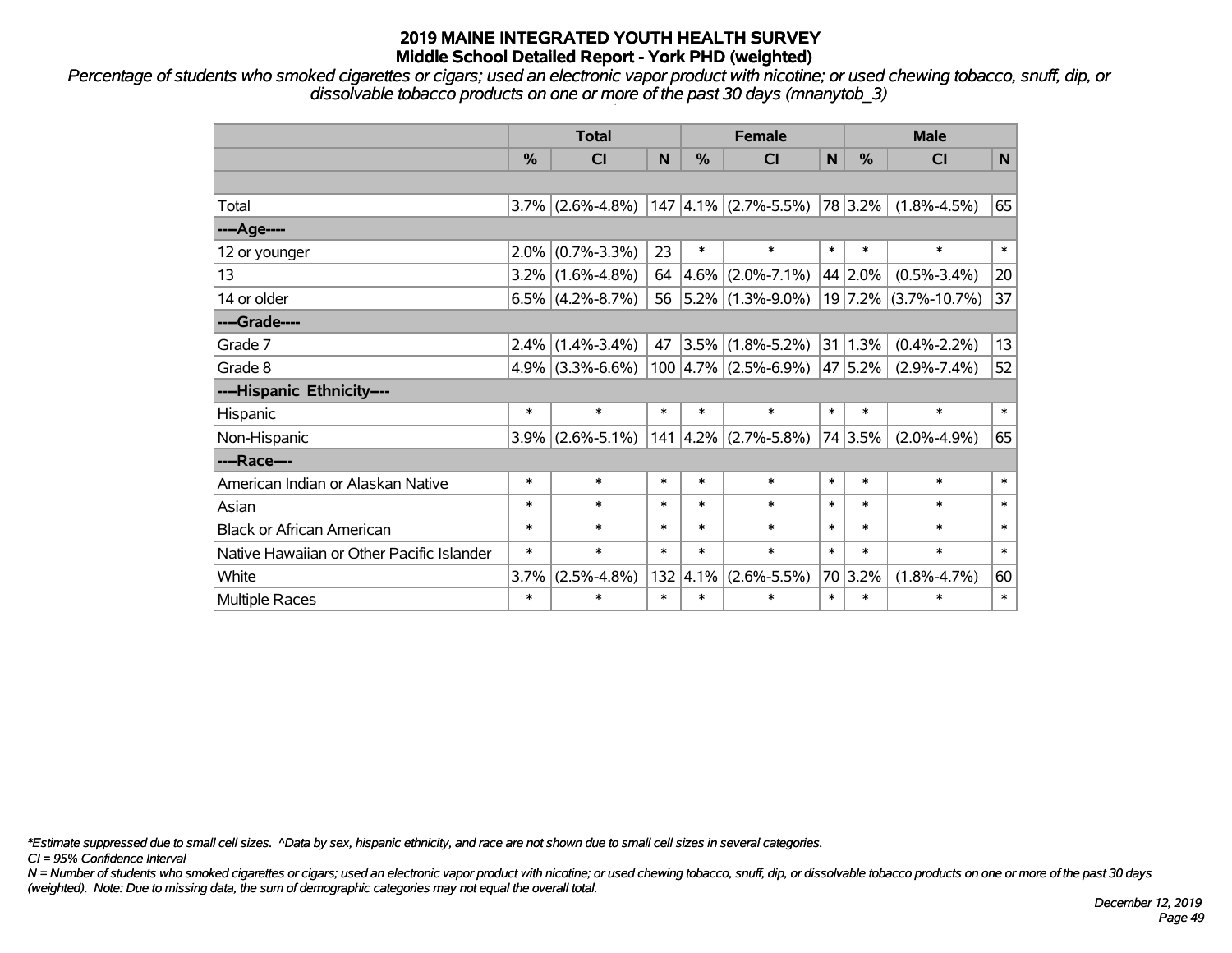*Percentage of students who smoked cigarettes or cigars; used an electronic vapor product with nicotine; or used chewing tobacco, snuff, dip, or dissolvable tobacco products on one or more of the past 30 days (mnanytob\_3)*

|                                           | <b>Total</b>  |                     |        | <b>Female</b> |                                       | <b>Male</b> |               |                        |              |
|-------------------------------------------|---------------|---------------------|--------|---------------|---------------------------------------|-------------|---------------|------------------------|--------------|
|                                           | $\frac{0}{0}$ | <b>CI</b>           | N      | $\%$          | <b>CI</b>                             | N           | $\frac{0}{0}$ | <b>CI</b>              | N            |
|                                           |               |                     |        |               |                                       |             |               |                        |              |
| Total                                     |               | $3.7\%$ (2.6%-4.8%) |        |               | $147 \,   4.1\% \,   (2.7\% - 5.5\%)$ |             | 78 3.2%       | $(1.8\% - 4.5\%)$      | 65           |
| ----Age----                               |               |                     |        |               |                                       |             |               |                        |              |
| 12 or younger                             |               | $2.0\%$ (0.7%-3.3%) | 23     | $\ast$        | $\ast$                                | $\ast$      | $\ast$        | $\ast$                 | $\ast$       |
| 13                                        |               | $3.2\%$ (1.6%-4.8%) | 64     | 4.6%          | $(2.0\% - 7.1\%)$                     |             | 44 2.0%       | $(0.5\% - 3.4\%)$      | 20           |
| 14 or older                               |               | $6.5\%$ (4.2%-8.7%) | 56     |               | $ 5.2\% $ (1.3%-9.0%)                 |             |               | $19$ 7.2% (3.7%-10.7%) | 37           |
| ----Grade----                             |               |                     |        |               |                                       |             |               |                        |              |
| Grade 7                                   |               | $2.4\%$ (1.4%-3.4%) | 47     |               | $ 3.5\% $ (1.8%-5.2%)                 |             | 31 1.3%       | $(0.4\% - 2.2\%)$      | 13           |
| Grade 8                                   |               | $4.9\%$ (3.3%-6.6%) |        |               | $100  4.7\%  (2.5\% - 6.9\%)$         |             | 47 5.2%       | $(2.9\% - 7.4\%)$      | 52           |
| ----Hispanic Ethnicity----                |               |                     |        |               |                                       |             |               |                        |              |
| Hispanic                                  | $\ast$        | $\ast$              | $\ast$ | $\ast$        | *                                     | $\ast$      | $\ast$        | $\ast$                 | $\ast$       |
| Non-Hispanic                              |               | $3.9\%$ (2.6%-5.1%) |        |               | $141 \mid 4.2\% \mid (2.7\% - 5.8\%)$ |             | 74 3.5%       | $(2.0\% - 4.9\%)$      | 65           |
| ----Race----                              |               |                     |        |               |                                       |             |               |                        |              |
| American Indian or Alaskan Native         | $\ast$        | $\ast$              | $\ast$ | $\ast$        | $\ast$                                | $\ast$      | $\ast$        | $\ast$                 | $\ast$       |
| Asian                                     | $\ast$        | $\ast$              | $\ast$ | $\ast$        | $\ast$                                | $\ast$      | $\ast$        | $\ast$                 | $\ast$       |
| <b>Black or African American</b>          | $\ast$        | $\ast$              | $\ast$ | $\ast$        | $\ast$                                | $\ast$      | $\ast$        | $\ast$                 | $\ast$       |
| Native Hawaiian or Other Pacific Islander | $\ast$        | $\ast$              | $\ast$ | $\ast$        | $\ast$                                | $\ast$      | $\ast$        | $\ast$                 | $\ast$       |
| White                                     | 3.7%          | $(2.5\% - 4.8\%)$   | 132    | 4.1%          | $(2.6\% - 5.5\%)$                     |             | 70 3.2%       | $(1.8\% - 4.7\%)$      | 60           |
| <b>Multiple Races</b>                     | $\ast$        | $\ast$              | $\ast$ | $\ast$        | $\ast$                                | $\ast$      | $\ast$        | $\ast$                 | $\pmb{\ast}$ |

*\*Estimate suppressed due to small cell sizes. ^Data by sex, hispanic ethnicity, and race are not shown due to small cell sizes in several categories.*

*CI = 95% Confidence Interval*

*N = Number of students who smoked cigarettes or cigars; used an electronic vapor product with nicotine; or used chewing tobacco, snuff, dip, or dissolvable tobacco products on one or more of the past 30 days (weighted). Note: Due to missing data, the sum of demographic categories may not equal the overall total.*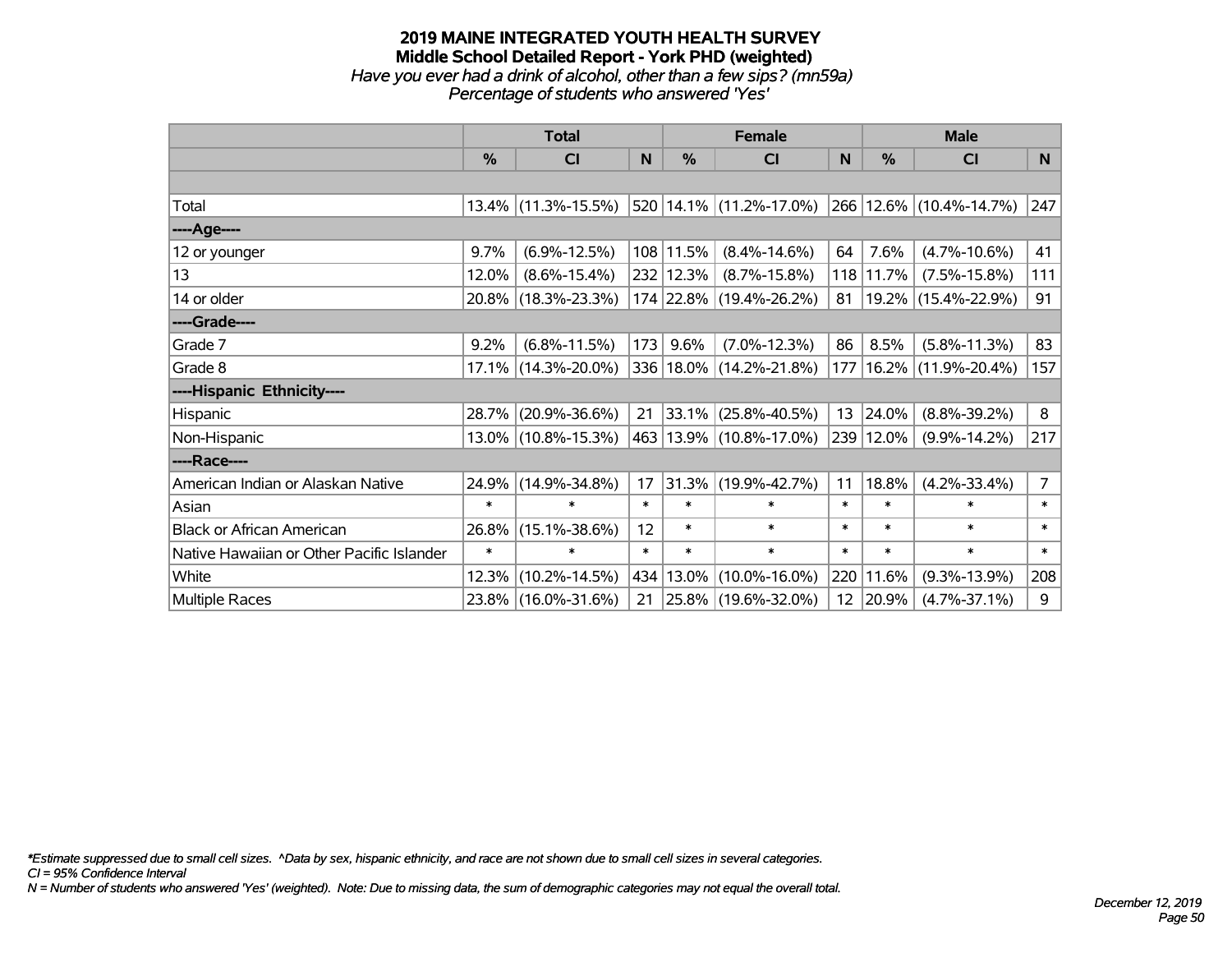#### **2019 MAINE INTEGRATED YOUTH HEALTH SURVEY Middle School Detailed Report - York PHD (weighted)** *Have you ever had a drink of alcohol, other than a few sips? (mn59a) Percentage of students who answered 'Yes'*

|                                           | <b>Total</b>  |                        |        | <b>Female</b> | <b>Male</b>                 |                 |           |                              |                |
|-------------------------------------------|---------------|------------------------|--------|---------------|-----------------------------|-----------------|-----------|------------------------------|----------------|
|                                           | $\frac{0}{0}$ | <b>CI</b>              | N      | $\frac{0}{0}$ | <b>CI</b>                   | <sub>N</sub>    | %         | <b>CI</b>                    | <sub>N</sub>   |
|                                           |               |                        |        |               |                             |                 |           |                              |                |
| Total                                     |               | $13.4\%$ (11.3%-15.5%) |        |               | 520   14.1%   (11.2%-17.0%) |                 |           | $ 266 12.6\% $ (10.4%-14.7%) | 247            |
| ----Age----                               |               |                        |        |               |                             |                 |           |                              |                |
| 12 or younger                             | 9.7%          | $(6.9\% - 12.5\%)$     |        | $108$ 11.5%   | $(8.4\% - 14.6\%)$          | 64              | 7.6%      | $(4.7\% - 10.6\%)$           | 41             |
| 13                                        | 12.0%         | $(8.6\% - 15.4\%)$     |        | $232$   12.3% | $(8.7\% - 15.8\%)$          |                 | 118 11.7% | $(7.5\% - 15.8\%)$           | 111            |
| 14 or older                               |               | 20.8% (18.3%-23.3%)    |        |               | 174 22.8% (19.4%-26.2%)     | 81              |           | 19.2% (15.4%-22.9%)          | 91             |
| ----Grade----                             |               |                        |        |               |                             |                 |           |                              |                |
| Grade 7                                   | 9.2%          | $(6.8\% - 11.5\%)$     | 173    | 9.6%          | $(7.0\% - 12.3\%)$          | 86              | 8.5%      | $(5.8\% - 11.3\%)$           | 83             |
| Grade 8                                   |               | $17.1\%$ (14.3%-20.0%) |        |               | 336 18.0% (14.2%-21.8%)     |                 |           | 177   16.2%   (11.9%-20.4%)  | 157            |
| ----Hispanic Ethnicity----                |               |                        |        |               |                             |                 |           |                              |                |
| Hispanic                                  | 28.7%         | $(20.9\% - 36.6\%)$    | 21     |               | $ 33.1\% $ (25.8%-40.5%)    | 13              | 24.0%     | $(8.8\% - 39.2\%)$           | 8              |
| Non-Hispanic                              |               | 13.0% (10.8%-15.3%)    |        |               | 463 13.9% (10.8%-17.0%)     |                 | 239 12.0% | $(9.9\% - 14.2\%)$           | 217            |
| ----Race----                              |               |                        |        |               |                             |                 |           |                              |                |
| American Indian or Alaskan Native         | 24.9%         | $(14.9\% - 34.8\%)$    | 17     | 31.3%         | $(19.9\% - 42.7\%)$         | 11              | 18.8%     | $(4.2\% - 33.4\%)$           | $\overline{7}$ |
| Asian                                     | $\ast$        | $\ast$                 | $\ast$ | $\ast$        | $\ast$                      | $\ast$          | $\ast$    | $\ast$                       | $\ast$         |
| <b>Black or African American</b>          | 26.8%         | $(15.1\% - 38.6\%)$    | 12     | $\ast$        | $\ast$                      | $\ast$          | $\ast$    | $\ast$                       | $\ast$         |
| Native Hawaiian or Other Pacific Islander | $\ast$        | $\ast$                 | $\ast$ | $\ast$        | $\ast$                      | $\ast$          | $\ast$    | $\ast$                       | $\ast$         |
| White                                     | 12.3%         | $(10.2\% - 14.5\%)$    |        | 434 13.0%     | $(10.0\% - 16.0\%)$         |                 | 220 11.6% | $(9.3\% - 13.9\%)$           | 208            |
| Multiple Races                            |               | 23.8% (16.0%-31.6%)    | 21     |               | 25.8% (19.6%-32.0%)         | 12 <sup>2</sup> | 20.9%     | $(4.7\% - 37.1\%)$           | 9              |

*\*Estimate suppressed due to small cell sizes. ^Data by sex, hispanic ethnicity, and race are not shown due to small cell sizes in several categories.*

*CI = 95% Confidence Interval*

*N = Number of students who answered 'Yes' (weighted). Note: Due to missing data, the sum of demographic categories may not equal the overall total.*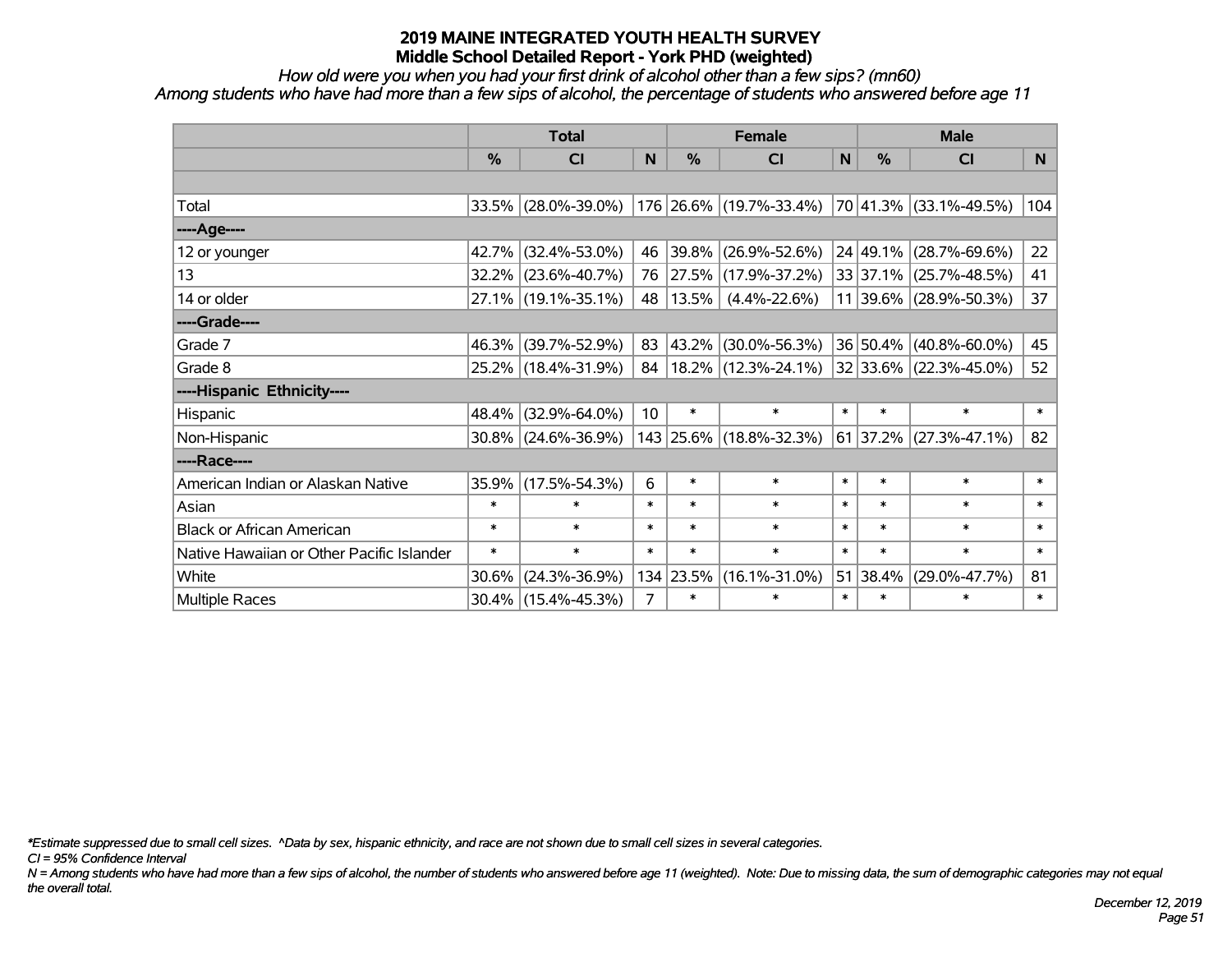*How old were you when you had your first drink of alcohol other than a few sips? (mn60) Among students who have had more than a few sips of alcohol, the percentage of students who answered before age 11*

|                                           | <b>Total</b>  |                        |                |           | <b>Female</b>                                                      | <b>Male</b> |               |                             |                |
|-------------------------------------------|---------------|------------------------|----------------|-----------|--------------------------------------------------------------------|-------------|---------------|-----------------------------|----------------|
|                                           | $\frac{0}{2}$ | <b>CI</b>              | N              | %         | <b>CI</b>                                                          | N           | $\%$          | <b>CI</b>                   | N <sub>1</sub> |
|                                           |               |                        |                |           |                                                                    |             |               |                             |                |
| Total                                     |               |                        |                |           | 33.5% (28.0%-39.0%) 176 26.6% (19.7%-33.4%) 70 41.3% (33.1%-49.5%) |             |               |                             | 104            |
| ----Age----                               |               |                        |                |           |                                                                    |             |               |                             |                |
| 12 or younger                             | 42.7%         | $(32.4\% - 53.0\%)$    | 46             | 39.8%     | $(26.9\% - 52.6\%)$                                                |             | $ 24 49.1\% $ | $(28.7\% - 69.6\%)$         | 22             |
| 13                                        |               | 32.2% (23.6%-40.7%)    | 76             | 27.5%     | $(17.9\% - 37.2\%)$                                                |             |               | $ 33 37.1\% $ (25.7%-48.5%) | 41             |
| 14 or older                               |               | 27.1% (19.1%-35.1%)    | 48             | 13.5%     | $(4.4\% - 22.6\%)$                                                 |             |               | 11 39.6% (28.9%-50.3%)      | 37             |
| ----Grade----                             |               |                        |                |           |                                                                    |             |               |                             |                |
| Grade 7                                   | 46.3%         | (39.7%-52.9%)          | 83             | 43.2%     | $(30.0\% - 56.3\%)$                                                |             | 36 50.4%      | $(40.8\% - 60.0\%)$         | 45             |
| Grade 8                                   |               | 25.2% (18.4%-31.9%)    |                |           | 84   18.2%   (12.3%-24.1%)                                         |             |               | $ 32 33.6\% $ (22.3%-45.0%) | 52             |
| ----Hispanic Ethnicity----                |               |                        |                |           |                                                                    |             |               |                             |                |
| Hispanic                                  | 48.4%         | $(32.9\% - 64.0\%)$    | 10             | $\ast$    | $\ast$                                                             | $\ast$      | $\ast$        | $\ast$                      | $\ast$         |
| Non-Hispanic                              |               | $30.8\%$ (24.6%-36.9%) |                |           | 143 25.6% (18.8%-32.3%)                                            |             | $ 61 37.2\% $ | $(27.3\% - 47.1\%)$         | 82             |
| ----Race----                              |               |                        |                |           |                                                                    |             |               |                             |                |
| American Indian or Alaskan Native         | 35.9%         | $(17.5\% - 54.3\%)$    | 6              | $\ast$    | $\ast$                                                             | $\ast$      | $\ast$        | $\ast$                      | $\ast$         |
| Asian                                     | $\ast$        | $\ast$                 | $\ast$         | $\ast$    | $\ast$                                                             | $\ast$      | $\ast$        | $\ast$                      | $\ast$         |
| <b>Black or African American</b>          | $\ast$        | $\ast$                 | $\ast$         | $\ast$    | $\ast$                                                             | $\ast$      | $\ast$        | $\ast$                      | $\ast$         |
| Native Hawaiian or Other Pacific Islander | $\ast$        | $\ast$                 | $\ast$         | $\ast$    | $\ast$                                                             | $\ast$      | $\ast$        | $\ast$                      | $\ast$         |
| White                                     | 30.6%         | $(24.3\% - 36.9\%)$    |                | 134 23.5% | $(16.1\% - 31.0\%)$                                                |             | 51 38.4%      | $(29.0\% - 47.7\%)$         | 81             |
| <b>Multiple Races</b>                     |               | $30.4\%$ (15.4%-45.3%) | $\overline{7}$ | $\ast$    | $\ast$                                                             | $\ast$      | $\ast$        | $\ast$                      | $\ast$         |

*\*Estimate suppressed due to small cell sizes. ^Data by sex, hispanic ethnicity, and race are not shown due to small cell sizes in several categories.*

*CI = 95% Confidence Interval*

*N = Among students who have had more than a few sips of alcohol, the number of students who answered before age 11 (weighted). Note: Due to missing data, the sum of demographic categories may not equal the overall total.*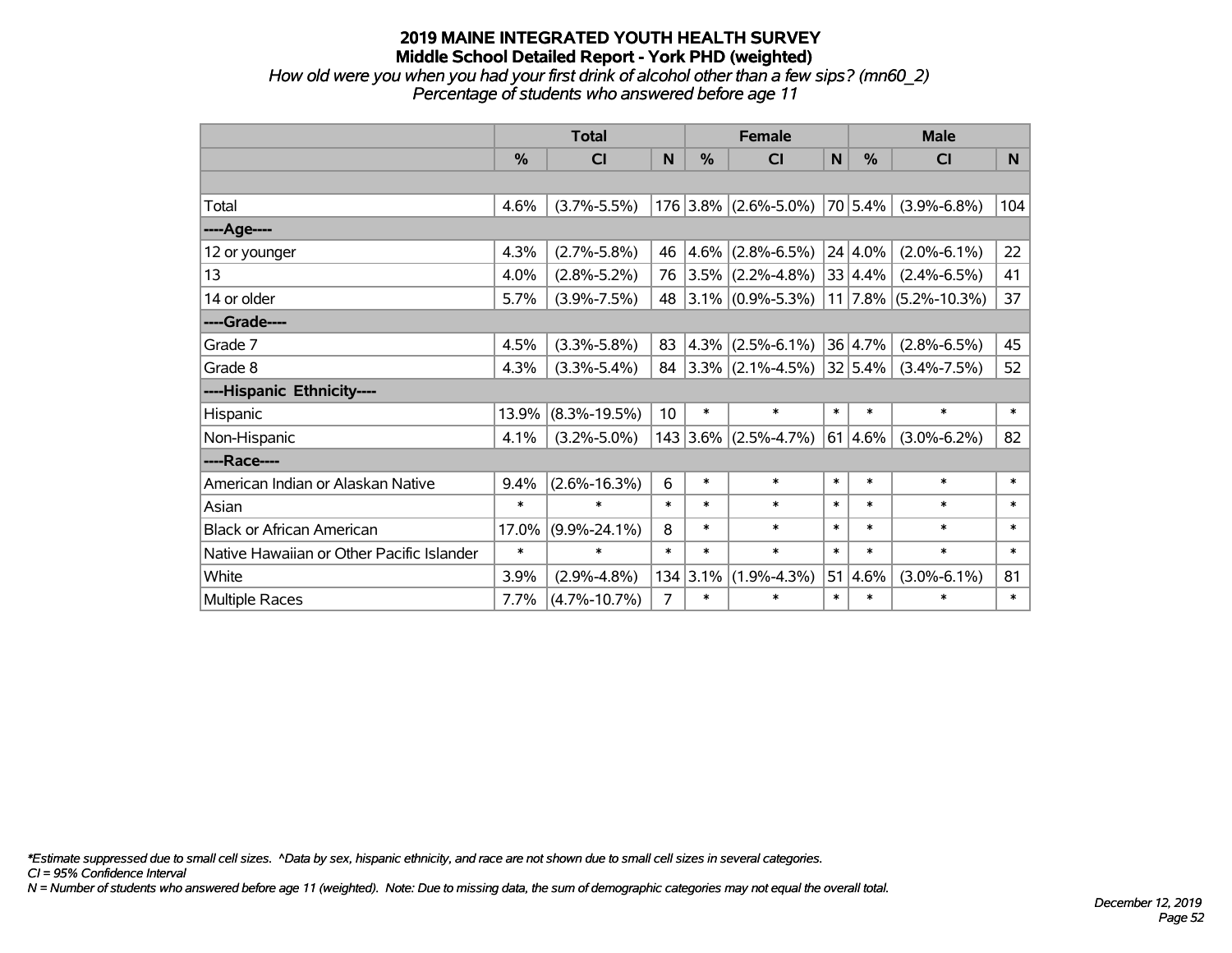*How old were you when you had your first drink of alcohol other than a few sips? (mn60\_2) Percentage of students who answered before age 11*

|                                           | <b>Total</b> |                    |                | <b>Female</b> |                        | <b>Male</b> |         |                          |        |
|-------------------------------------------|--------------|--------------------|----------------|---------------|------------------------|-------------|---------|--------------------------|--------|
|                                           | $\%$         | CI                 | N              | $\%$          | <b>CI</b>              | N           | $\%$    | <b>CI</b>                | N.     |
|                                           |              |                    |                |               |                        |             |         |                          |        |
| Total                                     | 4.6%         | $(3.7\% - 5.5\%)$  |                |               | $176$ 3.8% (2.6%-5.0%) |             | 70 5.4% | $(3.9\% - 6.8\%)$        | 104    |
| ----Age----                               |              |                    |                |               |                        |             |         |                          |        |
| 12 or younger                             | 4.3%         | $(2.7\% - 5.8\%)$  | 46             | $4.6\%$       | $(2.8\% - 6.5\%)$      |             | 24 4.0% | $(2.0\% - 6.1\%)$        | 22     |
| 13                                        | 4.0%         | $(2.8\% - 5.2\%)$  | 76             |               | $3.5\%$ (2.2%-4.8%)    |             | 33 4.4% | $(2.4\% - 6.5\%)$        | 41     |
| 14 or older                               | 5.7%         | $(3.9\% - 7.5\%)$  | 48             |               | $3.1\%$ (0.9%-5.3%)    |             |         | $11$   7.8% (5.2%-10.3%) | 37     |
| ----Grade----                             |              |                    |                |               |                        |             |         |                          |        |
| Grade 7                                   | 4.5%         | $(3.3\% - 5.8\%)$  | 83             | $ 4.3\% $     | $(2.5\% - 6.1\%)$      |             | 36 4.7% | $(2.8\% - 6.5\%)$        | 45     |
| Grade 8                                   | 4.3%         | $(3.3\% - 5.4\%)$  | 84             |               | $3.3\%$ (2.1%-4.5%)    |             | 32 5.4% | $(3.4\% - 7.5\%)$        | 52     |
| ----Hispanic Ethnicity----                |              |                    |                |               |                        |             |         |                          |        |
| Hispanic                                  | 13.9%        | $(8.3\% - 19.5\%)$ | 10             | $\ast$        | $\ast$                 | $\ast$      | $\ast$  | $\ast$                   | $\ast$ |
| Non-Hispanic                              | 4.1%         | $(3.2\% - 5.0\%)$  |                | 143 3.6%      | $(2.5\% - 4.7\%)$      |             | 61 4.6% | $(3.0\% - 6.2\%)$        | 82     |
| ----Race----                              |              |                    |                |               |                        |             |         |                          |        |
| American Indian or Alaskan Native         | 9.4%         | $(2.6\% - 16.3\%)$ | 6              | $\ast$        | $\ast$                 | $\ast$      | $\ast$  | $\ast$                   | $\ast$ |
| Asian                                     | $\ast$       | $\ast$             | $\ast$         | $\ast$        | $\ast$                 | $\ast$      | $\ast$  | $\ast$                   | $\ast$ |
| <b>Black or African American</b>          | 17.0%        | $(9.9\% - 24.1\%)$ | 8              | $\ast$        | $\ast$                 | $\ast$      | $\ast$  | $\ast$                   | $\ast$ |
| Native Hawaiian or Other Pacific Islander | $\ast$       | $\ast$             | $\ast$         | $\ast$        | $\ast$                 | $\ast$      | $\ast$  | $\ast$                   | $\ast$ |
| White                                     | 3.9%         | $(2.9\% - 4.8\%)$  | 134            | 3.1%          | $(1.9\% - 4.3\%)$      | 51          | 4.6%    | $(3.0\% - 6.1\%)$        | 81     |
| Multiple Races                            | 7.7%         | $(4.7\% - 10.7\%)$ | $\overline{7}$ | $\ast$        | *                      | $\ast$      | $\ast$  | $\ast$                   | $\ast$ |

*\*Estimate suppressed due to small cell sizes. ^Data by sex, hispanic ethnicity, and race are not shown due to small cell sizes in several categories.*

*CI = 95% Confidence Interval*

*N = Number of students who answered before age 11 (weighted). Note: Due to missing data, the sum of demographic categories may not equal the overall total.*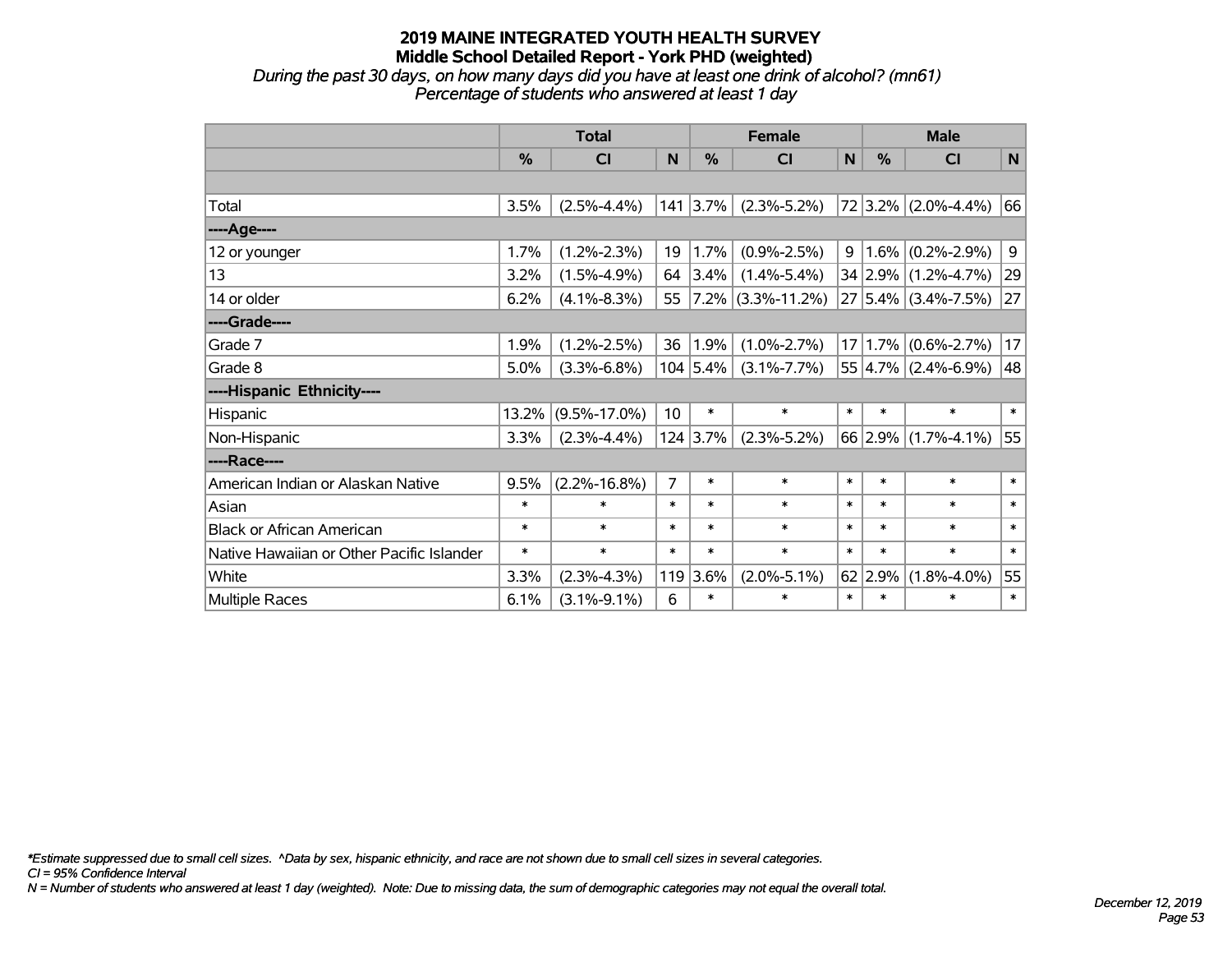*During the past 30 days, on how many days did you have at least one drink of alcohol? (mn61) Percentage of students who answered at least 1 day*

|                                           | <b>Total</b> |                    |                |                     | <b>Female</b>      |        | <b>Male</b> |                           |                |  |
|-------------------------------------------|--------------|--------------------|----------------|---------------------|--------------------|--------|-------------|---------------------------|----------------|--|
|                                           | %            | CI                 | N              | %                   | CI                 | N      | %           | <b>CI</b>                 | N              |  |
|                                           |              |                    |                |                     |                    |        |             |                           |                |  |
| Total                                     | 3.5%         | $(2.5\% - 4.4\%)$  |                | $141 \,   \, 3.7\%$ | $(2.3\% - 5.2\%)$  |        |             | $72 3.2\% $ (2.0%-4.4%)   | 66             |  |
| ----Age----                               |              |                    |                |                     |                    |        |             |                           |                |  |
| 12 or younger                             | 1.7%         | $(1.2\% - 2.3\%)$  | 19             | 1.7%                | $(0.9\% - 2.5\%)$  | 9      |             | $1.6\%$ (0.2%-2.9%)       | $\overline{9}$ |  |
| 13                                        | 3.2%         | $(1.5\% - 4.9\%)$  | 64             | 3.4%                | $(1.4\% - 5.4\%)$  |        |             | 34 2.9% (1.2%-4.7%)       | 29             |  |
| 14 or older                               | 6.2%         | $(4.1\% - 8.3\%)$  | 55             | $ 7.2\% $           | $(3.3\% - 11.2\%)$ |        |             | $27 5.4\% $ (3.4%-7.5%)   | 27             |  |
| ----Grade----                             |              |                    |                |                     |                    |        |             |                           |                |  |
| Grade 7                                   | 1.9%         | $(1.2\% - 2.5\%)$  | 36             | 1.9%                | $(1.0\% - 2.7\%)$  |        | 17 1.7%     | $(0.6\% - 2.7\%)$         | 17             |  |
| Grade 8                                   | 5.0%         | $(3.3\% - 6.8\%)$  |                | 104 5.4%            | $(3.1\% - 7.7\%)$  |        |             | $55 4.7\% $ (2.4%-6.9%)   | 48             |  |
| ----Hispanic Ethnicity----                |              |                    |                |                     |                    |        |             |                           |                |  |
| Hispanic                                  | 13.2%        | $(9.5\% - 17.0\%)$ | 10             | $\ast$              | $\ast$             | $\ast$ | $\ast$      | $\ast$                    | $\ast$         |  |
| Non-Hispanic                              | 3.3%         | $(2.3\% - 4.4\%)$  |                | $124$ 3.7%          | $(2.3\% - 5.2\%)$  |        |             | 66 2.9% $(1.7\% - 4.1\%)$ | 55             |  |
| ----Race----                              |              |                    |                |                     |                    |        |             |                           |                |  |
| American Indian or Alaskan Native         | 9.5%         | $(2.2\% - 16.8\%)$ | $\overline{7}$ | $\ast$              | $\ast$             | $\ast$ | $\ast$      | $\ast$                    | $\ast$         |  |
| Asian                                     | $\ast$       | $\ast$             | $\ast$         | $\ast$              | $\ast$             | $\ast$ | $\ast$      | $\ast$                    | $\ast$         |  |
| <b>Black or African American</b>          | $\ast$       | $\ast$             | $\ast$         | $\ast$              | $\ast$             | $\ast$ | $\ast$      | $\ast$                    | $\ast$         |  |
| Native Hawaiian or Other Pacific Islander | $\ast$       | $\ast$             | $\ast$         | $\ast$              | $\ast$             | $\ast$ | $\ast$      | $\ast$                    | $\ast$         |  |
| White                                     | 3.3%         | $(2.3\% - 4.3\%)$  | 119            | 3.6%                | $(2.0\% - 5.1\%)$  |        | 62 2.9%     | $(1.8\% - 4.0\%)$         | 55             |  |
| Multiple Races                            | 6.1%         | $(3.1\% - 9.1\%)$  | 6              | $\ast$              | $\ast$             | $\ast$ | $\ast$      | $\ast$                    | $\ast$         |  |

*\*Estimate suppressed due to small cell sizes. ^Data by sex, hispanic ethnicity, and race are not shown due to small cell sizes in several categories.*

*CI = 95% Confidence Interval*

*N = Number of students who answered at least 1 day (weighted). Note: Due to missing data, the sum of demographic categories may not equal the overall total.*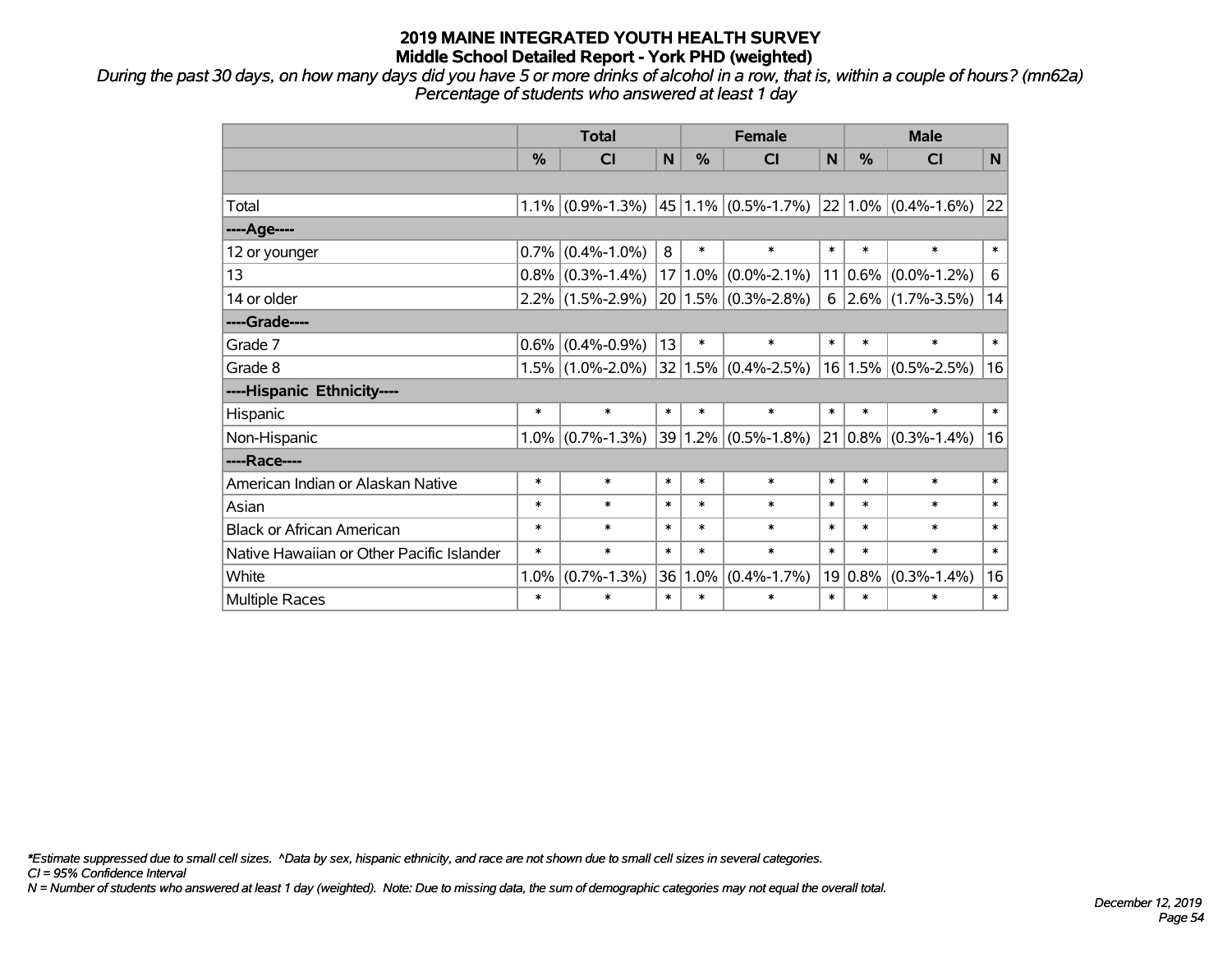*During the past 30 days, on how many days did you have 5 or more drinks of alcohol in a row, that is, within a couple of hours? (mn62a) Percentage of students who answered at least 1 day*

|                                           | <b>Total</b>  |                     |                 | <b>Female</b> |                         |        | <b>Male</b>   |                                                          |        |  |
|-------------------------------------------|---------------|---------------------|-----------------|---------------|-------------------------|--------|---------------|----------------------------------------------------------|--------|--|
|                                           | $\frac{0}{0}$ | <b>CI</b>           | N               | $\frac{0}{0}$ | <b>CI</b>               | N      | $\frac{0}{0}$ | <b>CI</b>                                                | N.     |  |
|                                           |               |                     |                 |               |                         |        |               |                                                          |        |  |
| Total                                     | 1.1%          | $(0.9\% - 1.3\%)$   |                 |               |                         |        |               | $ 45 1.1\% $ (0.5%-1.7%) $ 22 1.0\% $ (0.4%-1.6%) $ 22 $ |        |  |
| ----Age----                               |               |                     |                 |               |                         |        |               |                                                          |        |  |
| 12 or younger                             | 0.7%          | $(0.4\% - 1.0\%)$   | 8               | $\ast$        | $\ast$                  | $\ast$ | $\ast$        | $\ast$                                                   | $\ast$ |  |
| 13                                        | 0.8%          | $(0.3\% - 1.4\%)$   | 17 <sup>2</sup> | $1.0\%$       | $(0.0\% - 2.1\%)$       |        | $11 0.6\% $   | $(0.0\% - 1.2\%)$                                        | 6      |  |
| 14 or older                               |               | $2.2\%$ (1.5%-2.9%) |                 |               | $20 1.5\% $ (0.3%-2.8%) | 6      |               | $ 2.6\% $ (1.7%-3.5%)                                    | 14     |  |
| ----Grade----                             |               |                     |                 |               |                         |        |               |                                                          |        |  |
| Grade 7                                   | 0.6%          | $(0.4\% - 0.9\%)$   | 13              | $\ast$        | $\ast$                  | $\ast$ | $\ast$        | $\ast$                                                   | $\ast$ |  |
| Grade 8                                   | 1.5%          | $(1.0\% - 2.0\%)$   |                 |               | $32 1.5\% $ (0.4%-2.5%) |        |               | $16 1.5\% $ (0.5%-2.5%)                                  | 16     |  |
| ----Hispanic Ethnicity----                |               |                     |                 |               |                         |        |               |                                                          |        |  |
| Hispanic                                  | $\ast$        | $\ast$              | $\ast$          | $\ast$        | $\ast$                  | $\ast$ | $\ast$        | $\ast$                                                   | $\ast$ |  |
| Non-Hispanic                              | 1.0%          | $(0.7\% - 1.3\%)$   |                 | 39 1.2%       | $(0.5\% - 1.8\%)$       |        |               | $21   0.8\%   (0.3\% - 1.4\%)$                           | 16     |  |
| ----Race----                              |               |                     |                 |               |                         |        |               |                                                          |        |  |
| American Indian or Alaskan Native         | $\ast$        | $\ast$              | $\ast$          | $\ast$        | $\ast$                  | $\ast$ | $\ast$        | $\ast$                                                   | $\ast$ |  |
| Asian                                     | $\ast$        | $\ast$              | $\ast$          | $\ast$        | $\ast$                  | $\ast$ | $\ast$        | $\ast$                                                   | $\ast$ |  |
| <b>Black or African American</b>          | $\ast$        | $\ast$              | $\ast$          | $\ast$        | $\ast$                  | $\ast$ | $\ast$        | $\ast$                                                   | $\ast$ |  |
| Native Hawaiian or Other Pacific Islander | $\ast$        | $\ast$              | $\ast$          | $\ast$        | $\ast$                  | $\ast$ | $\ast$        | $\ast$                                                   | $\ast$ |  |
| White                                     | 1.0%          | $(0.7\% - 1.3\%)$   | 36              | 1.0%          | $(0.4\% - 1.7\%)$       |        | $19 0.8\%$    | $(0.3\% - 1.4\%)$                                        | 16     |  |
| Multiple Races                            | $\ast$        | $\ast$              | $\ast$          | $\ast$        | *                       | $\ast$ | $\ast$        | $\ast$                                                   | $\ast$ |  |

*\*Estimate suppressed due to small cell sizes. ^Data by sex, hispanic ethnicity, and race are not shown due to small cell sizes in several categories.*

*CI = 95% Confidence Interval*

*N = Number of students who answered at least 1 day (weighted). Note: Due to missing data, the sum of demographic categories may not equal the overall total.*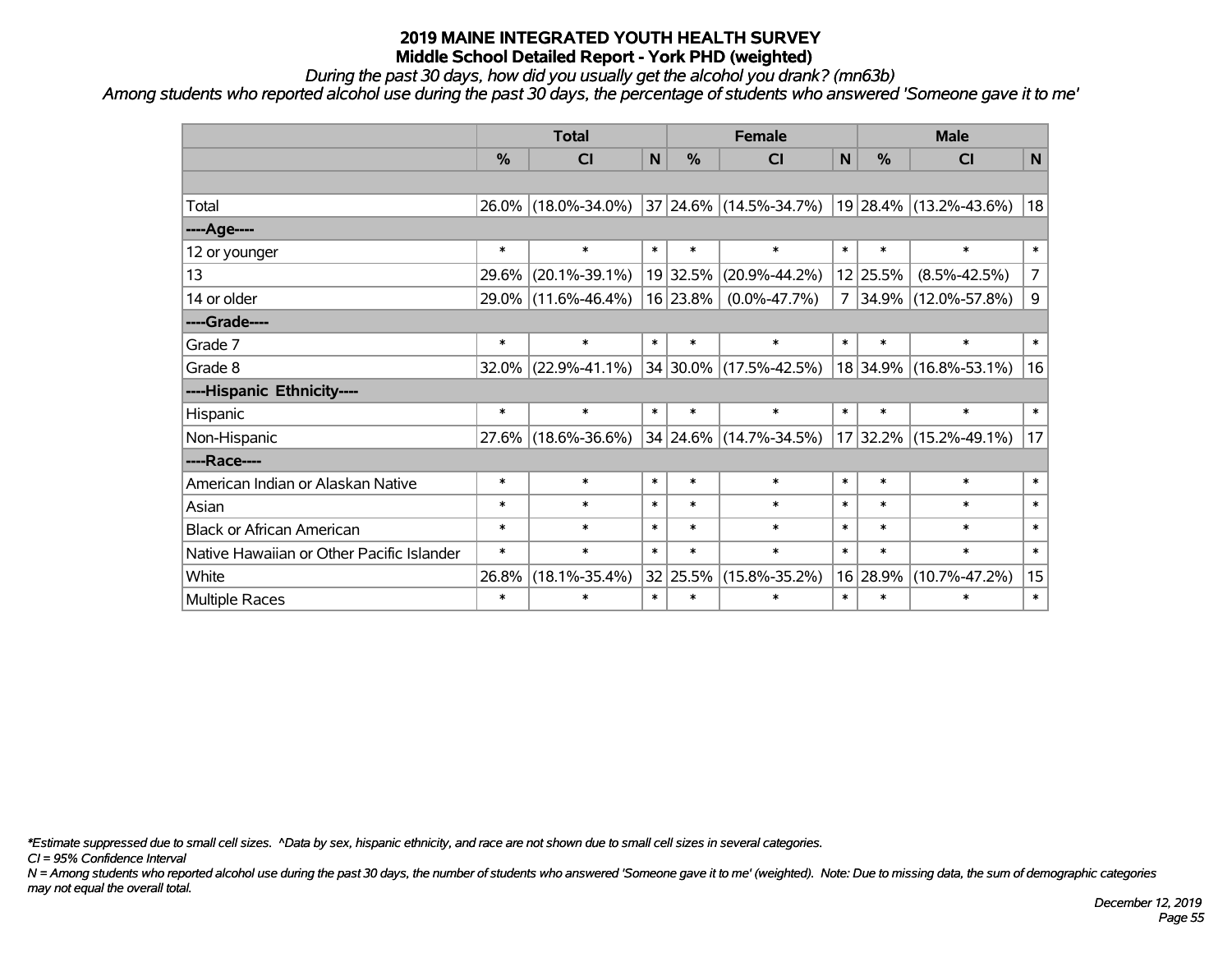*During the past 30 days, how did you usually get the alcohol you drank? (mn63b)*

*Among students who reported alcohol use during the past 30 days, the percentage of students who answered 'Someone gave it to me'*

|                                           | <b>Total</b> |                     |        | <b>Female</b> | <b>Male</b>                                                 |        |               |                        |                |
|-------------------------------------------|--------------|---------------------|--------|---------------|-------------------------------------------------------------|--------|---------------|------------------------|----------------|
|                                           | $\%$         | CI                  | N      | $\frac{0}{0}$ | <b>CI</b>                                                   | N      | $\frac{0}{0}$ | <b>CI</b>              | N              |
|                                           |              |                     |        |               |                                                             |        |               |                        |                |
| Total                                     |              | 26.0% (18.0%-34.0%) |        |               | $ 37 24.6\% (14.5\% - 34.7\%) 19 28.4\% (13.2\% - 43.6\%) $ |        |               |                        | 18             |
| ----Age----                               |              |                     |        |               |                                                             |        |               |                        |                |
| 12 or younger                             | $\ast$       | $\ast$              | $\ast$ | $\ast$        | $\ast$                                                      | $\ast$ | $\ast$        | $\ast$                 | $\ast$         |
| 13                                        | 29.6%        | $(20.1\% - 39.1\%)$ |        | 19 32.5%      | $(20.9\% - 44.2\%)$                                         |        | 12 25.5%      | $(8.5\% - 42.5\%)$     | $\overline{7}$ |
| 14 or older                               |              | 29.0% (11.6%-46.4%) |        | 16 23.8%      | $(0.0\% - 47.7\%)$                                          | 7      |               | 34.9% (12.0%-57.8%)    | 9              |
| ----Grade----                             |              |                     |        |               |                                                             |        |               |                        |                |
| Grade 7                                   | $\ast$       | $\ast$              | $\ast$ | $\ast$        | $\ast$                                                      | $\ast$ | $\ast$        | $\ast$                 | $\ast$         |
| Grade 8                                   |              | 32.0% (22.9%-41.1%) |        |               | $ 34 30.0\% $ (17.5%-42.5%)                                 |        |               | 18 34.9% (16.8%-53.1%) | 16             |
| ----Hispanic Ethnicity----                |              |                     |        |               |                                                             |        |               |                        |                |
| Hispanic                                  | $\ast$       | $\ast$              | $\ast$ | $\ast$        | $\ast$                                                      | $\ast$ | $\ast$        | $\ast$                 | $\ast$         |
| Non-Hispanic                              |              | 27.6% (18.6%-36.6%) |        |               | 34 24.6% (14.7%-34.5%)                                      |        |               | 17 32.2% (15.2%-49.1%) | 17             |
| ----Race----                              |              |                     |        |               |                                                             |        |               |                        |                |
| American Indian or Alaskan Native         | $\ast$       | $\ast$              | $\ast$ | $\ast$        | $\ast$                                                      | $\ast$ | $\ast$        | $\ast$                 | $\ast$         |
| Asian                                     | $\ast$       | $\ast$              | $\ast$ | $\ast$        | $\ast$                                                      | $\ast$ | $\ast$        | $\ast$                 | $\ast$         |
| <b>Black or African American</b>          | $\ast$       | $\ast$              | $\ast$ | $\ast$        | $\ast$                                                      | $\ast$ | $\ast$        | $\ast$                 | $\ast$         |
| Native Hawaiian or Other Pacific Islander | $\ast$       | $\ast$              | $\ast$ | $\ast$        | $\ast$                                                      | $\ast$ | $\ast$        | $\ast$                 | $\ast$         |
| White                                     | 26.8%        | $(18.1\% - 35.4\%)$ |        | 32 25.5%      | $(15.8\% - 35.2\%)$                                         |        | 16 28.9%      | $(10.7\% - 47.2\%)$    | 15             |
| Multiple Races                            | $\ast$       | $\ast$              | $\ast$ | $\ast$        | $\ast$                                                      | $\ast$ | $\ast$        | $\ast$                 | $\ast$         |

*\*Estimate suppressed due to small cell sizes. ^Data by sex, hispanic ethnicity, and race are not shown due to small cell sizes in several categories.*

*CI = 95% Confidence Interval*

*N = Among students who reported alcohol use during the past 30 days, the number of students who answered 'Someone gave it to me' (weighted). Note: Due to missing data, the sum of demographic categories may not equal the overall total.*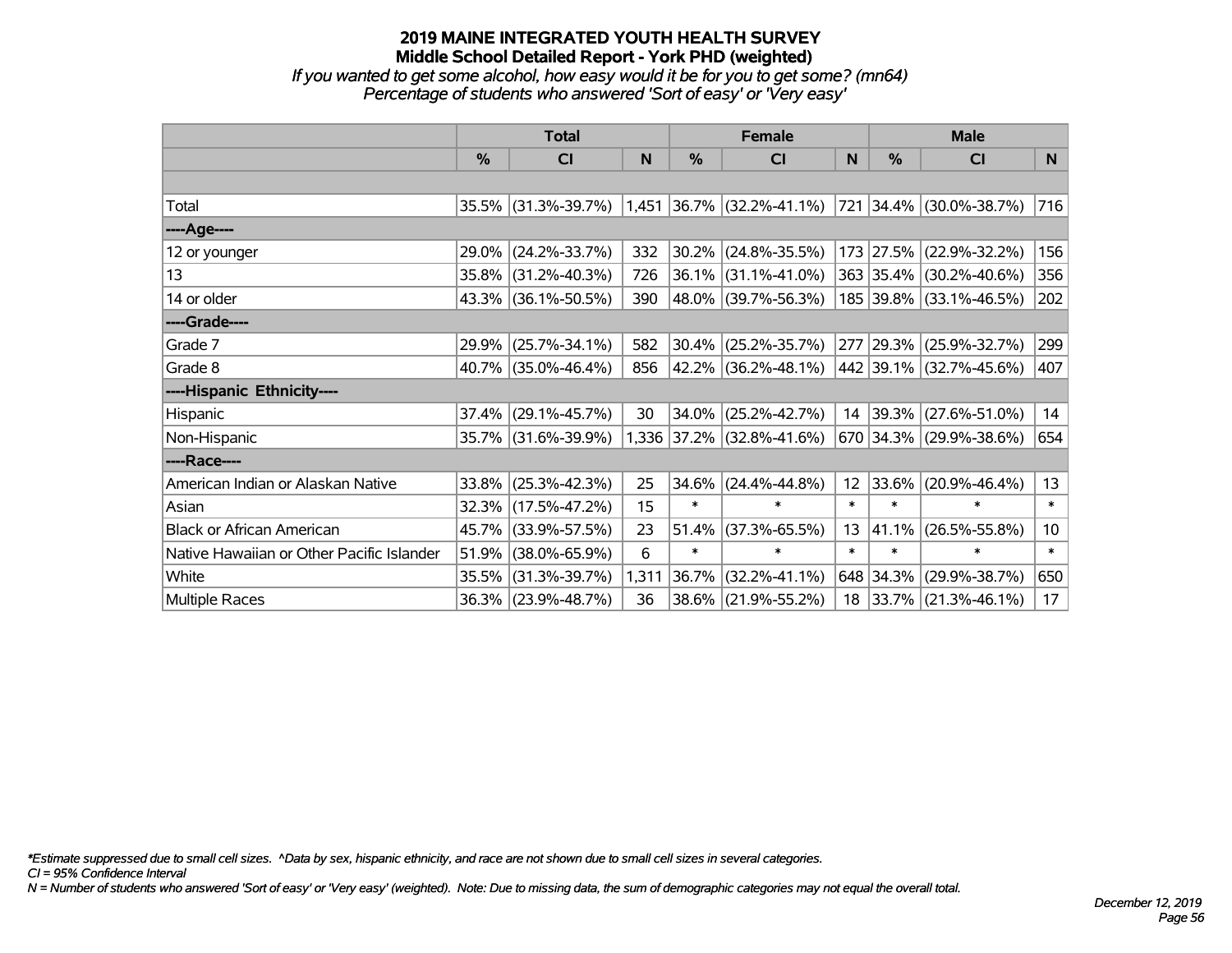*If you wanted to get some alcohol, how easy would it be for you to get some? (mn64) Percentage of students who answered 'Sort of easy' or 'Very easy'*

|                                           | <b>Total</b>  |                     |       |        | <b>Female</b>                                       |                 | <b>Male</b>   |                         |                 |  |
|-------------------------------------------|---------------|---------------------|-------|--------|-----------------------------------------------------|-----------------|---------------|-------------------------|-----------------|--|
|                                           | $\frac{0}{0}$ | CI                  | N     | $\%$   | CI                                                  | N               | $\frac{0}{0}$ | <b>CI</b>               | N               |  |
|                                           |               |                     |       |        |                                                     |                 |               |                         |                 |  |
| Total                                     |               | 35.5% (31.3%-39.7%) |       |        | $1,451$ 36.7% (32.2%-41.1%) 721 34.4% (30.0%-38.7%) |                 |               |                         | 716             |  |
| ----Age----                               |               |                     |       |        |                                                     |                 |               |                         |                 |  |
| 12 or younger                             | 29.0%         | $(24.2\% - 33.7\%)$ | 332   | 30.2%  | $(24.8\% - 35.5\%)$                                 |                 |               | 173 27.5% (22.9%-32.2%) | 156             |  |
| 13                                        |               | 35.8% (31.2%-40.3%) | 726   | 36.1%  | $(31.1\% - 41.0\%)$                                 |                 |               | 363 35.4% (30.2%-40.6%) | 356             |  |
| 14 or older                               |               | 43.3% (36.1%-50.5%) | 390   |        | 48.0% (39.7%-56.3%)                                 |                 |               | 185 39.8% (33.1%-46.5%) | 202             |  |
| ----Grade----                             |               |                     |       |        |                                                     |                 |               |                         |                 |  |
| Grade 7                                   | 29.9%         | $(25.7\% - 34.1\%)$ | 582   | 30.4%  | $(25.2\% - 35.7\%)$                                 |                 | 277 29.3%     | $(25.9\% - 32.7\%)$     | 299             |  |
| Grade 8                                   |               | 40.7% (35.0%-46.4%) | 856   |        | 42.2% (36.2%-48.1%)                                 |                 |               | 442 39.1% (32.7%-45.6%) | 407             |  |
| ----Hispanic Ethnicity----                |               |                     |       |        |                                                     |                 |               |                         |                 |  |
| Hispanic                                  | 37.4%         | $(29.1\% - 45.7\%)$ | 30    | 34.0%  | $(25.2\% - 42.7\%)$                                 | 14              | $ 39.3\% $    | $(27.6\% - 51.0\%)$     | 14              |  |
| Non-Hispanic                              |               | 35.7% (31.6%-39.9%) |       |        | 1,336 37.2% (32.8%-41.6%)                           |                 |               | 670 34.3% (29.9%-38.6%) | 654             |  |
| ----Race----                              |               |                     |       |        |                                                     |                 |               |                         |                 |  |
| American Indian or Alaskan Native         | 33.8%         | $(25.3\% - 42.3\%)$ | 25    | 34.6%  | $(24.4\% - 44.8\%)$                                 | 12 <sup>2</sup> | $ 33.6\% $    | $(20.9\% - 46.4\%)$     | 13              |  |
| Asian                                     | 32.3%         | $(17.5\% - 47.2\%)$ | 15    | $\ast$ | $\ast$                                              | $\ast$          | $\ast$        | $\ast$                  | $\ast$          |  |
| <b>Black or African American</b>          | 45.7%         | $(33.9\% - 57.5\%)$ | 23    | 51.4%  | $(37.3\% - 65.5\%)$                                 | 13              | 41.1%         | $(26.5\% - 55.8\%)$     | 10 <sup>1</sup> |  |
| Native Hawaiian or Other Pacific Islander | 51.9%         | $(38.0\% - 65.9\%)$ | 6     | $\ast$ | $\ast$                                              | $\ast$          | $\ast$        | $\ast$                  | $\ast$          |  |
| White                                     | 35.5%         | $(31.3\% - 39.7\%)$ | 1,311 | 36.7%  | $(32.2\% - 41.1\%)$                                 |                 | 648 34.3%     | $(29.9\% - 38.7\%)$     | 650             |  |
| Multiple Races                            |               | 36.3% (23.9%-48.7%) | 36    | 38.6%  | $(21.9\% - 55.2\%)$                                 |                 |               | 18 33.7% (21.3%-46.1%)  | 17 <sub>2</sub> |  |

*\*Estimate suppressed due to small cell sizes. ^Data by sex, hispanic ethnicity, and race are not shown due to small cell sizes in several categories.*

*CI = 95% Confidence Interval*

*N = Number of students who answered 'Sort of easy' or 'Very easy' (weighted). Note: Due to missing data, the sum of demographic categories may not equal the overall total.*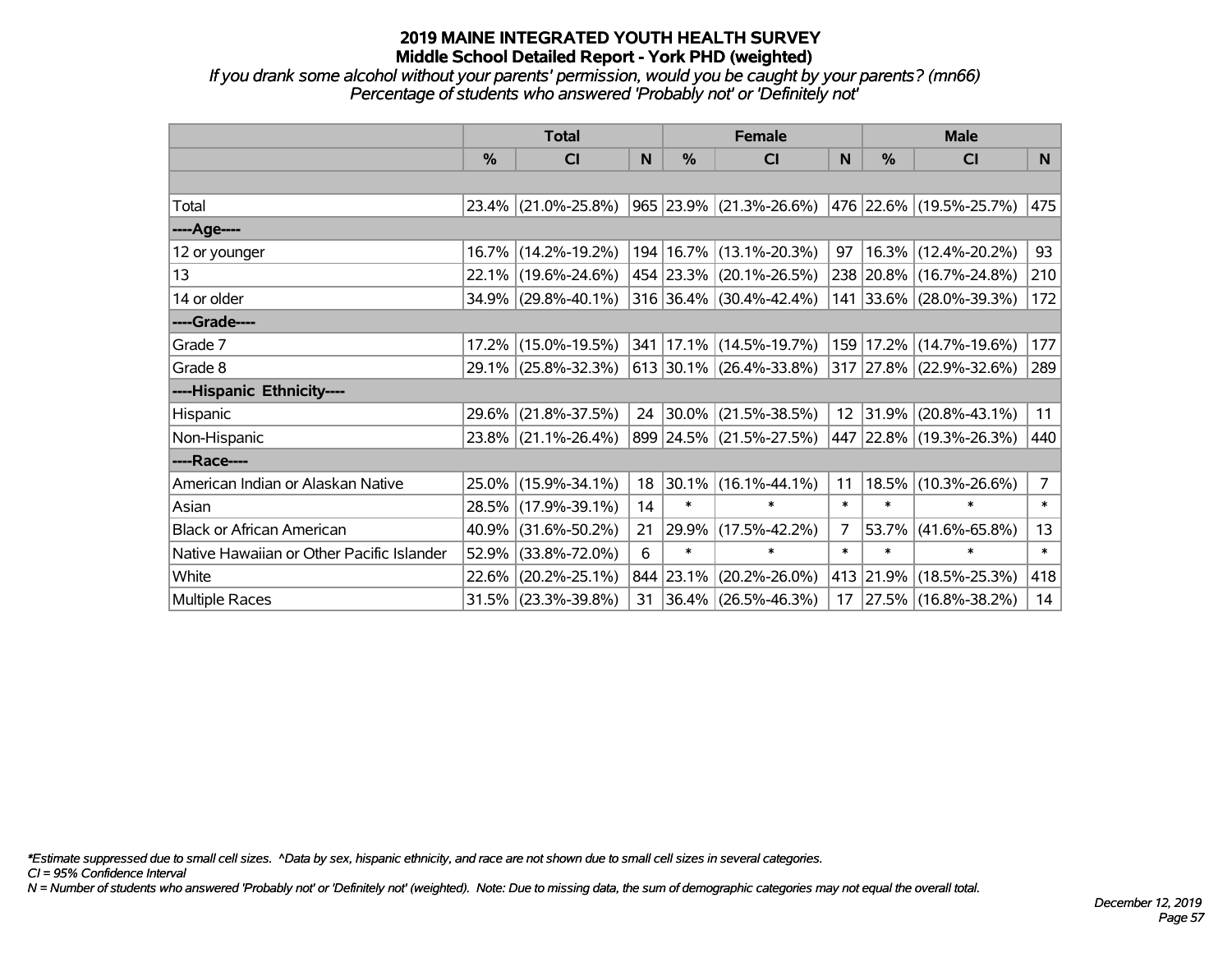*If you drank some alcohol without your parents' permission, would you be caught by your parents? (mn66) Percentage of students who answered 'Probably not' or 'Definitely not'*

|                                           | <b>Total</b>  |                     |    |               | <b>Female</b>                | <b>Male</b> |           |                             |                |
|-------------------------------------------|---------------|---------------------|----|---------------|------------------------------|-------------|-----------|-----------------------------|----------------|
|                                           | $\frac{0}{0}$ | CI                  | N  | $\frac{9}{6}$ | CI                           | N           | %         | <b>CI</b>                   | <b>N</b>       |
|                                           |               |                     |    |               |                              |             |           |                             |                |
| Total                                     |               | 23.4% (21.0%-25.8%) |    |               | 965 23.9% (21.3%-26.6%)      |             |           | 476   22.6%   (19.5%-25.7%) | 475            |
| ----Age----                               |               |                     |    |               |                              |             |           |                             |                |
| 12 or younger                             |               | 16.7% (14.2%-19.2%) |    |               | 194   16.7%   (13.1%-20.3%)  | 97          |           | 16.3% (12.4%-20.2%)         | 93             |
| 13                                        |               | 22.1% (19.6%-24.6%) |    |               | 454 23.3% (20.1%-26.5%)      |             |           | 238 20.8% (16.7%-24.8%)     | 210            |
| 14 or older                               |               | 34.9% (29.8%-40.1%) |    |               | $316$ 36.4% (30.4%-42.4%)    |             |           | 141 33.6% (28.0%-39.3%)     | 172            |
| ----Grade----                             |               |                     |    |               |                              |             |           |                             |                |
| Grade 7                                   |               | 17.2% (15.0%-19.5%) |    |               | 341 17.1% (14.5%-19.7%)      | 159         | 17.2%     | $(14.7\% - 19.6\%)$         | 177            |
| Grade 8                                   |               | 29.1% (25.8%-32.3%) |    |               | $ 613 30.1\% $ (26.4%-33.8%) |             |           | 317 27.8% (22.9%-32.6%)     | 289            |
| ----Hispanic Ethnicity----                |               |                     |    |               |                              |             |           |                             |                |
| Hispanic                                  | 29.6%         | $(21.8\% - 37.5\%)$ |    |               | 24 30.0% (21.5%-38.5%)       |             | 12 31.9%  | $(20.8\% - 43.1\%)$         | 11             |
| Non-Hispanic                              |               | 23.8% (21.1%-26.4%) |    |               | 899 24.5% (21.5%-27.5%)      |             |           | 447 22.8% (19.3%-26.3%)     | 440            |
| ----Race----                              |               |                     |    |               |                              |             |           |                             |                |
| American Indian or Alaskan Native         |               | 25.0% (15.9%-34.1%) | 18 |               | 30.1% (16.1%-44.1%)          | 11          | 18.5%     | $(10.3\% - 26.6\%)$         | $\overline{7}$ |
| Asian                                     |               | 28.5% (17.9%-39.1%) | 14 | $\ast$        | $\ast$                       | $\ast$      | $\ast$    | $\ast$                      | $\ast$         |
| <b>Black or African American</b>          | 40.9%         | $(31.6\% - 50.2\%)$ | 21 | 29.9%         | $(17.5\% - 42.2\%)$          | 7           | 53.7%     | $(41.6\% - 65.8\%)$         | 13             |
| Native Hawaiian or Other Pacific Islander | 52.9%         | $(33.8\% - 72.0\%)$ | 6  | $\ast$        | $\ast$                       | $\ast$      | $\ast$    | $\ast$                      | $\ast$         |
| White                                     | 22.6%         | $(20.2\% - 25.1\%)$ |    | 844 23.1%     | $(20.2\% - 26.0\%)$          |             | 413 21.9% | $(18.5\% - 25.3\%)$         | 418            |
| Multiple Races                            |               | 31.5% (23.3%-39.8%) | 31 |               | $ 36.4\% $ (26.5%-46.3%)     |             |           | 17 27.5% (16.8%-38.2%)      | 14             |

*\*Estimate suppressed due to small cell sizes. ^Data by sex, hispanic ethnicity, and race are not shown due to small cell sizes in several categories.*

*CI = 95% Confidence Interval*

*N = Number of students who answered 'Probably not' or 'Definitely not' (weighted). Note: Due to missing data, the sum of demographic categories may not equal the overall total.*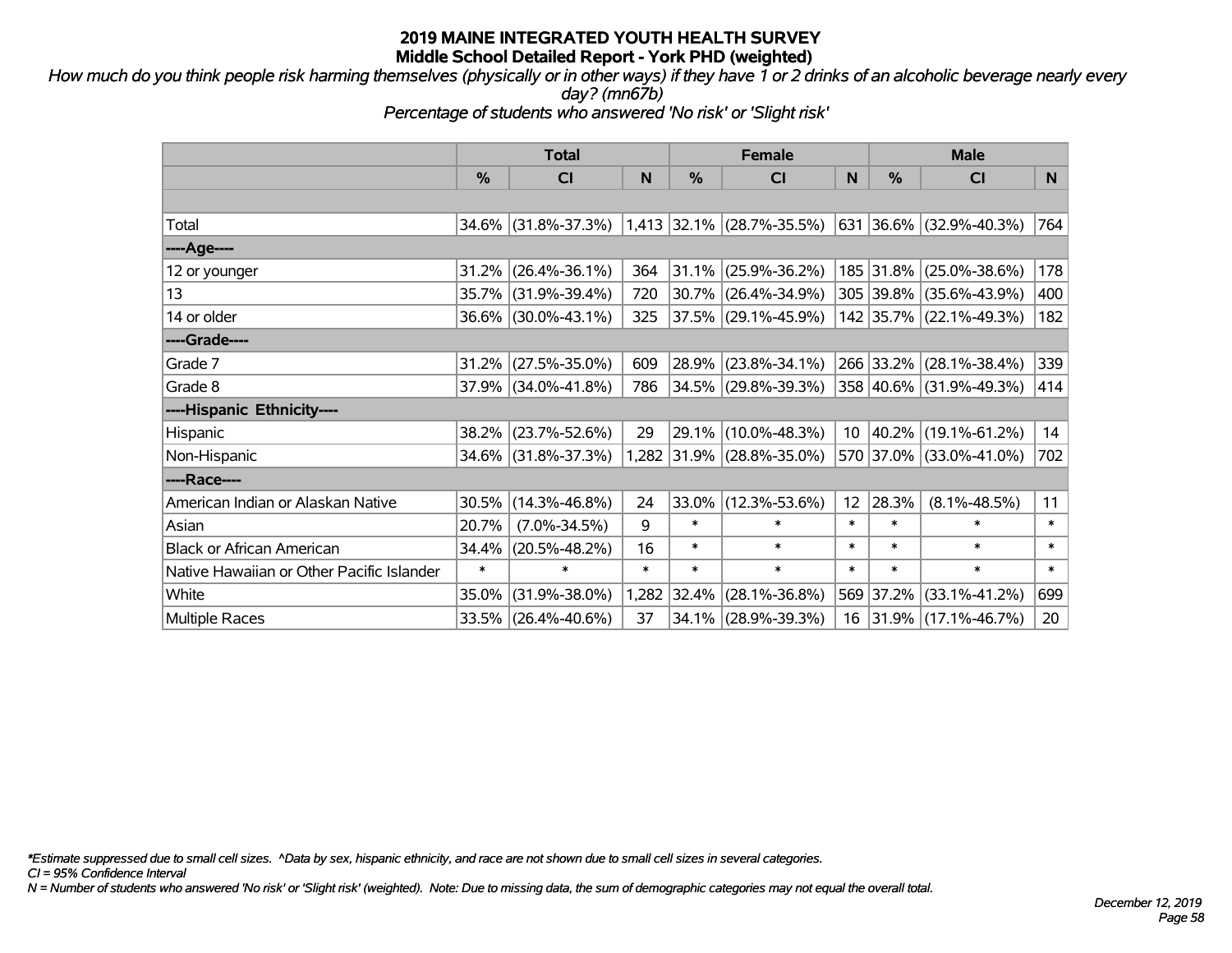*How much do you think people risk harming themselves (physically or in other ways) if they have 1 or 2 drinks of an alcoholic beverage nearly every day? (mn67b)*

*Percentage of students who answered 'No risk' or 'Slight risk'*

|                                           | <b>Total</b> |                        |        | <b>Female</b> |                           | <b>Male</b>     |           |                          |        |
|-------------------------------------------|--------------|------------------------|--------|---------------|---------------------------|-----------------|-----------|--------------------------|--------|
|                                           | %            | CI                     | N      | %             | <b>CI</b>                 | N               | %         | <b>CI</b>                | N      |
|                                           |              |                        |        |               |                           |                 |           |                          |        |
| Total                                     |              | 34.6% (31.8%-37.3%)    |        |               | 1,413 32.1% (28.7%-35.5%) |                 |           | 631 36.6% (32.9%-40.3%)  | 764    |
| ----Age----                               |              |                        |        |               |                           |                 |           |                          |        |
| 12 or younger                             | 31.2%        | $(26.4\% - 36.1\%)$    | 364    | 31.1%         | $(25.9\% - 36.2\%)$       |                 | 185 31.8% | $(25.0\% - 38.6\%)$      | 178    |
| 13                                        |              | 35.7% (31.9%-39.4%)    | 720    |               | $30.7\%$ (26.4%-34.9%)    |                 |           | 305 39.8% (35.6%-43.9%)  | 400    |
| 14 or older                               |              | 36.6% (30.0%-43.1%)    | 325    |               | 37.5% (29.1%-45.9%)       |                 |           | 142 35.7% (22.1%-49.3%)  | 182    |
| ----Grade----                             |              |                        |        |               |                           |                 |           |                          |        |
| Grade 7                                   |              | $31.2\%$ (27.5%-35.0%) | 609    | 28.9%         | $(23.8\% - 34.1\%)$       |                 | 266 33.2% | $(28.1\% - 38.4\%)$      | 339    |
| Grade 8                                   |              | 37.9% (34.0%-41.8%)    | 786    |               | 34.5% (29.8%-39.3%)       |                 |           | 358 40.6% (31.9%-49.3%)  | 414    |
| ----Hispanic Ethnicity----                |              |                        |        |               |                           |                 |           |                          |        |
| Hispanic                                  | 38.2%        | $(23.7\% - 52.6\%)$    | 29     |               | 29.1% (10.0%-48.3%)       | 10              | 40.2%     | $(19.1\% - 61.2\%)$      | 14     |
| Non-Hispanic                              |              | 34.6% (31.8%-37.3%)    |        |               | 1,282 31.9% (28.8%-35.0%) |                 |           | 570 37.0% (33.0%-41.0%)  | 702    |
| ----Race----                              |              |                        |        |               |                           |                 |           |                          |        |
| American Indian or Alaskan Native         | 30.5%        | $(14.3\% - 46.8\%)$    | 24     | 33.0%         | $(12.3\% - 53.6\%)$       | 12 <sup>2</sup> | 28.3%     | $(8.1\% - 48.5\%)$       | 11     |
| Asian                                     | 20.7%        | $(7.0\% - 34.5\%)$     | 9      | $\ast$        | $\ast$                    | $\ast$          | $\ast$    | $\ast$                   | $\ast$ |
| <b>Black or African American</b>          | 34.4%        | $(20.5\% - 48.2\%)$    | 16     | $\ast$        | $\ast$                    | $\ast$          | $\ast$    | $\ast$                   | $\ast$ |
| Native Hawaiian or Other Pacific Islander | $\ast$       | $\ast$                 | $\ast$ | $\ast$        | $\ast$                    | $\ast$          | $\ast$    | $\ast$                   | $\ast$ |
| White                                     | 35.0%        | $(31.9\% - 38.0\%)$    |        | 1,282 32.4%   | $(28.1\% - 36.8\%)$       |                 | 569 37.2% | $(33.1\% - 41.2\%)$      | 699    |
| <b>Multiple Races</b>                     |              | 33.5% (26.4%-40.6%)    | 37     | $34.1\%$      | $(28.9\% - 39.3\%)$       | 16              |           | $ 31.9\% $ (17.1%-46.7%) | 20     |

*\*Estimate suppressed due to small cell sizes. ^Data by sex, hispanic ethnicity, and race are not shown due to small cell sizes in several categories.*

*CI = 95% Confidence Interval*

*N = Number of students who answered 'No risk' or 'Slight risk' (weighted). Note: Due to missing data, the sum of demographic categories may not equal the overall total.*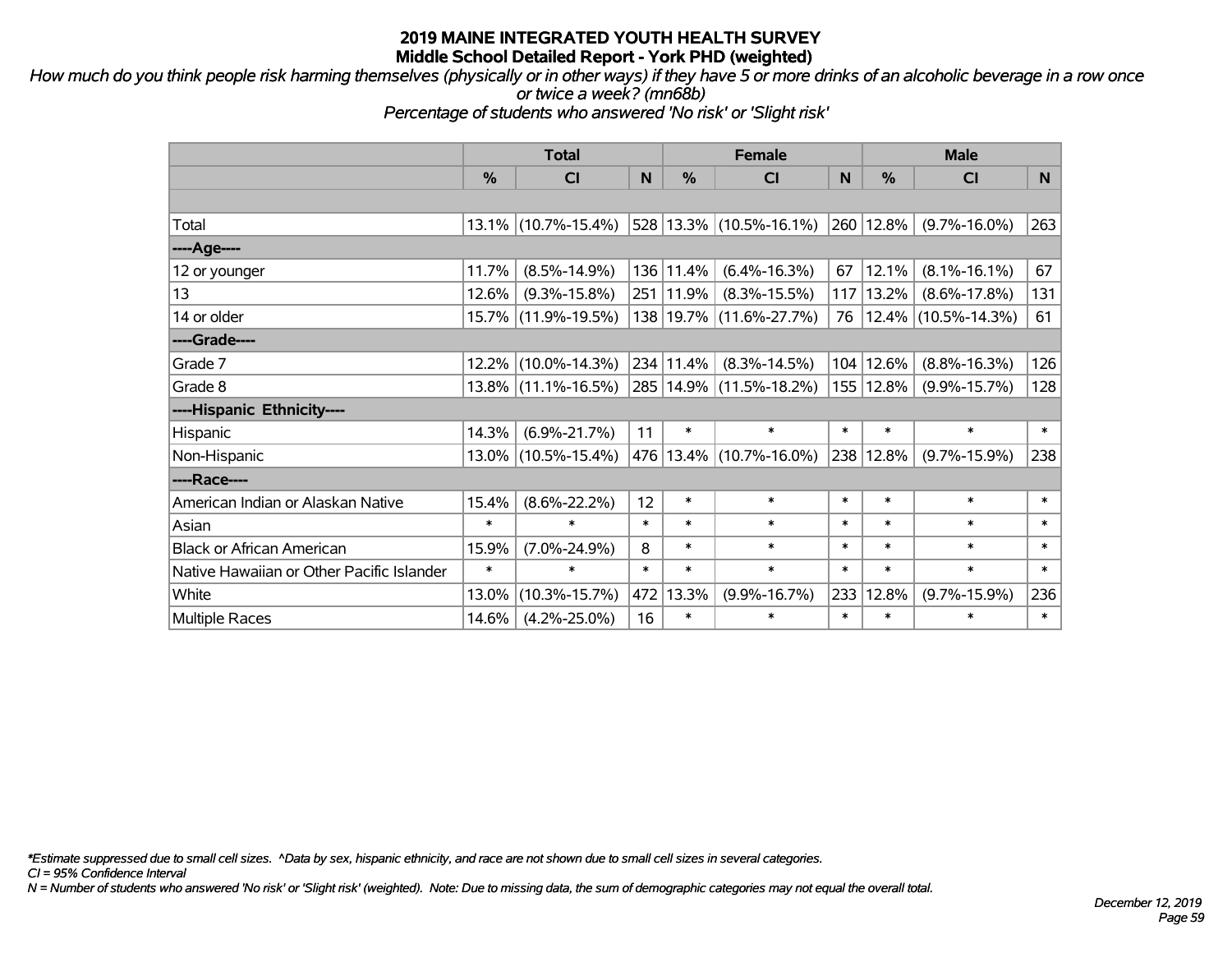*How much do you think people risk harming themselves (physically or in other ways) if they have 5 or more drinks of an alcoholic beverage in a row once or twice a week? (mn68b)*

*Percentage of students who answered 'No risk' or 'Slight risk'*

|                                           | <b>Total</b> |                        |        | <b>Female</b> | <b>Male</b>                 |        |        |                        |        |
|-------------------------------------------|--------------|------------------------|--------|---------------|-----------------------------|--------|--------|------------------------|--------|
|                                           | %            | <b>CI</b>              | N      | %             | <b>CI</b>                   | N      | %      | <b>CI</b>              | N      |
|                                           |              |                        |        |               |                             |        |        |                        |        |
| Total                                     |              | $13.1\%$ (10.7%-15.4%) |        |               | $528 13.3\% $ (10.5%-16.1%) | 260    | 12.8%  | $(9.7\% - 16.0\%)$     | 263    |
| ----Age----                               |              |                        |        |               |                             |        |        |                        |        |
| 12 or younger                             | 11.7%        | $(8.5\% - 14.9\%)$     |        | 136 11.4%     | $(6.4\% - 16.3\%)$          | 67     | 12.1%  | $(8.1\% - 16.1\%)$     | 67     |
| 13                                        | 12.6%        | $(9.3\% - 15.8\%)$     |        | 251 11.9%     | $(8.3\% - 15.5\%)$          | 117    | 13.2%  | $(8.6\% - 17.8\%)$     | 131    |
| 14 or older                               |              | 15.7% (11.9%-19.5%)    |        |               | 138 19.7% (11.6%-27.7%)     | 76     |        | $12.4\%$ (10.5%-14.3%) | 61     |
| ----Grade----                             |              |                        |        |               |                             |        |        |                        |        |
| Grade 7                                   |              | 12.2% (10.0%-14.3%)    |        | 234 11.4%     | $(8.3\% - 14.5\%)$          | 104    | 12.6%  | $(8.8\% - 16.3\%)$     | 126    |
| Grade 8                                   |              | $13.8\%$ (11.1%-16.5%) |        |               | 285 14.9% (11.5%-18.2%)     | 155    | 12.8%  | $(9.9\% - 15.7\%)$     | 128    |
| ----Hispanic Ethnicity----                |              |                        |        |               |                             |        |        |                        |        |
| Hispanic                                  | 14.3%        | $(6.9\% - 21.7\%)$     | 11     | $\ast$        | $\ast$                      | $\ast$ | $\ast$ | $\ast$                 | $\ast$ |
| Non-Hispanic                              |              | 13.0% (10.5%-15.4%)    |        |               | 476 13.4% (10.7%-16.0%)     | 238    | 12.8%  | $(9.7\% - 15.9\%)$     | 238    |
| ----Race----                              |              |                        |        |               |                             |        |        |                        |        |
| American Indian or Alaskan Native         | 15.4%        | $(8.6\% - 22.2\%)$     | 12     | $\ast$        | $\ast$                      | $\ast$ | $\ast$ | $\ast$                 | $\ast$ |
| Asian                                     | $\ast$       | $\ast$                 | $\ast$ | $\ast$        | $\ast$                      | $\ast$ | $\ast$ | $\ast$                 | $\ast$ |
| <b>Black or African American</b>          | 15.9%        | $(7.0\% - 24.9\%)$     | 8      | $\ast$        | $\ast$                      | $\ast$ | $\ast$ | $\ast$                 | $\ast$ |
| Native Hawaiian or Other Pacific Islander | $\ast$       | $\ast$                 | $\ast$ | $\ast$        | $\ast$                      | $\ast$ | $\ast$ | $\ast$                 | $\ast$ |
| White                                     | 13.0%        | $(10.3\% - 15.7\%)$    | 472    | 13.3%         | $(9.9\% - 16.7\%)$          | 233    | 12.8%  | $(9.7\% - 15.9\%)$     | 236    |
| <b>Multiple Races</b>                     | 14.6%        | $(4.2\% - 25.0\%)$     | 16     | $\ast$        | $\ast$                      | $\ast$ | $\ast$ | $\ast$                 | $\ast$ |

*\*Estimate suppressed due to small cell sizes. ^Data by sex, hispanic ethnicity, and race are not shown due to small cell sizes in several categories.*

*CI = 95% Confidence Interval*

*N = Number of students who answered 'No risk' or 'Slight risk' (weighted). Note: Due to missing data, the sum of demographic categories may not equal the overall total.*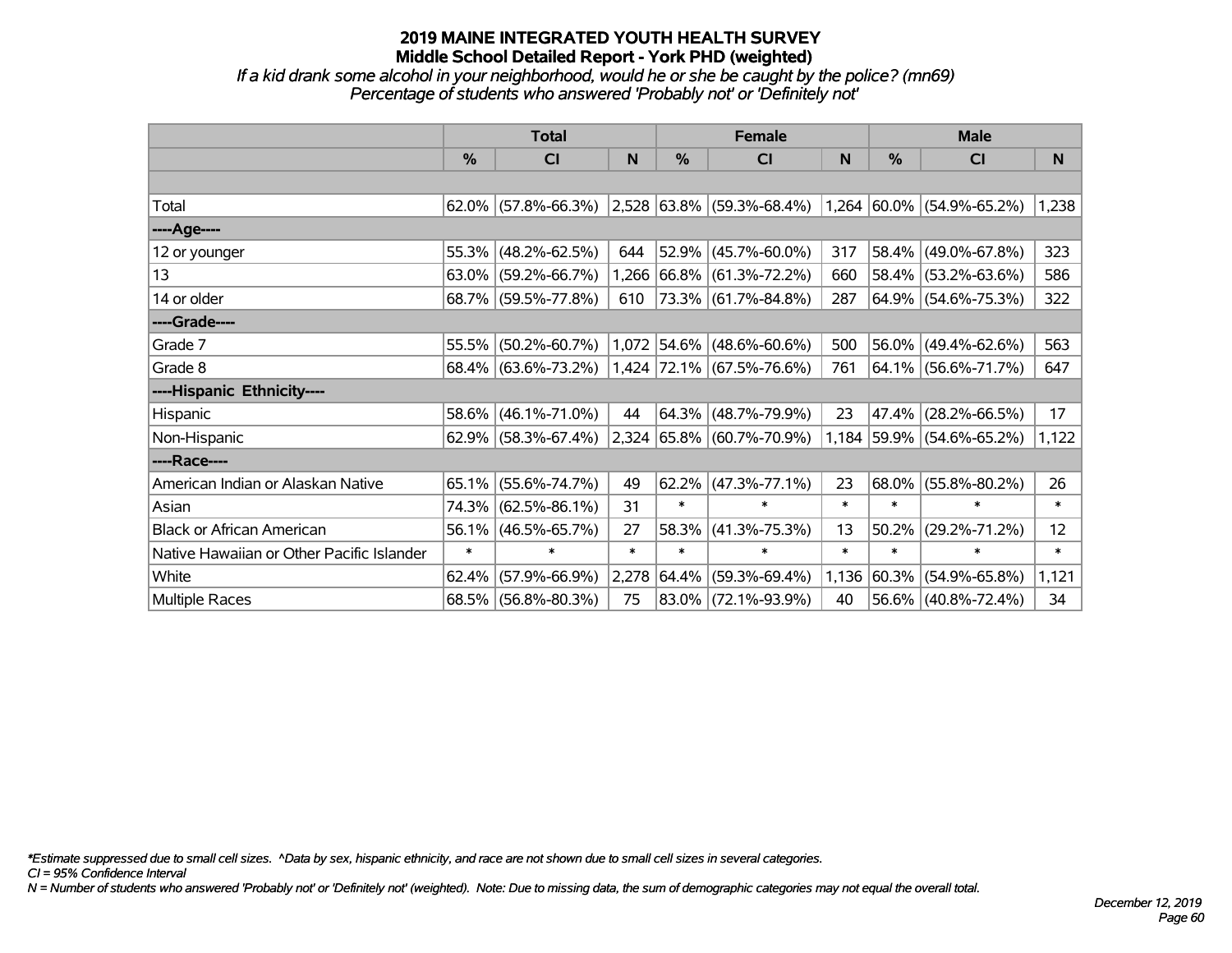*If a kid drank some alcohol in your neighborhood, would he or she be caught by the police? (mn69) Percentage of students who answered 'Probably not' or 'Definitely not'*

|                                           | <b>Total</b> |                        |        | <b>Female</b> |                                                          | <b>Male</b> |            |                           |        |
|-------------------------------------------|--------------|------------------------|--------|---------------|----------------------------------------------------------|-------------|------------|---------------------------|--------|
|                                           | $\%$         | <b>CI</b>              | N      | $\frac{0}{0}$ | <b>CI</b>                                                | N           | %          | <b>CI</b>                 | N.     |
|                                           |              |                        |        |               |                                                          |             |            |                           |        |
| Total                                     |              | $62.0\%$ (57.8%-66.3%) |        |               | $ 2,528 63.8\% $ (59.3%-68.4%) 1,264 60.0% (54.9%-65.2%) |             |            |                           | 1,238  |
| ----Age----                               |              |                        |        |               |                                                          |             |            |                           |        |
| 12 or younger                             | 55.3%        | $(48.2\% - 62.5\%)$    | 644    |               | $52.9\%$ (45.7%-60.0%)                                   | 317         | 58.4%      | $(49.0\% - 67.8\%)$       | 323    |
| 13                                        |              | $63.0\%$ (59.2%-66.7%) |        |               | 1,266 66.8% (61.3%-72.2%)                                | 660         |            | 58.4% (53.2%-63.6%)       | 586    |
| 14 or older                               |              | 68.7% (59.5%-77.8%)    | 610    |               | 73.3% (61.7%-84.8%)                                      | 287         |            | $64.9\%$ (54.6%-75.3%)    | 322    |
| ----Grade----                             |              |                        |        |               |                                                          |             |            |                           |        |
| Grade 7                                   | 55.5%        | $(50.2\% - 60.7\%)$    |        |               | $1,072$ 54.6% (48.6%-60.6%)                              | 500         | $ 56.0\% $ | $(49.4\% - 62.6\%)$       | 563    |
| Grade 8                                   |              | 68.4% (63.6%-73.2%)    |        |               | 1,424 72.1% (67.5%-76.6%)                                | 761         |            | $ 64.1\% $ (56.6%-71.7%)  | 647    |
| ----Hispanic Ethnicity----                |              |                        |        |               |                                                          |             |            |                           |        |
| Hispanic                                  | 58.6%        | $(46.1\% - 71.0\%)$    | 44     |               | 64.3% (48.7%-79.9%)                                      | 23          | 47.4%      | $(28.2\% - 66.5\%)$       | 17     |
| Non-Hispanic                              |              | 62.9% (58.3%-67.4%)    |        |               | 2,324 65.8% (60.7%-70.9%)                                |             |            | 1,184 59.9% (54.6%-65.2%) | 1,122  |
| ----Race----                              |              |                        |        |               |                                                          |             |            |                           |        |
| American Indian or Alaskan Native         | 65.1%        | $(55.6\% - 74.7\%)$    | 49     |               | $62.2\%$ (47.3%-77.1%)                                   | 23          | 68.0%      | $(55.8\% - 80.2\%)$       | 26     |
| Asian                                     | 74.3%        | $(62.5\% - 86.1\%)$    | 31     | $\ast$        | $\ast$                                                   | $\ast$      | $\ast$     | $\ast$                    | $\ast$ |
| <b>Black or African American</b>          | 56.1%        | $(46.5\% - 65.7\%)$    | 27     | 58.3%         | $(41.3\% - 75.3\%)$                                      | 13          | 50.2%      | $(29.2\% - 71.2\%)$       | 12     |
| Native Hawaiian or Other Pacific Islander | $\ast$       | $\ast$                 | $\ast$ | $\ast$        | $\ast$                                                   | $\ast$      | $\ast$     | $\ast$                    | $\ast$ |
| White                                     | 62.4%        | $(57.9\% - 66.9\%)$    | 2,278  | 64.4%         | $(59.3\% - 69.4\%)$                                      | 1,136       | $ 60.3\% $ | $(54.9\% - 65.8\%)$       | 1,121  |
| Multiple Races                            |              | 68.5% (56.8%-80.3%)    | 75     |               | 83.0% (72.1%-93.9%)                                      | 40          |            | 56.6% (40.8%-72.4%)       | 34     |

*\*Estimate suppressed due to small cell sizes. ^Data by sex, hispanic ethnicity, and race are not shown due to small cell sizes in several categories.*

*CI = 95% Confidence Interval*

*N = Number of students who answered 'Probably not' or 'Definitely not' (weighted). Note: Due to missing data, the sum of demographic categories may not equal the overall total.*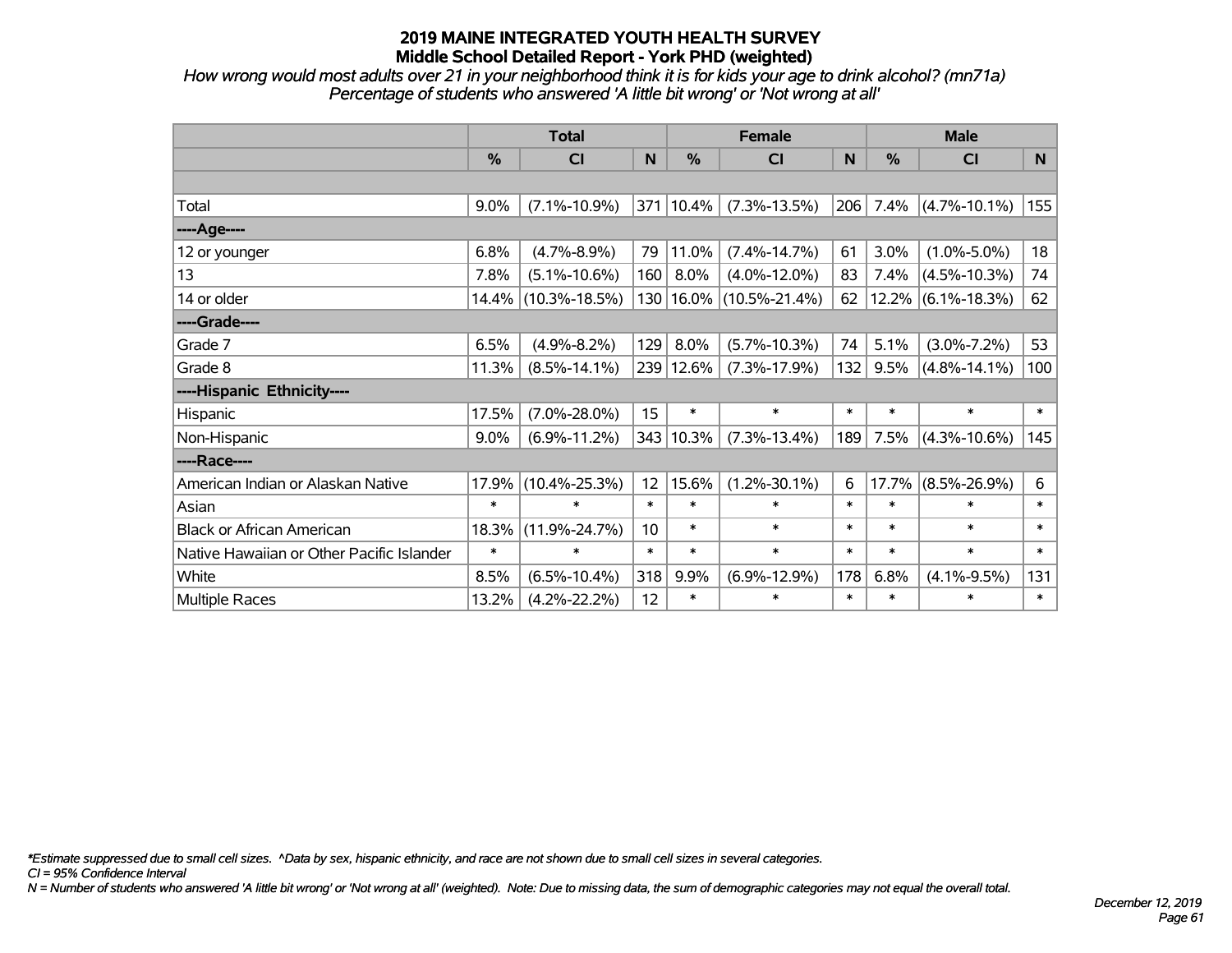*How wrong would most adults over 21 in your neighborhood think it is for kids your age to drink alcohol? (mn71a) Percentage of students who answered 'A little bit wrong' or 'Not wrong at all'*

|                                           | <b>Total</b> |                     |        |           | <b>Female</b>               | <b>Male</b> |               |                       |        |
|-------------------------------------------|--------------|---------------------|--------|-----------|-----------------------------|-------------|---------------|-----------------------|--------|
|                                           | %            | <b>CI</b>           | N      | %         | <b>CI</b>                   | N           | $\frac{0}{0}$ | <b>CI</b>             | N.     |
|                                           |              |                     |        |           |                             |             |               |                       |        |
| Total                                     | 9.0%         | $(7.1\% - 10.9\%)$  |        | 371 10.4% | $(7.3\% - 13.5\%)$          | 206         | 7.4%          | $(4.7\% - 10.1\%)$    | 155    |
| ----Age----                               |              |                     |        |           |                             |             |               |                       |        |
| 12 or younger                             | 6.8%         | $(4.7\% - 8.9\%)$   | 79     | 11.0%     | $(7.4\% - 14.7\%)$          | 61          | 3.0%          | $(1.0\% - 5.0\%)$     | 18     |
| 13                                        | 7.8%         | $(5.1\% - 10.6\%)$  | 160    | 8.0%      | $(4.0\% - 12.0\%)$          | 83          | 7.4%          | $(4.5\% - 10.3\%)$    | 74     |
| 14 or older                               | 14.4%        | $(10.3\% - 18.5\%)$ |        |           | 130   16.0%   (10.5%-21.4%) | 62          |               | $12.2\%$ (6.1%-18.3%) | 62     |
| ----Grade----                             |              |                     |        |           |                             |             |               |                       |        |
| Grade 7                                   | 6.5%         | $(4.9\% - 8.2\%)$   | 129    | 8.0%      | $(5.7\% - 10.3\%)$          | 74          | 5.1%          | $(3.0\% - 7.2\%)$     | 53     |
| Grade 8                                   | 11.3%        | $(8.5\% - 14.1\%)$  |        | 239 12.6% | $(7.3\% - 17.9\%)$          | 132         | 9.5%          | $(4.8\% - 14.1\%)$    | 100    |
| ----Hispanic Ethnicity----                |              |                     |        |           |                             |             |               |                       |        |
| Hispanic                                  | 17.5%        | $(7.0\% - 28.0\%)$  | 15     | $\ast$    | $\ast$                      | $\ast$      | $\ast$        | $\ast$                | $\ast$ |
| Non-Hispanic                              | 9.0%         | $(6.9\% - 11.2\%)$  |        | 343 10.3% | $(7.3\% - 13.4\%)$          | 189         | 7.5%          | $(4.3\% - 10.6\%)$    | 145    |
| ----Race----                              |              |                     |        |           |                             |             |               |                       |        |
| American Indian or Alaskan Native         | 17.9%        | $(10.4\% - 25.3\%)$ | 12     | 15.6%     | $(1.2\% - 30.1\%)$          | 6           | 17.7%         | $(8.5\% - 26.9\%)$    | 6      |
| Asian                                     | $\ast$       | $\ast$              | $\ast$ | $\ast$    | $\ast$                      | $\ast$      | $\ast$        | $\ast$                | $\ast$ |
| <b>Black or African American</b>          | 18.3%        | $(11.9\% - 24.7\%)$ | 10     | $\ast$    | $\ast$                      | $\ast$      | $\ast$        | $\ast$                | $\ast$ |
| Native Hawaiian or Other Pacific Islander | $\ast$       | $\ast$              | $\ast$ | $\ast$    | $\ast$                      | $\ast$      | $\ast$        | $\ast$                | $\ast$ |
| White                                     | 8.5%         | $(6.5\% - 10.4\%)$  | 318    | 9.9%      | $(6.9\% - 12.9\%)$          | 178         | 6.8%          | $(4.1\% - 9.5\%)$     | 131    |
| <b>Multiple Races</b>                     | 13.2%        | $(4.2\% - 22.2\%)$  | 12     | $\ast$    | $\ast$                      | $\ast$      | $\ast$        | $\ast$                | $\ast$ |

*\*Estimate suppressed due to small cell sizes. ^Data by sex, hispanic ethnicity, and race are not shown due to small cell sizes in several categories.*

*CI = 95% Confidence Interval*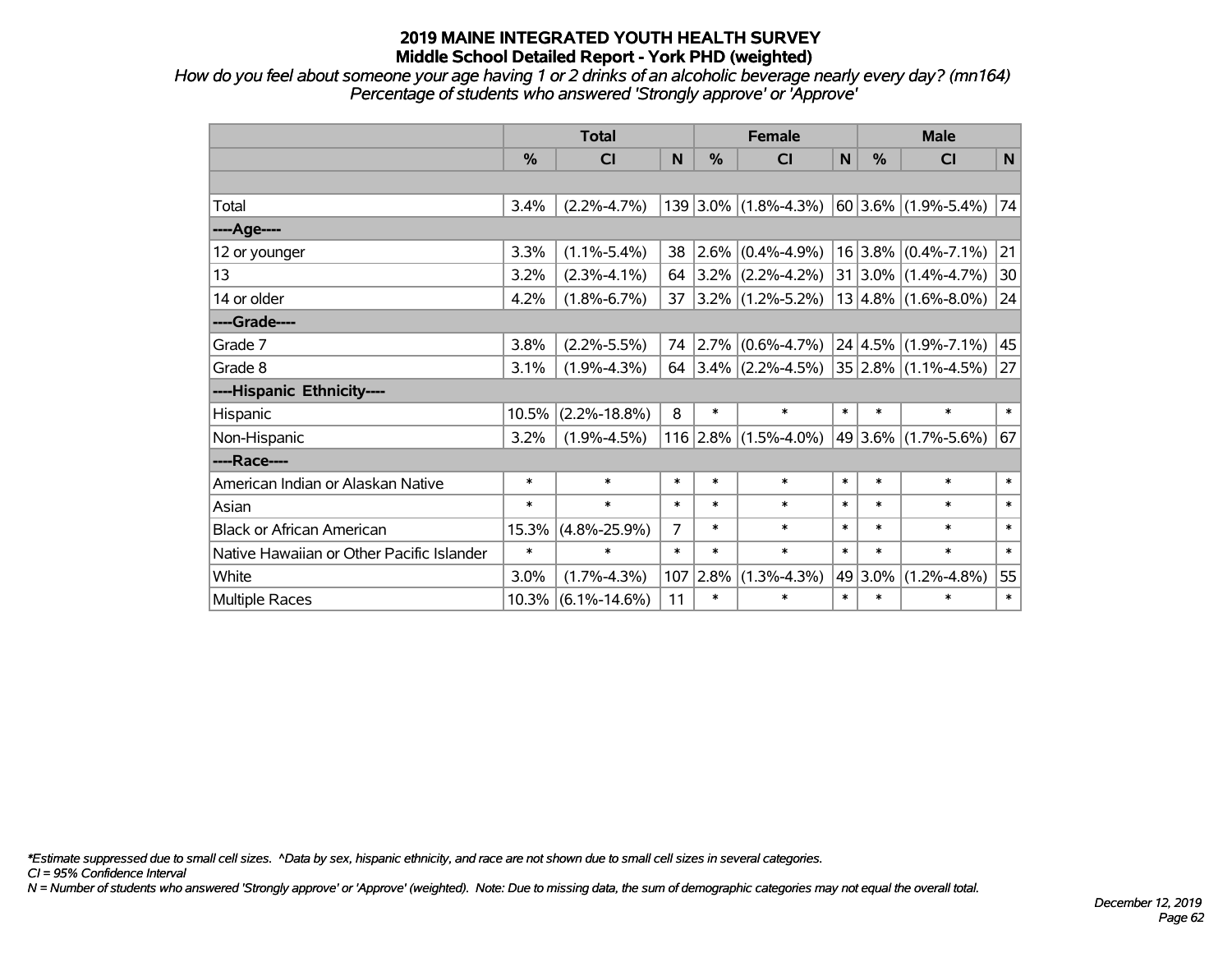*How do you feel about someone your age having 1 or 2 drinks of an alcoholic beverage nearly every day? (mn164) Percentage of students who answered 'Strongly approve' or 'Approve'*

|                                           | <b>Total</b> |                    |                |        | <b>Female</b>                                  |        | <b>Male</b> |                              |        |  |
|-------------------------------------------|--------------|--------------------|----------------|--------|------------------------------------------------|--------|-------------|------------------------------|--------|--|
|                                           | %            | <b>CI</b>          | N              | %      | <b>CI</b>                                      | N      | %           | <b>CI</b>                    | N      |  |
|                                           |              |                    |                |        |                                                |        |             |                              |        |  |
| Total                                     | 3.4%         | $(2.2\% - 4.7\%)$  |                |        | $139 3.0\% $ (1.8%-4.3%)                       |        |             | $ 60 3.6\%  (1.9\% - 5.4\%)$ | 74     |  |
| ----Age----                               |              |                    |                |        |                                                |        |             |                              |        |  |
| 12 or younger                             | 3.3%         | $(1.1\% - 5.4\%)$  | 38             |        | $ 2.6\% $ (0.4%-4.9%)                          |        |             | $16 3.8\% $ (0.4%-7.1%)      | 21     |  |
| 13                                        | 3.2%         | $(2.3\% - 4.1\%)$  | 64             |        | $3.2\%$ (2.2%-4.2%)                            |        |             | $31 3.0\% (1.4\% - 4.7\%)$   | 30     |  |
| 14 or older                               | 4.2%         | $(1.8\% - 6.7\%)$  | 37             |        | $ 3.2\% $ (1.2%-5.2%)                          |        |             | $13 4.8\% $ (1.6%-8.0%)      | 24     |  |
| ----Grade----                             |              |                    |                |        |                                                |        |             |                              |        |  |
| Grade 7                                   | 3.8%         | $(2.2\% - 5.5\%)$  | 74             |        | $ 2.7\% $ (0.6%-4.7%)                          |        |             | $ 24 4.5\% $ (1.9%-7.1%)     | 45     |  |
| Grade 8                                   | 3.1%         | $(1.9\% - 4.3\%)$  | 64             |        | $ 3.4\% $ (2.2%-4.5%) $ 35 2.8\% $ (1.1%-4.5%) |        |             |                              | 27     |  |
| ----Hispanic Ethnicity----                |              |                    |                |        |                                                |        |             |                              |        |  |
| Hispanic                                  | 10.5%        | $(2.2\% - 18.8\%)$ | 8              | $\ast$ | $\ast$                                         | $\ast$ | $\ast$      | $\ast$                       | $\ast$ |  |
| Non-Hispanic                              | 3.2%         | $(1.9\% - 4.5\%)$  |                |        | $116$ 2.8% (1.5%-4.0%)                         |        | 49 3.6%     | $(1.7\% - 5.6\%)$            | 67     |  |
| ----Race----                              |              |                    |                |        |                                                |        |             |                              |        |  |
| American Indian or Alaskan Native         | $\ast$       | $\ast$             | $\ast$         | $\ast$ | $\ast$                                         | $\ast$ | $\ast$      | $\ast$                       | $\ast$ |  |
| Asian                                     | $\ast$       | $\ast$             | $\ast$         | $\ast$ | $\ast$                                         | $\ast$ | $\ast$      | $\ast$                       | $\ast$ |  |
| <b>Black or African American</b>          | 15.3%        | $(4.8\% - 25.9\%)$ | $\overline{7}$ | $\ast$ | $\ast$                                         | $\ast$ | $\ast$      | $\ast$                       | $\ast$ |  |
| Native Hawaiian or Other Pacific Islander | $\ast$       | $\ast$             | $\ast$         | $\ast$ | $\ast$                                         | $\ast$ | $\ast$      | $\ast$                       | $\ast$ |  |
| White                                     | 3.0%         | $(1.7\% - 4.3\%)$  | 107            | 2.8%   | $(1.3\% - 4.3\%)$                              | 49     | 3.0%        | $(1.2\% - 4.8\%)$            | 55     |  |
| <b>Multiple Races</b>                     | 10.3%        | $(6.1\% - 14.6\%)$ | 11             | $\ast$ | $\ast$                                         | $\ast$ | $\ast$      | $\ast$                       | $\ast$ |  |

*\*Estimate suppressed due to small cell sizes. ^Data by sex, hispanic ethnicity, and race are not shown due to small cell sizes in several categories.*

*CI = 95% Confidence Interval*

*N = Number of students who answered 'Strongly approve' or 'Approve' (weighted). Note: Due to missing data, the sum of demographic categories may not equal the overall total.*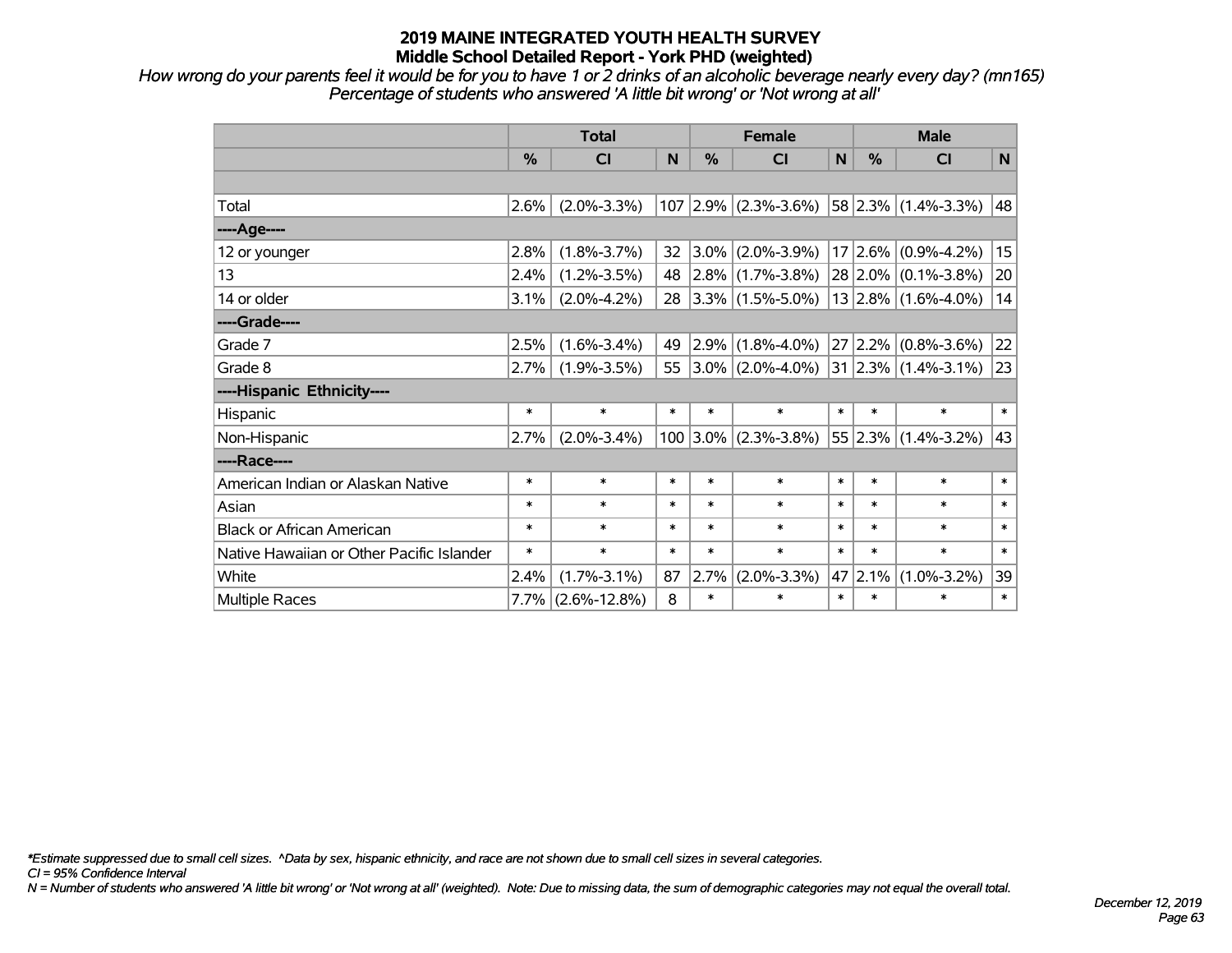*How wrong do your parents feel it would be for you to have 1 or 2 drinks of an alcoholic beverage nearly every day? (mn165) Percentage of students who answered 'A little bit wrong' or 'Not wrong at all'*

|                                           | <b>Total</b>  |                    |        |        | <b>Female</b>            |        | <b>Male</b>   |                         |        |  |
|-------------------------------------------|---------------|--------------------|--------|--------|--------------------------|--------|---------------|-------------------------|--------|--|
|                                           | $\frac{0}{0}$ | <b>CI</b>          | N      | %      | <b>CI</b>                | N      | $\frac{0}{0}$ | <b>CI</b>               | N      |  |
|                                           |               |                    |        |        |                          |        |               |                         |        |  |
| Total                                     | 2.6%          | $(2.0\% - 3.3\%)$  |        |        | $107$ 2.9% (2.3%-3.6%)   |        |               | $58$ 2.3% (1.4%-3.3%)   | 48     |  |
| ----Age----                               |               |                    |        |        |                          |        |               |                         |        |  |
| 12 or younger                             | 2.8%          | $(1.8\% - 3.7\%)$  | 32     |        | $3.0\%$ (2.0%-3.9%)      |        |               | $17 2.6\% $ (0.9%-4.2%) | 15     |  |
| 13                                        | 2.4%          | $(1.2\% - 3.5\%)$  | 48     |        | $ 2.8\% $ (1.7%-3.8%)    |        |               | $28 2.0\% $ (0.1%-3.8%) | 20     |  |
| 14 or older                               | 3.1%          | $(2.0\% - 4.2\%)$  | 28     |        | $ 3.3\% $ (1.5%-5.0%)    |        |               | $13 2.8\% $ (1.6%-4.0%) | 14     |  |
| ----Grade----                             |               |                    |        |        |                          |        |               |                         |        |  |
| Grade 7                                   | 2.5%          | $(1.6\% - 3.4\%)$  | 49     |        | $2.9\%$ (1.8%-4.0%)      |        | 27 2.2%       | $(0.8\% - 3.6\%)$       | 22     |  |
| Grade 8                                   | 2.7%          | $(1.9\% - 3.5\%)$  |        |        | 55 $ 3.0\% $ (2.0%-4.0%) |        |               | 31 2.3% (1.4%-3.1%)     | 23     |  |
| ----Hispanic Ethnicity----                |               |                    |        |        |                          |        |               |                         |        |  |
| Hispanic                                  | $\ast$        | $\ast$             | $\ast$ | $\ast$ | $\ast$                   | $\ast$ | $\ast$        | $\ast$                  | $\ast$ |  |
| Non-Hispanic                              | 2.7%          | $(2.0\% - 3.4\%)$  |        |        | $100$ 3.0% (2.3%-3.8%)   |        | 55 2.3%       | $(1.4\% - 3.2\%)$       | 43     |  |
| ----Race----                              |               |                    |        |        |                          |        |               |                         |        |  |
| American Indian or Alaskan Native         | $\ast$        | $\ast$             | $\ast$ | $\ast$ | $\ast$                   | $\ast$ | $\ast$        | $\ast$                  | $\ast$ |  |
| Asian                                     | $\ast$        | $\ast$             | $\ast$ | $\ast$ | $\ast$                   | $\ast$ | $\ast$        | $\ast$                  | $\ast$ |  |
| <b>Black or African American</b>          | $\ast$        | $\ast$             | $\ast$ | $\ast$ | $\ast$                   | $\ast$ | $\ast$        | $\ast$                  | $\ast$ |  |
| Native Hawaiian or Other Pacific Islander | $\ast$        | $\ast$             | $\ast$ | $\ast$ | $\ast$                   | $\ast$ | $\ast$        | $\ast$                  | $\ast$ |  |
| White                                     | 2.4%          | $(1.7\% - 3.1\%)$  | 87     | 2.7%   | $(2.0\% - 3.3\%)$        | 47     | 2.1%          | $(1.0\% - 3.2\%)$       | 39     |  |
| Multiple Races                            | $7.7\%$       | $(2.6\% - 12.8\%)$ | 8      | $\ast$ | $\ast$                   | $\ast$ | $\ast$        | $\ast$                  | $\ast$ |  |

*\*Estimate suppressed due to small cell sizes. ^Data by sex, hispanic ethnicity, and race are not shown due to small cell sizes in several categories.*

*CI = 95% Confidence Interval*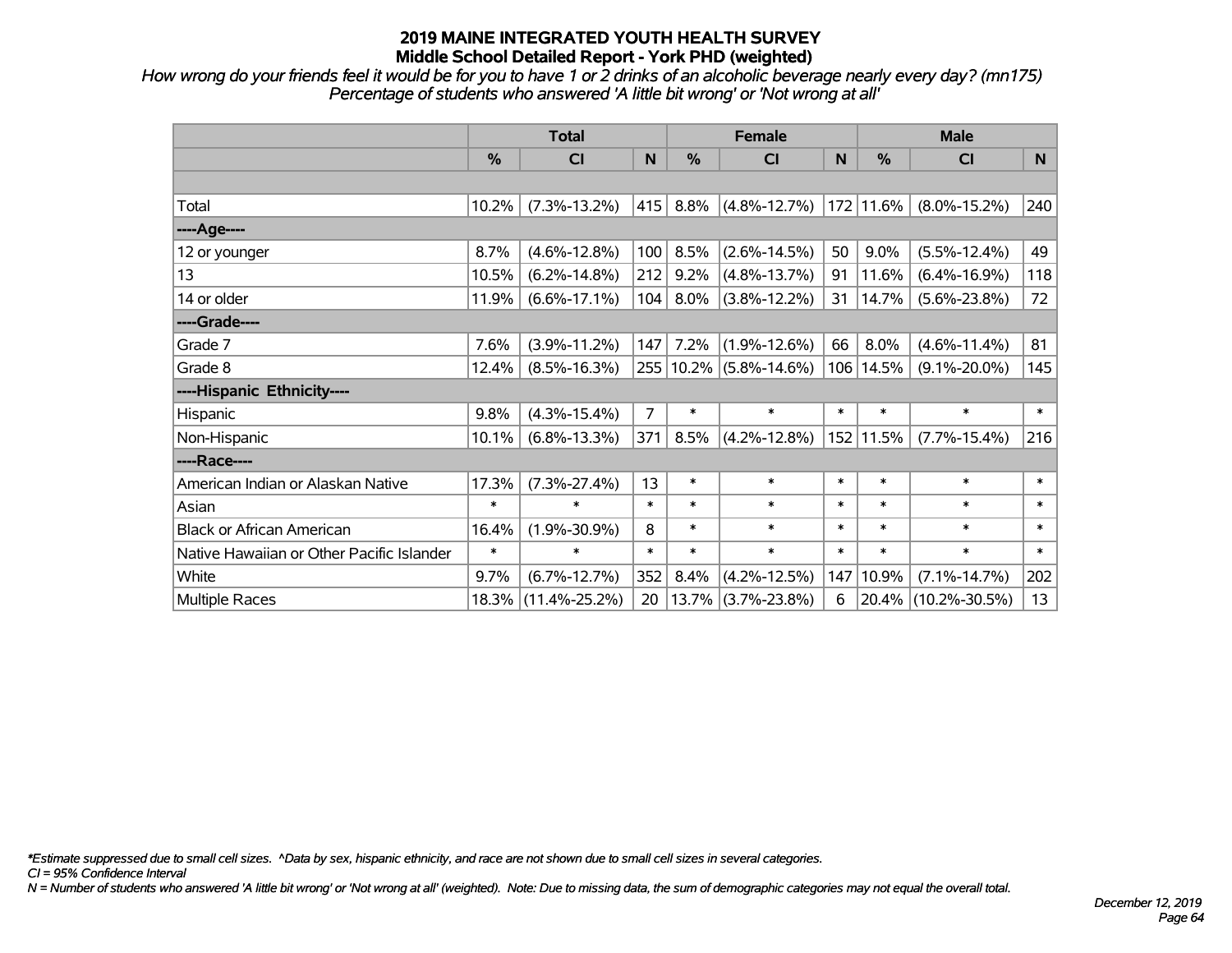*How wrong do your friends feel it would be for you to have 1 or 2 drinks of an alcoholic beverage nearly every day? (mn175) Percentage of students who answered 'A little bit wrong' or 'Not wrong at all'*

|                                           | <b>Total</b> |                     |        |        | <b>Female</b>          |        | <b>Male</b> |                     |        |  |
|-------------------------------------------|--------------|---------------------|--------|--------|------------------------|--------|-------------|---------------------|--------|--|
|                                           | %            | CI                  | N      | %      | <b>CI</b>              | N      | %           | <b>CI</b>           | N      |  |
|                                           |              |                     |        |        |                        |        |             |                     |        |  |
| Total                                     | 10.2%        | $(7.3\% - 13.2\%)$  | 415    | 8.8%   | $(4.8\% - 12.7\%)$     |        | 172 11.6%   | $(8.0\% - 15.2\%)$  | 240    |  |
| ----Age----                               |              |                     |        |        |                        |        |             |                     |        |  |
| 12 or younger                             | 8.7%         | $(4.6\% - 12.8\%)$  | 100    | 8.5%   | $(2.6\% - 14.5\%)$     | 50     | 9.0%        | $(5.5\% - 12.4\%)$  | 49     |  |
| 13                                        | 10.5%        | $(6.2\% - 14.8\%)$  | 212    | 9.2%   | $(4.8\% - 13.7\%)$     | 91     | 11.6%       | $(6.4\% - 16.9\%)$  | 118    |  |
| 14 or older                               | 11.9%        | $(6.6\% - 17.1\%)$  | 104    | 8.0%   | $(3.8\% - 12.2\%)$     | 31     | 14.7%       | $(5.6\% - 23.8\%)$  | 72     |  |
| ----Grade----                             |              |                     |        |        |                        |        |             |                     |        |  |
| Grade 7                                   | 7.6%         | $(3.9\% - 11.2\%)$  | 147    | 7.2%   | $(1.9\% - 12.6\%)$     | 66     | 8.0%        | $(4.6\% - 11.4\%)$  | 81     |  |
| Grade 8                                   | 12.4%        | $(8.5\% - 16.3\%)$  |        |        | 255 10.2% (5.8%-14.6%) | 106    | 14.5%       | $(9.1\% - 20.0\%)$  | 145    |  |
| ----Hispanic Ethnicity----                |              |                     |        |        |                        |        |             |                     |        |  |
| Hispanic                                  | 9.8%         | $(4.3\% - 15.4\%)$  | 7      | $\ast$ | $\ast$                 | $\ast$ | $\ast$      | $\ast$              | $\ast$ |  |
| Non-Hispanic                              | 10.1%        | $(6.8\% - 13.3\%)$  | 371    | 8.5%   | $(4.2\% - 12.8\%)$     |        | 152 11.5%   | $(7.7\% - 15.4\%)$  | 216    |  |
| ----Race----                              |              |                     |        |        |                        |        |             |                     |        |  |
| American Indian or Alaskan Native         | 17.3%        | $(7.3\% - 27.4\%)$  | 13     | $\ast$ | $\ast$                 | $\ast$ | $\ast$      | $\ast$              | $\ast$ |  |
| Asian                                     | $\ast$       | $\ast$              | $\ast$ | $\ast$ | $\ast$                 | $\ast$ | $\ast$      | $\ast$              | $\ast$ |  |
| <b>Black or African American</b>          | 16.4%        | $(1.9\% - 30.9\%)$  | 8      | $\ast$ | $\ast$                 | $\ast$ | $\ast$      | $\ast$              | $\ast$ |  |
| Native Hawaiian or Other Pacific Islander | $\ast$       | $\ast$              | $\ast$ | $\ast$ | $\ast$                 | $\ast$ | $\ast$      | $\ast$              | $\ast$ |  |
| White                                     | 9.7%         | $(6.7\% - 12.7\%)$  | 352    | 8.4%   | $(4.2\% - 12.5\%)$     | 147    | 10.9%       | $(7.1\% - 14.7\%)$  | 202    |  |
| Multiple Races                            |              | 18.3% (11.4%-25.2%) | 20     | 13.7%  | $(3.7\% - 23.8\%)$     | 6      | $20.4\%$    | $(10.2\% - 30.5\%)$ | 13     |  |

*\*Estimate suppressed due to small cell sizes. ^Data by sex, hispanic ethnicity, and race are not shown due to small cell sizes in several categories.*

*CI = 95% Confidence Interval*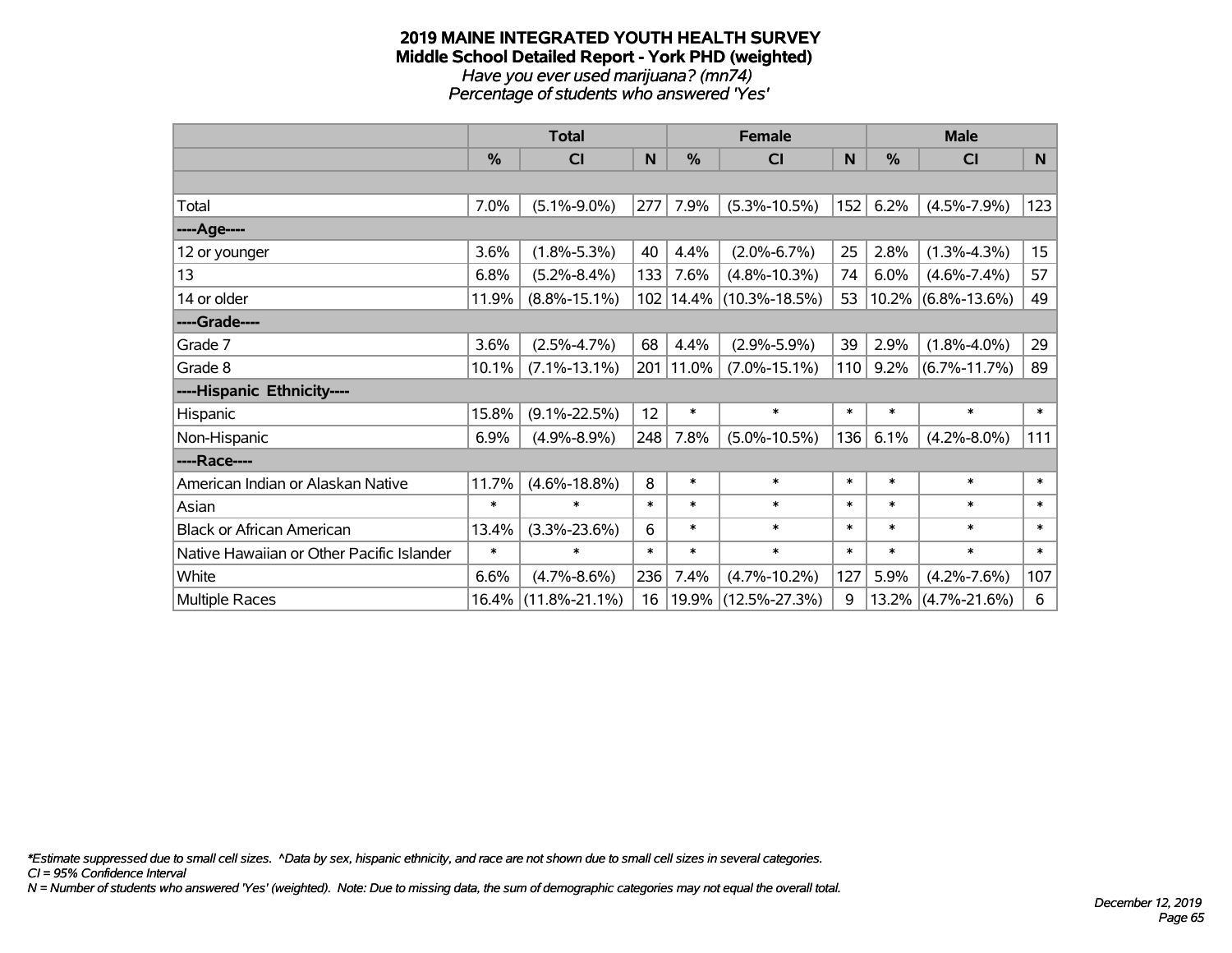#### **2019 MAINE INTEGRATED YOUTH HEALTH SURVEY Middle School Detailed Report - York PHD (weighted)** *Have you ever used marijuana? (mn74) Percentage of students who answered 'Yes'*

|                                           | <b>Total</b>  |                     |        | <b>Female</b> | <b>Male</b>                 |        |            |                    |        |
|-------------------------------------------|---------------|---------------------|--------|---------------|-----------------------------|--------|------------|--------------------|--------|
|                                           | $\frac{0}{0}$ | CI                  | N      | $\%$          | <b>CI</b>                   | N      | $\%$       | <b>CI</b>          | N      |
|                                           |               |                     |        |               |                             |        |            |                    |        |
| Total                                     | 7.0%          | $(5.1\% - 9.0\%)$   | 277    | 7.9%          | $(5.3\% - 10.5\%)$          | 152    | 6.2%       | $(4.5\% - 7.9\%)$  | 123    |
| ----Age----                               |               |                     |        |               |                             |        |            |                    |        |
| 12 or younger                             | 3.6%          | $(1.8\% - 5.3\%)$   | 40     | 4.4%          | $(2.0\% - 6.7\%)$           | 25     | 2.8%       | $(1.3\% - 4.3\%)$  | 15     |
| 13                                        | 6.8%          | $(5.2\% - 8.4\%)$   | 133    | 7.6%          | $(4.8\% - 10.3\%)$          | 74     | 6.0%       | $(4.6\% - 7.4\%)$  | 57     |
| 14 or older                               | 11.9%         | $(8.8\% - 15.1\%)$  |        |               | 102   14.4%   (10.3%-18.5%) | 53     | $ 10.2\% $ | $(6.8\% - 13.6\%)$ | 49     |
| ----Grade----                             |               |                     |        |               |                             |        |            |                    |        |
| Grade 7                                   | 3.6%          | $(2.5\% - 4.7\%)$   | 68     | 4.4%          | $(2.9\% - 5.9\%)$           | 39     | 2.9%       | $(1.8\% - 4.0\%)$  | 29     |
| Grade 8                                   | 10.1%         | $(7.1\% - 13.1\%)$  |        | 201 11.0%     | $(7.0\% - 15.1\%)$          | 110    | 9.2%       | $(6.7\% - 11.7\%)$ | 89     |
| ----Hispanic Ethnicity----                |               |                     |        |               |                             |        |            |                    |        |
| Hispanic                                  | 15.8%         | $(9.1\% - 22.5\%)$  | 12     | $\ast$        | $\ast$                      | $\ast$ | $\ast$     | $\ast$             | $\ast$ |
| Non-Hispanic                              | 6.9%          | $(4.9\% - 8.9\%)$   | 248    | 7.8%          | $(5.0\% - 10.5\%)$          | 136    | 6.1%       | $(4.2\% - 8.0\%)$  | 111    |
| ----Race----                              |               |                     |        |               |                             |        |            |                    |        |
| American Indian or Alaskan Native         | 11.7%         | $(4.6\% - 18.8\%)$  | 8      | $\ast$        | $\ast$                      | $\ast$ | $\ast$     | $\ast$             | $\ast$ |
| Asian                                     | $\ast$        | $\ast$              | $\ast$ | $\ast$        | $\ast$                      | $\ast$ | $\ast$     | $\ast$             | $\ast$ |
| <b>Black or African American</b>          | 13.4%         | $(3.3\% - 23.6\%)$  | 6      | $\ast$        | $\ast$                      | $\ast$ | $\ast$     | $\ast$             | $\ast$ |
| Native Hawaiian or Other Pacific Islander | $\ast$        | $\ast$              | $\ast$ | $\ast$        | $\ast$                      | $\ast$ | $\ast$     | $\ast$             | $\ast$ |
| White                                     | 6.6%          | $(4.7\% - 8.6\%)$   | 236    | 7.4%          | $(4.7\% - 10.2\%)$          | 127    | 5.9%       | $(4.2\% - 7.6\%)$  | 107    |
| <b>Multiple Races</b>                     | 16.4%         | $(11.8\% - 21.1\%)$ | 16     | 19.9%         | $(12.5\% - 27.3\%)$         | 9      | 13.2%      | $(4.7\% - 21.6\%)$ | 6      |

*\*Estimate suppressed due to small cell sizes. ^Data by sex, hispanic ethnicity, and race are not shown due to small cell sizes in several categories.*

*CI = 95% Confidence Interval*

*N = Number of students who answered 'Yes' (weighted). Note: Due to missing data, the sum of demographic categories may not equal the overall total.*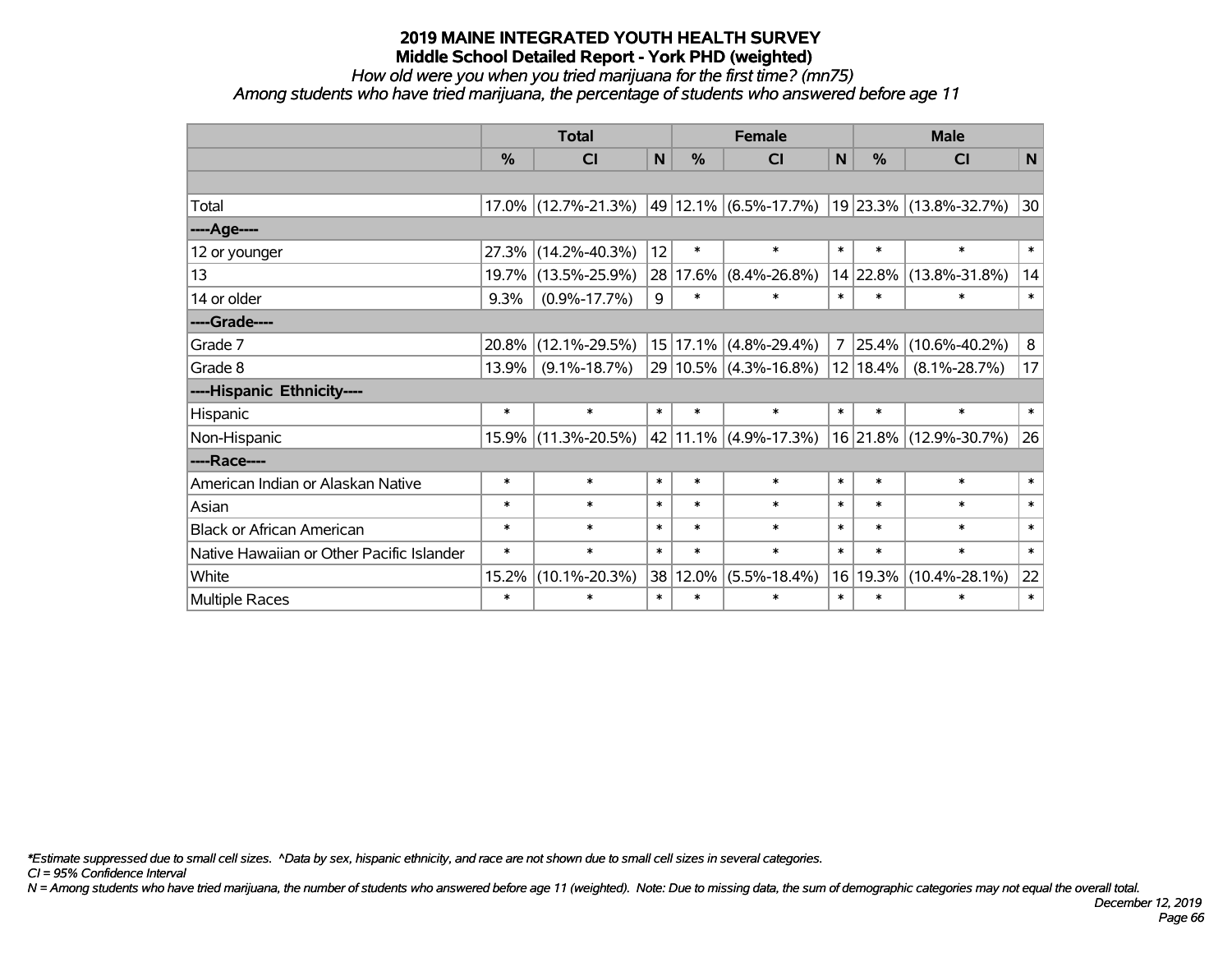# *How old were you when you tried marijuana for the first time? (mn75)*

*Among students who have tried marijuana, the percentage of students who answered before age 11*

|                                           | <b>Total</b> |                     |              |               | <b>Female</b>                  |              | <b>Male</b> |                                                        |              |  |
|-------------------------------------------|--------------|---------------------|--------------|---------------|--------------------------------|--------------|-------------|--------------------------------------------------------|--------------|--|
|                                           | %            | <b>CI</b>           | $\mathsf{N}$ | $\frac{0}{0}$ | <b>CI</b>                      | $\mathsf{N}$ | %           | <b>CI</b>                                              | $\mathsf{N}$ |  |
|                                           |              |                     |              |               |                                |              |             |                                                        |              |  |
| Total                                     |              | 17.0% (12.7%-21.3%) |              |               |                                |              |             | $ 49 12.1\% $ (6.5%-17.7%) $ 19 23.3\% $ (13.8%-32.7%) | 30           |  |
| ----Age----                               |              |                     |              |               |                                |              |             |                                                        |              |  |
| 12 or younger                             | 27.3%        | $(14.2\% - 40.3\%)$ | 12           | $\ast$        | $\ast$                         | $\ast$       | $\ast$      | $\ast$                                                 | $\ast$       |  |
| 13                                        | 19.7%        | $(13.5\% - 25.9\%)$ |              | 28 17.6%      | $(8.4\% - 26.8\%)$             |              | 14 22.8%    | $(13.8\% - 31.8\%)$                                    | 14           |  |
| 14 or older                               | 9.3%         | $(0.9\% - 17.7\%)$  | 9            | $\ast$        | $\ast$                         | $\ast$       | $\ast$      | $\ast$                                                 | $\ast$       |  |
| ----Grade----                             |              |                     |              |               |                                |              |             |                                                        |              |  |
| Grade 7                                   | 20.8%        | $(12.1\% - 29.5\%)$ |              | 15 17.1%      | $(4.8\% - 29.4\%)$             |              | 7 25.4%     | $(10.6\% - 40.2\%)$                                    | 8            |  |
| Grade 8                                   | 13.9%        | $(9.1\% - 18.7\%)$  |              |               | 29 10.5% (4.3%-16.8%) 12 18.4% |              |             | $(8.1\% - 28.7\%)$                                     | 17           |  |
| ----Hispanic Ethnicity----                |              |                     |              |               |                                |              |             |                                                        |              |  |
| Hispanic                                  | $\ast$       | $\ast$              | $\ast$       | $\ast$        | $\ast$                         | $\ast$       | $\ast$      | $\ast$                                                 | $\ast$       |  |
| Non-Hispanic                              |              | 15.9% (11.3%-20.5%) |              |               | 42 11.1% (4.9%-17.3%)          |              |             | $ 16 21.8\% (12.9\% - 30.7\%)$                         | 26           |  |
| ----Race----                              |              |                     |              |               |                                |              |             |                                                        |              |  |
| American Indian or Alaskan Native         | $\ast$       | $\ast$              | $\ast$       | $\ast$        | $\ast$                         | $\ast$       | $\ast$      | $\ast$                                                 | $\ast$       |  |
| Asian                                     | $\ast$       | $\ast$              | $\ast$       | $\ast$        | $\ast$                         | $\ast$       | $\ast$      | $\ast$                                                 | $\ast$       |  |
| <b>Black or African American</b>          | $\ast$       | $\ast$              | $\ast$       | $\ast$        | $\ast$                         | $\ast$       | $\ast$      | $\ast$                                                 | $\ast$       |  |
| Native Hawaiian or Other Pacific Islander | $\ast$       | $\ast$              | $\ast$       | $\ast$        | $\ast$                         | $\ast$       | $\ast$      | $\ast$                                                 | $\ast$       |  |
| White                                     | 15.2%        | $(10.1\% - 20.3\%)$ | 38           | 12.0%         | $(5.5\% - 18.4\%)$             | 16           | 19.3%       | $(10.4\% - 28.1\%)$                                    | 22           |  |
| Multiple Races                            | $\ast$       | $\ast$              | $\ast$       | $\ast$        | $\ast$                         | $\ast$       | $\ast$      | $\ast$                                                 | $\ast$       |  |

*\*Estimate suppressed due to small cell sizes. ^Data by sex, hispanic ethnicity, and race are not shown due to small cell sizes in several categories.*

*CI = 95% Confidence Interval*

*N = Among students who have tried marijuana, the number of students who answered before age 11 (weighted). Note: Due to missing data, the sum of demographic categories may not equal the overall total.*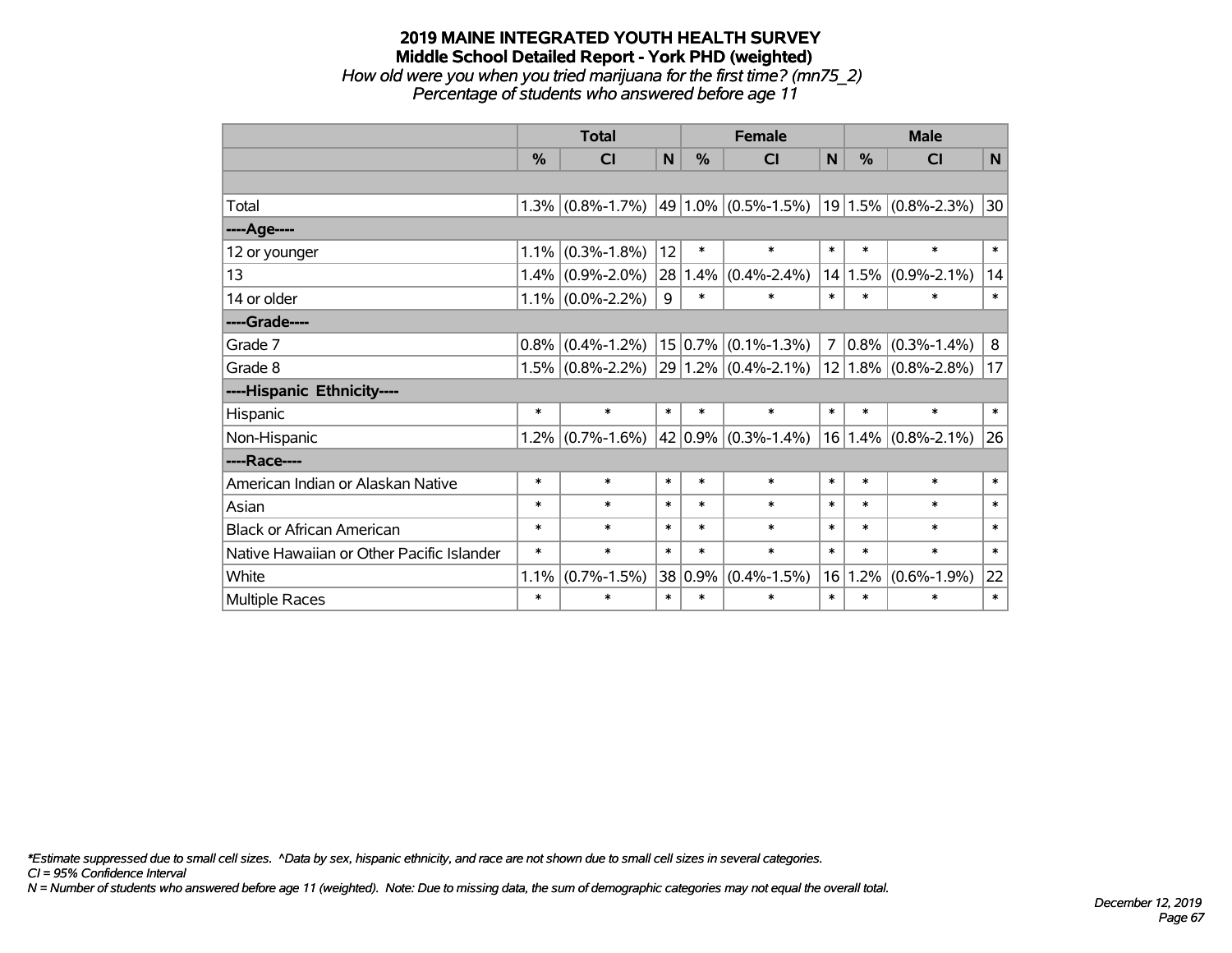*How old were you when you tried marijuana for the first time? (mn75\_2) Percentage of students who answered before age 11*

|                                           | <b>Total</b> |                     |              |         | <b>Female</b>                 | <b>Male</b>    |        |                          |              |
|-------------------------------------------|--------------|---------------------|--------------|---------|-------------------------------|----------------|--------|--------------------------|--------------|
|                                           | %            | CI                  | $\mathsf{N}$ | %       | <b>CI</b>                     | N              | %      | <b>CI</b>                | $\mathsf{N}$ |
|                                           |              |                     |              |         |                               |                |        |                          |              |
| Total                                     |              | $1.3\%$ (0.8%-1.7%) |              |         | $ 49 1.0\% $ (0.5%-1.5%)      |                |        | $ 19 1.5\% $ (0.8%-2.3%) | 30           |
| ----Age----                               |              |                     |              |         |                               |                |        |                          |              |
| 12 or younger                             | 1.1%         | $(0.3\% - 1.8\%)$   | 12           | $\ast$  | $\ast$                        | $\ast$         | $\ast$ | $\ast$                   | $\ast$       |
| 13                                        | 1.4%         | $(0.9\% - 2.0\%)$   | 28           | 1.4%    | $(0.4\% - 2.4\%)$             | 14             | 1.5%   | $(0.9\% - 2.1\%)$        | 14           |
| 14 or older                               |              | $1.1\%$ (0.0%-2.2%) | 9            | $\ast$  | $\ast$                        | $\ast$         | $\ast$ | $\ast$                   | $\ast$       |
| ----Grade----                             |              |                     |              |         |                               |                |        |                          |              |
| Grade 7                                   | 0.8%         | $(0.4\% - 1.2\%)$   |              | 15 0.7% | $(0.1\% - 1.3\%)$             | $\overline{7}$ | 0.8%   | $(0.3\% - 1.4\%)$        | 8            |
| Grade 8                                   |              | $1.5\%$ (0.8%-2.2%) |              |         | $29 1.2\% $ (0.4%-2.1%)       |                |        | $12 1.8\% $ (0.8%-2.8%)  | 17           |
| ----Hispanic Ethnicity----                |              |                     |              |         |                               |                |        |                          |              |
| Hispanic                                  | $\ast$       | $\ast$              | $\ast$       | $\ast$  | $\ast$                        | $\ast$         | $\ast$ | $\ast$                   | $\ast$       |
| Non-Hispanic                              |              | $1.2\%$ (0.7%-1.6%) |              |         | 42 0.9% $(0.3\text{%-1.4\%)}$ |                |        | $16 1.4\% $ (0.8%-2.1%)  | 26           |
| ----Race----                              |              |                     |              |         |                               |                |        |                          |              |
| American Indian or Alaskan Native         | $\ast$       | $\ast$              | $\ast$       | $\ast$  | $\ast$                        | $\ast$         | $\ast$ | $\ast$                   | $\ast$       |
| Asian                                     | $\ast$       | $\ast$              | $\ast$       | $\ast$  | $\ast$                        | $\ast$         | $\ast$ | $\ast$                   | $\ast$       |
| <b>Black or African American</b>          | $\ast$       | $\ast$              | $\ast$       | $\ast$  | $\ast$                        | $\ast$         | $\ast$ | $\ast$                   | $\ast$       |
| Native Hawaiian or Other Pacific Islander | $\ast$       | $\ast$              | $\ast$       | $\ast$  | $\ast$                        | $\ast$         | $\ast$ | $\ast$                   | $\ast$       |
| White                                     | 1.1%         | $(0.7\% - 1.5\%)$   | 38           | 0.9%    | $(0.4\% - 1.5\%)$             | 16             | 1.2%   | $(0.6\% - 1.9\%)$        | 22           |
| <b>Multiple Races</b>                     | $\ast$       | $\ast$              | $\ast$       | $\ast$  | $\ast$                        | $\ast$         | $\ast$ | $\ast$                   | $\ast$       |

*\*Estimate suppressed due to small cell sizes. ^Data by sex, hispanic ethnicity, and race are not shown due to small cell sizes in several categories.*

*CI = 95% Confidence Interval*

*N = Number of students who answered before age 11 (weighted). Note: Due to missing data, the sum of demographic categories may not equal the overall total.*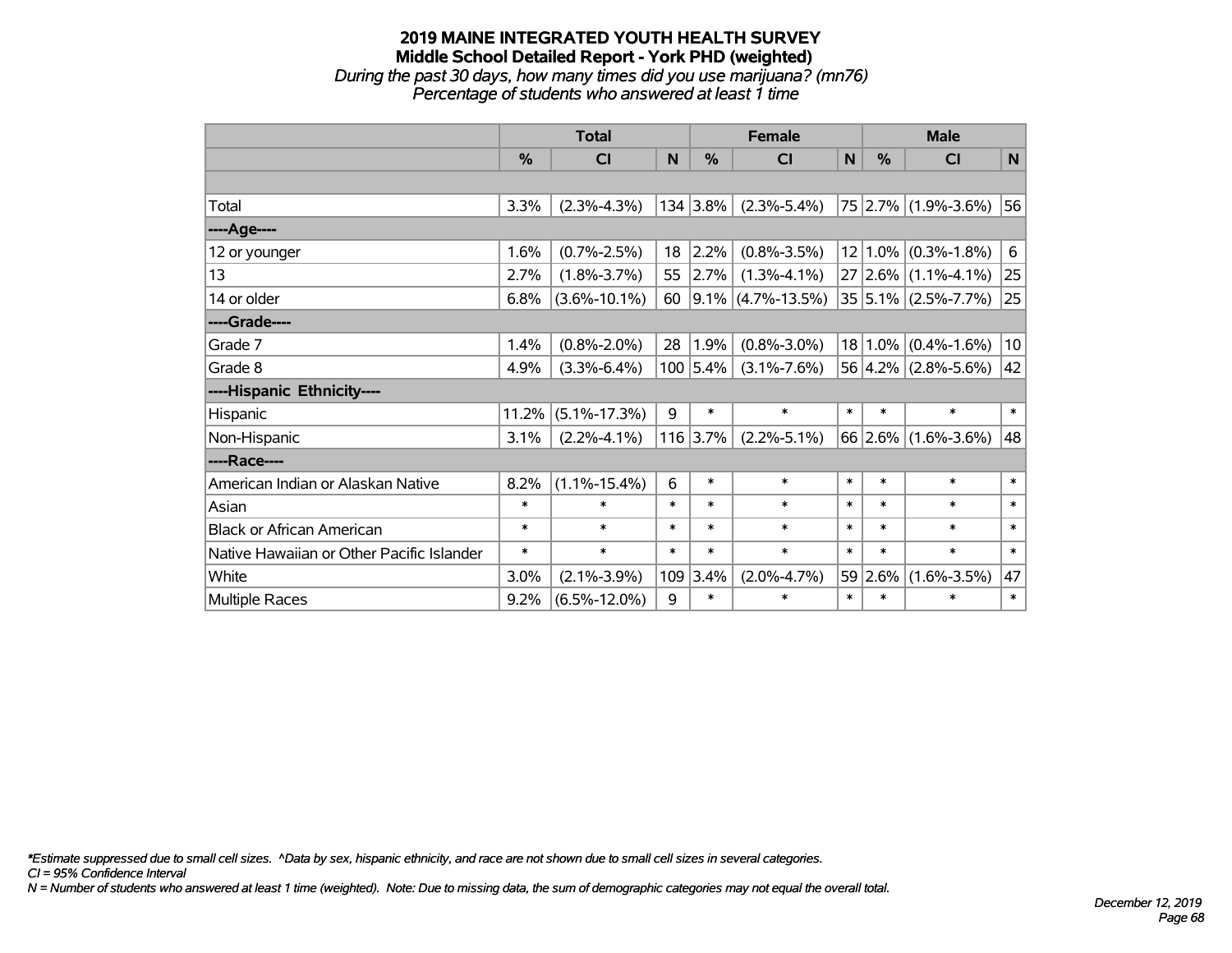*During the past 30 days, how many times did you use marijuana? (mn76) Percentage of students who answered at least 1 time*

|                                           | <b>Total</b> |                    |        |          | <b>Female</b>          | <b>Male</b> |               |                         |              |
|-------------------------------------------|--------------|--------------------|--------|----------|------------------------|-------------|---------------|-------------------------|--------------|
|                                           | %            | <b>CI</b>          | N      | %        | CI                     | N           | $\frac{0}{0}$ | <b>CI</b>               | $\mathsf{N}$ |
|                                           |              |                    |        |          |                        |             |               |                         |              |
| Total                                     | 3.3%         | $(2.3\% - 4.3\%)$  |        | 134 3.8% | $(2.3\% - 5.4\%)$      |             |               | 75 2.7% (1.9%-3.6%)     | 56           |
| ----Age----                               |              |                    |        |          |                        |             |               |                         |              |
| 12 or younger                             | 1.6%         | $(0.7\% - 2.5\%)$  | 18     | $2.2\%$  | $(0.8\% - 3.5\%)$      |             |               | $12 1.0\% $ (0.3%-1.8%) | 6            |
| 13                                        | 2.7%         | $(1.8\% - 3.7\%)$  | 55     | 2.7%     | $(1.3\% - 4.1\%)$      |             |               | $27 2.6\% $ (1.1%-4.1%) | 25           |
| 14 or older                               | 6.8%         | $(3.6\% - 10.1\%)$ | 60     |          | $ 9.1\% $ (4.7%-13.5%) |             |               | $35 5.1\% $ (2.5%-7.7%) | 25           |
| ----Grade----                             |              |                    |        |          |                        |             |               |                         |              |
| Grade 7                                   | 1.4%         | $(0.8\% - 2.0\%)$  | 28     | 1.9%     | $(0.8\% - 3.0\%)$      |             |               | $18 1.0\% $ (0.4%-1.6%) | 10           |
| Grade 8                                   | 4.9%         | $(3.3\% - 6.4\%)$  |        | 100 5.4% | $(3.1\% - 7.6\%)$      |             |               | $56 4.2\% $ (2.8%-5.6%) | 42           |
| ----Hispanic Ethnicity----                |              |                    |        |          |                        |             |               |                         |              |
| Hispanic                                  | 11.2%        | $(5.1\% - 17.3\%)$ | 9      | $\ast$   | $\ast$                 | $\ast$      | $\ast$        | $\ast$                  | $\ast$       |
| Non-Hispanic                              | 3.1%         | $(2.2\% - 4.1\%)$  |        | 116 3.7% | $(2.2\% - 5.1\%)$      |             |               | $66$ 2.6% (1.6%-3.6%)   | 48           |
| ----Race----                              |              |                    |        |          |                        |             |               |                         |              |
| American Indian or Alaskan Native         | 8.2%         | $(1.1\% - 15.4\%)$ | 6      | $\ast$   | $\ast$                 | $\ast$      | $\ast$        | $\ast$                  | $\ast$       |
| Asian                                     | $\ast$       | $\ast$             | $\ast$ | $\ast$   | $\ast$                 | $\ast$      | $\ast$        | $\ast$                  | $\ast$       |
| <b>Black or African American</b>          | $\ast$       | $\ast$             | $\ast$ | $\ast$   | $\ast$                 | $\ast$      | $\ast$        | $\ast$                  | $\ast$       |
| Native Hawaiian or Other Pacific Islander | $\ast$       | $\ast$             | $\ast$ | $\ast$   | $\ast$                 | $\ast$      | $\ast$        | $\ast$                  | $\ast$       |
| White                                     | 3.0%         | $(2.1\% - 3.9\%)$  | 109    | 3.4%     | $(2.0\% - 4.7\%)$      |             | 59 2.6%       | $(1.6\% - 3.5\%)$       | 47           |
| Multiple Races                            | 9.2%         | $(6.5\% - 12.0\%)$ | 9      | $\ast$   | $\ast$                 | $\ast$      | $\ast$        | $\ast$                  | $\ast$       |

*\*Estimate suppressed due to small cell sizes. ^Data by sex, hispanic ethnicity, and race are not shown due to small cell sizes in several categories.*

*CI = 95% Confidence Interval*

*N = Number of students who answered at least 1 time (weighted). Note: Due to missing data, the sum of demographic categories may not equal the overall total.*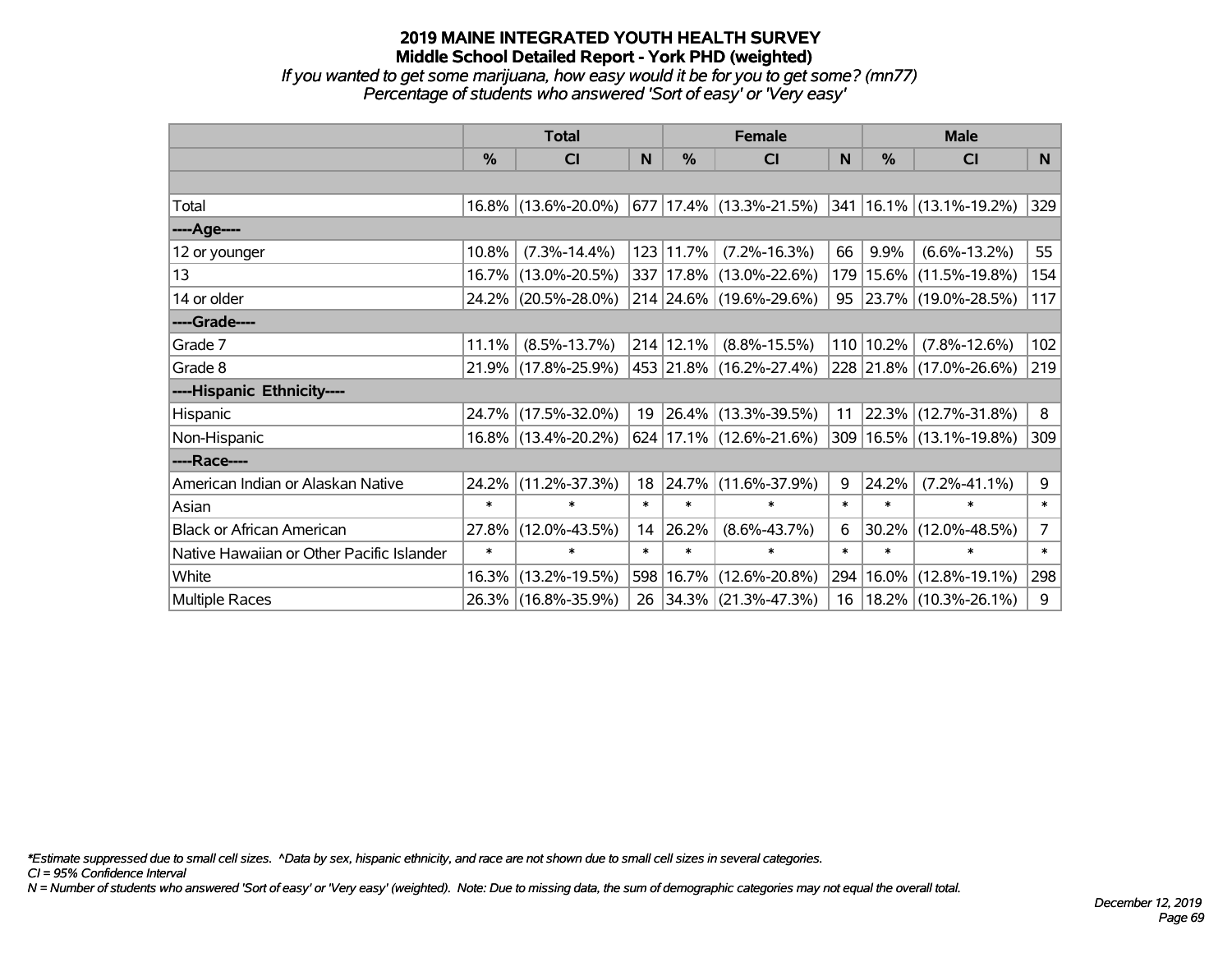*If you wanted to get some marijuana, how easy would it be for you to get some? (mn77) Percentage of students who answered 'Sort of easy' or 'Very easy'*

|                                           | <b>Total</b> |                     |        | <b>Female</b> | <b>Male</b>                        |        |        |                             |                |
|-------------------------------------------|--------------|---------------------|--------|---------------|------------------------------------|--------|--------|-----------------------------|----------------|
|                                           | %            | CI                  | N      | %             | CI                                 | N      | %      | <b>CI</b>                   | N              |
|                                           |              |                     |        |               |                                    |        |        |                             |                |
| Total                                     |              | 16.8% (13.6%-20.0%) |        |               | $677$ 17.4% (13.3%-21.5%)          |        |        | 341   16.1%   (13.1%-19.2%) | 329            |
| ----Age----                               |              |                     |        |               |                                    |        |        |                             |                |
| 12 or younger                             | 10.8%        | $(7.3\% - 14.4\%)$  |        | 123 11.7%     | $(7.2\% - 16.3\%)$                 | 66     | 9.9%   | $(6.6\% - 13.2\%)$          | 55             |
| 13                                        | $16.7\%$     | $(13.0\% - 20.5\%)$ |        |               | 337 17.8% (13.0%-22.6%)            | 179    | 15.6%  | $(11.5\% - 19.8\%)$         | 154            |
| 14 or older                               |              | 24.2% (20.5%-28.0%) |        |               | 214 24.6% (19.6%-29.6%)            |        |        | 95 23.7% (19.0%-28.5%)      | 117            |
| ----Grade----                             |              |                     |        |               |                                    |        |        |                             |                |
| Grade 7                                   | 11.1%        | $(8.5\% - 13.7\%)$  |        | 214 12.1%     | $(8.8\% - 15.5\%)$                 | 110    | 10.2%  | $(7.8\% - 12.6\%)$          | 102            |
| Grade 8                                   |              | 21.9% (17.8%-25.9%) |        |               | 453 21.8% (16.2%-27.4%)            |        |        | 228 21.8% (17.0%-26.6%)     | 219            |
| ----Hispanic Ethnicity----                |              |                     |        |               |                                    |        |        |                             |                |
| Hispanic                                  | 24.7%        | $(17.5\% - 32.0\%)$ | 19     |               | $ 26.4\% $ (13.3%-39.5%)           | 11     | 22.3%  | $(12.7\% - 31.8\%)$         | 8              |
| Non-Hispanic                              |              | 16.8% (13.4%-20.2%) |        |               | $624   17.1\%   (12.6\% - 21.6\%)$ |        |        | 309 16.5% (13.1%-19.8%)     | 309            |
| ----Race----                              |              |                     |        |               |                                    |        |        |                             |                |
| American Indian or Alaskan Native         | 24.2%        | $(11.2\% - 37.3\%)$ | 18     |               | 24.7% (11.6%-37.9%)                | 9      | 24.2%  | $(7.2\% - 41.1\%)$          | 9              |
| Asian                                     | $\ast$       | $\ast$              | $\ast$ | $\ast$        | $\ast$                             | $\ast$ | $\ast$ | $\ast$                      | $\ast$         |
| <b>Black or African American</b>          | 27.8%        | $(12.0\% - 43.5\%)$ | 14     | 26.2%         | $(8.6\% - 43.7\%)$                 | 6      | 30.2%  | $(12.0\% - 48.5\%)$         | $\overline{7}$ |
| Native Hawaiian or Other Pacific Islander | $\ast$       | $\ast$              | $\ast$ | $\ast$        | $\ast$                             | $\ast$ | $\ast$ | $\ast$                      | $\ast$         |
| White                                     | 16.3%        | $(13.2\% - 19.5\%)$ |        |               | 598 16.7% (12.6%-20.8%)            | 294    | 16.0%  | $(12.8\% - 19.1\%)$         | 298            |
| Multiple Races                            |              | 26.3% (16.8%-35.9%) |        |               | 26 34.3% (21.3%-47.3%)             | 16     |        | 18.2% (10.3%-26.1%)         | 9              |

*\*Estimate suppressed due to small cell sizes. ^Data by sex, hispanic ethnicity, and race are not shown due to small cell sizes in several categories.*

*CI = 95% Confidence Interval*

*N = Number of students who answered 'Sort of easy' or 'Very easy' (weighted). Note: Due to missing data, the sum of demographic categories may not equal the overall total.*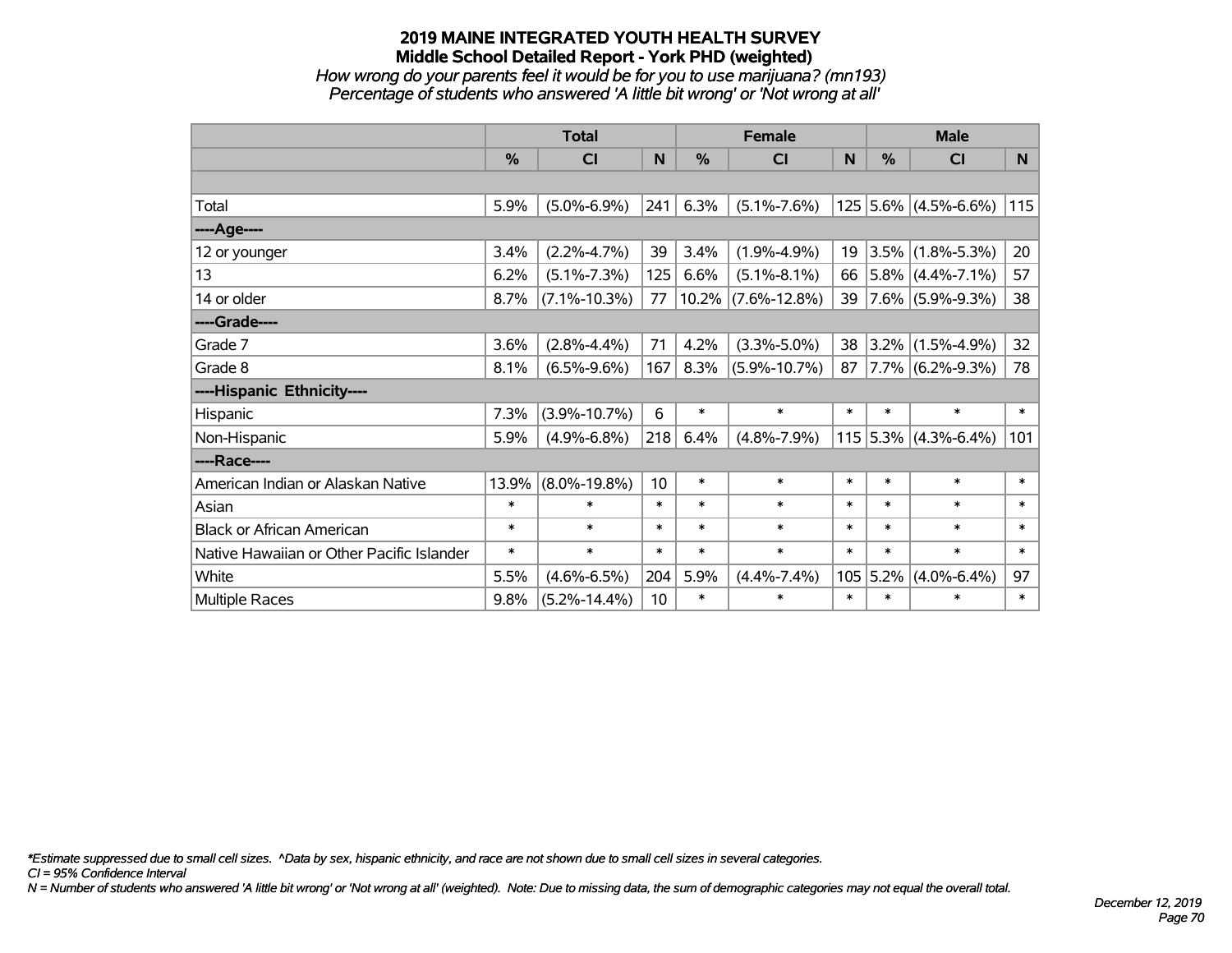*How wrong do your parents feel it would be for you to use marijuana? (mn193) Percentage of students who answered 'A little bit wrong' or 'Not wrong at all'*

|                                           | <b>Total</b> |                    | <b>Female</b> |               |                       | <b>Male</b> |               |                        |        |
|-------------------------------------------|--------------|--------------------|---------------|---------------|-----------------------|-------------|---------------|------------------------|--------|
|                                           | $\%$         | <b>CI</b>          | N             | $\frac{0}{0}$ | <b>CI</b>             | N           | $\frac{0}{0}$ | <b>CI</b>              | N.     |
|                                           |              |                    |               |               |                       |             |               |                        |        |
| Total                                     | 5.9%         | $(5.0\% - 6.9\%)$  | 241           | 6.3%          | $(5.1\% - 7.6\%)$     |             |               | $125$ 5.6% (4.5%-6.6%) | 115    |
| ----Age----                               |              |                    |               |               |                       |             |               |                        |        |
| 12 or younger                             | 3.4%         | $(2.2\% - 4.7\%)$  | 39            | 3.4%          | $(1.9\% - 4.9\%)$     | 19          | 3.5%          | $(1.8\% - 5.3\%)$      | 20     |
| 13                                        | 6.2%         | $(5.1\% - 7.3\%)$  | 125           | 6.6%          | $(5.1\% - 8.1\%)$     | 66          |               | $ 5.8\% $ (4.4%-7.1%)  | 57     |
| 14 or older                               | 8.7%         | $(7.1\% - 10.3\%)$ | 77            |               | $10.2\%$ (7.6%-12.8%) | 39          |               | $ 7.6\% $ (5.9%-9.3%)  | 38     |
| ----Grade----                             |              |                    |               |               |                       |             |               |                        |        |
| Grade 7                                   | 3.6%         | $(2.8\% - 4.4\%)$  | 71            | 4.2%          | $(3.3\% - 5.0\%)$     | 38          | $3.2\%$       | $(1.5\% - 4.9\%)$      | 32     |
| Grade 8                                   | 8.1%         | $(6.5\% - 9.6\%)$  | 167           | 8.3%          | $(5.9\% - 10.7\%)$    | 87          |               | $7.7\%$ (6.2%-9.3%)    | 78     |
| ----Hispanic Ethnicity----                |              |                    |               |               |                       |             |               |                        |        |
| Hispanic                                  | 7.3%         | $(3.9\% - 10.7\%)$ | 6             | $\ast$        | $\ast$                | $\ast$      | $\ast$        | $\ast$                 | $\ast$ |
| Non-Hispanic                              | 5.9%         | $(4.9\% - 6.8\%)$  | 218           | 6.4%          | $(4.8\% - 7.9\%)$     |             | $115$ 5.3%    | $(4.3\% - 6.4\%)$      | 101    |
| ----Race----                              |              |                    |               |               |                       |             |               |                        |        |
| American Indian or Alaskan Native         | 13.9%        | $(8.0\% - 19.8\%)$ | 10            | $\ast$        | $\ast$                | $\ast$      | $\ast$        | $\ast$                 | $\ast$ |
| Asian                                     | $\ast$       | $\ast$             | $\ast$        | $\ast$        | $\ast$                | $\ast$      | $\ast$        | $\ast$                 | $\ast$ |
| <b>Black or African American</b>          | $\ast$       | $\ast$             | $\ast$        | $\ast$        | $\ast$                | $\ast$      | $\ast$        | $\ast$                 | $\ast$ |
| Native Hawaiian or Other Pacific Islander | $\ast$       | $\ast$             | $\ast$        | $\ast$        | $\ast$                | $\ast$      | $\ast$        | $\ast$                 | $\ast$ |
| White                                     | 5.5%         | $(4.6\% - 6.5\%)$  | 204           | 5.9%          | $(4.4\% - 7.4\%)$     | 105         | 5.2%          | $(4.0\% - 6.4\%)$      | 97     |
| <b>Multiple Races</b>                     | 9.8%         | $(5.2\% - 14.4\%)$ | 10            | $\ast$        | $\ast$                | $\ast$      | $\ast$        | $\ast$                 | $\ast$ |

*\*Estimate suppressed due to small cell sizes. ^Data by sex, hispanic ethnicity, and race are not shown due to small cell sizes in several categories.*

*CI = 95% Confidence Interval*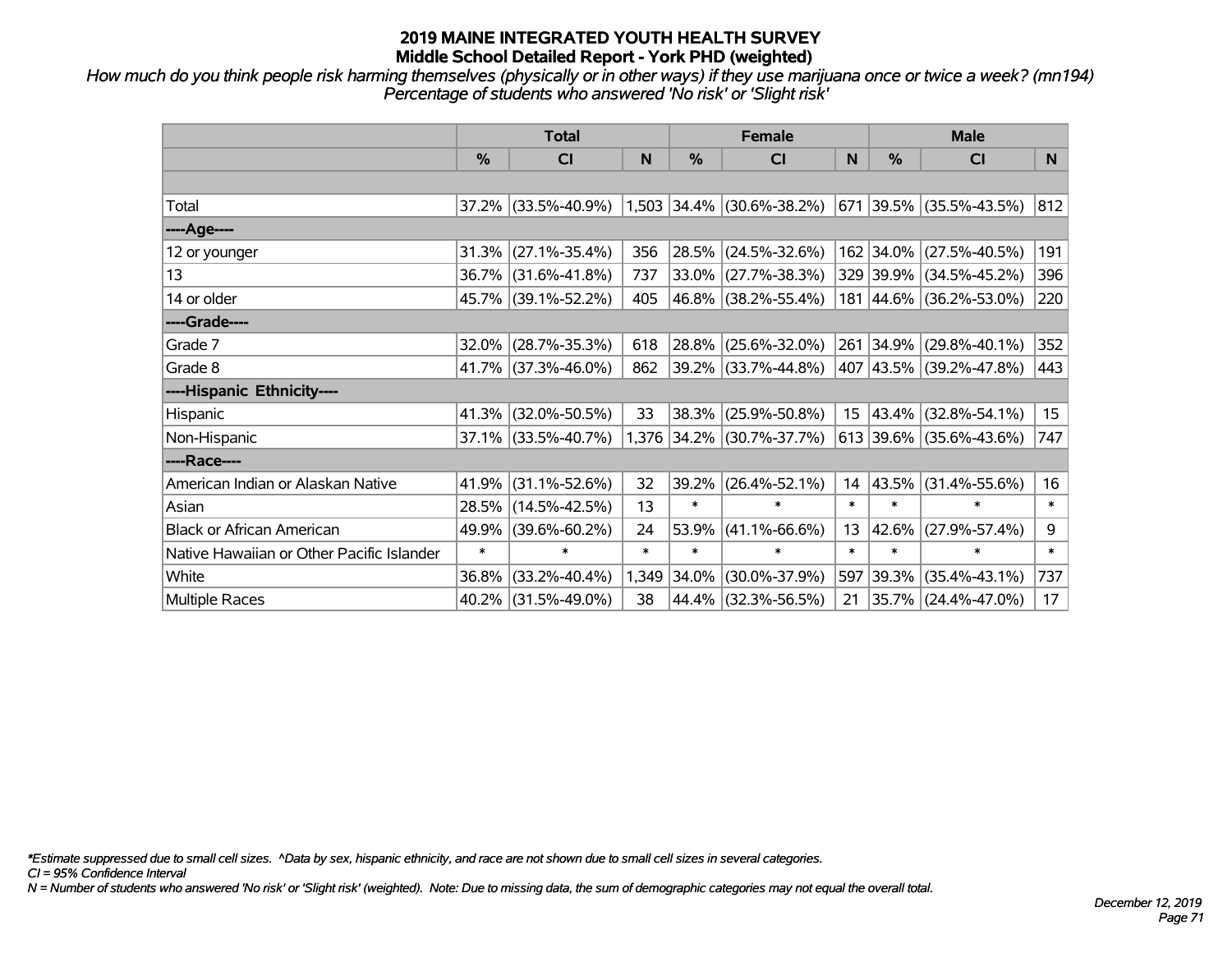*How much do you think people risk harming themselves (physically or in other ways) if they use marijuana once or twice a week? (mn194) Percentage of students who answered 'No risk' or 'Slight risk'*

|                                           | <b>Total</b>  |                     |        |             | <b>Female</b>             |                  | <b>Male</b> |                          |        |  |
|-------------------------------------------|---------------|---------------------|--------|-------------|---------------------------|------------------|-------------|--------------------------|--------|--|
|                                           | $\frac{0}{0}$ | CI                  | N      | %           | C <sub>l</sub>            | N                | %           | <b>CI</b>                | N.     |  |
|                                           |               |                     |        |             |                           |                  |             |                          |        |  |
| Total                                     |               | 37.2% (33.5%-40.9%) |        | 1,503 34.4% | $(30.6\% - 38.2\%)$       | 671              |             | $ 39.5\% $ (35.5%-43.5%) | 812    |  |
| ----Age----                               |               |                     |        |             |                           |                  |             |                          |        |  |
| 12 or younger                             | 31.3%         | $(27.1\% - 35.4\%)$ | 356    | 28.5%       | $(24.5\% - 32.6\%)$       |                  | 162 34.0%   | $(27.5\% - 40.5\%)$      | 191    |  |
| 13                                        |               | 36.7% (31.6%-41.8%) | 737    | 33.0%       | $(27.7\% - 38.3\%)$       |                  | 329 39.9%   | $(34.5\% - 45.2\%)$      | 396    |  |
| 14 or older                               |               | 45.7% (39.1%-52.2%) | 405    |             | 46.8% (38.2%-55.4%)       |                  |             | 181 44.6% (36.2%-53.0%)  | 220    |  |
| ----Grade----                             |               |                     |        |             |                           |                  |             |                          |        |  |
| Grade 7                                   | 32.0%         | $(28.7\% - 35.3\%)$ | 618    | 28.8%       | $(25.6\% - 32.0\%)$       | 261              | 34.9%       | $(29.8\% - 40.1\%)$      | 352    |  |
| Grade 8                                   |               | 41.7% (37.3%-46.0%) | 862    |             | 39.2% (33.7%-44.8%)       |                  |             | 407 43.5% (39.2%-47.8%)  | 443    |  |
| ----Hispanic Ethnicity----                |               |                     |        |             |                           |                  |             |                          |        |  |
| Hispanic                                  | 41.3%         | $(32.0\% - 50.5\%)$ | 33     | 38.3%       | $(25.9\% - 50.8\%)$       | 15 <sub>15</sub> | 43.4%       | $(32.8\% - 54.1\%)$      | 15     |  |
| Non-Hispanic                              |               | 37.1% (33.5%-40.7%) |        |             | 1,376 34.2% (30.7%-37.7%) |                  |             | 613 39.6% (35.6%-43.6%)  | 747    |  |
| ----Race----                              |               |                     |        |             |                           |                  |             |                          |        |  |
| American Indian or Alaskan Native         | 41.9%         | $(31.1\% - 52.6\%)$ | 32     | 39.2%       | $(26.4\% - 52.1\%)$       | 14               | 43.5%       | $(31.4\% - 55.6\%)$      | 16     |  |
| Asian                                     | 28.5%         | $(14.5\% - 42.5\%)$ | 13     | $\ast$      | $\ast$                    | $\ast$           | $\ast$      | $\ast$                   | $\ast$ |  |
| <b>Black or African American</b>          | 49.9%         | $(39.6\% - 60.2\%)$ | 24     | 53.9%       | $(41.1\% - 66.6\%)$       | 13               | 42.6%       | $(27.9\% - 57.4\%)$      | 9      |  |
| Native Hawaiian or Other Pacific Islander | $\ast$        | $\ast$              | $\ast$ | $\ast$      | $\ast$                    | $\ast$           | $\ast$      | $\ast$                   | $\ast$ |  |
| White                                     | 36.8%         | $(33.2\% - 40.4\%)$ | 1,349  | 34.0%       | $(30.0\% - 37.9\%)$       | 597              | 39.3%       | $(35.4\% - 43.1\%)$      | 737    |  |
| Multiple Races                            |               | 40.2% (31.5%-49.0%) | 38     | 44.4%       | $(32.3\% - 56.5\%)$       | 21               |             | 35.7% (24.4%-47.0%)      | 17     |  |

*\*Estimate suppressed due to small cell sizes. ^Data by sex, hispanic ethnicity, and race are not shown due to small cell sizes in several categories.*

*CI = 95% Confidence Interval*

*N = Number of students who answered 'No risk' or 'Slight risk' (weighted). Note: Due to missing data, the sum of demographic categories may not equal the overall total.*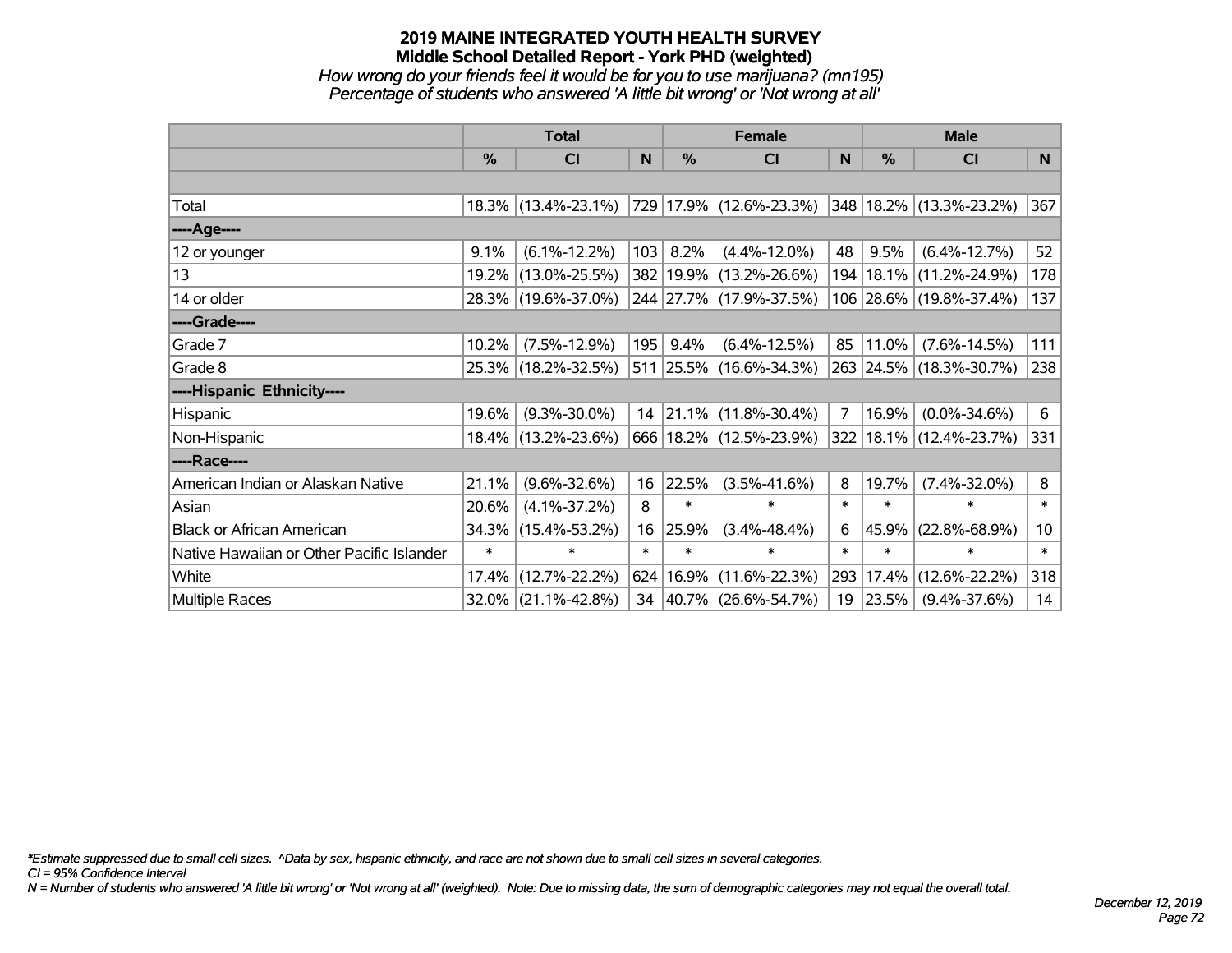#### **2019 MAINE INTEGRATED YOUTH HEALTH SURVEY Middle School Detailed Report - York PHD (weighted)** *How wrong do your friends feel it would be for you to use marijuana? (mn195)*

*Percentage of students who answered 'A little bit wrong' or 'Not wrong at all'*

|                                           | <b>Total</b> |                        | <b>Female</b> |        |                             | <b>Male</b>    |        |                              |                 |
|-------------------------------------------|--------------|------------------------|---------------|--------|-----------------------------|----------------|--------|------------------------------|-----------------|
|                                           | %            | <b>CI</b>              | N             | $\%$   | <b>CI</b>                   | N              | $\%$   | <b>CI</b>                    | N               |
|                                           |              |                        |               |        |                             |                |        |                              |                 |
| Total                                     |              | $18.3\%$ (13.4%-23.1%) |               |        | 729   17.9%   (12.6%-23.3%) |                |        | $ 348 18.2\% $ (13.3%-23.2%) | 367             |
| ----Age----                               |              |                        |               |        |                             |                |        |                              |                 |
| 12 or younger                             | 9.1%         | $(6.1\% - 12.2\%)$     | 103           | 8.2%   | $(4.4\% - 12.0\%)$          | 48             | 9.5%   | $(6.4\% - 12.7\%)$           | 52              |
| 13                                        | 19.2%        | $(13.0\% - 25.5\%)$    |               |        | 382 19.9% (13.2%-26.6%)     | 194            |        | 18.1%  (11.2%-24.9%)         | 178             |
| 14 or older                               |              | 28.3% (19.6%-37.0%)    |               |        | 244 27.7% (17.9%-37.5%)     |                |        | 106 28.6% (19.8%-37.4%)      | 137             |
| ----Grade----                             |              |                        |               |        |                             |                |        |                              |                 |
| Grade 7                                   | 10.2%        | $(7.5\% - 12.9\%)$     | 195           | 9.4%   | $(6.4\% - 12.5\%)$          | 85             | 11.0%  | $(7.6\% - 14.5\%)$           | 111             |
| Grade 8                                   |              | 25.3% (18.2%-32.5%)    |               |        | 511 25.5% (16.6%-34.3%)     |                |        | 263 24.5% (18.3%-30.7%)      | 238             |
| ----Hispanic Ethnicity----                |              |                        |               |        |                             |                |        |                              |                 |
| Hispanic                                  | 19.6%        | $(9.3\% - 30.0\%)$     |               |        | 14 21.1% (11.8%-30.4%)      | $\overline{7}$ | 16.9%  | $(0.0\% - 34.6\%)$           | 6               |
| Non-Hispanic                              |              | 18.4% (13.2%-23.6%)    |               |        | 666 18.2% (12.5%-23.9%)     | 322            |        | $ 18.1\% $ (12.4%-23.7%)     | 331             |
| ----Race----                              |              |                        |               |        |                             |                |        |                              |                 |
| American Indian or Alaskan Native         | 21.1%        | $(9.6\% - 32.6\%)$     | 16            | 22.5%  | $(3.5\% - 41.6\%)$          | 8              | 19.7%  | $(7.4\% - 32.0\%)$           | 8               |
| Asian                                     | 20.6%        | $(4.1\% - 37.2\%)$     | 8             | $\ast$ | $\ast$                      | $\ast$         | $\ast$ | $\ast$                       | $\ast$          |
| <b>Black or African American</b>          | 34.3%        | $(15.4\% - 53.2\%)$    | 16            | 25.9%  | $(3.4\% - 48.4\%)$          | 6              | 45.9%  | $(22.8\% - 68.9\%)$          | 10 <sub>1</sub> |
| Native Hawaiian or Other Pacific Islander | $\ast$       | $\ast$                 | $\ast$        | $\ast$ | $\ast$                      | $\ast$         | $\ast$ | $\ast$                       | $\ast$          |
| White                                     | 17.4%        | $(12.7\% - 22.2\%)$    | 624           | 16.9%  | $(11.6\% - 22.3\%)$         | 293            | 17.4%  | $(12.6\% - 22.2\%)$          | 318             |
| <b>Multiple Races</b>                     |              | $32.0\%$ (21.1%-42.8%) |               |        | 34 40.7% (26.6%-54.7%)      | 19             | 23.5%  | $(9.4\% - 37.6\%)$           | 14              |

*\*Estimate suppressed due to small cell sizes. ^Data by sex, hispanic ethnicity, and race are not shown due to small cell sizes in several categories.*

*CI = 95% Confidence Interval*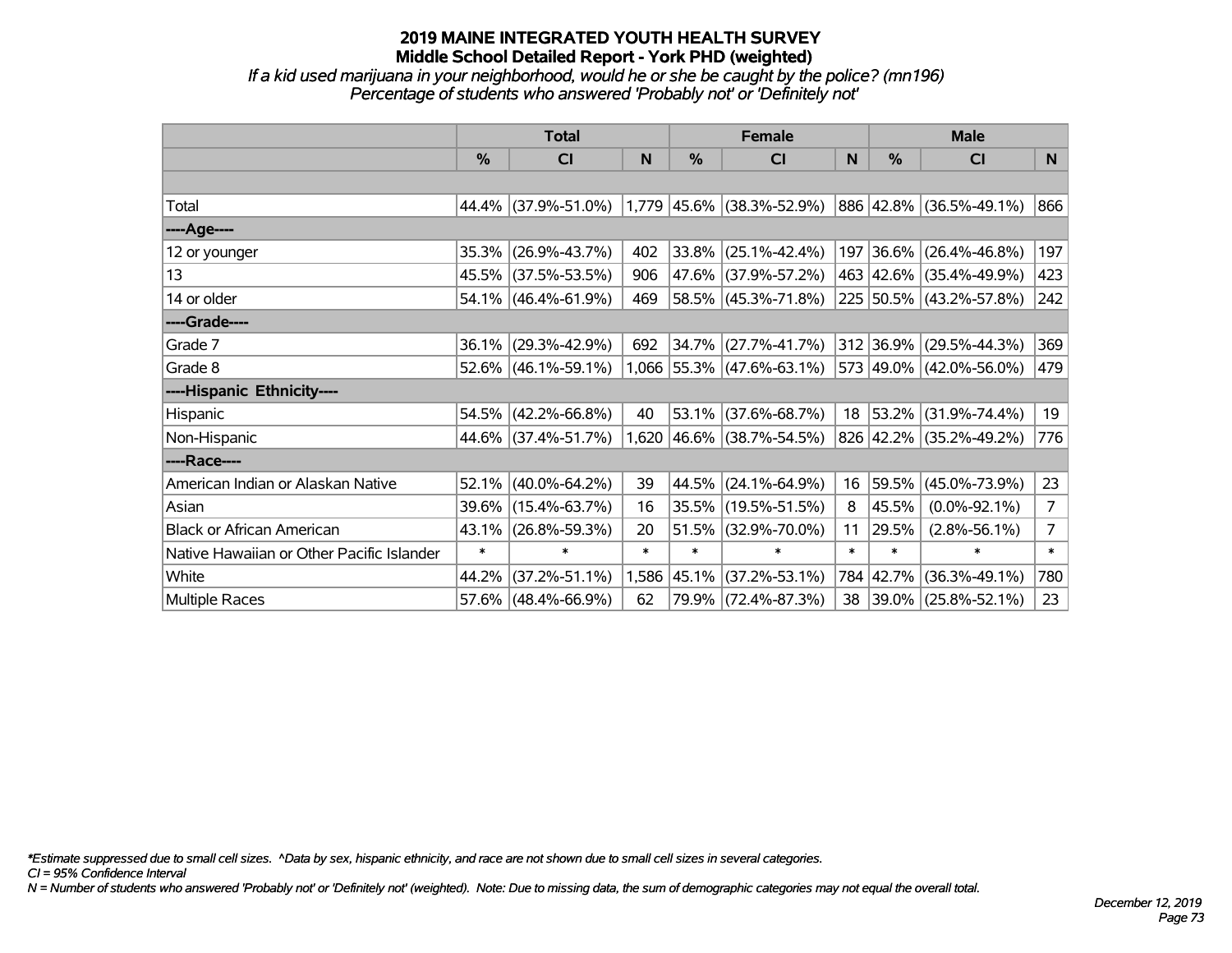*If a kid used marijuana in your neighborhood, would he or she be caught by the police? (mn196) Percentage of students who answered 'Probably not' or 'Definitely not'*

|                                           | <b>Total</b>  |                                               |        |            | <b>Female</b>               | <b>Male</b> |               |                          |                |
|-------------------------------------------|---------------|-----------------------------------------------|--------|------------|-----------------------------|-------------|---------------|--------------------------|----------------|
|                                           | $\frac{0}{0}$ | CI                                            | N      | %          | CI                          | N           | $\frac{0}{0}$ | <b>CI</b>                | N.             |
|                                           |               |                                               |        |            |                             |             |               |                          |                |
| Total                                     |               | 44.4% (37.9%-51.0%) 1,779 45.6% (38.3%-52.9%) |        |            |                             |             |               | 886 42.8% (36.5%-49.1%)  | 866            |
| ----Age----                               |               |                                               |        |            |                             |             |               |                          |                |
| 12 or younger                             | 35.3%         | $(26.9\% - 43.7\%)$                           | 402    | 33.8%      | $(25.1\% - 42.4\%)$         |             |               | 197 36.6% (26.4%-46.8%)  | 197            |
| 13                                        |               | 45.5% (37.5%-53.5%)                           | 906    |            | 47.6% (37.9%-57.2%)         |             |               | 463 42.6% (35.4%-49.9%)  | 423            |
| 14 or older                               |               | 54.1% (46.4%-61.9%)                           | 469    |            | 58.5% (45.3%-71.8%)         |             |               | 225 50.5% (43.2%-57.8%)  | 242            |
| ----Grade----                             |               |                                               |        |            |                             |             |               |                          |                |
| Grade 7                                   | 36.1%         | $(29.3\% - 42.9\%)$                           | 692    | $ 34.7\% $ | $(27.7\% - 41.7\%)$         |             | 312 36.9%     | $(29.5\% - 44.3\%)$      | 369            |
| Grade 8                                   |               | $52.6\%$ (46.1%-59.1%)                        |        |            | $1,066$ 55.3% (47.6%-63.1%) |             |               | 573 49.0% (42.0%-56.0%)  | 479            |
| ----Hispanic Ethnicity----                |               |                                               |        |            |                             |             |               |                          |                |
| Hispanic                                  | 54.5%         | $(42.2\% - 66.8\%)$                           | 40     | 53.1%      | $(37.6\% - 68.7\%)$         | 18          | $ 53.2\% $    | $(31.9\% - 74.4\%)$      | 19             |
| Non-Hispanic                              |               | 44.6% (37.4%-51.7%)                           |        |            | 1,620 46.6% (38.7%-54.5%)   |             |               | 826 42.2% (35.2%-49.2%)  | 776            |
| ----Race----                              |               |                                               |        |            |                             |             |               |                          |                |
| American Indian or Alaskan Native         | 52.1%         | $(40.0\% - 64.2\%)$                           | 39     | 44.5%      | $(24.1\% - 64.9\%)$         | 16          | 59.5%         | $(45.0\% - 73.9\%)$      | 23             |
| Asian                                     | 39.6%         | $(15.4\% - 63.7\%)$                           | 16     | 35.5%      | $(19.5\% - 51.5\%)$         | 8           | 45.5%         | $(0.0\% - 92.1\%)$       | $\overline{7}$ |
| <b>Black or African American</b>          | 43.1%         | $(26.8\% - 59.3\%)$                           | 20     | 51.5%      | $(32.9\% - 70.0\%)$         | 11          | 29.5%         | $(2.8\% - 56.1\%)$       | 7              |
| Native Hawaiian or Other Pacific Islander | $\ast$        | $\ast$                                        | $\ast$ | $\ast$     | $\ast$                      | $\ast$      | $\ast$        | $\ast$                   | $\ast$         |
| White                                     | 44.2%         | $(37.2\% - 51.1\%)$                           | 1,586  | 45.1%      | $(37.2\% - 53.1\%)$         |             | 784 42.7%     | $(36.3\% - 49.1\%)$      | 780            |
| <b>Multiple Races</b>                     |               | 57.6% (48.4%-66.9%)                           | 62     |            | 79.9% (72.4%-87.3%)         | 38          |               | $ 39.0\% $ (25.8%-52.1%) | 23             |

*\*Estimate suppressed due to small cell sizes. ^Data by sex, hispanic ethnicity, and race are not shown due to small cell sizes in several categories.*

*CI = 95% Confidence Interval*

*N = Number of students who answered 'Probably not' or 'Definitely not' (weighted). Note: Due to missing data, the sum of demographic categories may not equal the overall total.*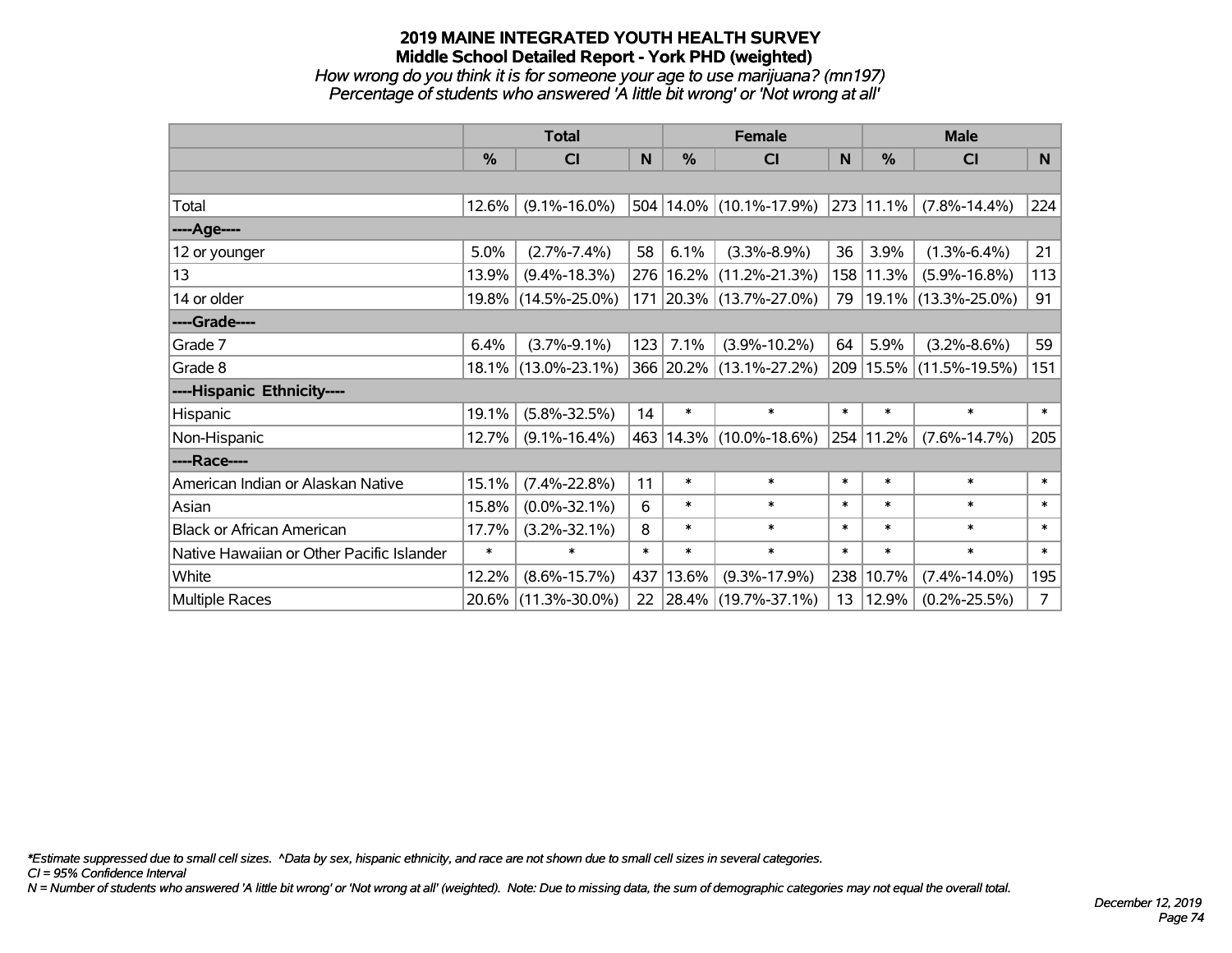*How wrong do you think it is for someone your age to use marijuana? (mn197) Percentage of students who answered 'A little bit wrong' or 'Not wrong at all'*

|                                           | <b>Total</b>  |                     |        |               | <b>Female</b>               | <b>Male</b> |                |                             |                |
|-------------------------------------------|---------------|---------------------|--------|---------------|-----------------------------|-------------|----------------|-----------------------------|----------------|
|                                           | $\frac{0}{0}$ | CI                  | N      | $\frac{0}{0}$ | <b>CI</b>                   | N           | %              | <b>CI</b>                   | N              |
|                                           |               |                     |        |               |                             |             |                |                             |                |
| Total                                     | 12.6%         | $(9.1\% - 16.0\%)$  |        |               | 504 14.0% (10.1%-17.9%)     |             | $ 273 11.1\% $ | $(7.8\% - 14.4\%)$          | 224            |
| ----Age----                               |               |                     |        |               |                             |             |                |                             |                |
| 12 or younger                             | 5.0%          | $(2.7\% - 7.4\%)$   | 58     | 6.1%          | $(3.3\% - 8.9\%)$           | 36          | 3.9%           | $(1.3\% - 6.4\%)$           | 21             |
| 13                                        | 13.9%         | $(9.4\% - 18.3\%)$  |        |               | 276   16.2%   (11.2%-21.3%) | 158         | 11.3%          | $(5.9\% - 16.8\%)$          | 113            |
| 14 or older                               |               | 19.8% (14.5%-25.0%) |        |               | 171 20.3% (13.7%-27.0%)     | 79          |                | 19.1% (13.3%-25.0%)         | 91             |
| ----Grade----                             |               |                     |        |               |                             |             |                |                             |                |
| Grade 7                                   | 6.4%          | $(3.7\% - 9.1\%)$   | 123    | 7.1%          | $(3.9\% - 10.2\%)$          | 64          | 5.9%           | $(3.2\% - 8.6\%)$           | 59             |
| Grade 8                                   |               | 18.1% (13.0%-23.1%) |        |               | 366 20.2% (13.1%-27.2%)     |             |                | 209   15.5%   (11.5%-19.5%) | 151            |
| ----Hispanic Ethnicity----                |               |                     |        |               |                             |             |                |                             |                |
| Hispanic                                  | 19.1%         | $(5.8\% - 32.5\%)$  | 14     | $\ast$        | $\ast$                      | $\ast$      | $\ast$         | $\ast$                      | $\ast$         |
| Non-Hispanic                              | 12.7%         | $(9.1\% - 16.4\%)$  |        |               | 463 14.3% (10.0%-18.6%)     |             | 254 11.2%      | $(7.6\% - 14.7\%)$          | 205            |
| ----Race----                              |               |                     |        |               |                             |             |                |                             |                |
| American Indian or Alaskan Native         | 15.1%         | $(7.4\% - 22.8\%)$  | 11     | $\ast$        | $\ast$                      | $\ast$      | $\ast$         | $\ast$                      | $\ast$         |
| Asian                                     | 15.8%         | $(0.0\% - 32.1\%)$  | 6      | $\ast$        | $\ast$                      | $\ast$      | $\ast$         | $\ast$                      | $\ast$         |
| <b>Black or African American</b>          | 17.7%         | $(3.2\% - 32.1\%)$  | 8      | $\ast$        | $\ast$                      | $\ast$      | $\ast$         | $\ast$                      | $\ast$         |
| Native Hawaiian or Other Pacific Islander | $\ast$        | $\ast$              | $\ast$ | $\ast$        | $\ast$                      | $\ast$      | $\ast$         | $\ast$                      | $\ast$         |
| White                                     | 12.2%         | $(8.6\% - 15.7\%)$  | 437    | 13.6%         | $(9.3\% - 17.9\%)$          | 238         | 10.7%          | $(7.4\% - 14.0\%)$          | 195            |
| <b>Multiple Races</b>                     |               | 20.6% (11.3%-30.0%) | 22     |               | $ 28.4\% $ (19.7%-37.1%)    | 13          | 12.9%          | $(0.2\% - 25.5\%)$          | $\overline{7}$ |

*\*Estimate suppressed due to small cell sizes. ^Data by sex, hispanic ethnicity, and race are not shown due to small cell sizes in several categories.*

*CI = 95% Confidence Interval*

*N = Number of students who answered 'A little bit wrong' or 'Not wrong at all' (weighted). Note: Due to missing data, the sum of demographic categories may not equal the overall total.*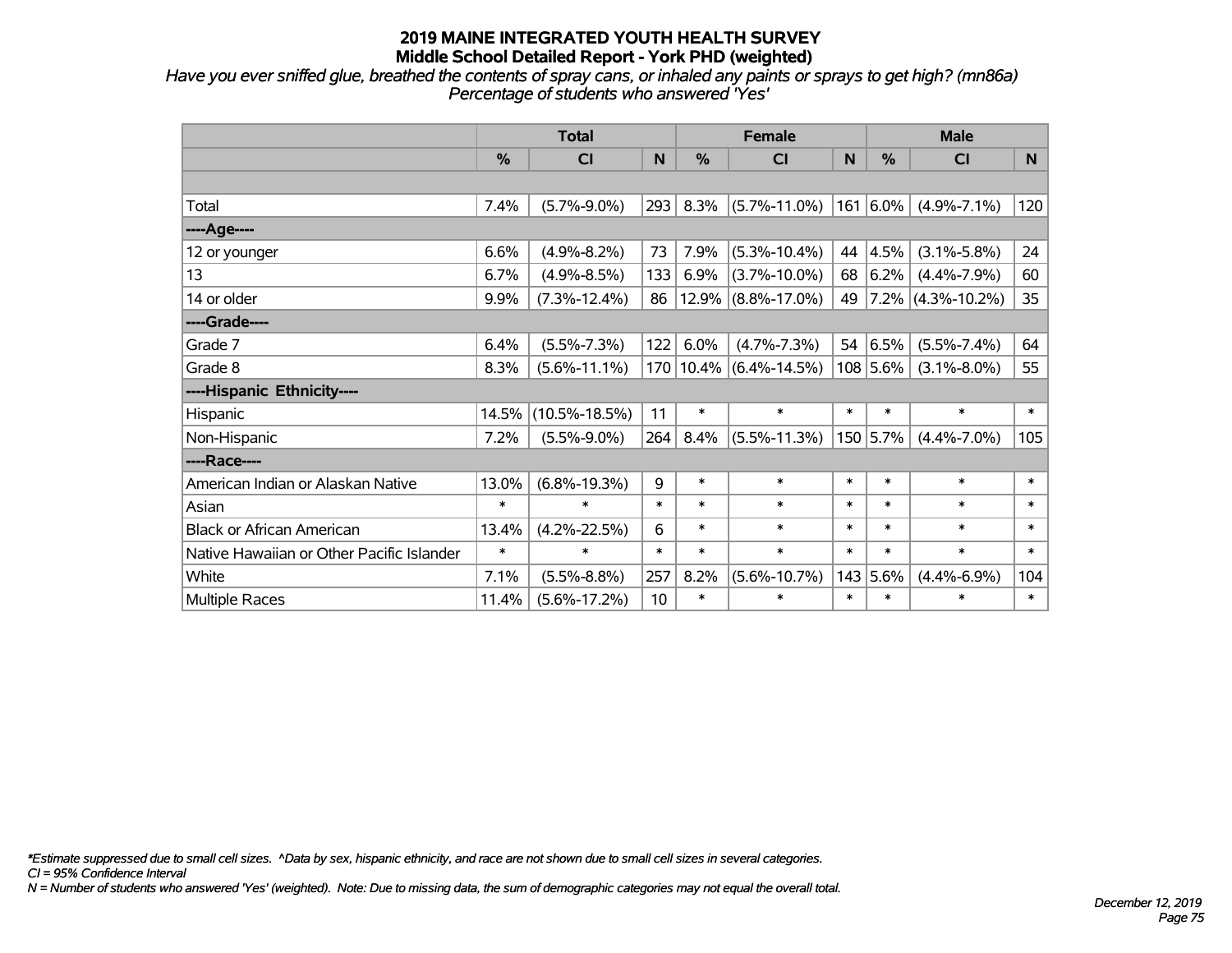*Have you ever sniffed glue, breathed the contents of spray cans, or inhaled any paints or sprays to get high? (mn86a) Percentage of students who answered 'Yes'*

|                                           | <b>Total</b> |                     |        |               | <b>Female</b>              | <b>Male</b> |            |                      |        |
|-------------------------------------------|--------------|---------------------|--------|---------------|----------------------------|-------------|------------|----------------------|--------|
|                                           | %            | <b>CI</b>           | N      | $\frac{0}{0}$ | <b>CI</b>                  | N           | %          | <b>CI</b>            | N      |
|                                           |              |                     |        |               |                            |             |            |                      |        |
| Total                                     | 7.4%         | $(5.7\% - 9.0\%)$   | 293    | 8.3%          | $(5.7\% - 11.0\%)$         |             | 161 6.0%   | $(4.9\% - 7.1\%)$    | 120    |
| ----Age----                               |              |                     |        |               |                            |             |            |                      |        |
| 12 or younger                             | 6.6%         | $(4.9\% - 8.2\%)$   | 73     | 7.9%          | $(5.3\% - 10.4\%)$         | 44          | 4.5%       | $(3.1\% - 5.8\%)$    | 24     |
| 13                                        | 6.7%         | $(4.9\% - 8.5\%)$   | 133    | 6.9%          | $(3.7\% - 10.0\%)$         | 68          | 6.2%       | $(4.4\% - 7.9\%)$    | 60     |
| 14 or older                               | 9.9%         | $(7.3\% - 12.4\%)$  | 86     | 12.9%         | $(8.8\% - 17.0\%)$         | 49          |            | $7.2\%$ (4.3%-10.2%) | 35     |
| ----Grade----                             |              |                     |        |               |                            |             |            |                      |        |
| Grade 7                                   | 6.4%         | $(5.5\% - 7.3\%)$   | 122    | 6.0%          | $(4.7\% - 7.3\%)$          | 54          | 6.5%       | $(5.5\% - 7.4\%)$    | 64     |
| Grade 8                                   | 8.3%         | $(5.6\% - 11.1\%)$  |        |               | 170   10.4%   (6.4%-14.5%) |             | $108$ 5.6% | $(3.1\% - 8.0\%)$    | 55     |
| ----Hispanic Ethnicity----                |              |                     |        |               |                            |             |            |                      |        |
| Hispanic                                  | 14.5%        | $(10.5\% - 18.5\%)$ | 11     | $\ast$        | $\ast$                     | $\ast$      | $\ast$     | $\ast$               | $\ast$ |
| Non-Hispanic                              | 7.2%         | $(5.5\% - 9.0\%)$   | 264    | 8.4%          | $(5.5\% - 11.3\%)$         |             | 150 5.7%   | $(4.4\% - 7.0\%)$    | 105    |
| ----Race----                              |              |                     |        |               |                            |             |            |                      |        |
| American Indian or Alaskan Native         | 13.0%        | $(6.8\% - 19.3\%)$  | 9      | $\ast$        | $\ast$                     | $\ast$      | $\ast$     | $\ast$               | $\ast$ |
| Asian                                     | $\ast$       | $\ast$              | $\ast$ | $\ast$        | $\ast$                     | $\ast$      | $\ast$     | $\ast$               | $\ast$ |
| <b>Black or African American</b>          | 13.4%        | $(4.2\% - 22.5\%)$  | 6      | $\ast$        | $\ast$                     | $\ast$      | $\ast$     | $\ast$               | $\ast$ |
| Native Hawaiian or Other Pacific Islander | $\ast$       | $\ast$              | $\ast$ | $\ast$        | $\ast$                     | $\ast$      | $\ast$     | $\ast$               | $\ast$ |
| White                                     | 7.1%         | $(5.5\% - 8.8\%)$   | 257    | 8.2%          | $(5.6\% - 10.7\%)$         |             | 143 5.6%   | $(4.4\% - 6.9\%)$    | 104    |
| <b>Multiple Races</b>                     | 11.4%        | $(5.6\% - 17.2\%)$  | 10     | $\ast$        | $\ast$                     | $\ast$      | $\ast$     | $\ast$               | $\ast$ |

*\*Estimate suppressed due to small cell sizes. ^Data by sex, hispanic ethnicity, and race are not shown due to small cell sizes in several categories.*

*CI = 95% Confidence Interval*

*N = Number of students who answered 'Yes' (weighted). Note: Due to missing data, the sum of demographic categories may not equal the overall total.*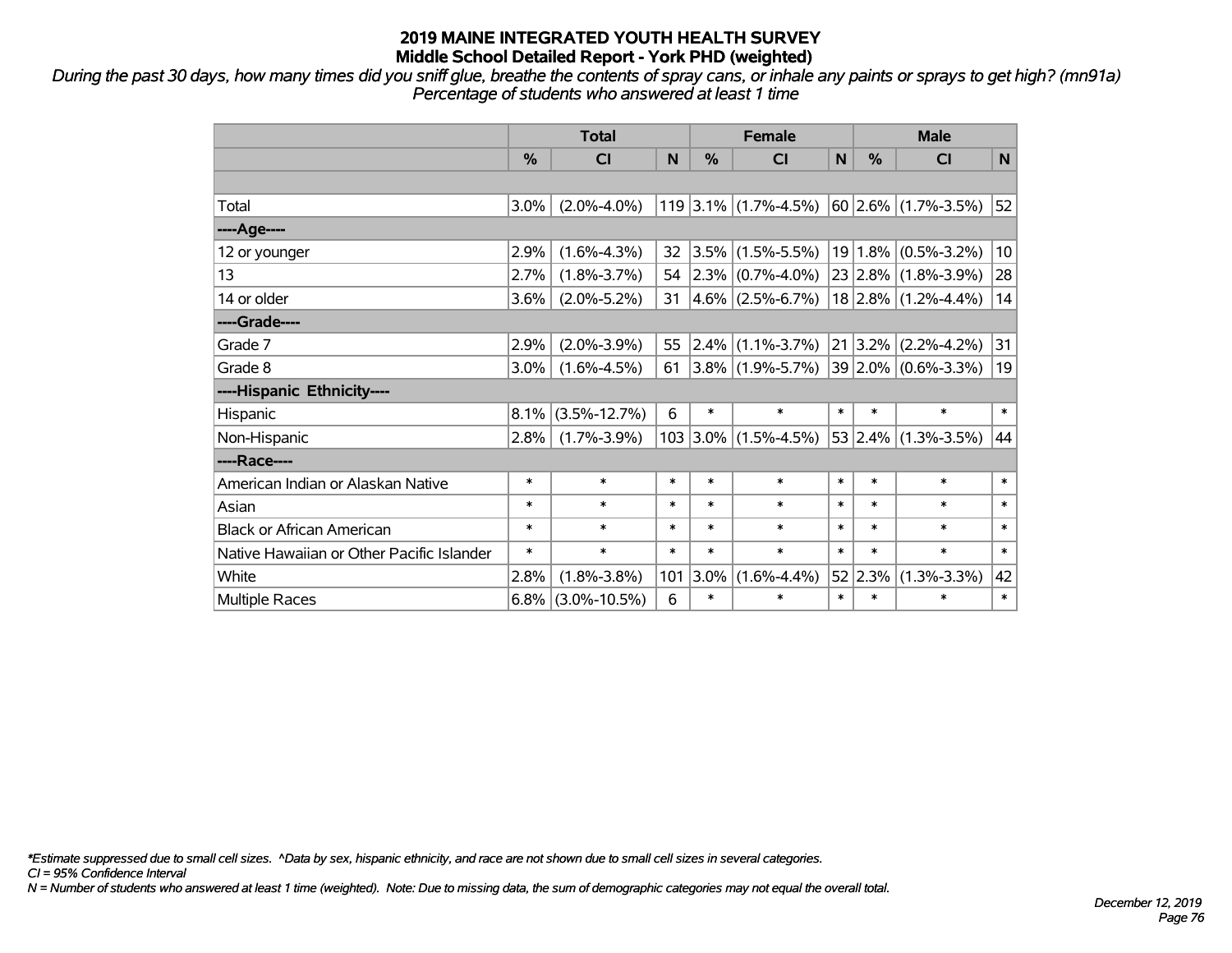*During the past 30 days, how many times did you sniff glue, breathe the contents of spray cans, or inhale any paints or sprays to get high? (mn91a) Percentage of students who answered at least 1 time*

|                                           | <b>Total</b>  |                    |        | <b>Female</b> |                                               |        | <b>Male</b> |                              |        |
|-------------------------------------------|---------------|--------------------|--------|---------------|-----------------------------------------------|--------|-------------|------------------------------|--------|
|                                           | $\frac{0}{2}$ | <b>CI</b>          | N      | $\%$          | CI                                            | N      | $\%$        | <b>CI</b>                    | N      |
|                                           |               |                    |        |               |                                               |        |             |                              |        |
| Total                                     | 3.0%          | $(2.0\% - 4.0\%)$  |        |               | 119 3.1% (1.7%-4.5%) $ 60 2.6\% $ (1.7%-3.5%) |        |             |                              | 52     |
| ----Age----                               |               |                    |        |               |                                               |        |             |                              |        |
| 12 or younger                             | 2.9%          | $(1.6\% - 4.3\%)$  | 32     | $ 3.5\% $     | $(1.5\% - 5.5\%)$                             |        | 19 1.8%     | $(0.5\% - 3.2\%)$            | 10     |
| 13                                        | 2.7%          | $(1.8\% - 3.7\%)$  | 54     |               | $ 2.3\% $ (0.7%-4.0%)                         |        |             | $ 23 2.8\%  (1.8\% - 3.9\%)$ | 28     |
| 14 or older                               | 3.6%          | $(2.0\% - 5.2\%)$  | 31     |               | $4.6\%$ (2.5%-6.7%)                           |        |             | $18 2.8\% $ (1.2%-4.4%)      | 14     |
| ----Grade----                             |               |                    |        |               |                                               |        |             |                              |        |
| Grade 7                                   | 2.9%          | $(2.0\% - 3.9\%)$  | 55     | $2.4\%$       | $(1.1\% - 3.7\%)$                             |        | 21 3.2%     | $(2.2\% - 4.2\%)$            | 31     |
| Grade 8                                   | 3.0%          | $(1.6\% - 4.5\%)$  | 61     |               | $ 3.8\% $ (1.9%-5.7%)                         |        |             | $ 39 2.0\% $ (0.6%-3.3%)     | 19     |
| ----Hispanic Ethnicity----                |               |                    |        |               |                                               |        |             |                              |        |
| Hispanic                                  | 8.1%          | $(3.5\% - 12.7\%)$ | 6      | $\ast$        | $\ast$                                        | $\ast$ | $\ast$      | $\ast$                       | $\ast$ |
| Non-Hispanic                              | 2.8%          | $(1.7\% - 3.9\%)$  |        | $103$ 3.0%    | $(1.5\% - 4.5\%)$                             |        |             | $53 2.4\% $ (1.3%-3.5%)      | 44     |
| ----Race----                              |               |                    |        |               |                                               |        |             |                              |        |
| American Indian or Alaskan Native         | $\ast$        | $\ast$             | $\ast$ | $\ast$        | $\ast$                                        | $\ast$ | $\ast$      | $\ast$                       | $\ast$ |
| Asian                                     | $\ast$        | $\ast$             | $\ast$ | $\ast$        | $\ast$                                        | $\ast$ | $\ast$      | $\ast$                       | $\ast$ |
| <b>Black or African American</b>          | $\ast$        | $\ast$             | $\ast$ | $\ast$        | $\ast$                                        | $\ast$ | $\ast$      | $\ast$                       | $\ast$ |
| Native Hawaiian or Other Pacific Islander | $\ast$        | $\ast$             | $\ast$ | $\ast$        | $\ast$                                        | $\ast$ | $\ast$      | $\ast$                       | $\ast$ |
| White                                     | 2.8%          | $(1.8\% - 3.8\%)$  | 101    | 3.0%          | $(1.6\% - 4.4\%)$                             |        | 52 2.3%     | $(1.3\% - 3.3\%)$            | 42     |
| <b>Multiple Races</b>                     | 6.8%          | $(3.0\% - 10.5\%)$ | 6      | $\ast$        | $\ast$                                        | $\ast$ | $\ast$      | *                            | $\ast$ |

*\*Estimate suppressed due to small cell sizes. ^Data by sex, hispanic ethnicity, and race are not shown due to small cell sizes in several categories.*

*CI = 95% Confidence Interval*

*N = Number of students who answered at least 1 time (weighted). Note: Due to missing data, the sum of demographic categories may not equal the overall total.*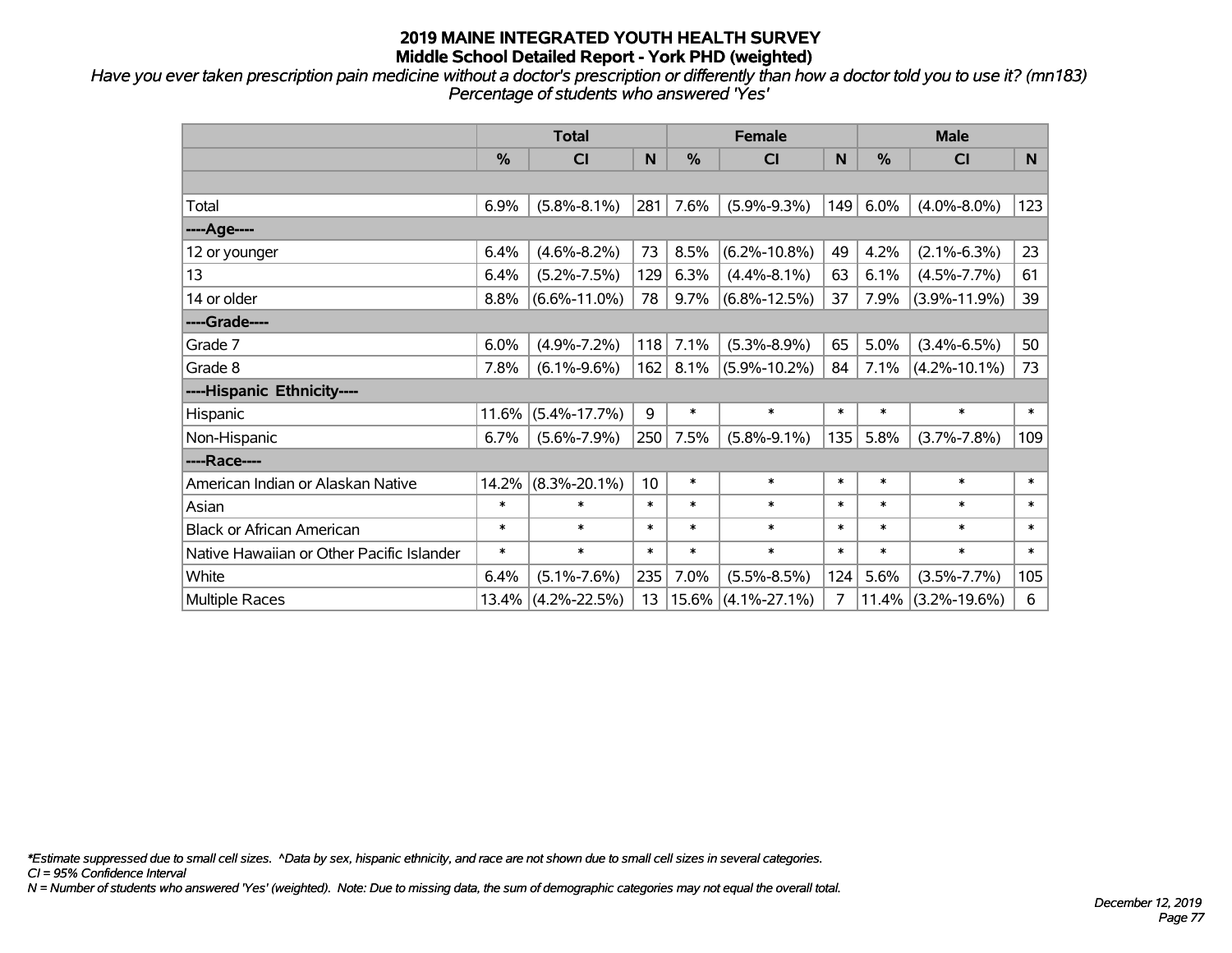*Have you ever taken prescription pain medicine without a doctor's prescription or differently than how a doctor told you to use it? (mn183) Percentage of students who answered 'Yes'*

|                                           | <b>Total</b> |                    |        | <b>Female</b> |                    |        | <b>Male</b> |                    |        |
|-------------------------------------------|--------------|--------------------|--------|---------------|--------------------|--------|-------------|--------------------|--------|
|                                           | $\%$         | <b>CI</b>          | N      | %             | CI                 | N      | %           | <b>CI</b>          | N.     |
|                                           |              |                    |        |               |                    |        |             |                    |        |
| Total                                     | 6.9%         | $(5.8\% - 8.1\%)$  | 281    | 7.6%          | $(5.9\% - 9.3\%)$  | 149    | 6.0%        | $(4.0\% - 8.0\%)$  | 123    |
| ----Age----                               |              |                    |        |               |                    |        |             |                    |        |
| 12 or younger                             | 6.4%         | $(4.6\% - 8.2\%)$  | 73     | 8.5%          | $(6.2\% - 10.8\%)$ | 49     | 4.2%        | $(2.1\% - 6.3\%)$  | 23     |
| 13                                        | 6.4%         | $(5.2\% - 7.5\%)$  | 129    | 6.3%          | $(4.4\% - 8.1\%)$  | 63     | 6.1%        | $(4.5\% - 7.7\%)$  | 61     |
| 14 or older                               | 8.8%         | $(6.6\% - 11.0\%)$ | 78     | 9.7%          | $(6.8\% - 12.5\%)$ | 37     | 7.9%        | $(3.9\% - 11.9\%)$ | 39     |
| ----Grade----                             |              |                    |        |               |                    |        |             |                    |        |
| Grade 7                                   | 6.0%         | $(4.9\% - 7.2\%)$  | 118    | 7.1%          | $(5.3\% - 8.9\%)$  | 65     | 5.0%        | $(3.4\% - 6.5\%)$  | 50     |
| Grade 8                                   | 7.8%         | $(6.1\% - 9.6\%)$  | 162    | 8.1%          | $(5.9\% - 10.2\%)$ | 84     | 7.1%        | $(4.2\% - 10.1\%)$ | 73     |
| ----Hispanic Ethnicity----                |              |                    |        |               |                    |        |             |                    |        |
| Hispanic                                  | 11.6%        | $(5.4\% - 17.7\%)$ | 9      | $\ast$        | $\ast$             | $\ast$ | $\ast$      | $\ast$             | $\ast$ |
| Non-Hispanic                              | 6.7%         | $(5.6\% - 7.9\%)$  | 250    | 7.5%          | $(5.8\% - 9.1\%)$  | 135    | 5.8%        | $(3.7\% - 7.8\%)$  | 109    |
| ----Race----                              |              |                    |        |               |                    |        |             |                    |        |
| American Indian or Alaskan Native         | 14.2%        | $(8.3\% - 20.1\%)$ | 10     | $\ast$        | $\ast$             | $\ast$ | $\ast$      | $\ast$             | $\ast$ |
| Asian                                     | $\ast$       | $\ast$             | $\ast$ | $\ast$        | $\ast$             | $\ast$ | $\ast$      | $\ast$             | $\ast$ |
| <b>Black or African American</b>          | $\ast$       | $\ast$             | $\ast$ | $\ast$        | $\ast$             | $\ast$ | $\ast$      | $\ast$             | $\ast$ |
| Native Hawaiian or Other Pacific Islander | $\ast$       | $\ast$             | $\ast$ | $\ast$        | $\ast$             | $\ast$ | $\ast$      | $\ast$             | $\ast$ |
| White                                     | 6.4%         | $(5.1\% - 7.6\%)$  | 235    | 7.0%          | $(5.5\% - 8.5\%)$  | 124    | 5.6%        | $(3.5\% - 7.7\%)$  | 105    |
| Multiple Races                            | $13.4\%$     | $(4.2\% - 22.5\%)$ | 13     | $ 15.6\% $    | $(4.1\% - 27.1\%)$ | 7      | 11.4%       | $(3.2\% - 19.6\%)$ | 6      |

*\*Estimate suppressed due to small cell sizes. ^Data by sex, hispanic ethnicity, and race are not shown due to small cell sizes in several categories.*

*CI = 95% Confidence Interval*

*N = Number of students who answered 'Yes' (weighted). Note: Due to missing data, the sum of demographic categories may not equal the overall total.*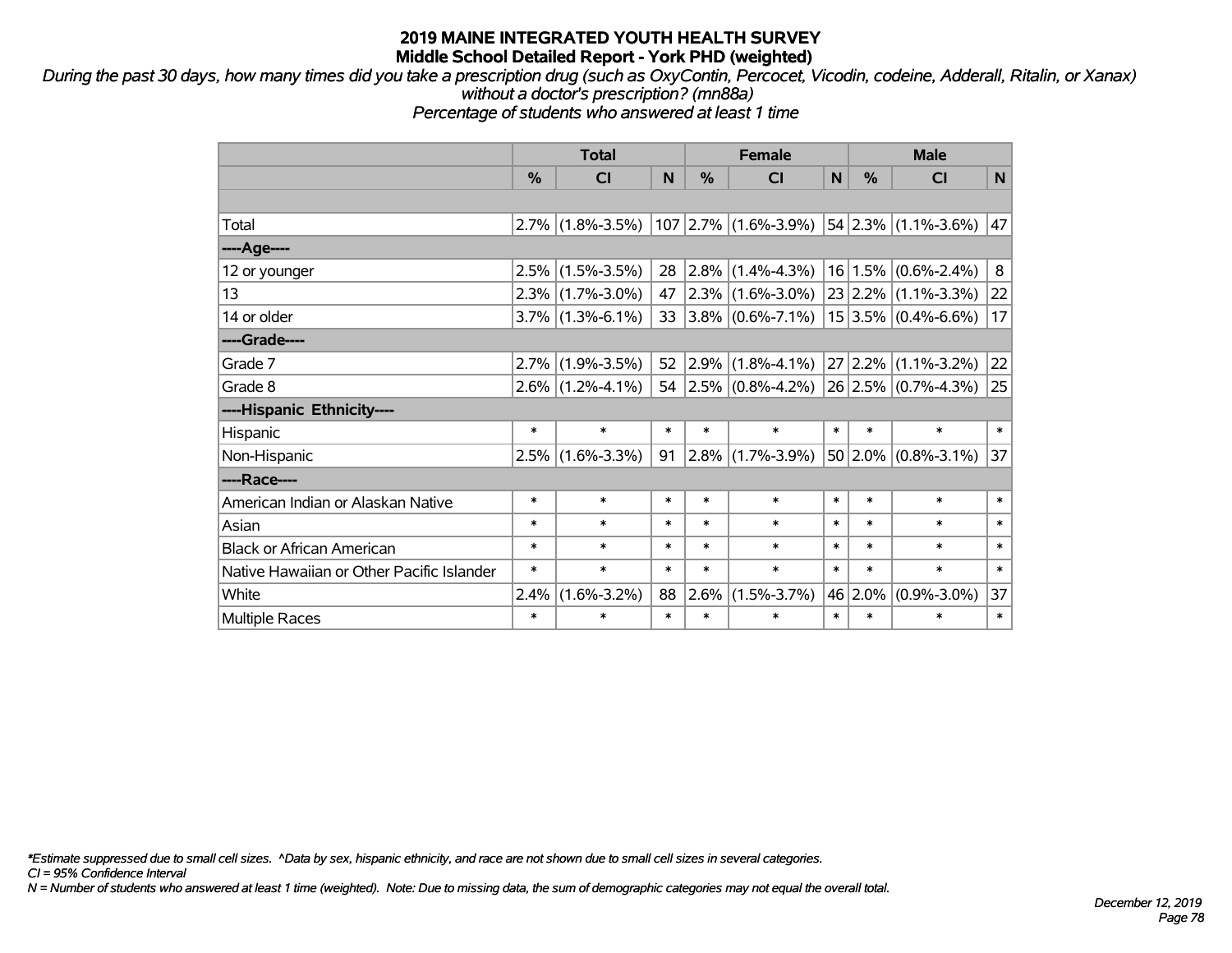*During the past 30 days, how many times did you take a prescription drug (such as OxyContin, Percocet, Vicodin, codeine, Adderall, Ritalin, or Xanax) without a doctor's prescription? (mn88a)*

*Percentage of students who answered at least 1 time*

|                                           | <b>Total</b> |                     |        | <b>Female</b> |                                                                                |        | <b>Male</b> |                          |        |  |
|-------------------------------------------|--------------|---------------------|--------|---------------|--------------------------------------------------------------------------------|--------|-------------|--------------------------|--------|--|
|                                           | %            | CI                  | N      | %             | <b>CI</b>                                                                      | N      | %           | <b>CI</b>                | N      |  |
|                                           |              |                     |        |               |                                                                                |        |             |                          |        |  |
| Total                                     | $2.7\%$      | $(1.8\% - 3.5\%)$   |        |               | $107$ 2.7% (1.6%-3.9%) 54 2.3% (1.1%-3.6%)                                     |        |             |                          | 47     |  |
| ----Age----                               |              |                     |        |               |                                                                                |        |             |                          |        |  |
| 12 or younger                             | 2.5%         | $(1.5\% - 3.5\%)$   | 28     | $ 2.8\% $     | $(1.4\% - 4.3\%)$                                                              |        |             | $16 1.5\% $ (0.6%-2.4%)  | 8      |  |
| 13                                        |              | $2.3\%$ (1.7%-3.0%) | 47     |               | $\vert 2.3\% \vert (1.6\% - 3.0\%) \vert 23 \vert 2.2\% \vert (1.1\% - 3.3\%)$ |        |             |                          | 22     |  |
| 14 or older                               |              | $3.7\%$ (1.3%-6.1%) | 33     |               | $ 3.8\% $ (0.6%-7.1%)                                                          |        |             | $15 3.5\% $ (0.4%-6.6%)  | 17     |  |
| ----Grade----                             |              |                     |        |               |                                                                                |        |             |                          |        |  |
| Grade 7                                   | 2.7%         | $(1.9\% - 3.5\%)$   | 52     | $ 2.9\% $     | $(1.8\% - 4.1\%)$                                                              |        | 27 2.2%     | $(1.1\% - 3.2\%)$        | 22     |  |
| Grade 8                                   |              | $2.6\%$ (1.2%-4.1%) |        |               | 54 2.5% $(0.8\% - 4.2\%)$ 26 2.5% $(0.7\% - 4.3\%)$                            |        |             |                          | 25     |  |
| ----Hispanic Ethnicity----                |              |                     |        |               |                                                                                |        |             |                          |        |  |
| Hispanic                                  | $\ast$       | $\ast$              | $\ast$ | $\ast$        | $\ast$                                                                         | $\ast$ | $\ast$      | $\ast$                   | $\ast$ |  |
| Non-Hispanic                              | $2.5\%$      | $(1.6\% - 3.3\%)$   | 91     | $2.8\%$       | $(1.7\% - 3.9\%)$                                                              |        |             | $ 50 2.0\% $ (0.8%-3.1%) | 37     |  |
| ----Race----                              |              |                     |        |               |                                                                                |        |             |                          |        |  |
| American Indian or Alaskan Native         | *            | $\ast$              | $\ast$ | $\ast$        | $\ast$                                                                         | $\ast$ | $\ast$      | $\ast$                   | $\ast$ |  |
| Asian                                     | $\ast$       | $\ast$              | $\ast$ | $\ast$        | $\ast$                                                                         | $\ast$ | $\ast$      | $\ast$                   | $\ast$ |  |
| <b>Black or African American</b>          | $\ast$       | $\ast$              | $\ast$ | $\ast$        | $\ast$                                                                         | $\ast$ | $\ast$      | $\ast$                   | $\ast$ |  |
| Native Hawaiian or Other Pacific Islander | *            | $\ast$              | $\ast$ | $\ast$        | $\ast$                                                                         | $\ast$ | $\ast$      | $\ast$                   | $\ast$ |  |
| White                                     | 2.4%         | $(1.6\% - 3.2\%)$   | 88     | $2.6\%$       | $(1.5\% - 3.7\%)$                                                              |        | 46 2.0%     | $(0.9\% - 3.0\%)$        | 37     |  |
| <b>Multiple Races</b>                     | $\ast$       | $\ast$              | $\ast$ | $\ast$        | $\ast$                                                                         | $\ast$ | $\ast$      | $\ast$                   | $\ast$ |  |

*\*Estimate suppressed due to small cell sizes. ^Data by sex, hispanic ethnicity, and race are not shown due to small cell sizes in several categories.*

*CI = 95% Confidence Interval*

*N = Number of students who answered at least 1 time (weighted). Note: Due to missing data, the sum of demographic categories may not equal the overall total.*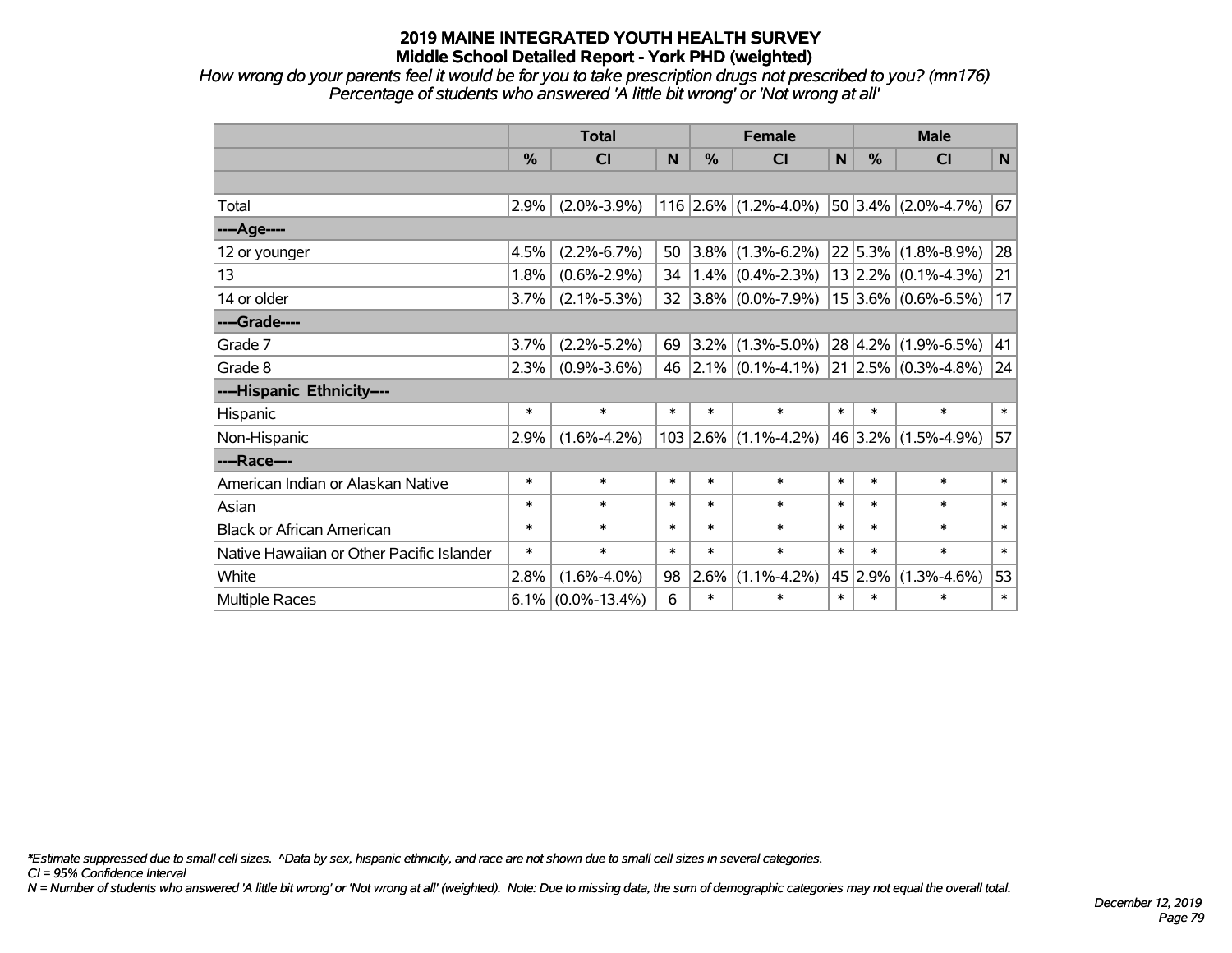*How wrong do your parents feel it would be for you to take prescription drugs not prescribed to you? (mn176) Percentage of students who answered 'A little bit wrong' or 'Not wrong at all'*

|                                           | <b>Total</b> |                    |        | <b>Female</b> |                                       |              | <b>Male</b> |                               |                 |  |
|-------------------------------------------|--------------|--------------------|--------|---------------|---------------------------------------|--------------|-------------|-------------------------------|-----------------|--|
|                                           | %            | <b>CI</b>          | N      | %             | <b>CI</b>                             | $\mathsf{N}$ | %           | <b>CI</b>                     | N               |  |
|                                           |              |                    |        |               |                                       |              |             |                               |                 |  |
| Total                                     | 2.9%         | $(2.0\% - 3.9\%)$  |        |               | 116 2.6% $(1.2\% - 4.0\%)$            |              |             | 50 3.4% $(2.0\% - 4.7\%)$     | 67              |  |
| ----Age----                               |              |                    |        |               |                                       |              |             |                               |                 |  |
| 12 or younger                             | 4.5%         | $(2.2\% - 6.7\%)$  | 50     |               | $ 3.8\% $ (1.3%-6.2%)                 |              |             | $22 5.3\% $ (1.8%-8.9%)       | 28              |  |
| 13                                        | 1.8%         | $(0.6\% - 2.9\%)$  | 34     |               | $(1.4\%)(0.4\% - 2.3\%)$              |              |             | $13 2.2\% $ (0.1%-4.3%)       | 21              |  |
| 14 or older                               | 3.7%         | $(2.1\% - 5.3\%)$  | 32     |               | $3.8\%$ (0.0%-7.9%)                   |              |             | $15 3.6\% $ (0.6%-6.5%)       | 17 <sup>1</sup> |  |
| ----Grade----                             |              |                    |        |               |                                       |              |             |                               |                 |  |
| Grade 7                                   | 3.7%         | $(2.2\% - 5.2\%)$  | 69     |               | $3.2\%$ (1.3%-5.0%)                   |              |             | $28 4.2\% $ (1.9%-6.5%)       | 41              |  |
| Grade 8                                   | 2.3%         | $(0.9\% - 3.6\%)$  |        |               | 46 $\left  2.1\% \right $ (0.1%-4.1%) |              |             | $21$   2.5% $(0.3\% - 4.8\%)$ | 24              |  |
| ----Hispanic Ethnicity----                |              |                    |        |               |                                       |              |             |                               |                 |  |
| Hispanic                                  | $\ast$       | $\ast$             | $\ast$ | $\ast$        | $\ast$                                | $\ast$       | $\ast$      | $\ast$                        | $\ast$          |  |
| Non-Hispanic                              | 2.9%         | $(1.6\% - 4.2\%)$  |        |               | $103$ 2.6% (1.1%-4.2%)                |              |             | 46 3.2% (1.5%-4.9%)           | 57              |  |
| ----Race----                              |              |                    |        |               |                                       |              |             |                               |                 |  |
| American Indian or Alaskan Native         | $\ast$       | $\ast$             | $\ast$ | $\ast$        | $\ast$                                | $\ast$       | $\ast$      | $\ast$                        | $\ast$          |  |
| Asian                                     | $\ast$       | $\ast$             | $\ast$ | $\ast$        | $\ast$                                | $\ast$       | $\ast$      | $\ast$                        | $\ast$          |  |
| <b>Black or African American</b>          | $\ast$       | $\ast$             | $\ast$ | $\ast$        | $\ast$                                | $\ast$       | $\ast$      | $\ast$                        | $\ast$          |  |
| Native Hawaiian or Other Pacific Islander | $\ast$       | $\ast$             | $\ast$ | $\ast$        | $\ast$                                | $\ast$       | $\ast$      | $\ast$                        | $\ast$          |  |
| White                                     | 2.8%         | $(1.6\% - 4.0\%)$  | 98     | 2.6%          | $(1.1\% - 4.2\%)$                     |              | 45 2.9%     | $(1.3\% - 4.6\%)$             | 53              |  |
| <b>Multiple Races</b>                     | $6.1\%$      | $(0.0\% - 13.4\%)$ | 6      | $\ast$        | $\ast$                                | $\ast$       | $\ast$      | $\ast$                        | $\pmb{\ast}$    |  |

*\*Estimate suppressed due to small cell sizes. ^Data by sex, hispanic ethnicity, and race are not shown due to small cell sizes in several categories.*

*CI = 95% Confidence Interval*

*N = Number of students who answered 'A little bit wrong' or 'Not wrong at all' (weighted). Note: Due to missing data, the sum of demographic categories may not equal the overall total.*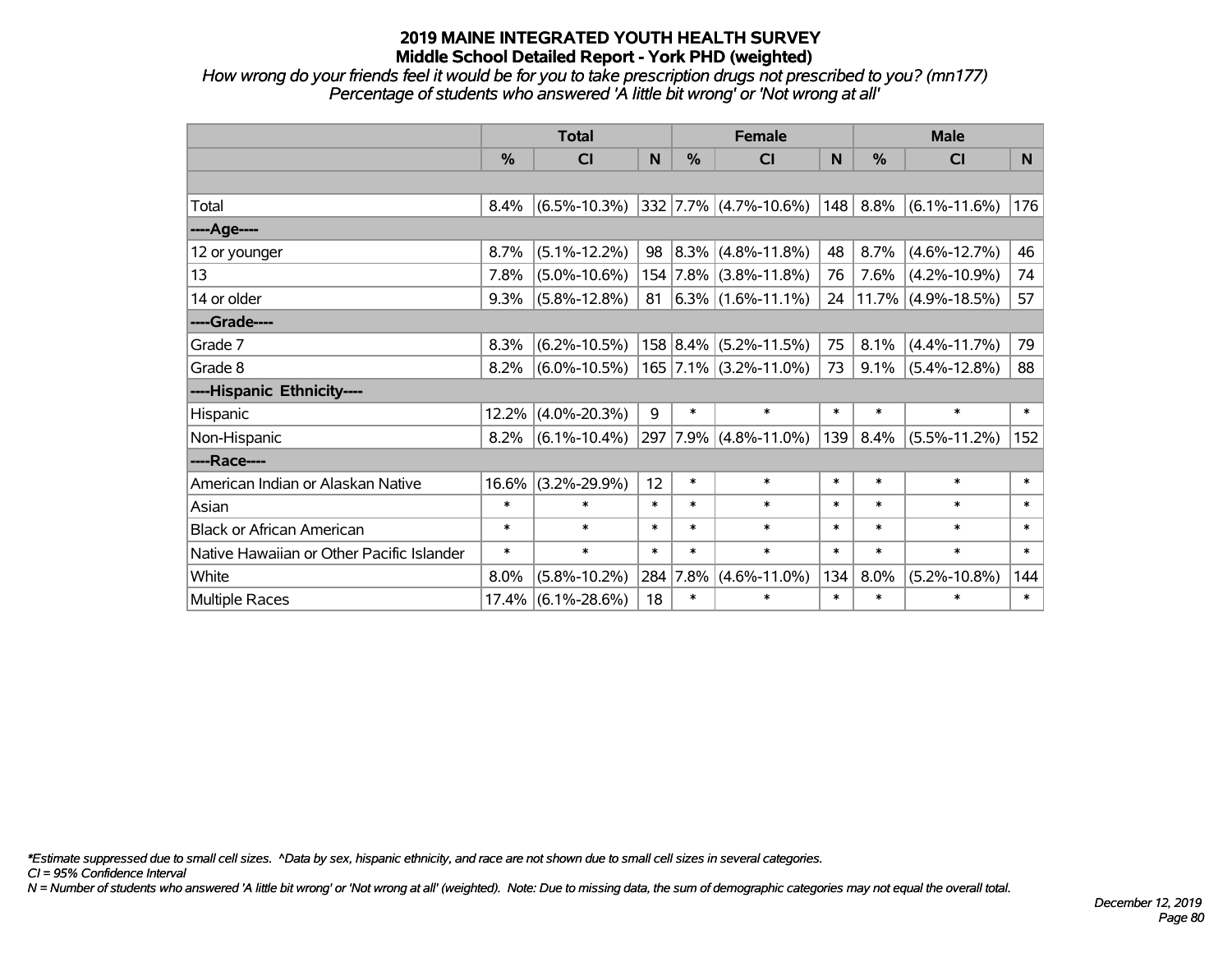*How wrong do your friends feel it would be for you to take prescription drugs not prescribed to you? (mn177) Percentage of students who answered 'A little bit wrong' or 'Not wrong at all'*

|                                           | <b>Total</b> |                    |        |          | <b>Female</b>           |        | <b>Male</b> |                       |        |  |
|-------------------------------------------|--------------|--------------------|--------|----------|-------------------------|--------|-------------|-----------------------|--------|--|
|                                           | $\%$         | <b>CI</b>          | N      | $\%$     | <b>CI</b>               | N      | $\%$        | <b>CI</b>             | N.     |  |
|                                           |              |                    |        |          |                         |        |             |                       |        |  |
| Total                                     | 8.4%         | $(6.5\% - 10.3\%)$ |        |          | $332$ 7.7% (4.7%-10.6%) | 148    | 8.8%        | $(6.1\% - 11.6\%)$    | 176    |  |
| ----Age----                               |              |                    |        |          |                         |        |             |                       |        |  |
| 12 or younger                             | 8.7%         | $(5.1\% - 12.2\%)$ | 98     |          | $ 8.3\% $ (4.8%-11.8%)  | 48     | 8.7%        | $(4.6\% - 12.7\%)$    | 46     |  |
| 13                                        | 7.8%         | $(5.0\% - 10.6\%)$ |        |          | 154 7.8% (3.8%-11.8%)   | 76     | 7.6%        | $(4.2\% - 10.9\%)$    | 74     |  |
| 14 or older                               | 9.3%         | $(5.8\% - 12.8\%)$ | 81     |          | $ 6.3\% $ (1.6%-11.1%)  | 24     |             | $11.7\%$ (4.9%-18.5%) | 57     |  |
| ----Grade----                             |              |                    |        |          |                         |        |             |                       |        |  |
| Grade 7                                   | 8.3%         | $(6.2\% - 10.5\%)$ |        |          | 158 8.4% (5.2%-11.5%)   | 75     | 8.1%        | $(4.4\% - 11.7\%)$    | 79     |  |
| Grade 8                                   | 8.2%         | $(6.0\% - 10.5\%)$ |        |          | 165 7.1% (3.2%-11.0%)   | 73     | 9.1%        | $(5.4\% - 12.8\%)$    | 88     |  |
| ----Hispanic Ethnicity----                |              |                    |        |          |                         |        |             |                       |        |  |
| Hispanic                                  | 12.2%        | $(4.0\% - 20.3\%)$ | 9      | $\ast$   | $\ast$                  | $\ast$ | $\ast$      | $\ast$                | $\ast$ |  |
| Non-Hispanic                              | 8.2%         | $(6.1\% - 10.4\%)$ |        |          | 297 7.9% (4.8%-11.0%)   | 139    | 8.4%        | $(5.5\% - 11.2\%)$    | 152    |  |
| ----Race----                              |              |                    |        |          |                         |        |             |                       |        |  |
| American Indian or Alaskan Native         | 16.6%        | $(3.2\% - 29.9\%)$ | 12     | $\ast$   | $\ast$                  | $\ast$ | $\ast$      | $\ast$                | $\ast$ |  |
| Asian                                     | $\ast$       | $\ast$             | $\ast$ | $\ast$   | $\ast$                  | $\ast$ | $\ast$      | $\ast$                | $\ast$ |  |
| <b>Black or African American</b>          | $\ast$       | $\ast$             | $\ast$ | $\ast$   | $\ast$                  | $\ast$ | $\ast$      | $\ast$                | $\ast$ |  |
| Native Hawaiian or Other Pacific Islander | $\ast$       | $\ast$             | $\ast$ | $\ast$   | $\ast$                  | $\ast$ | $\ast$      | $\ast$                | $\ast$ |  |
| White                                     | 8.0%         | $(5.8\% - 10.2\%)$ |        | 284 7.8% | $(4.6\% - 11.0\%)$      | 134    | 8.0%        | $(5.2\% - 10.8\%)$    | 144    |  |
| <b>Multiple Races</b>                     | 17.4%        | $(6.1\% - 28.6\%)$ | 18     | $\ast$   | $\ast$                  | $\ast$ | $\ast$      | $\ast$                | $\ast$ |  |

*\*Estimate suppressed due to small cell sizes. ^Data by sex, hispanic ethnicity, and race are not shown due to small cell sizes in several categories.*

*CI = 95% Confidence Interval*

*N = Number of students who answered 'A little bit wrong' or 'Not wrong at all' (weighted). Note: Due to missing data, the sum of demographic categories may not equal the overall total.*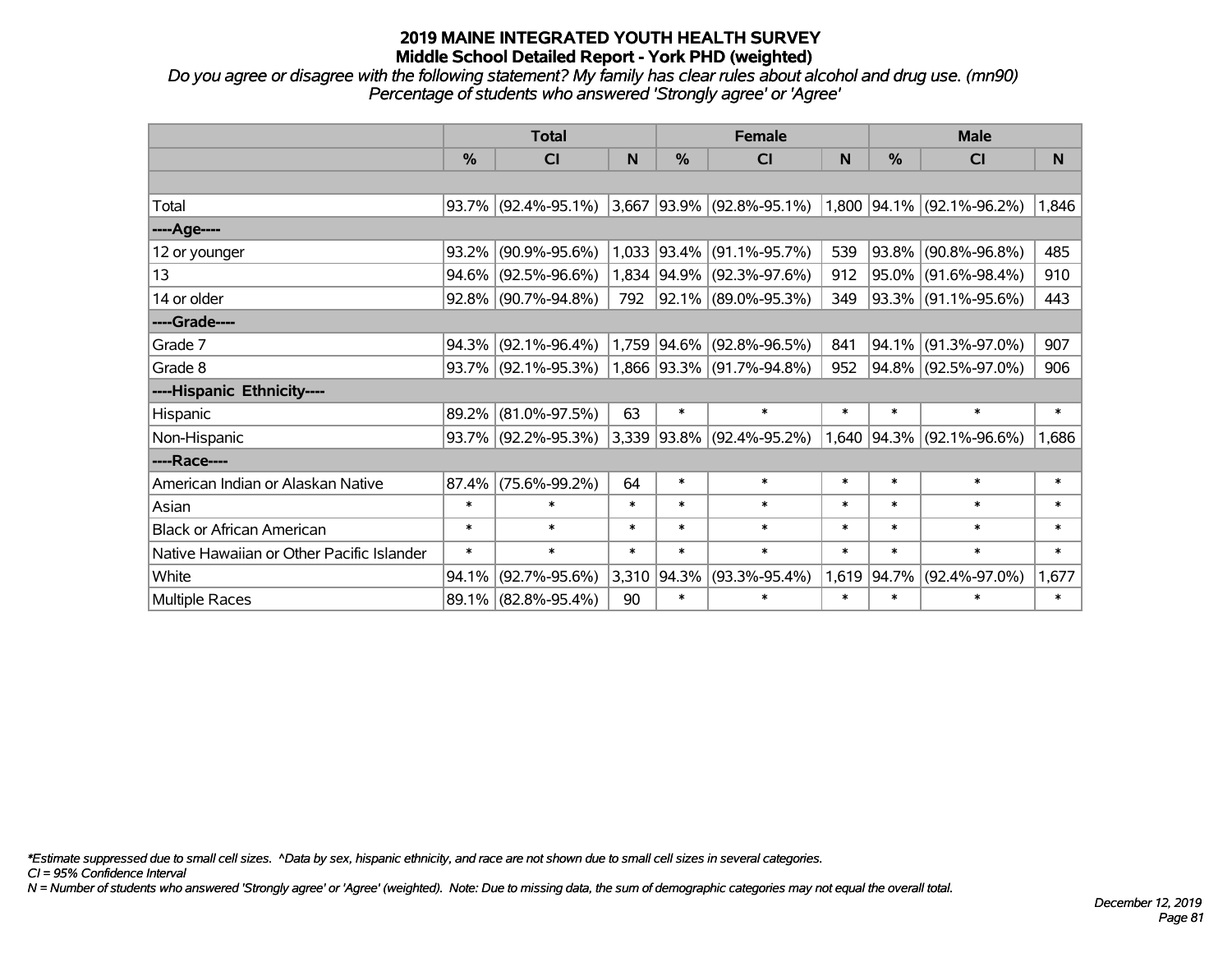*Do you agree or disagree with the following statement? My family has clear rules about alcohol and drug use. (mn90) Percentage of students who answered 'Strongly agree' or 'Agree'*

|                                           | <b>Total</b> |                        |        |               | <b>Female</b>             |        | <b>Male</b> |                             |        |  |
|-------------------------------------------|--------------|------------------------|--------|---------------|---------------------------|--------|-------------|-----------------------------|--------|--|
|                                           | $\%$         | <b>CI</b>              | N      | $\frac{0}{0}$ | <b>CI</b>                 | N      | %           | <b>CI</b>                   | N      |  |
|                                           |              |                        |        |               |                           |        |             |                             |        |  |
| Total                                     |              | $93.7\%$ (92.4%-95.1%) | 3,667  |               | $ 93.9\% $ (92.8%-95.1%)  |        |             | $1,800$ 94.1% (92.1%-96.2%) | 1,846  |  |
| ----Age----                               |              |                        |        |               |                           |        |             |                             |        |  |
| 12 or younger                             | 93.2%        | $(90.9\% - 95.6\%)$    | 1,033  | $ 93.4\% $    | $(91.1\% - 95.7\%)$       | 539    | $ 93.8\% $  | $(90.8\% - 96.8\%)$         | 485    |  |
| 13                                        | 94.6%        | $(92.5\% - 96.6\%)$    |        | 1,834 94.9%   | $(92.3\% - 97.6\%)$       | 912    |             | 95.0% (91.6%-98.4%)         | 910    |  |
| 14 or older                               |              | $92.8\%$ (90.7%-94.8%) | 792    |               | 92.1% (89.0%-95.3%)       | 349    |             | 93.3% (91.1%-95.6%)         | 443    |  |
| ----Grade----                             |              |                        |        |               |                           |        |             |                             |        |  |
| Grade 7                                   | 94.3%        | $(92.1\% - 96.4\%)$    |        | 1,759 94.6%   | $(92.8\% - 96.5\%)$       | 841    | $ 94.1\% $  | $(91.3\% - 97.0\%)$         | 907    |  |
| Grade 8                                   |              | 93.7% (92.1%-95.3%)    |        |               | 1,866 93.3% (91.7%-94.8%) | 952    |             | 94.8% (92.5%-97.0%)         | 906    |  |
| ----Hispanic Ethnicity----                |              |                        |        |               |                           |        |             |                             |        |  |
| Hispanic                                  | 89.2%        | $(81.0\% - 97.5\%)$    | 63     | $\ast$        | $\ast$                    | $\ast$ | $\ast$      | $\ast$                      | $\ast$ |  |
| Non-Hispanic                              |              | 93.7% (92.2%-95.3%)    |        |               | 3,339 93.8% (92.4%-95.2%) |        | 1,640 94.3% | $(92.1\% - 96.6\%)$         | 1,686  |  |
| ----Race----                              |              |                        |        |               |                           |        |             |                             |        |  |
| American Indian or Alaskan Native         | 87.4%        | $(75.6\% - 99.2\%)$    | 64     | $\ast$        | $\ast$                    | $\ast$ | $\ast$      | $\ast$                      | $\ast$ |  |
| Asian                                     | $\ast$       | $\ast$                 | $\ast$ | $\ast$        | $\ast$                    | $\ast$ | $\ast$      | $\ast$                      | $\ast$ |  |
| <b>Black or African American</b>          | $\ast$       | $\ast$                 | $\ast$ | $\ast$        | $\ast$                    | $\ast$ | $\ast$      | $\ast$                      | $\ast$ |  |
| Native Hawaiian or Other Pacific Islander | $\ast$       | $\ast$                 | $\ast$ | $\ast$        | $\ast$                    | $\ast$ | $\ast$      | $\ast$                      | $\ast$ |  |
| White                                     | 94.1%        | $(92.7\% - 95.6\%)$    | 3,310  | 94.3%         | $(93.3\% - 95.4\%)$       | 1,619  | $ 94.7\% $  | $(92.4\% - 97.0\%)$         | 1,677  |  |
| Multiple Races                            |              | 89.1% (82.8%-95.4%)    | 90     | $\ast$        | $\ast$                    | $\ast$ | $\ast$      | $\ast$                      | $\ast$ |  |

*\*Estimate suppressed due to small cell sizes. ^Data by sex, hispanic ethnicity, and race are not shown due to small cell sizes in several categories.*

*CI = 95% Confidence Interval*

*N = Number of students who answered 'Strongly agree' or 'Agree' (weighted). Note: Due to missing data, the sum of demographic categories may not equal the overall total.*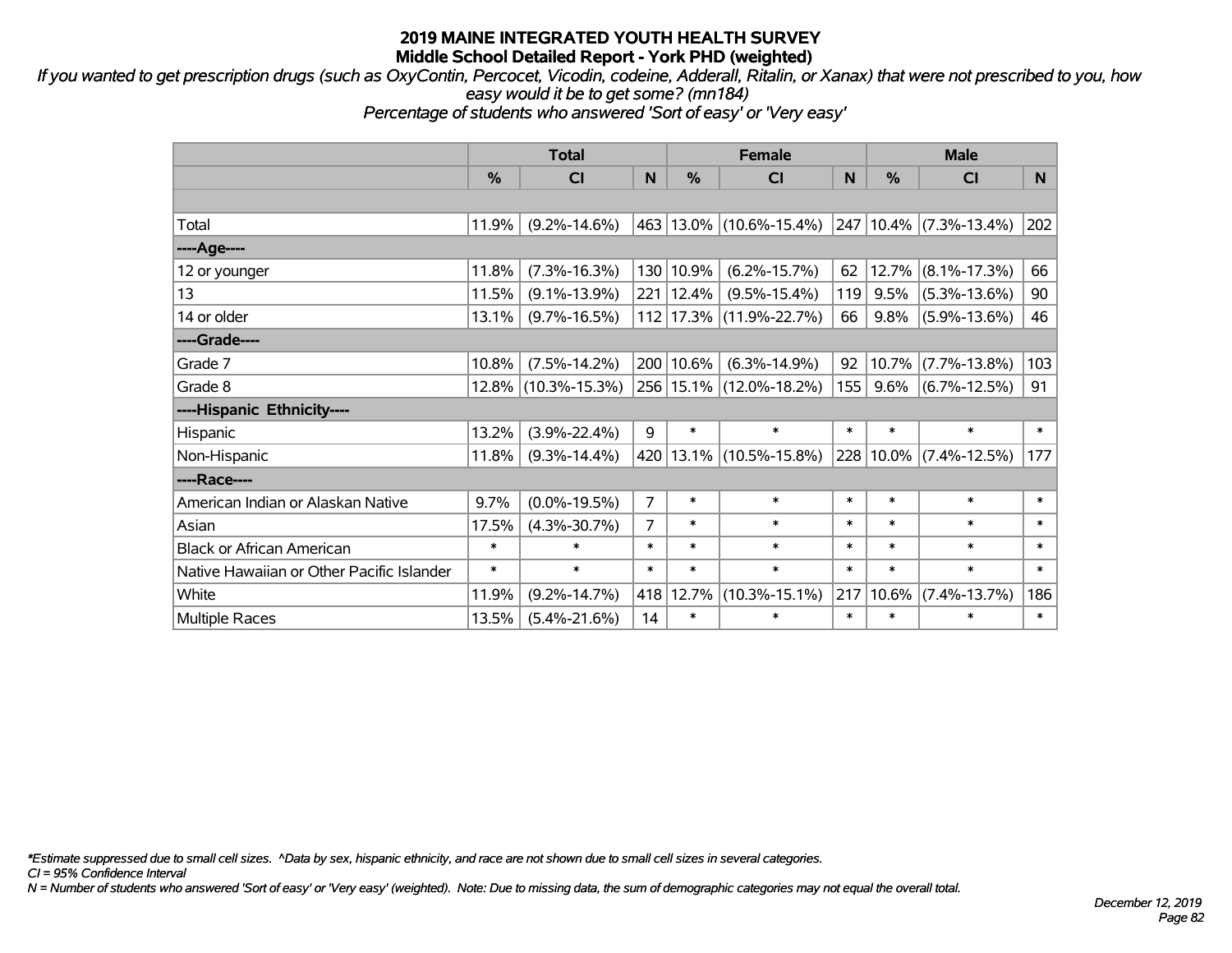*If you wanted to get prescription drugs (such as OxyContin, Percocet, Vicodin, codeine, Adderall, Ritalin, or Xanax) that were not prescribed to you, how easy would it be to get some? (mn184)*

*Percentage of students who answered 'Sort of easy' or 'Very easy'*

|                                           | <b>Total</b> |                     |                |               | <b>Female</b>               | <b>Male</b> |         |                             |        |
|-------------------------------------------|--------------|---------------------|----------------|---------------|-----------------------------|-------------|---------|-----------------------------|--------|
|                                           | %            | <b>CI</b>           | N              | $\frac{0}{0}$ | <b>CI</b>                   | N.          | %       | <b>CI</b>                   | N.     |
|                                           |              |                     |                |               |                             |             |         |                             |        |
| Total                                     | 11.9%        | $(9.2\% - 14.6\%)$  |                |               | 463 13.0% (10.6%-15.4%)     |             |         | $247 10.4\% $ (7.3%-13.4%)  | 202    |
| ----Age----                               |              |                     |                |               |                             |             |         |                             |        |
| 12 or younger                             | 11.8%        | $(7.3\% - 16.3\%)$  | 130            | 10.9%         | $(6.2\% - 15.7\%)$          | 62          |         | $12.7\%$ (8.1%-17.3%)       | 66     |
| 13                                        | 11.5%        | $(9.1\% - 13.9\%)$  |                | 221 12.4%     | $(9.5\% - 15.4\%)$          | 119         | 9.5%    | $(5.3\% - 13.6\%)$          | 90     |
| 14 or older                               | 13.1%        | $(9.7\% - 16.5\%)$  |                |               | 112 17.3% (11.9%-22.7%)     | 66          | $9.8\%$ | $(5.9\% - 13.6\%)$          | 46     |
| ----Grade----                             |              |                     |                |               |                             |             |         |                             |        |
| Grade 7                                   | 10.8%        | $(7.5\% - 14.2\%)$  |                | 200 10.6%     | $(6.3\% - 14.9\%)$          | 92          |         | 10.7% (7.7%-13.8%)          | 103    |
| Grade 8                                   |              | 12.8% (10.3%-15.3%) |                |               | 256 15.1% (12.0%-18.2%)     | 155         |         | $9.6\%$ (6.7%-12.5%)        | 91     |
| ----Hispanic Ethnicity----                |              |                     |                |               |                             |             |         |                             |        |
| Hispanic                                  | 13.2%        | $(3.9\% - 22.4\%)$  | 9              | $\ast$        | $\ast$                      | $\ast$      | $\ast$  | $\ast$                      | $\ast$ |
| Non-Hispanic                              | 11.8%        | $(9.3\% - 14.4\%)$  |                |               | 420   13.1%   (10.5%-15.8%) |             |         | $ 228 10.0\% $ (7.4%-12.5%) | 177    |
| ----Race----                              |              |                     |                |               |                             |             |         |                             |        |
| American Indian or Alaskan Native         | 9.7%         | $(0.0\% - 19.5\%)$  | $\overline{7}$ | $\ast$        | $\ast$                      | $\ast$      | $\ast$  | $\ast$                      | $\ast$ |
| Asian                                     | 17.5%        | $(4.3\% - 30.7\%)$  | $\overline{7}$ | $\ast$        | $\ast$                      | $\ast$      | $\ast$  | $\ast$                      | $\ast$ |
| <b>Black or African American</b>          | $\ast$       | $\ast$              | $\ast$         | $\ast$        | $\ast$                      | $\ast$      | $\ast$  | $\ast$                      | $\ast$ |
| Native Hawaiian or Other Pacific Islander | $\ast$       | $\ast$              | $\ast$         | $\ast$        | $\ast$                      | $\ast$      | $\ast$  | $\ast$                      | $\ast$ |
| White                                     | 11.9%        | $(9.2\% - 14.7\%)$  | 418            | 12.7%         | $(10.3\% - 15.1\%)$         | 217         | 10.6%   | $(7.4\% - 13.7\%)$          | 186    |
| <b>Multiple Races</b>                     | 13.5%        | $(5.4\% - 21.6\%)$  | 14             | $\ast$        | $\ast$                      | $\ast$      | $\ast$  | $\ast$                      | $\ast$ |

*\*Estimate suppressed due to small cell sizes. ^Data by sex, hispanic ethnicity, and race are not shown due to small cell sizes in several categories.*

*CI = 95% Confidence Interval*

*N = Number of students who answered 'Sort of easy' or 'Very easy' (weighted). Note: Due to missing data, the sum of demographic categories may not equal the overall total.*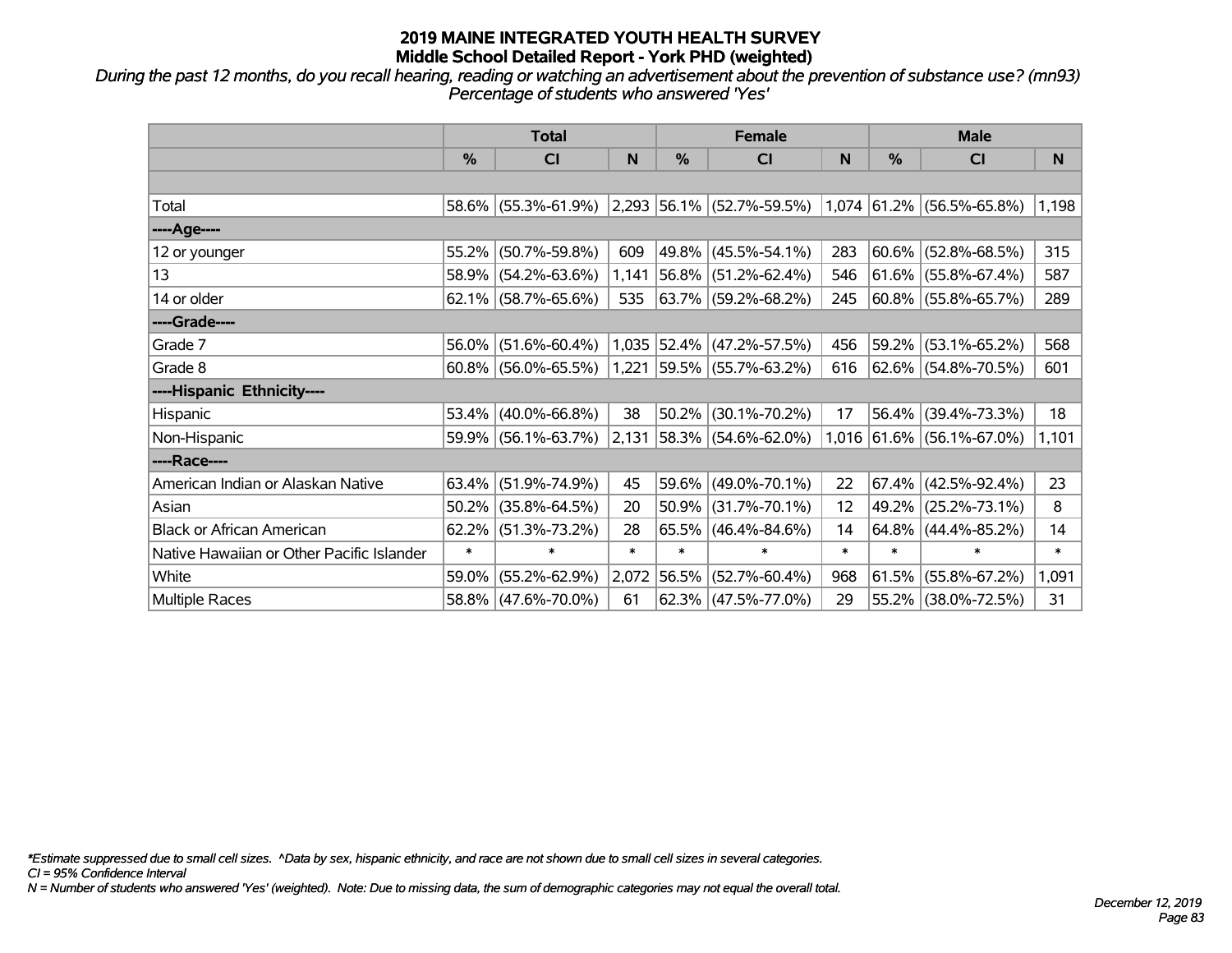*During the past 12 months, do you recall hearing, reading or watching an advertisement about the prevention of substance use? (mn93) Percentage of students who answered 'Yes'*

|                                           | <b>Total</b>  |                        |        |               | <b>Female</b>                      |        | <b>Male</b>   |                           |        |  |
|-------------------------------------------|---------------|------------------------|--------|---------------|------------------------------------|--------|---------------|---------------------------|--------|--|
|                                           | $\frac{0}{0}$ | C <sub>l</sub>         | N      | $\frac{0}{0}$ | C <sub>l</sub>                     | N      | $\frac{0}{0}$ | <b>CI</b>                 | N      |  |
|                                           |               |                        |        |               |                                    |        |               |                           |        |  |
| Total                                     |               | 58.6% (55.3%-61.9%)    |        |               | $ 2,293 56.1\%  (52.7\% - 59.5\%)$ |        |               | 1,074 61.2% (56.5%-65.8%) | 1,198  |  |
| ----Age----                               |               |                        |        |               |                                    |        |               |                           |        |  |
| 12 or younger                             | 55.2%         | $(50.7\% - 59.8\%)$    | 609    |               | 49.8% (45.5%-54.1%)                | 283    | 60.6%         | $(52.8\% - 68.5\%)$       | 315    |  |
| 13                                        |               | 58.9% (54.2%-63.6%)    | 1,141  |               | $ 56.8\% $ (51.2%-62.4%)           | 546    |               | $61.6\%$ (55.8%-67.4%)    | 587    |  |
| 14 or older                               |               | $62.1\%$ (58.7%-65.6%) | 535    |               | $ 63.7\% $ (59.2%-68.2%)           | 245    |               | $ 60.8\% $ (55.8%-65.7%)  | 289    |  |
| ----Grade----                             |               |                        |        |               |                                    |        |               |                           |        |  |
| Grade 7                                   | 56.0%         | $(51.6\% - 60.4\%)$    |        |               | $1,035$ 52.4% (47.2%-57.5%)        | 456    | 59.2%         | $(53.1\% - 65.2\%)$       | 568    |  |
| Grade 8                                   |               | $60.8\%$ (56.0%-65.5%) |        |               | $1,221$ 59.5% (55.7%-63.2%)        | 616    |               | 62.6% (54.8%-70.5%)       | 601    |  |
| ----Hispanic Ethnicity----                |               |                        |        |               |                                    |        |               |                           |        |  |
| Hispanic                                  | 53.4%         | $(40.0\% - 66.8\%)$    | 38     | 50.2%         | $(30.1\% - 70.2\%)$                | 17     | 56.4%         | $(39.4\% - 73.3\%)$       | 18     |  |
| Non-Hispanic                              |               | $59.9\%$ (56.1%-63.7%) | 2,131  |               | $ 58.3\% $ (54.6%-62.0%)           |        |               | 1,016 61.6% (56.1%-67.0%) | 1,101  |  |
| ----Race----                              |               |                        |        |               |                                    |        |               |                           |        |  |
| American Indian or Alaskan Native         |               | $63.4\%$ (51.9%-74.9%) | 45     |               | 59.6% (49.0%-70.1%)                | 22     | 67.4%         | $(42.5\% - 92.4\%)$       | 23     |  |
| Asian                                     | $50.2\%$      | $(35.8\% - 64.5\%)$    | 20     | 50.9%         | $(31.7\% - 70.1\%)$                | 12     | 49.2%         | $(25.2\% - 73.1\%)$       | 8      |  |
| <b>Black or African American</b>          | 62.2%         | $(51.3\% - 73.2\%)$    | 28     |               | $65.5\%$ (46.4%-84.6%)             | 14     | $64.8\%$      | $(44.4\% - 85.2\%)$       | 14     |  |
| Native Hawaiian or Other Pacific Islander | $\ast$        | $\ast$                 | $\ast$ | $\ast$        | $\ast$                             | $\ast$ | $\ast$        | $\ast$                    | $\ast$ |  |
| White                                     | 59.0%         | $(55.2\% - 62.9\%)$    | 2,072  | 56.5%         | $(52.7\% - 60.4\%)$                | 968    | 61.5%         | $(55.8\% - 67.2\%)$       | 1,091  |  |
| <b>Multiple Races</b>                     |               | 58.8% (47.6%-70.0%)    | 61     |               | $62.3\%$ (47.5%-77.0%)             | 29     |               | 55.2% (38.0%-72.5%)       | 31     |  |

*\*Estimate suppressed due to small cell sizes. ^Data by sex, hispanic ethnicity, and race are not shown due to small cell sizes in several categories.*

*CI = 95% Confidence Interval*

*N = Number of students who answered 'Yes' (weighted). Note: Due to missing data, the sum of demographic categories may not equal the overall total.*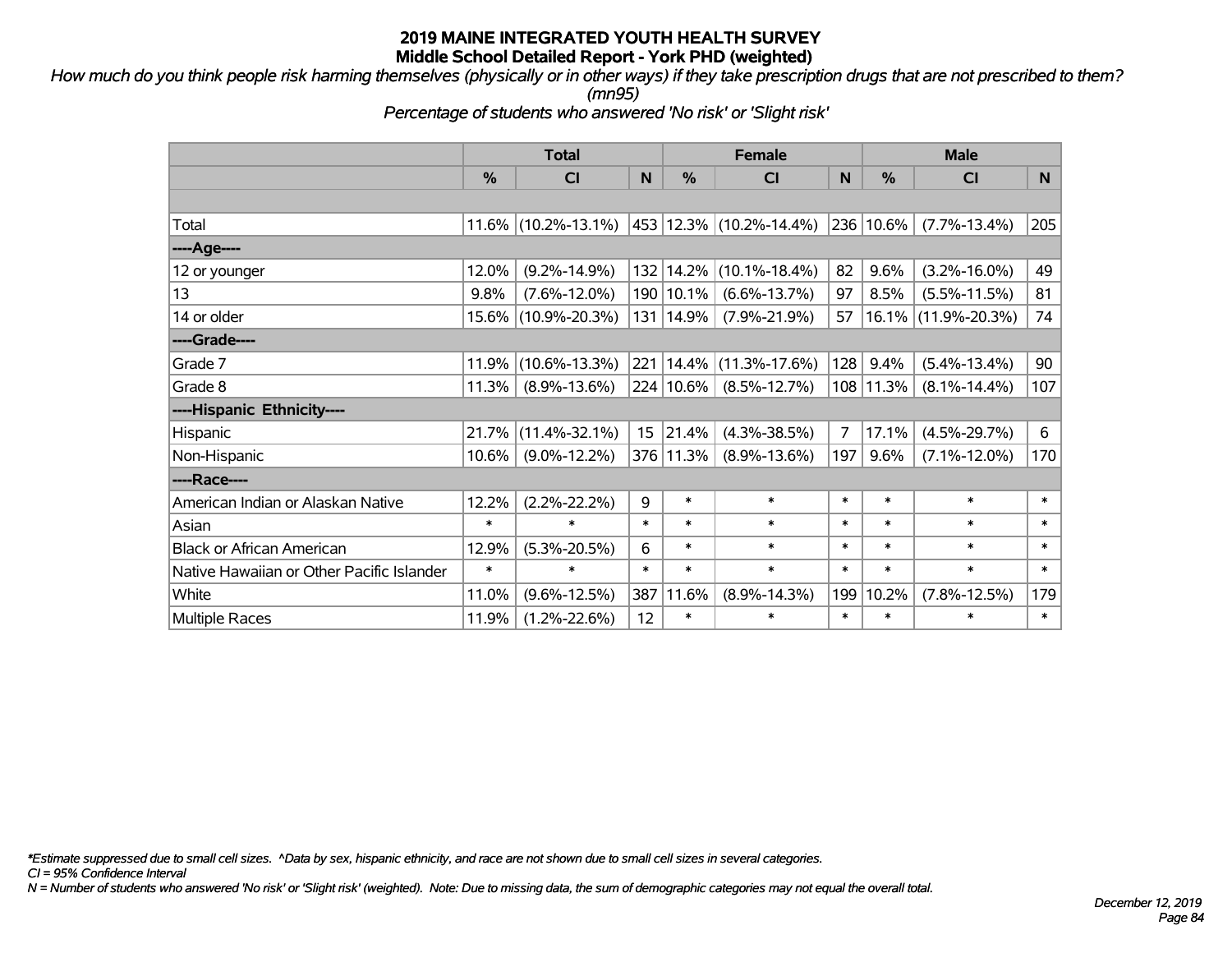*How much do you think people risk harming themselves (physically or in other ways) if they take prescription drugs that are not prescribed to them? (mn95)*

*Percentage of students who answered 'No risk' or 'Slight risk'*

|                                           | <b>Total</b> |                        |        |           | <b>Female</b>               |                | <b>Male</b>   |                     |        |  |
|-------------------------------------------|--------------|------------------------|--------|-----------|-----------------------------|----------------|---------------|---------------------|--------|--|
|                                           | %            | <b>CI</b>              | N      | %         | C <sub>l</sub>              | N              | $\frac{0}{0}$ | CI                  | N      |  |
|                                           |              |                        |        |           |                             |                |               |                     |        |  |
| Total                                     |              | $11.6\%$ (10.2%-13.1%) |        |           | 453   12.3%   (10.2%-14.4%) | 236            | 10.6%         | $(7.7\% - 13.4\%)$  | 205    |  |
| ----Age----                               |              |                        |        |           |                             |                |               |                     |        |  |
| 12 or younger                             | 12.0%        | $(9.2\% - 14.9\%)$     |        | 132 14.2% | $(10.1\% - 18.4\%)$         | 82             | 9.6%          | $(3.2\% - 16.0\%)$  | 49     |  |
| 13                                        | 9.8%         | $(7.6\% - 12.0\%)$     |        | 190 10.1% | $(6.6\% - 13.7\%)$          | 97             | 8.5%          | $(5.5\% - 11.5\%)$  | 81     |  |
| 14 or older                               |              | 15.6% (10.9%-20.3%)    |        | 131 14.9% | $(7.9\% - 21.9\%)$          | 57             |               | 16.1% (11.9%-20.3%) | 74     |  |
| ----Grade----                             |              |                        |        |           |                             |                |               |                     |        |  |
| Grade 7                                   | 11.9%        | $(10.6\% - 13.3\%)$    |        | 221 14.4% | $(11.3\% - 17.6\%)$         | 128            | 9.4%          | $(5.4\% - 13.4\%)$  | 90     |  |
| Grade 8                                   | 11.3%        | $(8.9\% - 13.6\%)$     |        | 224 10.6% | $(8.5\% - 12.7\%)$          | 108            | 11.3%         | $(8.1\% - 14.4\%)$  | 107    |  |
| ----Hispanic Ethnicity----                |              |                        |        |           |                             |                |               |                     |        |  |
| Hispanic                                  | 21.7%        | $(11.4\% - 32.1\%)$    | 15     | 21.4%     | $(4.3\% - 38.5\%)$          | $\overline{7}$ | 17.1%         | $(4.5\% - 29.7\%)$  | 6      |  |
| Non-Hispanic                              | 10.6%        | $(9.0\% - 12.2\%)$     |        | 376 11.3% | $(8.9\% - 13.6\%)$          | 197            | 9.6%          | $(7.1\% - 12.0\%)$  | 170    |  |
| ----Race----                              |              |                        |        |           |                             |                |               |                     |        |  |
| American Indian or Alaskan Native         | 12.2%        | $(2.2\% - 22.2\%)$     | 9      | $\ast$    | $\ast$                      | $\ast$         | $\ast$        | $\ast$              | $\ast$ |  |
| Asian                                     | $\ast$       | $\ast$                 | $\ast$ | $\ast$    | $\ast$                      | $\ast$         | $\ast$        | $\ast$              | $\ast$ |  |
| <b>Black or African American</b>          | 12.9%        | $(5.3\% - 20.5\%)$     | 6      | $\ast$    | $\ast$                      | $\ast$         | $\ast$        | $\ast$              | $\ast$ |  |
| Native Hawaiian or Other Pacific Islander | $\ast$       | $\ast$                 | $\ast$ | $\ast$    | $\ast$                      | $\ast$         | $\ast$        | $\ast$              | $\ast$ |  |
| White                                     | 11.0%        | $(9.6\% - 12.5\%)$     | 387    | 11.6%     | $(8.9\% - 14.3\%)$          | 199            | 10.2%         | $(7.8\% - 12.5\%)$  | 179    |  |
| <b>Multiple Races</b>                     | 11.9%        | $(1.2\% - 22.6\%)$     | 12     | $\ast$    | $\ast$                      | $\ast$         | $\ast$        | $\ast$              | $\ast$ |  |

*\*Estimate suppressed due to small cell sizes. ^Data by sex, hispanic ethnicity, and race are not shown due to small cell sizes in several categories.*

*CI = 95% Confidence Interval*

*N = Number of students who answered 'No risk' or 'Slight risk' (weighted). Note: Due to missing data, the sum of demographic categories may not equal the overall total.*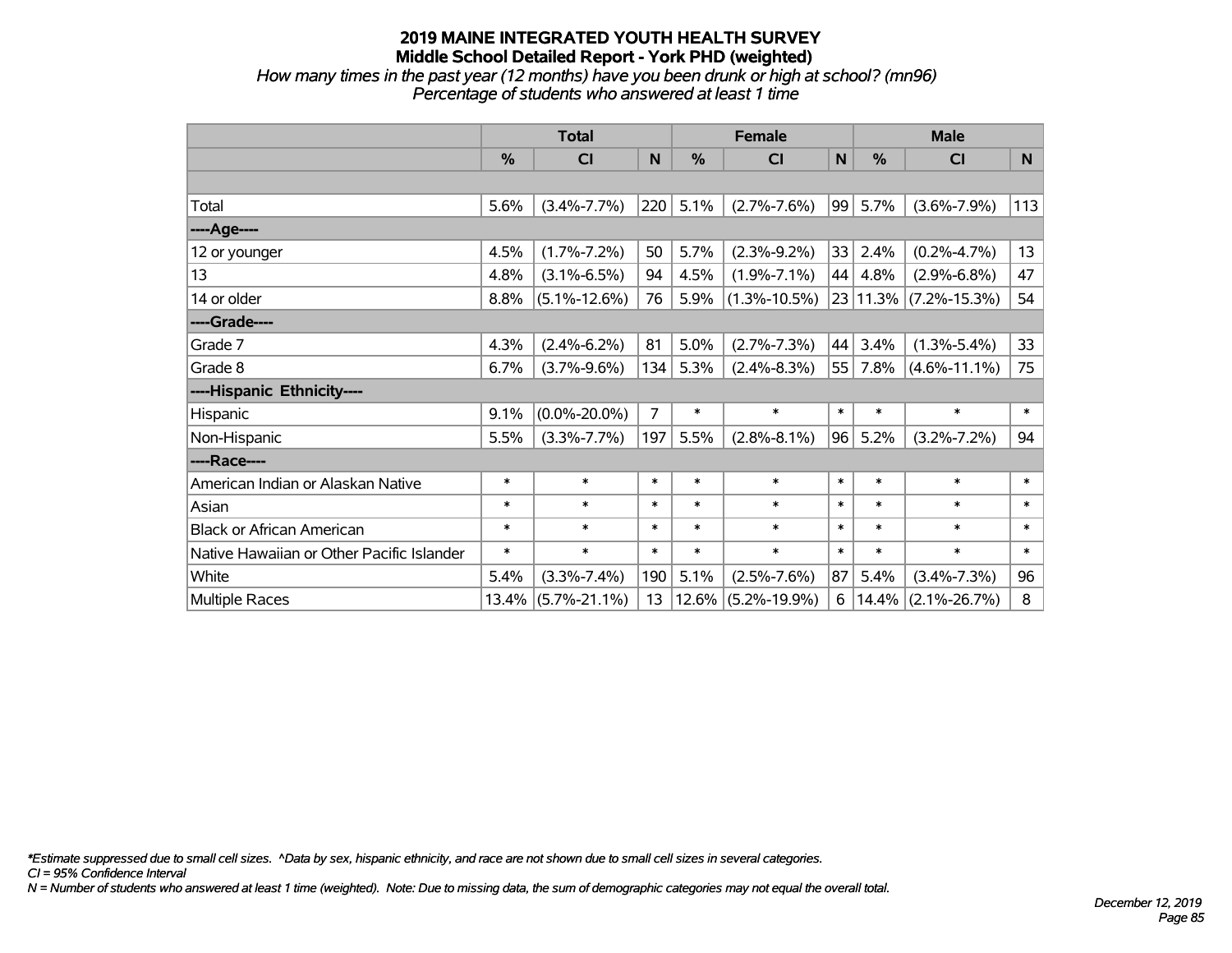*How many times in the past year (12 months) have you been drunk or high at school? (mn96) Percentage of students who answered at least 1 time*

|                                           | <b>Total</b> |                    | <b>Female</b> |          |                    | <b>Male</b> |               |                       |        |
|-------------------------------------------|--------------|--------------------|---------------|----------|--------------------|-------------|---------------|-----------------------|--------|
|                                           | $\%$         | CI                 | N             | %        | <b>CI</b>          | N           | $\frac{0}{0}$ | <b>CI</b>             | N      |
|                                           |              |                    |               |          |                    |             |               |                       |        |
| Total                                     | 5.6%         | $(3.4\% - 7.7\%)$  | 220           | 5.1%     | $(2.7\% - 7.6\%)$  | 99          | 5.7%          | $(3.6\% - 7.9\%)$     | 113    |
| ----Age----                               |              |                    |               |          |                    |             |               |                       |        |
| 12 or younger                             | 4.5%         | $(1.7\% - 7.2\%)$  | 50            | 5.7%     | $(2.3\% - 9.2\%)$  | 33          | 2.4%          | $(0.2\% - 4.7\%)$     | 13     |
| 13                                        | 4.8%         | $(3.1\% - 6.5\%)$  | 94            | 4.5%     | $(1.9\% - 7.1\%)$  | 44          | 4.8%          | $(2.9\% - 6.8\%)$     | 47     |
| 14 or older                               | 8.8%         | $(5.1\% - 12.6\%)$ | 76            | 5.9%     | $(1.3\% - 10.5\%)$ |             |               | 23 11.3% (7.2%-15.3%) | 54     |
| ----Grade----                             |              |                    |               |          |                    |             |               |                       |        |
| Grade 7                                   | 4.3%         | $(2.4\% - 6.2\%)$  | 81            | 5.0%     | $(2.7\% - 7.3\%)$  | 44          | 3.4%          | $(1.3\% - 5.4\%)$     | 33     |
| Grade 8                                   | 6.7%         | $(3.7\% - 9.6\%)$  | 134           | 5.3%     | $(2.4\% - 8.3\%)$  | 55          | 7.8%          | $(4.6\% - 11.1\%)$    | 75     |
| ----Hispanic Ethnicity----                |              |                    |               |          |                    |             |               |                       |        |
| Hispanic                                  | 9.1%         | $(0.0\% - 20.0\%)$ | 7             | $\ast$   | $\ast$             | $\ast$      | $\ast$        | $\ast$                | $\ast$ |
| Non-Hispanic                              | 5.5%         | $(3.3\% - 7.7\%)$  | 197           | 5.5%     | $(2.8\% - 8.1\%)$  | 96          | 5.2%          | $(3.2\% - 7.2\%)$     | 94     |
| ----Race----                              |              |                    |               |          |                    |             |               |                       |        |
| American Indian or Alaskan Native         | $\ast$       | $\ast$             | $\ast$        | $\ast$   | $\ast$             | $\ast$      | $\ast$        | $\ast$                | $\ast$ |
| Asian                                     | $\ast$       | $\ast$             | $\ast$        | $\ast$   | $\ast$             | $\ast$      | $\ast$        | $\ast$                | $\ast$ |
| <b>Black or African American</b>          | $\ast$       | $\ast$             | $\ast$        | $\ast$   | $\ast$             | $\ast$      | $\ast$        | $\ast$                | $\ast$ |
| Native Hawaiian or Other Pacific Islander | $\ast$       | $\ast$             | $\ast$        | $\ast$   | $\ast$             | $\ast$      | $\ast$        | $\ast$                | $\ast$ |
| White                                     | 5.4%         | $(3.3\% - 7.4\%)$  | 190           | 5.1%     | $(2.5\% - 7.6\%)$  | 87          | 5.4%          | $(3.4\% - 7.3\%)$     | 96     |
| <b>Multiple Races</b>                     | 13.4%        | $(5.7\% - 21.1\%)$ | 13            | $12.6\%$ | $(5.2\% - 19.9\%)$ | 6           | 14.4%         | $(2.1\% - 26.7\%)$    | 8      |

*\*Estimate suppressed due to small cell sizes. ^Data by sex, hispanic ethnicity, and race are not shown due to small cell sizes in several categories.*

*CI = 95% Confidence Interval*

*N = Number of students who answered at least 1 time (weighted). Note: Due to missing data, the sum of demographic categories may not equal the overall total.*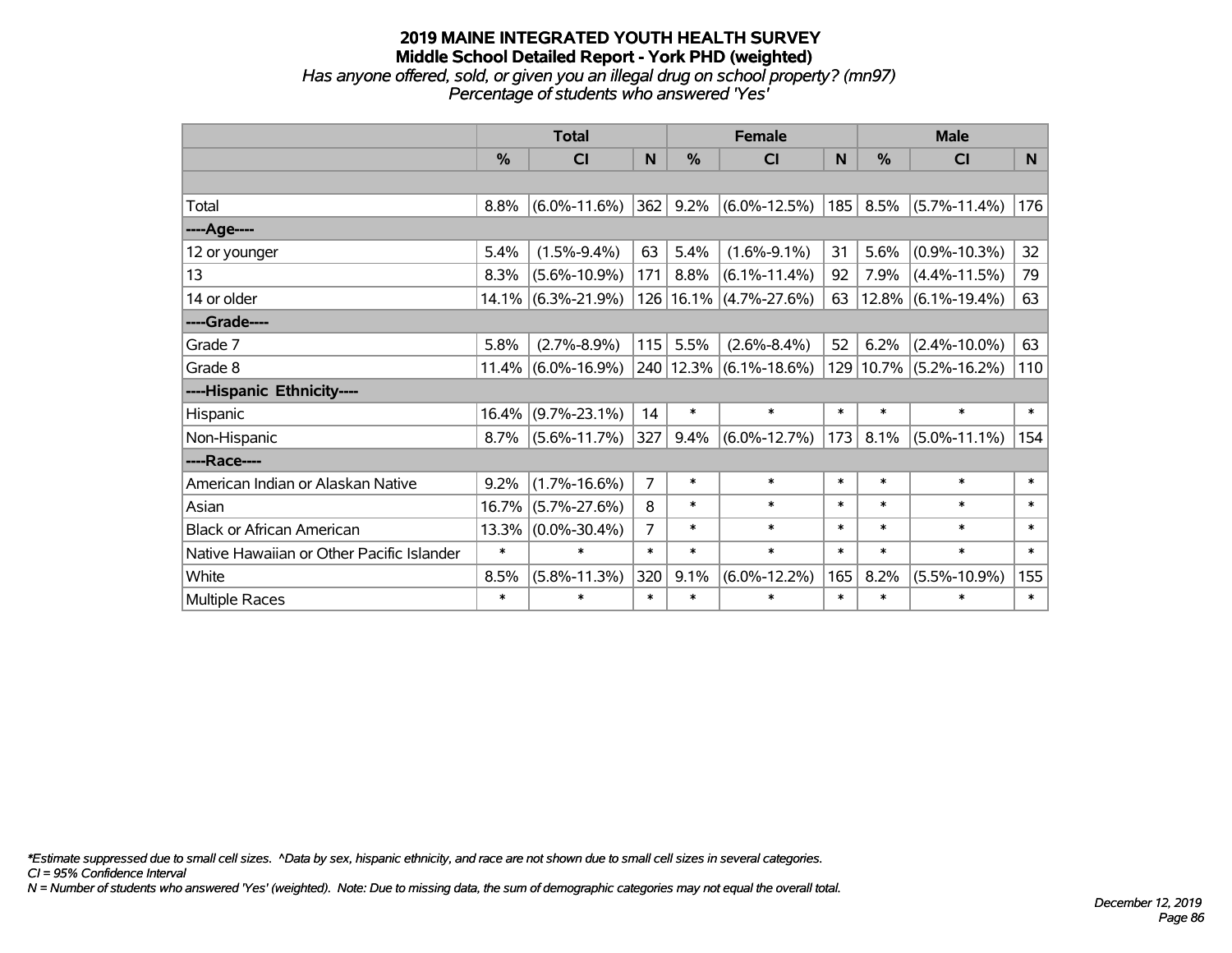# **2019 MAINE INTEGRATED YOUTH HEALTH SURVEY Middle School Detailed Report - York PHD (weighted)** *Has anyone offered, sold, or given you an illegal drug on school property? (mn97) Percentage of students who answered 'Yes'*

|                                           | <b>Total</b>  |                       | <b>Female</b> |        |                            | <b>Male</b> |               |                       |        |
|-------------------------------------------|---------------|-----------------------|---------------|--------|----------------------------|-------------|---------------|-----------------------|--------|
|                                           | $\frac{0}{0}$ | <b>CI</b>             | N             | %      | CI                         | N           | $\frac{0}{0}$ | <b>CI</b>             | N.     |
|                                           |               |                       |               |        |                            |             |               |                       |        |
| Total                                     | 8.8%          | $(6.0\% - 11.6\%)$    | 362           | 9.2%   | $(6.0\% - 12.5\%)$         | 185         | 8.5%          | $(5.7\% - 11.4\%)$    | 176    |
| ----Age----                               |               |                       |               |        |                            |             |               |                       |        |
| 12 or younger                             | 5.4%          | $(1.5\% - 9.4\%)$     | 63            | 5.4%   | $(1.6\% - 9.1\%)$          | 31          | 5.6%          | $(0.9\% - 10.3\%)$    | 32     |
| 13                                        | 8.3%          | $(5.6\% - 10.9\%)$    | 171           | 8.8%   | $(6.1\% - 11.4\%)$         | 92          | 7.9%          | $(4.4\% - 11.5\%)$    | 79     |
| 14 or older                               |               | $14.1\%$ (6.3%-21.9%) |               |        | 126   16.1%   (4.7%-27.6%) | 63          |               | $12.8\%$ (6.1%-19.4%) | 63     |
| ----Grade----                             |               |                       |               |        |                            |             |               |                       |        |
| Grade 7                                   | 5.8%          | $(2.7\% - 8.9\%)$     | 115           | 5.5%   | $(2.6\% - 8.4\%)$          | 52          | 6.2%          | $(2.4\% - 10.0\%)$    | 63     |
| Grade 8                                   |               | $11.4\%$ (6.0%-16.9%) |               |        | 240   12.3%   (6.1%-18.6%) | 129         |               | $10.7\%$ (5.2%-16.2%) | 110    |
| ----Hispanic Ethnicity----                |               |                       |               |        |                            |             |               |                       |        |
| Hispanic                                  | 16.4%         | $(9.7\% - 23.1\%)$    | 14            | $\ast$ | $\ast$                     | $\ast$      | $\ast$        | $\ast$                | $\ast$ |
| Non-Hispanic                              | 8.7%          | $(5.6\% - 11.7\%)$    | 327           | 9.4%   | $(6.0\% - 12.7\%)$         | 173         | 8.1%          | $(5.0\% - 11.1\%)$    | 154    |
| ----Race----                              |               |                       |               |        |                            |             |               |                       |        |
| American Indian or Alaskan Native         | 9.2%          | $(1.7\% - 16.6\%)$    | 7             | $\ast$ | $\ast$                     | $\ast$      | $\ast$        | $\ast$                | $\ast$ |
| Asian                                     | 16.7%         | $(5.7\% - 27.6\%)$    | 8             | $\ast$ | $\ast$                     | $\ast$      | $\ast$        | $\ast$                | $\ast$ |
| <b>Black or African American</b>          | 13.3%         | $(0.0\% - 30.4\%)$    | 7             | $\ast$ | $\ast$                     | $\ast$      | $\ast$        | $\ast$                | $\ast$ |
| Native Hawaiian or Other Pacific Islander | $\ast$        | $\ast$                | $\ast$        | $\ast$ | $\ast$                     | $\ast$      | $\ast$        | $\ast$                | $\ast$ |
| White                                     | 8.5%          | $(5.8\% - 11.3\%)$    | 320           | 9.1%   | $(6.0\% - 12.2\%)$         | 165         | 8.2%          | $(5.5\% - 10.9\%)$    | 155    |
| Multiple Races                            | $\ast$        | $\ast$                | $\ast$        | $\ast$ | $\ast$                     | $\ast$      | $\ast$        | $\ast$                | $\ast$ |

*\*Estimate suppressed due to small cell sizes. ^Data by sex, hispanic ethnicity, and race are not shown due to small cell sizes in several categories.*

*CI = 95% Confidence Interval*

*N = Number of students who answered 'Yes' (weighted). Note: Due to missing data, the sum of demographic categories may not equal the overall total.*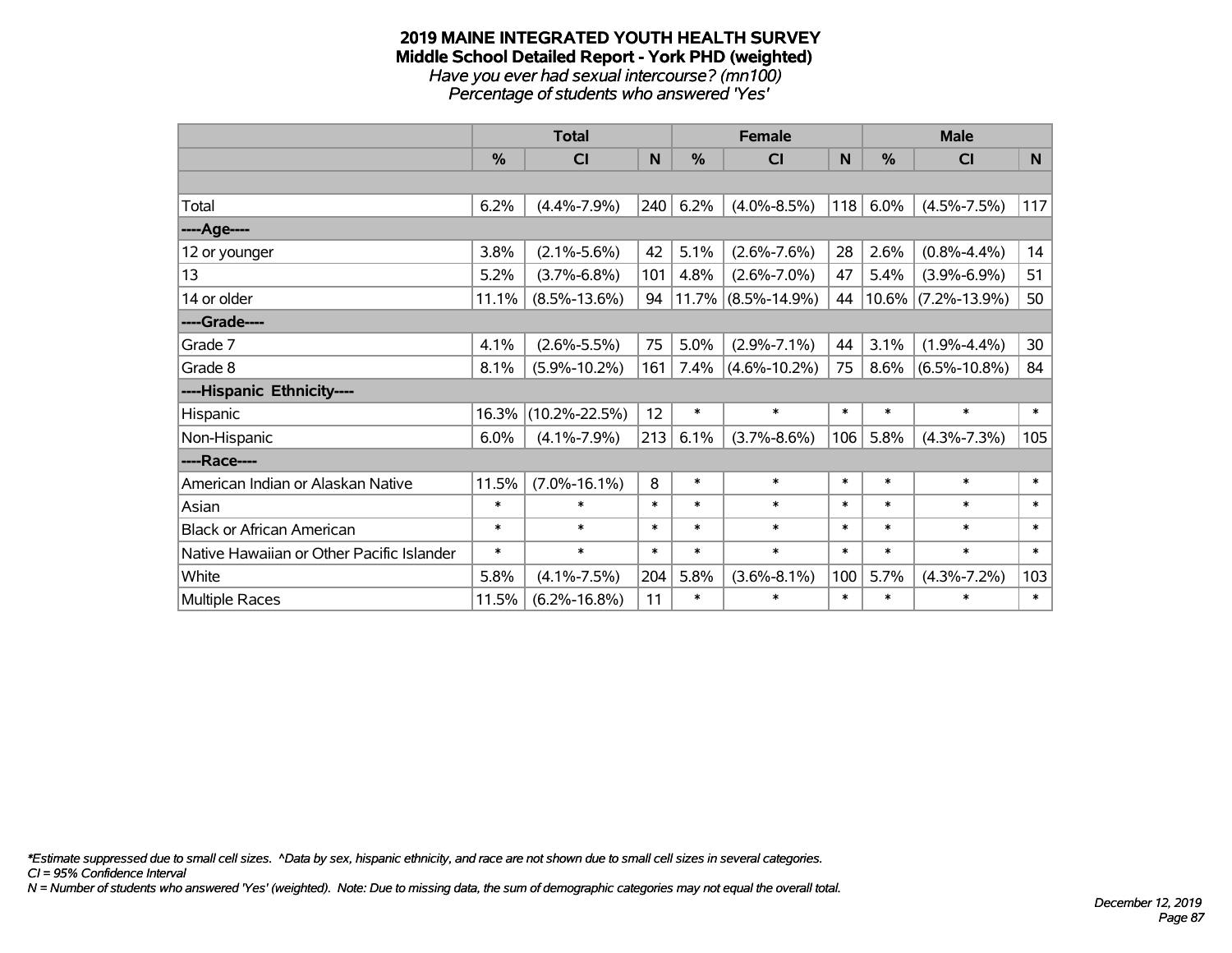#### **2019 MAINE INTEGRATED YOUTH HEALTH SURVEY Middle School Detailed Report - York PHD (weighted)** *Have you ever had sexual intercourse? (mn100) Percentage of students who answered 'Yes'*

|                                           | <b>Total</b>  |                     |        | <b>Female</b> |                       | <b>Male</b> |               |                       |        |
|-------------------------------------------|---------------|---------------------|--------|---------------|-----------------------|-------------|---------------|-----------------------|--------|
|                                           | $\frac{0}{0}$ | CI                  | N      | %             | <b>CI</b>             | N           | $\frac{0}{0}$ | <b>CI</b>             | N      |
|                                           |               |                     |        |               |                       |             |               |                       |        |
| Total                                     | 6.2%          | $(4.4\% - 7.9\%)$   | 240    | 6.2%          | $(4.0\% - 8.5\%)$     | 118         | 6.0%          | $(4.5\% - 7.5\%)$     | 117    |
| ----Age----                               |               |                     |        |               |                       |             |               |                       |        |
| 12 or younger                             | 3.8%          | $(2.1\% - 5.6\%)$   | 42     | 5.1%          | $(2.6\% - 7.6\%)$     | 28          | 2.6%          | $(0.8\% - 4.4\%)$     | 14     |
| 13                                        | 5.2%          | $(3.7\% - 6.8\%)$   | 101    | 4.8%          | $(2.6\% - 7.0\%)$     | 47          | 5.4%          | $(3.9\% - 6.9\%)$     | 51     |
| 14 or older                               | 11.1%         | $(8.5\% - 13.6\%)$  | 94     |               | $11.7\%$ (8.5%-14.9%) | 44          |               | $10.6\%$ (7.2%-13.9%) | 50     |
| ----Grade----                             |               |                     |        |               |                       |             |               |                       |        |
| Grade 7                                   | 4.1%          | $(2.6\% - 5.5\%)$   | 75     | 5.0%          | $(2.9\% - 7.1\%)$     | 44          | 3.1%          | $(1.9\% - 4.4\%)$     | 30     |
| Grade 8                                   | 8.1%          | $(5.9\% - 10.2\%)$  | 161    | 7.4%          | $(4.6\% - 10.2\%)$    | 75          | 8.6%          | $(6.5\% - 10.8\%)$    | 84     |
| ----Hispanic Ethnicity----                |               |                     |        |               |                       |             |               |                       |        |
| Hispanic                                  | 16.3%         | $(10.2\% - 22.5\%)$ | 12     | $\ast$        | $\ast$                | $\ast$      | $\ast$        | $\ast$                | $\ast$ |
| Non-Hispanic                              | 6.0%          | $(4.1\% - 7.9\%)$   | 213    | 6.1%          | $(3.7\% - 8.6\%)$     | 106         | 5.8%          | $(4.3\% - 7.3\%)$     | 105    |
| ----Race----                              |               |                     |        |               |                       |             |               |                       |        |
| American Indian or Alaskan Native         | 11.5%         | $(7.0\% - 16.1\%)$  | 8      | $\ast$        | $\ast$                | $\ast$      | $\ast$        | $\ast$                | $\ast$ |
| Asian                                     | $\ast$        | $\ast$              | $\ast$ | $\ast$        | $\ast$                | $\ast$      | $\ast$        | $\ast$                | $\ast$ |
| <b>Black or African American</b>          | $\ast$        | $\ast$              | $\ast$ | $\ast$        | $\ast$                | $\ast$      | $\ast$        | $\ast$                | $\ast$ |
| Native Hawaiian or Other Pacific Islander | $\ast$        | $\ast$              | $\ast$ | $\ast$        | $\ast$                | $\ast$      | $\ast$        | $\ast$                | $\ast$ |
| White                                     | 5.8%          | $(4.1\% - 7.5\%)$   | 204    | 5.8%          | $(3.6\% - 8.1\%)$     | 100         | 5.7%          | $(4.3\% - 7.2\%)$     | 103    |
| Multiple Races                            | 11.5%         | $(6.2\% - 16.8\%)$  | 11     | $\ast$        | $\ast$                | $\ast$      | $\ast$        | $\ast$                | $\ast$ |

*\*Estimate suppressed due to small cell sizes. ^Data by sex, hispanic ethnicity, and race are not shown due to small cell sizes in several categories.*

*CI = 95% Confidence Interval*

*N = Number of students who answered 'Yes' (weighted). Note: Due to missing data, the sum of demographic categories may not equal the overall total.*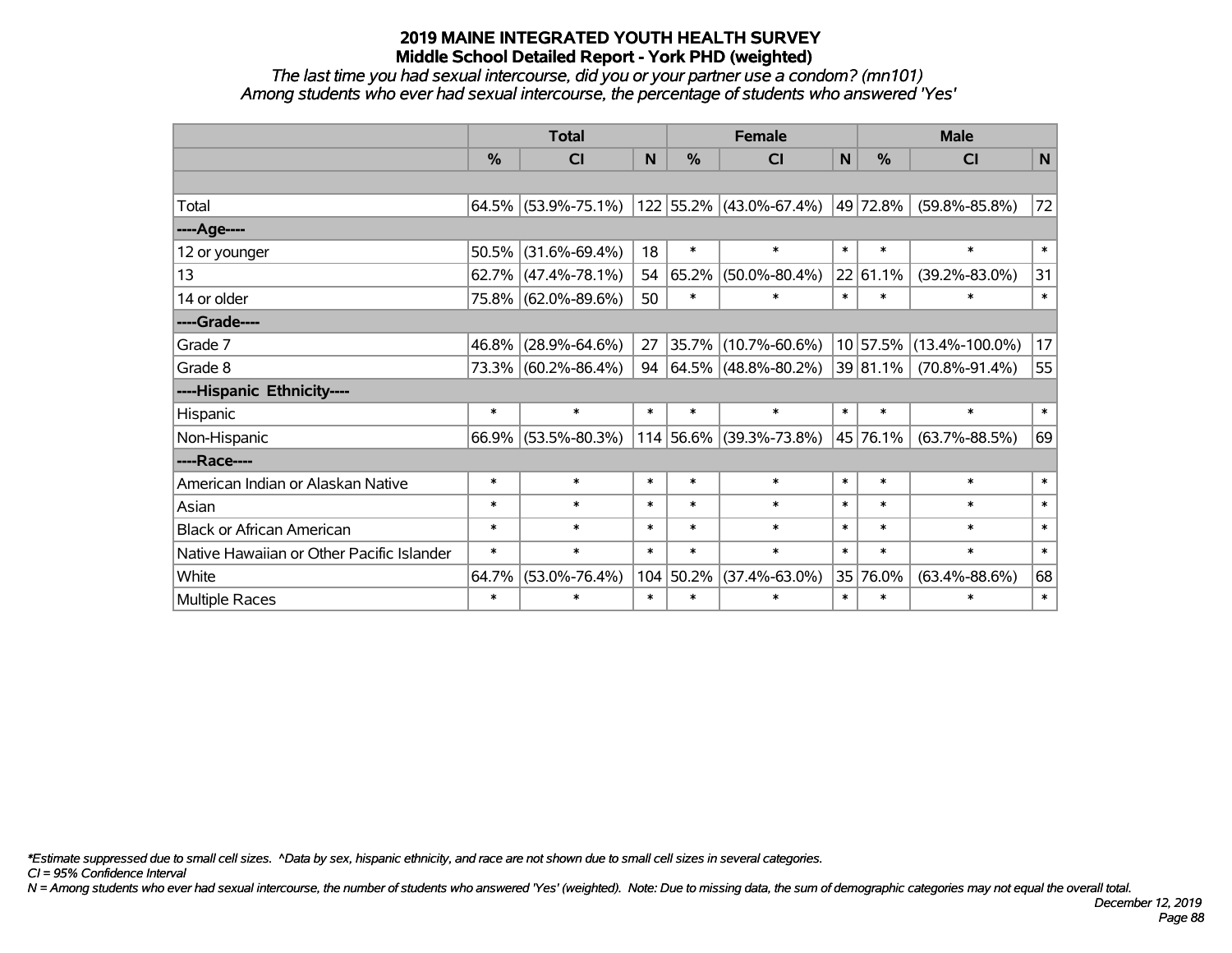*The last time you had sexual intercourse, did you or your partner use a condom? (mn101) Among students who ever had sexual intercourse, the percentage of students who answered 'Yes'*

|                                           | <b>Total</b>  |                     |        |           | <b>Female</b>            | <b>Male</b> |               |                      |        |
|-------------------------------------------|---------------|---------------------|--------|-----------|--------------------------|-------------|---------------|----------------------|--------|
|                                           | $\frac{0}{0}$ | <b>CI</b>           | N      | %         | <b>CI</b>                | N           | $\frac{0}{0}$ | <b>CI</b>            | N      |
|                                           |               |                     |        |           |                          |             |               |                      |        |
| Total                                     |               | 64.5% (53.9%-75.1%) |        |           | 122 55.2% (43.0%-67.4%)  |             | 49 72.8%      | $(59.8\% - 85.8\%)$  | 72     |
| ----Age----                               |               |                     |        |           |                          |             |               |                      |        |
| 12 or younger                             | 50.5%         | $(31.6\% - 69.4\%)$ | 18     | $\ast$    | $\ast$                   | $\ast$      | $\ast$        | $\ast$               | $\ast$ |
| 13                                        | 62.7%         | $(47.4\% - 78.1\%)$ | 54     | 65.2%     | $(50.0\% - 80.4\%)$      |             | 22 61.1%      | $(39.2\% - 83.0\%)$  | 31     |
| 14 or older                               |               | 75.8% (62.0%-89.6%) | 50     | $\ast$    | $\ast$                   | $\ast$      | $\ast$        | $\ast$               | $\ast$ |
| ----Grade----                             |               |                     |        |           |                          |             |               |                      |        |
| Grade 7                                   | 46.8%         | $(28.9\% - 64.6\%)$ | 27     | 35.7%     | $(10.7\% - 60.6\%)$      |             | 10 57.5%      | $(13.4\% - 100.0\%)$ | 17     |
| Grade 8                                   |               | 73.3% (60.2%-86.4%) | 94     |           | $ 64.5\% $ (48.8%-80.2%) |             | 39 81.1%      | $(70.8\% - 91.4\%)$  | 55     |
| ----Hispanic Ethnicity----                |               |                     |        |           |                          |             |               |                      |        |
| Hispanic                                  | $\ast$        | $\ast$              | $\ast$ | $\ast$    | $\ast$                   | $\ast$      | $\ast$        | $\ast$               | $\ast$ |
| Non-Hispanic                              |               | 66.9% (53.5%-80.3%) |        |           | 114 56.6% (39.3%-73.8%)  |             | 45 76.1%      | $(63.7\% - 88.5\%)$  | 69     |
| ----Race----                              |               |                     |        |           |                          |             |               |                      |        |
| American Indian or Alaskan Native         | $\ast$        | $\ast$              | $\ast$ | $\ast$    | $\ast$                   | $\ast$      | $\ast$        | $\ast$               | $\ast$ |
| Asian                                     | $\ast$        | $\ast$              | $\ast$ | $\ast$    | $\ast$                   | $\ast$      | $\ast$        | $\ast$               | $\ast$ |
| <b>Black or African American</b>          | $\ast$        | $\ast$              | $\ast$ | $\ast$    | $\ast$                   | $\ast$      | $\ast$        | $\ast$               | $\ast$ |
| Native Hawaiian or Other Pacific Islander | $\ast$        | $\ast$              | $\ast$ | $\ast$    | $\ast$                   | $\ast$      | $\ast$        | $\ast$               | $\ast$ |
| White                                     | 64.7%         | $(53.0\% - 76.4\%)$ |        | 104 50.2% | $(37.4\% - 63.0\%)$      |             | 35 76.0%      | $(63.4\% - 88.6\%)$  | 68     |
| Multiple Races                            | $\ast$        | $\ast$              | $\ast$ | $\ast$    | $\ast$                   | $\ast$      | $\ast$        | $\ast$               | $\ast$ |

*\*Estimate suppressed due to small cell sizes. ^Data by sex, hispanic ethnicity, and race are not shown due to small cell sizes in several categories.*

*CI = 95% Confidence Interval*

*N = Among students who ever had sexual intercourse, the number of students who answered 'Yes' (weighted). Note: Due to missing data, the sum of demographic categories may not equal the overall total.*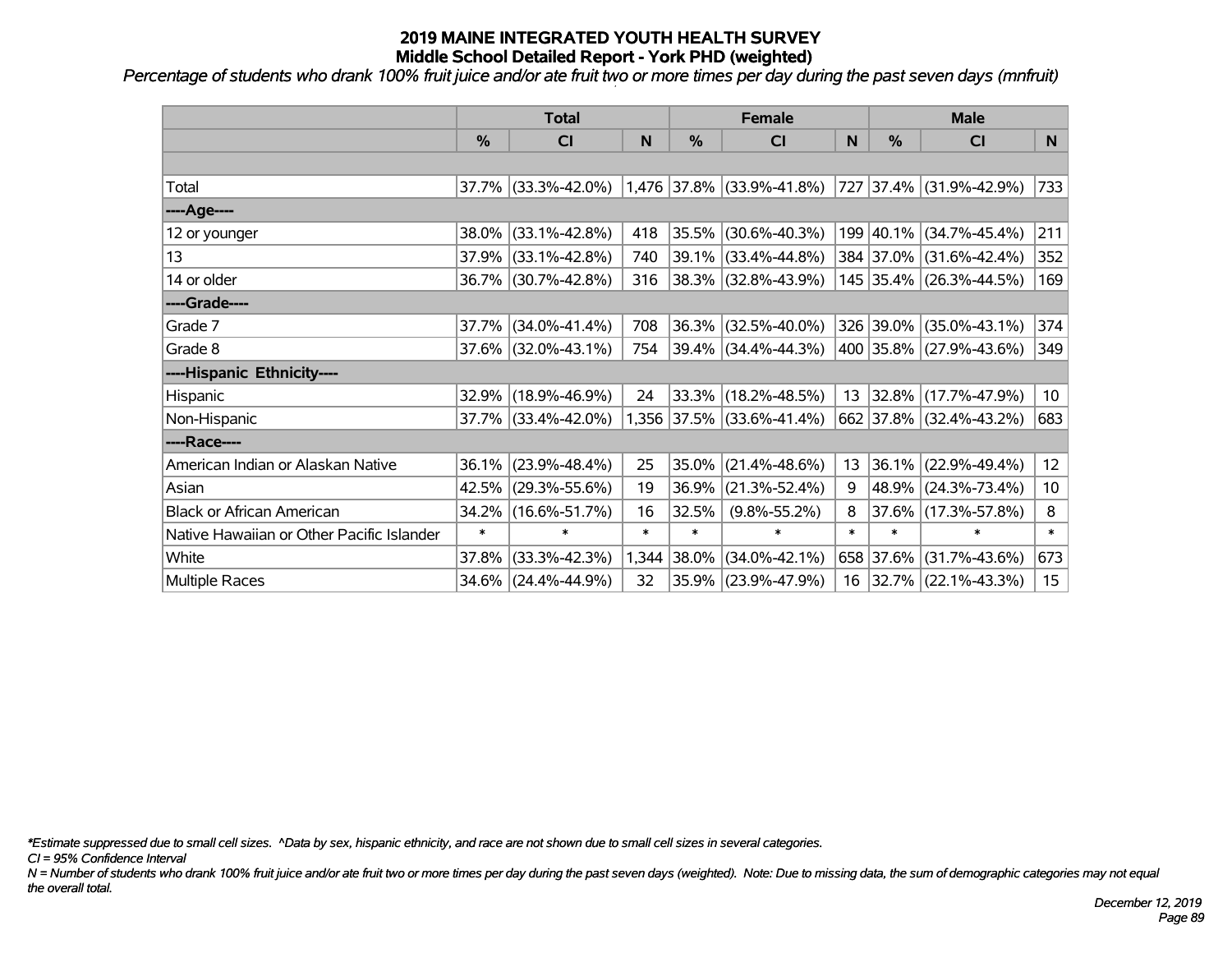*Percentage of students who drank 100% fruit juice and/or ate fruit two or more times per day during the past seven days (mnfruit)*

|                                           | <b>Total</b>  |                     |        | <b>Female</b> | <b>Male</b>               |        |               |                          |                  |
|-------------------------------------------|---------------|---------------------|--------|---------------|---------------------------|--------|---------------|--------------------------|------------------|
|                                           | $\frac{0}{0}$ | <b>CI</b>           | N      | %             | <b>CI</b>                 | N      | $\frac{0}{0}$ | <b>CI</b>                | N                |
|                                           |               |                     |        |               |                           |        |               |                          |                  |
| Total                                     |               | 37.7% (33.3%-42.0%) |        |               | 1,476 37.8% (33.9%-41.8%) |        |               | 727 37.4% (31.9%-42.9%)  | 733              |
| ----Age----                               |               |                     |        |               |                           |        |               |                          |                  |
| 12 or younger                             | 38.0%         | $(33.1\% - 42.8\%)$ | 418    | 35.5%         | $(30.6\% - 40.3\%)$       |        |               | 199 40.1% (34.7%-45.4%)  | 211              |
| 13                                        | 37.9%         | $(33.1\% - 42.8\%)$ | 740    | 39.1%         | $(33.4\% - 44.8\%)$       |        |               | 384 37.0% (31.6%-42.4%)  | 352              |
| 14 or older                               |               | 36.7% (30.7%-42.8%) | 316    |               | $ 38.3\% $ (32.8%-43.9%)  |        |               | 145 35.4% (26.3%-44.5%)  | 169              |
| ----Grade----                             |               |                     |        |               |                           |        |               |                          |                  |
| Grade 7                                   |               | 37.7% (34.0%-41.4%) | 708    | 36.3%         | $(32.5\% - 40.0\%)$       |        |               | 326 39.0% (35.0%-43.1%)  | 374              |
| Grade 8                                   |               | 37.6% (32.0%-43.1%) | 754    |               | $ 39.4\% $ (34.4%-44.3%)  |        |               | 400 35.8% (27.9%-43.6%)  | 349              |
| ----Hispanic Ethnicity----                |               |                     |        |               |                           |        |               |                          |                  |
| Hispanic                                  | 32.9%         | $(18.9\% - 46.9\%)$ | 24     | 33.3%         | $(18.2\% - 48.5\%)$       | 13     |               | $ 32.8\% $ (17.7%-47.9%) | 10 <sup>°</sup>  |
| Non-Hispanic                              |               | 37.7% (33.4%-42.0%) |        |               | 1,356 37.5% (33.6%-41.4%) |        |               | 662 37.8% (32.4%-43.2%)  | 683              |
| ----Race----                              |               |                     |        |               |                           |        |               |                          |                  |
| American Indian or Alaskan Native         | 36.1%         | $(23.9\% - 48.4\%)$ | 25     | 35.0%         | $(21.4\% - 48.6\%)$       | 13     |               | 36.1% (22.9%-49.4%)      | 12 <sub>2</sub>  |
| Asian                                     | 42.5%         | $(29.3\% - 55.6\%)$ | 19     | 36.9%         | $(21.3\% - 52.4\%)$       | 9      | $ 48.9\% $    | $(24.3\% - 73.4\%)$      | 10 <sup>°</sup>  |
| <b>Black or African American</b>          | 34.2%         | $(16.6\% - 51.7\%)$ | 16     | 32.5%         | $(9.8\% - 55.2\%)$        | 8      | $37.6\%$      | $(17.3\% - 57.8\%)$      | 8                |
| Native Hawaiian or Other Pacific Islander | $\ast$        | $\ast$              | $\ast$ | $\ast$        | $\ast$                    | $\ast$ | $\ast$        | $\ast$                   | $\ast$           |
| White                                     | 37.8%         | $(33.3\% - 42.3\%)$ | 1,344  | 38.0%         | $(34.0\% - 42.1\%)$       |        | 658 37.6%     | $(31.7\% - 43.6\%)$      | 673              |
| <b>Multiple Races</b>                     |               | 34.6% (24.4%-44.9%) | 32     |               | 35.9% (23.9%-47.9%)       |        |               | 16 32.7% (22.1%-43.3%)   | 15 <sub>15</sub> |

*\*Estimate suppressed due to small cell sizes. ^Data by sex, hispanic ethnicity, and race are not shown due to small cell sizes in several categories.*

*CI = 95% Confidence Interval*

*N = Number of students who drank 100% fruit juice and/or ate fruit two or more times per day during the past seven days (weighted). Note: Due to missing data, the sum of demographic categories may not equal the overall total.*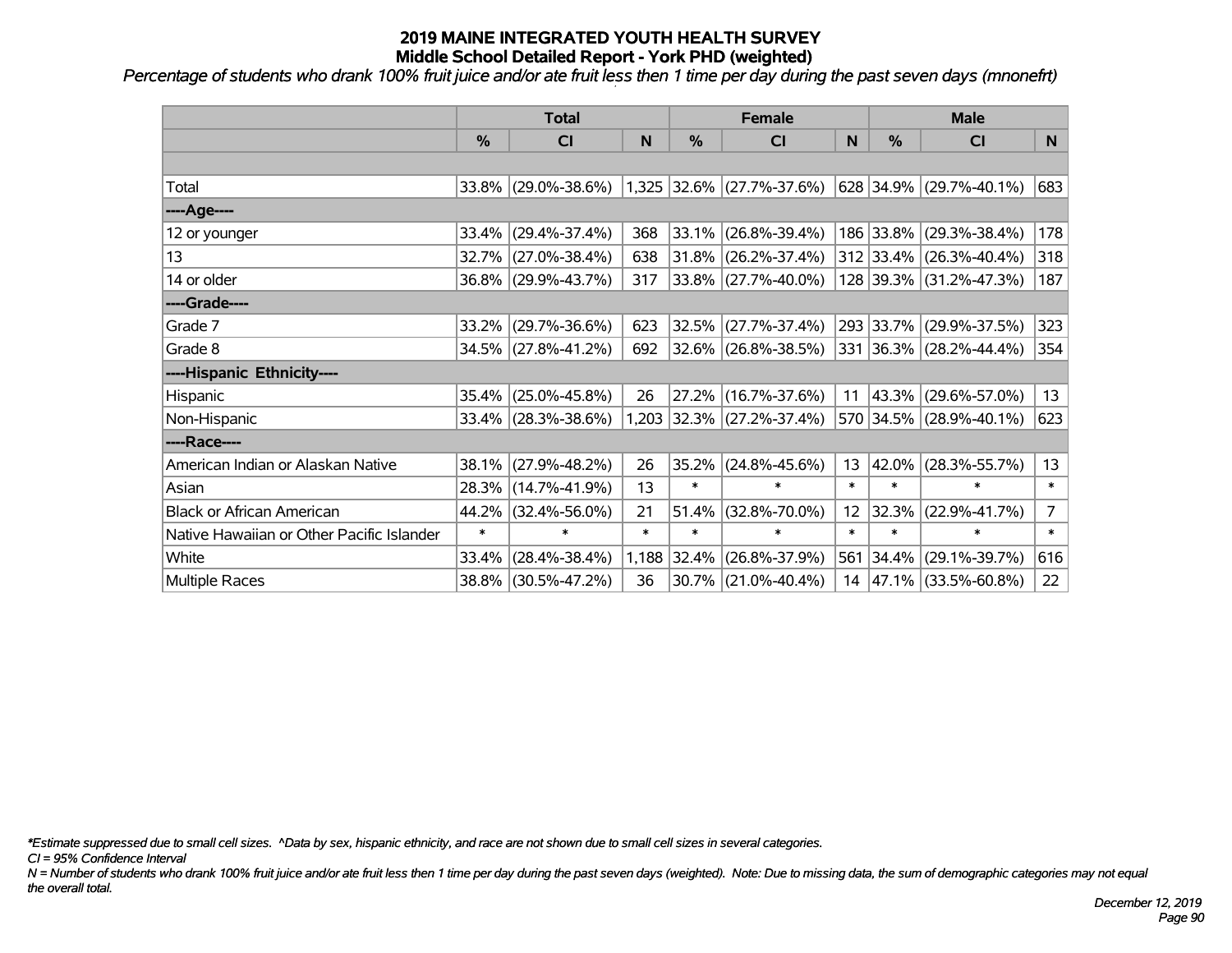*Percentage of students who drank 100% fruit juice and/or ate fruit less then 1 time per day during the past seven days (mnonefrt)*

|                                           | <b>Total</b>  |                     |        | <b>Female</b> | <b>Male</b>               |                 |               |                           |                |
|-------------------------------------------|---------------|---------------------|--------|---------------|---------------------------|-----------------|---------------|---------------------------|----------------|
|                                           | $\frac{0}{0}$ | <b>CI</b>           | N      | %             | <b>CI</b>                 | N               | $\frac{0}{0}$ | <b>CI</b>                 | N              |
|                                           |               |                     |        |               |                           |                 |               |                           |                |
| Total                                     |               | 33.8% (29.0%-38.6%) |        |               | 1,325 32.6% (27.7%-37.6%) |                 |               | $628$ 34.9% (29.7%-40.1%) | 683            |
| ----Age----                               |               |                     |        |               |                           |                 |               |                           |                |
| 12 or younger                             | 33.4%         | $(29.4\% - 37.4\%)$ | 368    | 33.1%         | $(26.8\% - 39.4\%)$       |                 | 186 33.8%     | $(29.3\% - 38.4\%)$       | 178            |
| 13                                        |               | 32.7% (27.0%-38.4%) | 638    | 31.8%         | $(26.2\% - 37.4\%)$       |                 |               | 312 33.4% (26.3%-40.4%)   | 318            |
| 14 or older                               |               | 36.8% (29.9%-43.7%) | 317    |               | $ 33.8\% $ (27.7%-40.0%)  |                 |               | 128 39.3% (31.2%-47.3%)   | 187            |
| ----Grade----                             |               |                     |        |               |                           |                 |               |                           |                |
| Grade 7                                   | 33.2%         | $(29.7\% - 36.6\%)$ | 623    | 32.5%         | $(27.7\% - 37.4\%)$       |                 | 293 33.7%     | $(29.9\% - 37.5\%)$       | 323            |
| Grade 8                                   |               | 34.5% (27.8%-41.2%) | 692    |               | $ 32.6\% $ (26.8%-38.5%)  |                 |               | 331 36.3% (28.2%-44.4%)   | 354            |
| ----Hispanic Ethnicity----                |               |                     |        |               |                           |                 |               |                           |                |
| Hispanic                                  | 35.4%         | $(25.0\% - 45.8\%)$ | 26     | 27.2%         | $(16.7\% - 37.6\%)$       | 11              | $ 43.3\% $    | $(29.6\% - 57.0\%)$       | 13             |
| Non-Hispanic                              |               | 33.4% (28.3%-38.6%) |        |               | 1,203 32.3% (27.2%-37.4%) |                 |               | 570 34.5% (28.9%-40.1%)   | 623            |
| ----Race----                              |               |                     |        |               |                           |                 |               |                           |                |
| American Indian or Alaskan Native         | 38.1%         | $(27.9\% - 48.2\%)$ | 26     | 35.2%         | $(24.8\% - 45.6\%)$       | 13              | 42.0%         | $(28.3\% - 55.7\%)$       | 13             |
| Asian                                     |               | 28.3% (14.7%-41.9%) | 13     | $\ast$        | $\ast$                    | $\ast$          | $\ast$        | $\ast$                    | $\ast$         |
| <b>Black or African American</b>          | 44.2%         | $(32.4\% - 56.0\%)$ | 21     | 51.4%         | $(32.8\% - 70.0\%)$       | 12 <sub>2</sub> | 32.3%         | $(22.9\% - 41.7\%)$       | $\overline{7}$ |
| Native Hawaiian or Other Pacific Islander | $\ast$        | $\ast$              | $\ast$ | $\ast$        | $\ast$                    | $\ast$          | $\ast$        | $\ast$                    | $\ast$         |
| White                                     | 33.4%         | $(28.4\% - 38.4\%)$ | 1,188  | 32.4%         | $(26.8\% - 37.9\%)$       | 561             | $ 34.4\% $    | $(29.1\% - 39.7\%)$       | 616            |
| Multiple Races                            |               | 38.8% (30.5%-47.2%) | 36     |               | 30.7% (21.0%-40.4%)       | 14              |               | $ 47.1\% $ (33.5%-60.8%)  | 22             |

*\*Estimate suppressed due to small cell sizes. ^Data by sex, hispanic ethnicity, and race are not shown due to small cell sizes in several categories.*

*CI = 95% Confidence Interval*

*N = Number of students who drank 100% fruit juice and/or ate fruit less then 1 time per day during the past seven days (weighted). Note: Due to missing data, the sum of demographic categories may not equal the overall total.*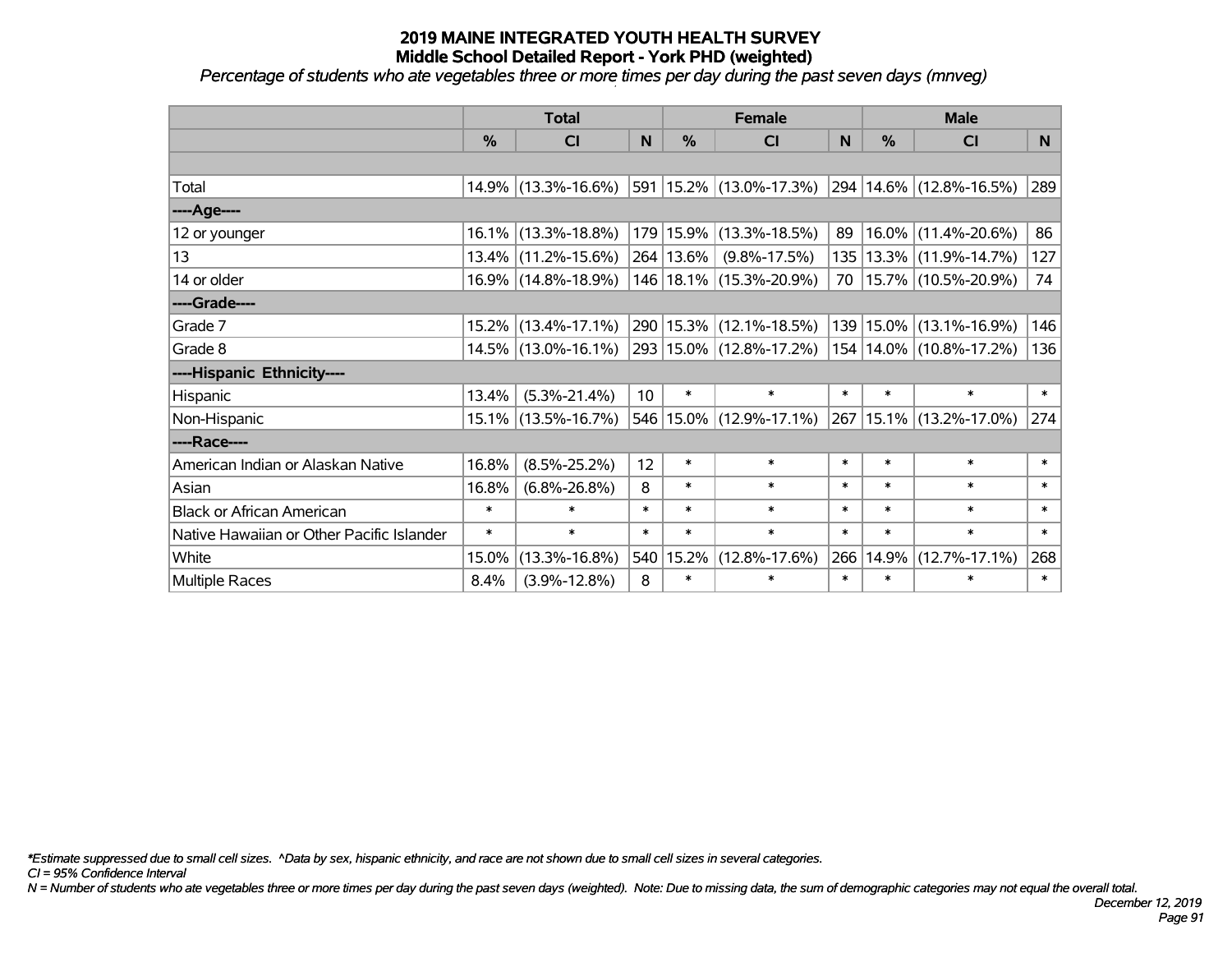*Percentage of students who ate vegetables three or more times per day during the past seven days (mnveg)*

|                                           | <b>Total</b>  |                        |                 | <b>Female</b> | <b>Male</b>                 |        |        |                             |        |
|-------------------------------------------|---------------|------------------------|-----------------|---------------|-----------------------------|--------|--------|-----------------------------|--------|
|                                           | $\frac{0}{0}$ | CI                     | N.              | $\frac{9}{6}$ | <b>CI</b>                   | N      | %      | <b>CI</b>                   | N.     |
|                                           |               |                        |                 |               |                             |        |        |                             |        |
| Total                                     |               | 14.9% (13.3%-16.6%)    |                 |               | 591 15.2% (13.0%-17.3%)     |        |        | 294 14.6% (12.8%-16.5%)     | 289    |
| ----Age----                               |               |                        |                 |               |                             |        |        |                             |        |
| 12 or younger                             |               | $16.1\%$ (13.3%-18.8%) |                 |               | 179 15.9% (13.3%-18.5%)     | 89     | 16.0%  | $(11.4\% - 20.6\%)$         | 86     |
| 13                                        |               | $13.4\%$ (11.2%-15.6%) |                 | 264 13.6%     | $(9.8\% - 17.5\%)$          | 135    |        | $13.3\%$ (11.9%-14.7%)      | 127    |
| 14 or older                               |               | 16.9% (14.8%-18.9%)    |                 |               | 146   18.1%   (15.3%-20.9%) | 70 l   |        | 15.7% (10.5%-20.9%)         | 74     |
| ----Grade----                             |               |                        |                 |               |                             |        |        |                             |        |
| Grade 7                                   |               | $15.2\%$ (13.4%-17.1%) |                 |               | 290 15.3% (12.1%-18.5%)     | 139    | 15.0%  | $(13.1\% - 16.9\%)$         | 146    |
| Grade 8                                   |               | $14.5\%$ (13.0%-16.1%) |                 |               | 293 15.0% (12.8%-17.2%)     |        |        | 154   14.0%   (10.8%-17.2%) | 136    |
| ----Hispanic Ethnicity----                |               |                        |                 |               |                             |        |        |                             |        |
| Hispanic                                  | 13.4%         | $(5.3\% - 21.4\%)$     | 10 <sup>°</sup> | $\ast$        | $\ast$                      | $\ast$ | $\ast$ | $\ast$                      | $\ast$ |
| Non-Hispanic                              |               | 15.1% (13.5%-16.7%)    |                 |               | 546 15.0% (12.9%-17.1%)     | 267    |        | 15.1% (13.2%-17.0%)         | 274    |
| ----Race----                              |               |                        |                 |               |                             |        |        |                             |        |
| American Indian or Alaskan Native         | 16.8%         | $(8.5\% - 25.2\%)$     | 12              | $\ast$        | $\ast$                      | $\ast$ | $\ast$ | $\ast$                      | $\ast$ |
| Asian                                     | 16.8%         | $(6.8\% - 26.8\%)$     | 8               | $\ast$        | $\ast$                      | $\ast$ | $\ast$ | $\ast$                      | $\ast$ |
| <b>Black or African American</b>          | $\ast$        | $\ast$                 | $\ast$          | $\ast$        | $\ast$                      | $\ast$ | $\ast$ | $\ast$                      | $\ast$ |
| Native Hawaiian or Other Pacific Islander | $\ast$        | $\ast$                 | $\ast$          | $\ast$        | $\ast$                      | $\ast$ | $\ast$ | $\ast$                      | $\ast$ |
| White                                     | 15.0%         | $(13.3\% - 16.8\%)$    |                 | 540 15.2%     | $(12.8\% - 17.6\%)$         | 266    | 14.9%  | $(12.7\% - 17.1\%)$         | 268    |
| Multiple Races                            | 8.4%          | $(3.9\% - 12.8\%)$     | 8               | $\ast$        | $\ast$                      | $\ast$ | $\ast$ | *                           | $\ast$ |

*\*Estimate suppressed due to small cell sizes. ^Data by sex, hispanic ethnicity, and race are not shown due to small cell sizes in several categories.*

*CI = 95% Confidence Interval*

*N = Number of students who ate vegetables three or more times per day during the past seven days (weighted). Note: Due to missing data, the sum of demographic categories may not equal the overall total.*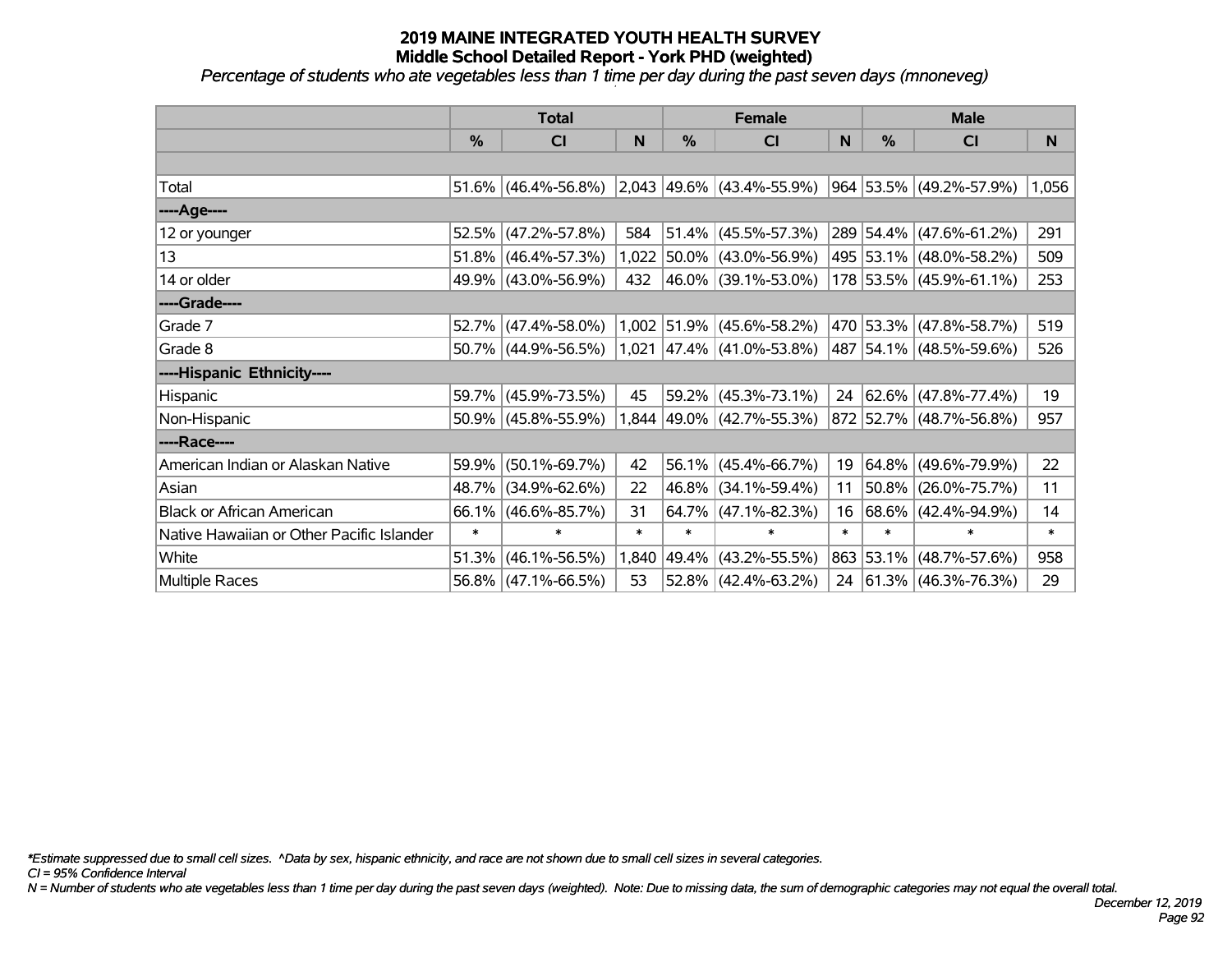*Percentage of students who ate vegetables less than 1 time per day during the past seven days (mnoneveg)*

|                                           | <b>Total</b> |                       |        | <b>Female</b> |                                                    | <b>Male</b> |               |                              |        |
|-------------------------------------------|--------------|-----------------------|--------|---------------|----------------------------------------------------|-------------|---------------|------------------------------|--------|
|                                           | %            | <b>CI</b>             | N      | $\frac{0}{0}$ | <b>CI</b>                                          | N           | $\frac{0}{0}$ | <b>CI</b>                    | N      |
|                                           |              |                       |        |               |                                                    |             |               |                              |        |
| Total                                     | 51.6%        | $(46.4\% - 56.8\%)$   |        |               | $\vert 2,043 \vert 49.6\% \vert (43.4\% - 55.9\%)$ |             |               | $ 964 53.5\% $ (49.2%-57.9%) | 1,056  |
| ----Age----                               |              |                       |        |               |                                                    |             |               |                              |        |
| 12 or younger                             | 52.5%        | $(47.2\% - 57.8\%)$   | 584    |               | $51.4\%$ (45.5%-57.3%)                             |             |               | 289 54.4% (47.6%-61.2%)      | 291    |
| 13                                        | 51.8%        | $(46.4\% - 57.3\%)$   | 1,022  |               | 50.0% (43.0%-56.9%)                                |             |               | 495 53.1% (48.0%-58.2%)      | 509    |
| 14 or older                               | 49.9%        | $ (43.0\% - 56.9\%) $ | 432    |               | $ 46.0\% $ (39.1%-53.0%)                           |             |               | 178 53.5% (45.9%-61.1%)      | 253    |
| ----Grade----                             |              |                       |        |               |                                                    |             |               |                              |        |
| Grade 7                                   | 52.7%        | $(47.4\% - 58.0\%)$   |        |               | $1,002$ 51.9% (45.6%-58.2%)                        |             |               | 470 53.3% (47.8%-58.7%)      | 519    |
| Grade 8                                   |              | 50.7% (44.9%-56.5%)   |        |               | $1,021$ 47.4% (41.0%-53.8%)                        |             |               | $ 487 54.1\% $ (48.5%-59.6%) | 526    |
| ----Hispanic Ethnicity----                |              |                       |        |               |                                                    |             |               |                              |        |
| <b>Hispanic</b>                           | 59.7%        | $(45.9\% - 73.5\%)$   | 45     | 59.2%         | $(45.3\% - 73.1\%)$                                | 24          |               | $ 62.6\% $ (47.8%-77.4%)     | 19     |
| Non-Hispanic                              | 50.9%        | $(45.8\% - 55.9\%)$   |        |               | 1,844 49.0% (42.7%-55.3%)                          |             |               | 872 52.7% (48.7%-56.8%)      | 957    |
| ----Race----                              |              |                       |        |               |                                                    |             |               |                              |        |
| American Indian or Alaskan Native         | 59.9%        | $(50.1\% - 69.7\%)$   | 42     |               | $56.1\%$ (45.4%-66.7%)                             | 19          |               | 64.8% (49.6%-79.9%)          | 22     |
| Asian                                     | 48.7%        | $(34.9\% - 62.6\%)$   | 22     |               | 46.8% (34.1%-59.4%)                                | 11          |               | 50.8% (26.0%-75.7%)          | 11     |
| <b>Black or African American</b>          | 66.1%        | $(46.6\% - 85.7\%)$   | 31     |               | $64.7\%$ (47.1%-82.3%)                             | 16          |               | $68.6\%$ (42.4%-94.9%)       | 14     |
| Native Hawaiian or Other Pacific Islander | $\ast$       | $\ast$                | $\ast$ | $\ast$        | $\ast$                                             | $\ast$      | $\ast$        | $\ast$                       | $\ast$ |
| White                                     | 51.3%        | $(46.1\% - 56.5\%)$   | 1,840  | 49.4%         | $(43.2\% - 55.5\%)$                                |             | 863 53.1%     | $(48.7\% - 57.6\%)$          | 958    |
| <b>Multiple Races</b>                     | 56.8%        | $(47.1\% - 66.5\%)$   | 53     |               | $52.8\%$ (42.4%-63.2%)                             |             |               | 24 61.3% (46.3%-76.3%)       | 29     |

*\*Estimate suppressed due to small cell sizes. ^Data by sex, hispanic ethnicity, and race are not shown due to small cell sizes in several categories.*

*CI = 95% Confidence Interval*

*N = Number of students who ate vegetables less than 1 time per day during the past seven days (weighted). Note: Due to missing data, the sum of demographic categories may not equal the overall total.*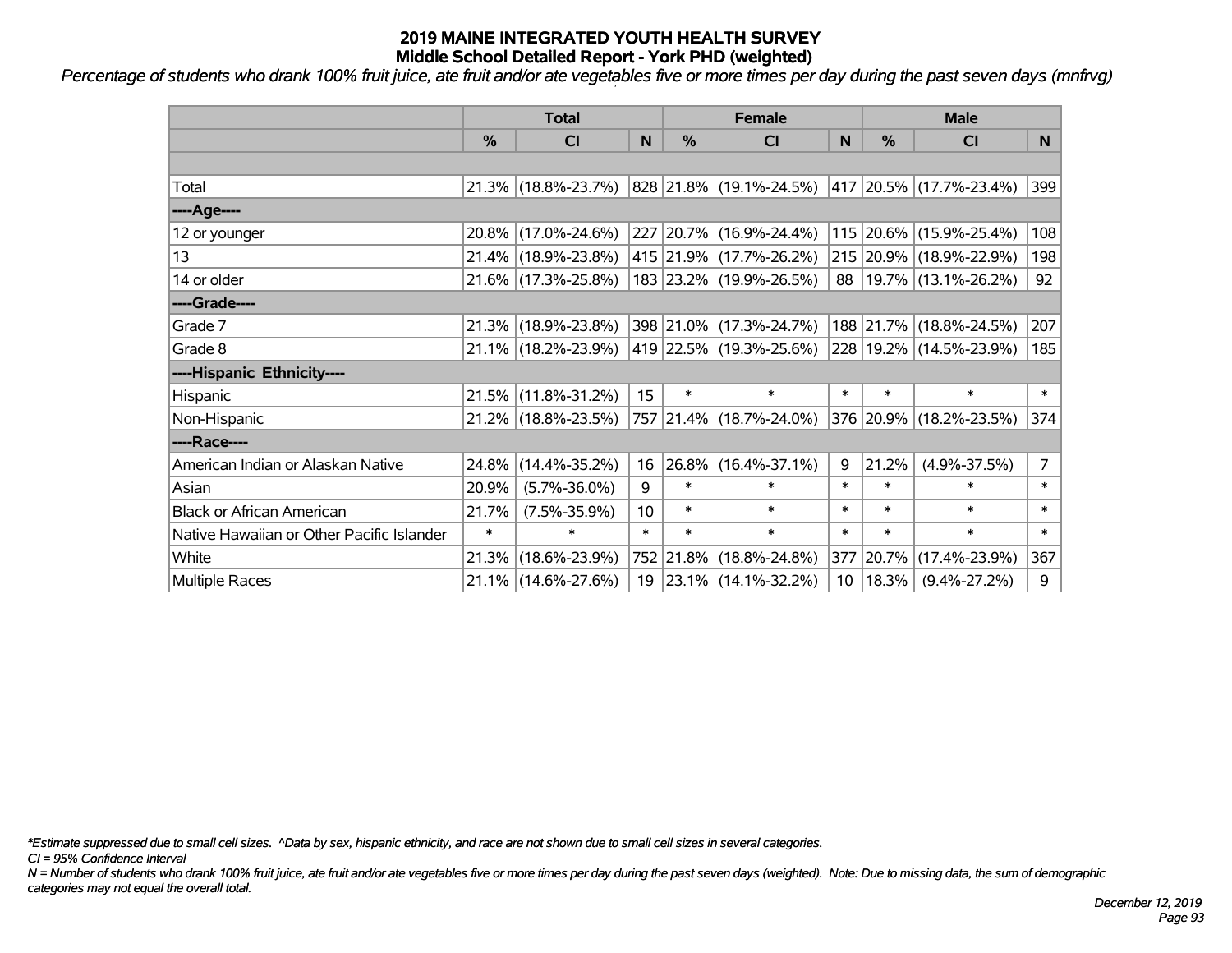*Percentage of students who drank 100% fruit juice, ate fruit and/or ate vegetables five or more times per day during the past seven days (mnfrvg)*

|                                           | <b>Total</b>  |                     |        | <b>Female</b> | <b>Male</b>             |        |           |                            |                |
|-------------------------------------------|---------------|---------------------|--------|---------------|-------------------------|--------|-----------|----------------------------|----------------|
|                                           | $\frac{0}{0}$ | <b>CI</b>           | N      | $\frac{0}{0}$ | <b>CI</b>               | N      | %         | <b>CI</b>                  | N              |
|                                           |               |                     |        |               |                         |        |           |                            |                |
| Total                                     |               | 21.3% (18.8%-23.7%) |        |               | 828 21.8% (19.1%-24.5%) |        |           | 417 20.5% (17.7%-23.4%)    | 399            |
| ----Age----                               |               |                     |        |               |                         |        |           |                            |                |
| 12 or younger                             |               | 20.8% (17.0%-24.6%) |        |               | 227 20.7% (16.9%-24.4%) |        |           | 115 20.6% (15.9%-25.4%)    | 108            |
| 13                                        |               | 21.4% (18.9%-23.8%) |        |               | 415 21.9% (17.7%-26.2%) |        |           | 215 20.9% (18.9%-22.9%)    | 198            |
| 14 or older                               |               | 21.6% (17.3%-25.8%) |        |               | 183 23.2% (19.9%-26.5%) |        |           | 88   19.7%   (13.1%-26.2%) | 92             |
| ----Grade----                             |               |                     |        |               |                         |        |           |                            |                |
| Grade 7                                   |               | 21.3% (18.9%-23.8%) |        |               | 398 21.0% (17.3%-24.7%) |        |           | 188 21.7% (18.8%-24.5%)    | 207            |
| Grade 8                                   |               | 21.1% (18.2%-23.9%) |        |               | 419 22.5% (19.3%-25.6%) |        |           | 228 19.2% (14.5%-23.9%)    | 185            |
| ----Hispanic Ethnicity----                |               |                     |        |               |                         |        |           |                            |                |
| Hispanic                                  |               | 21.5% (11.8%-31.2%) | 15     | $\ast$        | $\ast$                  | $\ast$ | $\ast$    | $\ast$                     | $\ast$         |
| Non-Hispanic                              |               | 21.2% (18.8%-23.5%) |        |               | 757 21.4% (18.7%-24.0%) |        |           | 376 20.9% (18.2%-23.5%)    | 374            |
| ----Race----                              |               |                     |        |               |                         |        |           |                            |                |
| American Indian or Alaskan Native         |               | 24.8% (14.4%-35.2%) | 16     |               | 26.8% (16.4%-37.1%)     | 9      | 21.2%     | $(4.9\% - 37.5\%)$         | $\overline{7}$ |
| Asian                                     | 20.9%         | $(5.7\% - 36.0\%)$  | 9      | $\ast$        | $\ast$                  | $\ast$ | $\ast$    | $\ast$                     | $\ast$         |
| <b>Black or African American</b>          | 21.7%         | $(7.5\% - 35.9\%)$  | 10     | $\ast$        | $\ast$                  | $\ast$ | $\ast$    | $\ast$                     | $\ast$         |
| Native Hawaiian or Other Pacific Islander | $\ast$        | $\ast$              | $\ast$ | $\ast$        | $\ast$                  | $\ast$ | $\ast$    | $\ast$                     | $\ast$         |
| White                                     | 21.3%         | $(18.6\% - 23.9\%)$ |        | 752 21.8%     | $(18.8\% - 24.8\%)$     |        | 377 20.7% | $(17.4\% - 23.9\%)$        | 367            |
| Multiple Races                            |               | 21.1% (14.6%-27.6%) |        |               | 19 23.1% (14.1%-32.2%)  |        |           | $10 18.3\% $ (9.4%-27.2%)  | 9              |

*\*Estimate suppressed due to small cell sizes. ^Data by sex, hispanic ethnicity, and race are not shown due to small cell sizes in several categories.*

*CI = 95% Confidence Interval*

*N = Number of students who drank 100% fruit juice, ate fruit and/or ate vegetables five or more times per day during the past seven days (weighted). Note: Due to missing data, the sum of demographic categories may not equal the overall total.*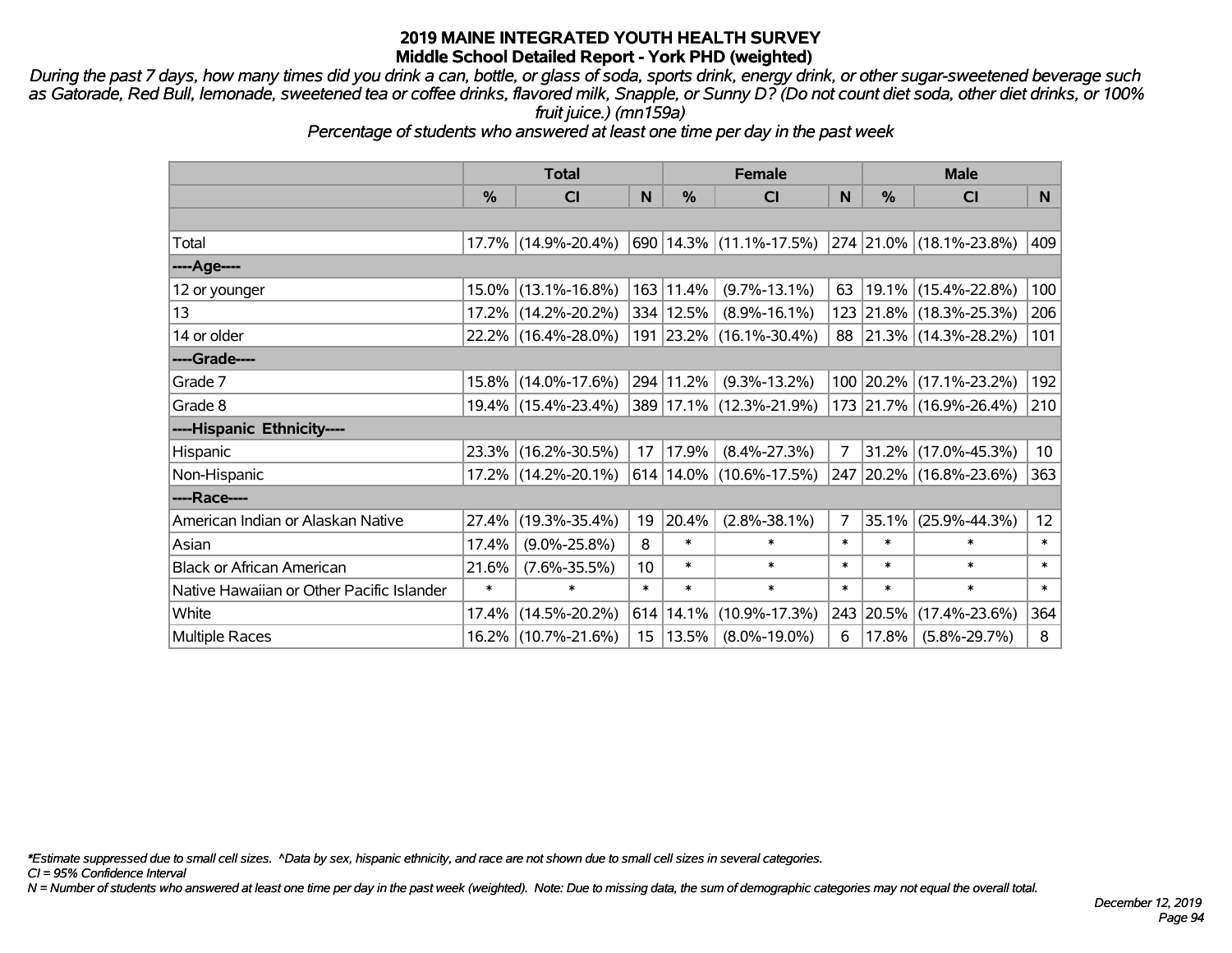*During the past 7 days, how many times did you drink a can, bottle, or glass of soda, sports drink, energy drink, or other sugar-sweetened beverage such as Gatorade, Red Bull, lemonade, sweetened tea or coffee drinks, flavored milk, Snapple, or Sunny D? (Do not count diet soda, other diet drinks, or 100% fruit juice.) (mn159a)*

*Percentage of students who answered at least one time per day in the past week*

|                                           | <b>Total</b>  |                     |        | <b>Female</b> | <b>Male</b>                                                       |        |               |                         |                 |
|-------------------------------------------|---------------|---------------------|--------|---------------|-------------------------------------------------------------------|--------|---------------|-------------------------|-----------------|
|                                           | $\frac{0}{0}$ | <b>CI</b>           | N      | %             | <b>CI</b>                                                         | N      | $\frac{0}{0}$ | <b>CI</b>               | N.              |
|                                           |               |                     |        |               |                                                                   |        |               |                         |                 |
| Total                                     |               | 17.7% (14.9%-20.4%) |        |               | $\vert$ 690   14.3%   (11.1%-17.5%)   274   21.0%   (18.1%-23.8%) |        |               |                         | 409             |
| ----Age----                               |               |                     |        |               |                                                                   |        |               |                         |                 |
| 12 or younger                             | 15.0%         | $(13.1\% - 16.8\%)$ |        | 163 11.4%     | $(9.7\% - 13.1\%)$                                                | 63     | $19.1\%$      | $(15.4\% - 22.8\%)$     | 100             |
| 13                                        |               | 17.2% (14.2%-20.2%) |        | 334 12.5%     | $(8.9\% - 16.1\%)$                                                |        |               | 123 21.8% (18.3%-25.3%) | 206             |
| 14 or older                               |               | 22.2% (16.4%-28.0%) |        |               | 191 23.2% (16.1%-30.4%)                                           |        |               | 88 21.3% (14.3%-28.2%)  | 101             |
| ----Grade----                             |               |                     |        |               |                                                                   |        |               |                         |                 |
| Grade 7                                   |               | 15.8% (14.0%-17.6%) |        | 294 11.2%     | $(9.3\% - 13.2\%)$                                                |        |               | 100 20.2% (17.1%-23.2%) | 192             |
| Grade 8                                   |               | 19.4% (15.4%-23.4%) |        |               | 389 17.1% (12.3%-21.9%)                                           |        |               | 173 21.7% (16.9%-26.4%) | 210             |
| ----Hispanic Ethnicity----                |               |                     |        |               |                                                                   |        |               |                         |                 |
| Hispanic                                  | $23.3\%$      | $(16.2\% - 30.5\%)$ | 17     | 17.9%         | $(8.4\% - 27.3\%)$                                                | 7      | 31.2%         | $(17.0\% - 45.3\%)$     | 10 <sup>°</sup> |
| Non-Hispanic                              |               | 17.2% (14.2%-20.1%) |        |               | $614 14.0\%  (10.6\% - 17.5\%)$                                   |        |               | 247 20.2% (16.8%-23.6%) | 363             |
| ----Race----                              |               |                     |        |               |                                                                   |        |               |                         |                 |
| American Indian or Alaskan Native         | 27.4%         | $(19.3\% - 35.4\%)$ | 19     | 20.4%         | $(2.8\% - 38.1\%)$                                                | 7      | 35.1%         | $(25.9\% - 44.3\%)$     | 12 <sup>2</sup> |
| Asian                                     | 17.4%         | $(9.0\% - 25.8\%)$  | 8      | $\ast$        | $\ast$                                                            | $\ast$ | $\ast$        | *                       | $\ast$          |
| <b>Black or African American</b>          | 21.6%         | $(7.6\% - 35.5\%)$  | 10     | $\ast$        | $\ast$                                                            | $\ast$ | $\ast$        | $\ast$                  | $\ast$          |
| Native Hawaiian or Other Pacific Islander | $\ast$        | $\ast$              | $\ast$ | $\ast$        | $\ast$                                                            | $\ast$ | $\ast$        | $\ast$                  | $\ast$          |
| White                                     | 17.4%         | $(14.5\% - 20.2\%)$ |        | 614 14.1%     | $(10.9\% - 17.3\%)$                                               | 243    | 20.5%         | $(17.4\% - 23.6\%)$     | 364             |
| <b>Multiple Races</b>                     |               | 16.2% (10.7%-21.6%) |        | 15   13.5%    | $(8.0\% - 19.0\%)$                                                | 6      | 17.8%         | $(5.8\% - 29.7\%)$      | 8               |

*\*Estimate suppressed due to small cell sizes. ^Data by sex, hispanic ethnicity, and race are not shown due to small cell sizes in several categories.*

*CI = 95% Confidence Interval*

*N = Number of students who answered at least one time per day in the past week (weighted). Note: Due to missing data, the sum of demographic categories may not equal the overall total.*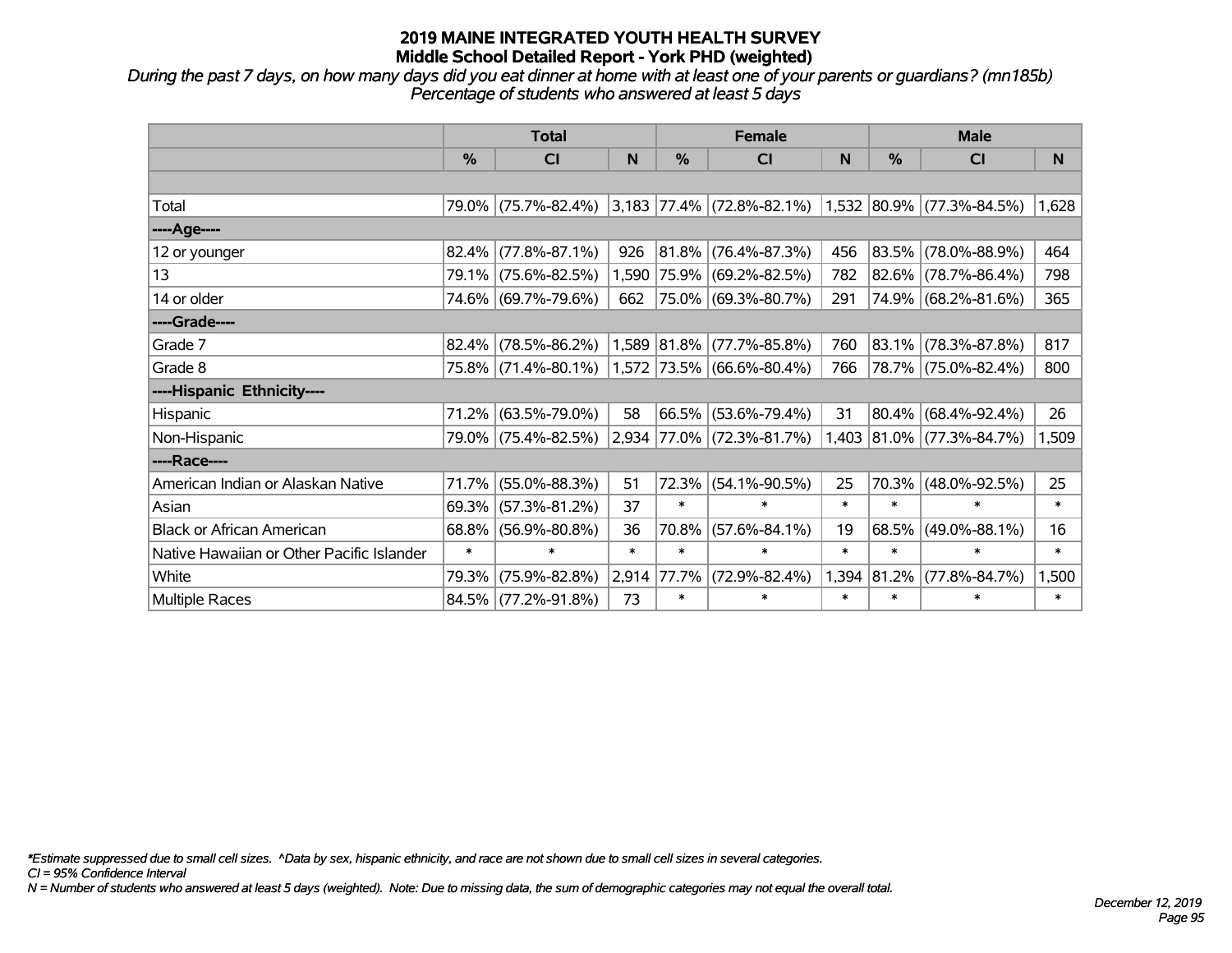*During the past 7 days, on how many days did you eat dinner at home with at least one of your parents or guardians? (mn185b) Percentage of students who answered at least 5 days*

|                                           | <b>Total</b> |                                               |        | <b>Female</b> |                             | <b>Male</b> |               |                           |        |
|-------------------------------------------|--------------|-----------------------------------------------|--------|---------------|-----------------------------|-------------|---------------|---------------------------|--------|
|                                           | $\%$         | CI                                            | N      | $\%$          | <b>CI</b>                   | N           | $\frac{0}{0}$ | CI                        | N      |
|                                           |              |                                               |        |               |                             |             |               |                           |        |
| Total                                     |              | 79.0% (75.7%-82.4%) 3,183 77.4% (72.8%-82.1%) |        |               |                             |             |               | 1,532 80.9% (77.3%-84.5%) | 1,628  |
| ----Age----                               |              |                                               |        |               |                             |             |               |                           |        |
| 12 or younger                             | 82.4%        | $(77.8\% - 87.1\%)$                           | 926    | $ 81.8\% $    | $(76.4\% - 87.3\%)$         | 456         | 83.5%         | $(78.0\% - 88.9\%)$       | 464    |
| 13                                        |              | 79.1% (75.6%-82.5%)                           |        |               | 1,590 75.9% (69.2%-82.5%)   | 782         | $82.6\%$      | $(78.7\% - 86.4\%)$       | 798    |
| 14 or older                               |              | 74.6% (69.7%-79.6%)                           | 662    |               | 75.0% (69.3%-80.7%)         | 291         |               | 74.9% (68.2%-81.6%)       | 365    |
| ----Grade----                             |              |                                               |        |               |                             |             |               |                           |        |
| Grade 7                                   | 82.4%        | $(78.5\% - 86.2\%)$                           |        | 1,589 81.8%   | $(77.7\% - 85.8\%)$         | 760         | 83.1%         | $(78.3\% - 87.8\%)$       | 817    |
| Grade 8                                   |              | 75.8% (71.4%-80.1%)                           |        |               | $1,572$ 73.5% (66.6%-80.4%) | 766         |               | 78.7% (75.0%-82.4%)       | 800    |
| ----Hispanic Ethnicity----                |              |                                               |        |               |                             |             |               |                           |        |
| Hispanic                                  | 71.2%        | $(63.5\% - 79.0\%)$                           | 58     | 66.5%         | $(53.6\% - 79.4\%)$         | 31          | $ 80.4\% $    | $(68.4\% - 92.4\%)$       | 26     |
| Non-Hispanic                              |              | 79.0% (75.4%-82.5%)                           |        |               | 2,934 77.0% (72.3%-81.7%)   |             |               | 1,403 81.0% (77.3%-84.7%) | 1,509  |
| ----Race----                              |              |                                               |        |               |                             |             |               |                           |        |
| American Indian or Alaskan Native         | 71.7%        | $(55.0\% - 88.3\%)$                           | 51     | 72.3%         | $(54.1\% - 90.5\%)$         | 25          | 70.3%         | $(48.0\% - 92.5\%)$       | 25     |
| Asian                                     | 69.3%        | $(57.3\% - 81.2\%)$                           | 37     | $\ast$        | $\ast$                      | $\ast$      | $\ast$        | $\ast$                    | $\ast$ |
| <b>Black or African American</b>          | 68.8%        | $(56.9\% - 80.8\%)$                           | 36     | 70.8%         | $(57.6\% - 84.1\%)$         | 19          | 68.5%         | $(49.0\% - 88.1\%)$       | 16     |
| Native Hawaiian or Other Pacific Islander | $\ast$       | $\ast$                                        | $\ast$ | $\ast$        | $\ast$                      | $\ast$      | $\ast$        | $\ast$                    | $\ast$ |
| White                                     | 79.3%        | $(75.9\% - 82.8\%)$                           | 2,914  | 77.7%         | $(72.9\% - 82.4\%)$         | 1,394       | $ 81.2\% $    | $(77.8\% - 84.7\%)$       | 1,500  |
| <b>Multiple Races</b>                     |              | 84.5% (77.2%-91.8%)                           | 73     | $\ast$        | $\ast$                      | $\ast$      | $\ast$        | $\ast$                    | $\ast$ |

*\*Estimate suppressed due to small cell sizes. ^Data by sex, hispanic ethnicity, and race are not shown due to small cell sizes in several categories.*

*CI = 95% Confidence Interval*

*N = Number of students who answered at least 5 days (weighted). Note: Due to missing data, the sum of demographic categories may not equal the overall total.*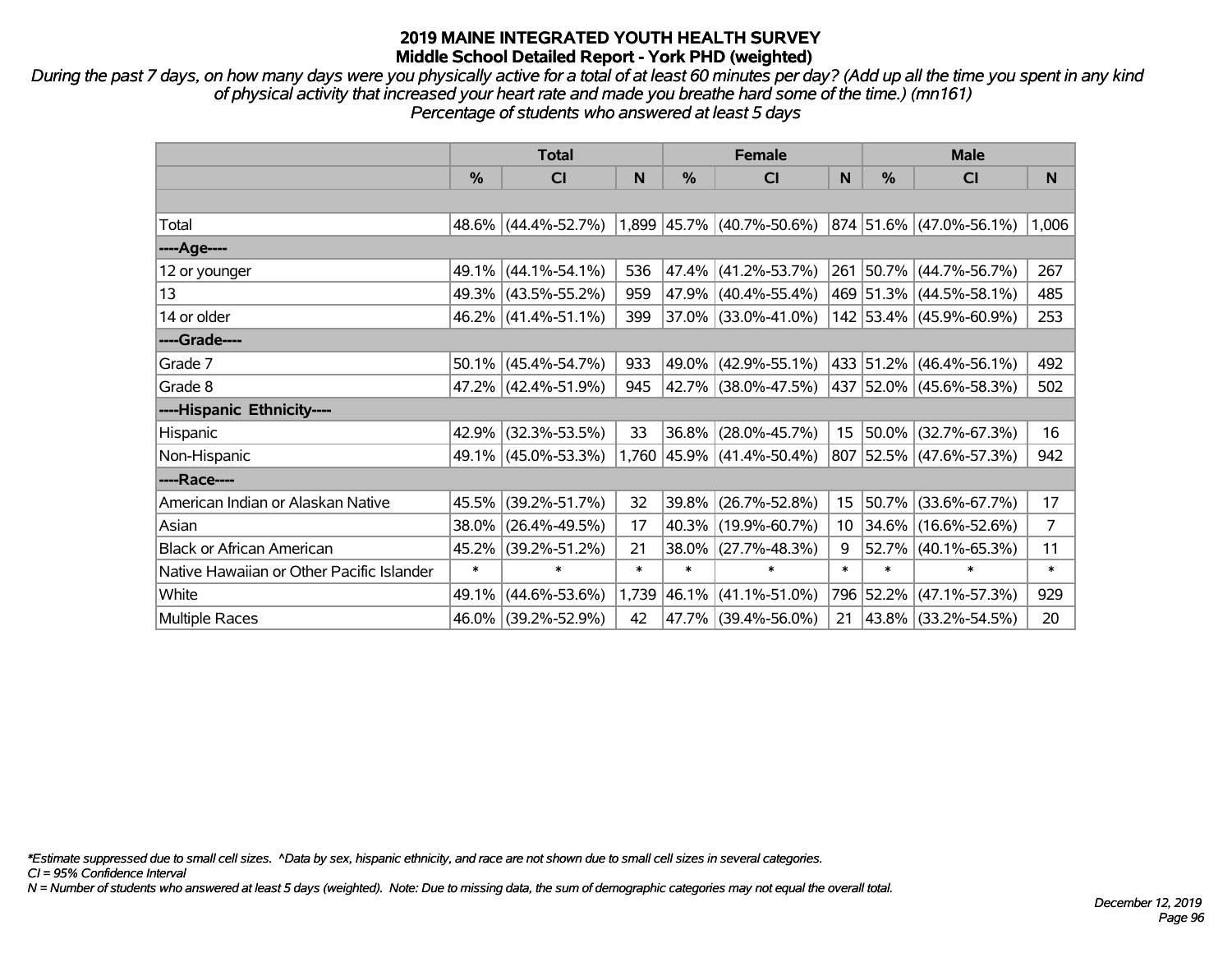*During the past 7 days, on how many days were you physically active for a total of at least 60 minutes per day? (Add up all the time you spent in any kind of physical activity that increased your heart rate and made you breathe hard some of the time.) (mn161) Percentage of students who answered at least 5 days*

|                                           | <b>Total</b> |                     |        |               | <b>Female</b>               |                  | <b>Male</b>   |                                  |       |  |
|-------------------------------------------|--------------|---------------------|--------|---------------|-----------------------------|------------------|---------------|----------------------------------|-------|--|
|                                           | %            | CI                  | N      | $\frac{0}{0}$ | <b>CI</b>                   | N                | $\frac{0}{0}$ | <b>CI</b>                        | N     |  |
|                                           |              |                     |        |               |                             |                  |               |                                  |       |  |
| Total                                     |              | 48.6% (44.4%-52.7%) |        |               | $1,899$ 45.7% (40.7%-50.6%) |                  |               | $ 874 51.6\%  (47.0\% - 56.1\%)$ | 1,006 |  |
| ----Age----                               |              |                     |        |               |                             |                  |               |                                  |       |  |
| 12 or younger                             | 49.1%        | $(44.1\% - 54.1\%)$ | 536    |               | 47.4% (41.2%-53.7%)         |                  |               | 261 50.7% (44.7%-56.7%)          | 267   |  |
| 13                                        |              | 49.3% (43.5%-55.2%) | 959    |               | 47.9% (40.4%-55.4%)         |                  |               | 469 51.3% (44.5%-58.1%)          | 485   |  |
| 14 or older                               |              | 46.2% (41.4%-51.1%) | 399    |               | $37.0\%$ (33.0%-41.0%)      |                  |               | 142 53.4% (45.9%-60.9%)          | 253   |  |
| ----Grade----                             |              |                     |        |               |                             |                  |               |                                  |       |  |
| Grade 7                                   | 50.1%        | $(45.4\% - 54.7\%)$ | 933    | 49.0%         | $(42.9\% - 55.1\%)$         |                  |               | 433 51.2% (46.4%-56.1%)          | 492   |  |
| Grade 8                                   |              | 47.2% (42.4%-51.9%) | 945    |               | 42.7% (38.0%-47.5%)         |                  |               | 437 52.0% (45.6%-58.3%)          | 502   |  |
| ----Hispanic Ethnicity----                |              |                     |        |               |                             |                  |               |                                  |       |  |
| Hispanic                                  | 42.9%        | $(32.3\% - 53.5\%)$ | 33     | $36.8\%$      | $(28.0\% - 45.7\%)$         | 15               |               | $50.0\%$ (32.7%-67.3%)           | 16    |  |
| Non-Hispanic                              |              | 49.1% (45.0%-53.3%) |        |               | 1,760 45.9% (41.4%-50.4%)   |                  |               | 807 52.5% (47.6%-57.3%)          | 942   |  |
| ----Race----                              |              |                     |        |               |                             |                  |               |                                  |       |  |
| American Indian or Alaskan Native         | 45.5%        | $(39.2\% - 51.7\%)$ | 32     |               | 39.8% (26.7%-52.8%)         | 15 <sub>15</sub> | 50.7%         | $(33.6\% - 67.7\%)$              | 17    |  |
| Asian                                     | 38.0%        | $(26.4\% - 49.5\%)$ | 17     |               | 40.3% (19.9%-60.7%)         | 10               | 34.6%         | $(16.6\% - 52.6\%)$              | 7     |  |
| <b>Black or African American</b>          | 45.2%        | $(39.2\% - 51.2\%)$ | 21     |               | 38.0% (27.7%-48.3%)         | 9                |               | 52.7% (40.1%-65.3%)              | 11    |  |
| Native Hawaiian or Other Pacific Islander | $\ast$       | $\ast$              | $\ast$ | $\ast$        | $\ast$                      | $\ast$           | $\ast$        | $\ast$                           | *     |  |
| White                                     | 49.1%        | $(44.6\% - 53.6\%)$ | 1,739  | 46.1%         | $(41.1\% - 51.0\%)$         | 796              | 52.2%         | $(47.1\% - 57.3\%)$              | 929   |  |
| Multiple Races                            | 46.0%        | $(39.2\% - 52.9\%)$ | 42     |               | 47.7% (39.4%-56.0%)         | 21               |               | 43.8% (33.2%-54.5%)              | 20    |  |

*\*Estimate suppressed due to small cell sizes. ^Data by sex, hispanic ethnicity, and race are not shown due to small cell sizes in several categories.*

*CI = 95% Confidence Interval*

*N = Number of students who answered at least 5 days (weighted). Note: Due to missing data, the sum of demographic categories may not equal the overall total.*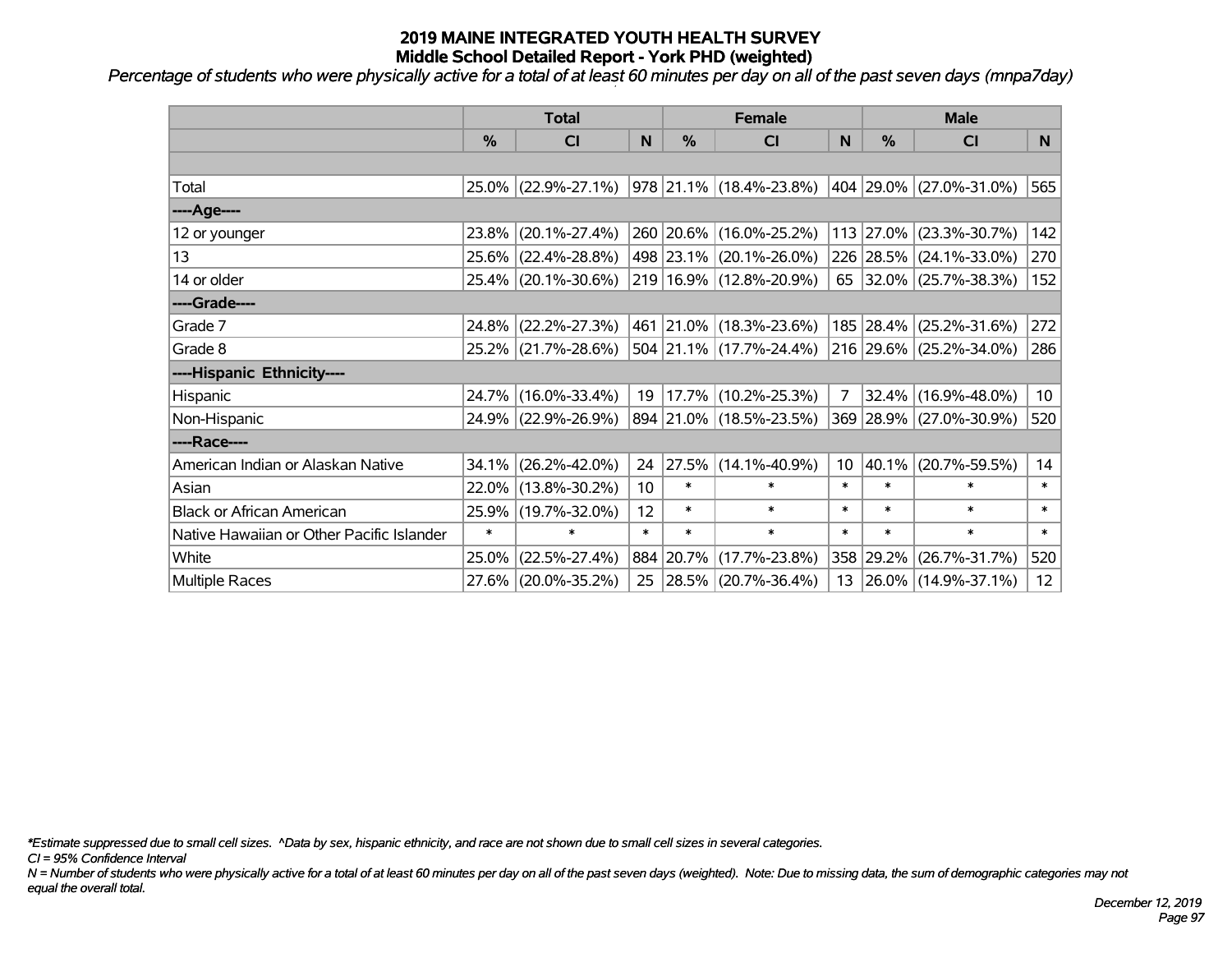*Percentage of students who were physically active for a total of at least 60 minutes per day on all of the past seven days (mnpa7day)*

|                                           | <b>Total</b>  |                     | <b>Female</b>     |           |                                 | <b>Male</b>     |           |                         |                 |
|-------------------------------------------|---------------|---------------------|-------------------|-----------|---------------------------------|-----------------|-----------|-------------------------|-----------------|
|                                           | $\frac{0}{0}$ | <b>CI</b>           | N                 | %         | <b>CI</b>                       | N               | %         | <b>CI</b>               | N               |
|                                           |               |                     |                   |           |                                 |                 |           |                         |                 |
| Total                                     |               | 25.0% (22.9%-27.1%) |                   |           | $ 978 21.1\% (18.4\% - 23.8\%)$ |                 |           | 404 29.0% (27.0%-31.0%) | 565             |
| ----Age----                               |               |                     |                   |           |                                 |                 |           |                         |                 |
| 12 or younger                             | 23.8%         | $(20.1\% - 27.4\%)$ |                   |           | 260 20.6% (16.0%-25.2%)         |                 | 113 27.0% | $(23.3\% - 30.7\%)$     | 142             |
| 13                                        |               | 25.6% (22.4%-28.8%) |                   |           | 498   23.1%   (20.1%-26.0%)     |                 |           | 226 28.5% (24.1%-33.0%) | 270             |
| 14 or older                               |               | 25.4% (20.1%-30.6%) |                   |           | 219 16.9% (12.8%-20.9%)         |                 |           | 65 32.0% (25.7%-38.3%)  | 152             |
| ----Grade----                             |               |                     |                   |           |                                 |                 |           |                         |                 |
| Grade 7                                   | 24.8%         | $(22.2\% - 27.3\%)$ |                   |           | 461 21.0% (18.3%-23.6%)         |                 | 185 28.4% | $(25.2\% - 31.6\%)$     | 272             |
| Grade 8                                   |               | 25.2% (21.7%-28.6%) |                   |           | 504 21.1% (17.7%-24.4%)         |                 |           | 216 29.6% (25.2%-34.0%) | 286             |
| ----Hispanic Ethnicity----                |               |                     |                   |           |                                 |                 |           |                         |                 |
| <b>Hispanic</b>                           | 24.7%         | $(16.0\% - 33.4\%)$ | 19                | 17.7%     | $(10.2\% - 25.3\%)$             | 7               | 32.4%     | $(16.9\% - 48.0\%)$     | 10 <sup>1</sup> |
| Non-Hispanic                              |               | 24.9% (22.9%-26.9%) |                   |           | 894 21.0% (18.5%-23.5%)         |                 |           | 369 28.9% (27.0%-30.9%) | 520             |
| ----Race----                              |               |                     |                   |           |                                 |                 |           |                         |                 |
| American Indian or Alaskan Native         | 34.1%         | $(26.2\% - 42.0\%)$ | 24                |           | $ 27.5\% $ (14.1%-40.9%)        | 10 <sup>1</sup> | 40.1%     | $(20.7\% - 59.5\%)$     | 14              |
| Asian                                     | $22.0\%$      | $(13.8\% - 30.2\%)$ | 10                | $\ast$    | $\ast$                          | $\ast$          | $\ast$    | *                       | $\ast$          |
| <b>Black or African American</b>          | 25.9%         | $(19.7\% - 32.0\%)$ | $12 \overline{ }$ | $\ast$    | $\ast$                          | $\ast$          | $\ast$    | $\ast$                  | $\ast$          |
| Native Hawaiian or Other Pacific Islander | $\ast$        | $\ast$              | $\ast$            | $\ast$    | $\ast$                          | $\ast$          | $\ast$    | $\ast$                  | $\ast$          |
| White                                     | 25.0%         | $(22.5\% - 27.4\%)$ |                   | 884 20.7% | $(17.7\% - 23.8\%)$             |                 | 358 29.2% | $(26.7\% - 31.7\%)$     | 520             |
| <b>Multiple Races</b>                     |               | 27.6% (20.0%-35.2%) | 25                |           | $ 28.5\% $ (20.7%-36.4%)        |                 |           | 13 26.0% (14.9%-37.1%)  | 12 <sup>2</sup> |

*\*Estimate suppressed due to small cell sizes. ^Data by sex, hispanic ethnicity, and race are not shown due to small cell sizes in several categories.*

*CI = 95% Confidence Interval*

*N = Number of students who were physically active for a total of at least 60 minutes per day on all of the past seven days (weighted). Note: Due to missing data, the sum of demographic categories may not equal the overall total.*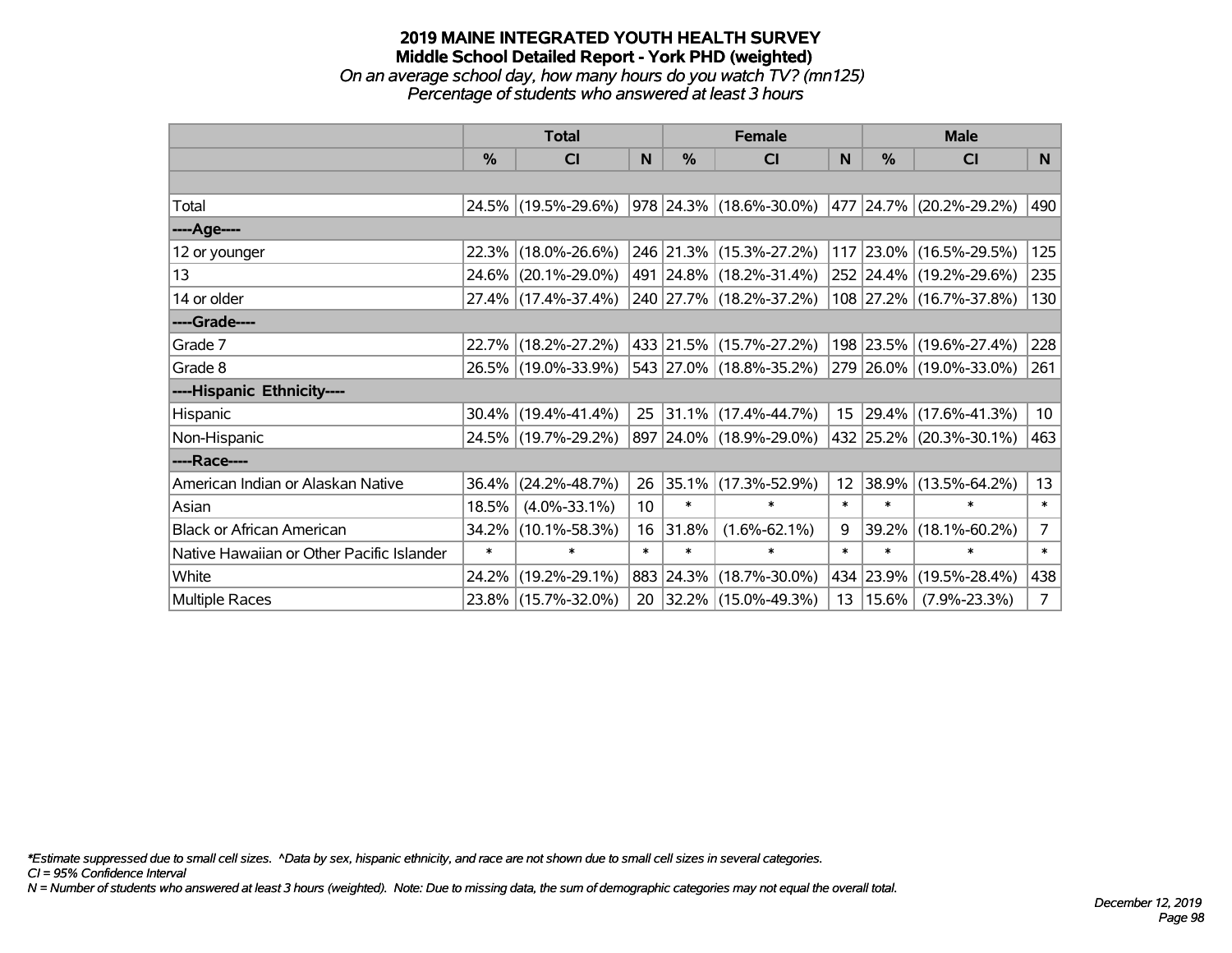#### **2019 MAINE INTEGRATED YOUTH HEALTH SURVEY Middle School Detailed Report - York PHD (weighted)** *On an average school day, how many hours do you watch TV? (mn125)*

*Percentage of students who answered at least 3 hours*

|                                           | <b>Total</b> |                        | <b>Female</b> |        |                                 | <b>Male</b>      |           |                         |                |
|-------------------------------------------|--------------|------------------------|---------------|--------|---------------------------------|------------------|-----------|-------------------------|----------------|
|                                           | $\%$         | CI                     | N             | $\%$   | <b>CI</b>                       | <sub>N</sub>     | $\%$      | <b>CI</b>               | N              |
|                                           |              |                        |               |        |                                 |                  |           |                         |                |
| Total                                     |              | 24.5% (19.5%-29.6%)    |               |        | $ 978 24.3\% (18.6\% - 30.0\%)$ |                  |           | 477 24.7% (20.2%-29.2%) | 490            |
| ----Age----                               |              |                        |               |        |                                 |                  |           |                         |                |
| 12 or younger                             | 22.3%        | $(18.0\% - 26.6\%)$    |               |        | 246 21.3% (15.3%-27.2%)         |                  | 117 23.0% | $(16.5\% - 29.5\%)$     | 125            |
| 13                                        | $24.6\%$     | $(20.1\% - 29.0\%)$    |               |        | 491 24.8% (18.2%-31.4%)         |                  |           | 252 24.4% (19.2%-29.6%) | 235            |
| 14 or older                               |              | 27.4% (17.4%-37.4%)    |               |        | 240 27.7% (18.2%-37.2%)         |                  |           | 108 27.2% (16.7%-37.8%) | 130            |
| ----Grade----                             |              |                        |               |        |                                 |                  |           |                         |                |
| Grade 7                                   | 22.7%        | $(18.2\% - 27.2\%)$    |               |        | 433 21.5% (15.7%-27.2%)         |                  | 198 23.5% | $(19.6\% - 27.4\%)$     | 228            |
| Grade 8                                   |              | 26.5% (19.0%-33.9%)    |               |        | 543 27.0% (18.8%-35.2%)         |                  |           | 279 26.0% (19.0%-33.0%) | 261            |
| ----Hispanic Ethnicity----                |              |                        |               |        |                                 |                  |           |                         |                |
| Hispanic                                  |              | $30.4\%$ (19.4%-41.4%) | 25            |        | $ 31.1\% $ (17.4%-44.7%)        | 15               | 29.4%     | $(17.6\% - 41.3\%)$     | 10             |
| Non-Hispanic                              |              | 24.5% (19.7%-29.2%)    |               |        | 897 24.0% (18.9%-29.0%)         |                  |           | 432 25.2% (20.3%-30.1%) | 463            |
| ----Race----                              |              |                        |               |        |                                 |                  |           |                         |                |
| American Indian or Alaskan Native         | 36.4%        | $(24.2\% - 48.7\%)$    | 26            |        | $ 35.1\% $ (17.3%-52.9%)        | 12 <sup>12</sup> | 38.9%     | $(13.5\% - 64.2\%)$     | 13             |
| Asian                                     | 18.5%        | $(4.0\% - 33.1\%)$     | 10            | $\ast$ | $\ast$                          | $\ast$           | $\ast$    | $\ast$                  | $\ast$         |
| <b>Black or African American</b>          | 34.2%        | $(10.1\% - 58.3\%)$    | 16            | 31.8%  | $(1.6\% - 62.1\%)$              | 9                | 39.2%     | $(18.1\% - 60.2\%)$     | $\overline{7}$ |
| Native Hawaiian or Other Pacific Islander | $\ast$       | ∗                      | $\ast$        | $\ast$ | $\ast$                          | $\ast$           | $\ast$    | $\ast$                  | $\ast$         |
| White                                     | 24.2%        | $(19.2\% - 29.1\%)$    |               |        | 883 24.3% (18.7%-30.0%)         | 434              | 23.9%     | $(19.5\% - 28.4\%)$     | 438            |
| Multiple Races                            |              | 23.8% (15.7%-32.0%)    | 20            |        | $ 32.2\% $ (15.0%-49.3%)        | 13               | 15.6%     | $(7.9\% - 23.3\%)$      | 7 <sup>1</sup> |

*\*Estimate suppressed due to small cell sizes. ^Data by sex, hispanic ethnicity, and race are not shown due to small cell sizes in several categories.*

*CI = 95% Confidence Interval*

*N = Number of students who answered at least 3 hours (weighted). Note: Due to missing data, the sum of demographic categories may not equal the overall total.*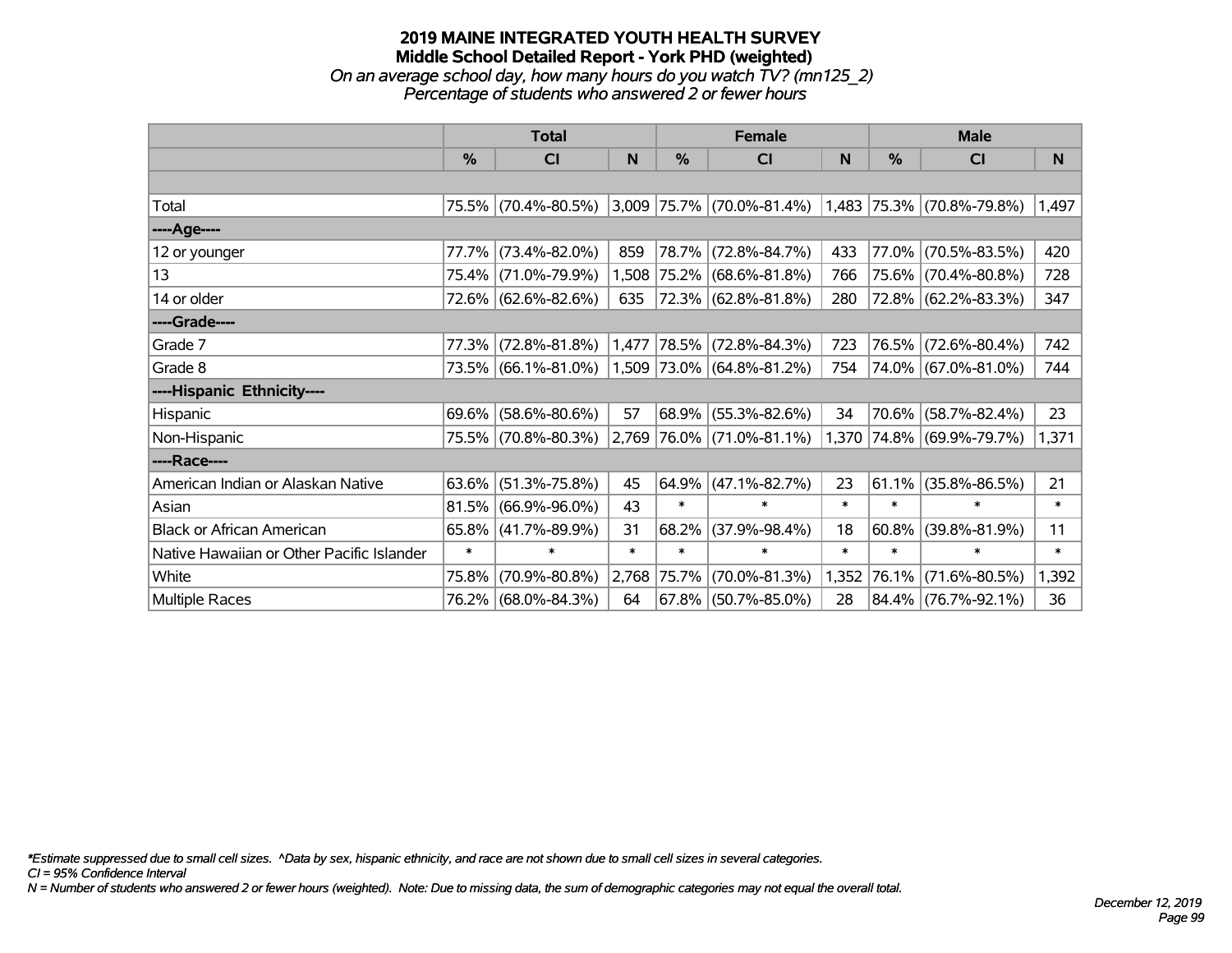# **2019 MAINE INTEGRATED YOUTH HEALTH SURVEY Middle School Detailed Report - York PHD (weighted)** *On an average school day, how many hours do you watch TV? (mn125\_2)*

*Percentage of students who answered 2 or fewer hours*

|                                           | <b>Total</b> |                     |        |               | <b>Female</b>                                                 |        | <b>Male</b> |                           |        |  |
|-------------------------------------------|--------------|---------------------|--------|---------------|---------------------------------------------------------------|--------|-------------|---------------------------|--------|--|
|                                           | $\%$         | C <sub>l</sub>      | N      | $\frac{0}{0}$ | <b>CI</b>                                                     | N      | %           | <b>CI</b>                 | N      |  |
|                                           |              |                     |        |               |                                                               |        |             |                           |        |  |
| Total                                     |              | 75.5% (70.4%-80.5%) |        |               | $ 3,009 75.7\% $ (70.0%-81.4%) $ 1,483 75.3\% $ (70.8%-79.8%) |        |             |                           | 1,497  |  |
| ----Age----                               |              |                     |        |               |                                                               |        |             |                           |        |  |
| 12 or younger                             | 77.7%        | $(73.4\% - 82.0\%)$ | 859    |               | 78.7% (72.8%-84.7%)                                           | 433    | 77.0%       | $(70.5\% - 83.5\%)$       | 420    |  |
| 13                                        |              | 75.4% (71.0%-79.9%) |        |               | 1,508 75.2% (68.6%-81.8%)                                     | 766    |             | 75.6% (70.4%-80.8%)       | 728    |  |
| 14 or older                               |              | 72.6% (62.6%-82.6%) | 635    |               | 72.3% (62.8%-81.8%)                                           | 280    |             | $72.8\%$ (62.2%-83.3%)    | 347    |  |
| ----Grade----                             |              |                     |        |               |                                                               |        |             |                           |        |  |
| Grade 7                                   | 77.3%        | $(72.8\% - 81.8\%)$ | 1,477  |               | 78.5% (72.8%-84.3%)                                           | 723    | 76.5%       | $(72.6\% - 80.4\%)$       | 742    |  |
| Grade 8                                   |              | 73.5% (66.1%-81.0%) |        |               | 1,509 73.0% (64.8%-81.2%)                                     | 754    |             | 74.0% (67.0%-81.0%)       | 744    |  |
| ----Hispanic Ethnicity----                |              |                     |        |               |                                                               |        |             |                           |        |  |
| Hispanic                                  | 69.6%        | $(58.6\% - 80.6\%)$ | 57     | $68.9\%$      | $(55.3\% - 82.6\%)$                                           | 34     | 70.6%       | $(58.7\% - 82.4\%)$       | 23     |  |
| Non-Hispanic                              |              | 75.5% (70.8%-80.3%) |        |               | 2,769 76.0% (71.0%-81.1%)                                     |        |             | 1,370 74.8% (69.9%-79.7%) | 1,371  |  |
| ----Race----                              |              |                     |        |               |                                                               |        |             |                           |        |  |
| American Indian or Alaskan Native         | 63.6%        | $(51.3\% - 75.8\%)$ | 45     | 64.9%         | $(47.1\% - 82.7\%)$                                           | 23     | $61.1\%$    | $(35.8\% - 86.5\%)$       | 21     |  |
| Asian                                     | 81.5%        | $(66.9\% - 96.0\%)$ | 43     | $\ast$        | $\ast$                                                        | $\ast$ | $\ast$      | $\ast$                    | $\ast$ |  |
| <b>Black or African American</b>          | 65.8%        | $(41.7\% - 89.9\%)$ | 31     | 68.2%         | $(37.9\% - 98.4\%)$                                           | 18     | 60.8%       | $(39.8\% - 81.9\%)$       | 11     |  |
| Native Hawaiian or Other Pacific Islander | $\ast$       | $\ast$              | $\ast$ | $\ast$        | $\ast$                                                        | $\ast$ | $\ast$      | $\ast$                    | $\ast$ |  |
| White                                     | 75.8%        | $(70.9\% - 80.8\%)$ | 2,768  | 75.7%         | $(70.0\% - 81.3\%)$                                           | 1,352  | 76.1%       | $(71.6\% - 80.5\%)$       | 1,392  |  |
| <b>Multiple Races</b>                     |              | 76.2% (68.0%-84.3%) | 64     |               | 67.8% (50.7%-85.0%)                                           | 28     |             | 84.4% (76.7%-92.1%)       | 36     |  |

*\*Estimate suppressed due to small cell sizes. ^Data by sex, hispanic ethnicity, and race are not shown due to small cell sizes in several categories.*

*CI = 95% Confidence Interval*

*N = Number of students who answered 2 or fewer hours (weighted). Note: Due to missing data, the sum of demographic categories may not equal the overall total.*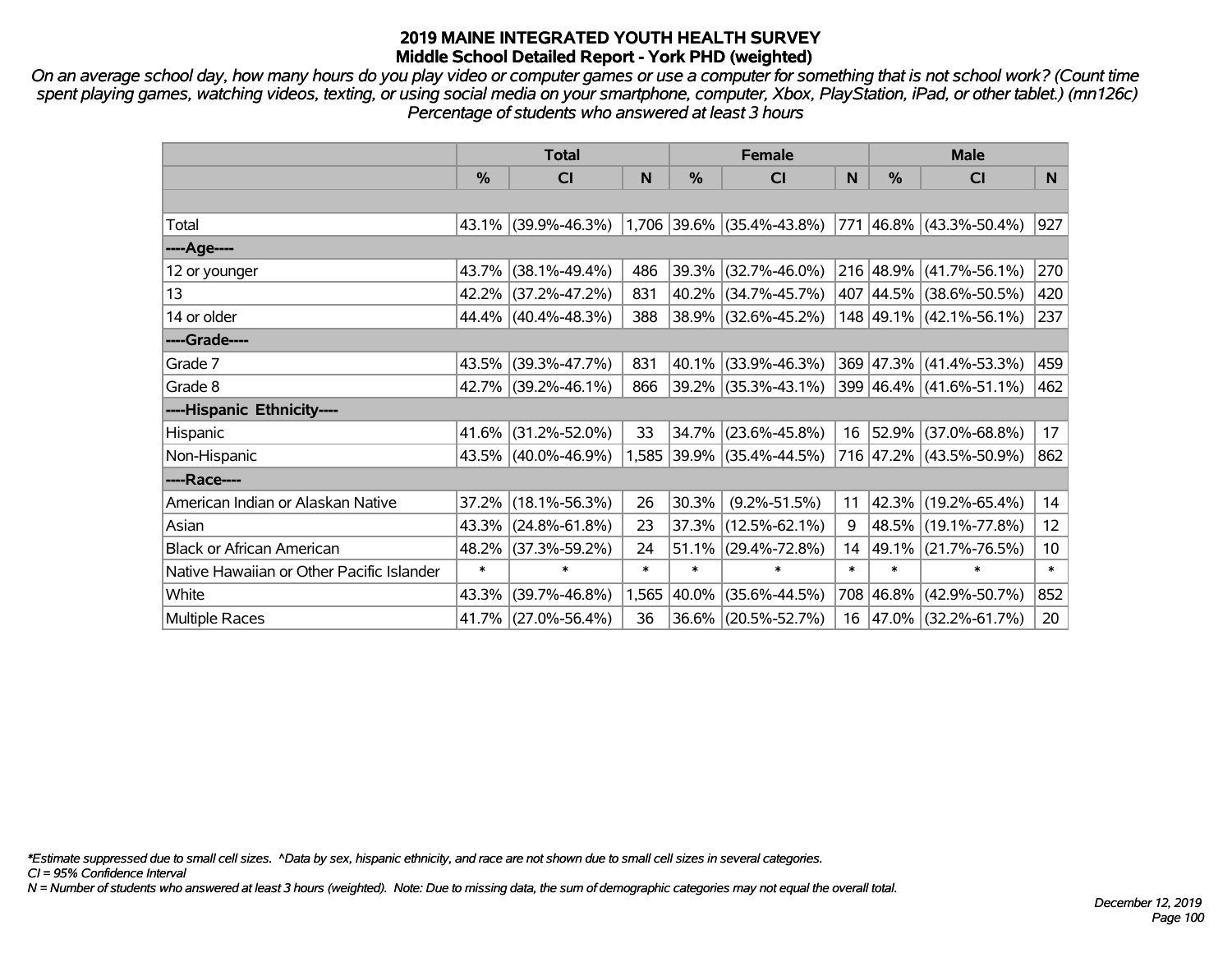*On an average school day, how many hours do you play video or computer games or use a computer for something that is not school work? (Count time spent playing games, watching videos, texting, or using social media on your smartphone, computer, Xbox, PlayStation, iPad, or other tablet.) (mn126c) Percentage of students who answered at least 3 hours*

|                                           | <b>Total</b> |                     |        | <b>Female</b> |                           |        | <b>Male</b>   |                         |                 |
|-------------------------------------------|--------------|---------------------|--------|---------------|---------------------------|--------|---------------|-------------------------|-----------------|
|                                           | %            | <b>CI</b>           | N      | %             | <b>CI</b>                 | N      | $\frac{0}{0}$ | <b>CI</b>               | N.              |
|                                           |              |                     |        |               |                           |        |               |                         |                 |
| Total                                     |              | 43.1% (39.9%-46.3%) |        |               | 1,706 39.6% (35.4%-43.8%) |        |               | 771 46.8% (43.3%-50.4%) | 927             |
| ----Age----                               |              |                     |        |               |                           |        |               |                         |                 |
| 12 or younger                             | 43.7%        | $(38.1\% - 49.4\%)$ | 486    | 39.3%         | $(32.7\% - 46.0\%)$       |        |               | 216 48.9% (41.7%-56.1%) | 270             |
| 13                                        |              | 42.2% (37.2%-47.2%) | 831    | 40.2%         | $(34.7\% - 45.7\%)$       |        |               | 407 44.5% (38.6%-50.5%) | 420             |
| 14 or older                               |              | 44.4% (40.4%-48.3%) | 388    |               | 38.9% (32.6%-45.2%)       |        |               | 148 49.1% (42.1%-56.1%) | 237             |
| ----Grade----                             |              |                     |        |               |                           |        |               |                         |                 |
| Grade 7                                   | 43.5%        | $(39.3\% - 47.7\%)$ | 831    | $40.1\%$      | $(33.9\% - 46.3\%)$       |        |               | 369 47.3% (41.4%-53.3%) | 459             |
| Grade 8                                   |              | 42.7% (39.2%-46.1%) | 866    |               | $39.2\%$ (35.3%-43.1%)    |        |               | 399 46.4% (41.6%-51.1%) | 462             |
| ----Hispanic Ethnicity----                |              |                     |        |               |                           |        |               |                         |                 |
| Hispanic                                  | 41.6%        | $(31.2\% - 52.0\%)$ | 33     | 34.7%         | $(23.6\% - 45.8\%)$       | 16     | $ 52.9\% $    | $(37.0\% - 68.8\%)$     | 17              |
| Non-Hispanic                              |              | 43.5% (40.0%-46.9%) |        |               | 1,585 39.9% (35.4%-44.5%) |        |               | 716 47.2% (43.5%-50.9%) | 862             |
| ----Race----                              |              |                     |        |               |                           |        |               |                         |                 |
| American Indian or Alaskan Native         | 37.2%        | $(18.1\% - 56.3\%)$ | 26     | 30.3%         | $(9.2\% - 51.5\%)$        | 11     |               | 42.3% (19.2%-65.4%)     | 14              |
| Asian                                     | 43.3%        | $(24.8\% - 61.8\%)$ | 23     | 37.3%         | $(12.5\% - 62.1\%)$       | 9      |               | 48.5% (19.1%-77.8%)     | 12              |
| <b>Black or African American</b>          | 48.2%        | $(37.3\% - 59.2\%)$ | 24     | 51.1%         | $(29.4\% - 72.8\%)$       | 14     |               | 49.1% (21.7%-76.5%)     | 10 <sup>1</sup> |
| Native Hawaiian or Other Pacific Islander | $\ast$       | $\ast$              | $\ast$ | $\ast$        | $\ast$                    | $\ast$ | $\ast$        | $\ast$                  | $\ast$          |
| White                                     | 43.3%        | $(39.7\% - 46.8\%)$ | 1,565  | 40.0%         | $(35.6\% - 44.5\%)$       |        | 708 46.8%     | $(42.9\% - 50.7\%)$     | 852             |
| <b>Multiple Races</b>                     |              | 41.7% (27.0%-56.4%) | 36     |               | 36.6% (20.5%-52.7%)       |        |               | 16 47.0% (32.2%-61.7%)  | 20 <sub>2</sub> |

*\*Estimate suppressed due to small cell sizes. ^Data by sex, hispanic ethnicity, and race are not shown due to small cell sizes in several categories.*

*CI = 95% Confidence Interval*

*N = Number of students who answered at least 3 hours (weighted). Note: Due to missing data, the sum of demographic categories may not equal the overall total.*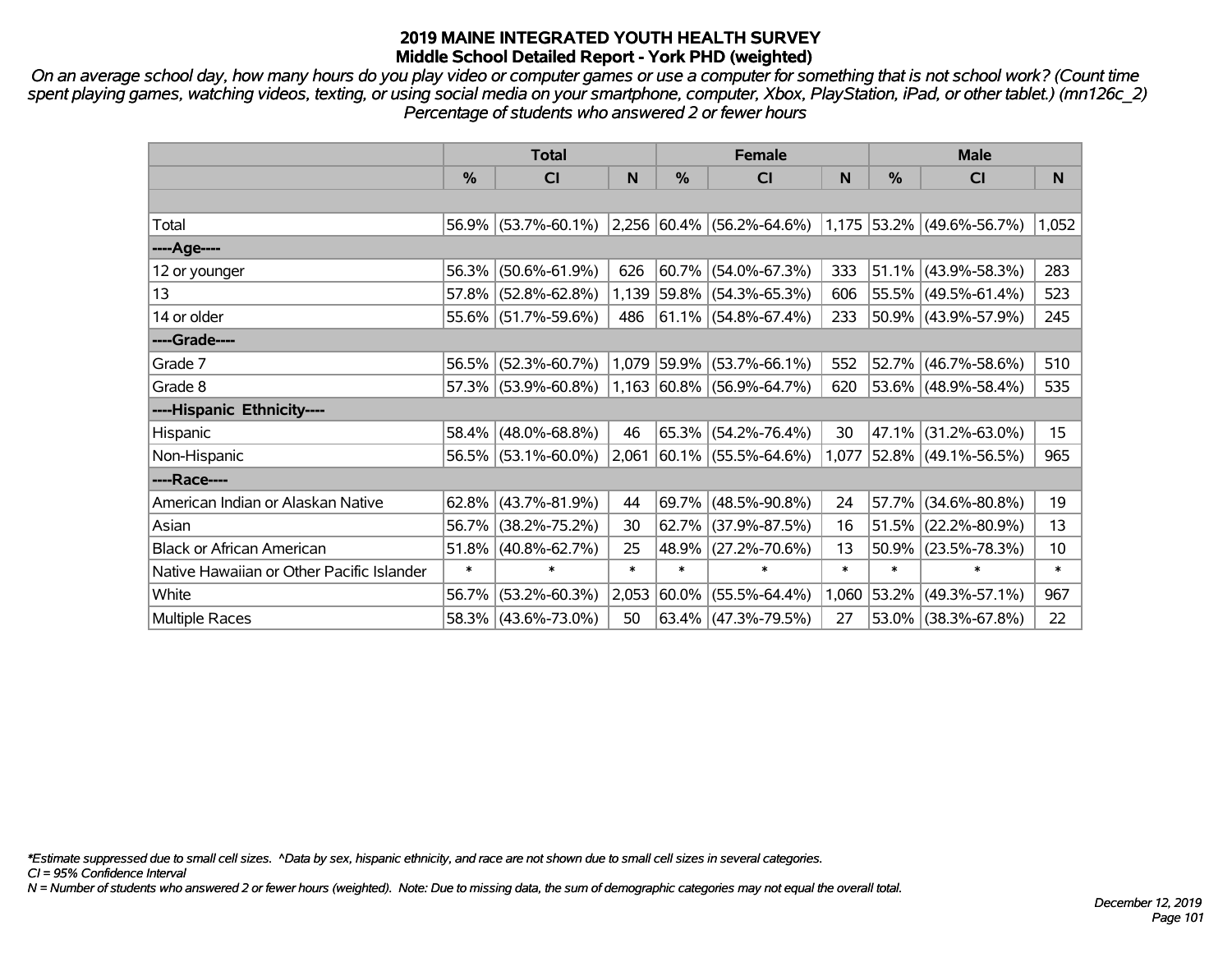*On an average school day, how many hours do you play video or computer games or use a computer for something that is not school work? (Count time spent playing games, watching videos, texting, or using social media on your smartphone, computer, Xbox, PlayStation, iPad, or other tablet.) (mn126c\_2) Percentage of students who answered 2 or fewer hours*

|                                           | <b>Total</b> |                        |        |            | <b>Female</b>                                                           |        | <b>Male</b>   |                          |        |  |
|-------------------------------------------|--------------|------------------------|--------|------------|-------------------------------------------------------------------------|--------|---------------|--------------------------|--------|--|
|                                           | %            | <b>CI</b>              | N      | %          | <b>CI</b>                                                               | N      | $\frac{0}{0}$ | <b>CI</b>                | N      |  |
|                                           |              |                        |        |            |                                                                         |        |               |                          |        |  |
| Total                                     |              |                        |        |            | 56.9% (53.7%-60.1%) 2,256 60.4% (56.2%-64.6%) 1,175 53.2% (49.6%-56.7%) |        |               |                          | 1,052  |  |
| ----Age----                               |              |                        |        |            |                                                                         |        |               |                          |        |  |
| 12 or younger                             | 56.3%        | $(50.6\% - 61.9\%)$    | 626    |            | $60.7\%$ (54.0%-67.3%)                                                  | 333    |               | $51.1\%$ (43.9%-58.3%)   | 283    |  |
| 13                                        |              | 57.8% (52.8%-62.8%)    |        |            | 1,139 59.8% (54.3%-65.3%)                                               | 606    |               | 55.5% (49.5%-61.4%)      | 523    |  |
| 14 or older                               |              | $55.6\%$ (51.7%-59.6%) | 486    |            | $ 61.1\% $ (54.8%-67.4%)                                                | 233    |               | $50.9\%$ (43.9%-57.9%)   | 245    |  |
| ----Grade----                             |              |                        |        |            |                                                                         |        |               |                          |        |  |
| Grade 7                                   | 56.5%        | $(52.3\% - 60.7\%)$    |        |            | $1,079$ 59.9% (53.7%-66.1%)                                             | 552    |               | $52.7\%$ (46.7%-58.6%)   | 510    |  |
| Grade 8                                   |              | $57.3\%$ (53.9%-60.8%) |        |            | $ 1,163 60.8\% $ (56.9%-64.7%)                                          | 620    |               | 53.6% (48.9%-58.4%)      | 535    |  |
| ----Hispanic Ethnicity----                |              |                        |        |            |                                                                         |        |               |                          |        |  |
| Hispanic                                  | 58.4%        | $(48.0\% - 68.8\%)$    | 46     |            | $65.3\%$ (54.2%-76.4%)                                                  | 30     |               | 47.1% (31.2%-63.0%)      | 15     |  |
| Non-Hispanic                              |              | $56.5\%$ (53.1%-60.0%) | 2,061  |            | $ 60.1\% $ (55.5%-64.6%)                                                | 1,077  |               | $ 52.8\% $ (49.1%-56.5%) | 965    |  |
| ----Race----                              |              |                        |        |            |                                                                         |        |               |                          |        |  |
| American Indian or Alaskan Native         | $62.8\%$     | $(43.7\% - 81.9\%)$    | 44     |            | 69.7% (48.5%-90.8%)                                                     | 24     | 57.7%         | $(34.6\% - 80.8\%)$      | 19     |  |
| Asian                                     | 56.7%        | $(38.2\% - 75.2\%)$    | 30     |            | $62.7\%$ (37.9%-87.5%)                                                  | 16     |               | $51.5\%$ (22.2%-80.9%)   | 13     |  |
| <b>Black or African American</b>          | 51.8%        | $(40.8\% - 62.7\%)$    | 25     |            | 48.9% (27.2%-70.6%)                                                     | 13     |               | $50.9\%$ (23.5%-78.3%)   | 10     |  |
| Native Hawaiian or Other Pacific Islander | $\ast$       | $\ast$                 | $\ast$ | $\ast$     | $\ast$                                                                  | $\ast$ | $\ast$        | $\ast$                   | $\ast$ |  |
| White                                     | 56.7%        | $(53.2\% - 60.3\%)$    | 2,053  | $ 60.0\% $ | $(55.5\% - 64.4\%)$                                                     | 1,060  | $ 53.2\% $    | $(49.3\% - 57.1\%)$      | 967    |  |
| Multiple Races                            |              | 58.3% (43.6%-73.0%)    | 50     |            | $63.4\%$ (47.3%-79.5%)                                                  | 27     |               | $53.0\%$ (38.3%-67.8%)   | 22     |  |

*\*Estimate suppressed due to small cell sizes. ^Data by sex, hispanic ethnicity, and race are not shown due to small cell sizes in several categories.*

*CI = 95% Confidence Interval*

*N = Number of students who answered 2 or fewer hours (weighted). Note: Due to missing data, the sum of demographic categories may not equal the overall total.*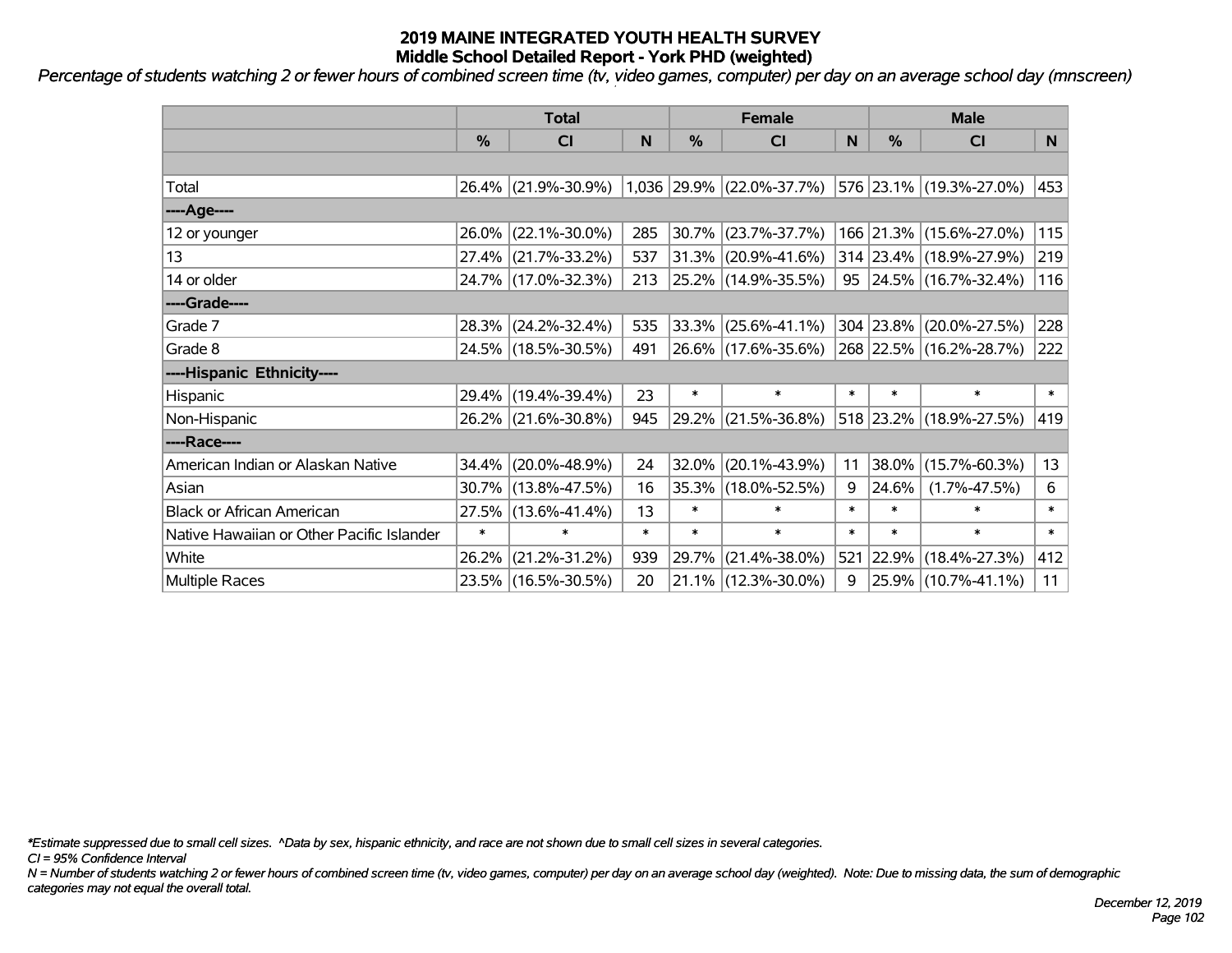*Percentage of students watching 2 or fewer hours of combined screen time (tv, video games, computer) per day on an average school day (mnscreen)*

|                                           | <b>Total</b> |                     |        |          | <b>Female</b>             |        | <b>Male</b> |                          |        |  |
|-------------------------------------------|--------------|---------------------|--------|----------|---------------------------|--------|-------------|--------------------------|--------|--|
|                                           | %            | CI                  | N      | %        | <b>CI</b>                 | N      | %           | <b>CI</b>                | N      |  |
|                                           |              |                     |        |          |                           |        |             |                          |        |  |
| Total                                     |              | 26.4% (21.9%-30.9%) |        |          | 1,036 29.9% (22.0%-37.7%) |        |             | 576 23.1% (19.3%-27.0%)  | 453    |  |
| ----Age----                               |              |                     |        |          |                           |        |             |                          |        |  |
| 12 or younger                             | 26.0%        | $(22.1\% - 30.0\%)$ | 285    | 30.7%    | $(23.7\% - 37.7\%)$       |        |             | 166 21.3% (15.6%-27.0%)  | 115    |  |
| 13                                        |              | 27.4% (21.7%-33.2%) | 537    |          | 31.3% (20.9%-41.6%)       |        |             | 314 23.4% (18.9%-27.9%)  | 219    |  |
| 14 or older                               |              | 24.7% (17.0%-32.3%) | 213    |          | $ 25.2\% $ (14.9%-35.5%)  |        |             | $95$ 24.5% (16.7%-32.4%) | 116    |  |
| ----Grade----                             |              |                     |        |          |                           |        |             |                          |        |  |
| Grade 7                                   |              | 28.3% (24.2%-32.4%) | 535    |          | 33.3% (25.6%-41.1%)       |        | 304 23.8%   | $(20.0\% - 27.5\%)$      | 228    |  |
| Grade 8                                   |              | 24.5% (18.5%-30.5%) | 491    |          | 26.6% (17.6%-35.6%)       |        |             | 268 22.5% (16.2%-28.7%)  | 222    |  |
| ----Hispanic Ethnicity----                |              |                     |        |          |                           |        |             |                          |        |  |
| Hispanic                                  |              | 29.4% (19.4%-39.4%) | 23     | $\ast$   | $\ast$                    | $\ast$ | $\ast$      | $\ast$                   | $\ast$ |  |
| Non-Hispanic                              |              | 26.2% (21.6%-30.8%) | 945    | $29.2\%$ | $(21.5\% - 36.8\%)$       |        |             | 518 23.2% (18.9%-27.5%)  | 419    |  |
| ----Race----                              |              |                     |        |          |                           |        |             |                          |        |  |
| American Indian or Alaskan Native         |              | 34.4% (20.0%-48.9%) | 24     | 32.0%    | $(20.1\% - 43.9\%)$       | 11     | 38.0%       | $(15.7\% - 60.3\%)$      | 13     |  |
| Asian                                     |              | 30.7% (13.8%-47.5%) | 16     |          | 35.3% (18.0%-52.5%)       | 9      | 24.6%       | $(1.7\% - 47.5\%)$       | 6      |  |
| <b>Black or African American</b>          | 27.5%        | $(13.6\% - 41.4\%)$ | 13     | $\ast$   | $\ast$                    | $\ast$ | $\ast$      | $\ast$                   | $\ast$ |  |
| Native Hawaiian or Other Pacific Islander | $\ast$       | $\ast$              | $\ast$ | $\ast$   | $\ast$                    | $\ast$ | $\ast$      | $\ast$                   | $\ast$ |  |
| White                                     | 26.2%        | $(21.2\% - 31.2\%)$ | 939    | 29.7%    | $(21.4\% - 38.0\%)$       | 521    | 22.9%       | $(18.4\% - 27.3\%)$      | 412    |  |
| <b>Multiple Races</b>                     |              | 23.5% (16.5%-30.5%) | 20     |          | $21.1\%$ (12.3%-30.0%)    | 9      |             | 25.9% (10.7%-41.1%)      | 11     |  |

*\*Estimate suppressed due to small cell sizes. ^Data by sex, hispanic ethnicity, and race are not shown due to small cell sizes in several categories.*

*CI = 95% Confidence Interval*

*N = Number of students watching 2 or fewer hours of combined screen time (tv, video games, computer) per day on an average school day (weighted). Note: Due to missing data, the sum of demographic categories may not equal the overall total.*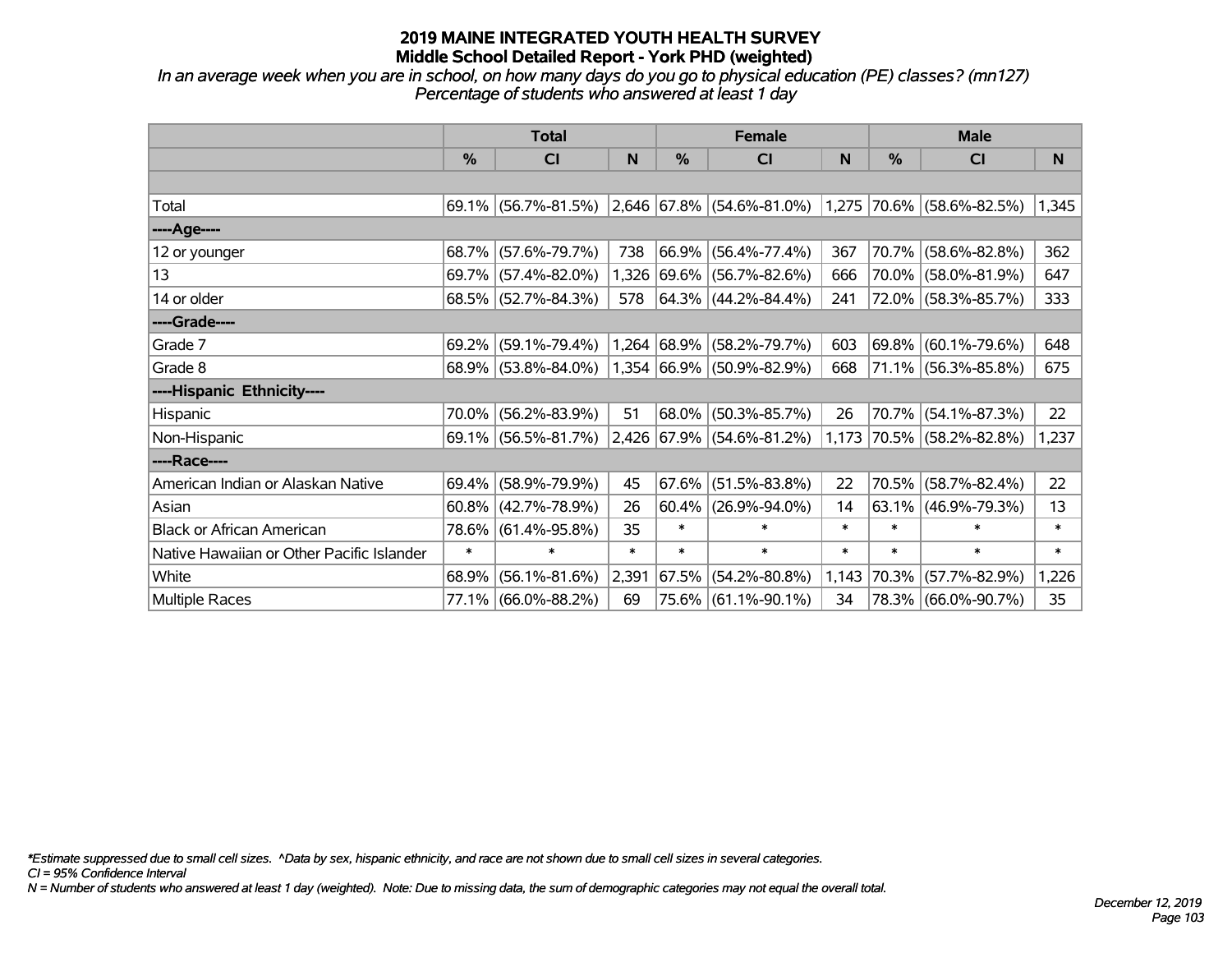*In an average week when you are in school, on how many days do you go to physical education (PE) classes? (mn127) Percentage of students who answered at least 1 day*

|                                           | <b>Total</b> |                        |        |               | <b>Female</b>                                                         |        | <b>Male</b> |                        |        |  |
|-------------------------------------------|--------------|------------------------|--------|---------------|-----------------------------------------------------------------------|--------|-------------|------------------------|--------|--|
|                                           | $\%$         | C <sub>l</sub>         | N      | $\frac{0}{0}$ | <b>CI</b>                                                             | N      | %           | <b>CI</b>              | N      |  |
|                                           |              |                        |        |               |                                                                       |        |             |                        |        |  |
| Total                                     |              | $69.1\%$ (56.7%-81.5%) |        |               | $ 2,646 67.8\%  (54.6\% - 81.0\%)  1,275  70.6\%   (58.6\% - 82.5\%)$ |        |             |                        | 1,345  |  |
| ----Age----                               |              |                        |        |               |                                                                       |        |             |                        |        |  |
| 12 or younger                             | 68.7%        | $(57.6\% - 79.7\%)$    | 738    | 66.9%         | $(56.4\% - 77.4\%)$                                                   | 367    | 70.7%       | $(58.6\% - 82.8\%)$    | 362    |  |
| 13                                        |              | 69.7% (57.4%-82.0%)    |        |               | 1,326 69.6% (56.7%-82.6%)                                             | 666    | $70.0\%$    | $(58.0\% - 81.9\%)$    | 647    |  |
| 14 or older                               |              | $68.5\%$ (52.7%-84.3%) | 578    |               | $ 64.3\% $ (44.2%-84.4%)                                              | 241    |             | 72.0% (58.3%-85.7%)    | 333    |  |
| ----Grade----                             |              |                        |        |               |                                                                       |        |             |                        |        |  |
| Grade 7                                   | 69.2%        | $(59.1\% - 79.4\%)$    |        | 1,264 68.9%   | $(58.2\% - 79.7\%)$                                                   | 603    | 69.8%       | $(60.1\% - 79.6\%)$    | 648    |  |
| Grade 8                                   |              | 68.9% (53.8%-84.0%)    |        |               | 1,354 66.9% (50.9%-82.9%)                                             | 668    |             | 71.1% (56.3%-85.8%)    | 675    |  |
| ----Hispanic Ethnicity----                |              |                        |        |               |                                                                       |        |             |                        |        |  |
| Hispanic                                  | 70.0%        | $(56.2\% - 83.9\%)$    | 51     | 68.0%         | $(50.3\% - 85.7\%)$                                                   | 26     | 70.7%       | $(54.1\% - 87.3\%)$    | 22     |  |
| Non-Hispanic                              |              | 69.1% (56.5%-81.7%)    |        |               | 2,426 67.9% (54.6%-81.2%)                                             | 1,173  |             | 70.5% (58.2%-82.8%)    | 1,237  |  |
| ----Race----                              |              |                        |        |               |                                                                       |        |             |                        |        |  |
| American Indian or Alaskan Native         | 69.4%        | $(58.9\% - 79.9\%)$    | 45     | 67.6%         | $(51.5\% - 83.8\%)$                                                   | 22     | 70.5%       | $(58.7\% - 82.4\%)$    | 22     |  |
| Asian                                     | 60.8%        | $(42.7\% - 78.9\%)$    | 26     |               | $60.4\%$ (26.9%-94.0%)                                                | 14     |             | $63.1\%$ (46.9%-79.3%) | 13     |  |
| <b>Black or African American</b>          | 78.6%        | $(61.4\% - 95.8\%)$    | 35     | $\ast$        | $\ast$                                                                | $\ast$ | $\ast$      | $\ast$                 | $\ast$ |  |
| Native Hawaiian or Other Pacific Islander | $\ast$       | $\ast$                 | $\ast$ | $\ast$        | $\ast$                                                                | $\ast$ | $\ast$      | $\ast$                 | $\ast$ |  |
| White                                     | 68.9%        | $(56.1\% - 81.6\%)$    | 2,391  | 67.5%         | $(54.2\% - 80.8\%)$                                                   | 1,143  | 70.3%       | $(57.7\% - 82.9\%)$    | 1,226  |  |
| Multiple Races                            |              | 77.1% (66.0%-88.2%)    | 69     |               | 75.6% (61.1%-90.1%)                                                   | 34     |             | 78.3% (66.0%-90.7%)    | 35     |  |

*\*Estimate suppressed due to small cell sizes. ^Data by sex, hispanic ethnicity, and race are not shown due to small cell sizes in several categories.*

*CI = 95% Confidence Interval*

*N = Number of students who answered at least 1 day (weighted). Note: Due to missing data, the sum of demographic categories may not equal the overall total.*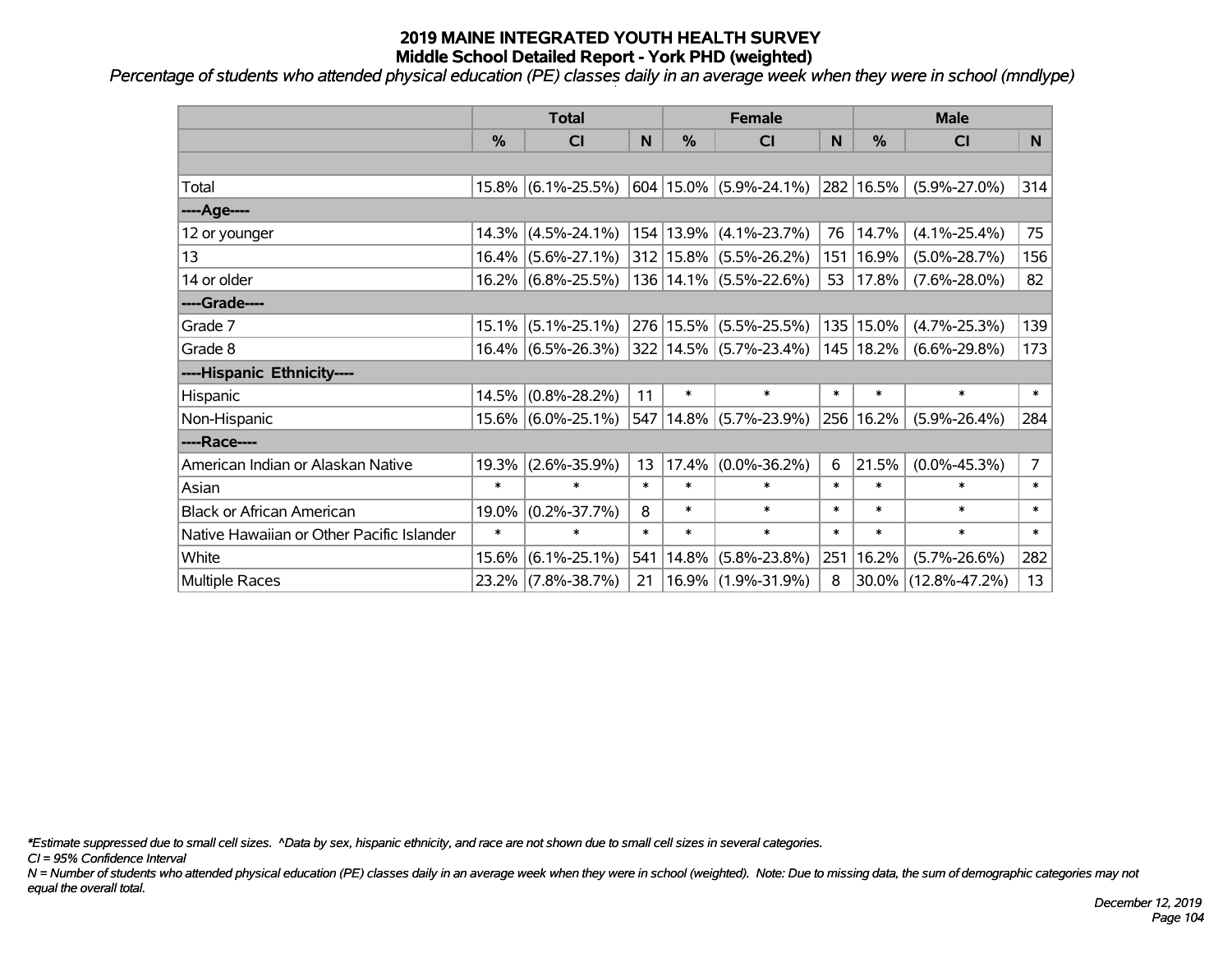*Percentage of students who attended physical education (PE) classes daily in an average week when they were in school (mndlype)*

|                                           | <b>Total</b>  |                       |        | <b>Female</b> |                                            |        | <b>Male</b> |                     |                |
|-------------------------------------------|---------------|-----------------------|--------|---------------|--------------------------------------------|--------|-------------|---------------------|----------------|
|                                           | $\frac{0}{0}$ | <b>CI</b>             | N      | $\frac{0}{0}$ | <b>CI</b>                                  | N      | %           | <b>CI</b>           | N.             |
|                                           |               |                       |        |               |                                            |        |             |                     |                |
| Total                                     |               | $15.8\%$ (6.1%-25.5%) |        |               | $ 604 15.0\%  (5.9\% - 24.1\%)$            |        | 282 16.5%   | $(5.9\% - 27.0\%)$  | 314            |
| ----Age----                               |               |                       |        |               |                                            |        |             |                     |                |
| 12 or younger                             |               | $14.3\%$ (4.5%-24.1%) |        |               | $154 13.9\% $ (4.1%-23.7%)                 | 76     | 14.7%       | $(4.1\% - 25.4\%)$  | 75             |
| 13                                        |               | $16.4\%$ (5.6%-27.1%) |        |               | $312 15.8\%  (5.5\% - 26.2\%)$             | 151    | 16.9%       | $(5.0\% - 28.7\%)$  | 156            |
| 14 or older                               |               | $16.2\%$ (6.8%-25.5%) |        |               | $136 14.1\%  (5.5\% - 22.6\%)$             | 53     | 17.8%       | $(7.6\% - 28.0\%)$  | 82             |
| ----Grade----                             |               |                       |        |               |                                            |        |             |                     |                |
| Grade 7                                   |               | $15.1\%$ (5.1%-25.1%) |        |               | 276 15.5% (5.5%-25.5%)                     |        | 135 15.0%   | $(4.7\% - 25.3\%)$  | 139            |
| Grade 8                                   |               | $16.4\%$ (6.5%-26.3%) |        |               | $ 322 14.5\% $ (5.7%-23.4%) $ 145 18.2\% $ |        |             | $(6.6\% - 29.8\%)$  | 173            |
| ----Hispanic Ethnicity----                |               |                       |        |               |                                            |        |             |                     |                |
| Hispanic                                  |               | $14.5\%$ (0.8%-28.2%) | 11     | $\ast$        | $\ast$                                     | $\ast$ | $\ast$      | $\ast$              | $\ast$         |
| Non-Hispanic                              |               | $15.6\%$ (6.0%-25.1%) | 547    |               | $14.8\%$ (5.7%-23.9%)                      |        | 256 16.2%   | $(5.9\% - 26.4\%)$  | 284            |
| ----Race----                              |               |                       |        |               |                                            |        |             |                     |                |
| American Indian or Alaskan Native         | 19.3%         | $(2.6\% - 35.9\%)$    | 13     | 17.4%         | $(0.0\% - 36.2\%)$                         | 6      | 21.5%       | $(0.0\% - 45.3\%)$  | $\overline{7}$ |
| Asian                                     | $\ast$        | $\ast$                | $\ast$ | $\ast$        | $\ast$                                     | $\ast$ | $\ast$      | $\ast$              | $\ast$         |
| <b>Black or African American</b>          | 19.0%         | $(0.2\% - 37.7\%)$    | 8      | $\ast$        | $\ast$                                     | $\ast$ | $\ast$      | $\ast$              | $\ast$         |
| Native Hawaiian or Other Pacific Islander | $\ast$        | $\ast$                | $\ast$ | $\ast$        | $\ast$                                     | $\ast$ | $\ast$      | $\ast$              | $\ast$         |
| White                                     | 15.6%         | $(6.1\% - 25.1\%)$    | 541    | 14.8%         | $(5.8\% - 23.8\%)$                         | 251    | 16.2%       | $(5.7\% - 26.6\%)$  | 282            |
| <b>Multiple Races</b>                     |               | 23.2% (7.8%-38.7%)    | 21     |               | 16.9% (1.9%-31.9%)                         | 8      | 30.0%       | $(12.8\% - 47.2\%)$ | 13             |

*\*Estimate suppressed due to small cell sizes. ^Data by sex, hispanic ethnicity, and race are not shown due to small cell sizes in several categories.*

*CI = 95% Confidence Interval*

*N = Number of students who attended physical education (PE) classes daily in an average week when they were in school (weighted). Note: Due to missing data, the sum of demographic categories may not equal the overall total.*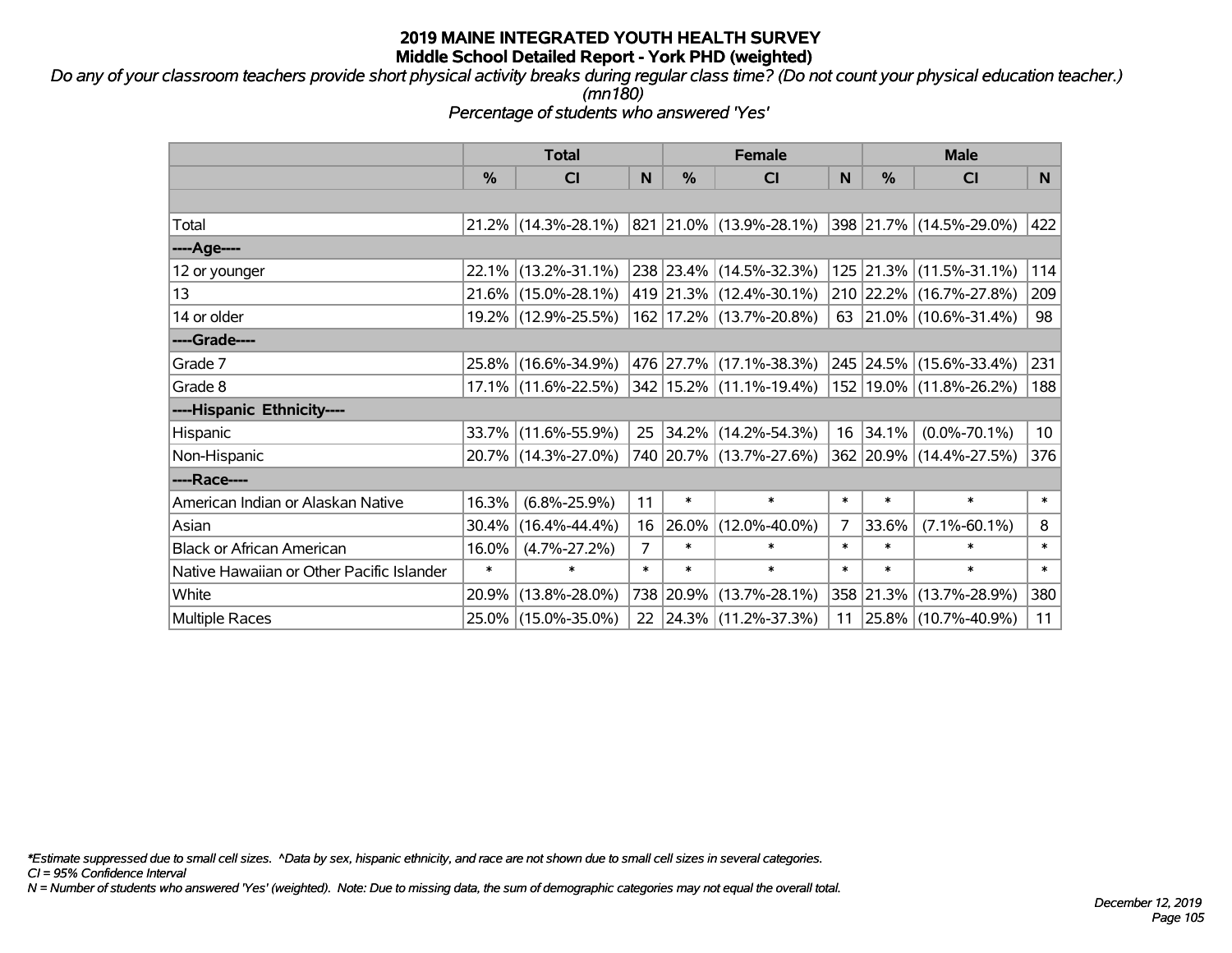*Do any of your classroom teachers provide short physical activity breaks during regular class time? (Do not count your physical education teacher.) (mn180)*

*Percentage of students who answered 'Yes'*

|                                           | <b>Total</b>  |                                                | <b>Female</b>  |        |                                  | <b>Male</b> |           |                                  |                 |
|-------------------------------------------|---------------|------------------------------------------------|----------------|--------|----------------------------------|-------------|-----------|----------------------------------|-----------------|
|                                           | $\frac{0}{0}$ | <b>CI</b>                                      | N              | $\%$   | <b>CI</b>                        | N           | %         | <b>CI</b>                        | N.              |
|                                           |               |                                                |                |        |                                  |             |           |                                  |                 |
| Total                                     |               | $21.2\%$ (14.3%-28.1%) 821 21.0% (13.9%-28.1%) |                |        |                                  |             |           | $ 398 21.7\% (14.5\% - 29.0\%)$  | 422             |
| ----Age----                               |               |                                                |                |        |                                  |             |           |                                  |                 |
| 12 or younger                             | $22.1\%$      | $(13.2\% - 31.1\%)$                            |                |        | 238 23.4% (14.5%-32.3%)          |             | 125 21.3% | $(11.5\% - 31.1\%)$              | 114             |
| 13                                        |               | 21.6% (15.0%-28.1%)                            |                |        | 419 21.3% (12.4%-30.1%)          |             |           | 210 22.2% (16.7%-27.8%)          | 209             |
| 14 or older                               |               | 19.2% (12.9%-25.5%)                            |                |        | 162 17.2% (13.7%-20.8%)          |             |           | 63 21.0% (10.6%-31.4%)           | 98              |
| ----Grade----                             |               |                                                |                |        |                                  |             |           |                                  |                 |
| Grade 7                                   |               | 25.8% (16.6%-34.9%)                            |                |        | 476   27.7%   (17.1%-38.3%)      |             |           | 245 24.5% (15.6%-33.4%)          | 231             |
| Grade 8                                   |               | 17.1% (11.6%-22.5%)                            |                |        | $ 342 15.2\%  (11.1\% - 19.4\%)$ |             |           | 152 19.0% (11.8%-26.2%)          | 188             |
| ----Hispanic Ethnicity----                |               |                                                |                |        |                                  |             |           |                                  |                 |
| Hispanic                                  |               | 33.7% (11.6%-55.9%)                            | 25             |        | $ 34.2\% $ (14.2%-54.3%)         |             | 16 34.1%  | $(0.0\% - 70.1\%)$               | 10 <sup>1</sup> |
| Non-Hispanic                              |               | 20.7% (14.3%-27.0%)                            |                |        | 740 20.7% (13.7%-27.6%)          |             |           | 362 20.9% (14.4%-27.5%)          | 376             |
| ----Race----                              |               |                                                |                |        |                                  |             |           |                                  |                 |
| American Indian or Alaskan Native         | 16.3%         | $(6.8\% - 25.9\%)$                             | 11             | $\ast$ | $\ast$                           | $\ast$      | $\ast$    | $\ast$                           | $\ast$          |
| Asian                                     | $30.4\%$      | $(16.4\% - 44.4\%)$                            | 16             | 26.0%  | $(12.0\% - 40.0\%)$              | 7           | 33.6%     | $(7.1\% - 60.1\%)$               | 8               |
| <b>Black or African American</b>          | 16.0%         | $(4.7\% - 27.2\%)$                             | $\overline{7}$ | $\ast$ | $\ast$                           | $\ast$      | $\ast$    | $\ast$                           | $\ast$          |
| Native Hawaiian or Other Pacific Islander | $\ast$        | $\ast$                                         | $\ast$         | $\ast$ | $\ast$                           | $\ast$      | $\ast$    | $\ast$                           | $\ast$          |
| White                                     | 20.9%         | $(13.8\% - 28.0\%)$                            | 738            | 20.9%  | $(13.7\% - 28.1\%)$              |             | 358 21.3% | $(13.7\% - 28.9\%)$              | 380             |
| <b>Multiple Races</b>                     |               | 25.0% (15.0%-35.0%)                            | 22             |        | $ 24.3\% $ (11.2%-37.3%)         |             |           | 11   25.8%   $(10.7\% - 40.9\%)$ | 11              |

*\*Estimate suppressed due to small cell sizes. ^Data by sex, hispanic ethnicity, and race are not shown due to small cell sizes in several categories.*

*CI = 95% Confidence Interval*

*N = Number of students who answered 'Yes' (weighted). Note: Due to missing data, the sum of demographic categories may not equal the overall total.*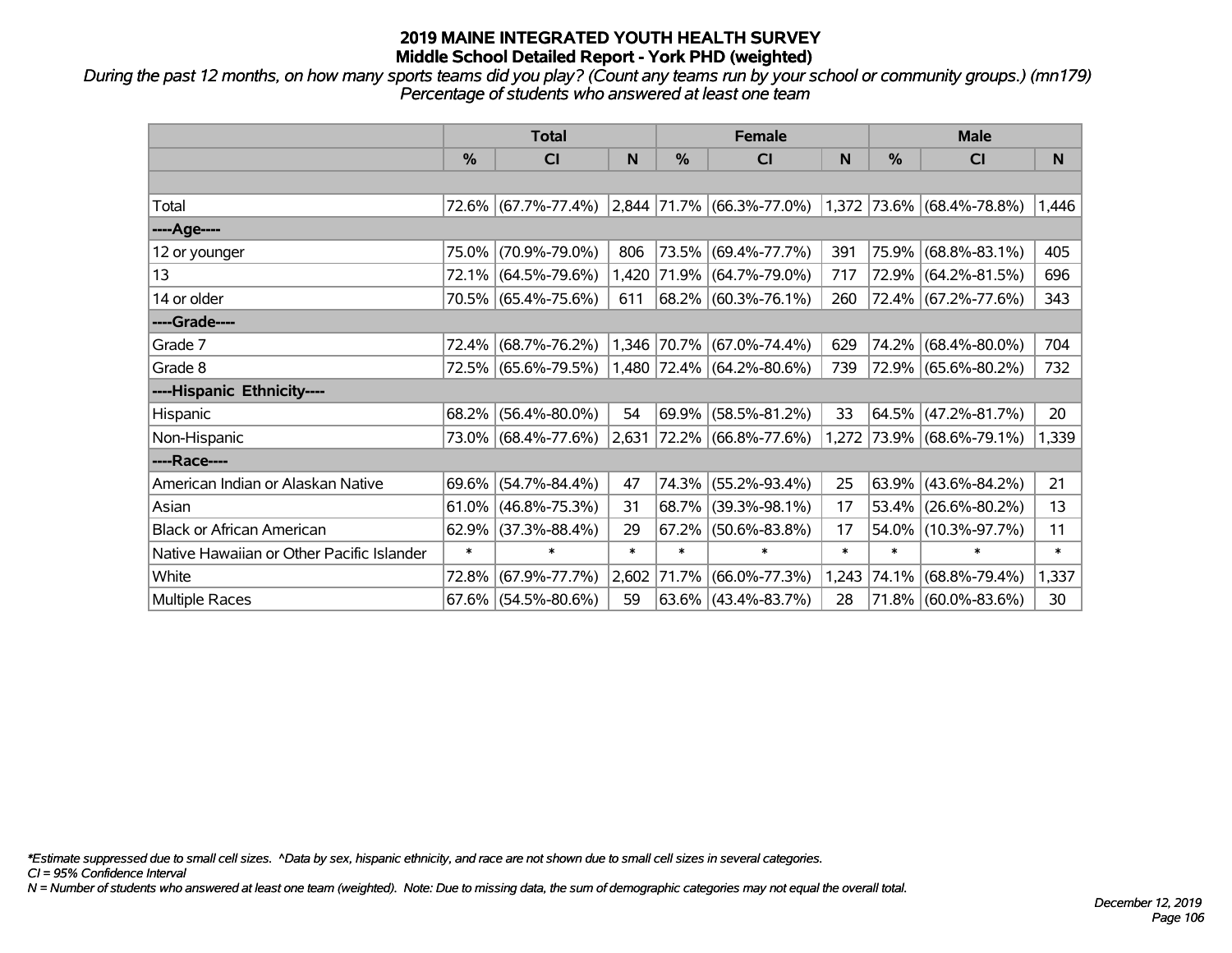*During the past 12 months, on how many sports teams did you play? (Count any teams run by your school or community groups.) (mn179) Percentage of students who answered at least one team*

|                                           | <b>Total</b> |                        |        |        | <b>Female</b>                                                           |        | <b>Male</b> |                           |        |  |
|-------------------------------------------|--------------|------------------------|--------|--------|-------------------------------------------------------------------------|--------|-------------|---------------------------|--------|--|
|                                           | $\%$         | <b>CI</b>              | N      | $\%$   | <b>CI</b>                                                               | N      | %           | <b>CI</b>                 | N      |  |
|                                           |              |                        |        |        |                                                                         |        |             |                           |        |  |
| Total                                     |              |                        |        |        | 72.6% (67.7%-77.4%) 2,844 71.7% (66.3%-77.0%) 1,372 73.6% (68.4%-78.8%) |        |             |                           | 1,446  |  |
| ----Age----                               |              |                        |        |        |                                                                         |        |             |                           |        |  |
| 12 or younger                             | 75.0%        | $(70.9\% - 79.0\%)$    | 806    |        | 73.5% (69.4%-77.7%)                                                     | 391    | 75.9%       | $(68.8\% - 83.1\%)$       | 405    |  |
| 13                                        |              | 72.1% (64.5%-79.6%)    |        |        | 1,420 71.9% (64.7%-79.0%)                                               | 717    |             | 72.9% (64.2%-81.5%)       | 696    |  |
| 14 or older                               |              | 70.5% (65.4%-75.6%)    | 611    |        | 68.2%   (60.3%-76.1%)                                                   | 260    |             | 72.4% (67.2%-77.6%)       | 343    |  |
| ----Grade----                             |              |                        |        |        |                                                                         |        |             |                           |        |  |
| Grade 7                                   | 72.4%        | $(68.7\% - 76.2\%)$    |        |        | 1,346 70.7% (67.0%-74.4%)                                               | 629    | 74.2%       | $(68.4\% - 80.0\%)$       | 704    |  |
| Grade 8                                   |              | 72.5% (65.6%-79.5%)    |        |        | 1,480 72.4% (64.2%-80.6%)                                               | 739    |             | 72.9% (65.6%-80.2%)       | 732    |  |
| ----Hispanic Ethnicity----                |              |                        |        |        |                                                                         |        |             |                           |        |  |
| Hispanic                                  | 68.2%        | $(56.4\% - 80.0\%)$    | 54     | 69.9%  | $(58.5\% - 81.2\%)$                                                     | 33     | 64.5%       | $(47.2\% - 81.7\%)$       | 20     |  |
| Non-Hispanic                              |              | 73.0% (68.4%-77.6%)    | 2,631  |        | $ 72.2\% $ (66.8%-77.6%)                                                |        |             | 1,272 73.9% (68.6%-79.1%) | 1,339  |  |
| ----Race----                              |              |                        |        |        |                                                                         |        |             |                           |        |  |
| American Indian or Alaskan Native         | 69.6%        | $(54.7\% - 84.4\%)$    | 47     | 74.3%  | $(55.2\% - 93.4\%)$                                                     | 25     | 63.9%       | $(43.6\% - 84.2\%)$       | 21     |  |
| Asian                                     | 61.0%        | $(46.8\% - 75.3\%)$    | 31     | 68.7%  | $(39.3\% - 98.1\%)$                                                     | 17     | 53.4%       | $(26.6\% - 80.2\%)$       | 13     |  |
| <b>Black or African American</b>          | 62.9%        | $(37.3\% - 88.4\%)$    | 29     | 67.2%  | $(50.6\% - 83.8\%)$                                                     | 17     | 54.0%       | $(10.3\% - 97.7\%)$       | 11     |  |
| Native Hawaiian or Other Pacific Islander | $\ast$       | $\ast$                 | $\ast$ | $\ast$ | $\ast$                                                                  | $\ast$ | $\ast$      | $\ast$                    | $\ast$ |  |
| White                                     | 72.8%        | $(67.9\% - 77.7\%)$    | 2,602  | 71.7%  | $(66.0\% - 77.3\%)$                                                     | 1,243  | 74.1%       | $(68.8\% - 79.4\%)$       | 1,337  |  |
| Multiple Races                            |              | $67.6\%$ (54.5%-80.6%) | 59     |        | $63.6\%$ (43.4%-83.7%)                                                  | 28     |             | 71.8% (60.0%-83.6%)       | 30     |  |

*\*Estimate suppressed due to small cell sizes. ^Data by sex, hispanic ethnicity, and race are not shown due to small cell sizes in several categories.*

*CI = 95% Confidence Interval*

*N = Number of students who answered at least one team (weighted). Note: Due to missing data, the sum of demographic categories may not equal the overall total.*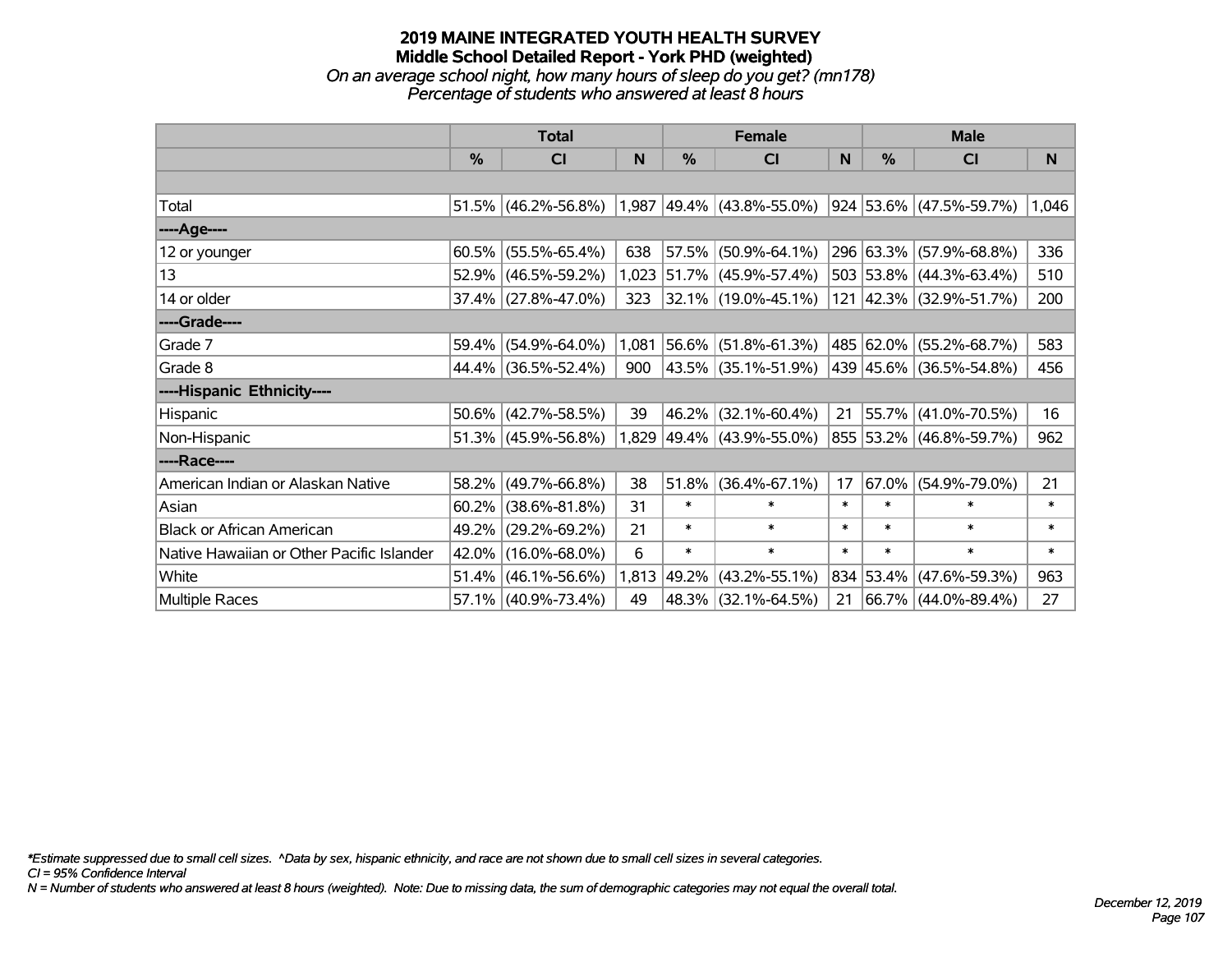### **2019 MAINE INTEGRATED YOUTH HEALTH SURVEY Middle School Detailed Report - York PHD (weighted)** *On an average school night, how many hours of sleep do you get? (mn178) Percentage of students who answered at least 8 hours*

|                                           | <b>Total</b> |                     |       |        | <b>Female</b>             |        | <b>Male</b>   |                         |        |  |
|-------------------------------------------|--------------|---------------------|-------|--------|---------------------------|--------|---------------|-------------------------|--------|--|
|                                           | %            | CI                  | N     | %      | <b>CI</b>                 | N      | $\frac{0}{0}$ | <b>CI</b>               | N      |  |
|                                           |              |                     |       |        |                           |        |               |                         |        |  |
| Total                                     | 51.5%        | $(46.2\% - 56.8\%)$ | 1,987 |        | 49.4% (43.8%-55.0%)       |        |               | 924 53.6% (47.5%-59.7%) | 1,046  |  |
| ----Age----                               |              |                     |       |        |                           |        |               |                         |        |  |
| 12 or younger                             | 60.5%        | $(55.5\% - 65.4\%)$ | 638   | 57.5%  | $(50.9\% - 64.1\%)$       |        |               | 296 63.3% (57.9%-68.8%) | 336    |  |
| 13                                        | 52.9%        | $(46.5\% - 59.2\%)$ | 1,023 |        | 51.7% (45.9%-57.4%)       |        |               | 503 53.8% (44.3%-63.4%) | 510    |  |
| 14 or older                               | 37.4%        | $(27.8\% - 47.0\%)$ | 323   |        | 32.1% (19.0%-45.1%)       |        |               | 121 42.3% (32.9%-51.7%) | 200    |  |
| ----Grade----                             |              |                     |       |        |                           |        |               |                         |        |  |
| Grade 7                                   | 59.4%        | $(54.9\% - 64.0\%)$ | 1,081 |        | 56.6% (51.8%-61.3%)       |        |               | 485 62.0% (55.2%-68.7%) | 583    |  |
| Grade 8                                   |              | 44.4% (36.5%-52.4%) | 900   |        | 43.5% (35.1%-51.9%)       |        |               | 439 45.6% (36.5%-54.8%) | 456    |  |
| ----Hispanic Ethnicity----                |              |                     |       |        |                           |        |               |                         |        |  |
| Hispanic                                  | 50.6%        | $(42.7\% - 58.5\%)$ | 39    | 46.2%  | $(32.1\% - 60.4\%)$       | 21     | 55.7%         | $(41.0\% - 70.5\%)$     | 16     |  |
| Non-Hispanic                              |              | 51.3% (45.9%-56.8%) |       |        | 1,829 49.4% (43.9%-55.0%) |        |               | 855 53.2% (46.8%-59.7%) | 962    |  |
| ----Race----                              |              |                     |       |        |                           |        |               |                         |        |  |
| American Indian or Alaskan Native         | 58.2%        | $(49.7\% - 66.8\%)$ | 38    | 51.8%  | $(36.4\% - 67.1\%)$       | 17     | $67.0\%$      | $(54.9\% - 79.0\%)$     | 21     |  |
| Asian                                     | 60.2%        | $(38.6\% - 81.8\%)$ | 31    | $\ast$ | $\ast$                    | $\ast$ | $\ast$        | $\ast$                  | $\ast$ |  |
| <b>Black or African American</b>          | 49.2%        | $(29.2\% - 69.2\%)$ | 21    | $\ast$ | $\ast$                    | $\ast$ | $\ast$        | $\ast$                  | $\ast$ |  |
| Native Hawaiian or Other Pacific Islander | 42.0%        | $(16.0\% - 68.0\%)$ | 6     | $\ast$ | $\ast$                    | $\ast$ | $\ast$        | $\ast$                  | $\ast$ |  |
| White                                     | 51.4%        | $(46.1\% - 56.6\%)$ | 1,813 | 49.2%  | $(43.2\% - 55.1\%)$       | 834    | 53.4%         | $(47.6\% - 59.3\%)$     | 963    |  |
| Multiple Races                            |              | 57.1% (40.9%-73.4%) | 49    |        | 48.3% (32.1%-64.5%)       | 21     |               | 66.7% (44.0%-89.4%)     | 27     |  |

*\*Estimate suppressed due to small cell sizes. ^Data by sex, hispanic ethnicity, and race are not shown due to small cell sizes in several categories.*

*CI = 95% Confidence Interval*

*N = Number of students who answered at least 8 hours (weighted). Note: Due to missing data, the sum of demographic categories may not equal the overall total.*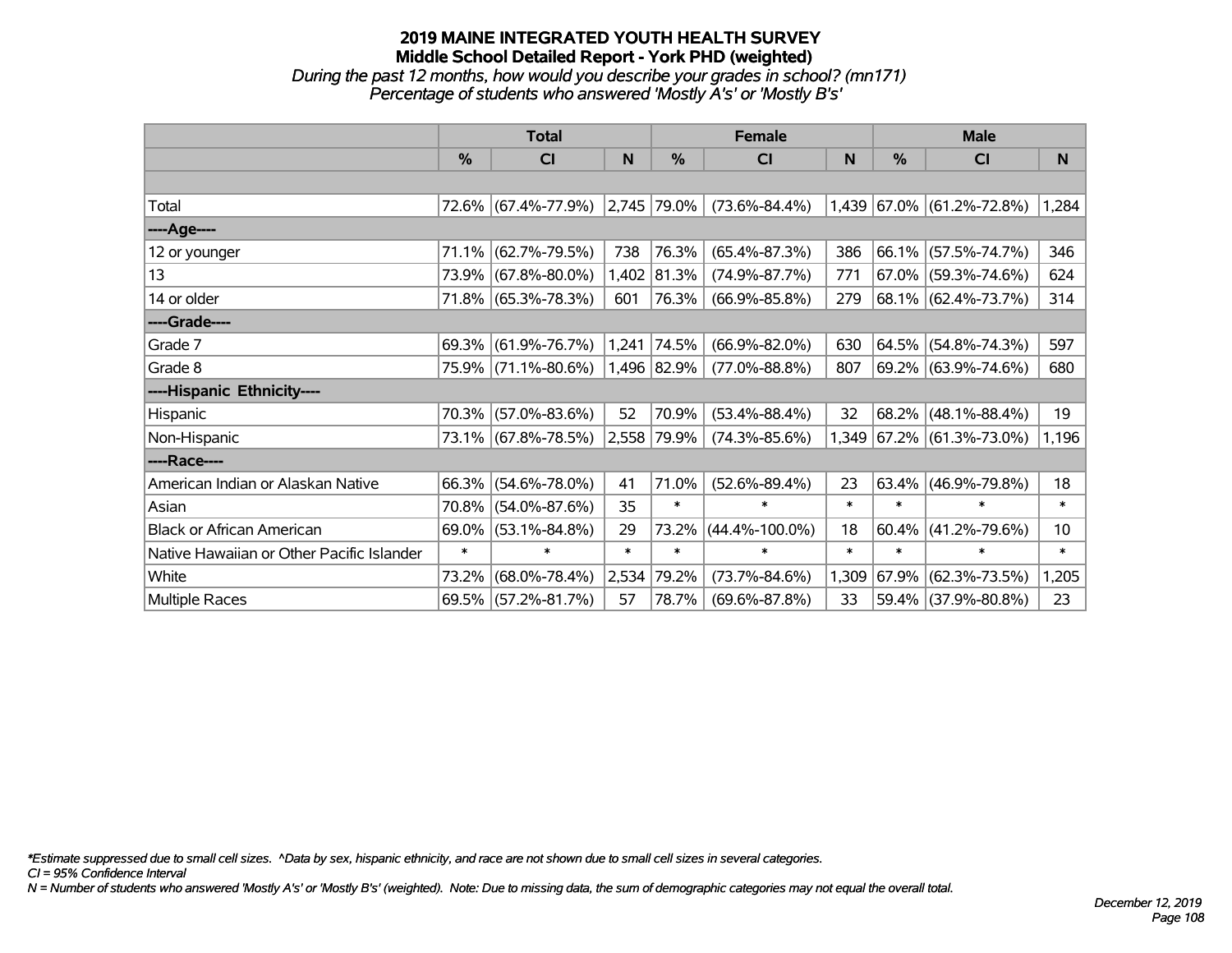# **2019 MAINE INTEGRATED YOUTH HEALTH SURVEY Middle School Detailed Report - York PHD (weighted)** *During the past 12 months, how would you describe your grades in school? (mn171) Percentage of students who answered 'Mostly A's' or 'Mostly B's'*

|                                           | <b>Total</b> |                     |        |                  | <b>Female</b>        |        | <b>Male</b> |                           |        |  |
|-------------------------------------------|--------------|---------------------|--------|------------------|----------------------|--------|-------------|---------------------------|--------|--|
|                                           | $\%$         | <b>CI</b>           | N      | $\frac{0}{0}$    | <b>CI</b>            | N      | $\%$        | <b>CI</b>                 | N.     |  |
|                                           |              |                     |        |                  |                      |        |             |                           |        |  |
| Total                                     |              | 72.6% (67.4%-77.9%) |        | $ 2,745 79.0\% $ | $(73.6\% - 84.4\%)$  |        |             | 1,439 67.0% (61.2%-72.8%) | 1,284  |  |
| ---- Age----                              |              |                     |        |                  |                      |        |             |                           |        |  |
| 12 or younger                             | 71.1%        | $(62.7\% - 79.5\%)$ | 738    | 76.3%            | $(65.4\% - 87.3\%)$  | 386    | 66.1%       | $(57.5\% - 74.7\%)$       | 346    |  |
| 13                                        |              | 73.9% (67.8%-80.0%) | 1,402  | 81.3%            | $(74.9\% - 87.7\%)$  | 771    |             | 67.0% (59.3%-74.6%)       | 624    |  |
| 14 or older                               |              | 71.8% (65.3%-78.3%) | 601    | 76.3%            | $(66.9\% - 85.8\%)$  | 279    |             | $68.1\%$ (62.4%-73.7%)    | 314    |  |
| ----Grade----                             |              |                     |        |                  |                      |        |             |                           |        |  |
| Grade 7                                   | 69.3%        | $(61.9\% - 76.7\%)$ | 1,241  | 74.5%            | $(66.9\% - 82.0\%)$  | 630    | 64.5%       | $(54.8\% - 74.3\%)$       | 597    |  |
| Grade 8                                   |              | 75.9% (71.1%-80.6%) |        | 1,496 82.9%      | $(77.0\% - 88.8\%)$  | 807    |             | 69.2% (63.9%-74.6%)       | 680    |  |
| ----Hispanic Ethnicity----                |              |                     |        |                  |                      |        |             |                           |        |  |
| Hispanic                                  | 70.3%        | $(57.0\% - 83.6\%)$ | 52     | 70.9%            | $(53.4\% - 88.4\%)$  | 32     | 68.2%       | $(48.1\% - 88.4\%)$       | 19     |  |
| Non-Hispanic                              |              | 73.1% (67.8%-78.5%) |        | 2,558 79.9%      | $(74.3\% - 85.6\%)$  |        |             | 1,349 67.2% (61.3%-73.0%) | 1,196  |  |
| ----Race----                              |              |                     |        |                  |                      |        |             |                           |        |  |
| American Indian or Alaskan Native         | 66.3%        | $(54.6\% - 78.0\%)$ | 41     | 71.0%            | $(52.6\% - 89.4\%)$  | 23     | 63.4%       | $(46.9\% - 79.8\%)$       | 18     |  |
| Asian                                     | 70.8%        | $(54.0\% - 87.6\%)$ | 35     | $\ast$           | $\ast$               | $\ast$ | $\ast$      | $\ast$                    | $\ast$ |  |
| <b>Black or African American</b>          | 69.0%        | $(53.1\% - 84.8\%)$ | 29     | 73.2%            | $(44.4\% - 100.0\%)$ | 18     | 60.4%       | $(41.2\% - 79.6\%)$       | 10     |  |
| Native Hawaiian or Other Pacific Islander | $\ast$       | $\ast$              | $\ast$ | $\ast$           | $\ast$               | $\ast$ | $\ast$      | $\ast$                    | $\ast$ |  |
| White                                     | 73.2%        | $(68.0\% - 78.4\%)$ | 2,534  | 79.2%            | $(73.7\% - 84.6\%)$  | 1,309  | 67.9%       | $(62.3\% - 73.5\%)$       | 1,205  |  |
| Multiple Races                            |              | 69.5% (57.2%-81.7%) | 57     | 78.7%            | $(69.6\% - 87.8\%)$  | 33     |             | 59.4% (37.9%-80.8%)       | 23     |  |

*\*Estimate suppressed due to small cell sizes. ^Data by sex, hispanic ethnicity, and race are not shown due to small cell sizes in several categories.*

*CI = 95% Confidence Interval*

*N = Number of students who answered 'Mostly A's' or 'Mostly B's' (weighted). Note: Due to missing data, the sum of demographic categories may not equal the overall total.*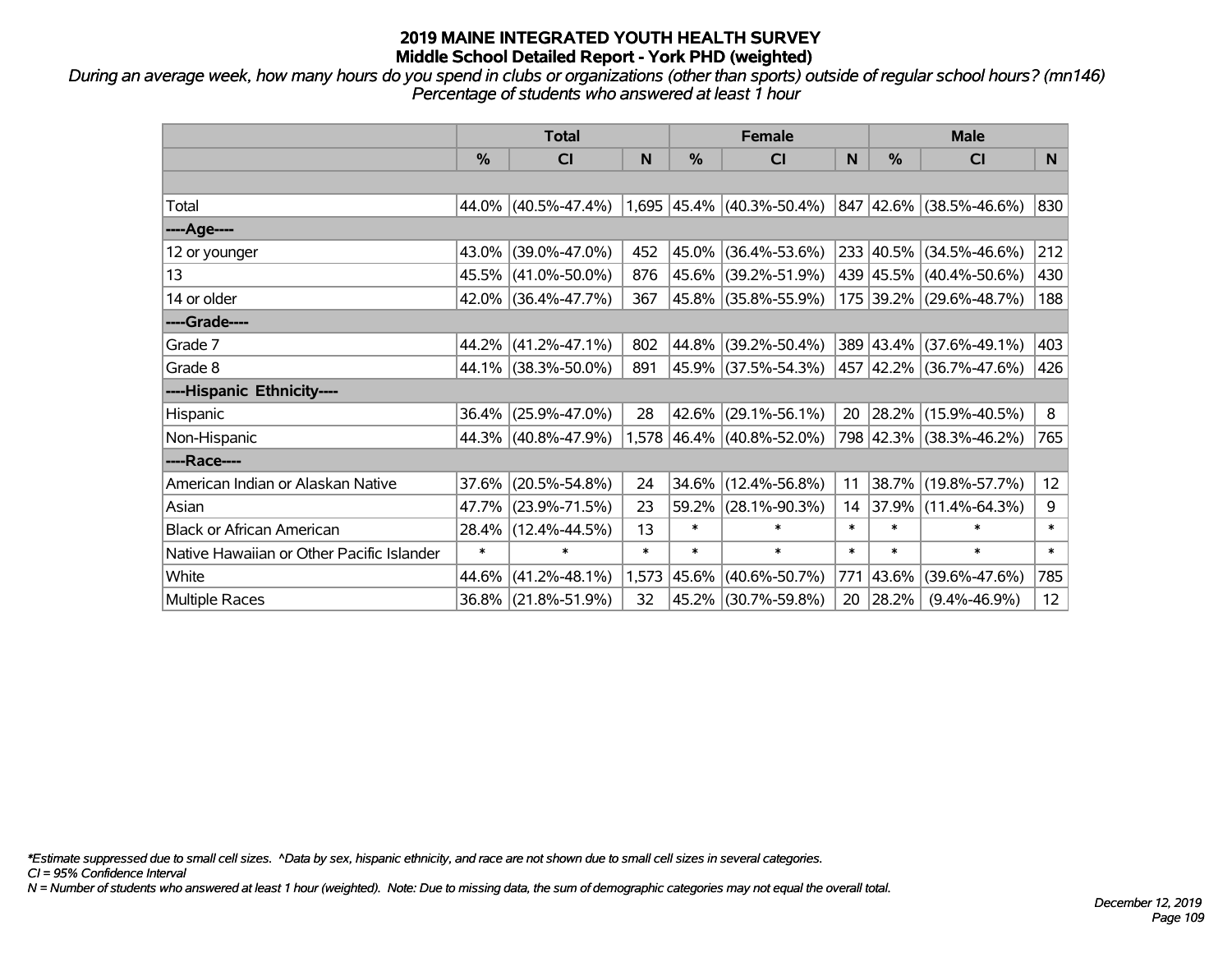*During an average week, how many hours do you spend in clubs or organizations (other than sports) outside of regular school hours? (mn146) Percentage of students who answered at least 1 hour*

|                                           | <b>Total</b> |                        |        | <b>Female</b> |                             |        | <b>Male</b>   |                         |        |
|-------------------------------------------|--------------|------------------------|--------|---------------|-----------------------------|--------|---------------|-------------------------|--------|
|                                           | %            | CI                     | N      | %             | <b>CI</b>                   | N      | $\frac{0}{0}$ | <b>CI</b>               | N.     |
|                                           |              |                        |        |               |                             |        |               |                         |        |
| Total                                     |              | $44.0\%$ (40.5%-47.4%) |        |               | $1,695$ 45.4% (40.3%-50.4%) |        |               | 847 42.6% (38.5%-46.6%) | 830    |
| ----Age----                               |              |                        |        |               |                             |        |               |                         |        |
| 12 or younger                             | 43.0%        | $(39.0\% - 47.0\%)$    | 452    | 45.0%         | $(36.4\% - 53.6\%)$         |        |               | 233 40.5% (34.5%-46.6%) | 212    |
| 13                                        |              | 45.5% (41.0%-50.0%)    | 876    |               | 45.6% (39.2%-51.9%)         |        |               | 439 45.5% (40.4%-50.6%) | 430    |
| 14 or older                               |              | $42.0\%$ (36.4%-47.7%) | 367    |               | 45.8% (35.8%-55.9%)         |        |               | 175 39.2% (29.6%-48.7%) | 188    |
| ----Grade----                             |              |                        |        |               |                             |        |               |                         |        |
| Grade 7                                   |              | 44.2% (41.2%-47.1%)    | 802    | 44.8%         | $(39.2\% - 50.4\%)$         |        |               | 389 43.4% (37.6%-49.1%) | 403    |
| Grade 8                                   |              | 44.1% (38.3%-50.0%)    | 891    |               | 45.9% (37.5%-54.3%)         |        |               | 457 42.2% (36.7%-47.6%) | 426    |
| ----Hispanic Ethnicity----                |              |                        |        |               |                             |        |               |                         |        |
| Hispanic                                  | 36.4%        | $(25.9\% - 47.0\%)$    | 28     | 42.6%         | $(29.1\% - 56.1\%)$         | 20     |               | 28.2% (15.9%-40.5%)     | 8      |
| Non-Hispanic                              |              | 44.3% (40.8%-47.9%)    |        |               | $1,578$ 46.4% (40.8%-52.0%) |        |               | 798 42.3% (38.3%-46.2%) | 765    |
| ----Race----                              |              |                        |        |               |                             |        |               |                         |        |
| American Indian or Alaskan Native         | 37.6%        | $(20.5\% - 54.8\%)$    | 24     | 34.6%         | $(12.4\% - 56.8\%)$         | 11     | 38.7%         | $(19.8\% - 57.7\%)$     | 12     |
| Asian                                     | 47.7%        | $(23.9\% - 71.5\%)$    | 23     | 59.2%         | $(28.1\% - 90.3\%)$         | 14     | 37.9%         | $(11.4\% - 64.3\%)$     | 9      |
| <b>Black or African American</b>          | 28.4%        | $(12.4\% - 44.5\%)$    | 13     | $\ast$        | $\ast$                      | $\ast$ | $\ast$        | $\ast$                  | $\ast$ |
| Native Hawaiian or Other Pacific Islander | $\ast$       | $\ast$                 | $\ast$ | $\ast$        | $\ast$                      | $\ast$ | $\ast$        | $\ast$                  | $\ast$ |
| White                                     | 44.6%        | $(41.2\% - 48.1\%)$    | 1,573  | 45.6%         | $(40.6\% - 50.7\%)$         | 771    | 43.6%         | $(39.6\% - 47.6\%)$     | 785    |
| Multiple Races                            |              | 36.8% (21.8%-51.9%)    | 32     | 45.2%         | $(30.7\% - 59.8\%)$         | 20     | 28.2%         | $(9.4\% - 46.9\%)$      | 12     |

*\*Estimate suppressed due to small cell sizes. ^Data by sex, hispanic ethnicity, and race are not shown due to small cell sizes in several categories.*

*CI = 95% Confidence Interval*

*N = Number of students who answered at least 1 hour (weighted). Note: Due to missing data, the sum of demographic categories may not equal the overall total.*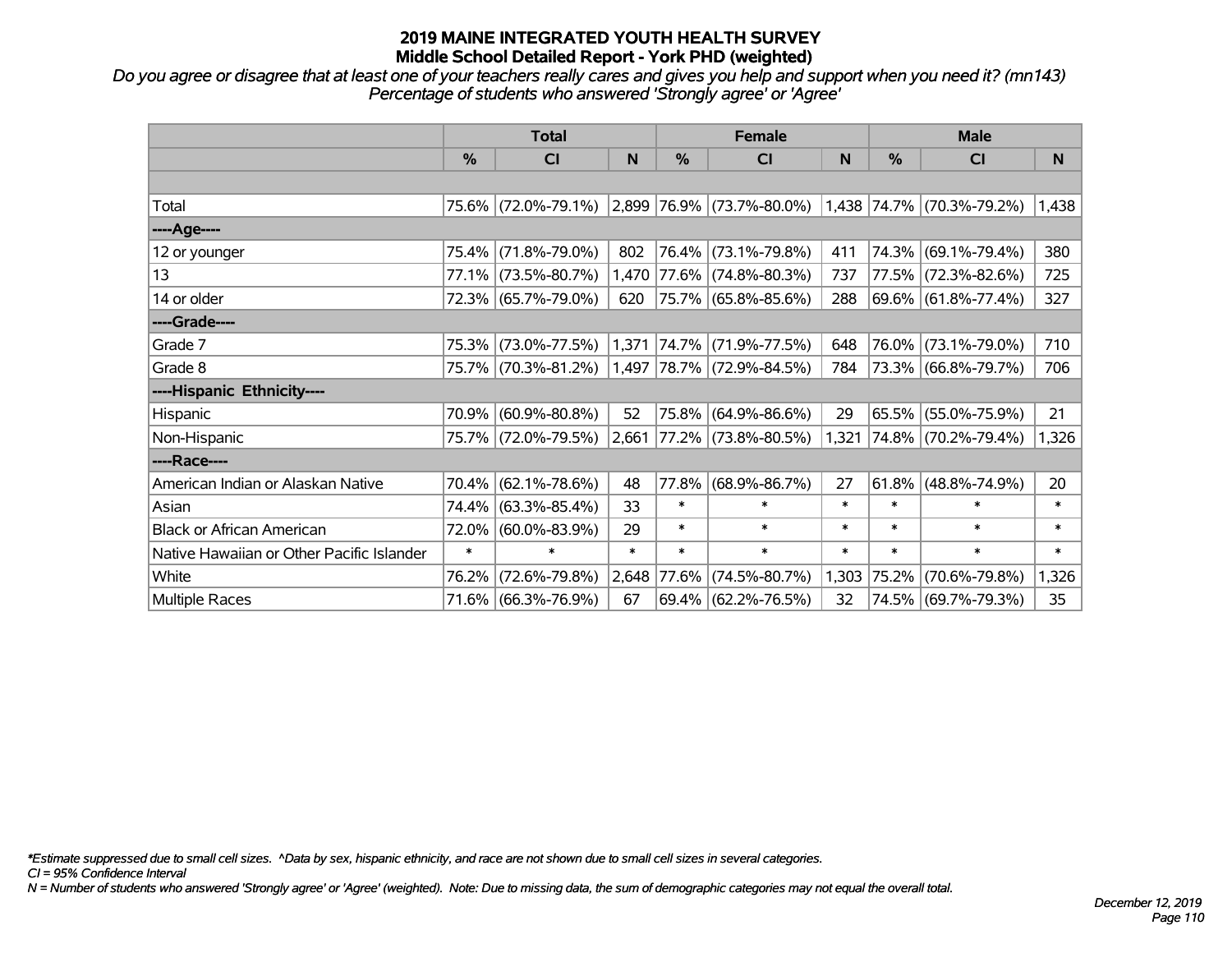*Do you agree or disagree that at least one of your teachers really cares and gives you help and support when you need it? (mn143) Percentage of students who answered 'Strongly agree' or 'Agree'*

|                                           | <b>Total</b>  |                                               |        |             | <b>Female</b>               |        | <b>Male</b>   |                           |        |
|-------------------------------------------|---------------|-----------------------------------------------|--------|-------------|-----------------------------|--------|---------------|---------------------------|--------|
|                                           | $\frac{0}{0}$ | <b>CI</b>                                     | N      | $\%$        | <b>CI</b>                   | N      | $\frac{0}{0}$ | <b>CI</b>                 | N      |
|                                           |               |                                               |        |             |                             |        |               |                           |        |
| Total                                     |               | 75.6% (72.0%-79.1%) 2,899 76.9% (73.7%-80.0%) |        |             |                             |        |               | 1,438 74.7% (70.3%-79.2%) | 1,438  |
| ----Age----                               |               |                                               |        |             |                             |        |               |                           |        |
| 12 or younger                             |               | 75.4% (71.8%-79.0%)                           | 802    |             | 76.4% (73.1%-79.8%)         | 411    | 74.3%         | $(69.1\% - 79.4\%)$       | 380    |
| 13                                        |               | 77.1% (73.5%-80.7%)                           |        |             | 1,470 77.6% (74.8%-80.3%)   | 737    |               | 77.5% (72.3%-82.6%)       | 725    |
| 14 or older                               |               | 72.3% (65.7%-79.0%)                           | 620    |             | $ 75.7\% $ (65.8%-85.6%)    | 288    |               | 69.6% (61.8%-77.4%)       | 327    |
| ----Grade----                             |               |                                               |        |             |                             |        |               |                           |        |
| Grade 7                                   |               | 75.3% (73.0%-77.5%)                           |        |             | 1,371 74.7% (71.9%-77.5%)   | 648    | 76.0%         | $(73.1\% - 79.0\%)$       | 710    |
| Grade 8                                   |               | 75.7% (70.3%-81.2%) 1,497 78.7% (72.9%-84.5%) |        |             |                             | 784    |               | 73.3% (66.8%-79.7%)       | 706    |
| ----Hispanic Ethnicity----                |               |                                               |        |             |                             |        |               |                           |        |
| Hispanic                                  | 70.9%         | $(60.9\% - 80.8\%)$                           | 52     |             | 75.8% (64.9%-86.6%)         | 29     | 65.5%         | $(55.0\% - 75.9\%)$       | 21     |
| Non-Hispanic                              |               | 75.7% (72.0%-79.5%)                           |        |             | $2,661$ 77.2% (73.8%-80.5%) | 1,321  |               | 74.8% (70.2%-79.4%)       | 1,326  |
| ----Race----                              |               |                                               |        |             |                             |        |               |                           |        |
| American Indian or Alaskan Native         |               | 70.4% (62.1%-78.6%)                           | 48     | 77.8%       | $(68.9\% - 86.7\%)$         | 27     | 61.8%         | $(48.8\% - 74.9\%)$       | 20     |
| Asian                                     |               | 74.4% (63.3%-85.4%)                           | 33     | $\ast$      | $\ast$                      | $\ast$ | $\ast$        | $\ast$                    | $\ast$ |
| <b>Black or African American</b>          | 72.0%         | $(60.0\% - 83.9\%)$                           | 29     | $\ast$      | $\ast$                      | $\ast$ | $\ast$        | $\ast$                    | $\ast$ |
| Native Hawaiian or Other Pacific Islander | $\ast$        | $\ast$                                        | $\ast$ | $\ast$      | $\ast$                      | $\ast$ | $\ast$        | $\ast$                    | $\ast$ |
| White                                     | 76.2%         | $(72.6\% - 79.8\%)$                           |        | 2,648 77.6% | $(74.5\% - 80.7\%)$         | 1,303  | 75.2%         | $(70.6\% - 79.8\%)$       | 1,326  |
| Multiple Races                            |               | 71.6% (66.3%-76.9%)                           | 67     |             | 69.4% (62.2%-76.5%)         | 32     |               | 74.5% (69.7%-79.3%)       | 35     |

*\*Estimate suppressed due to small cell sizes. ^Data by sex, hispanic ethnicity, and race are not shown due to small cell sizes in several categories.*

*CI = 95% Confidence Interval*

*N = Number of students who answered 'Strongly agree' or 'Agree' (weighted). Note: Due to missing data, the sum of demographic categories may not equal the overall total.*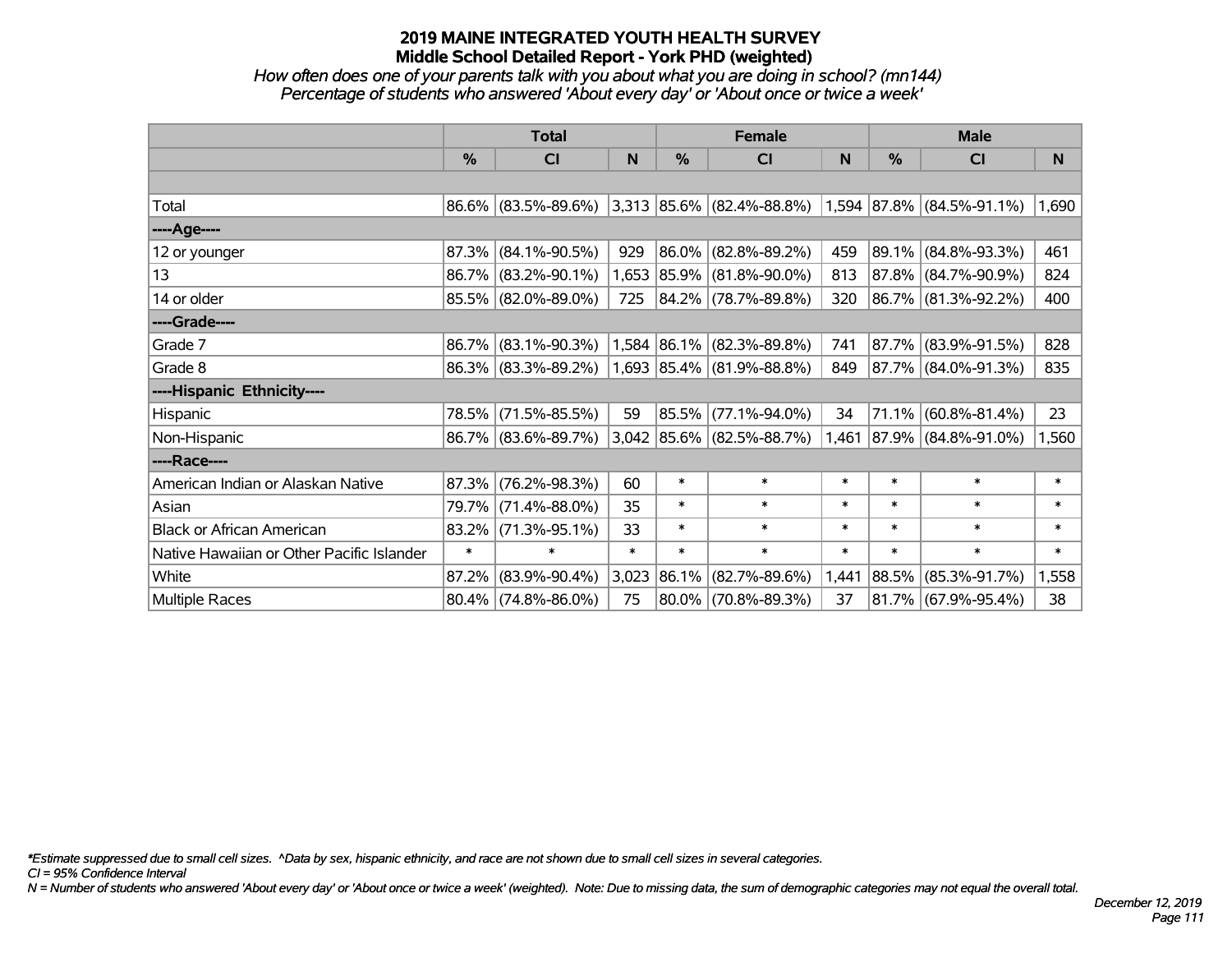#### *How often does one of your parents talk with you about what you are doing in school? (mn144) Percentage of students who answered 'About every day' or 'About once or twice a week'*

|                                           | <b>Total</b>  |                        |        |            | <b>Female</b>                                            |        | <b>Male</b>   |                        |        |
|-------------------------------------------|---------------|------------------------|--------|------------|----------------------------------------------------------|--------|---------------|------------------------|--------|
|                                           | $\frac{0}{0}$ | CI                     | N      | %          | <b>CI</b>                                                | N      | $\frac{0}{0}$ | <b>CI</b>              | N      |
|                                           |               |                        |        |            |                                                          |        |               |                        |        |
| Total                                     |               | 86.6% (83.5%-89.6%)    |        |            | $ 3,313 85.6\% $ (82.4%-88.8%) 1,594 87.8% (84.5%-91.1%) |        |               |                        | 1,690  |
| ----Age----                               |               |                        |        |            |                                                          |        |               |                        |        |
| 12 or younger                             | 87.3%         | $(84.1\% - 90.5\%)$    | 929    | $ 86.0\% $ | $(82.8\% - 89.2\%)$                                      | 459    |               | 89.1% (84.8%-93.3%)    | 461    |
| 13                                        |               | 86.7% (83.2%-90.1%)    |        |            | 1,653 85.9% (81.8%-90.0%)                                | 813    |               | 87.8% (84.7%-90.9%)    | 824    |
| 14 or older                               |               | 85.5% (82.0%-89.0%)    | 725    |            | 84.2% (78.7%-89.8%)                                      | 320    |               | 86.7% (81.3%-92.2%)    | 400    |
| ----Grade----                             |               |                        |        |            |                                                          |        |               |                        |        |
| Grade 7                                   | 86.7%         | $(83.1\% - 90.3\%)$    |        |            | $1,584$ 86.1% (82.3%-89.8%)                              | 741    |               | 87.7% (83.9%-91.5%)    | 828    |
| Grade 8                                   |               | 86.3% (83.3%-89.2%)    |        |            | $1,693$ 85.4% (81.9%-88.8%)                              | 849    |               | 87.7% (84.0%-91.3%)    | 835    |
| ----Hispanic Ethnicity----                |               |                        |        |            |                                                          |        |               |                        |        |
| Hispanic                                  | 78.5%         | $(71.5\% - 85.5\%)$    | 59     | $ 85.5\% $ | $(77.1\% - 94.0\%)$                                      | 34     |               | $71.1\%$ (60.8%-81.4%) | 23     |
| Non-Hispanic                              |               | 86.7% (83.6%-89.7%)    |        |            | $3,042$ 85.6% (82.5%-88.7%)                              | 1,461  |               | 87.9% (84.8%-91.0%)    | 1,560  |
| ----Race----                              |               |                        |        |            |                                                          |        |               |                        |        |
| American Indian or Alaskan Native         | 87.3%         | $(76.2\% - 98.3\%)$    | 60     | $\ast$     | $\ast$                                                   | $\ast$ | $\ast$        | $\ast$                 | $\ast$ |
| Asian                                     | 79.7%         | $(71.4\% - 88.0\%)$    | 35     | $\ast$     | $\ast$                                                   | $\ast$ | $\ast$        | $\ast$                 | $\ast$ |
| <b>Black or African American</b>          | $83.2\%$      | $(71.3\% - 95.1\%)$    | 33     | $\ast$     | $\ast$                                                   | $\ast$ | $\ast$        | $\ast$                 | $\ast$ |
| Native Hawaiian or Other Pacific Islander | $\ast$        | $\ast$                 | $\ast$ | $\ast$     | $\ast$                                                   | $\ast$ | $\ast$        | $\ast$                 | $\ast$ |
| White                                     | 87.2%         | $(83.9\% - 90.4\%)$    | 3,023  | $ 86.1\% $ | $(82.7\% - 89.6\%)$                                      | 1,441  | 88.5%         | $(85.3\% - 91.7\%)$    | 1,558  |
| <b>Multiple Races</b>                     |               | $80.4\%$ (74.8%-86.0%) | 75     |            | 80.0% (70.8%-89.3%)                                      | 37     |               | 81.7% (67.9%-95.4%)    | 38     |

*\*Estimate suppressed due to small cell sizes. ^Data by sex, hispanic ethnicity, and race are not shown due to small cell sizes in several categories.*

*CI = 95% Confidence Interval*

*N = Number of students who answered 'About every day' or 'About once or twice a week' (weighted). Note: Due to missing data, the sum of demographic categories may not equal the overall total.*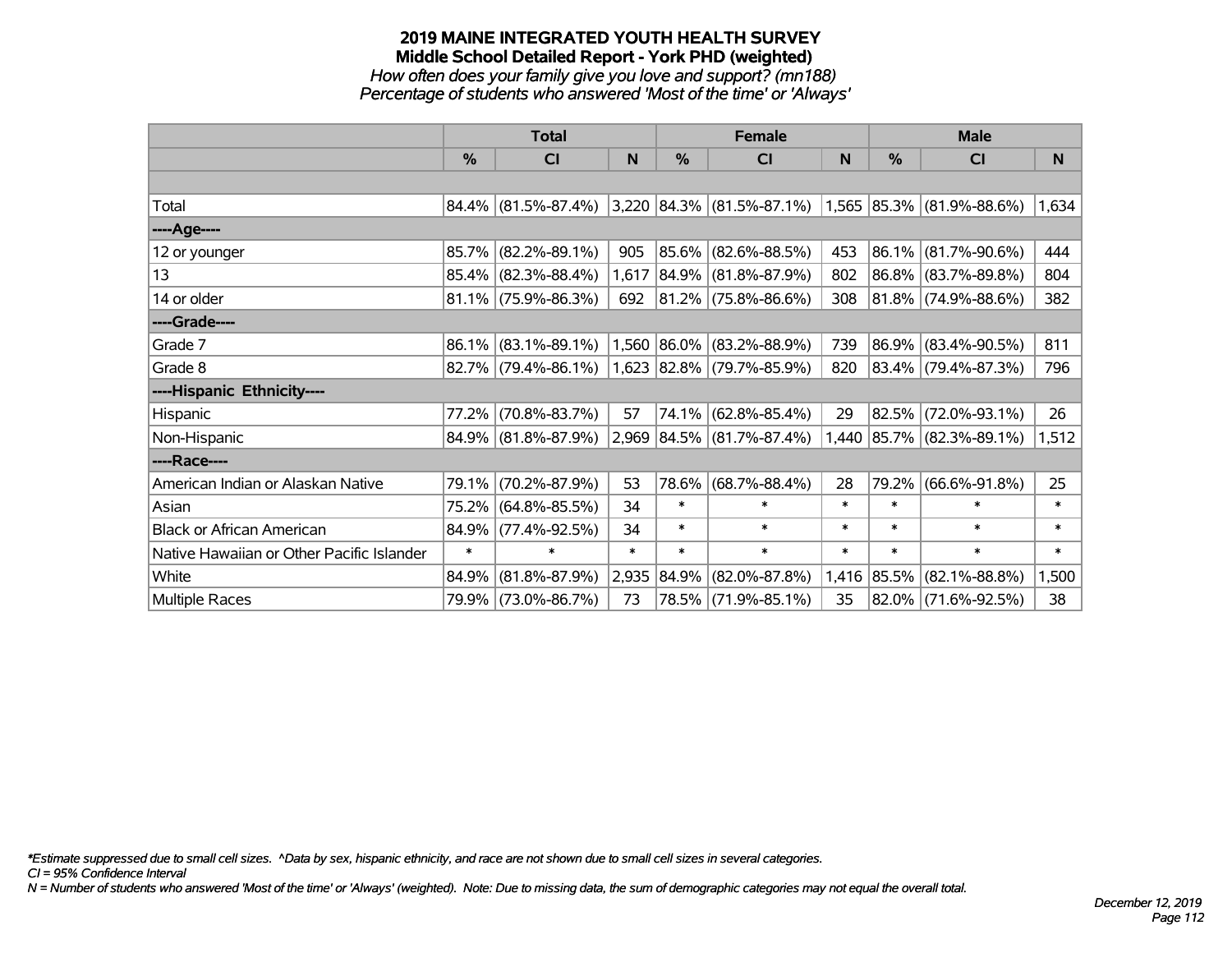*How often does your family give you love and support? (mn188) Percentage of students who answered 'Most of the time' or 'Always'*

|                                           | <b>Total</b>  |                        |        |            | <b>Female</b>                                            |        | <b>Male</b> |                          |        |
|-------------------------------------------|---------------|------------------------|--------|------------|----------------------------------------------------------|--------|-------------|--------------------------|--------|
|                                           | $\frac{0}{0}$ | CI                     | N      | %          | CI                                                       | N      | %           | <b>CI</b>                | N      |
|                                           |               |                        |        |            |                                                          |        |             |                          |        |
| Total                                     |               | $84.4\%$ (81.5%-87.4%) |        |            | $ 3,220 84.3\% $ (81.5%-87.1%) 1,565 85.3% (81.9%-88.6%) |        |             |                          | 1,634  |
| ----Age----                               |               |                        |        |            |                                                          |        |             |                          |        |
| 12 or younger                             | 85.7%         | $(82.2\% - 89.1\%)$    | 905    |            | 85.6% (82.6%-88.5%)                                      | 453    | $ 86.1\% $  | $(81.7\% - 90.6\%)$      | 444    |
| 13                                        |               | 85.4% (82.3%-88.4%)    | 1,617  |            | 84.9% (81.8%-87.9%)                                      | 802    |             | 86.8% (83.7%-89.8%)      | 804    |
| 14 or older                               |               | $81.1\%$ (75.9%-86.3%) | 692    |            | 81.2% (75.8%-86.6%)                                      | 308    |             | 81.8% (74.9%-88.6%)      | 382    |
| ----Grade----                             |               |                        |        |            |                                                          |        |             |                          |        |
| Grade 7                                   | 86.1%         | $(83.1\% - 89.1\%)$    |        |            | 1,560 86.0% (83.2%-88.9%)                                | 739    | $ 86.9\% $  | $(83.4\% - 90.5\%)$      | 811    |
| Grade 8                                   |               | $82.7\%$ (79.4%-86.1%) |        |            | 1,623 82.8% (79.7%-85.9%)                                | 820    |             | 83.4% (79.4%-87.3%)      | 796    |
| ----Hispanic Ethnicity----                |               |                        |        |            |                                                          |        |             |                          |        |
| Hispanic                                  | 77.2%         | $(70.8\% - 83.7\%)$    | 57     | 74.1%      | $(62.8\% - 85.4\%)$                                      | 29     | 82.5%       | $(72.0\% - 93.1\%)$      | 26     |
| Non-Hispanic                              |               | 84.9% (81.8%-87.9%)    |        |            | 2,969 84.5% (81.7%-87.4%)                                | 1,440  |             | $ 85.7\% $ (82.3%-89.1%) | 1,512  |
| ----Race----                              |               |                        |        |            |                                                          |        |             |                          |        |
| American Indian or Alaskan Native         | 79.1%         | $(70.2\% - 87.9\%)$    | 53     |            | 78.6% (68.7%-88.4%)                                      | 28     | 79.2%       | $(66.6\% - 91.8\%)$      | 25     |
| Asian                                     | 75.2%         | $(64.8\% - 85.5\%)$    | 34     | $\ast$     | $\ast$                                                   | $\ast$ | $\ast$      | $\ast$                   | $\ast$ |
| <b>Black or African American</b>          | 84.9%         | $(77.4\% - 92.5\%)$    | 34     | $\ast$     | $\ast$                                                   | $\ast$ | $\ast$      | $\ast$                   | $\ast$ |
| Native Hawaiian or Other Pacific Islander | $\ast$        | $\ast$                 | $\ast$ | $\ast$     | $\ast$                                                   | $\ast$ | $\ast$      | $\ast$                   | $\ast$ |
| White                                     | 84.9%         | $(81.8\% - 87.9\%)$    | 2,935  | $ 84.9\% $ | $(82.0\% - 87.8\%)$                                      | 1,416  | $ 85.5\% $  | $(82.1\% - 88.8\%)$      | 1,500  |
| Multiple Races                            | 79.9%         | $(73.0\% - 86.7\%)$    | 73     |            | 78.5% (71.9%-85.1%)                                      | 35     | $ 82.0\% $  | $(71.6\% - 92.5\%)$      | 38     |

*\*Estimate suppressed due to small cell sizes. ^Data by sex, hispanic ethnicity, and race are not shown due to small cell sizes in several categories.*

*CI = 95% Confidence Interval*

*N = Number of students who answered 'Most of the time' or 'Always' (weighted). Note: Due to missing data, the sum of demographic categories may not equal the overall total.*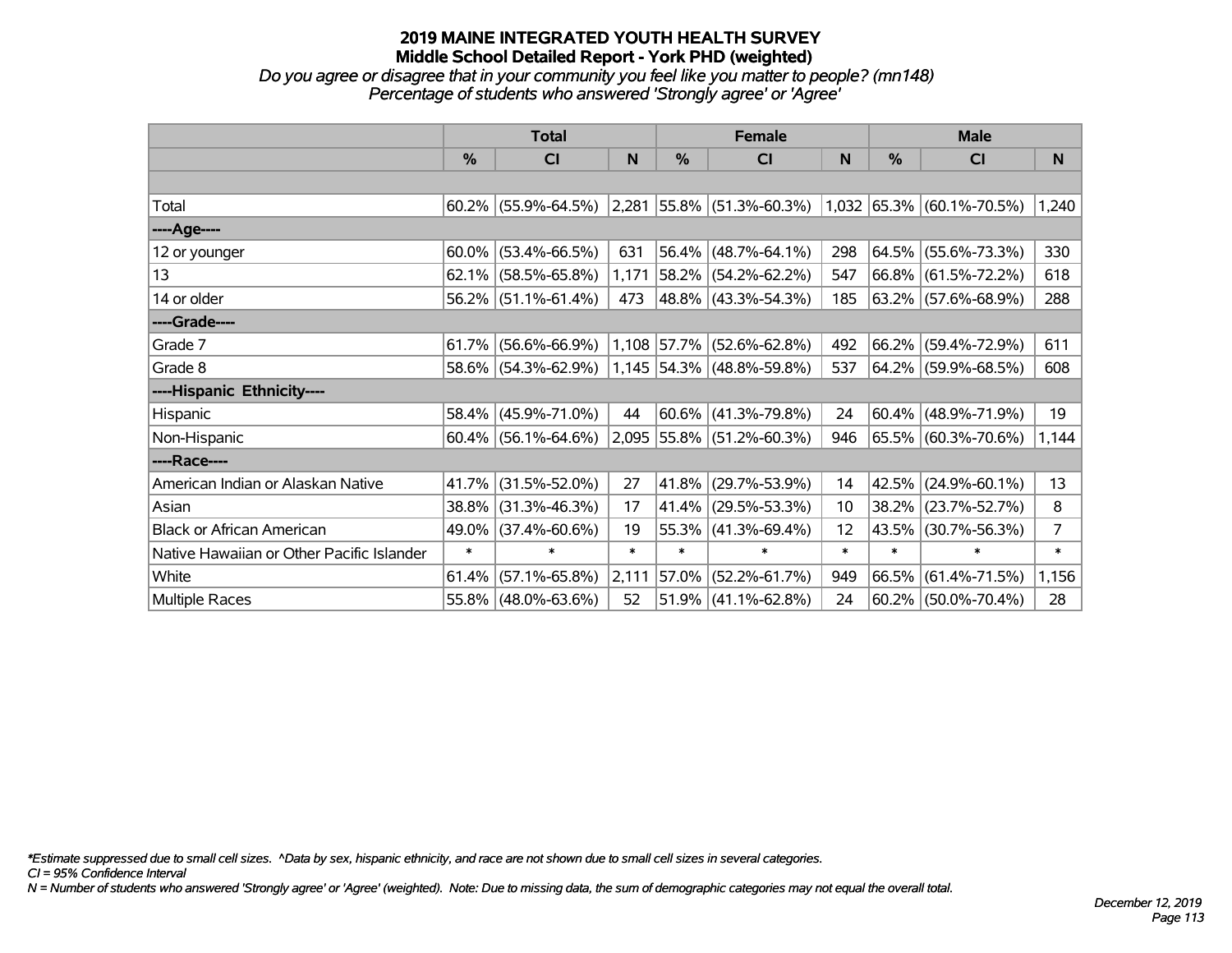*Do you agree or disagree that in your community you feel like you matter to people? (mn148) Percentage of students who answered 'Strongly agree' or 'Agree'*

|                                           | <b>Total</b> |                        |        |        | <b>Female</b>                                            |        | <b>Male</b>   |                          |        |
|-------------------------------------------|--------------|------------------------|--------|--------|----------------------------------------------------------|--------|---------------|--------------------------|--------|
|                                           | $\%$         | <b>CI</b>              | N      | $\%$   | <b>CI</b>                                                | N      | $\frac{0}{0}$ | <b>CI</b>                | N      |
|                                           |              |                        |        |        |                                                          |        |               |                          |        |
| Total                                     |              | $60.2\%$ (55.9%-64.5%) |        |        | $ 2,281 55.8\% $ (51.3%-60.3%) 1,032 65.3% (60.1%-70.5%) |        |               |                          | 1,240  |
| ----Age----                               |              |                        |        |        |                                                          |        |               |                          |        |
| 12 or younger                             | 60.0%        | $(53.4\% - 66.5\%)$    | 631    |        | $56.4\%$ (48.7%-64.1%)                                   | 298    | 64.5%         | $(55.6\% - 73.3\%)$      | 330    |
| 13                                        | 62.1%        | $(58.5\% - 65.8\%)$    | 1,171  |        | 58.2% (54.2%-62.2%)                                      | 547    |               | 66.8% (61.5%-72.2%)      | 618    |
| 14 or older                               |              | $56.2\%$ (51.1%-61.4%) | 473    |        | 48.8% (43.3%-54.3%)                                      | 185    |               | 63.2% (57.6%-68.9%)      | 288    |
| ----Grade----                             |              |                        |        |        |                                                          |        |               |                          |        |
| Grade 7                                   | 61.7%        | $(56.6\% - 66.9\%)$    |        |        | 1,108 57.7% (52.6%-62.8%)                                | 492    | $66.2\%$      | $(59.4\% - 72.9\%)$      | 611    |
| Grade 8                                   |              | 58.6% (54.3%-62.9%)    |        |        | $1,145$ 54.3% (48.8%-59.8%)                              | 537    |               | 64.2% (59.9%-68.5%)      | 608    |
| ----Hispanic Ethnicity----                |              |                        |        |        |                                                          |        |               |                          |        |
| Hispanic                                  | 58.4%        | $(45.9\% - 71.0\%)$    | 44     |        | $ 60.6\% $ (41.3%-79.8%)                                 | 24     | 60.4%         | $(48.9\% - 71.9\%)$      | 19     |
| Non-Hispanic                              |              | $60.4\%$ (56.1%-64.6%) |        |        | 2,095 55.8% (51.2%-60.3%)                                | 946    |               | 65.5% (60.3%-70.6%)      | 1,144  |
| ----Race----                              |              |                        |        |        |                                                          |        |               |                          |        |
| American Indian or Alaskan Native         | 41.7%        | $(31.5\% - 52.0\%)$    | 27     | 41.8%  | $(29.7\% - 53.9\%)$                                      | 14     | 42.5%         | $(24.9\% - 60.1\%)$      | 13     |
| Asian                                     | 38.8%        | $(31.3\% - 46.3\%)$    | 17     | 41.4%  | $(29.5\% - 53.3\%)$                                      | 10     | 38.2%         | $(23.7\% - 52.7\%)$      | 8      |
| <b>Black or African American</b>          | 49.0%        | $(37.4\% - 60.6\%)$    | 19     |        | $55.3\%$ (41.3%-69.4%)                                   | 12     | 43.5%         | $(30.7\% - 56.3\%)$      | 7      |
| Native Hawaiian or Other Pacific Islander | $\ast$       | $\ast$                 | $\ast$ | $\ast$ | $\ast$                                                   | $\ast$ | $\ast$        | $\ast$                   | $\ast$ |
| White                                     | 61.4%        | $(57.1\% - 65.8\%)$    | 2,111  | 57.0%  | $(52.2\% - 61.7\%)$                                      | 949    | $ 66.5\% $    | $(61.4\% - 71.5\%)$      | 1,156  |
| Multiple Races                            |              | 55.8% (48.0%-63.6%)    | 52     |        | 51.9% (41.1%-62.8%)                                      | 24     |               | $ 60.2\% $ (50.0%-70.4%) | 28     |

*\*Estimate suppressed due to small cell sizes. ^Data by sex, hispanic ethnicity, and race are not shown due to small cell sizes in several categories.*

*CI = 95% Confidence Interval*

*N = Number of students who answered 'Strongly agree' or 'Agree' (weighted). Note: Due to missing data, the sum of demographic categories may not equal the overall total.*